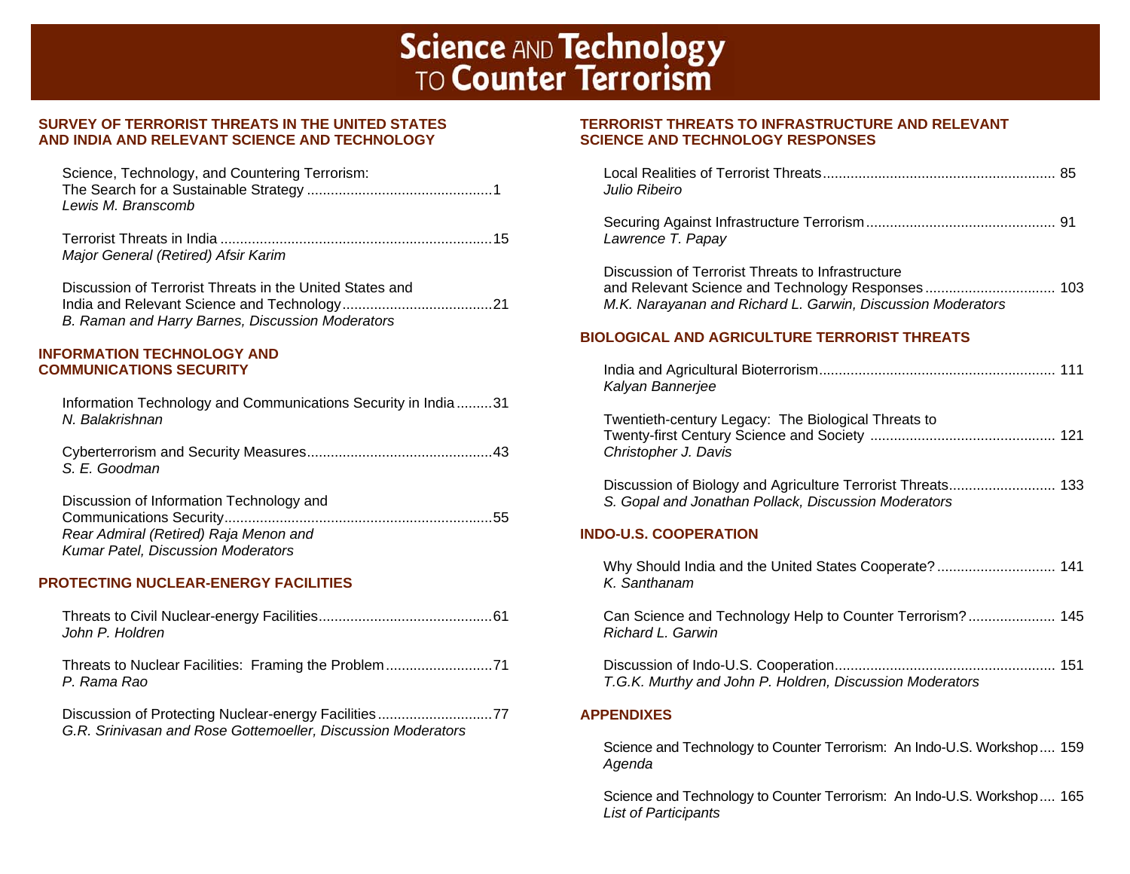# **Science AND Technology**<br>TO **Counter Terrorism**

#### **SURVEY OF TERRORIST THREATS IN THE UNITED STATES AND INDIA AND RELEVANT SCIENCE AND TECHNOLOGY**

|                                             | Science, Technology, and Countering Terrorism:<br>Lewis M. Branscomb                                                           |  |  |
|---------------------------------------------|--------------------------------------------------------------------------------------------------------------------------------|--|--|
|                                             | Major General (Retired) Afsir Karim                                                                                            |  |  |
|                                             | Discussion of Terrorist Threats in the United States and<br>B. Raman and Harry Barnes, Discussion Moderators                   |  |  |
|                                             | <b>INFORMATION TECHNOLOGY AND</b><br><b>COMMUNICATIONS SECURITY</b>                                                            |  |  |
|                                             | Information Technology and Communications Security in India31<br>N. Balakrishnan                                               |  |  |
|                                             | S. E. Goodman                                                                                                                  |  |  |
|                                             | Discussion of Information Technology and<br>Rear Admiral (Retired) Raja Menon and<br><b>Kumar Patel, Discussion Moderators</b> |  |  |
| <b>PROTECTING NUCLEAR-ENERGY FACILITIES</b> |                                                                                                                                |  |  |
|                                             | John P. Holdren                                                                                                                |  |  |
|                                             | Threats to Nuclear Facilities: Framing the Problem71<br>P. Rama Rao                                                            |  |  |
|                                             | Discussion of Protecting Nuclear-energy Facilities77<br>G.R. Srinivasan and Rose Gottemoeller, Discussion Moderators           |  |  |

#### **TERRORIST THREATS TO INFRASTRUCTURE AND RELEVANT SCIENCE AND TECHNOLOGY RESPONSES**

| Julio Ribeiro                                                                                                    |  |
|------------------------------------------------------------------------------------------------------------------|--|
| Lawrence T. Papay                                                                                                |  |
| Discussion of Terrorist Threats to Infrastructure<br>M.K. Narayanan and Richard L. Garwin, Discussion Moderators |  |

#### **BIOLOGICAL AND AGRICULTURE TERRORIST THREATS**

| Kalyan Bannerjee                                                            |  |
|-----------------------------------------------------------------------------|--|
| Twentieth-century Legacy: The Biological Threats to<br>Christopher J. Davis |  |
| S. Gopal and Jonathan Pollack, Discussion Moderators                        |  |

#### **INDO-U.S. COOPERATION**

| Why Should India and the United States Cooperate? 141<br>K. Santhanam          |  |  |
|--------------------------------------------------------------------------------|--|--|
| Can Science and Technology Help to Counter Terrorism? 145<br>Richard L. Garwin |  |  |
| T.G.K. Murthy and John P. Holdren, Discussion Moderators                       |  |  |
| <b>APPENDIXES</b>                                                              |  |  |

[Science and Technology to Counter Terrorism: An Indo-U.S. Workshop ....](#page-171-0)  159 *Agenda*

[Science and Technology to Counter Terrorism: An Indo-U.S. Workshop ....](#page-177-0)  165 *List of Participants*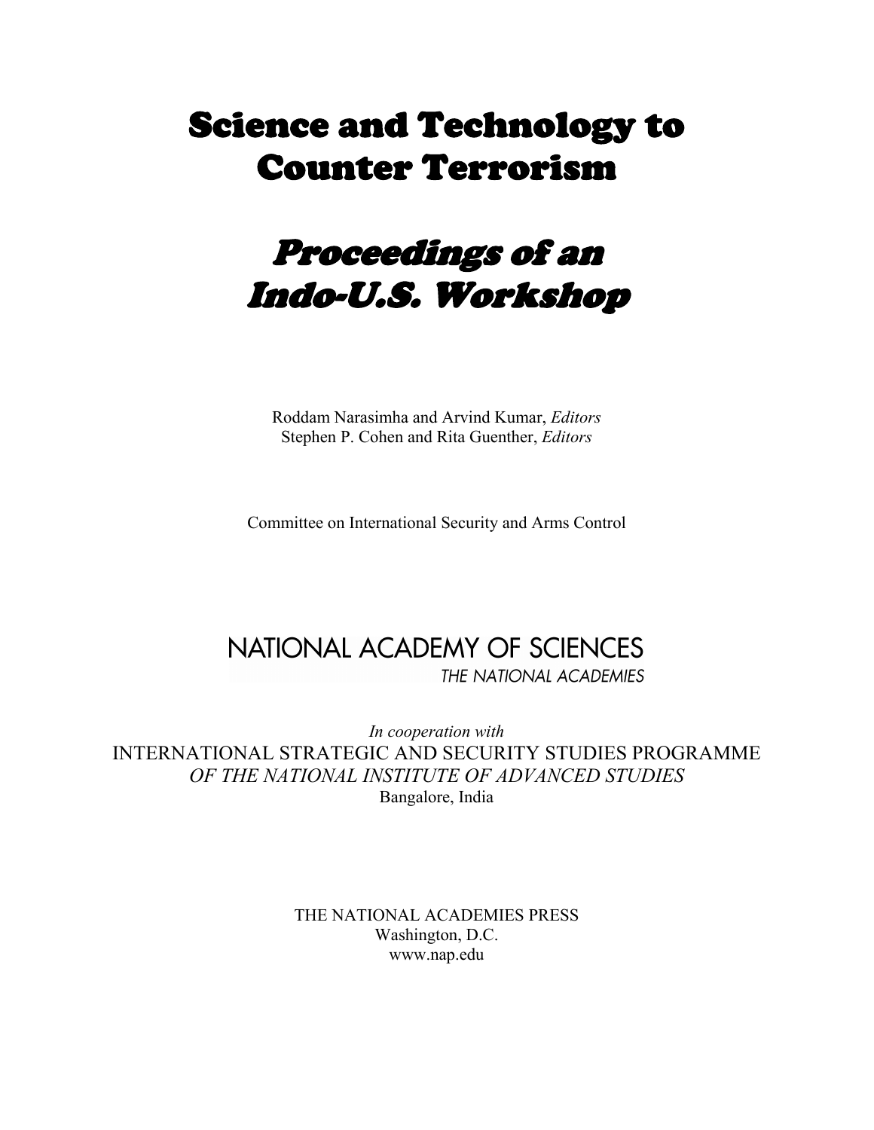## Science and Technology to Counter Terrorism

# Proceedings of an Indo-U.S. Workshop

Roddam Narasimha and Arvind Kumar, *Editors* Stephen P. Cohen and Rita Guenther, *Editors*

Committee on International Security and Arms Control

## NATIONAL ACADEMY OF SCIENCES THE NATIONAL ACADEMIES

*In cooperation with* INTERNATIONAL STRATEGIC AND SECURITY STUDIES PROGRAMME *OF THE NATIONAL INSTITUTE OF ADVANCED STUDIES*  Bangalore, India

> THE NATIONAL ACADEMIES PRESS Washington, D.C. www.nap.edu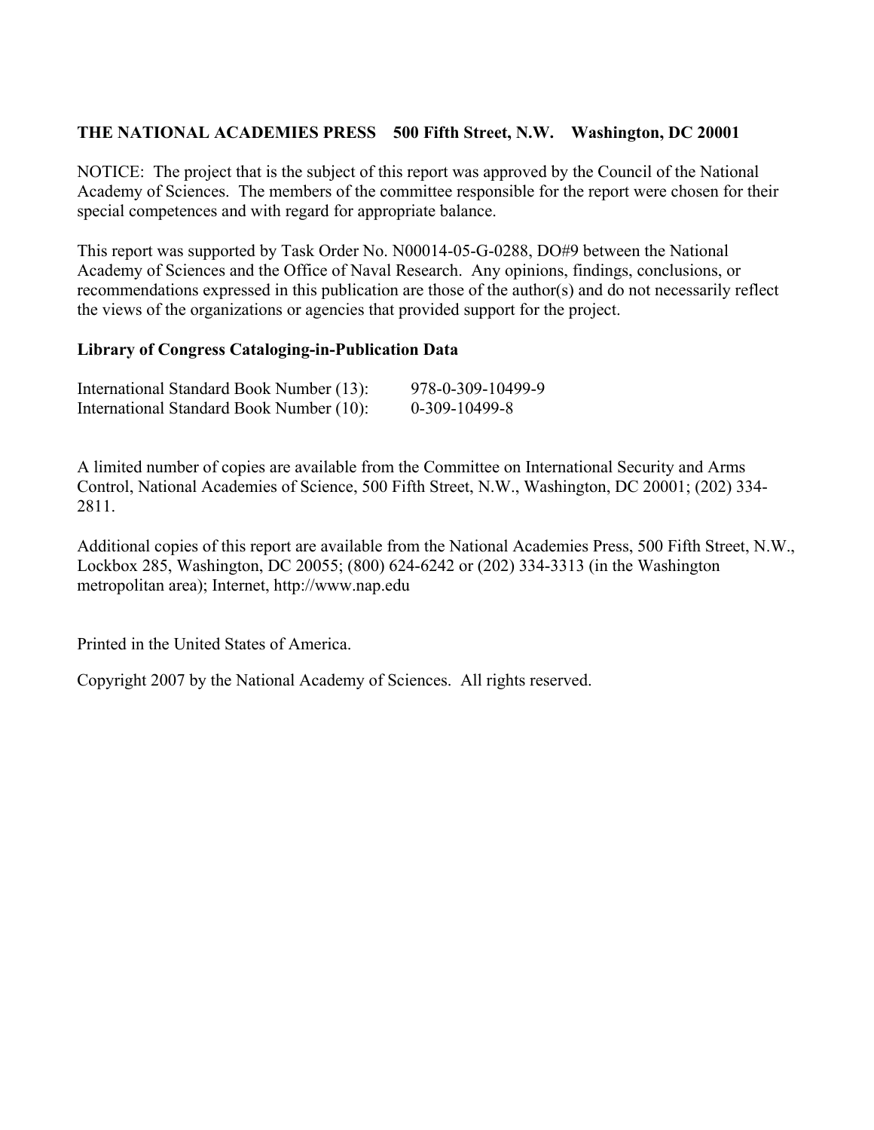#### **THE NATIONAL ACADEMIES PRESS 500 Fifth Street, N.W. Washington, DC 20001**

NOTICE: The project that is the subject of this report was approved by the Council of the National Academy of Sciences. The members of the committee responsible for the report were chosen for their special competences and with regard for appropriate balance.

This report was supported by Task Order No. N00014-05-G-0288, DO#9 between the National Academy of Sciences and the Office of Naval Research. Any opinions, findings, conclusions, or recommendations expressed in this publication are those of the author(s) and do not necessarily reflect the views of the organizations or agencies that provided support for the project.

#### **Library of Congress Cataloging-in-Publication Data**

| International Standard Book Number (13): | 978-0-309-10499-9 |
|------------------------------------------|-------------------|
| International Standard Book Number (10): | $0-309-10499-8$   |

A limited number of copies are available from the Committee on International Security and Arms Control, National Academies of Science, 500 Fifth Street, N.W., Washington, DC 20001; (202) 334- 2811.

Additional copies of this report are available from the National Academies Press, 500 Fifth Street, N.W., Lockbox 285, Washington, DC 20055; (800) 624-6242 or (202) 334-3313 (in the Washington metropolitan area); Internet, http://www.nap.edu

Printed in the United States of America.

Copyright 2007 by the National Academy of Sciences. All rights reserved.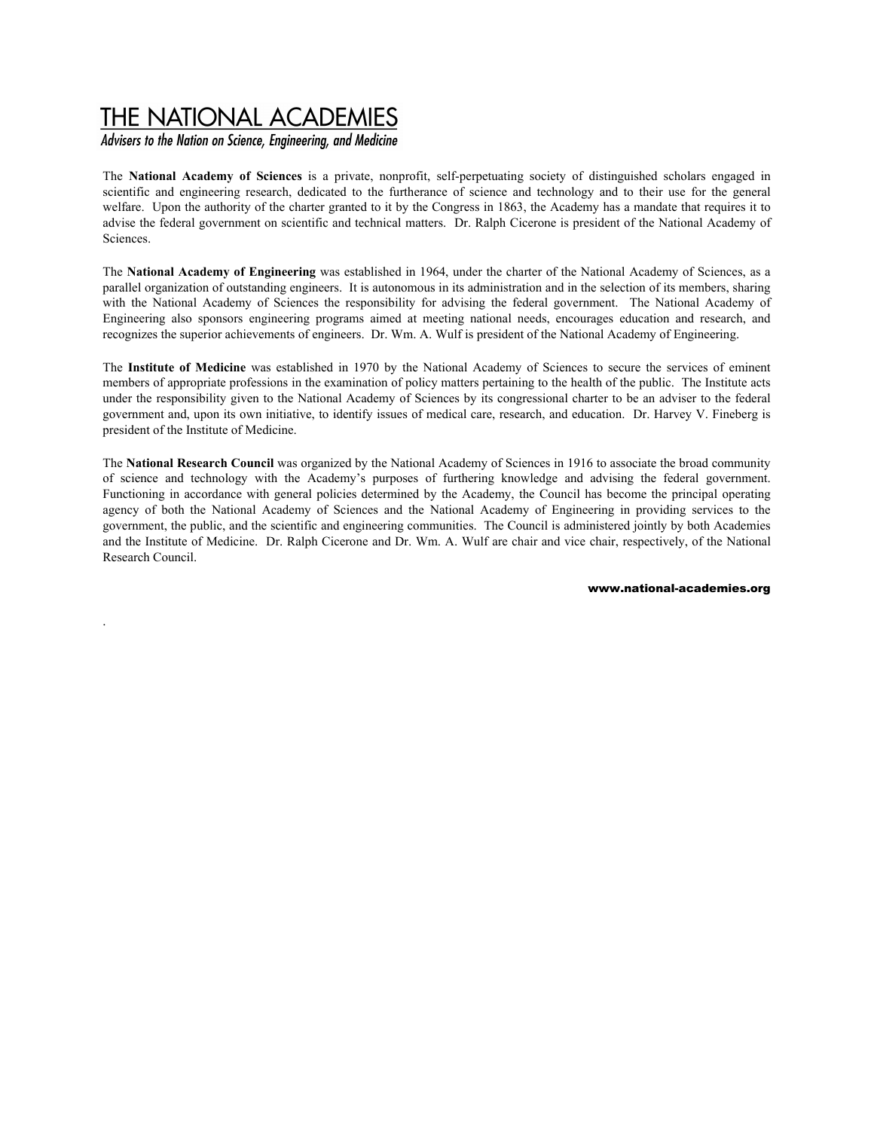## **THE NATIONAL ACADEMIES**

Advisers to the Nation on Science, Engineering, and Medicine

.

The **National Academy of Sciences** is a private, nonprofit, self-perpetuating society of distinguished scholars engaged in scientific and engineering research, dedicated to the furtherance of science and technology and to their use for the general welfare. Upon the authority of the charter granted to it by the Congress in 1863, the Academy has a mandate that requires it to advise the federal government on scientific and technical matters. Dr. Ralph Cicerone is president of the National Academy of Sciences.

The **National Academy of Engineering** was established in 1964, under the charter of the National Academy of Sciences, as a parallel organization of outstanding engineers. It is autonomous in its administration and in the selection of its members, sharing with the National Academy of Sciences the responsibility for advising the federal government. The National Academy of Engineering also sponsors engineering programs aimed at meeting national needs, encourages education and research, and recognizes the superior achievements of engineers. Dr. Wm. A. Wulf is president of the National Academy of Engineering.

The **Institute of Medicine** was established in 1970 by the National Academy of Sciences to secure the services of eminent members of appropriate professions in the examination of policy matters pertaining to the health of the public. The Institute acts under the responsibility given to the National Academy of Sciences by its congressional charter to be an adviser to the federal government and, upon its own initiative, to identify issues of medical care, research, and education. Dr. Harvey V. Fineberg is president of the Institute of Medicine.

The **National Research Council** was organized by the National Academy of Sciences in 1916 to associate the broad community of science and technology with the Academy's purposes of furthering knowledge and advising the federal government. Functioning in accordance with general policies determined by the Academy, the Council has become the principal operating agency of both the National Academy of Sciences and the National Academy of Engineering in providing services to the government, the public, and the scientific and engineering communities. The Council is administered jointly by both Academies and the Institute of Medicine. Dr. Ralph Cicerone and Dr. Wm. A. Wulf are chair and vice chair, respectively, of the National Research Council.

www.national-academies.org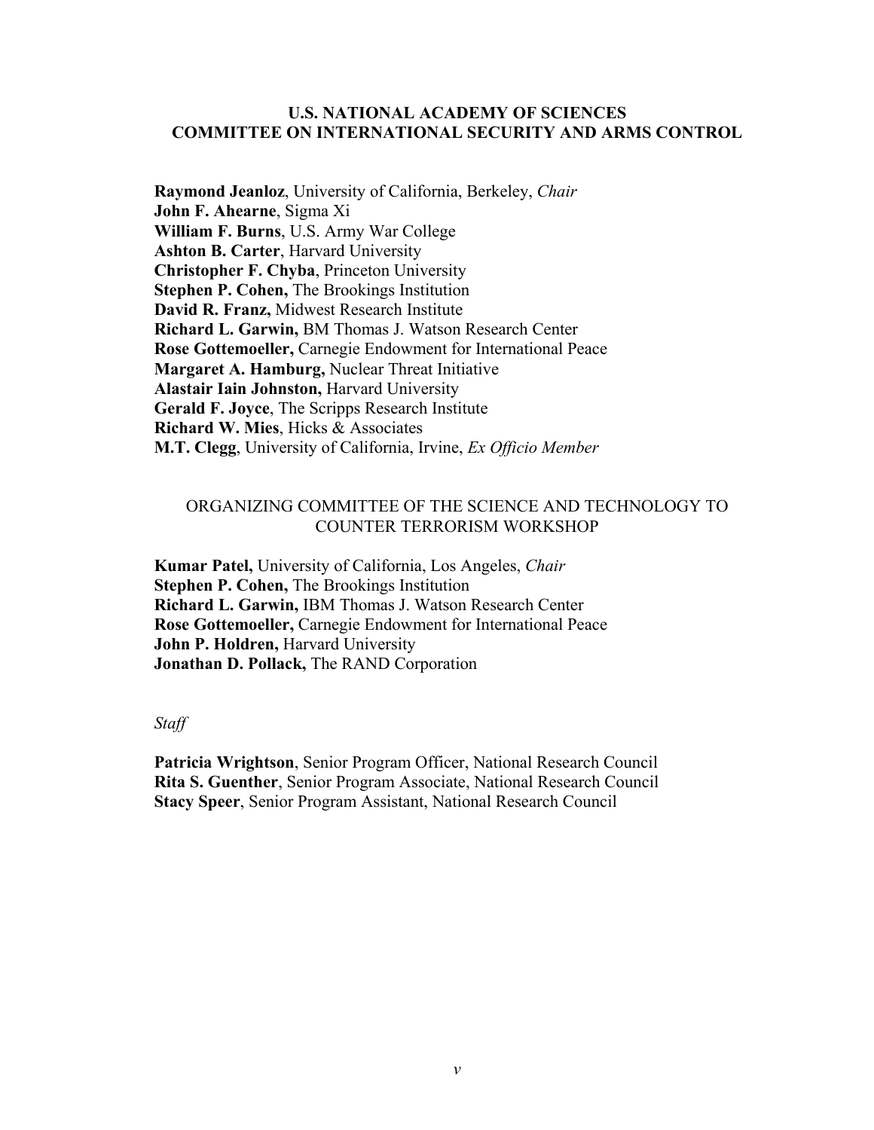#### **U.S. NATIONAL ACADEMY OF SCIENCES COMMITTEE ON INTERNATIONAL SECURITY AND ARMS CONTROL**

**Raymond Jeanloz**, University of California, Berkeley, *Chair* **John F. Ahearne**, Sigma Xi **William F. Burns**, U.S. Army War College **Ashton B. Carter**, Harvard University **Christopher F. Chyba**, Princeton University **Stephen P. Cohen,** The Brookings Institution **David R. Franz,** Midwest Research Institute **Richard L. Garwin,** BM Thomas J. Watson Research Center **Rose Gottemoeller,** Carnegie Endowment for International Peace **Margaret A. Hamburg,** Nuclear Threat Initiative **Alastair Iain Johnston,** Harvard University **Gerald F. Joyce**, The Scripps Research Institute **Richard W. Mies**, Hicks & Associates **M.T. Clegg**, University of California, Irvine, *Ex Officio Member*

#### ORGANIZING COMMITTEE OF THE SCIENCE AND TECHNOLOGY TO COUNTER TERRORISM WORKSHOP

**Kumar Patel,** University of California, Los Angeles, *Chair* **Stephen P. Cohen,** The Brookings Institution **Richard L. Garwin,** IBM Thomas J. Watson Research Center **Rose Gottemoeller,** Carnegie Endowment for International Peace **John P. Holdren,** Harvard University **Jonathan D. Pollack,** The RAND Corporation

*Staff* 

**Patricia Wrightson**, Senior Program Officer, National Research Council **Rita S. Guenther**, Senior Program Associate, National Research Council **Stacy Speer**, Senior Program Assistant, National Research Council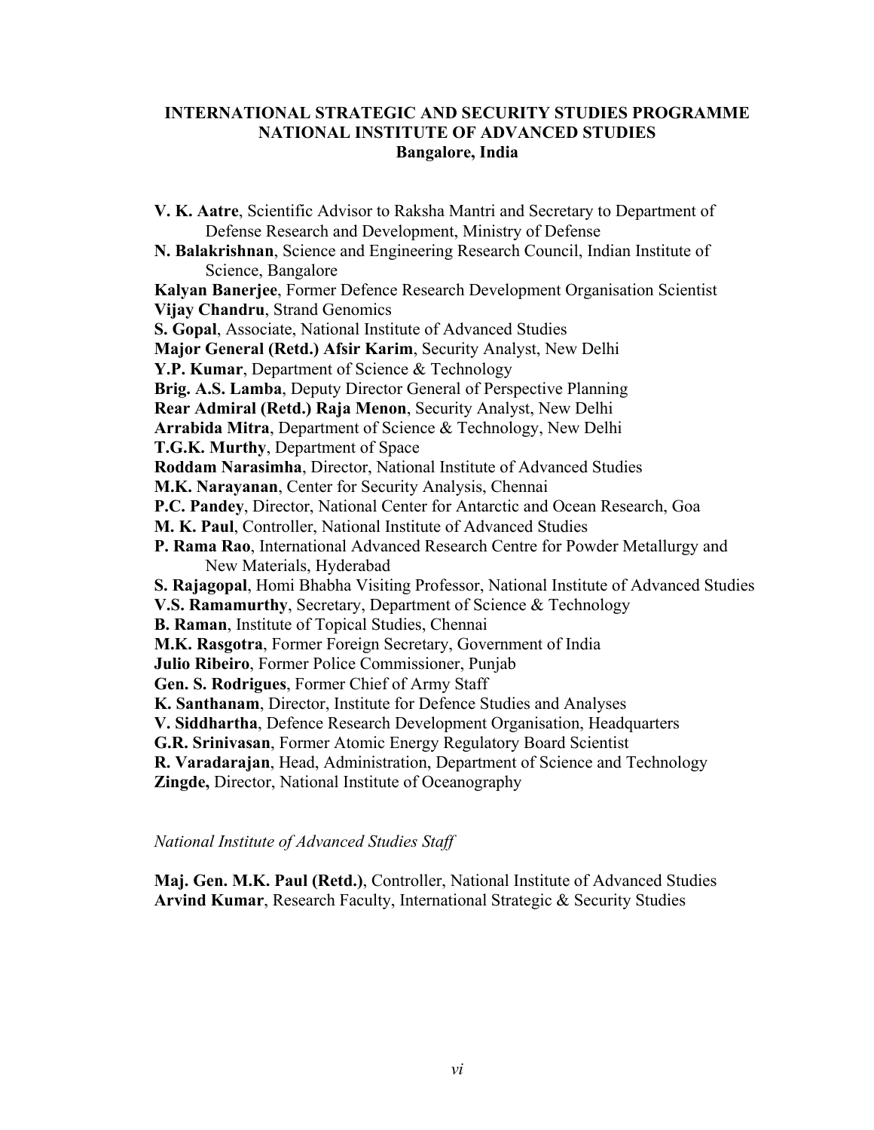#### **INTERNATIONAL STRATEGIC AND SECURITY STUDIES PROGRAMME NATIONAL INSTITUTE OF ADVANCED STUDIES Bangalore, India**

**V. K. Aatre**, Scientific Advisor to Raksha Mantri and Secretary to Department of Defense Research and Development, Ministry of Defense **N. Balakrishnan**, Science and Engineering Research Council, Indian Institute of Science, Bangalore **Kalyan Banerjee**, Former Defence Research Development Organisation Scientist **Vijay Chandru**, Strand Genomics **S. Gopal**, Associate, National Institute of Advanced Studies **Major General (Retd.) Afsir Karim**, Security Analyst, New Delhi **Y.P. Kumar**, Department of Science & Technology **Brig. A.S. Lamba**, Deputy Director General of Perspective Planning **Rear Admiral (Retd.) Raja Menon**, Security Analyst, New Delhi **Arrabida Mitra**, Department of Science & Technology, New Delhi **T.G.K. Murthy**, Department of Space **Roddam Narasimha**, Director, National Institute of Advanced Studies **M.K. Narayanan**, Center for Security Analysis, Chennai **P.C. Pandey**, Director, National Center for Antarctic and Ocean Research, Goa **M. K. Paul**, Controller, National Institute of Advanced Studies **P. Rama Rao**, International Advanced Research Centre for Powder Metallurgy and New Materials, Hyderabad **S. Rajagopal**, Homi Bhabha Visiting Professor, National Institute of Advanced Studies **V.S. Ramamurthy**, Secretary, Department of Science & Technology **B. Raman**, Institute of Topical Studies, Chennai **M.K. Rasgotra**, Former Foreign Secretary, Government of India **Julio Ribeiro**, Former Police Commissioner, Punjab **Gen. S. Rodrigues**, Former Chief of Army Staff **K. Santhanam**, Director, Institute for Defence Studies and Analyses **V. Siddhartha**, Defence Research Development Organisation, Headquarters **G.R. Srinivasan**, Former Atomic Energy Regulatory Board Scientist **R. Varadarajan**, Head, Administration, Department of Science and Technology **Zingde,** Director, National Institute of Oceanography

#### *National Institute of Advanced Studies Staff*

**Maj. Gen. M.K. Paul (Retd.)**, Controller, National Institute of Advanced Studies **Arvind Kumar**, Research Faculty, International Strategic & Security Studies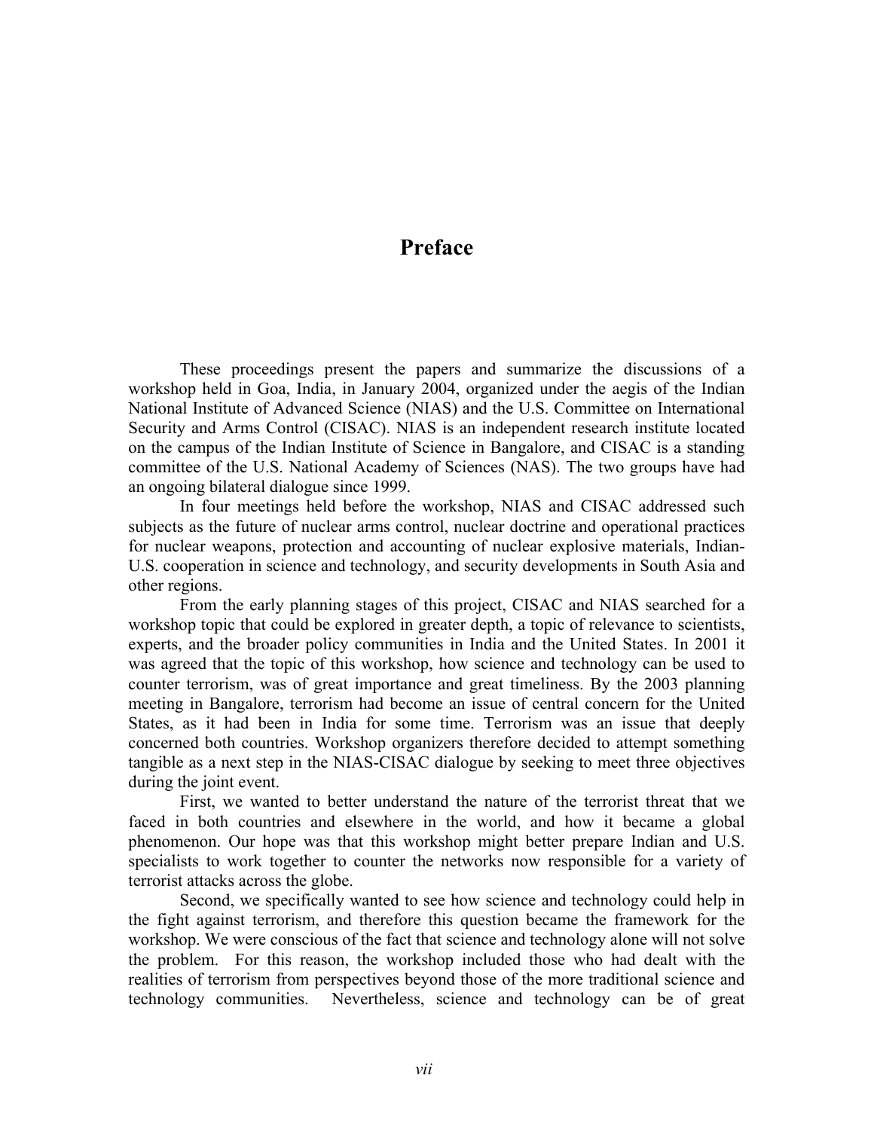## **Preface**

These proceedings present the papers and summarize the discussions of a workshop held in Goa, India, in January 2004, organized under the aegis of the Indian National Institute of Advanced Science (NIAS) and the U.S. Committee on International Security and Arms Control (CISAC). NIAS is an independent research institute located on the campus of the Indian Institute of Science in Bangalore, and CISAC is a standing committee of the U.S. National Academy of Sciences (NAS). The two groups have had an ongoing bilateral dialogue since 1999.

In four meetings held before the workshop, NIAS and CISAC addressed such subjects as the future of nuclear arms control, nuclear doctrine and operational practices for nuclear weapons, protection and accounting of nuclear explosive materials, Indian-U.S. cooperation in science and technology, and security developments in South Asia and other regions.

From the early planning stages of this project, CISAC and NIAS searched for a workshop topic that could be explored in greater depth, a topic of relevance to scientists, experts, and the broader policy communities in India and the United States. In 2001 it was agreed that the topic of this workshop, how science and technology can be used to counter terrorism, was of great importance and great timeliness. By the 2003 planning meeting in Bangalore, terrorism had become an issue of central concern for the United States, as it had been in India for some time. Terrorism was an issue that deeply concerned both countries. Workshop organizers therefore decided to attempt something tangible as a next step in the NIAS-CISAC dialogue by seeking to meet three objectives during the joint event.

First, we wanted to better understand the nature of the terrorist threat that we faced in both countries and elsewhere in the world, and how it became a global phenomenon. Our hope was that this workshop might better prepare Indian and U.S. specialists to work together to counter the networks now responsible for a variety of terrorist attacks across the globe.

Second, we specifically wanted to see how science and technology could help in the fight against terrorism, and therefore this question became the framework for the workshop. We were conscious of the fact that science and technology alone will not solve the problem. For this reason, the workshop included those who had dealt with the realities of terrorism from perspectives beyond those of the more traditional science and technology communities. Nevertheless, science and technology can be of great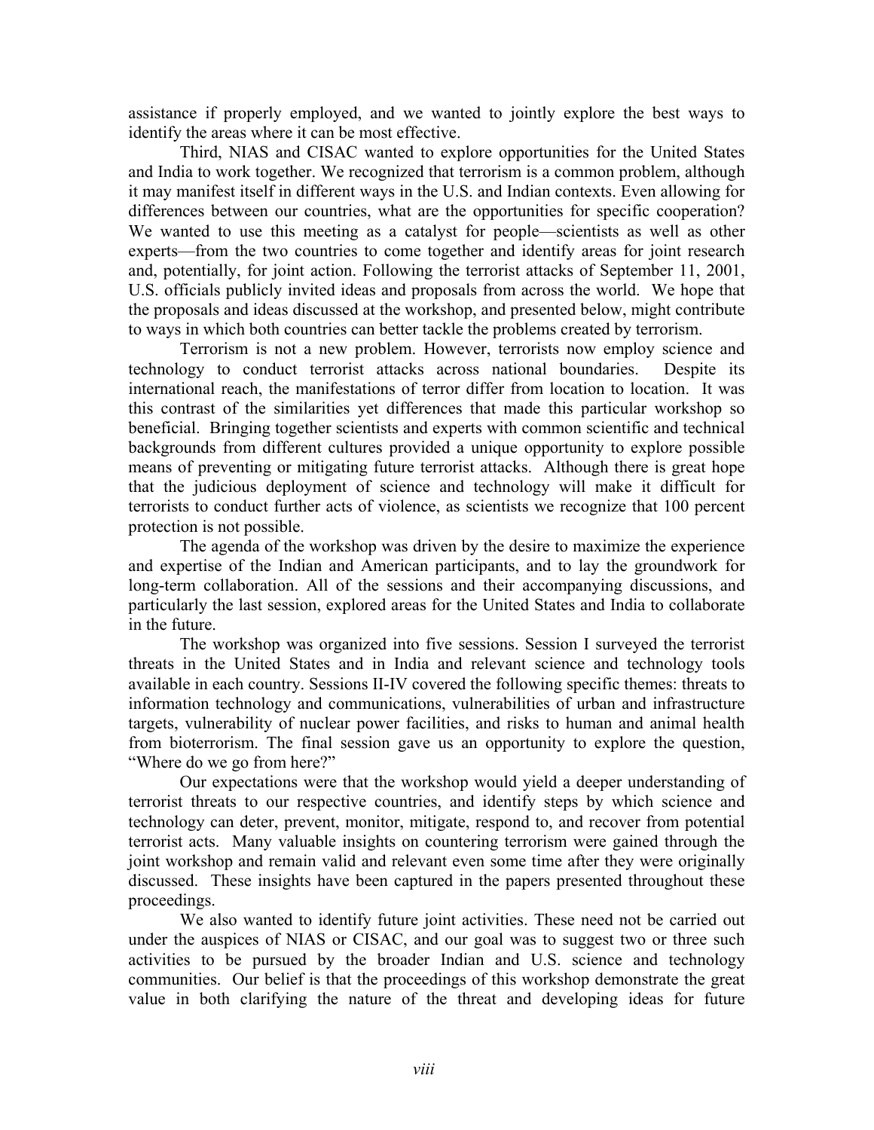assistance if properly employed, and we wanted to jointly explore the best ways to identify the areas where it can be most effective.

Third, NIAS and CISAC wanted to explore opportunities for the United States and India to work together. We recognized that terrorism is a common problem, although it may manifest itself in different ways in the U.S. and Indian contexts. Even allowing for differences between our countries, what are the opportunities for specific cooperation? We wanted to use this meeting as a catalyst for people—scientists as well as other experts—from the two countries to come together and identify areas for joint research and, potentially, for joint action. Following the terrorist attacks of September 11, 2001, U.S. officials publicly invited ideas and proposals from across the world. We hope that the proposals and ideas discussed at the workshop, and presented below, might contribute to ways in which both countries can better tackle the problems created by terrorism.

Terrorism is not a new problem. However, terrorists now employ science and technology to conduct terrorist attacks across national boundaries. Despite its international reach, the manifestations of terror differ from location to location. It was this contrast of the similarities yet differences that made this particular workshop so beneficial. Bringing together scientists and experts with common scientific and technical backgrounds from different cultures provided a unique opportunity to explore possible means of preventing or mitigating future terrorist attacks. Although there is great hope that the judicious deployment of science and technology will make it difficult for terrorists to conduct further acts of violence, as scientists we recognize that 100 percent protection is not possible.

The agenda of the workshop was driven by the desire to maximize the experience and expertise of the Indian and American participants, and to lay the groundwork for long-term collaboration. All of the sessions and their accompanying discussions, and particularly the last session, explored areas for the United States and India to collaborate in the future.

The workshop was organized into five sessions. Session I surveyed the terrorist threats in the United States and in India and relevant science and technology tools available in each country. Sessions II-IV covered the following specific themes: threats to information technology and communications, vulnerabilities of urban and infrastructure targets, vulnerability of nuclear power facilities, and risks to human and animal health from bioterrorism. The final session gave us an opportunity to explore the question, "Where do we go from here?"

Our expectations were that the workshop would yield a deeper understanding of terrorist threats to our respective countries, and identify steps by which science and technology can deter, prevent, monitor, mitigate, respond to, and recover from potential terrorist acts. Many valuable insights on countering terrorism were gained through the joint workshop and remain valid and relevant even some time after they were originally discussed. These insights have been captured in the papers presented throughout these proceedings.

We also wanted to identify future joint activities. These need not be carried out under the auspices of NIAS or CISAC, and our goal was to suggest two or three such activities to be pursued by the broader Indian and U.S. science and technology communities. Our belief is that the proceedings of this workshop demonstrate the great value in both clarifying the nature of the threat and developing ideas for future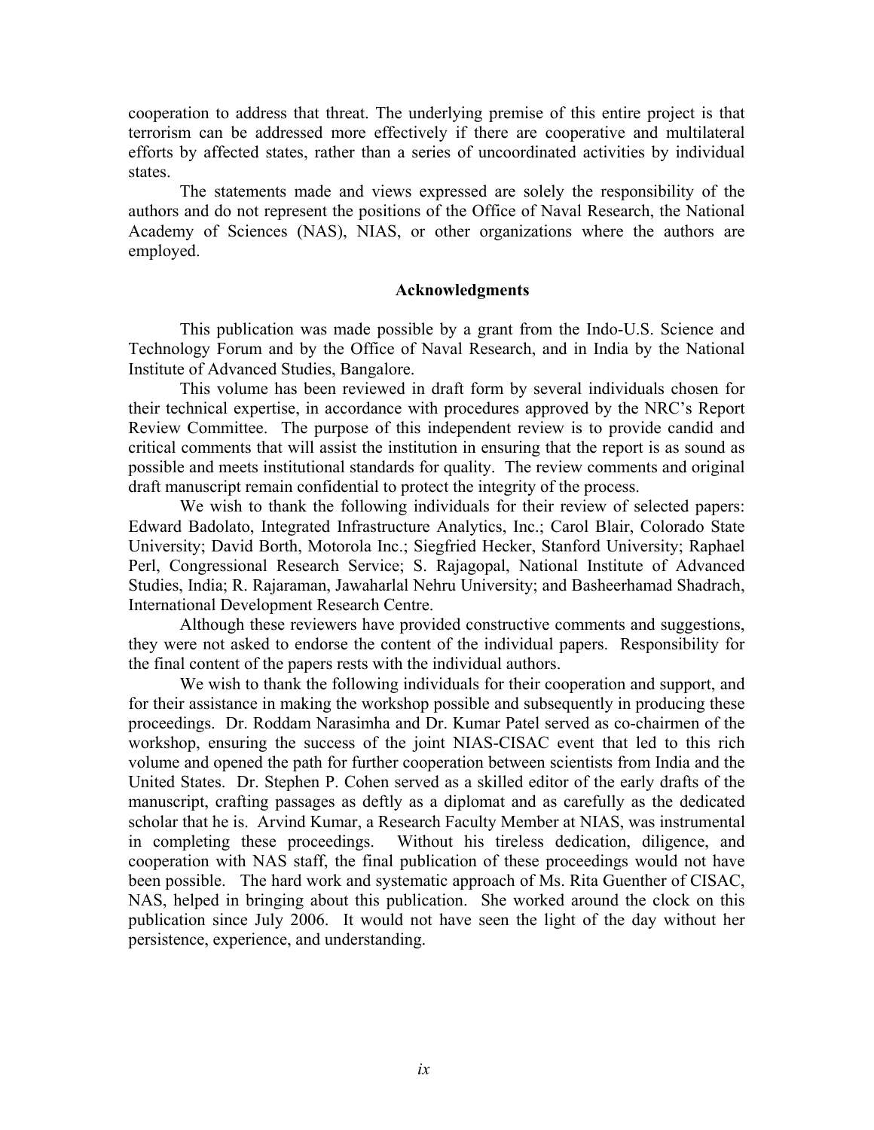cooperation to address that threat. The underlying premise of this entire project is that terrorism can be addressed more effectively if there are cooperative and multilateral efforts by affected states, rather than a series of uncoordinated activities by individual states.

The statements made and views expressed are solely the responsibility of the authors and do not represent the positions of the Office of Naval Research, the National Academy of Sciences (NAS), NIAS, or other organizations where the authors are employed.

#### **Acknowledgments**

This publication was made possible by a grant from the Indo-U.S. Science and Technology Forum and by the Office of Naval Research, and in India by the National Institute of Advanced Studies, Bangalore.

This volume has been reviewed in draft form by several individuals chosen for their technical expertise, in accordance with procedures approved by the NRC's Report Review Committee. The purpose of this independent review is to provide candid and critical comments that will assist the institution in ensuring that the report is as sound as possible and meets institutional standards for quality. The review comments and original draft manuscript remain confidential to protect the integrity of the process.

We wish to thank the following individuals for their review of selected papers: Edward Badolato, Integrated Infrastructure Analytics, Inc.; Carol Blair, Colorado State University; David Borth, Motorola Inc.; Siegfried Hecker, Stanford University; Raphael Perl, Congressional Research Service; S. Rajagopal, National Institute of Advanced Studies, India; R. Rajaraman, Jawaharlal Nehru University; and Basheerhamad Shadrach, International Development Research Centre.

Although these reviewers have provided constructive comments and suggestions, they were not asked to endorse the content of the individual papers. Responsibility for the final content of the papers rests with the individual authors.

We wish to thank the following individuals for their cooperation and support, and for their assistance in making the workshop possible and subsequently in producing these proceedings. Dr. Roddam Narasimha and Dr. Kumar Patel served as co-chairmen of the workshop, ensuring the success of the joint NIAS-CISAC event that led to this rich volume and opened the path for further cooperation between scientists from India and the United States. Dr. Stephen P. Cohen served as a skilled editor of the early drafts of the manuscript, crafting passages as deftly as a diplomat and as carefully as the dedicated scholar that he is. Arvind Kumar, a Research Faculty Member at NIAS, was instrumental in completing these proceedings. Without his tireless dedication, diligence, and cooperation with NAS staff, the final publication of these proceedings would not have been possible. The hard work and systematic approach of Ms. Rita Guenther of CISAC, NAS, helped in bringing about this publication. She worked around the clock on this publication since July 2006. It would not have seen the light of the day without her persistence, experience, and understanding.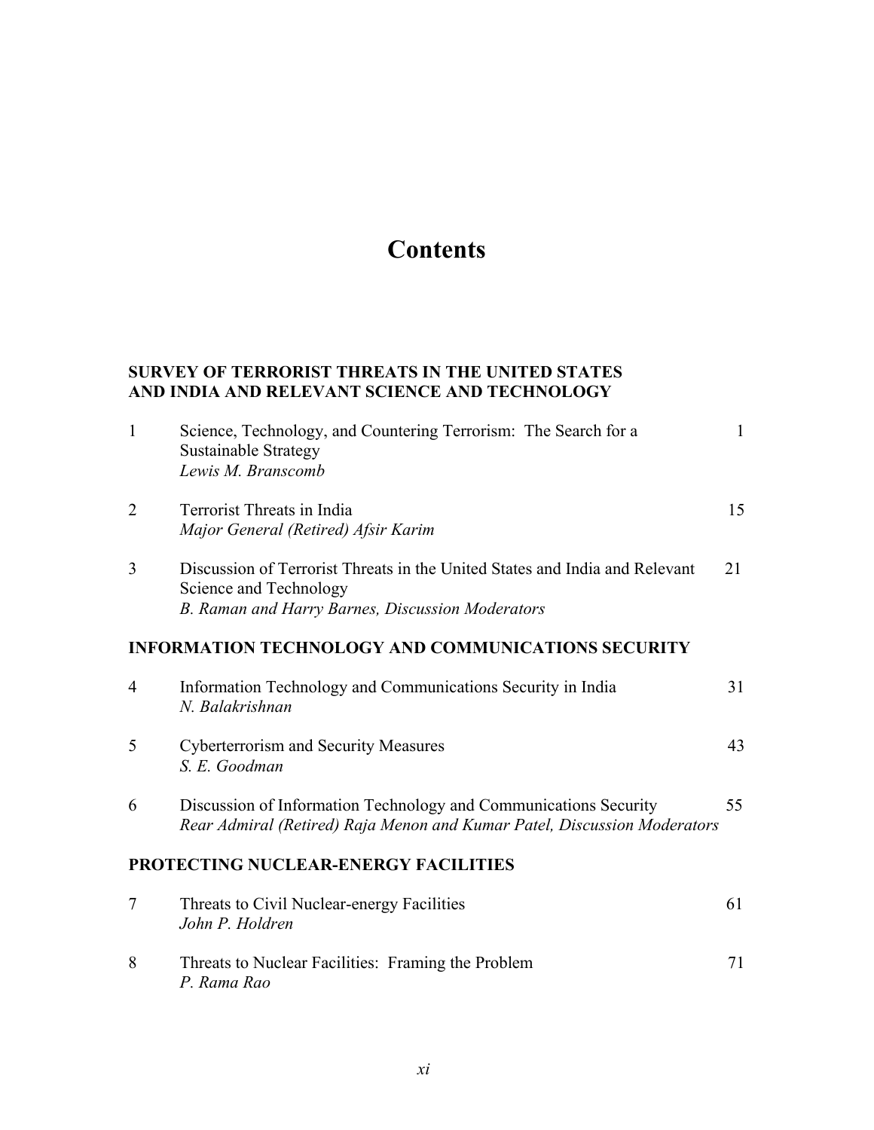## **Contents**

#### **SURVEY OF TERRORIST THREATS IN THE UNITED STATES AND INDIA AND RELEVANT SCIENCE AND TECHNOLOGY**

| $\mathbf{1}$   | Science, Technology, and Countering Terrorism: The Search for a<br><b>Sustainable Strategy</b><br>Lewis M. Branscomb                                      | $\mathbf{1}$ |
|----------------|-----------------------------------------------------------------------------------------------------------------------------------------------------------|--------------|
| $\overline{2}$ | Terrorist Threats in India<br>Major General (Retired) Afsir Karim                                                                                         | 15           |
| 3              | Discussion of Terrorist Threats in the United States and India and Relevant<br>Science and Technology<br>B. Raman and Harry Barnes, Discussion Moderators | 21           |
|                | <b>INFORMATION TECHNOLOGY AND COMMUNICATIONS SECURITY</b>                                                                                                 |              |
| $\overline{4}$ | Information Technology and Communications Security in India<br>N. Balakrishnan                                                                            | 31           |
| 5              | <b>Cyberterrorism and Security Measures</b><br>S. E. Goodman                                                                                              | 43           |
| 6              | Discussion of Information Technology and Communications Security<br>Rear Admiral (Retired) Raja Menon and Kumar Patel, Discussion Moderators              | 55           |
|                | PROTECTING NUCLEAR-ENERGY FACILITIES                                                                                                                      |              |
| $\overline{7}$ | Threats to Civil Nuclear-energy Facilities<br>John P. Holdren                                                                                             | 61           |
| 8              | Threats to Nuclear Facilities: Framing the Problem<br>P. Rama Rao                                                                                         | 71           |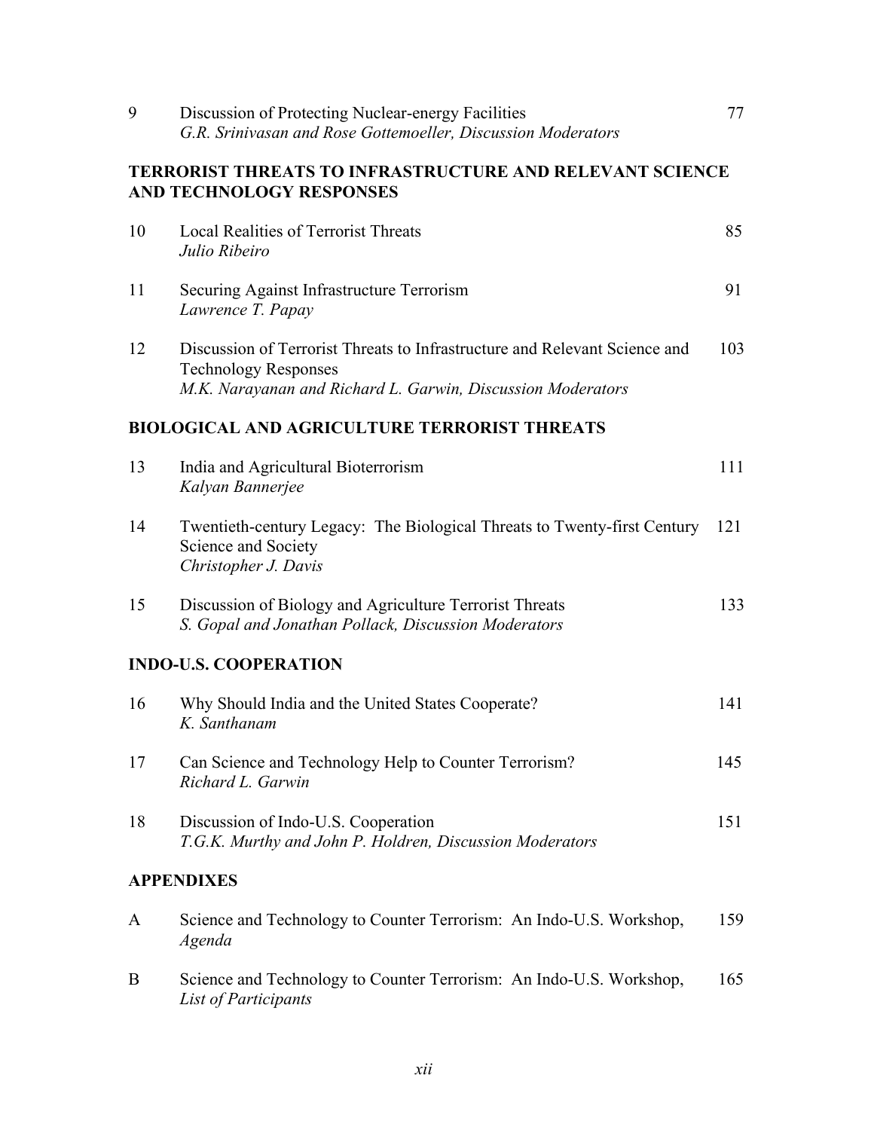| 9  | Discussion of Protecting Nuclear-energy Facilities<br>G.R. Srinivasan and Rose Gottemoeller, Discussion Moderators                                                       | 77  |
|----|--------------------------------------------------------------------------------------------------------------------------------------------------------------------------|-----|
|    | <b>TERRORIST THREATS TO INFRASTRUCTURE AND RELEVANT SCIENCE</b><br><b>AND TECHNOLOGY RESPONSES</b>                                                                       |     |
| 10 | <b>Local Realities of Terrorist Threats</b><br>Julio Ribeiro                                                                                                             | 85  |
| 11 | Securing Against Infrastructure Terrorism<br>Lawrence T. Papay                                                                                                           | 91  |
| 12 | Discussion of Terrorist Threats to Infrastructure and Relevant Science and<br><b>Technology Responses</b><br>M.K. Narayanan and Richard L. Garwin, Discussion Moderators | 103 |
|    | <b>BIOLOGICAL AND AGRICULTURE TERRORIST THREATS</b>                                                                                                                      |     |
| 13 | India and Agricultural Bioterrorism<br>Kalyan Bannerjee                                                                                                                  | 111 |
| 14 | Twentieth-century Legacy: The Biological Threats to Twenty-first Century<br>Science and Society<br>Christopher J. Davis                                                  | 121 |
| 15 | Discussion of Biology and Agriculture Terrorist Threats<br>S. Gopal and Jonathan Pollack, Discussion Moderators                                                          | 133 |
|    | <b>INDO-U.S. COOPERATION</b>                                                                                                                                             |     |
| 16 | Why Should India and the United States Cooperate?<br>K. Santhanam                                                                                                        | 141 |
| 17 | Can Science and Technology Help to Counter Terrorism?<br>Richard L. Garwin                                                                                               | 145 |
| 18 | Discussion of Indo-U.S. Cooperation<br>T.G.K. Murthy and John P. Holdren, Discussion Moderators                                                                          | 151 |
|    | <b>APPENDIXES</b>                                                                                                                                                        |     |
| A  | Science and Technology to Counter Terrorism: An Indo-U.S. Workshop,<br>Agenda                                                                                            | 159 |
| B  | Science and Technology to Counter Terrorism: An Indo-U.S. Workshop,                                                                                                      | 165 |

*List of Participants*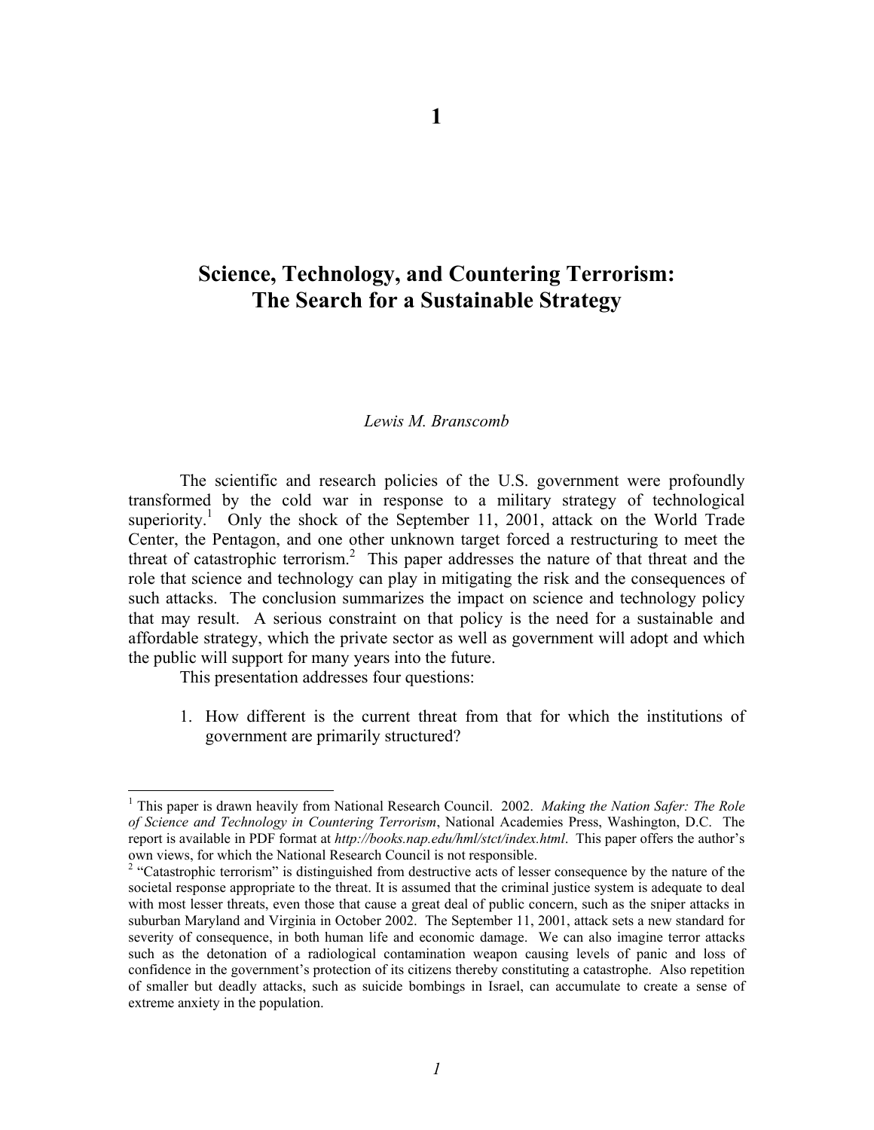## <span id="page-13-0"></span>**Science, Technology, and Countering Terrorism: The Search for a Sustainable Strategy**

#### *Lewis M. Branscomb*

The scientific and research policies of the U.S. government were profoundly transformed by the cold war in response to a military strategy of technological superiority.<sup>1</sup> Only the shock of the September 11, 2001, attack on the World Trade Center, the Pentagon, and one other unknown target forced a restructuring to meet the threat of catastrophic terrorism.<sup>2</sup> This paper addresses the nature of that threat and the role that science and technology can play in mitigating the risk and the consequences of such attacks. The conclusion summarizes the impact on science and technology policy that may result. A serious constraint on that policy is the need for a sustainable and affordable strategy, which the private sector as well as government will adopt and which the public will support for many years into the future.

This presentation addresses four questions:

 $\overline{\phantom{a}}$ 

1. How different is the current threat from that for which the institutions of government are primarily structured?

<sup>&</sup>lt;sup>1</sup> This paper is drawn heavily from National Research Council. 2002. *Making the Nation Safer: The Role of Science and Technology in Countering Terrorism*, National Academies Press, Washington, D.C. The report is available in PDF format at *http://books.nap.edu/hml/stct/index.html*. This paper offers the author's own views, for which the National Research Council is not responsible. 2

 $2$  "Catastrophic terrorism" is distinguished from destructive acts of lesser consequence by the nature of the societal response appropriate to the threat. It is assumed that the criminal justice system is adequate to deal with most lesser threats, even those that cause a great deal of public concern, such as the sniper attacks in suburban Maryland and Virginia in October 2002. The September 11, 2001, attack sets a new standard for severity of consequence, in both human life and economic damage. We can also imagine terror attacks such as the detonation of a radiological contamination weapon causing levels of panic and loss of confidence in the government's protection of its citizens thereby constituting a catastrophe. Also repetition of smaller but deadly attacks, such as suicide bombings in Israel, can accumulate to create a sense of extreme anxiety in the population.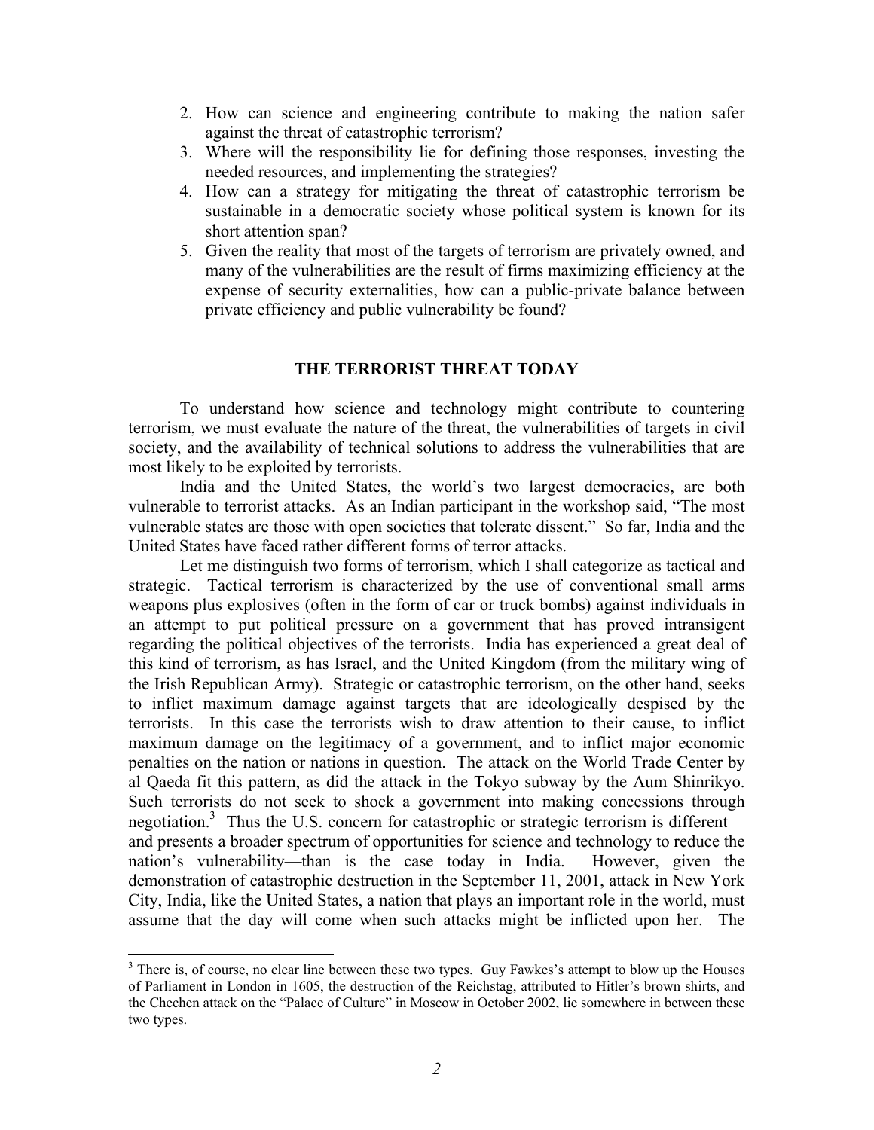- 2. How can science and engineering contribute to making the nation safer against the threat of catastrophic terrorism?
- 3. Where will the responsibility lie for defining those responses, investing the needed resources, and implementing the strategies?
- 4. How can a strategy for mitigating the threat of catastrophic terrorism be sustainable in a democratic society whose political system is known for its short attention span?
- 5. Given the reality that most of the targets of terrorism are privately owned, and many of the vulnerabilities are the result of firms maximizing efficiency at the expense of security externalities, how can a public-private balance between private efficiency and public vulnerability be found?

#### **THE TERRORIST THREAT TODAY**

To understand how science and technology might contribute to countering terrorism, we must evaluate the nature of the threat, the vulnerabilities of targets in civil society, and the availability of technical solutions to address the vulnerabilities that are most likely to be exploited by terrorists.

India and the United States, the world's two largest democracies, are both vulnerable to terrorist attacks. As an Indian participant in the workshop said, "The most vulnerable states are those with open societies that tolerate dissent." So far, India and the United States have faced rather different forms of terror attacks.

Let me distinguish two forms of terrorism, which I shall categorize as tactical and strategic. Tactical terrorism is characterized by the use of conventional small arms weapons plus explosives (often in the form of car or truck bombs) against individuals in an attempt to put political pressure on a government that has proved intransigent regarding the political objectives of the terrorists. India has experienced a great deal of this kind of terrorism, as has Israel, and the United Kingdom (from the military wing of the Irish Republican Army). Strategic or catastrophic terrorism, on the other hand, seeks to inflict maximum damage against targets that are ideologically despised by the terrorists. In this case the terrorists wish to draw attention to their cause, to inflict maximum damage on the legitimacy of a government, and to inflict major economic penalties on the nation or nations in question. The attack on the World Trade Center by al Qaeda fit this pattern, as did the attack in the Tokyo subway by the Aum Shinrikyo. Such terrorists do not seek to shock a government into making concessions through negotiation.<sup>3</sup> Thus the U.S. concern for catastrophic or strategic terrorism is different and presents a broader spectrum of opportunities for science and technology to reduce the nation's vulnerability—than is the case today in India. However, given the demonstration of catastrophic destruction in the September 11, 2001, attack in New York City, India, like the United States, a nation that plays an important role in the world, must assume that the day will come when such attacks might be inflicted upon her. The

 $3$  There is, of course, no clear line between these two types. Guy Fawkes's attempt to blow up the Houses of Parliament in London in 1605, the destruction of the Reichstag, attributed to Hitler's brown shirts, and the Chechen attack on the "Palace of Culture" in Moscow in October 2002, lie somewhere in between these two types.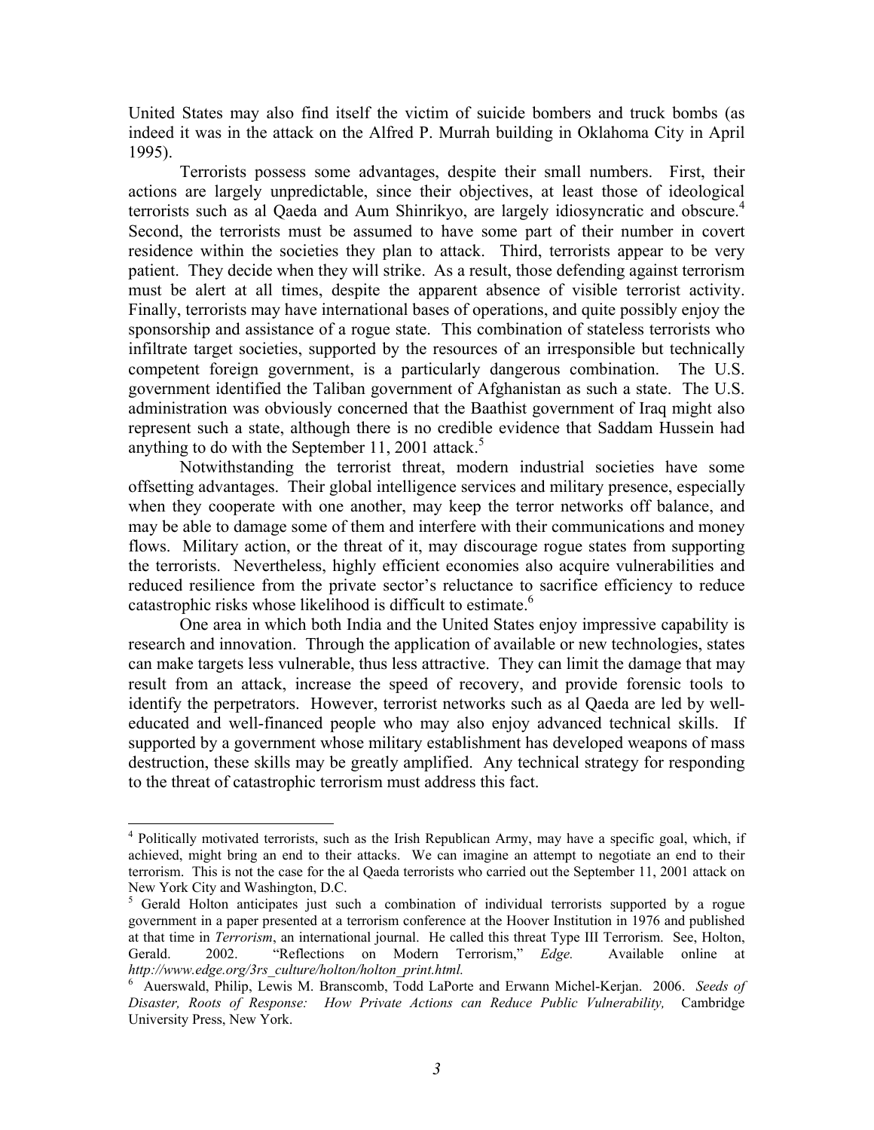United States may also find itself the victim of suicide bombers and truck bombs (as indeed it was in the attack on the Alfred P. Murrah building in Oklahoma City in April 1995).

Terrorists possess some advantages, despite their small numbers. First, their actions are largely unpredictable, since their objectives, at least those of ideological terrorists such as al Qaeda and Aum Shinrikyo, are largely idiosyncratic and obscure.<sup>4</sup> Second, the terrorists must be assumed to have some part of their number in covert residence within the societies they plan to attack. Third, terrorists appear to be very patient. They decide when they will strike. As a result, those defending against terrorism must be alert at all times, despite the apparent absence of visible terrorist activity. Finally, terrorists may have international bases of operations, and quite possibly enjoy the sponsorship and assistance of a rogue state. This combination of stateless terrorists who infiltrate target societies, supported by the resources of an irresponsible but technically competent foreign government, is a particularly dangerous combination. The U.S. government identified the Taliban government of Afghanistan as such a state. The U.S. administration was obviously concerned that the Baathist government of Iraq might also represent such a state, although there is no credible evidence that Saddam Hussein had anything to do with the September 11, 2001 attack.<sup>5</sup>

Notwithstanding the terrorist threat, modern industrial societies have some offsetting advantages. Their global intelligence services and military presence, especially when they cooperate with one another, may keep the terror networks off balance, and may be able to damage some of them and interfere with their communications and money flows. Military action, or the threat of it, may discourage rogue states from supporting the terrorists. Nevertheless, highly efficient economies also acquire vulnerabilities and reduced resilience from the private sector's reluctance to sacrifice efficiency to reduce catastrophic risks whose likelihood is difficult to estimate.<sup>6</sup>

One area in which both India and the United States enjoy impressive capability is research and innovation. Through the application of available or new technologies, states can make targets less vulnerable, thus less attractive. They can limit the damage that may result from an attack, increase the speed of recovery, and provide forensic tools to identify the perpetrators. However, terrorist networks such as al Qaeda are led by welleducated and well-financed people who may also enjoy advanced technical skills. If supported by a government whose military establishment has developed weapons of mass destruction, these skills may be greatly amplified. Any technical strategy for responding to the threat of catastrophic terrorism must address this fact.

<sup>&</sup>lt;sup>4</sup> Politically motivated terrorists, such as the Irish Republican Army, may have a specific goal, which, if achieved, might bring an end to their attacks. We can imagine an attempt to negotiate an end to their terrorism. This is not the case for the al Qaeda terrorists who carried out the September 11, 2001 attack on New York City and Washington, D.C.

<sup>&</sup>lt;sup>5</sup> Gerald Holton anticipates just such a combination of individual terrorists supported by a rogue government in a paper presented at a terrorism conference at the Hoover Institution in 1976 and published at that time in *Terrorism*, an international journal. He called this threat Type III Terrorism. See, Holton, Gerald. 2002. "Reflections on Modern Terrorism," *Edge.* Available online at *http://www.edge.org/3rs\_culture/holton/holton\_print.html.*

<sup>6</sup> Auerswald, Philip, Lewis M. Branscomb, Todd LaPorte and Erwann Michel-Kerjan. 2006. *Seeds of Disaster, Roots of Response: How Private Actions can Reduce Public Vulnerability,* Cambridge University Press, New York.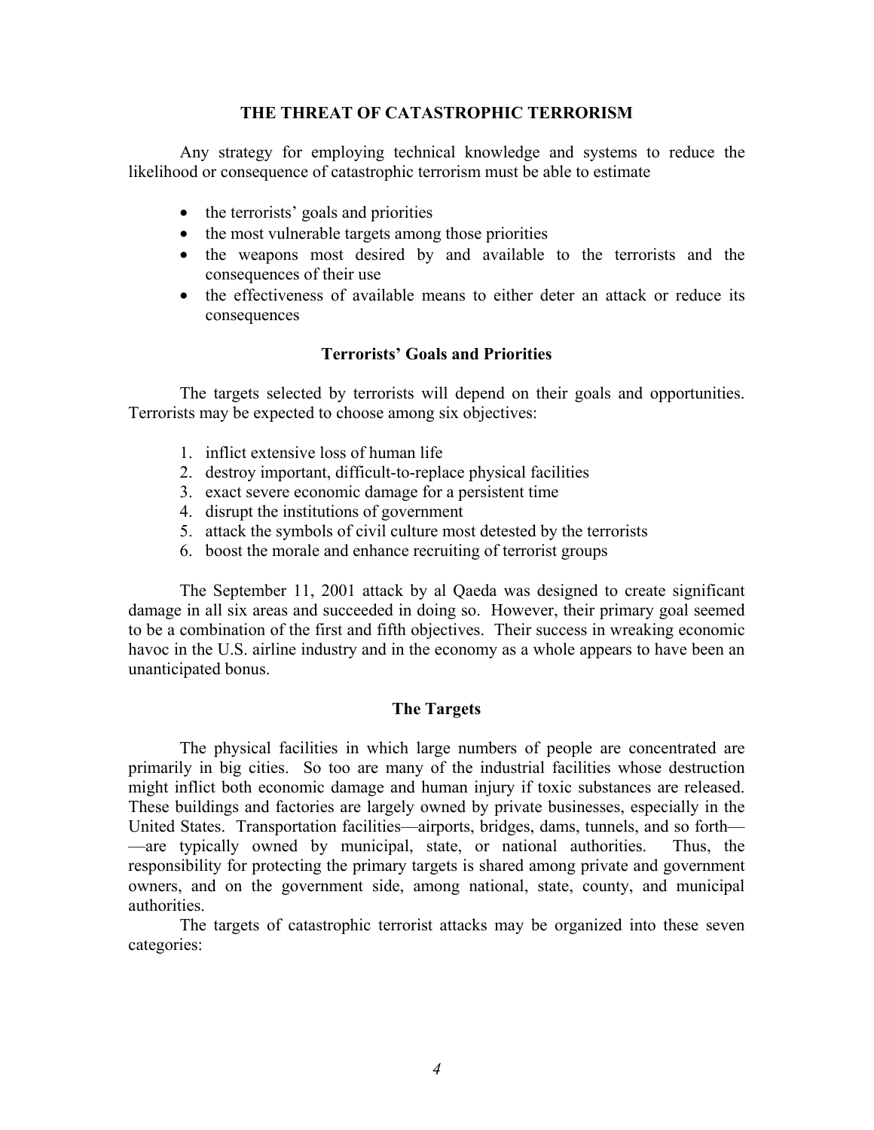#### **THE THREAT OF CATASTROPHIC TERRORISM**

Any strategy for employing technical knowledge and systems to reduce the likelihood or consequence of catastrophic terrorism must be able to estimate

- the terrorists' goals and priorities
- the most vulnerable targets among those priorities
- the weapons most desired by and available to the terrorists and the consequences of their use
- the effectiveness of available means to either deter an attack or reduce its consequences

#### **Terrorists' Goals and Priorities**

The targets selected by terrorists will depend on their goals and opportunities. Terrorists may be expected to choose among six objectives:

- 1. inflict extensive loss of human life
- 2. destroy important, difficult-to-replace physical facilities
- 3. exact severe economic damage for a persistent time
- 4. disrupt the institutions of government
- 5. attack the symbols of civil culture most detested by the terrorists
- 6. boost the morale and enhance recruiting of terrorist groups

The September 11, 2001 attack by al Qaeda was designed to create significant damage in all six areas and succeeded in doing so. However, their primary goal seemed to be a combination of the first and fifth objectives. Their success in wreaking economic havoc in the U.S. airline industry and in the economy as a whole appears to have been an unanticipated bonus.

#### **The Targets**

The physical facilities in which large numbers of people are concentrated are primarily in big cities. So too are many of the industrial facilities whose destruction might inflict both economic damage and human injury if toxic substances are released. These buildings and factories are largely owned by private businesses, especially in the United States. Transportation facilities—airports, bridges, dams, tunnels, and so forth— —are typically owned by municipal, state, or national authorities. Thus, the responsibility for protecting the primary targets is shared among private and government owners, and on the government side, among national, state, county, and municipal authorities.

The targets of catastrophic terrorist attacks may be organized into these seven categories: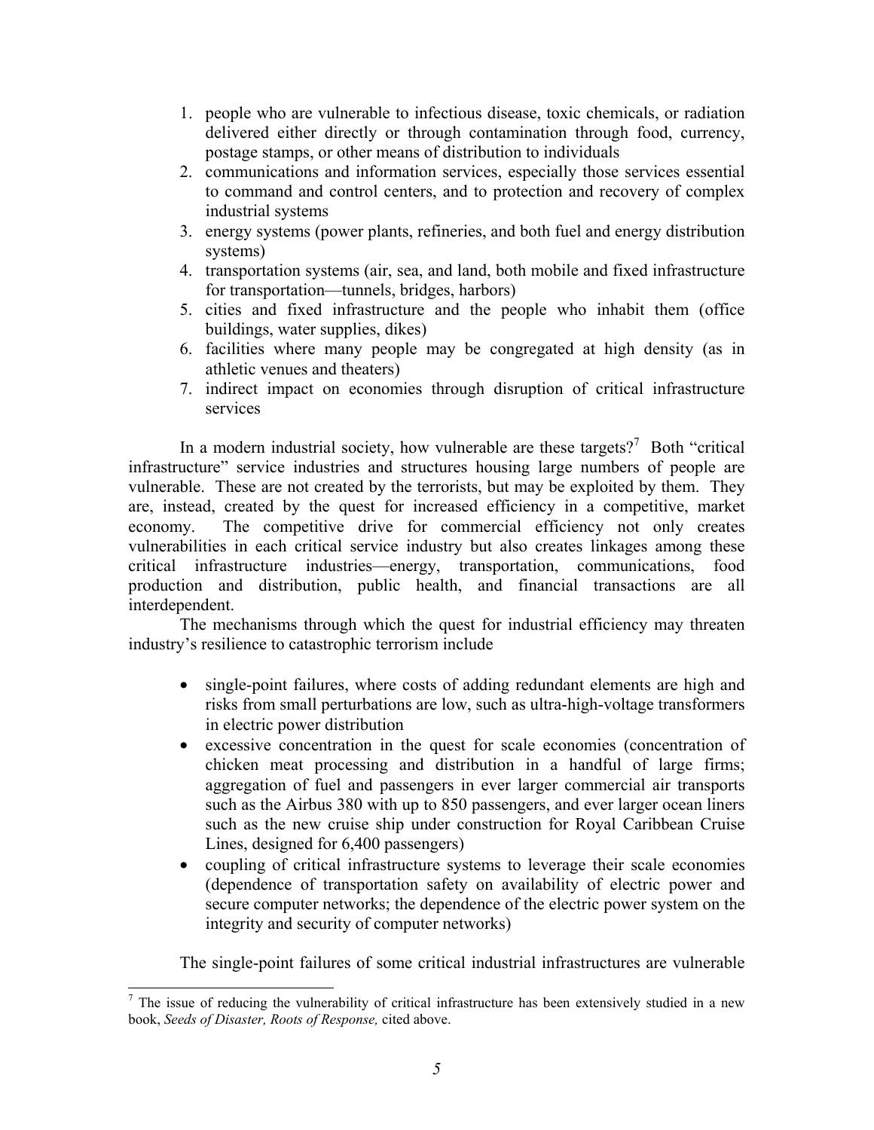- 1. people who are vulnerable to infectious disease, toxic chemicals, or radiation delivered either directly or through contamination through food, currency, postage stamps, or other means of distribution to individuals
- 2. communications and information services, especially those services essential to command and control centers, and to protection and recovery of complex industrial systems
- 3. energy systems (power plants, refineries, and both fuel and energy distribution systems)
- 4. transportation systems (air, sea, and land, both mobile and fixed infrastructure for transportation—tunnels, bridges, harbors)
- 5. cities and fixed infrastructure and the people who inhabit them (office buildings, water supplies, dikes)
- 6. facilities where many people may be congregated at high density (as in athletic venues and theaters)
- 7. indirect impact on economies through disruption of critical infrastructure services

In a modern industrial society, how vulnerable are these targets?<sup>7</sup> Both "critical infrastructure" service industries and structures housing large numbers of people are vulnerable. These are not created by the terrorists, but may be exploited by them. They are, instead, created by the quest for increased efficiency in a competitive, market economy. The competitive drive for commercial efficiency not only creates vulnerabilities in each critical service industry but also creates linkages among these critical infrastructure industries—energy, transportation, communications, food production and distribution, public health, and financial transactions are all interdependent.

The mechanisms through which the quest for industrial efficiency may threaten industry's resilience to catastrophic terrorism include

- single-point failures, where costs of adding redundant elements are high and risks from small perturbations are low, such as ultra-high-voltage transformers in electric power distribution
- excessive concentration in the quest for scale economies (concentration of chicken meat processing and distribution in a handful of large firms; aggregation of fuel and passengers in ever larger commercial air transports such as the Airbus 380 with up to 850 passengers, and ever larger ocean liners such as the new cruise ship under construction for Royal Caribbean Cruise Lines, designed for 6,400 passengers)
- coupling of critical infrastructure systems to leverage their scale economies (dependence of transportation safety on availability of electric power and secure computer networks; the dependence of the electric power system on the integrity and security of computer networks)

The single-point failures of some critical industrial infrastructures are vulnerable

 $<sup>7</sup>$  The issue of reducing the vulnerability of critical infrastructure has been extensively studied in a new</sup> book, *Seeds of Disaster, Roots of Response,* cited above.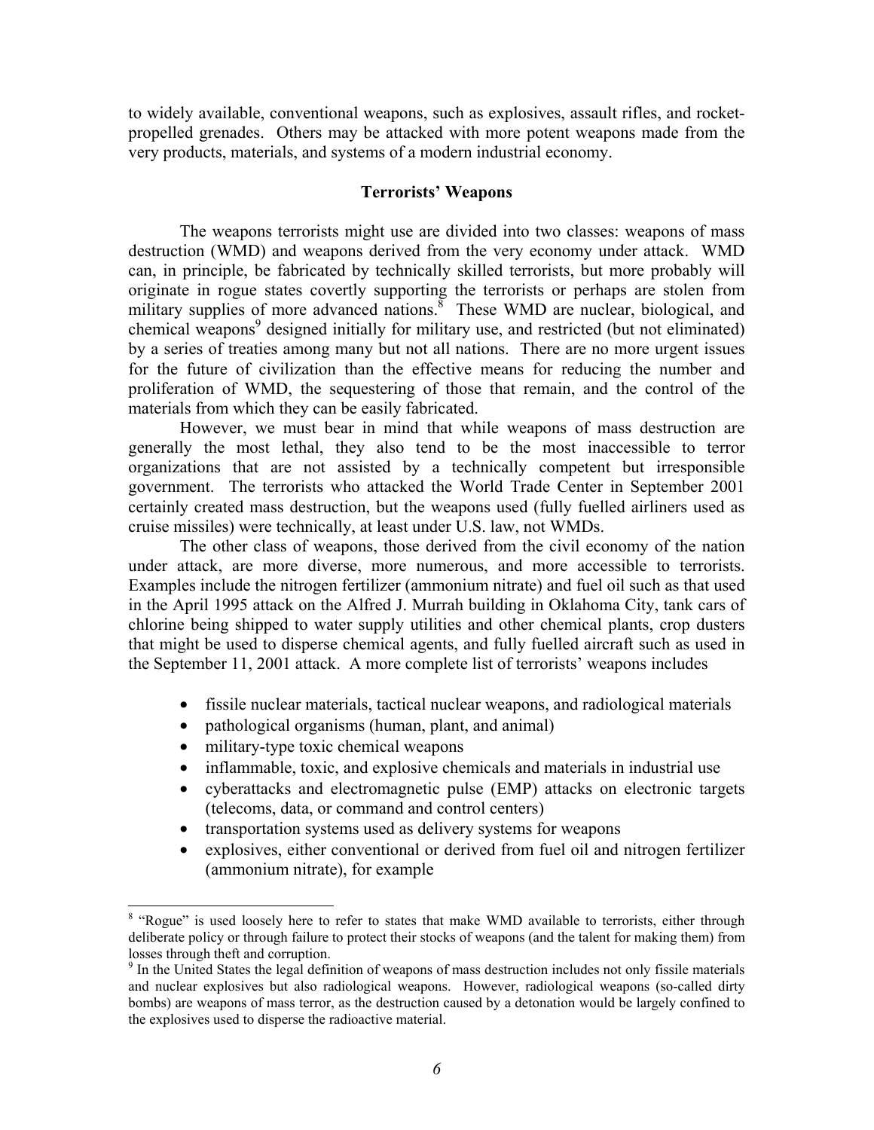to widely available, conventional weapons, such as explosives, assault rifles, and rocketpropelled grenades. Others may be attacked with more potent weapons made from the very products, materials, and systems of a modern industrial economy.

#### **Terrorists' Weapons**

The weapons terrorists might use are divided into two classes: weapons of mass destruction (WMD) and weapons derived from the very economy under attack. WMD can, in principle, be fabricated by technically skilled terrorists, but more probably will originate in rogue states covertly supporting the terrorists or perhaps are stolen from military supplies of more advanced nations.<sup>8</sup> These WMD are nuclear, biological, and chemical weapons<sup>9</sup> designed initially for military use, and restricted (but not eliminated) by a series of treaties among many but not all nations. There are no more urgent issues for the future of civilization than the effective means for reducing the number and proliferation of WMD, the sequestering of those that remain, and the control of the materials from which they can be easily fabricated.

However, we must bear in mind that while weapons of mass destruction are generally the most lethal, they also tend to be the most inaccessible to terror organizations that are not assisted by a technically competent but irresponsible government. The terrorists who attacked the World Trade Center in September 2001 certainly created mass destruction, but the weapons used (fully fuelled airliners used as cruise missiles) were technically, at least under U.S. law, not WMDs.

The other class of weapons, those derived from the civil economy of the nation under attack, are more diverse, more numerous, and more accessible to terrorists. Examples include the nitrogen fertilizer (ammonium nitrate) and fuel oil such as that used in the April 1995 attack on the Alfred J. Murrah building in Oklahoma City, tank cars of chlorine being shipped to water supply utilities and other chemical plants, crop dusters that might be used to disperse chemical agents, and fully fuelled aircraft such as used in the September 11, 2001 attack. A more complete list of terrorists' weapons includes

- fissile nuclear materials, tactical nuclear weapons, and radiological materials
- pathological organisms (human, plant, and animal)
- military-type toxic chemical weapons

- inflammable, toxic, and explosive chemicals and materials in industrial use
- cyberattacks and electromagnetic pulse (EMP) attacks on electronic targets (telecoms, data, or command and control centers)
- transportation systems used as delivery systems for weapons
- explosives, either conventional or derived from fuel oil and nitrogen fertilizer (ammonium nitrate), for example

<sup>&</sup>lt;sup>8</sup> "Rogue" is used loosely here to refer to states that make WMD available to terrorists, either through deliberate policy or through failure to protect their stocks of weapons (and the talent for making them) from losses through theft and corruption.

<sup>&</sup>lt;sup>9</sup> In the United States the legal definition of weapons of mass destruction includes not only fissile materials and nuclear explosives but also radiological weapons. However, radiological weapons (so-called dirty bombs) are weapons of mass terror, as the destruction caused by a detonation would be largely confined to the explosives used to disperse the radioactive material.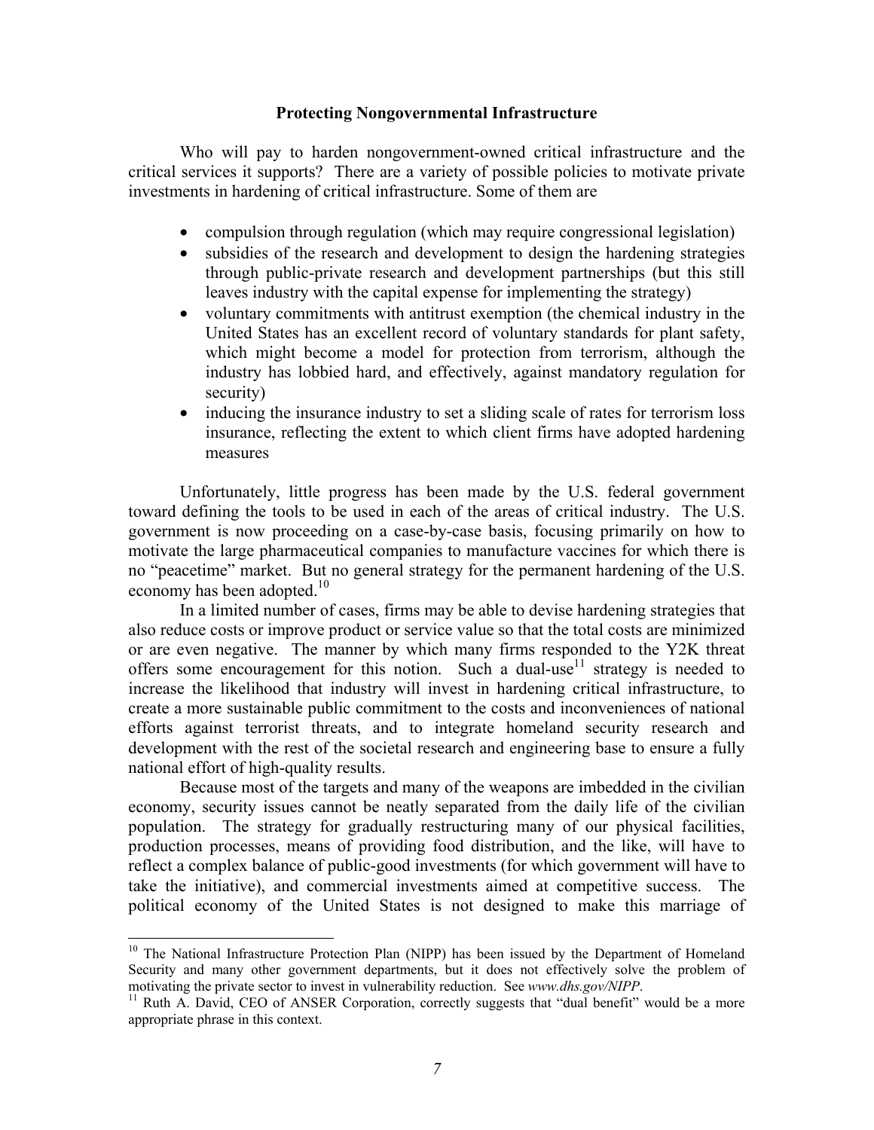#### **Protecting Nongovernmental Infrastructure**

Who will pay to harden nongovernment-owned critical infrastructure and the critical services it supports? There are a variety of possible policies to motivate private investments in hardening of critical infrastructure. Some of them are

- compulsion through regulation (which may require congressional legislation)
- subsidies of the research and development to design the hardening strategies through public-private research and development partnerships (but this still leaves industry with the capital expense for implementing the strategy)
- voluntary commitments with antitrust exemption (the chemical industry in the United States has an excellent record of voluntary standards for plant safety, which might become a model for protection from terrorism, although the industry has lobbied hard, and effectively, against mandatory regulation for security)
- inducing the insurance industry to set a sliding scale of rates for terrorism loss insurance, reflecting the extent to which client firms have adopted hardening measures

Unfortunately, little progress has been made by the U.S. federal government toward defining the tools to be used in each of the areas of critical industry. The U.S. government is now proceeding on a case-by-case basis, focusing primarily on how to motivate the large pharmaceutical companies to manufacture vaccines for which there is no "peacetime" market. But no general strategy for the permanent hardening of the U.S. economy has been adopted.<sup>10</sup>

In a limited number of cases, firms may be able to devise hardening strategies that also reduce costs or improve product or service value so that the total costs are minimized or are even negative. The manner by which many firms responded to the Y2K threat offers some encouragement for this notion. Such a dual-use<sup>11</sup> strategy is needed to increase the likelihood that industry will invest in hardening critical infrastructure, to create a more sustainable public commitment to the costs and inconveniences of national efforts against terrorist threats, and to integrate homeland security research and development with the rest of the societal research and engineering base to ensure a fully national effort of high-quality results.

Because most of the targets and many of the weapons are imbedded in the civilian economy, security issues cannot be neatly separated from the daily life of the civilian population. The strategy for gradually restructuring many of our physical facilities, production processes, means of providing food distribution, and the like, will have to reflect a complex balance of public-good investments (for which government will have to take the initiative), and commercial investments aimed at competitive success. The political economy of the United States is not designed to make this marriage of

<sup>&</sup>lt;sup>10</sup> The National Infrastructure Protection Plan (NIPP) has been issued by the Department of Homeland Security and many other government departments, but it does not effectively solve the problem of motivating the private sector to invest in vulnerability reduction. See www.dhs.gov/NIPP.

<sup>&</sup>lt;sup>11</sup> Ruth A. David, CEO of ANSER Corporation, correctly suggests that "dual benefit" would be a more appropriate phrase in this context.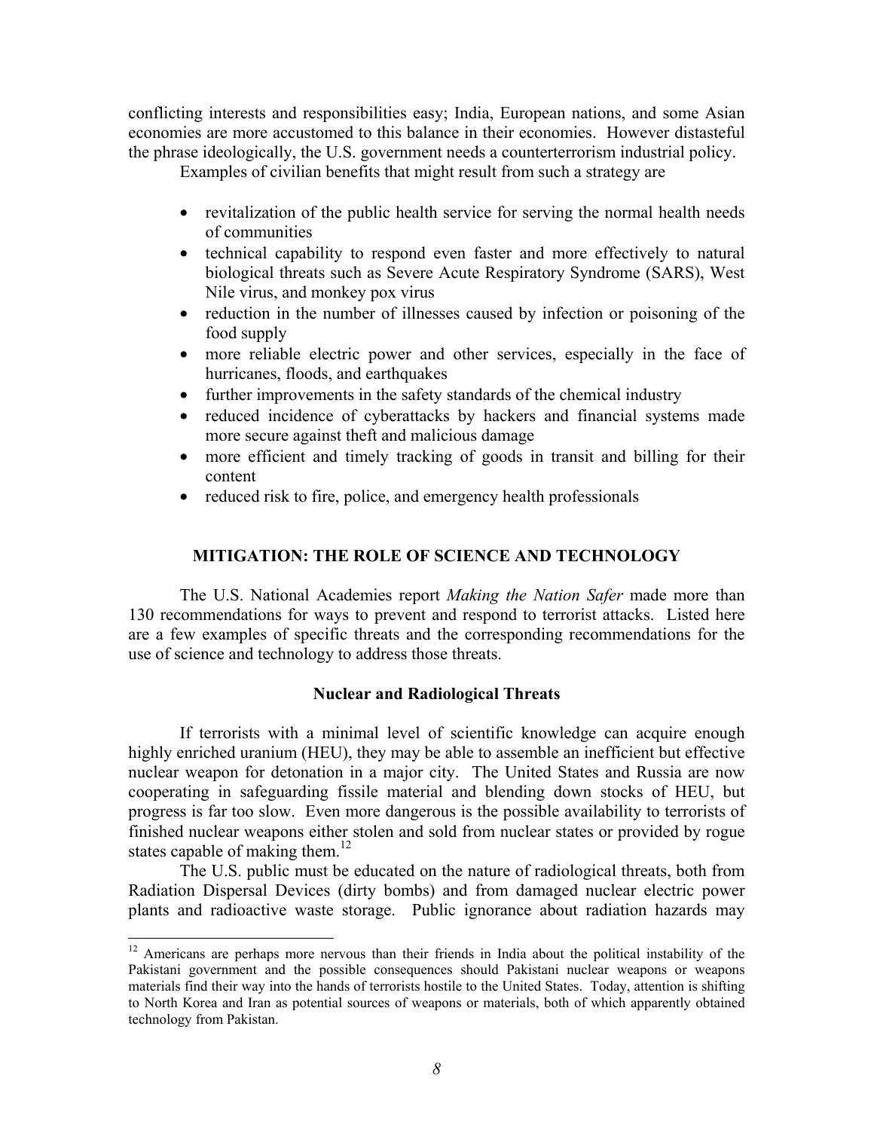conflicting interests and responsibilities easy; India, European nations, and some Asian economies are more accustomed to this balance in their economies. However distasteful the phrase ideologically, the U.S. government needs a counterterrorism industrial policy.

Examples of civilian benefits that might result from such a strategy are

- revitalization of the public health service for serving the normal health needs of communities
- technical capability to respond even faster and more effectively to natural biological threats such as Severe Acute Respiratory Syndrome (SARS), West Nile virus, and monkey pox virus
- reduction in the number of illnesses caused by infection or poisoning of the food supply
- more reliable electric power and other services, especially in the face of hurricanes, floods, and earthquakes
- further improvements in the safety standards of the chemical industry
- reduced incidence of cyberattacks by hackers and financial systems made more secure against theft and malicious damage
- more efficient and timely tracking of goods in transit and billing for their content
- reduced risk to fire, police, and emergency health professionals

#### **MITIGATION: THE ROLE OF SCIENCE AND TECHNOLOGY**

The U.S. National Academies report *Making the Nation Safer* made more than 130 recommendations for ways to prevent and respond to terrorist attacks. Listed here are a few examples of specific threats and the corresponding recommendations for the use of science and technology to address those threats.

#### **Nuclear and Radiological Threats**

If terrorists with a minimal level of scientific knowledge can acquire enough highly enriched uranium (HEU), they may be able to assemble an inefficient but effective nuclear weapon for detonation in a major city. The United States and Russia are now cooperating in safeguarding fissile material and blending down stocks of HEU, but progress is far too slow. Even more dangerous is the possible availability to terrorists of finished nuclear weapons either stolen and sold from nuclear states or provided by rogue states capable of making them.<sup>12</sup>

The U.S. public must be educated on the nature of radiological threats, both from Radiation Dispersal Devices (dirty bombs) and from damaged nuclear electric power plants and radioactive waste storage. Public ignorance about radiation hazards may

 $12$  Americans are perhaps more nervous than their friends in India about the political instability of the Pakistani government and the possible consequences should Pakistani nuclear weapons or weapons materials find their way into the hands of terrorists hostile to the United States. Today, attention is shifting to North Korea and Iran as potential sources of weapons or materials, both of which apparently obtained technology from Pakistan.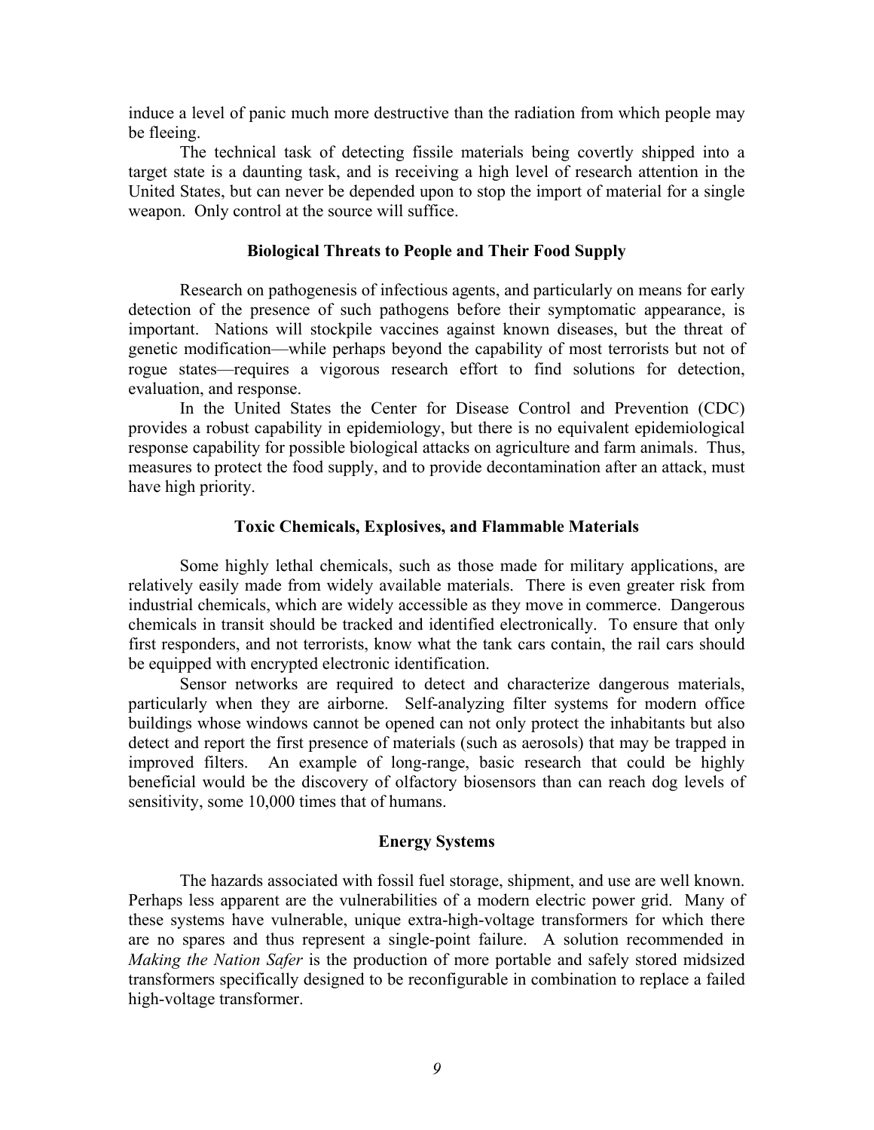induce a level of panic much more destructive than the radiation from which people may be fleeing.

The technical task of detecting fissile materials being covertly shipped into a target state is a daunting task, and is receiving a high level of research attention in the United States, but can never be depended upon to stop the import of material for a single weapon. Only control at the source will suffice.

#### **Biological Threats to People and Their Food Supply**

Research on pathogenesis of infectious agents, and particularly on means for early detection of the presence of such pathogens before their symptomatic appearance, is important. Nations will stockpile vaccines against known diseases, but the threat of genetic modification—while perhaps beyond the capability of most terrorists but not of rogue states—requires a vigorous research effort to find solutions for detection, evaluation, and response.

In the United States the Center for Disease Control and Prevention (CDC) provides a robust capability in epidemiology, but there is no equivalent epidemiological response capability for possible biological attacks on agriculture and farm animals. Thus, measures to protect the food supply, and to provide decontamination after an attack, must have high priority.

#### **Toxic Chemicals, Explosives, and Flammable Materials**

Some highly lethal chemicals, such as those made for military applications, are relatively easily made from widely available materials. There is even greater risk from industrial chemicals, which are widely accessible as they move in commerce. Dangerous chemicals in transit should be tracked and identified electronically. To ensure that only first responders, and not terrorists, know what the tank cars contain, the rail cars should be equipped with encrypted electronic identification.

Sensor networks are required to detect and characterize dangerous materials, particularly when they are airborne. Self-analyzing filter systems for modern office buildings whose windows cannot be opened can not only protect the inhabitants but also detect and report the first presence of materials (such as aerosols) that may be trapped in improved filters. An example of long-range, basic research that could be highly beneficial would be the discovery of olfactory biosensors than can reach dog levels of sensitivity, some 10,000 times that of humans.

#### **Energy Systems**

The hazards associated with fossil fuel storage, shipment, and use are well known. Perhaps less apparent are the vulnerabilities of a modern electric power grid. Many of these systems have vulnerable, unique extra-high-voltage transformers for which there are no spares and thus represent a single-point failure. A solution recommended in *Making the Nation Safer* is the production of more portable and safely stored midsized transformers specifically designed to be reconfigurable in combination to replace a failed high-voltage transformer.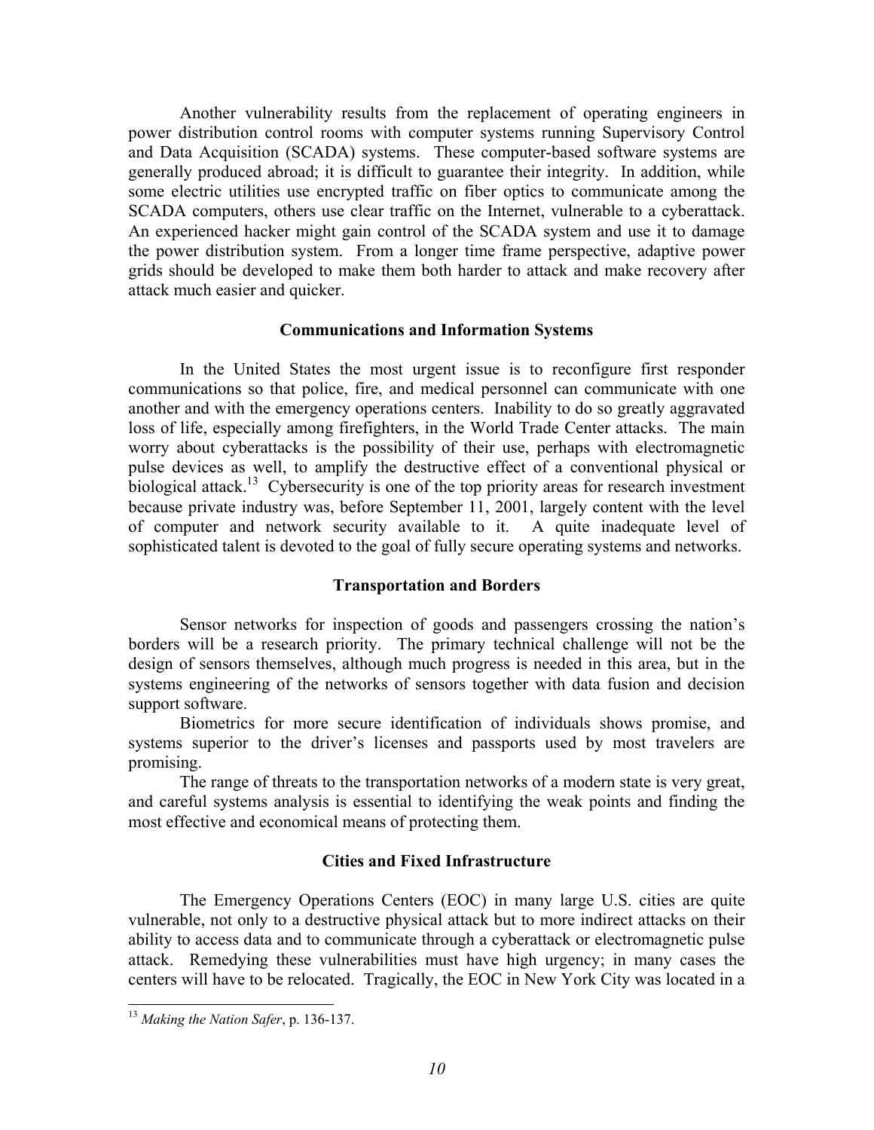Another vulnerability results from the replacement of operating engineers in power distribution control rooms with computer systems running Supervisory Control and Data Acquisition (SCADA) systems. These computer-based software systems are generally produced abroad; it is difficult to guarantee their integrity. In addition, while some electric utilities use encrypted traffic on fiber optics to communicate among the SCADA computers, others use clear traffic on the Internet, vulnerable to a cyberattack. An experienced hacker might gain control of the SCADA system and use it to damage the power distribution system. From a longer time frame perspective, adaptive power grids should be developed to make them both harder to attack and make recovery after attack much easier and quicker.

#### **Communications and Information Systems**

In the United States the most urgent issue is to reconfigure first responder communications so that police, fire, and medical personnel can communicate with one another and with the emergency operations centers. Inability to do so greatly aggravated loss of life, especially among firefighters, in the World Trade Center attacks. The main worry about cyberattacks is the possibility of their use, perhaps with electromagnetic pulse devices as well, to amplify the destructive effect of a conventional physical or biological attack.<sup>13</sup> Cybersecurity is one of the top priority areas for research investment because private industry was, before September 11, 2001, largely content with the level of computer and network security available to it. A quite inadequate level of sophisticated talent is devoted to the goal of fully secure operating systems and networks.

#### **Transportation and Borders**

Sensor networks for inspection of goods and passengers crossing the nation's borders will be a research priority. The primary technical challenge will not be the design of sensors themselves, although much progress is needed in this area, but in the systems engineering of the networks of sensors together with data fusion and decision support software.

Biometrics for more secure identification of individuals shows promise, and systems superior to the driver's licenses and passports used by most travelers are promising.

The range of threats to the transportation networks of a modern state is very great, and careful systems analysis is essential to identifying the weak points and finding the most effective and economical means of protecting them.

#### **Cities and Fixed Infrastructure**

The Emergency Operations Centers (EOC) in many large U.S. cities are quite vulnerable, not only to a destructive physical attack but to more indirect attacks on their ability to access data and to communicate through a cyberattack or electromagnetic pulse attack. Remedying these vulnerabilities must have high urgency; in many cases the centers will have to be relocated. Tragically, the EOC in New York City was located in a

<sup>13</sup> *Making the Nation Safer*, p. 136-137.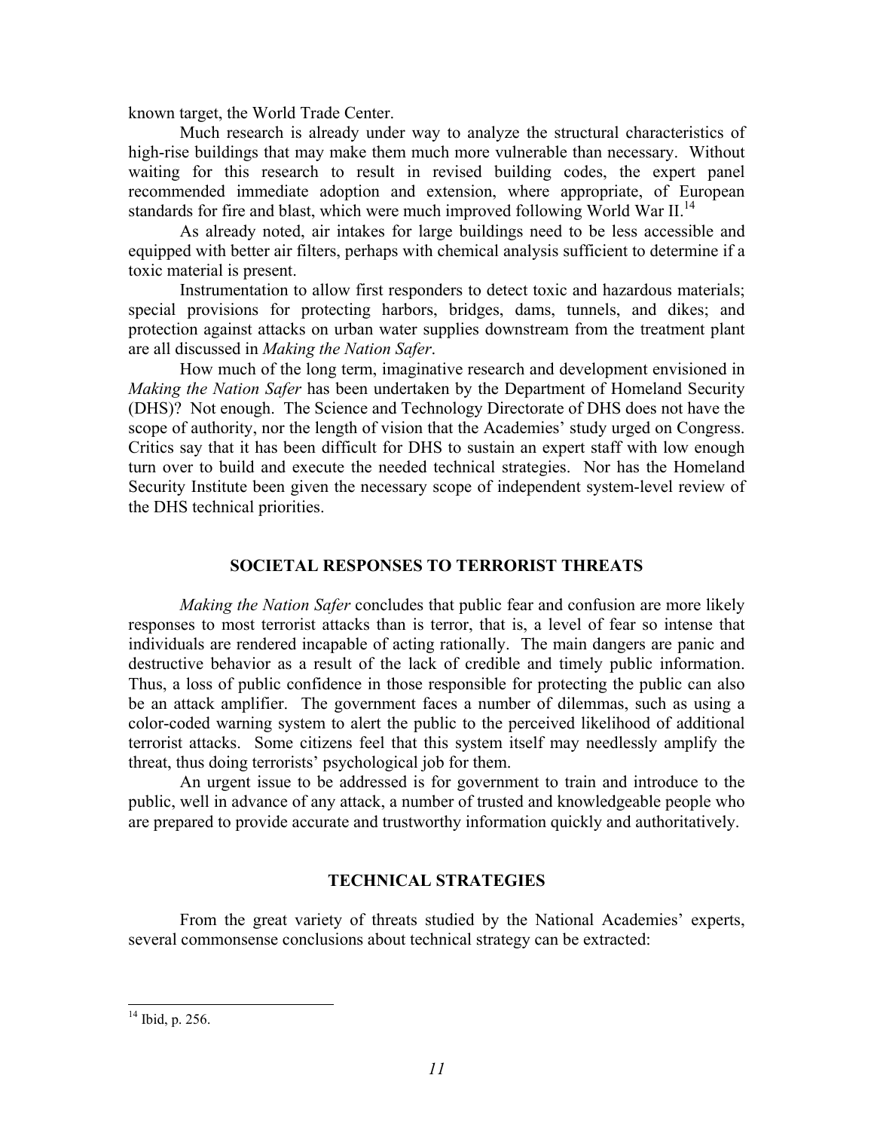known target, the World Trade Center.

Much research is already under way to analyze the structural characteristics of high-rise buildings that may make them much more vulnerable than necessary. Without waiting for this research to result in revised building codes, the expert panel recommended immediate adoption and extension, where appropriate, of European standards for fire and blast, which were much improved following World War II.<sup>14</sup>

As already noted, air intakes for large buildings need to be less accessible and equipped with better air filters, perhaps with chemical analysis sufficient to determine if a toxic material is present.

Instrumentation to allow first responders to detect toxic and hazardous materials; special provisions for protecting harbors, bridges, dams, tunnels, and dikes; and protection against attacks on urban water supplies downstream from the treatment plant are all discussed in *Making the Nation Safer*.

How much of the long term, imaginative research and development envisioned in *Making the Nation Safer* has been undertaken by the Department of Homeland Security (DHS)? Not enough. The Science and Technology Directorate of DHS does not have the scope of authority, nor the length of vision that the Academies' study urged on Congress. Critics say that it has been difficult for DHS to sustain an expert staff with low enough turn over to build and execute the needed technical strategies. Nor has the Homeland Security Institute been given the necessary scope of independent system-level review of the DHS technical priorities.

#### **SOCIETAL RESPONSES TO TERRORIST THREATS**

*Making the Nation Safer* concludes that public fear and confusion are more likely responses to most terrorist attacks than is terror, that is, a level of fear so intense that individuals are rendered incapable of acting rationally. The main dangers are panic and destructive behavior as a result of the lack of credible and timely public information. Thus, a loss of public confidence in those responsible for protecting the public can also be an attack amplifier. The government faces a number of dilemmas, such as using a color-coded warning system to alert the public to the perceived likelihood of additional terrorist attacks. Some citizens feel that this system itself may needlessly amplify the threat, thus doing terrorists' psychological job for them.

An urgent issue to be addressed is for government to train and introduce to the public, well in advance of any attack, a number of trusted and knowledgeable people who are prepared to provide accurate and trustworthy information quickly and authoritatively.

#### **TECHNICAL STRATEGIES**

From the great variety of threats studied by the National Academies' experts, several commonsense conclusions about technical strategy can be extracted:

 $14$  Ibid, p. 256.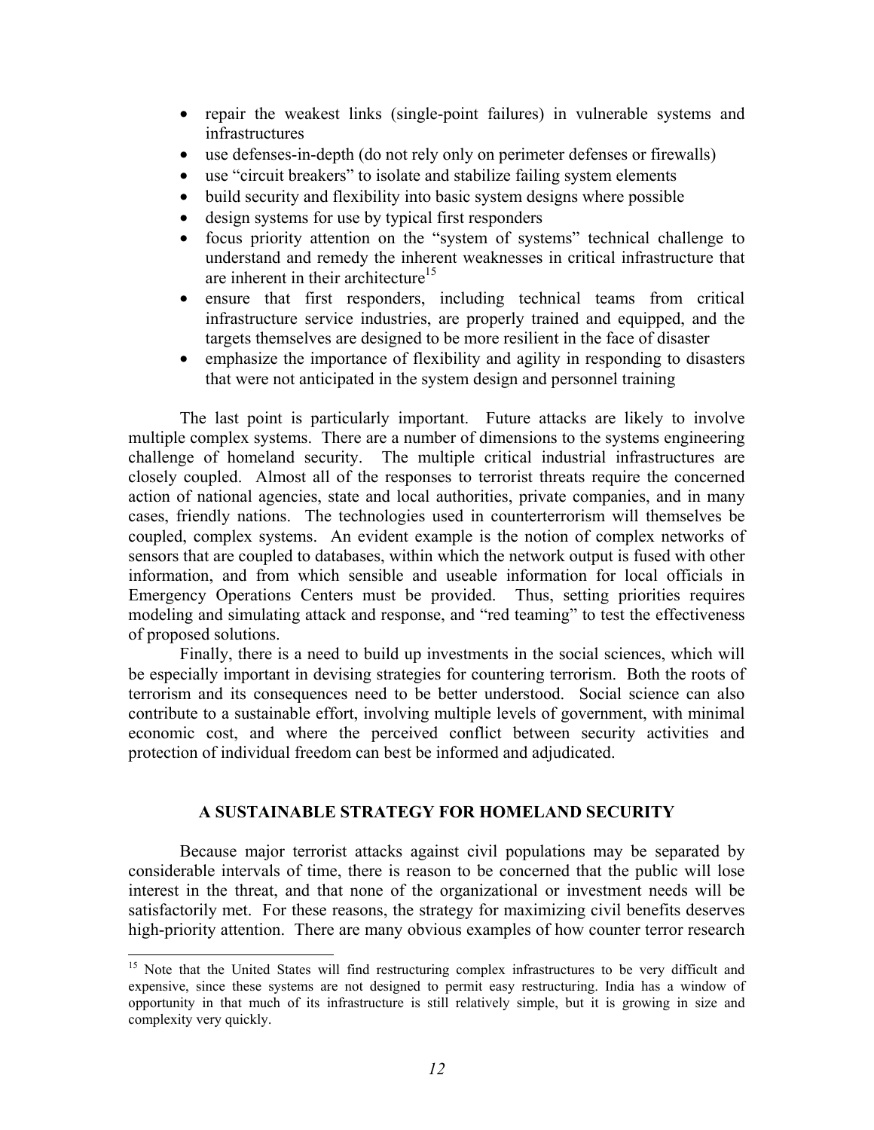- repair the weakest links (single-point failures) in vulnerable systems and infrastructures
- use defenses-in-depth (do not rely only on perimeter defenses or firewalls)
- use "circuit breakers" to isolate and stabilize failing system elements
- build security and flexibility into basic system designs where possible
- design systems for use by typical first responders
- focus priority attention on the "system of systems" technical challenge to understand and remedy the inherent weaknesses in critical infrastructure that are inherent in their architecture<sup>15</sup>
- ensure that first responders, including technical teams from critical infrastructure service industries, are properly trained and equipped, and the targets themselves are designed to be more resilient in the face of disaster
- emphasize the importance of flexibility and agility in responding to disasters that were not anticipated in the system design and personnel training

The last point is particularly important. Future attacks are likely to involve multiple complex systems. There are a number of dimensions to the systems engineering challenge of homeland security. The multiple critical industrial infrastructures are closely coupled. Almost all of the responses to terrorist threats require the concerned action of national agencies, state and local authorities, private companies, and in many cases, friendly nations. The technologies used in counterterrorism will themselves be coupled, complex systems. An evident example is the notion of complex networks of sensors that are coupled to databases, within which the network output is fused with other information, and from which sensible and useable information for local officials in Emergency Operations Centers must be provided. Thus, setting priorities requires modeling and simulating attack and response, and "red teaming" to test the effectiveness of proposed solutions.

Finally, there is a need to build up investments in the social sciences, which will be especially important in devising strategies for countering terrorism. Both the roots of terrorism and its consequences need to be better understood. Social science can also contribute to a sustainable effort, involving multiple levels of government, with minimal economic cost, and where the perceived conflict between security activities and protection of individual freedom can best be informed and adjudicated.

#### **A SUSTAINABLE STRATEGY FOR HOMELAND SECURITY**

Because major terrorist attacks against civil populations may be separated by considerable intervals of time, there is reason to be concerned that the public will lose interest in the threat, and that none of the organizational or investment needs will be satisfactorily met. For these reasons, the strategy for maximizing civil benefits deserves high-priority attention. There are many obvious examples of how counter terror research

 $\overline{a}$ 

<sup>&</sup>lt;sup>15</sup> Note that the United States will find restructuring complex infrastructures to be very difficult and expensive, since these systems are not designed to permit easy restructuring. India has a window of opportunity in that much of its infrastructure is still relatively simple, but it is growing in size and complexity very quickly.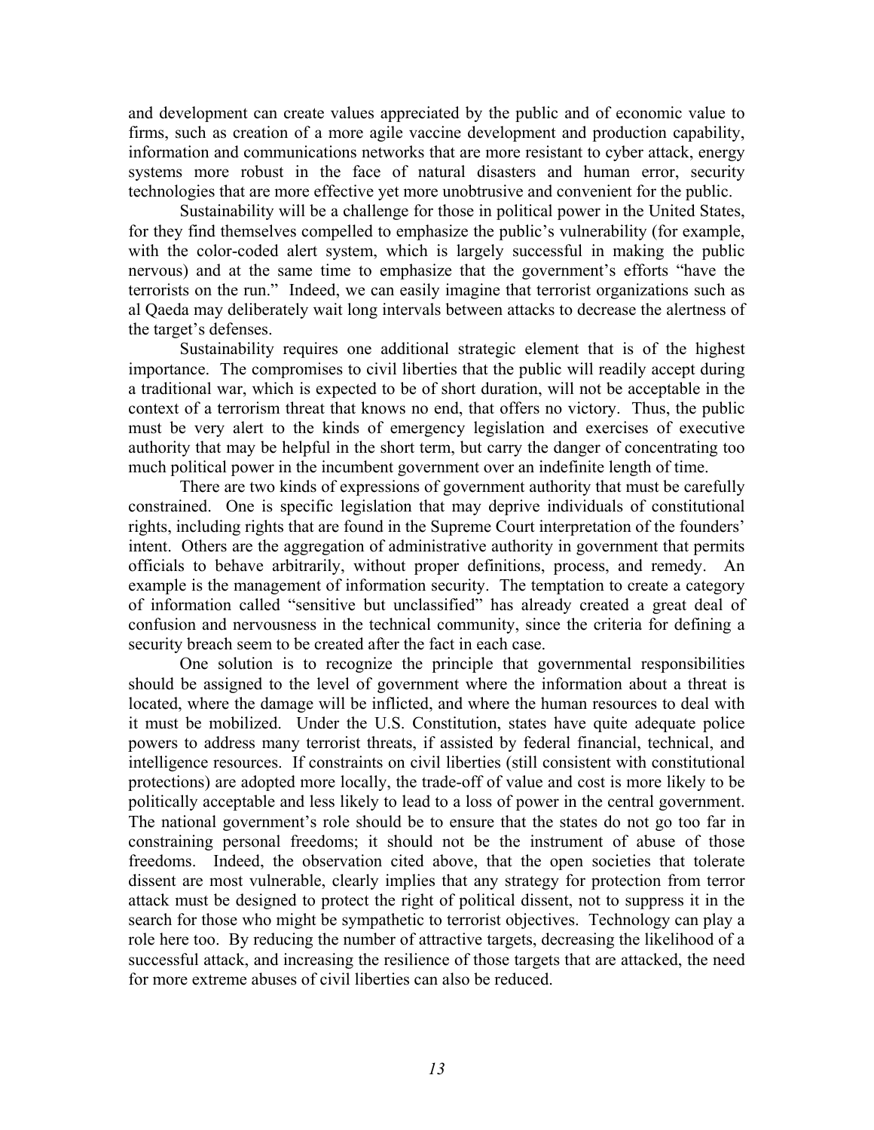and development can create values appreciated by the public and of economic value to firms, such as creation of a more agile vaccine development and production capability, information and communications networks that are more resistant to cyber attack, energy systems more robust in the face of natural disasters and human error, security technologies that are more effective yet more unobtrusive and convenient for the public.

Sustainability will be a challenge for those in political power in the United States, for they find themselves compelled to emphasize the public's vulnerability (for example, with the color-coded alert system, which is largely successful in making the public nervous) and at the same time to emphasize that the government's efforts "have the terrorists on the run." Indeed, we can easily imagine that terrorist organizations such as al Qaeda may deliberately wait long intervals between attacks to decrease the alertness of the target's defenses.

Sustainability requires one additional strategic element that is of the highest importance. The compromises to civil liberties that the public will readily accept during a traditional war, which is expected to be of short duration, will not be acceptable in the context of a terrorism threat that knows no end, that offers no victory. Thus, the public must be very alert to the kinds of emergency legislation and exercises of executive authority that may be helpful in the short term, but carry the danger of concentrating too much political power in the incumbent government over an indefinite length of time.

There are two kinds of expressions of government authority that must be carefully constrained. One is specific legislation that may deprive individuals of constitutional rights, including rights that are found in the Supreme Court interpretation of the founders' intent. Others are the aggregation of administrative authority in government that permits officials to behave arbitrarily, without proper definitions, process, and remedy. An example is the management of information security. The temptation to create a category of information called "sensitive but unclassified" has already created a great deal of confusion and nervousness in the technical community, since the criteria for defining a security breach seem to be created after the fact in each case.

One solution is to recognize the principle that governmental responsibilities should be assigned to the level of government where the information about a threat is located, where the damage will be inflicted, and where the human resources to deal with it must be mobilized. Under the U.S. Constitution, states have quite adequate police powers to address many terrorist threats, if assisted by federal financial, technical, and intelligence resources. If constraints on civil liberties (still consistent with constitutional protections) are adopted more locally, the trade-off of value and cost is more likely to be politically acceptable and less likely to lead to a loss of power in the central government. The national government's role should be to ensure that the states do not go too far in constraining personal freedoms; it should not be the instrument of abuse of those freedoms. Indeed, the observation cited above, that the open societies that tolerate dissent are most vulnerable, clearly implies that any strategy for protection from terror attack must be designed to protect the right of political dissent, not to suppress it in the search for those who might be sympathetic to terrorist objectives. Technology can play a role here too. By reducing the number of attractive targets, decreasing the likelihood of a successful attack, and increasing the resilience of those targets that are attacked, the need for more extreme abuses of civil liberties can also be reduced.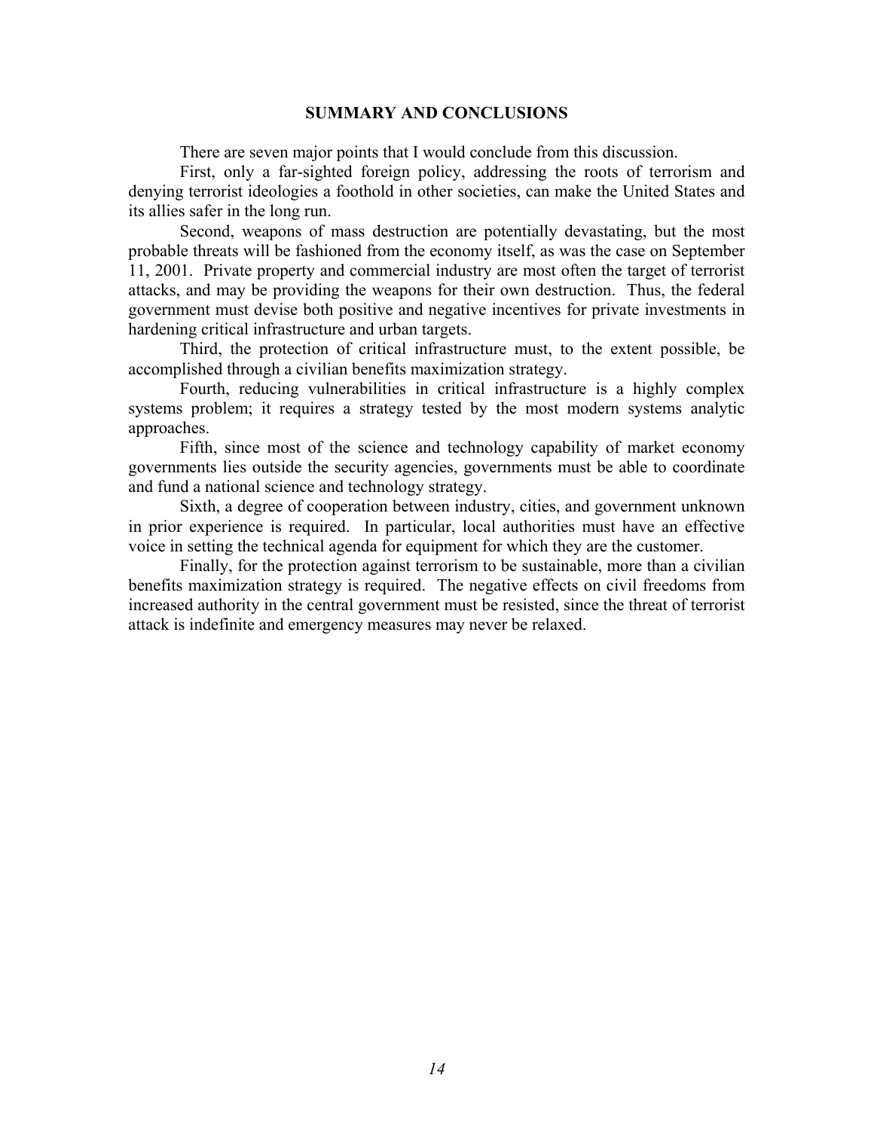#### **SUMMARY AND CONCLUSIONS**

There are seven major points that I would conclude from this discussion.

First, only a far-sighted foreign policy, addressing the roots of terrorism and denying terrorist ideologies a foothold in other societies, can make the United States and its allies safer in the long run.

Second, weapons of mass destruction are potentially devastating, but the most probable threats will be fashioned from the economy itself, as was the case on September 11, 2001. Private property and commercial industry are most often the target of terrorist attacks, and may be providing the weapons for their own destruction. Thus, the federal government must devise both positive and negative incentives for private investments in hardening critical infrastructure and urban targets.

Third, the protection of critical infrastructure must, to the extent possible, be accomplished through a civilian benefits maximization strategy.

Fourth, reducing vulnerabilities in critical infrastructure is a highly complex systems problem; it requires a strategy tested by the most modern systems analytic approaches.

Fifth, since most of the science and technology capability of market economy governments lies outside the security agencies, governments must be able to coordinate and fund a national science and technology strategy.

Sixth, a degree of cooperation between industry, cities, and government unknown in prior experience is required. In particular, local authorities must have an effective voice in setting the technical agenda for equipment for which they are the customer.

Finally, for the protection against terrorism to be sustainable, more than a civilian benefits maximization strategy is required. The negative effects on civil freedoms from increased authority in the central government must be resisted, since the threat of terrorist attack is indefinite and emergency measures may never be relaxed.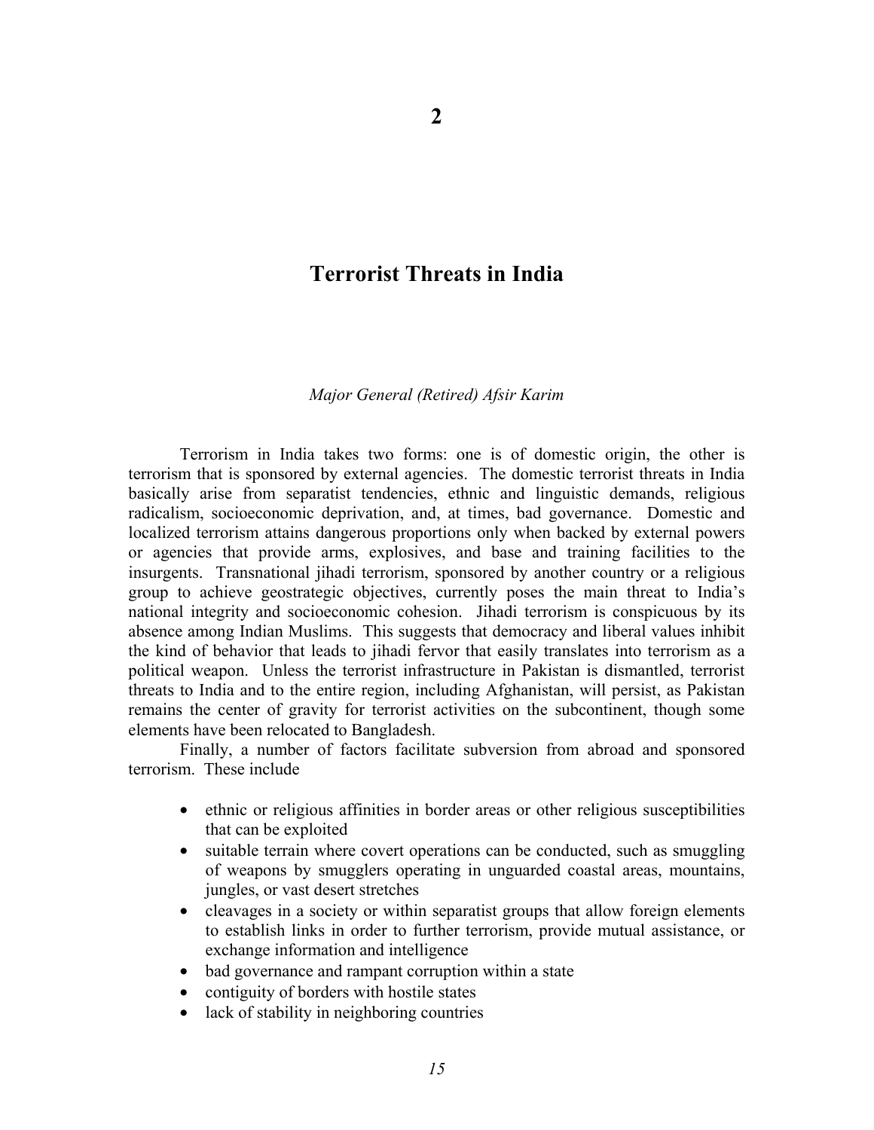### <span id="page-27-0"></span>**Terrorist Threats in India**

#### *Major General (Retired) Afsir Karim*

Terrorism in India takes two forms: one is of domestic origin, the other is terrorism that is sponsored by external agencies. The domestic terrorist threats in India basically arise from separatist tendencies, ethnic and linguistic demands, religious radicalism, socioeconomic deprivation, and, at times, bad governance. Domestic and localized terrorism attains dangerous proportions only when backed by external powers or agencies that provide arms, explosives, and base and training facilities to the insurgents. Transnational jihadi terrorism, sponsored by another country or a religious group to achieve geostrategic objectives, currently poses the main threat to India's national integrity and socioeconomic cohesion. Jihadi terrorism is conspicuous by its absence among Indian Muslims. This suggests that democracy and liberal values inhibit the kind of behavior that leads to jihadi fervor that easily translates into terrorism as a political weapon. Unless the terrorist infrastructure in Pakistan is dismantled, terrorist threats to India and to the entire region, including Afghanistan, will persist, as Pakistan remains the center of gravity for terrorist activities on the subcontinent, though some elements have been relocated to Bangladesh.

Finally, a number of factors facilitate subversion from abroad and sponsored terrorism. These include

- ethnic or religious affinities in border areas or other religious susceptibilities that can be exploited
- suitable terrain where covert operations can be conducted, such as smuggling of weapons by smugglers operating in unguarded coastal areas, mountains, jungles, or vast desert stretches
- cleavages in a society or within separatist groups that allow foreign elements to establish links in order to further terrorism, provide mutual assistance, or exchange information and intelligence
- bad governance and rampant corruption within a state
- contiguity of borders with hostile states
- lack of stability in neighboring countries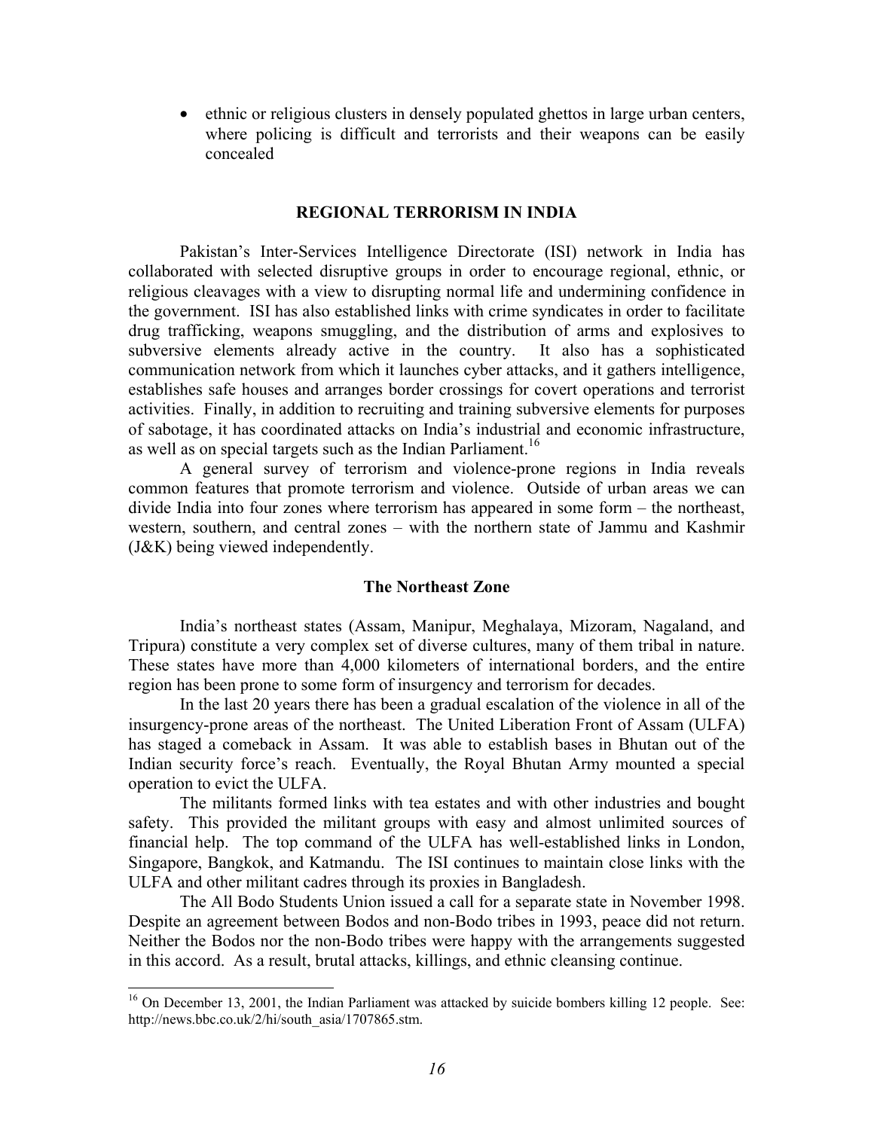• ethnic or religious clusters in densely populated ghettos in large urban centers, where policing is difficult and terrorists and their weapons can be easily concealed

#### **REGIONAL TERRORISM IN INDIA**

Pakistan's Inter-Services Intelligence Directorate (ISI) network in India has collaborated with selected disruptive groups in order to encourage regional, ethnic, or religious cleavages with a view to disrupting normal life and undermining confidence in the government. ISI has also established links with crime syndicates in order to facilitate drug trafficking, weapons smuggling, and the distribution of arms and explosives to subversive elements already active in the country. It also has a sophisticated communication network from which it launches cyber attacks, and it gathers intelligence, establishes safe houses and arranges border crossings for covert operations and terrorist activities. Finally, in addition to recruiting and training subversive elements for purposes of sabotage, it has coordinated attacks on India's industrial and economic infrastructure, as well as on special targets such as the Indian Parliament.<sup>16</sup>

A general survey of terrorism and violence-prone regions in India reveals common features that promote terrorism and violence. Outside of urban areas we can divide India into four zones where terrorism has appeared in some form – the northeast, western, southern, and central zones – with the northern state of Jammu and Kashmir (J&K) being viewed independently.

#### **The Northeast Zone**

India's northeast states (Assam, Manipur, Meghalaya, Mizoram, Nagaland, and Tripura) constitute a very complex set of diverse cultures, many of them tribal in nature. These states have more than 4,000 kilometers of international borders, and the entire region has been prone to some form of insurgency and terrorism for decades.

In the last 20 years there has been a gradual escalation of the violence in all of the insurgency-prone areas of the northeast. The United Liberation Front of Assam (ULFA) has staged a comeback in Assam. It was able to establish bases in Bhutan out of the Indian security force's reach. Eventually, the Royal Bhutan Army mounted a special operation to evict the ULFA.

The militants formed links with tea estates and with other industries and bought safety. This provided the militant groups with easy and almost unlimited sources of financial help. The top command of the ULFA has well-established links in London, Singapore, Bangkok, and Katmandu. The ISI continues to maintain close links with the ULFA and other militant cadres through its proxies in Bangladesh.

The All Bodo Students Union issued a call for a separate state in November 1998. Despite an agreement between Bodos and non-Bodo tribes in 1993, peace did not return. Neither the Bodos nor the non-Bodo tribes were happy with the arrangements suggested in this accord. As a result, brutal attacks, killings, and ethnic cleansing continue.

 $\overline{a}$ 

<sup>&</sup>lt;sup>16</sup> On December 13, 2001, the Indian Parliament was attacked by suicide bombers killing 12 people. See: http://news.bbc.co.uk/2/hi/south\_asia/1707865.stm.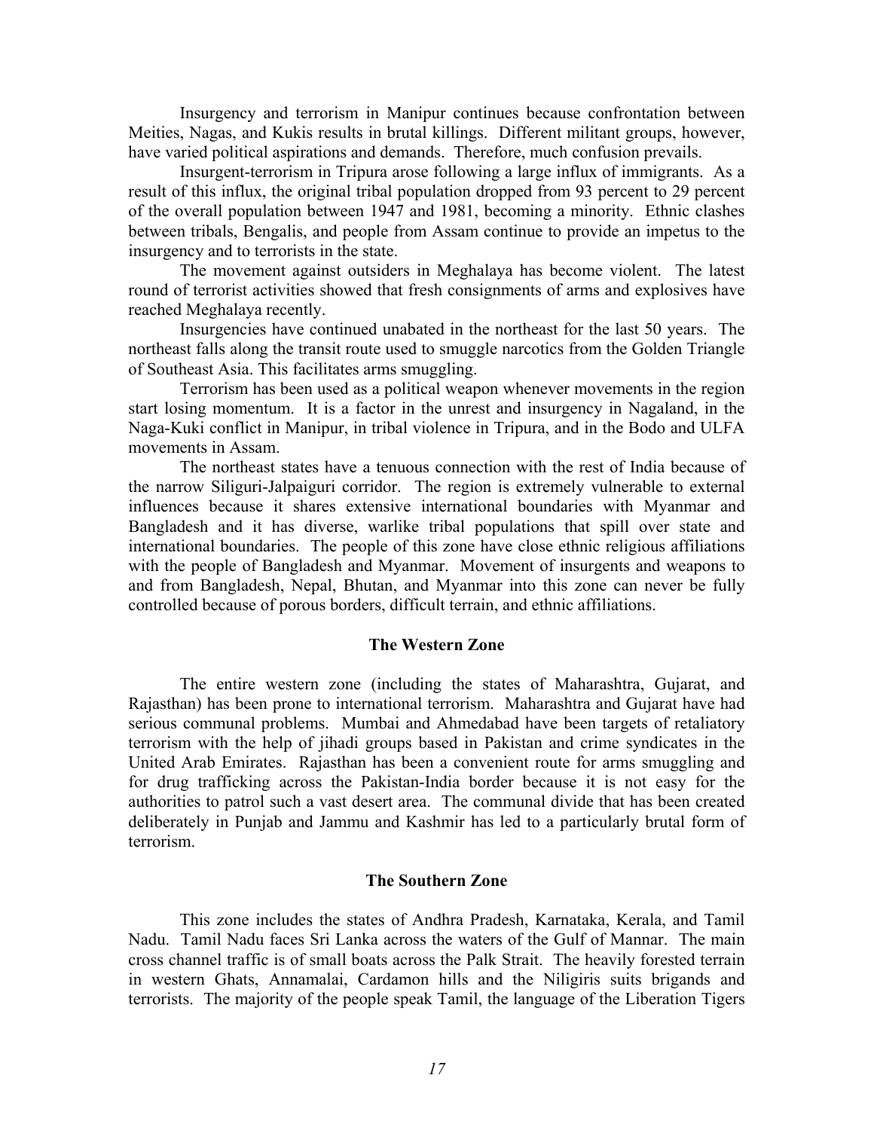Insurgency and terrorism in Manipur continues because confrontation between Meities, Nagas, and Kukis results in brutal killings. Different militant groups, however, have varied political aspirations and demands. Therefore, much confusion prevails.

Insurgent-terrorism in Tripura arose following a large influx of immigrants. As a result of this influx, the original tribal population dropped from 93 percent to 29 percent of the overall population between 1947 and 1981, becoming a minority. Ethnic clashes between tribals, Bengalis, and people from Assam continue to provide an impetus to the insurgency and to terrorists in the state.

The movement against outsiders in Meghalaya has become violent. The latest round of terrorist activities showed that fresh consignments of arms and explosives have reached Meghalaya recently.

Insurgencies have continued unabated in the northeast for the last 50 years. The northeast falls along the transit route used to smuggle narcotics from the Golden Triangle of Southeast Asia. This facilitates arms smuggling.

Terrorism has been used as a political weapon whenever movements in the region start losing momentum. It is a factor in the unrest and insurgency in Nagaland, in the Naga-Kuki conflict in Manipur, in tribal violence in Tripura, and in the Bodo and ULFA movements in Assam.

The northeast states have a tenuous connection with the rest of India because of the narrow Siliguri-Jalpaiguri corridor. The region is extremely vulnerable to external influences because it shares extensive international boundaries with Myanmar and Bangladesh and it has diverse, warlike tribal populations that spill over state and international boundaries. The people of this zone have close ethnic religious affiliations with the people of Bangladesh and Myanmar. Movement of insurgents and weapons to and from Bangladesh, Nepal, Bhutan, and Myanmar into this zone can never be fully controlled because of porous borders, difficult terrain, and ethnic affiliations.

#### **The Western Zone**

The entire western zone (including the states of Maharashtra, Gujarat, and Rajasthan) has been prone to international terrorism. Maharashtra and Gujarat have had serious communal problems. Mumbai and Ahmedabad have been targets of retaliatory terrorism with the help of jihadi groups based in Pakistan and crime syndicates in the United Arab Emirates. Rajasthan has been a convenient route for arms smuggling and for drug trafficking across the Pakistan-India border because it is not easy for the authorities to patrol such a vast desert area. The communal divide that has been created deliberately in Punjab and Jammu and Kashmir has led to a particularly brutal form of terrorism.

#### **The Southern Zone**

This zone includes the states of Andhra Pradesh, Karnataka, Kerala, and Tamil Nadu. Tamil Nadu faces Sri Lanka across the waters of the Gulf of Mannar. The main cross channel traffic is of small boats across the Palk Strait. The heavily forested terrain in western Ghats, Annamalai, Cardamon hills and the Niligiris suits brigands and terrorists. The majority of the people speak Tamil, the language of the Liberation Tigers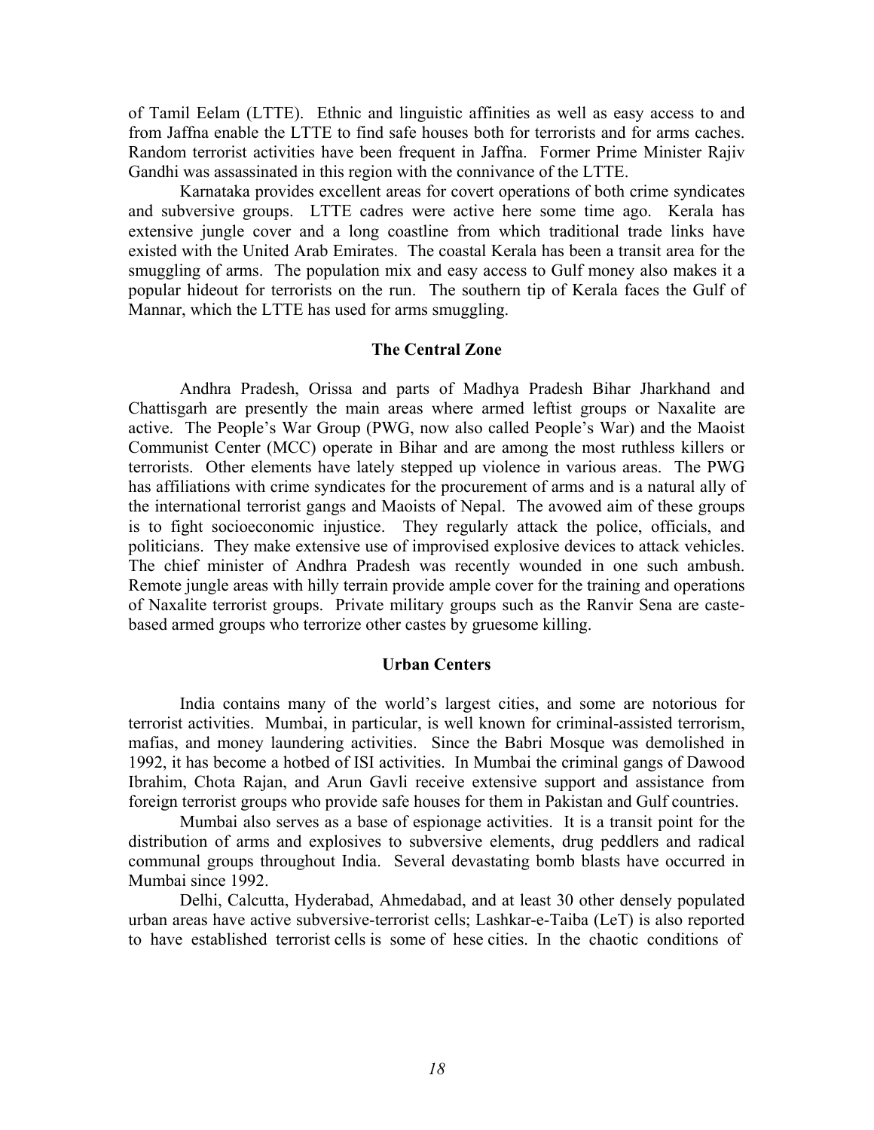of Tamil Eelam (LTTE). Ethnic and linguistic affinities as well as easy access to and from Jaffna enable the LTTE to find safe houses both for terrorists and for arms caches. Random terrorist activities have been frequent in Jaffna. Former Prime Minister Rajiv Gandhi was assassinated in this region with the connivance of the LTTE.

Karnataka provides excellent areas for covert operations of both crime syndicates and subversive groups. LTTE cadres were active here some time ago. Kerala has extensive jungle cover and a long coastline from which traditional trade links have existed with the United Arab Emirates. The coastal Kerala has been a transit area for the smuggling of arms. The population mix and easy access to Gulf money also makes it a popular hideout for terrorists on the run. The southern tip of Kerala faces the Gulf of Mannar, which the LTTE has used for arms smuggling.

#### **The Central Zone**

Andhra Pradesh, Orissa and parts of Madhya Pradesh Bihar Jharkhand and Chattisgarh are presently the main areas where armed leftist groups or Naxalite are active. The People's War Group (PWG, now also called People's War) and the Maoist Communist Center (MCC) operate in Bihar and are among the most ruthless killers or terrorists. Other elements have lately stepped up violence in various areas. The PWG has affiliations with crime syndicates for the procurement of arms and is a natural ally of the international terrorist gangs and Maoists of Nepal. The avowed aim of these groups is to fight socioeconomic injustice. They regularly attack the police, officials, and politicians. They make extensive use of improvised explosive devices to attack vehicles. The chief minister of Andhra Pradesh was recently wounded in one such ambush. Remote jungle areas with hilly terrain provide ample cover for the training and operations of Naxalite terrorist groups. Private military groups such as the Ranvir Sena are castebased armed groups who terrorize other castes by gruesome killing.

#### **Urban Centers**

India contains many of the world's largest cities, and some are notorious for terrorist activities. Mumbai, in particular, is well known for criminal-assisted terrorism, mafias, and money laundering activities. Since the Babri Mosque was demolished in 1992, it has become a hotbed of ISI activities. In Mumbai the criminal gangs of Dawood Ibrahim, Chota Rajan, and Arun Gavli receive extensive support and assistance from foreign terrorist groups who provide safe houses for them in Pakistan and Gulf countries.

Mumbai also serves as a base of espionage activities. It is a transit point for the distribution of arms and explosives to subversive elements, drug peddlers and radical communal groups throughout India. Several devastating bomb blasts have occurred in Mumbai since 1992.

Delhi, Calcutta, Hyderabad, Ahmedabad, and at least 30 other densely populated urban areas have active subversive-terrorist cells; Lashkar-e-Taiba (LeT) is also reported to have established terrorist cells is some of hese cities. In the chaotic conditions of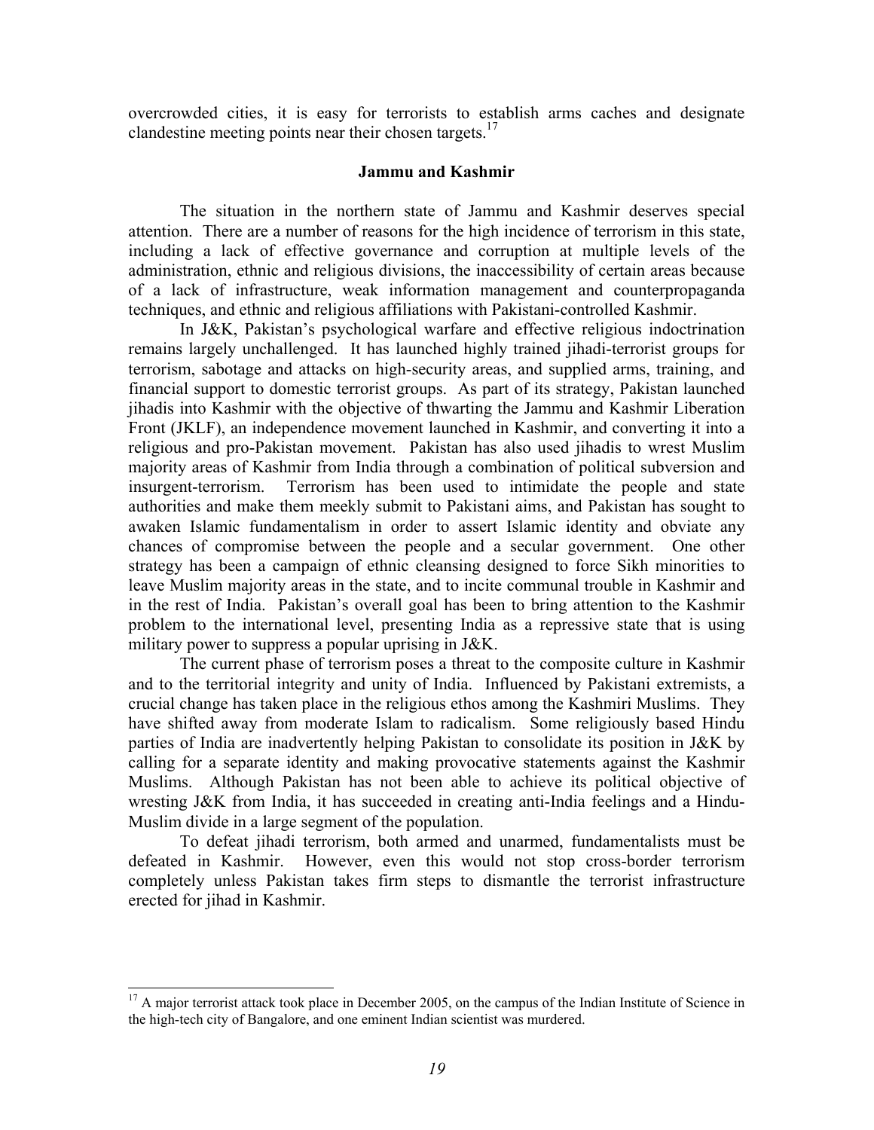overcrowded cities, it is easy for terrorists to establish arms caches and designate clandestine meeting points near their chosen targets. $17$ 

#### **Jammu and Kashmir**

The situation in the northern state of Jammu and Kashmir deserves special attention. There are a number of reasons for the high incidence of terrorism in this state, including a lack of effective governance and corruption at multiple levels of the administration, ethnic and religious divisions, the inaccessibility of certain areas because of a lack of infrastructure, weak information management and counterpropaganda techniques, and ethnic and religious affiliations with Pakistani-controlled Kashmir.

In J&K, Pakistan's psychological warfare and effective religious indoctrination remains largely unchallenged. It has launched highly trained jihadi-terrorist groups for terrorism, sabotage and attacks on high-security areas, and supplied arms, training, and financial support to domestic terrorist groups. As part of its strategy, Pakistan launched jihadis into Kashmir with the objective of thwarting the Jammu and Kashmir Liberation Front (JKLF), an independence movement launched in Kashmir, and converting it into a religious and pro-Pakistan movement. Pakistan has also used jihadis to wrest Muslim majority areas of Kashmir from India through a combination of political subversion and insurgent-terrorism. Terrorism has been used to intimidate the people and state authorities and make them meekly submit to Pakistani aims, and Pakistan has sought to awaken Islamic fundamentalism in order to assert Islamic identity and obviate any chances of compromise between the people and a secular government. One other strategy has been a campaign of ethnic cleansing designed to force Sikh minorities to leave Muslim majority areas in the state, and to incite communal trouble in Kashmir and in the rest of India. Pakistan's overall goal has been to bring attention to the Kashmir problem to the international level, presenting India as a repressive state that is using military power to suppress a popular uprising in J&K.

The current phase of terrorism poses a threat to the composite culture in Kashmir and to the territorial integrity and unity of India. Influenced by Pakistani extremists, a crucial change has taken place in the religious ethos among the Kashmiri Muslims. They have shifted away from moderate Islam to radicalism. Some religiously based Hindu parties of India are inadvertently helping Pakistan to consolidate its position in J&K by calling for a separate identity and making provocative statements against the Kashmir Muslims. Although Pakistan has not been able to achieve its political objective of wresting J&K from India, it has succeeded in creating anti-India feelings and a Hindu-Muslim divide in a large segment of the population.

To defeat jihadi terrorism, both armed and unarmed, fundamentalists must be defeated in Kashmir. However, even this would not stop cross-border terrorism completely unless Pakistan takes firm steps to dismantle the terrorist infrastructure erected for jihad in Kashmir.

 $\overline{a}$ 

<sup>&</sup>lt;sup>17</sup> A major terrorist attack took place in December 2005, on the campus of the Indian Institute of Science in the high-tech city of Bangalore, and one eminent Indian scientist was murdered.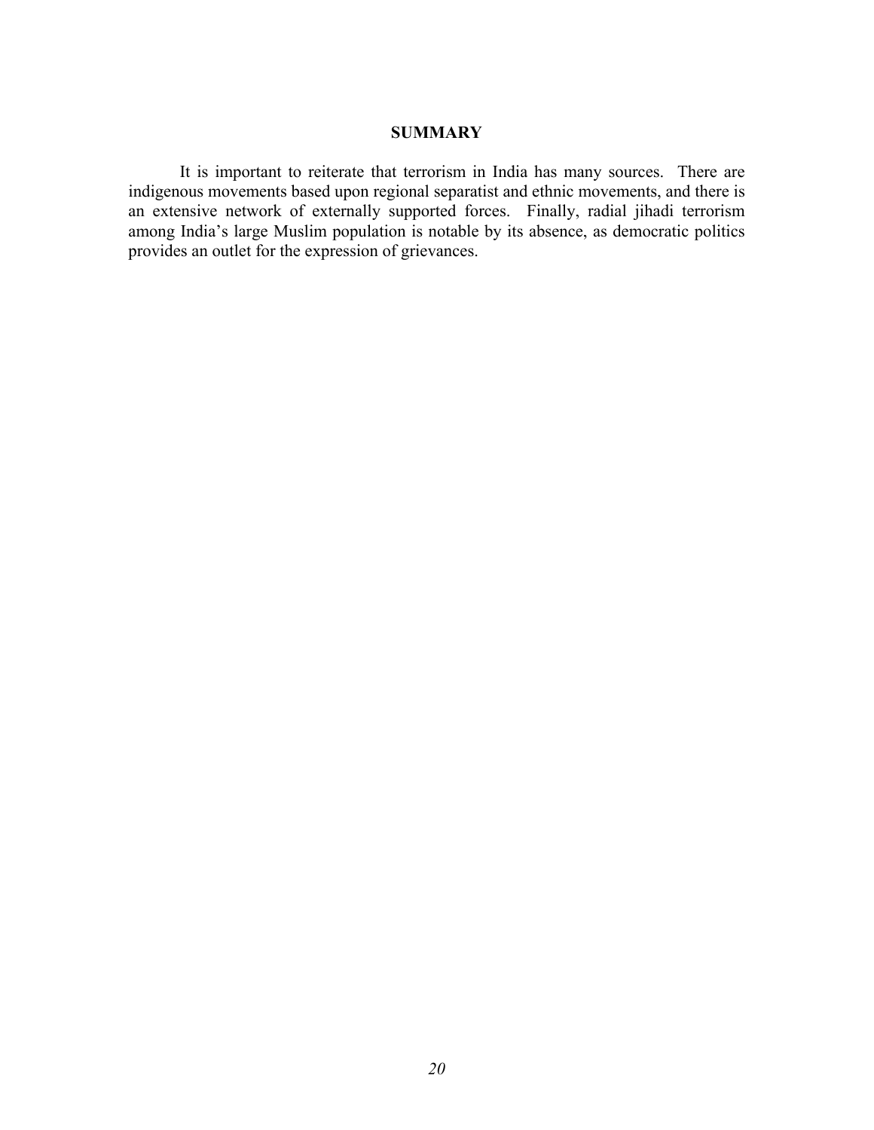#### **SUMMARY**

It is important to reiterate that terrorism in India has many sources. There are indigenous movements based upon regional separatist and ethnic movements, and there is an extensive network of externally supported forces. Finally, radial jihadi terrorism among India's large Muslim population is notable by its absence, as democratic politics provides an outlet for the expression of grievances.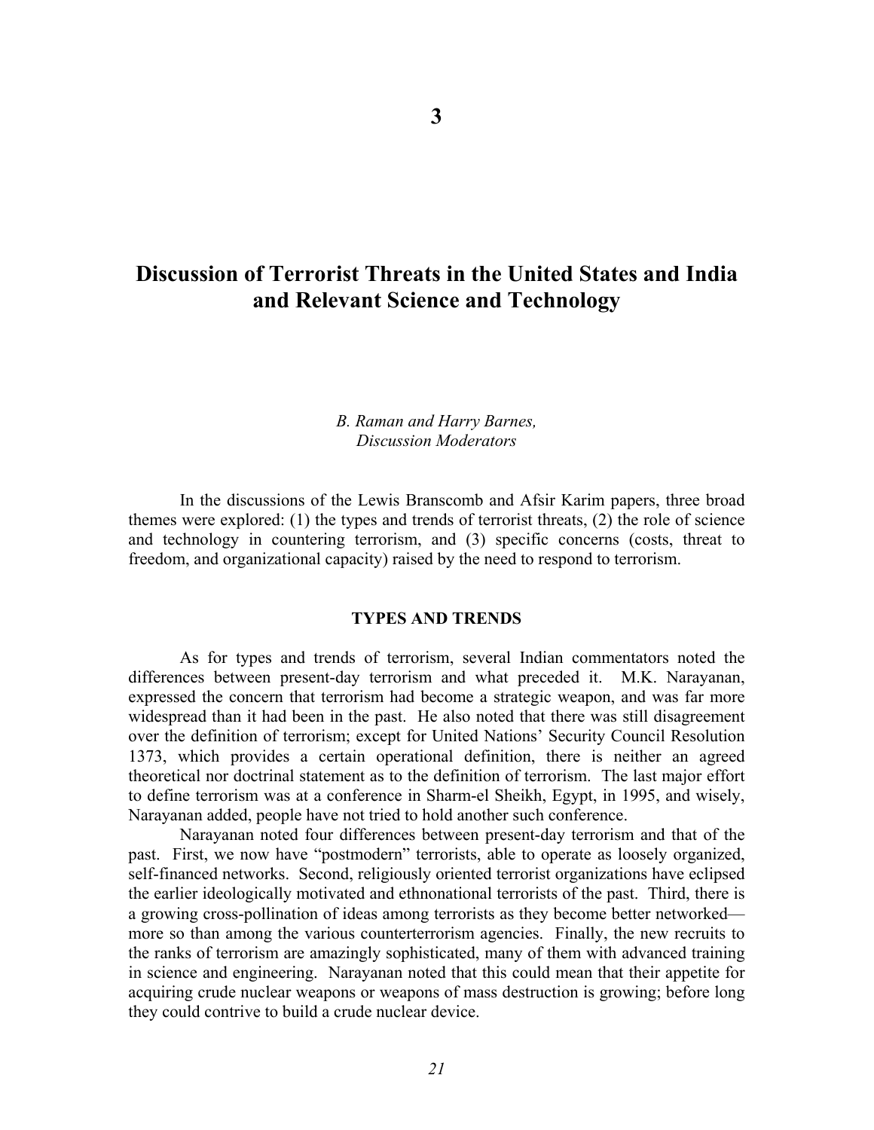## <span id="page-33-0"></span>**Discussion of Terrorist Threats in the United States and India and Relevant Science and Technology**

*B. Raman and Harry Barnes, Discussion Moderators* 

In the discussions of the Lewis Branscomb and Afsir Karim papers, three broad themes were explored: (1) the types and trends of terrorist threats, (2) the role of science and technology in countering terrorism, and (3) specific concerns (costs, threat to freedom, and organizational capacity) raised by the need to respond to terrorism.

#### **TYPES AND TRENDS**

As for types and trends of terrorism, several Indian commentators noted the differences between present-day terrorism and what preceded it. M.K. Narayanan, expressed the concern that terrorism had become a strategic weapon, and was far more widespread than it had been in the past. He also noted that there was still disagreement over the definition of terrorism; except for United Nations' Security Council Resolution 1373, which provides a certain operational definition, there is neither an agreed theoretical nor doctrinal statement as to the definition of terrorism. The last major effort to define terrorism was at a conference in Sharm-el Sheikh, Egypt, in 1995, and wisely, Narayanan added, people have not tried to hold another such conference.

Narayanan noted four differences between present-day terrorism and that of the past. First, we now have "postmodern" terrorists, able to operate as loosely organized, self-financed networks. Second, religiously oriented terrorist organizations have eclipsed the earlier ideologically motivated and ethnonational terrorists of the past. Third, there is a growing cross-pollination of ideas among terrorists as they become better networked more so than among the various counterterrorism agencies. Finally, the new recruits to the ranks of terrorism are amazingly sophisticated, many of them with advanced training in science and engineering. Narayanan noted that this could mean that their appetite for acquiring crude nuclear weapons or weapons of mass destruction is growing; before long they could contrive to build a crude nuclear device.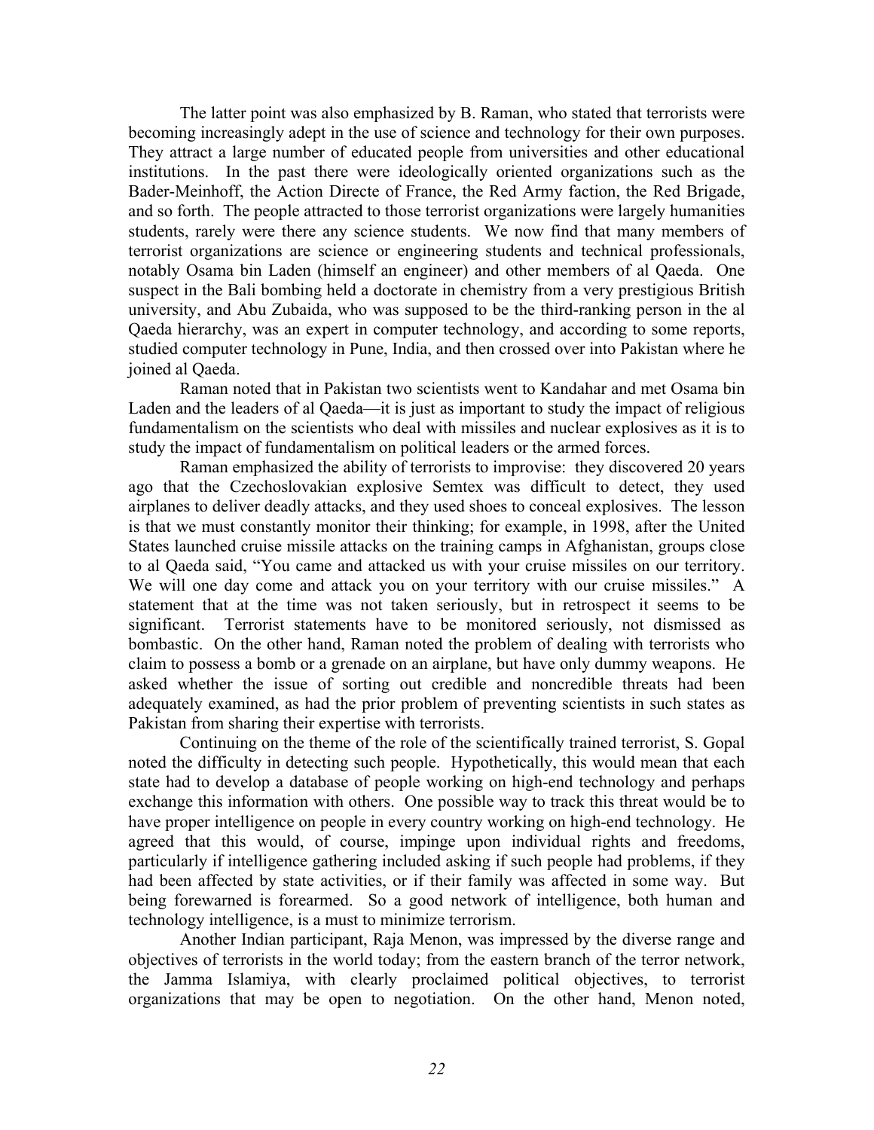The latter point was also emphasized by B. Raman, who stated that terrorists were becoming increasingly adept in the use of science and technology for their own purposes. They attract a large number of educated people from universities and other educational institutions. In the past there were ideologically oriented organizations such as the Bader-Meinhoff, the Action Directe of France, the Red Army faction, the Red Brigade, and so forth. The people attracted to those terrorist organizations were largely humanities students, rarely were there any science students. We now find that many members of terrorist organizations are science or engineering students and technical professionals, notably Osama bin Laden (himself an engineer) and other members of al Qaeda. One suspect in the Bali bombing held a doctorate in chemistry from a very prestigious British university, and Abu Zubaida, who was supposed to be the third-ranking person in the al Qaeda hierarchy, was an expert in computer technology, and according to some reports, studied computer technology in Pune, India, and then crossed over into Pakistan where he joined al Qaeda.

Raman noted that in Pakistan two scientists went to Kandahar and met Osama bin Laden and the leaders of al Qaeda—it is just as important to study the impact of religious fundamentalism on the scientists who deal with missiles and nuclear explosives as it is to study the impact of fundamentalism on political leaders or the armed forces.

Raman emphasized the ability of terrorists to improvise: they discovered 20 years ago that the Czechoslovakian explosive Semtex was difficult to detect, they used airplanes to deliver deadly attacks, and they used shoes to conceal explosives. The lesson is that we must constantly monitor their thinking; for example, in 1998, after the United States launched cruise missile attacks on the training camps in Afghanistan, groups close to al Qaeda said, "You came and attacked us with your cruise missiles on our territory. We will one day come and attack you on your territory with our cruise missiles." A statement that at the time was not taken seriously, but in retrospect it seems to be significant. Terrorist statements have to be monitored seriously, not dismissed as bombastic. On the other hand, Raman noted the problem of dealing with terrorists who claim to possess a bomb or a grenade on an airplane, but have only dummy weapons. He asked whether the issue of sorting out credible and noncredible threats had been adequately examined, as had the prior problem of preventing scientists in such states as Pakistan from sharing their expertise with terrorists.

Continuing on the theme of the role of the scientifically trained terrorist, S. Gopal noted the difficulty in detecting such people. Hypothetically, this would mean that each state had to develop a database of people working on high-end technology and perhaps exchange this information with others. One possible way to track this threat would be to have proper intelligence on people in every country working on high-end technology. He agreed that this would, of course, impinge upon individual rights and freedoms, particularly if intelligence gathering included asking if such people had problems, if they had been affected by state activities, or if their family was affected in some way. But being forewarned is forearmed. So a good network of intelligence, both human and technology intelligence, is a must to minimize terrorism.

Another Indian participant, Raja Menon, was impressed by the diverse range and objectives of terrorists in the world today; from the eastern branch of the terror network, the Jamma Islamiya, with clearly proclaimed political objectives, to terrorist organizations that may be open to negotiation. On the other hand, Menon noted,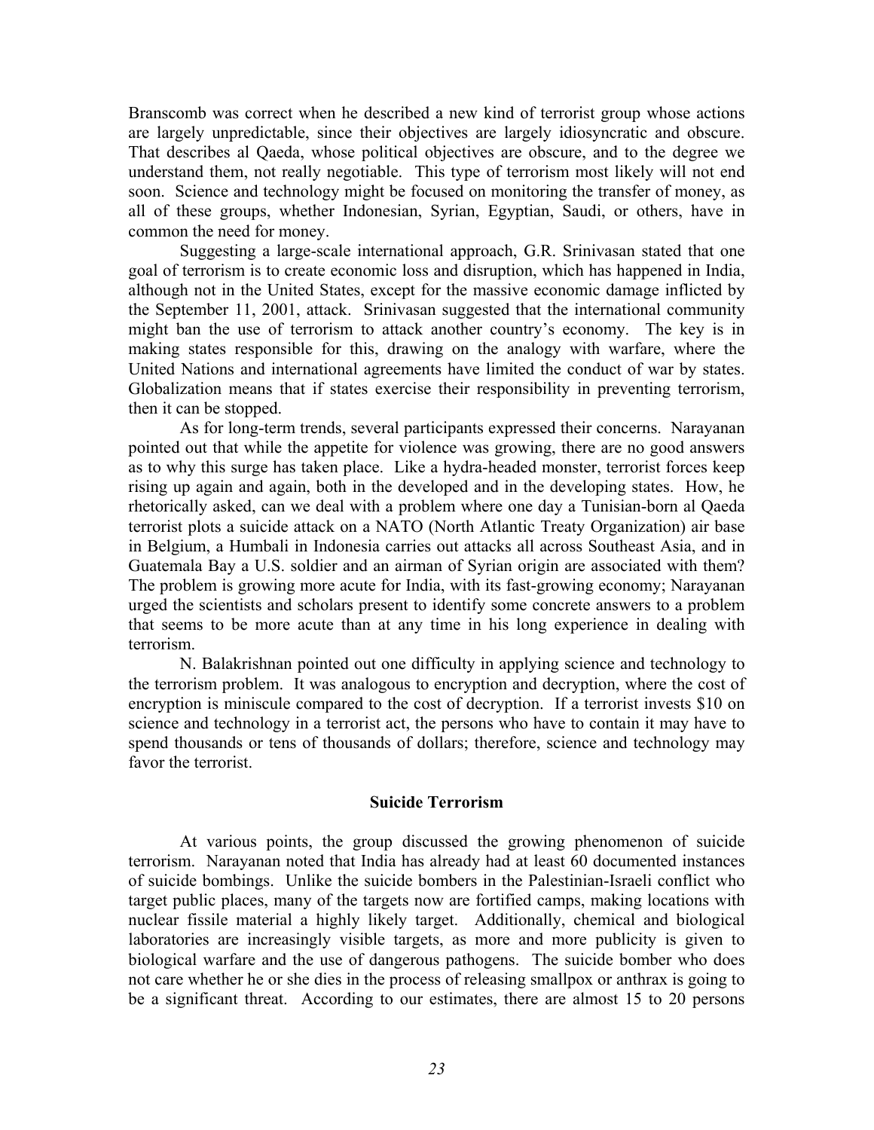Branscomb was correct when he described a new kind of terrorist group whose actions are largely unpredictable, since their objectives are largely idiosyncratic and obscure. That describes al Qaeda, whose political objectives are obscure, and to the degree we understand them, not really negotiable. This type of terrorism most likely will not end soon. Science and technology might be focused on monitoring the transfer of money, as all of these groups, whether Indonesian, Syrian, Egyptian, Saudi, or others, have in common the need for money.

Suggesting a large-scale international approach, G.R. Srinivasan stated that one goal of terrorism is to create economic loss and disruption, which has happened in India, although not in the United States, except for the massive economic damage inflicted by the September 11, 2001, attack. Srinivasan suggested that the international community might ban the use of terrorism to attack another country's economy. The key is in making states responsible for this, drawing on the analogy with warfare, where the United Nations and international agreements have limited the conduct of war by states. Globalization means that if states exercise their responsibility in preventing terrorism, then it can be stopped.

As for long-term trends, several participants expressed their concerns. Narayanan pointed out that while the appetite for violence was growing, there are no good answers as to why this surge has taken place. Like a hydra-headed monster, terrorist forces keep rising up again and again, both in the developed and in the developing states. How, he rhetorically asked, can we deal with a problem where one day a Tunisian-born al Qaeda terrorist plots a suicide attack on a NATO (North Atlantic Treaty Organization) air base in Belgium, a Humbali in Indonesia carries out attacks all across Southeast Asia, and in Guatemala Bay a U.S. soldier and an airman of Syrian origin are associated with them? The problem is growing more acute for India, with its fast-growing economy; Narayanan urged the scientists and scholars present to identify some concrete answers to a problem that seems to be more acute than at any time in his long experience in dealing with terrorism.

N. Balakrishnan pointed out one difficulty in applying science and technology to the terrorism problem. It was analogous to encryption and decryption, where the cost of encryption is miniscule compared to the cost of decryption. If a terrorist invests \$10 on science and technology in a terrorist act, the persons who have to contain it may have to spend thousands or tens of thousands of dollars; therefore, science and technology may favor the terrorist.

#### **Suicide Terrorism**

At various points, the group discussed the growing phenomenon of suicide terrorism. Narayanan noted that India has already had at least 60 documented instances of suicide bombings. Unlike the suicide bombers in the Palestinian-Israeli conflict who target public places, many of the targets now are fortified camps, making locations with nuclear fissile material a highly likely target. Additionally, chemical and biological laboratories are increasingly visible targets, as more and more publicity is given to biological warfare and the use of dangerous pathogens. The suicide bomber who does not care whether he or she dies in the process of releasing smallpox or anthrax is going to be a significant threat. According to our estimates, there are almost 15 to 20 persons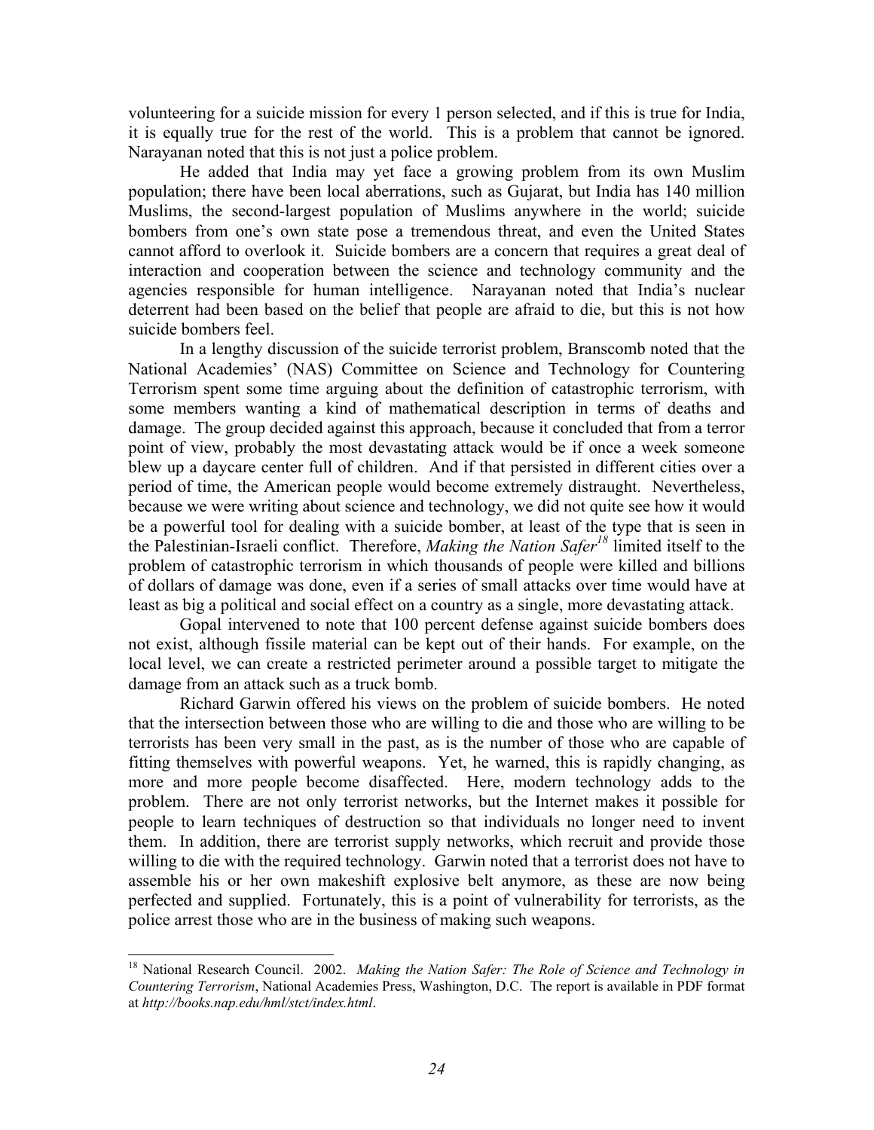volunteering for a suicide mission for every 1 person selected, and if this is true for India, it is equally true for the rest of the world. This is a problem that cannot be ignored. Narayanan noted that this is not just a police problem.

He added that India may yet face a growing problem from its own Muslim population; there have been local aberrations, such as Gujarat, but India has 140 million Muslims, the second-largest population of Muslims anywhere in the world; suicide bombers from one's own state pose a tremendous threat, and even the United States cannot afford to overlook it. Suicide bombers are a concern that requires a great deal of interaction and cooperation between the science and technology community and the agencies responsible for human intelligence. Narayanan noted that India's nuclear deterrent had been based on the belief that people are afraid to die, but this is not how suicide bombers feel.

In a lengthy discussion of the suicide terrorist problem, Branscomb noted that the National Academies' (NAS) Committee on Science and Technology for Countering Terrorism spent some time arguing about the definition of catastrophic terrorism, with some members wanting a kind of mathematical description in terms of deaths and damage. The group decided against this approach, because it concluded that from a terror point of view, probably the most devastating attack would be if once a week someone blew up a daycare center full of children. And if that persisted in different cities over a period of time, the American people would become extremely distraught. Nevertheless, because we were writing about science and technology, we did not quite see how it would be a powerful tool for dealing with a suicide bomber, at least of the type that is seen in the Palestinian-Israeli conflict. Therefore, *Making the Nation Safer18* limited itself to the problem of catastrophic terrorism in which thousands of people were killed and billions of dollars of damage was done, even if a series of small attacks over time would have at least as big a political and social effect on a country as a single, more devastating attack.

Gopal intervened to note that 100 percent defense against suicide bombers does not exist, although fissile material can be kept out of their hands. For example, on the local level, we can create a restricted perimeter around a possible target to mitigate the damage from an attack such as a truck bomb.

Richard Garwin offered his views on the problem of suicide bombers. He noted that the intersection between those who are willing to die and those who are willing to be terrorists has been very small in the past, as is the number of those who are capable of fitting themselves with powerful weapons. Yet, he warned, this is rapidly changing, as more and more people become disaffected. Here, modern technology adds to the problem. There are not only terrorist networks, but the Internet makes it possible for people to learn techniques of destruction so that individuals no longer need to invent them. In addition, there are terrorist supply networks, which recruit and provide those willing to die with the required technology. Garwin noted that a terrorist does not have to assemble his or her own makeshift explosive belt anymore, as these are now being perfected and supplied. Fortunately, this is a point of vulnerability for terrorists, as the police arrest those who are in the business of making such weapons.

 $\overline{\phantom{a}}$ 

<sup>18</sup> National Research Council. 2002. *Making the Nation Safer: The Role of Science and Technology in Countering Terrorism*, National Academies Press, Washington, D.C. The report is available in PDF format at *http://books.nap.edu/hml/stct/index.html*.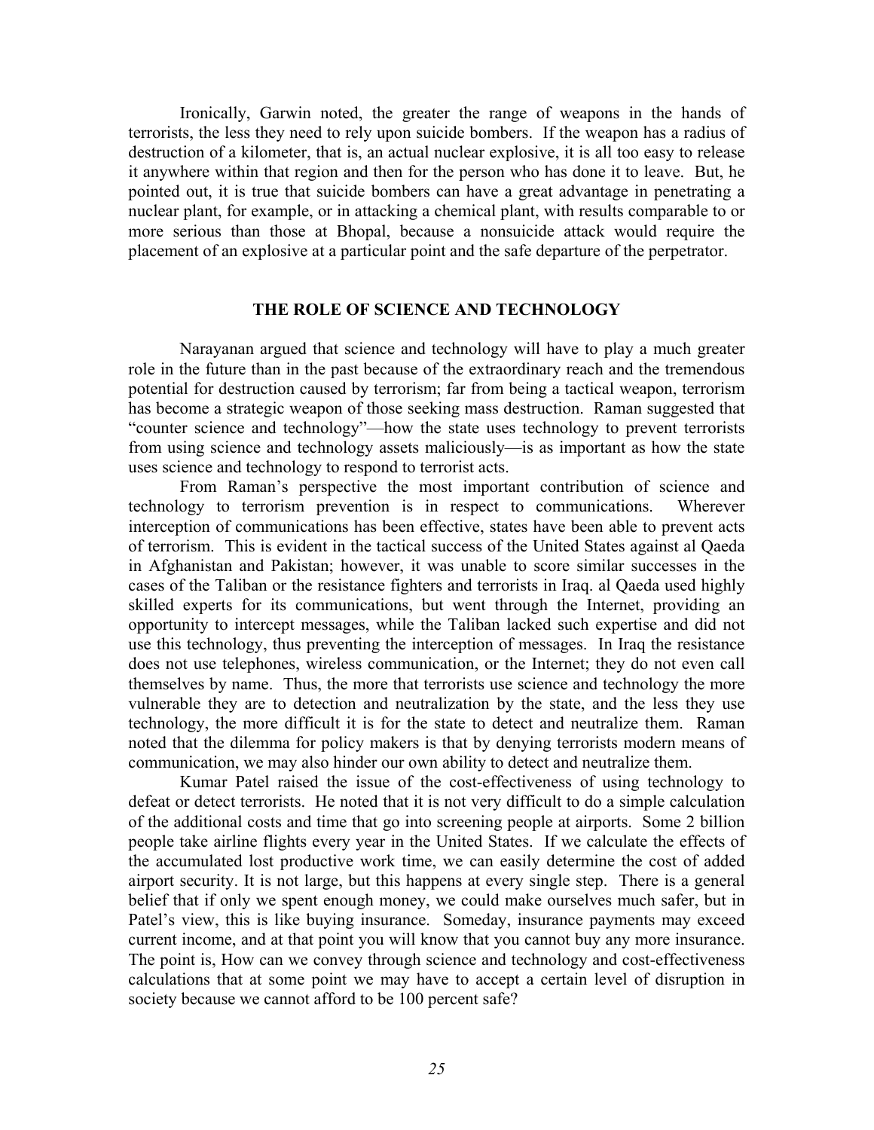Ironically, Garwin noted, the greater the range of weapons in the hands of terrorists, the less they need to rely upon suicide bombers. If the weapon has a radius of destruction of a kilometer, that is, an actual nuclear explosive, it is all too easy to release it anywhere within that region and then for the person who has done it to leave. But, he pointed out, it is true that suicide bombers can have a great advantage in penetrating a nuclear plant, for example, or in attacking a chemical plant, with results comparable to or more serious than those at Bhopal, because a nonsuicide attack would require the placement of an explosive at a particular point and the safe departure of the perpetrator.

#### **THE ROLE OF SCIENCE AND TECHNOLOGY**

Narayanan argued that science and technology will have to play a much greater role in the future than in the past because of the extraordinary reach and the tremendous potential for destruction caused by terrorism; far from being a tactical weapon, terrorism has become a strategic weapon of those seeking mass destruction. Raman suggested that "counter science and technology"—how the state uses technology to prevent terrorists from using science and technology assets maliciously—is as important as how the state uses science and technology to respond to terrorist acts.

From Raman's perspective the most important contribution of science and technology to terrorism prevention is in respect to communications. Wherever interception of communications has been effective, states have been able to prevent acts of terrorism. This is evident in the tactical success of the United States against al Qaeda in Afghanistan and Pakistan; however, it was unable to score similar successes in the cases of the Taliban or the resistance fighters and terrorists in Iraq. al Qaeda used highly skilled experts for its communications, but went through the Internet, providing an opportunity to intercept messages, while the Taliban lacked such expertise and did not use this technology, thus preventing the interception of messages. In Iraq the resistance does not use telephones, wireless communication, or the Internet; they do not even call themselves by name. Thus, the more that terrorists use science and technology the more vulnerable they are to detection and neutralization by the state, and the less they use technology, the more difficult it is for the state to detect and neutralize them. Raman noted that the dilemma for policy makers is that by denying terrorists modern means of communication, we may also hinder our own ability to detect and neutralize them.

Kumar Patel raised the issue of the cost-effectiveness of using technology to defeat or detect terrorists. He noted that it is not very difficult to do a simple calculation of the additional costs and time that go into screening people at airports. Some 2 billion people take airline flights every year in the United States. If we calculate the effects of the accumulated lost productive work time, we can easily determine the cost of added airport security. It is not large, but this happens at every single step. There is a general belief that if only we spent enough money, we could make ourselves much safer, but in Patel's view, this is like buying insurance. Someday, insurance payments may exceed current income, and at that point you will know that you cannot buy any more insurance. The point is, How can we convey through science and technology and cost-effectiveness calculations that at some point we may have to accept a certain level of disruption in society because we cannot afford to be 100 percent safe?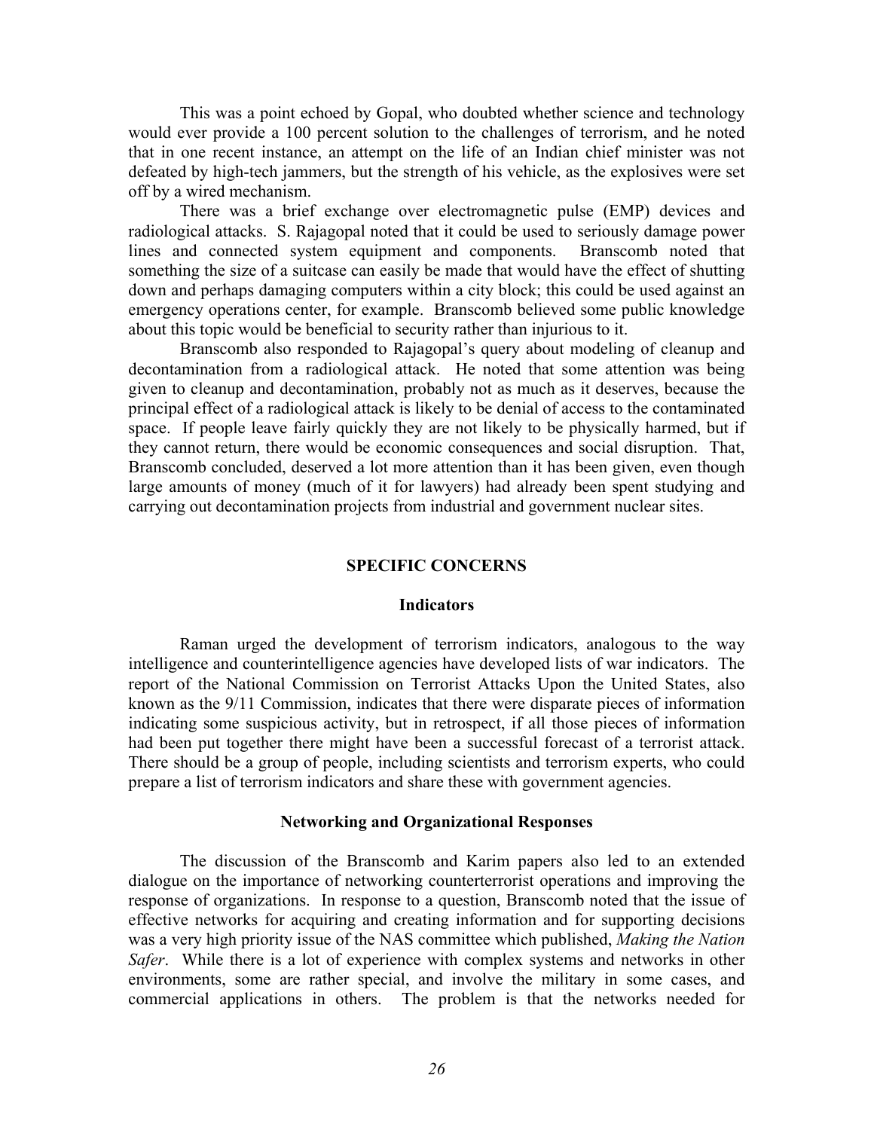This was a point echoed by Gopal, who doubted whether science and technology would ever provide a 100 percent solution to the challenges of terrorism, and he noted that in one recent instance, an attempt on the life of an Indian chief minister was not defeated by high-tech jammers, but the strength of his vehicle, as the explosives were set off by a wired mechanism.

There was a brief exchange over electromagnetic pulse (EMP) devices and radiological attacks. S. Rajagopal noted that it could be used to seriously damage power lines and connected system equipment and components. Branscomb noted that something the size of a suitcase can easily be made that would have the effect of shutting down and perhaps damaging computers within a city block; this could be used against an emergency operations center, for example. Branscomb believed some public knowledge about this topic would be beneficial to security rather than injurious to it.

Branscomb also responded to Rajagopal's query about modeling of cleanup and decontamination from a radiological attack. He noted that some attention was being given to cleanup and decontamination, probably not as much as it deserves, because the principal effect of a radiological attack is likely to be denial of access to the contaminated space. If people leave fairly quickly they are not likely to be physically harmed, but if they cannot return, there would be economic consequences and social disruption. That, Branscomb concluded, deserved a lot more attention than it has been given, even though large amounts of money (much of it for lawyers) had already been spent studying and carrying out decontamination projects from industrial and government nuclear sites.

#### **SPECIFIC CONCERNS**

#### **Indicators**

Raman urged the development of terrorism indicators, analogous to the way intelligence and counterintelligence agencies have developed lists of war indicators. The report of the National Commission on Terrorist Attacks Upon the United States, also known as the 9/11 Commission, indicates that there were disparate pieces of information indicating some suspicious activity, but in retrospect, if all those pieces of information had been put together there might have been a successful forecast of a terrorist attack. There should be a group of people, including scientists and terrorism experts, who could prepare a list of terrorism indicators and share these with government agencies.

#### **Networking and Organizational Responses**

The discussion of the Branscomb and Karim papers also led to an extended dialogue on the importance of networking counterterrorist operations and improving the response of organizations. In response to a question, Branscomb noted that the issue of effective networks for acquiring and creating information and for supporting decisions was a very high priority issue of the NAS committee which published, *Making the Nation Safer*. While there is a lot of experience with complex systems and networks in other environments, some are rather special, and involve the military in some cases, and commercial applications in others. The problem is that the networks needed for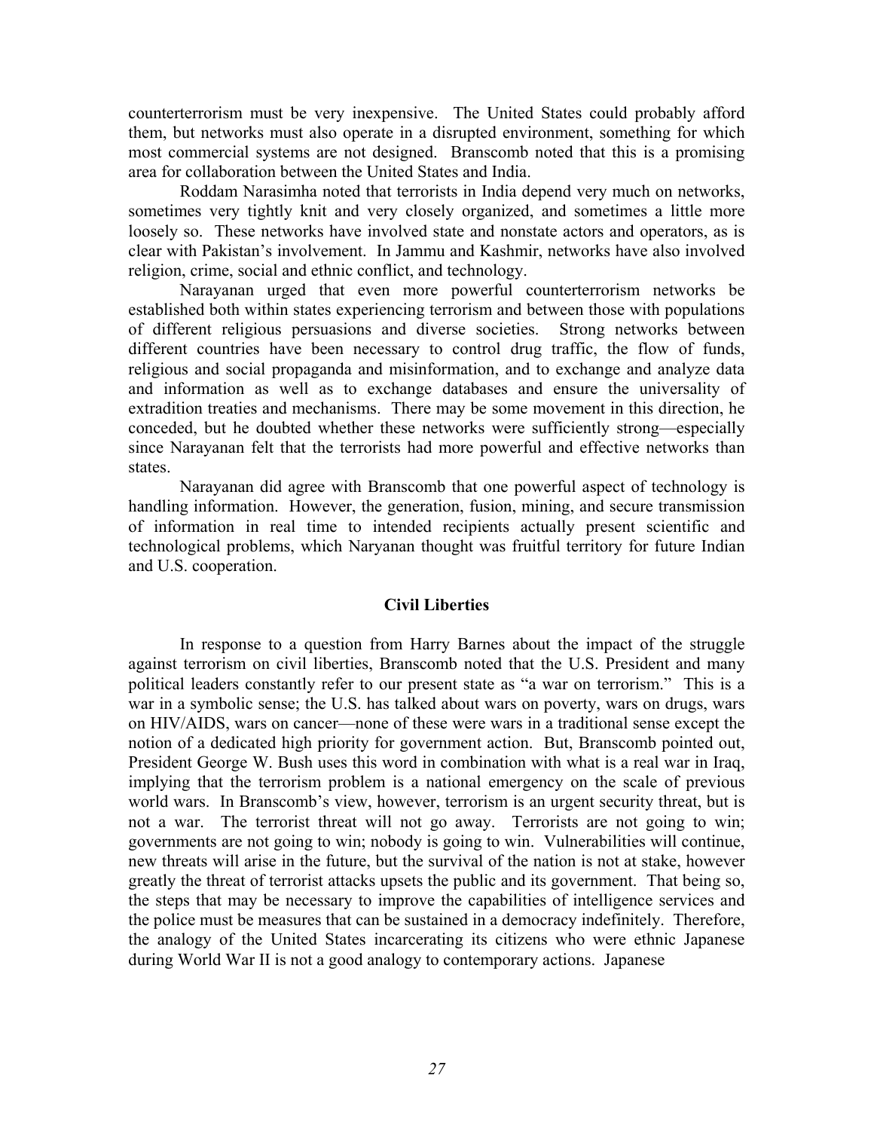counterterrorism must be very inexpensive. The United States could probably afford them, but networks must also operate in a disrupted environment, something for which most commercial systems are not designed. Branscomb noted that this is a promising area for collaboration between the United States and India.

Roddam Narasimha noted that terrorists in India depend very much on networks, sometimes very tightly knit and very closely organized, and sometimes a little more loosely so. These networks have involved state and nonstate actors and operators, as is clear with Pakistan's involvement. In Jammu and Kashmir, networks have also involved religion, crime, social and ethnic conflict, and technology.

Narayanan urged that even more powerful counterterrorism networks be established both within states experiencing terrorism and between those with populations of different religious persuasions and diverse societies. Strong networks between different countries have been necessary to control drug traffic, the flow of funds, religious and social propaganda and misinformation, and to exchange and analyze data and information as well as to exchange databases and ensure the universality of extradition treaties and mechanisms. There may be some movement in this direction, he conceded, but he doubted whether these networks were sufficiently strong—especially since Narayanan felt that the terrorists had more powerful and effective networks than states.

Narayanan did agree with Branscomb that one powerful aspect of technology is handling information. However, the generation, fusion, mining, and secure transmission of information in real time to intended recipients actually present scientific and technological problems, which Naryanan thought was fruitful territory for future Indian and U.S. cooperation.

## **Civil Liberties**

In response to a question from Harry Barnes about the impact of the struggle against terrorism on civil liberties, Branscomb noted that the U.S. President and many political leaders constantly refer to our present state as "a war on terrorism." This is a war in a symbolic sense; the U.S. has talked about wars on poverty, wars on drugs, wars on HIV/AIDS, wars on cancer—none of these were wars in a traditional sense except the notion of a dedicated high priority for government action. But, Branscomb pointed out, President George W. Bush uses this word in combination with what is a real war in Iraq, implying that the terrorism problem is a national emergency on the scale of previous world wars. In Branscomb's view, however, terrorism is an urgent security threat, but is not a war. The terrorist threat will not go away. Terrorists are not going to win; governments are not going to win; nobody is going to win. Vulnerabilities will continue, new threats will arise in the future, but the survival of the nation is not at stake, however greatly the threat of terrorist attacks upsets the public and its government. That being so, the steps that may be necessary to improve the capabilities of intelligence services and the police must be measures that can be sustained in a democracy indefinitely. Therefore, the analogy of the United States incarcerating its citizens who were ethnic Japanese during World War II is not a good analogy to contemporary actions. Japanese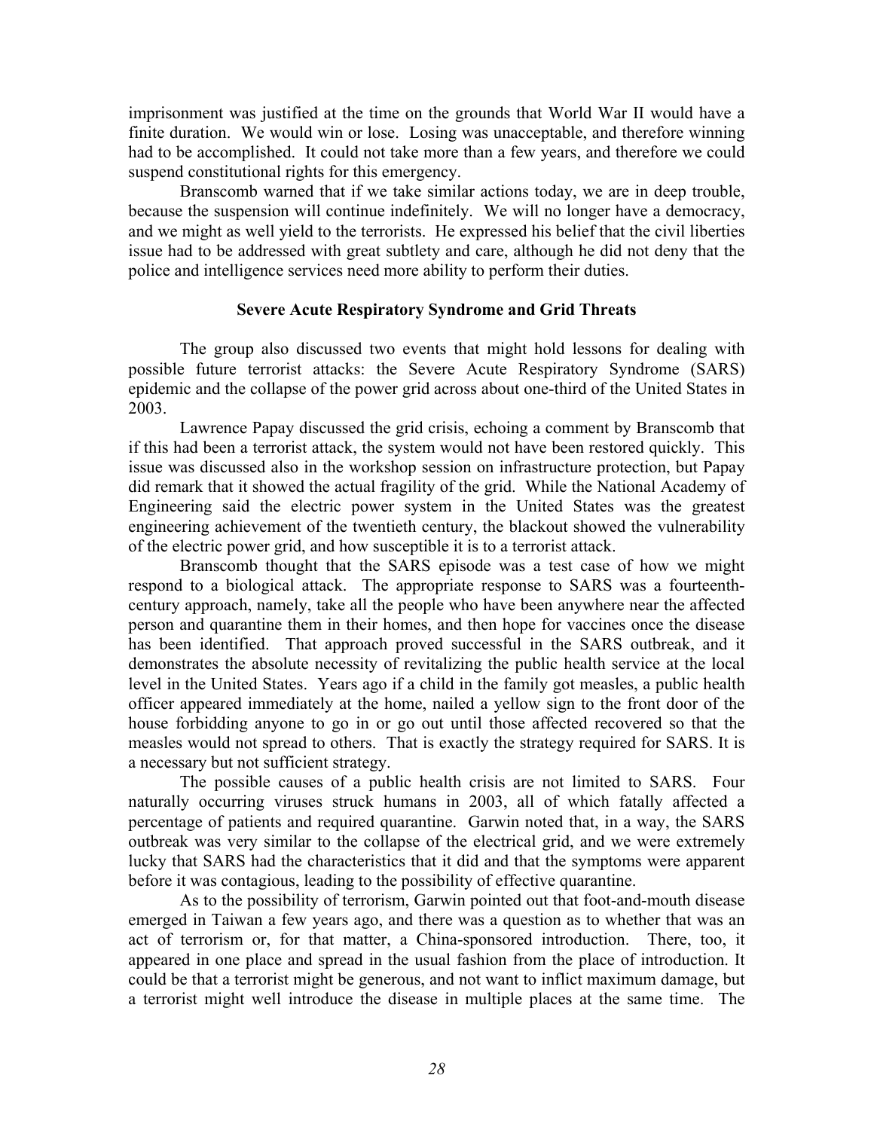imprisonment was justified at the time on the grounds that World War II would have a finite duration. We would win or lose. Losing was unacceptable, and therefore winning had to be accomplished. It could not take more than a few years, and therefore we could suspend constitutional rights for this emergency.

Branscomb warned that if we take similar actions today, we are in deep trouble, because the suspension will continue indefinitely. We will no longer have a democracy, and we might as well yield to the terrorists. He expressed his belief that the civil liberties issue had to be addressed with great subtlety and care, although he did not deny that the police and intelligence services need more ability to perform their duties.

### **Severe Acute Respiratory Syndrome and Grid Threats**

The group also discussed two events that might hold lessons for dealing with possible future terrorist attacks: the Severe Acute Respiratory Syndrome (SARS) epidemic and the collapse of the power grid across about one-third of the United States in 2003.

Lawrence Papay discussed the grid crisis, echoing a comment by Branscomb that if this had been a terrorist attack, the system would not have been restored quickly. This issue was discussed also in the workshop session on infrastructure protection, but Papay did remark that it showed the actual fragility of the grid. While the National Academy of Engineering said the electric power system in the United States was the greatest engineering achievement of the twentieth century, the blackout showed the vulnerability of the electric power grid, and how susceptible it is to a terrorist attack.

Branscomb thought that the SARS episode was a test case of how we might respond to a biological attack. The appropriate response to SARS was a fourteenthcentury approach, namely, take all the people who have been anywhere near the affected person and quarantine them in their homes, and then hope for vaccines once the disease has been identified. That approach proved successful in the SARS outbreak, and it demonstrates the absolute necessity of revitalizing the public health service at the local level in the United States. Years ago if a child in the family got measles, a public health officer appeared immediately at the home, nailed a yellow sign to the front door of the house forbidding anyone to go in or go out until those affected recovered so that the measles would not spread to others. That is exactly the strategy required for SARS. It is a necessary but not sufficient strategy.

The possible causes of a public health crisis are not limited to SARS. Four naturally occurring viruses struck humans in 2003, all of which fatally affected a percentage of patients and required quarantine. Garwin noted that, in a way, the SARS outbreak was very similar to the collapse of the electrical grid, and we were extremely lucky that SARS had the characteristics that it did and that the symptoms were apparent before it was contagious, leading to the possibility of effective quarantine.

As to the possibility of terrorism, Garwin pointed out that foot-and-mouth disease emerged in Taiwan a few years ago, and there was a question as to whether that was an act of terrorism or, for that matter, a China-sponsored introduction. There, too, it appeared in one place and spread in the usual fashion from the place of introduction. It could be that a terrorist might be generous, and not want to inflict maximum damage, but a terrorist might well introduce the disease in multiple places at the same time. The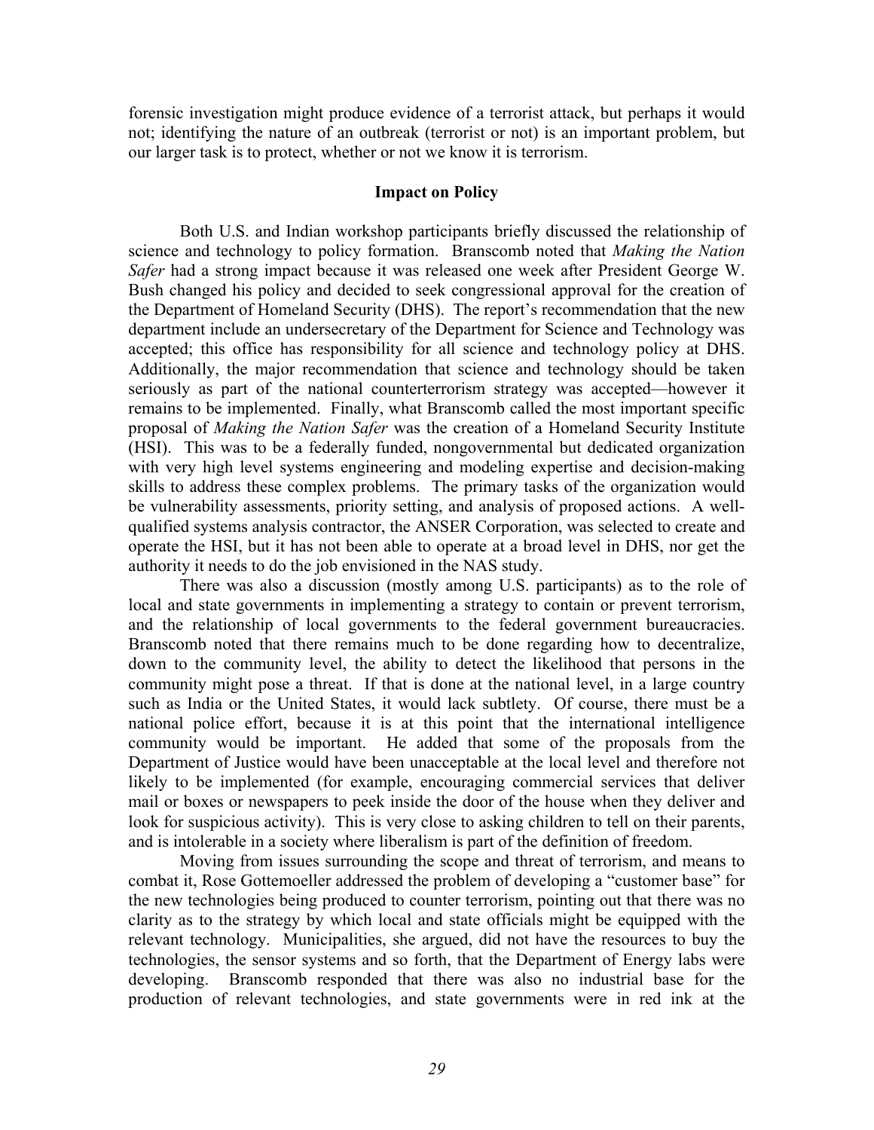forensic investigation might produce evidence of a terrorist attack, but perhaps it would not; identifying the nature of an outbreak (terrorist or not) is an important problem, but our larger task is to protect, whether or not we know it is terrorism.

## **Impact on Policy**

Both U.S. and Indian workshop participants briefly discussed the relationship of science and technology to policy formation. Branscomb noted that *Making the Nation Safer* had a strong impact because it was released one week after President George W. Bush changed his policy and decided to seek congressional approval for the creation of the Department of Homeland Security (DHS). The report's recommendation that the new department include an undersecretary of the Department for Science and Technology was accepted; this office has responsibility for all science and technology policy at DHS. Additionally, the major recommendation that science and technology should be taken seriously as part of the national counterterrorism strategy was accepted—however it remains to be implemented. Finally, what Branscomb called the most important specific proposal of *Making the Nation Safer* was the creation of a Homeland Security Institute (HSI). This was to be a federally funded, nongovernmental but dedicated organization with very high level systems engineering and modeling expertise and decision-making skills to address these complex problems. The primary tasks of the organization would be vulnerability assessments, priority setting, and analysis of proposed actions. A wellqualified systems analysis contractor, the ANSER Corporation, was selected to create and operate the HSI, but it has not been able to operate at a broad level in DHS, nor get the authority it needs to do the job envisioned in the NAS study.

There was also a discussion (mostly among U.S. participants) as to the role of local and state governments in implementing a strategy to contain or prevent terrorism, and the relationship of local governments to the federal government bureaucracies. Branscomb noted that there remains much to be done regarding how to decentralize, down to the community level, the ability to detect the likelihood that persons in the community might pose a threat. If that is done at the national level, in a large country such as India or the United States, it would lack subtlety. Of course, there must be a national police effort, because it is at this point that the international intelligence community would be important. He added that some of the proposals from the Department of Justice would have been unacceptable at the local level and therefore not likely to be implemented (for example, encouraging commercial services that deliver mail or boxes or newspapers to peek inside the door of the house when they deliver and look for suspicious activity). This is very close to asking children to tell on their parents, and is intolerable in a society where liberalism is part of the definition of freedom.

Moving from issues surrounding the scope and threat of terrorism, and means to combat it, Rose Gottemoeller addressed the problem of developing a "customer base" for the new technologies being produced to counter terrorism, pointing out that there was no clarity as to the strategy by which local and state officials might be equipped with the relevant technology. Municipalities, she argued, did not have the resources to buy the technologies, the sensor systems and so forth, that the Department of Energy labs were developing. Branscomb responded that there was also no industrial base for the production of relevant technologies, and state governments were in red ink at the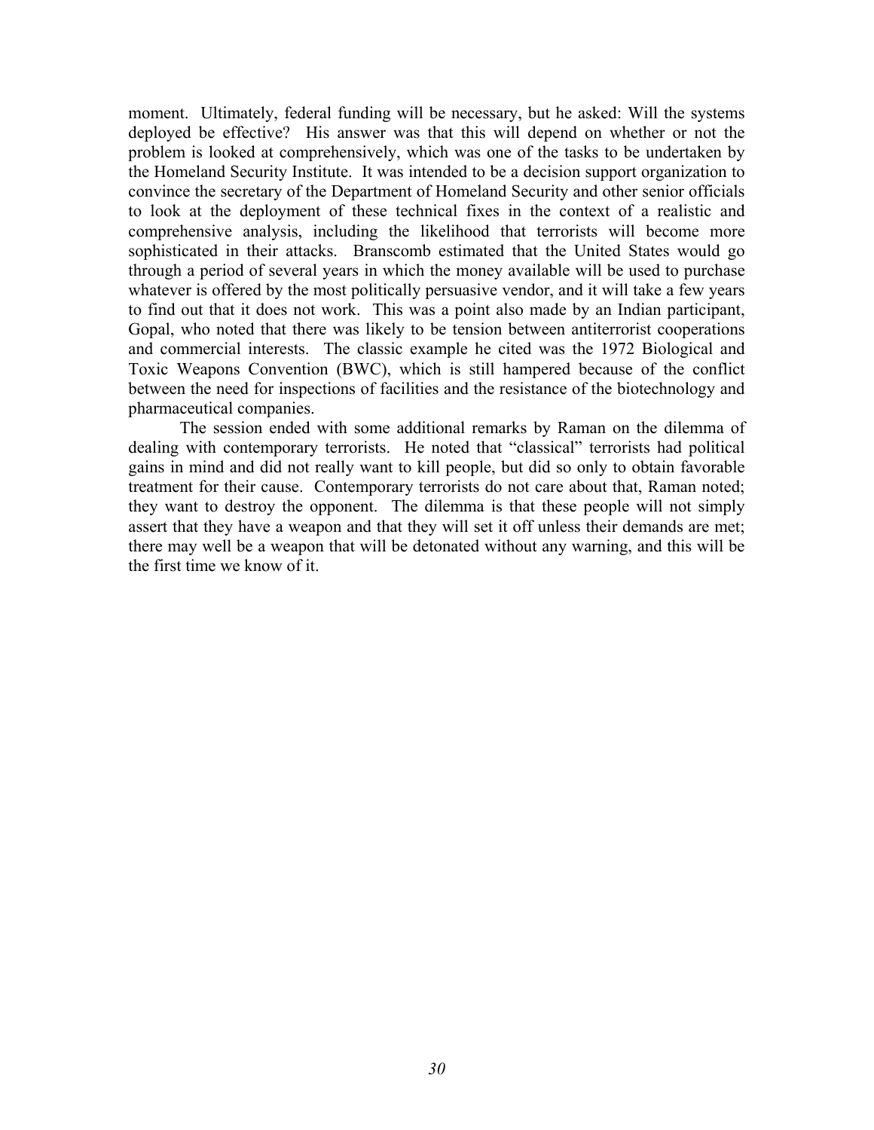moment. Ultimately, federal funding will be necessary, but he asked: Will the systems deployed be effective? His answer was that this will depend on whether or not the problem is looked at comprehensively, which was one of the tasks to be undertaken by the Homeland Security Institute. It was intended to be a decision support organization to convince the secretary of the Department of Homeland Security and other senior officials to look at the deployment of these technical fixes in the context of a realistic and comprehensive analysis, including the likelihood that terrorists will become more sophisticated in their attacks. Branscomb estimated that the United States would go through a period of several years in which the money available will be used to purchase whatever is offered by the most politically persuasive vendor, and it will take a few years to find out that it does not work. This was a point also made by an Indian participant, Gopal, who noted that there was likely to be tension between antiterrorist cooperations and commercial interests. The classic example he cited was the 1972 Biological and Toxic Weapons Convention (BWC), which is still hampered because of the conflict between the need for inspections of facilities and the resistance of the biotechnology and pharmaceutical companies.

The session ended with some additional remarks by Raman on the dilemma of dealing with contemporary terrorists. He noted that "classical" terrorists had political gains in mind and did not really want to kill people, but did so only to obtain favorable treatment for their cause. Contemporary terrorists do not care about that, Raman noted; they want to destroy the opponent. The dilemma is that these people will not simply assert that they have a weapon and that they will set it off unless their demands are met; there may well be a weapon that will be detonated without any warning, and this will be the first time we know of it.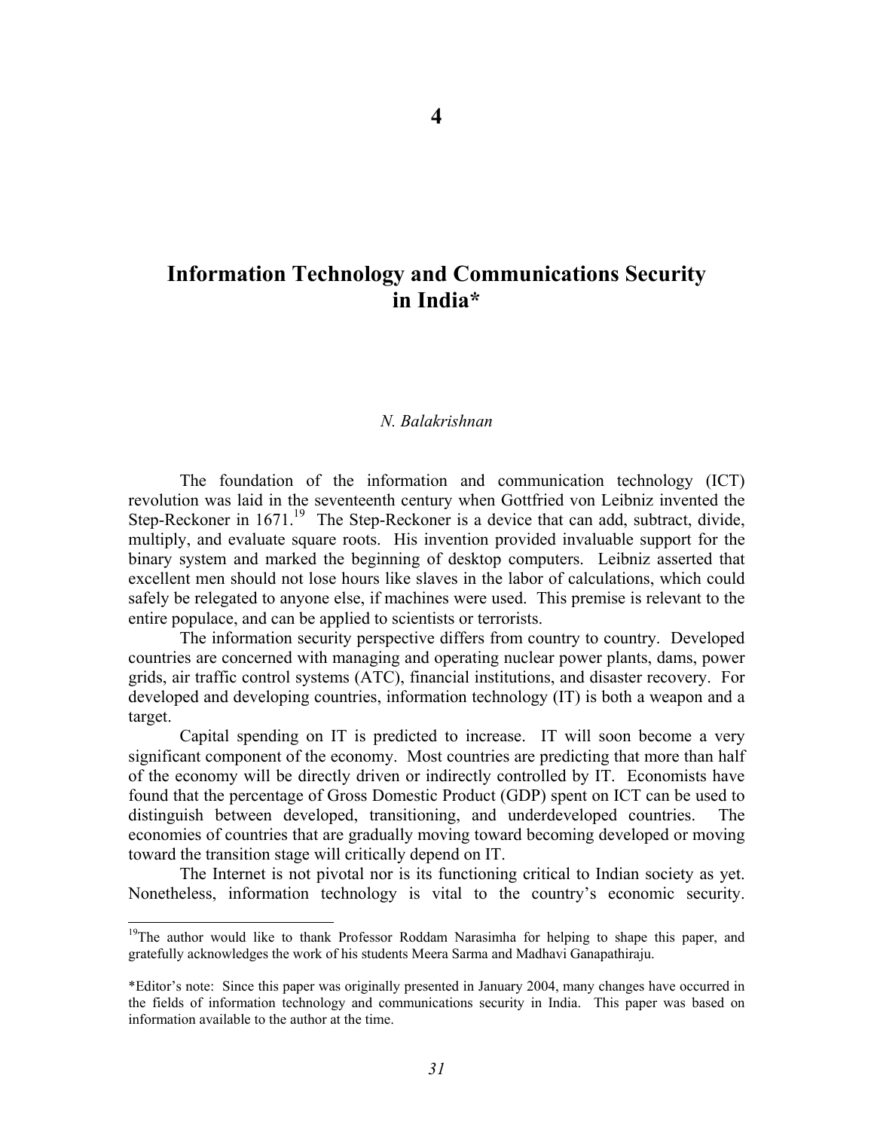# **Information Technology and Communications Security in India\***

#### *N. Balakrishnan*

The foundation of the information and communication technology (ICT) revolution was laid in the seventeenth century when Gottfried von Leibniz invented the Step-Reckoner in  $1671$ <sup>19</sup> The Step-Reckoner is a device that can add, subtract, divide, multiply, and evaluate square roots. His invention provided invaluable support for the binary system and marked the beginning of desktop computers. Leibniz asserted that excellent men should not lose hours like slaves in the labor of calculations, which could safely be relegated to anyone else, if machines were used. This premise is relevant to the entire populace, and can be applied to scientists or terrorists.

The information security perspective differs from country to country. Developed countries are concerned with managing and operating nuclear power plants, dams, power grids, air traffic control systems (ATC), financial institutions, and disaster recovery. For developed and developing countries, information technology (IT) is both a weapon and a target.

Capital spending on IT is predicted to increase. IT will soon become a very significant component of the economy. Most countries are predicting that more than half of the economy will be directly driven or indirectly controlled by IT. Economists have found that the percentage of Gross Domestic Product (GDP) spent on ICT can be used to distinguish between developed, transitioning, and underdeveloped countries. The economies of countries that are gradually moving toward becoming developed or moving toward the transition stage will critically depend on IT.

The Internet is not pivotal nor is its functioning critical to Indian society as yet. Nonetheless, information technology is vital to the country's economic security.

l

<sup>&</sup>lt;sup>19</sup>The author would like to thank Professor Roddam Narasimha for helping to shape this paper, and gratefully acknowledges the work of his students Meera Sarma and Madhavi Ganapathiraju.

<sup>\*</sup>Editor's note: Since this paper was originally presented in January 2004, many changes have occurred in the fields of information technology and communications security in India. This paper was based on information available to the author at the time.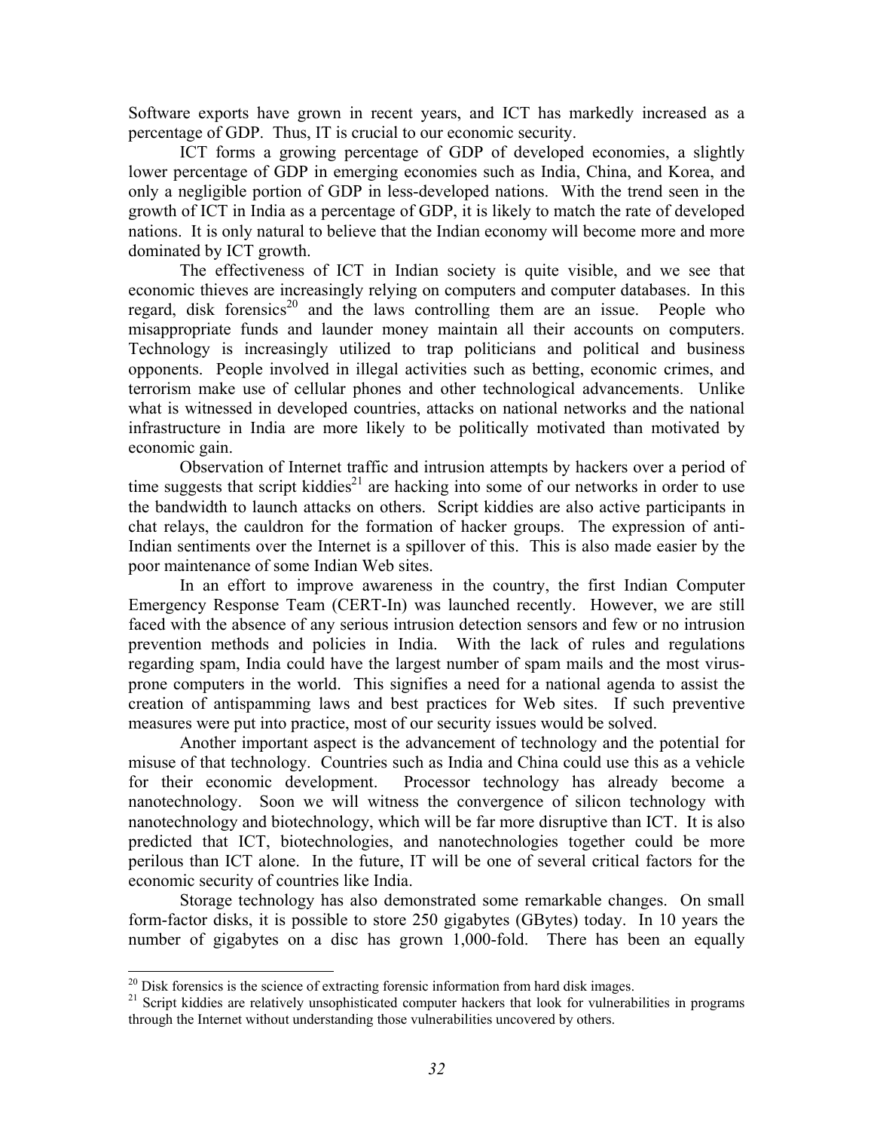Software exports have grown in recent years, and ICT has markedly increased as a percentage of GDP. Thus, IT is crucial to our economic security.

ICT forms a growing percentage of GDP of developed economies, a slightly lower percentage of GDP in emerging economies such as India, China, and Korea, and only a negligible portion of GDP in less-developed nations. With the trend seen in the growth of ICT in India as a percentage of GDP, it is likely to match the rate of developed nations. It is only natural to believe that the Indian economy will become more and more dominated by ICT growth.

The effectiveness of ICT in Indian society is quite visible, and we see that economic thieves are increasingly relying on computers and computer databases. In this regard, disk forensics<sup>20</sup> and the laws controlling them are an issue. People who misappropriate funds and launder money maintain all their accounts on computers. Technology is increasingly utilized to trap politicians and political and business opponents. People involved in illegal activities such as betting, economic crimes, and terrorism make use of cellular phones and other technological advancements. Unlike what is witnessed in developed countries, attacks on national networks and the national infrastructure in India are more likely to be politically motivated than motivated by economic gain.

Observation of Internet traffic and intrusion attempts by hackers over a period of time suggests that script kiddies<sup>21</sup> are hacking into some of our networks in order to use the bandwidth to launch attacks on others. Script kiddies are also active participants in chat relays, the cauldron for the formation of hacker groups. The expression of anti-Indian sentiments over the Internet is a spillover of this. This is also made easier by the poor maintenance of some Indian Web sites.

In an effort to improve awareness in the country, the first Indian Computer Emergency Response Team (CERT-In) was launched recently. However, we are still faced with the absence of any serious intrusion detection sensors and few or no intrusion prevention methods and policies in India. With the lack of rules and regulations regarding spam, India could have the largest number of spam mails and the most virusprone computers in the world. This signifies a need for a national agenda to assist the creation of antispamming laws and best practices for Web sites. If such preventive measures were put into practice, most of our security issues would be solved.

Another important aspect is the advancement of technology and the potential for misuse of that technology. Countries such as India and China could use this as a vehicle for their economic development. Processor technology has already become a nanotechnology. Soon we will witness the convergence of silicon technology with nanotechnology and biotechnology, which will be far more disruptive than ICT. It is also predicted that ICT, biotechnologies, and nanotechnologies together could be more perilous than ICT alone. In the future, IT will be one of several critical factors for the economic security of countries like India.

Storage technology has also demonstrated some remarkable changes. On small form-factor disks, it is possible to store 250 gigabytes (GBytes) today. In 10 years the number of gigabytes on a disc has grown 1,000-fold. There has been an equally

 $^{20}$  Disk forensics is the science of extracting forensic information from hard disk images.

<sup>&</sup>lt;sup>21</sup> Script kiddies are relatively unsophisticated computer hackers that look for vulnerabilities in programs through the Internet without understanding those vulnerabilities uncovered by others.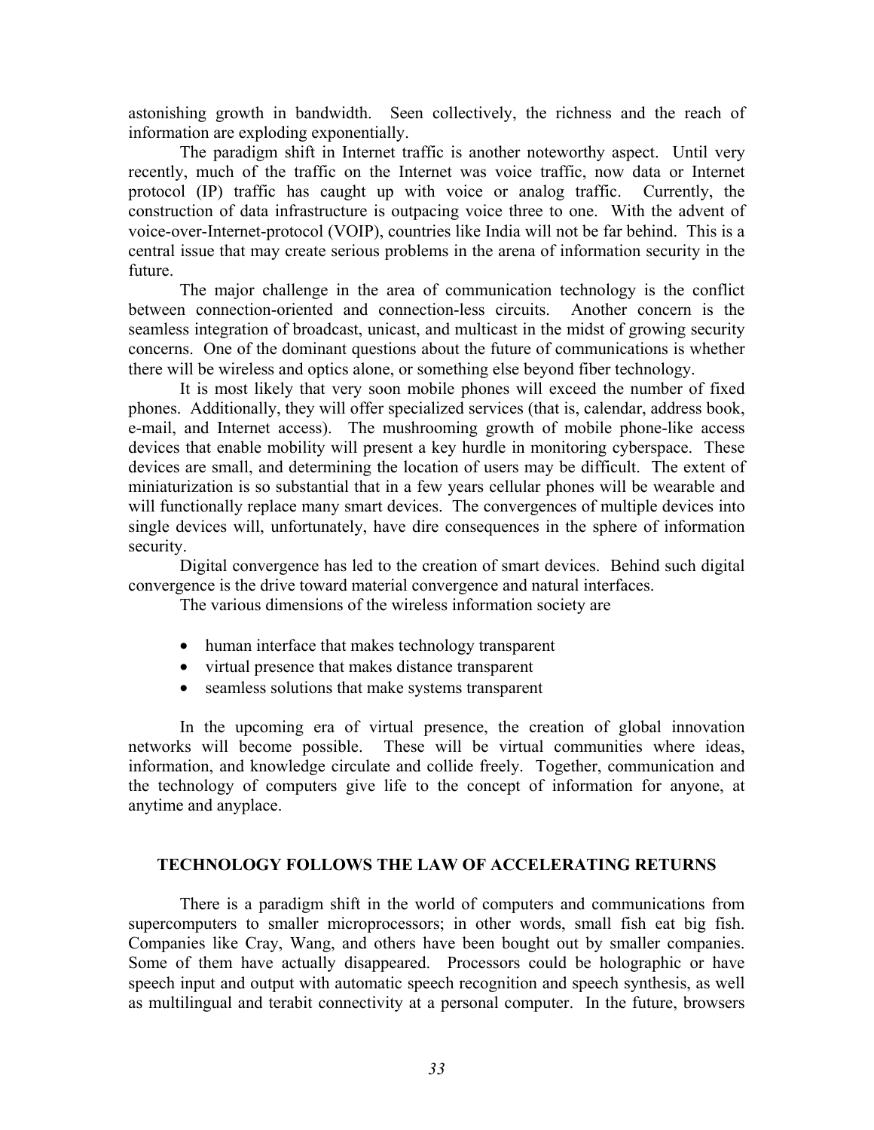astonishing growth in bandwidth. Seen collectively, the richness and the reach of information are exploding exponentially.

The paradigm shift in Internet traffic is another noteworthy aspect. Until very recently, much of the traffic on the Internet was voice traffic, now data or Internet protocol (IP) traffic has caught up with voice or analog traffic. Currently, the construction of data infrastructure is outpacing voice three to one. With the advent of voice-over-Internet-protocol (VOIP), countries like India will not be far behind. This is a central issue that may create serious problems in the arena of information security in the future.

The major challenge in the area of communication technology is the conflict between connection-oriented and connection-less circuits. Another concern is the seamless integration of broadcast, unicast, and multicast in the midst of growing security concerns. One of the dominant questions about the future of communications is whether there will be wireless and optics alone, or something else beyond fiber technology.

It is most likely that very soon mobile phones will exceed the number of fixed phones. Additionally, they will offer specialized services (that is, calendar, address book, e-mail, and Internet access). The mushrooming growth of mobile phone-like access devices that enable mobility will present a key hurdle in monitoring cyberspace. These devices are small, and determining the location of users may be difficult. The extent of miniaturization is so substantial that in a few years cellular phones will be wearable and will functionally replace many smart devices. The convergences of multiple devices into single devices will, unfortunately, have dire consequences in the sphere of information security.

Digital convergence has led to the creation of smart devices. Behind such digital convergence is the drive toward material convergence and natural interfaces.

The various dimensions of the wireless information society are

- human interface that makes technology transparent
- virtual presence that makes distance transparent
- seamless solutions that make systems transparent

In the upcoming era of virtual presence, the creation of global innovation networks will become possible. These will be virtual communities where ideas, information, and knowledge circulate and collide freely. Together, communication and the technology of computers give life to the concept of information for anyone, at anytime and anyplace.

## **TECHNOLOGY FOLLOWS THE LAW OF ACCELERATING RETURNS**

There is a paradigm shift in the world of computers and communications from supercomputers to smaller microprocessors; in other words, small fish eat big fish. Companies like Cray, Wang, and others have been bought out by smaller companies. Some of them have actually disappeared. Processors could be holographic or have speech input and output with automatic speech recognition and speech synthesis, as well as multilingual and terabit connectivity at a personal computer. In the future, browsers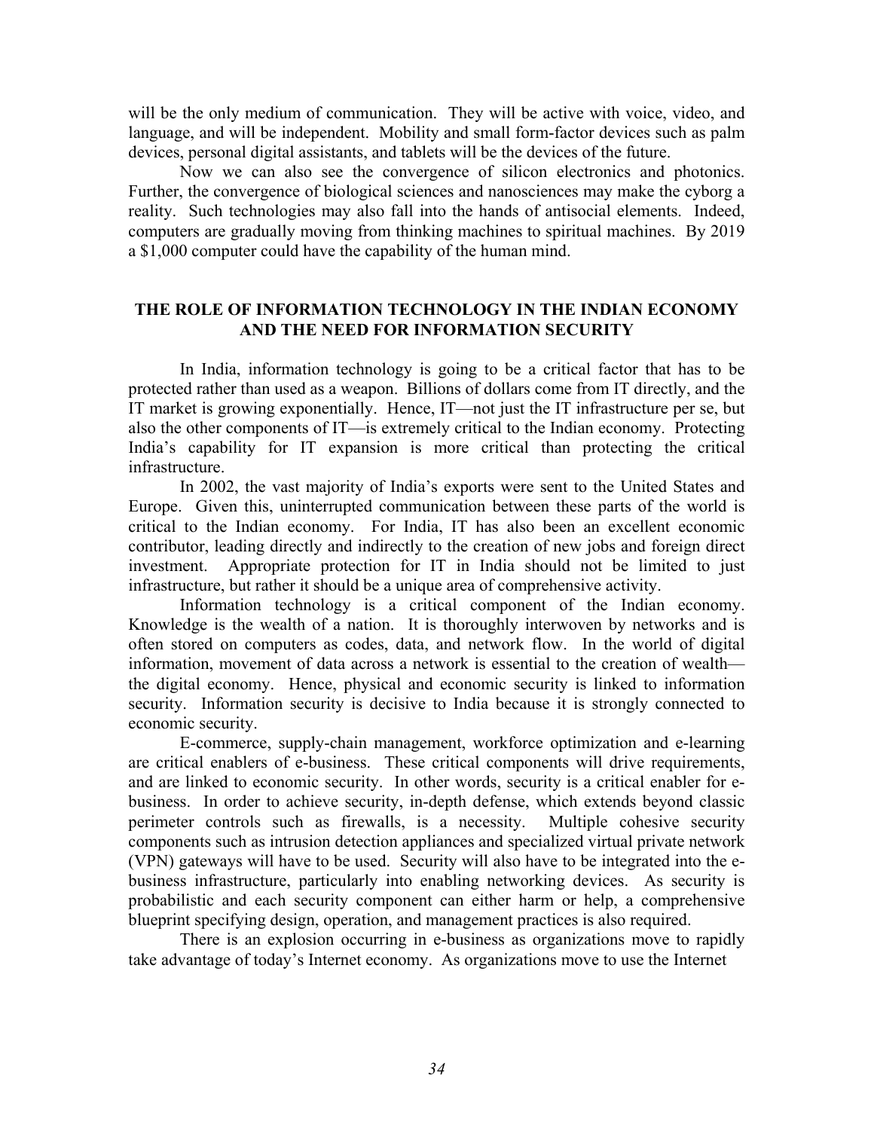will be the only medium of communication. They will be active with voice, video, and language, and will be independent. Mobility and small form-factor devices such as palm devices, personal digital assistants, and tablets will be the devices of the future.

Now we can also see the convergence of silicon electronics and photonics. Further, the convergence of biological sciences and nanosciences may make the cyborg a reality. Such technologies may also fall into the hands of antisocial elements. Indeed, computers are gradually moving from thinking machines to spiritual machines. By 2019 a \$1,000 computer could have the capability of the human mind.

## **THE ROLE OF INFORMATION TECHNOLOGY IN THE INDIAN ECONOMY AND THE NEED FOR INFORMATION SECURITY**

In India, information technology is going to be a critical factor that has to be protected rather than used as a weapon. Billions of dollars come from IT directly, and the IT market is growing exponentially. Hence, IT—not just the IT infrastructure per se, but also the other components of IT—is extremely critical to the Indian economy. Protecting India's capability for IT expansion is more critical than protecting the critical infrastructure.

In 2002, the vast majority of India's exports were sent to the United States and Europe. Given this, uninterrupted communication between these parts of the world is critical to the Indian economy. For India, IT has also been an excellent economic contributor, leading directly and indirectly to the creation of new jobs and foreign direct investment. Appropriate protection for IT in India should not be limited to just infrastructure, but rather it should be a unique area of comprehensive activity.

Information technology is a critical component of the Indian economy. Knowledge is the wealth of a nation. It is thoroughly interwoven by networks and is often stored on computers as codes, data, and network flow. In the world of digital information, movement of data across a network is essential to the creation of wealth the digital economy. Hence, physical and economic security is linked to information security. Information security is decisive to India because it is strongly connected to economic security.

E-commerce, supply-chain management, workforce optimization and e-learning are critical enablers of e-business. These critical components will drive requirements, and are linked to economic security. In other words, security is a critical enabler for ebusiness. In order to achieve security, in-depth defense, which extends beyond classic perimeter controls such as firewalls, is a necessity. Multiple cohesive security components such as intrusion detection appliances and specialized virtual private network (VPN) gateways will have to be used. Security will also have to be integrated into the ebusiness infrastructure, particularly into enabling networking devices. As security is probabilistic and each security component can either harm or help, a comprehensive blueprint specifying design, operation, and management practices is also required.

There is an explosion occurring in e-business as organizations move to rapidly take advantage of today's Internet economy. As organizations move to use the Internet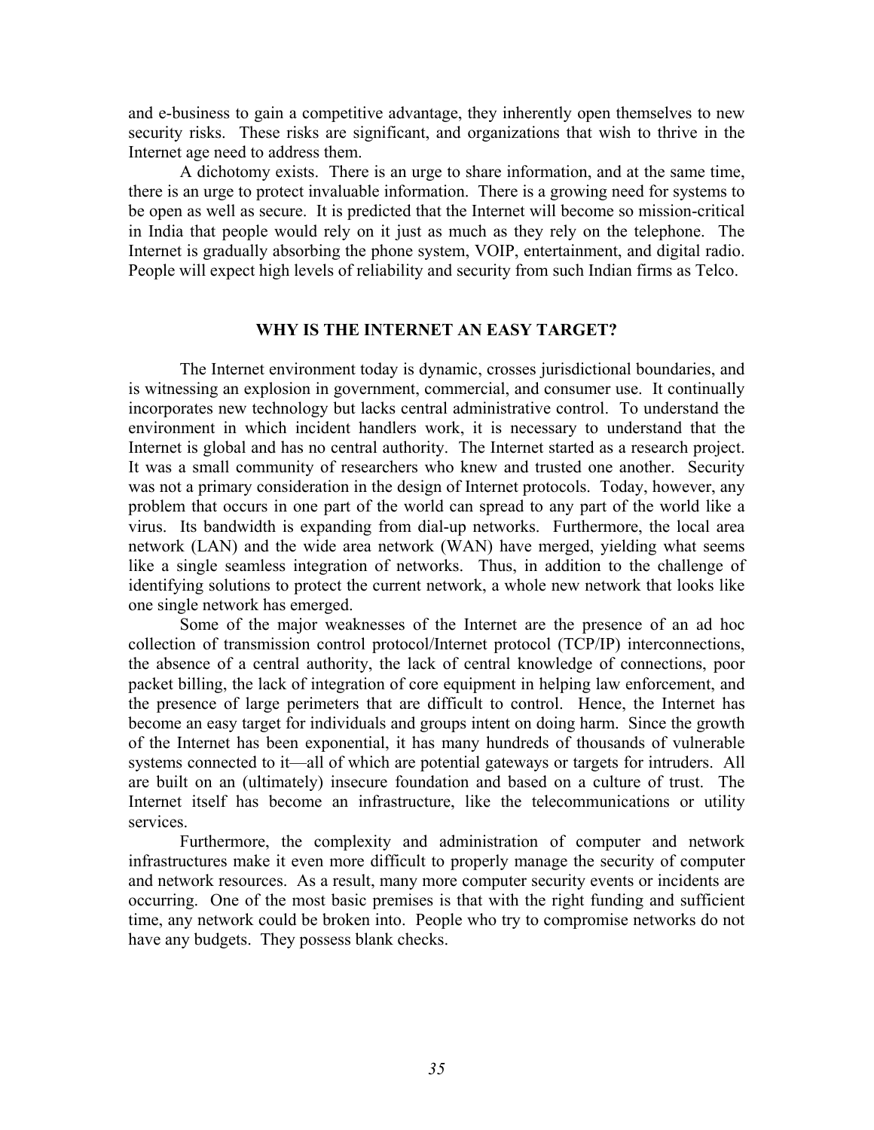and e-business to gain a competitive advantage, they inherently open themselves to new security risks. These risks are significant, and organizations that wish to thrive in the Internet age need to address them.

A dichotomy exists. There is an urge to share information, and at the same time, there is an urge to protect invaluable information. There is a growing need for systems to be open as well as secure. It is predicted that the Internet will become so mission-critical in India that people would rely on it just as much as they rely on the telephone. The Internet is gradually absorbing the phone system, VOIP, entertainment, and digital radio. People will expect high levels of reliability and security from such Indian firms as Telco.

## **WHY IS THE INTERNET AN EASY TARGET?**

The Internet environment today is dynamic, crosses jurisdictional boundaries, and is witnessing an explosion in government, commercial, and consumer use. It continually incorporates new technology but lacks central administrative control. To understand the environment in which incident handlers work, it is necessary to understand that the Internet is global and has no central authority. The Internet started as a research project. It was a small community of researchers who knew and trusted one another. Security was not a primary consideration in the design of Internet protocols. Today, however, any problem that occurs in one part of the world can spread to any part of the world like a virus. Its bandwidth is expanding from dial-up networks. Furthermore, the local area network (LAN) and the wide area network (WAN) have merged, yielding what seems like a single seamless integration of networks. Thus, in addition to the challenge of identifying solutions to protect the current network, a whole new network that looks like one single network has emerged.

Some of the major weaknesses of the Internet are the presence of an ad hoc collection of transmission control protocol/Internet protocol (TCP/IP) interconnections, the absence of a central authority, the lack of central knowledge of connections, poor packet billing, the lack of integration of core equipment in helping law enforcement, and the presence of large perimeters that are difficult to control. Hence, the Internet has become an easy target for individuals and groups intent on doing harm. Since the growth of the Internet has been exponential, it has many hundreds of thousands of vulnerable systems connected to it—all of which are potential gateways or targets for intruders. All are built on an (ultimately) insecure foundation and based on a culture of trust. The Internet itself has become an infrastructure, like the telecommunications or utility services.

Furthermore, the complexity and administration of computer and network infrastructures make it even more difficult to properly manage the security of computer and network resources. As a result, many more computer security events or incidents are occurring. One of the most basic premises is that with the right funding and sufficient time, any network could be broken into. People who try to compromise networks do not have any budgets. They possess blank checks.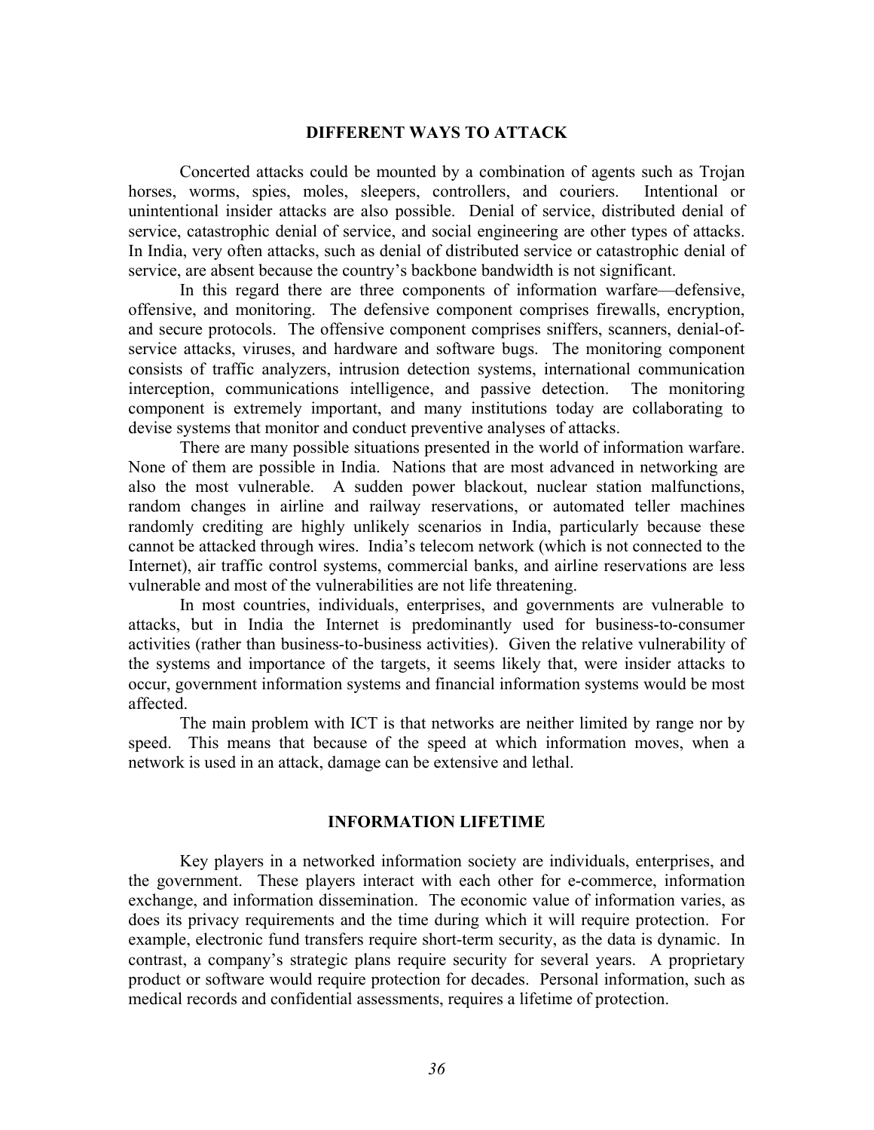### **DIFFERENT WAYS TO ATTACK**

Concerted attacks could be mounted by a combination of agents such as Trojan horses, worms, spies, moles, sleepers, controllers, and couriers. Intentional or unintentional insider attacks are also possible. Denial of service, distributed denial of service, catastrophic denial of service, and social engineering are other types of attacks. In India, very often attacks, such as denial of distributed service or catastrophic denial of service, are absent because the country's backbone bandwidth is not significant.

In this regard there are three components of information warfare—defensive, offensive, and monitoring. The defensive component comprises firewalls, encryption, and secure protocols. The offensive component comprises sniffers, scanners, denial-ofservice attacks, viruses, and hardware and software bugs. The monitoring component consists of traffic analyzers, intrusion detection systems, international communication interception, communications intelligence, and passive detection. The monitoring component is extremely important, and many institutions today are collaborating to devise systems that monitor and conduct preventive analyses of attacks.

There are many possible situations presented in the world of information warfare. None of them are possible in India. Nations that are most advanced in networking are also the most vulnerable. A sudden power blackout, nuclear station malfunctions, random changes in airline and railway reservations, or automated teller machines randomly crediting are highly unlikely scenarios in India, particularly because these cannot be attacked through wires. India's telecom network (which is not connected to the Internet), air traffic control systems, commercial banks, and airline reservations are less vulnerable and most of the vulnerabilities are not life threatening.

In most countries, individuals, enterprises, and governments are vulnerable to attacks, but in India the Internet is predominantly used for business-to-consumer activities (rather than business-to-business activities). Given the relative vulnerability of the systems and importance of the targets, it seems likely that, were insider attacks to occur, government information systems and financial information systems would be most affected.

The main problem with ICT is that networks are neither limited by range nor by speed. This means that because of the speed at which information moves, when a network is used in an attack, damage can be extensive and lethal.

## **INFORMATION LIFETIME**

Key players in a networked information society are individuals, enterprises, and the government. These players interact with each other for e-commerce, information exchange, and information dissemination. The economic value of information varies, as does its privacy requirements and the time during which it will require protection. For example, electronic fund transfers require short-term security, as the data is dynamic. In contrast, a company's strategic plans require security for several years. A proprietary product or software would require protection for decades. Personal information, such as medical records and confidential assessments, requires a lifetime of protection.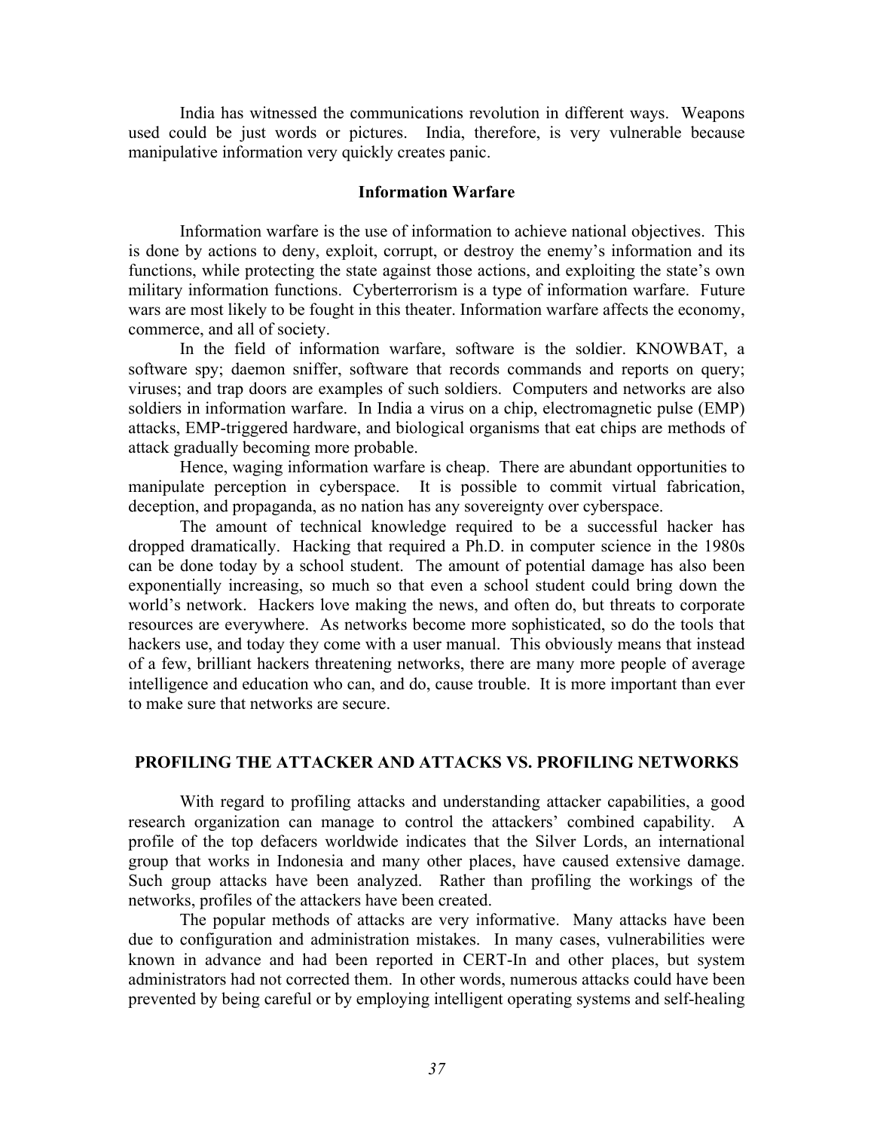India has witnessed the communications revolution in different ways. Weapons used could be just words or pictures. India, therefore, is very vulnerable because manipulative information very quickly creates panic.

#### **Information Warfare**

Information warfare is the use of information to achieve national objectives. This is done by actions to deny, exploit, corrupt, or destroy the enemy's information and its functions, while protecting the state against those actions, and exploiting the state's own military information functions. Cyberterrorism is a type of information warfare. Future wars are most likely to be fought in this theater. Information warfare affects the economy, commerce, and all of society.

In the field of information warfare, software is the soldier. KNOWBAT, a software spy; daemon sniffer, software that records commands and reports on query; viruses; and trap doors are examples of such soldiers. Computers and networks are also soldiers in information warfare. In India a virus on a chip, electromagnetic pulse (EMP) attacks, EMP-triggered hardware, and biological organisms that eat chips are methods of attack gradually becoming more probable.

Hence, waging information warfare is cheap. There are abundant opportunities to manipulate perception in cyberspace. It is possible to commit virtual fabrication, deception, and propaganda, as no nation has any sovereignty over cyberspace.

The amount of technical knowledge required to be a successful hacker has dropped dramatically. Hacking that required a Ph.D. in computer science in the 1980s can be done today by a school student. The amount of potential damage has also been exponentially increasing, so much so that even a school student could bring down the world's network. Hackers love making the news, and often do, but threats to corporate resources are everywhere. As networks become more sophisticated, so do the tools that hackers use, and today they come with a user manual. This obviously means that instead of a few, brilliant hackers threatening networks, there are many more people of average intelligence and education who can, and do, cause trouble. It is more important than ever to make sure that networks are secure.

## **PROFILING THE ATTACKER AND ATTACKS VS. PROFILING NETWORKS**

With regard to profiling attacks and understanding attacker capabilities, a good research organization can manage to control the attackers' combined capability. A profile of the top defacers worldwide indicates that the Silver Lords, an international group that works in Indonesia and many other places, have caused extensive damage. Such group attacks have been analyzed. Rather than profiling the workings of the networks, profiles of the attackers have been created.

The popular methods of attacks are very informative. Many attacks have been due to configuration and administration mistakes. In many cases, vulnerabilities were known in advance and had been reported in CERT-In and other places, but system administrators had not corrected them. In other words, numerous attacks could have been prevented by being careful or by employing intelligent operating systems and self-healing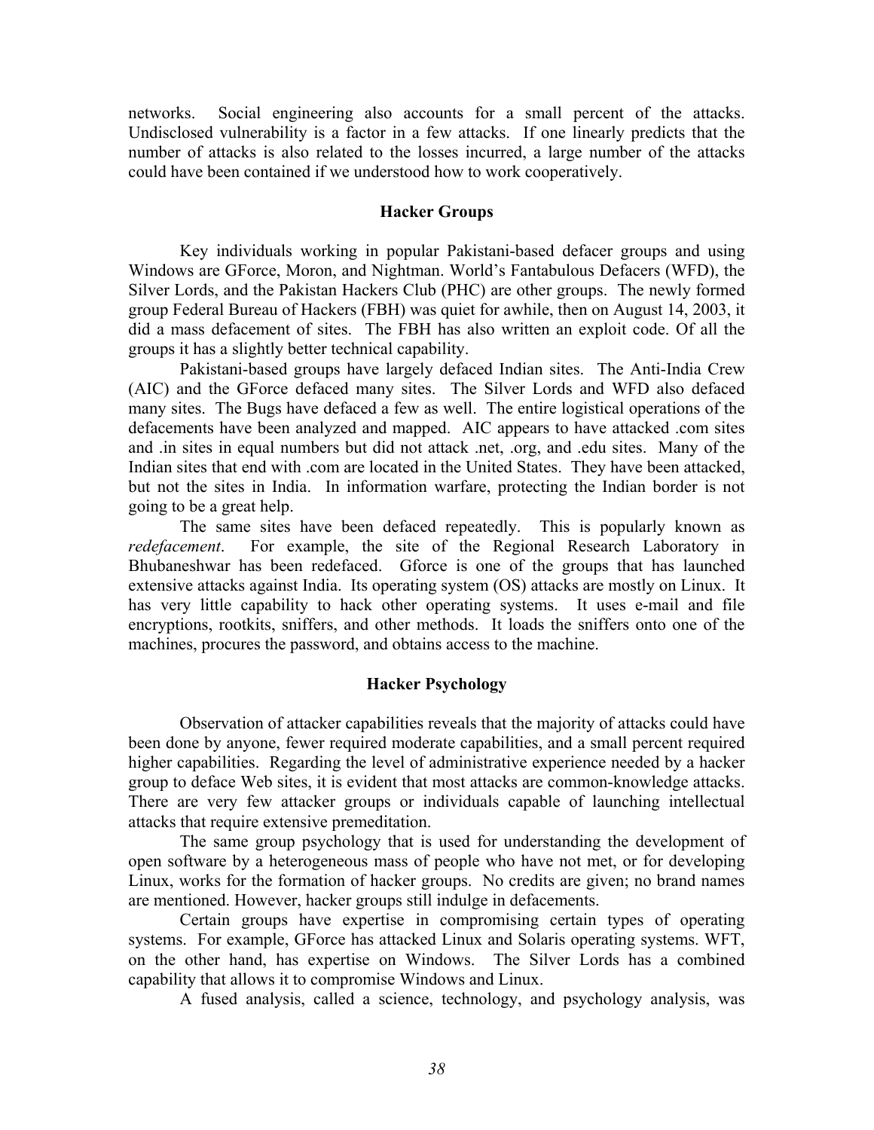networks. Social engineering also accounts for a small percent of the attacks. Undisclosed vulnerability is a factor in a few attacks. If one linearly predicts that the number of attacks is also related to the losses incurred, a large number of the attacks could have been contained if we understood how to work cooperatively.

### **Hacker Groups**

Key individuals working in popular Pakistani-based defacer groups and using Windows are GForce, Moron, and Nightman. World's Fantabulous Defacers (WFD), the Silver Lords, and the Pakistan Hackers Club (PHC) are other groups. The newly formed group Federal Bureau of Hackers (FBH) was quiet for awhile, then on August 14, 2003, it did a mass defacement of sites. The FBH has also written an exploit code. Of all the groups it has a slightly better technical capability.

Pakistani-based groups have largely defaced Indian sites. The Anti-India Crew (AIC) and the GForce defaced many sites. The Silver Lords and WFD also defaced many sites. The Bugs have defaced a few as well. The entire logistical operations of the defacements have been analyzed and mapped. AIC appears to have attacked .com sites and .in sites in equal numbers but did not attack .net, .org, and .edu sites. Many of the Indian sites that end with .com are located in the United States. They have been attacked, but not the sites in India. In information warfare, protecting the Indian border is not going to be a great help.

The same sites have been defaced repeatedly. This is popularly known as *redefacement*. For example, the site of the Regional Research Laboratory in Bhubaneshwar has been redefaced. Gforce is one of the groups that has launched extensive attacks against India. Its operating system (OS) attacks are mostly on Linux. It has very little capability to hack other operating systems. It uses e-mail and file encryptions, rootkits, sniffers, and other methods. It loads the sniffers onto one of the machines, procures the password, and obtains access to the machine.

## **Hacker Psychology**

Observation of attacker capabilities reveals that the majority of attacks could have been done by anyone, fewer required moderate capabilities, and a small percent required higher capabilities. Regarding the level of administrative experience needed by a hacker group to deface Web sites, it is evident that most attacks are common-knowledge attacks. There are very few attacker groups or individuals capable of launching intellectual attacks that require extensive premeditation.

The same group psychology that is used for understanding the development of open software by a heterogeneous mass of people who have not met, or for developing Linux, works for the formation of hacker groups. No credits are given; no brand names are mentioned. However, hacker groups still indulge in defacements.

Certain groups have expertise in compromising certain types of operating systems. For example, GForce has attacked Linux and Solaris operating systems. WFT, on the other hand, has expertise on Windows. The Silver Lords has a combined capability that allows it to compromise Windows and Linux.

A fused analysis, called a science, technology, and psychology analysis, was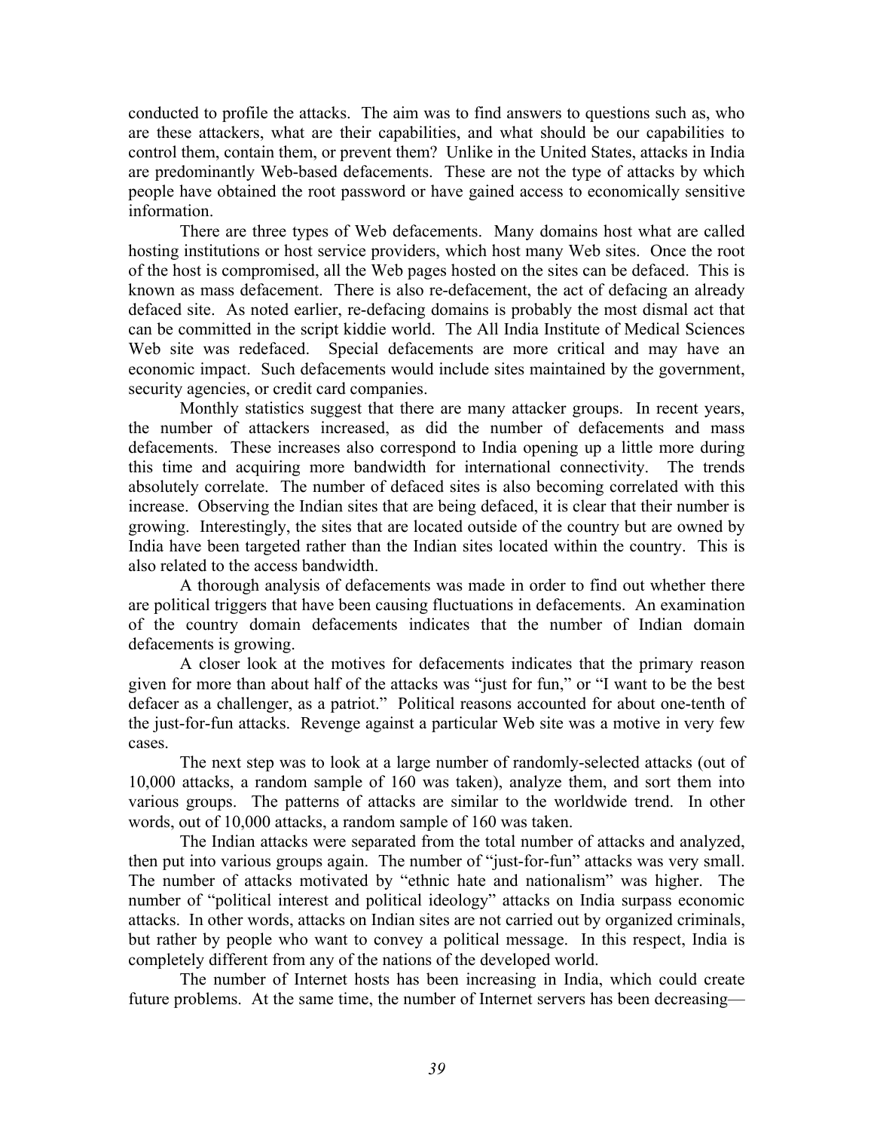conducted to profile the attacks. The aim was to find answers to questions such as, who are these attackers, what are their capabilities, and what should be our capabilities to control them, contain them, or prevent them? Unlike in the United States, attacks in India are predominantly Web-based defacements. These are not the type of attacks by which people have obtained the root password or have gained access to economically sensitive information.

There are three types of Web defacements. Many domains host what are called hosting institutions or host service providers, which host many Web sites. Once the root of the host is compromised, all the Web pages hosted on the sites can be defaced. This is known as mass defacement. There is also re-defacement, the act of defacing an already defaced site. As noted earlier, re-defacing domains is probably the most dismal act that can be committed in the script kiddie world. The All India Institute of Medical Sciences Web site was redefaced. Special defacements are more critical and may have an economic impact. Such defacements would include sites maintained by the government, security agencies, or credit card companies.

Monthly statistics suggest that there are many attacker groups. In recent years, the number of attackers increased, as did the number of defacements and mass defacements. These increases also correspond to India opening up a little more during this time and acquiring more bandwidth for international connectivity. The trends absolutely correlate. The number of defaced sites is also becoming correlated with this increase. Observing the Indian sites that are being defaced, it is clear that their number is growing. Interestingly, the sites that are located outside of the country but are owned by India have been targeted rather than the Indian sites located within the country. This is also related to the access bandwidth.

A thorough analysis of defacements was made in order to find out whether there are political triggers that have been causing fluctuations in defacements. An examination of the country domain defacements indicates that the number of Indian domain defacements is growing.

A closer look at the motives for defacements indicates that the primary reason given for more than about half of the attacks was "just for fun," or "I want to be the best defacer as a challenger, as a patriot." Political reasons accounted for about one-tenth of the just-for-fun attacks. Revenge against a particular Web site was a motive in very few cases.

The next step was to look at a large number of randomly-selected attacks (out of 10,000 attacks, a random sample of 160 was taken), analyze them, and sort them into various groups. The patterns of attacks are similar to the worldwide trend. In other words, out of 10,000 attacks, a random sample of 160 was taken.

The Indian attacks were separated from the total number of attacks and analyzed, then put into various groups again. The number of "just-for-fun" attacks was very small. The number of attacks motivated by "ethnic hate and nationalism" was higher. The number of "political interest and political ideology" attacks on India surpass economic attacks. In other words, attacks on Indian sites are not carried out by organized criminals, but rather by people who want to convey a political message. In this respect, India is completely different from any of the nations of the developed world.

The number of Internet hosts has been increasing in India, which could create future problems. At the same time, the number of Internet servers has been decreasing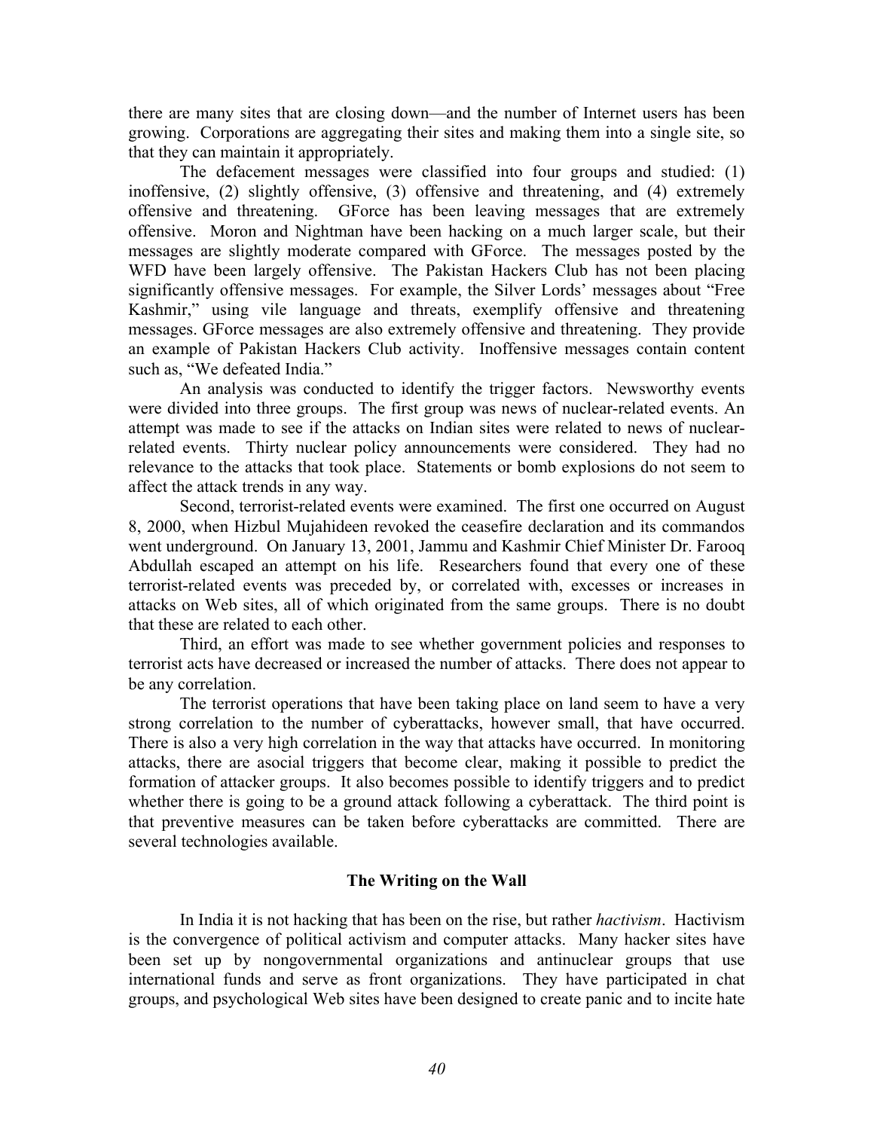there are many sites that are closing down—and the number of Internet users has been growing. Corporations are aggregating their sites and making them into a single site, so that they can maintain it appropriately.

The defacement messages were classified into four groups and studied: (1) inoffensive, (2) slightly offensive, (3) offensive and threatening, and (4) extremely offensive and threatening. GForce has been leaving messages that are extremely offensive. Moron and Nightman have been hacking on a much larger scale, but their messages are slightly moderate compared with GForce. The messages posted by the WFD have been largely offensive. The Pakistan Hackers Club has not been placing significantly offensive messages. For example, the Silver Lords' messages about "Free Kashmir," using vile language and threats, exemplify offensive and threatening messages. GForce messages are also extremely offensive and threatening. They provide an example of Pakistan Hackers Club activity. Inoffensive messages contain content such as, "We defeated India."

An analysis was conducted to identify the trigger factors. Newsworthy events were divided into three groups. The first group was news of nuclear-related events. An attempt was made to see if the attacks on Indian sites were related to news of nuclearrelated events. Thirty nuclear policy announcements were considered. They had no relevance to the attacks that took place. Statements or bomb explosions do not seem to affect the attack trends in any way.

Second, terrorist-related events were examined. The first one occurred on August 8, 2000, when Hizbul Mujahideen revoked the ceasefire declaration and its commandos went underground. On January 13, 2001, Jammu and Kashmir Chief Minister Dr. Farooq Abdullah escaped an attempt on his life. Researchers found that every one of these terrorist-related events was preceded by, or correlated with, excesses or increases in attacks on Web sites, all of which originated from the same groups. There is no doubt that these are related to each other.

Third, an effort was made to see whether government policies and responses to terrorist acts have decreased or increased the number of attacks. There does not appear to be any correlation.

The terrorist operations that have been taking place on land seem to have a very strong correlation to the number of cyberattacks, however small, that have occurred. There is also a very high correlation in the way that attacks have occurred. In monitoring attacks, there are asocial triggers that become clear, making it possible to predict the formation of attacker groups. It also becomes possible to identify triggers and to predict whether there is going to be a ground attack following a cyberattack. The third point is that preventive measures can be taken before cyberattacks are committed. There are several technologies available.

## **The Writing on the Wall**

In India it is not hacking that has been on the rise, but rather *hactivism*. Hactivism is the convergence of political activism and computer attacks. Many hacker sites have been set up by nongovernmental organizations and antinuclear groups that use international funds and serve as front organizations. They have participated in chat groups, and psychological Web sites have been designed to create panic and to incite hate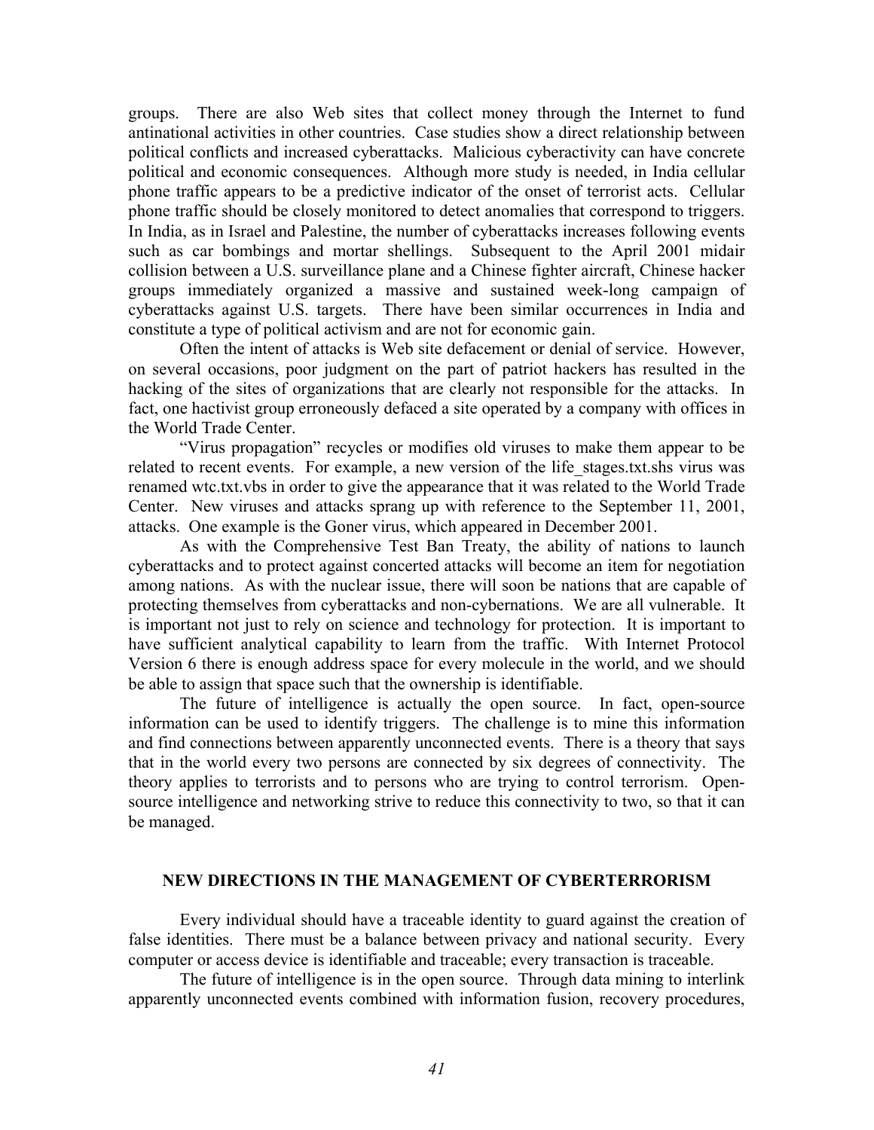groups. There are also Web sites that collect money through the Internet to fund antinational activities in other countries. Case studies show a direct relationship between political conflicts and increased cyberattacks. Malicious cyberactivity can have concrete political and economic consequences. Although more study is needed, in India cellular phone traffic appears to be a predictive indicator of the onset of terrorist acts. Cellular phone traffic should be closely monitored to detect anomalies that correspond to triggers. In India, as in Israel and Palestine, the number of cyberattacks increases following events such as car bombings and mortar shellings. Subsequent to the April 2001 midair collision between a U.S. surveillance plane and a Chinese fighter aircraft, Chinese hacker groups immediately organized a massive and sustained week-long campaign of cyberattacks against U.S. targets. There have been similar occurrences in India and constitute a type of political activism and are not for economic gain.

Often the intent of attacks is Web site defacement or denial of service. However, on several occasions, poor judgment on the part of patriot hackers has resulted in the hacking of the sites of organizations that are clearly not responsible for the attacks. In fact, one hactivist group erroneously defaced a site operated by a company with offices in the World Trade Center.

"Virus propagation" recycles or modifies old viruses to make them appear to be related to recent events. For example, a new version of the life stages.txt.shs virus was renamed wtc.txt.vbs in order to give the appearance that it was related to the World Trade Center. New viruses and attacks sprang up with reference to the September 11, 2001, attacks. One example is the Goner virus, which appeared in December 2001.

As with the Comprehensive Test Ban Treaty, the ability of nations to launch cyberattacks and to protect against concerted attacks will become an item for negotiation among nations. As with the nuclear issue, there will soon be nations that are capable of protecting themselves from cyberattacks and non-cybernations. We are all vulnerable. It is important not just to rely on science and technology for protection. It is important to have sufficient analytical capability to learn from the traffic. With Internet Protocol Version 6 there is enough address space for every molecule in the world, and we should be able to assign that space such that the ownership is identifiable.

The future of intelligence is actually the open source. In fact, open-source information can be used to identify triggers. The challenge is to mine this information and find connections between apparently unconnected events. There is a theory that says that in the world every two persons are connected by six degrees of connectivity. The theory applies to terrorists and to persons who are trying to control terrorism. Opensource intelligence and networking strive to reduce this connectivity to two, so that it can be managed.

## **NEW DIRECTIONS IN THE MANAGEMENT OF CYBERTERRORISM**

Every individual should have a traceable identity to guard against the creation of false identities. There must be a balance between privacy and national security. Every computer or access device is identifiable and traceable; every transaction is traceable.

The future of intelligence is in the open source. Through data mining to interlink apparently unconnected events combined with information fusion, recovery procedures,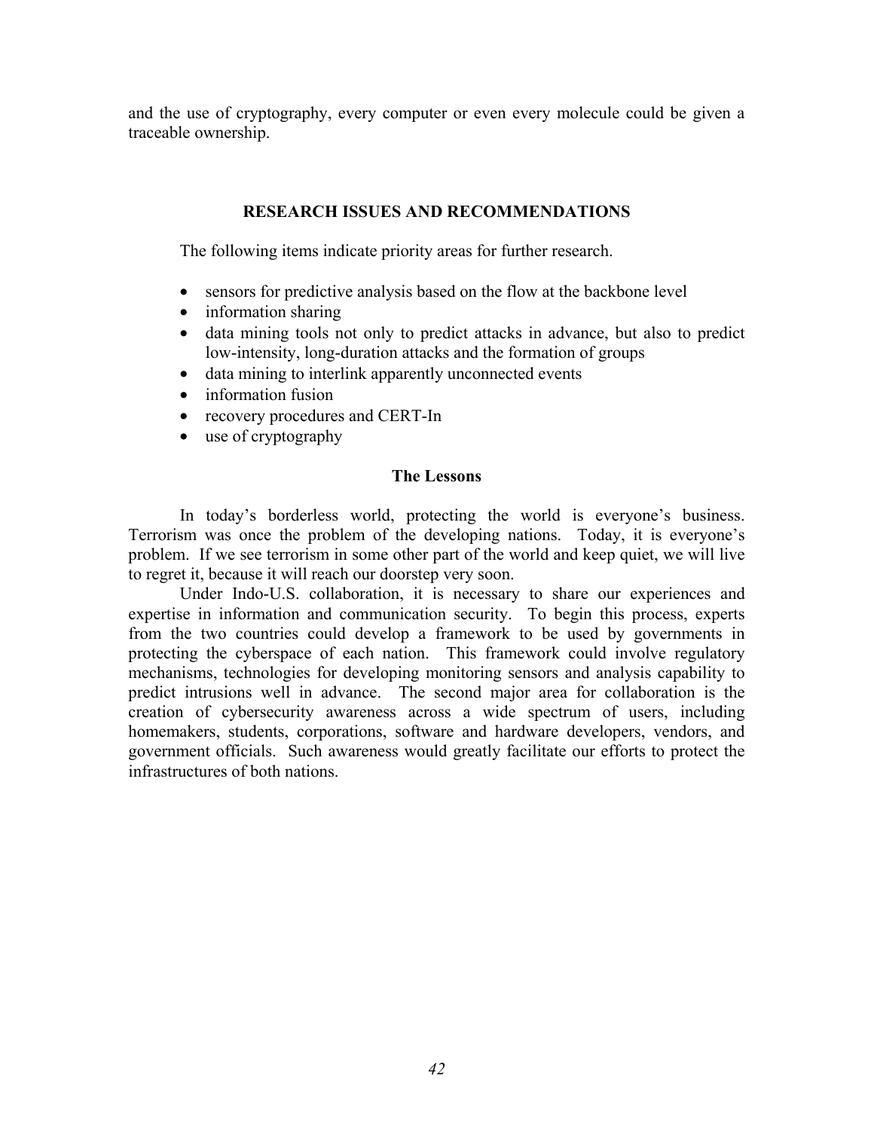and the use of cryptography, every computer or even every molecule could be given a traceable ownership.

## **RESEARCH ISSUES AND RECOMMENDATIONS**

The following items indicate priority areas for further research.

- sensors for predictive analysis based on the flow at the backbone level
- information sharing
- data mining tools not only to predict attacks in advance, but also to predict low-intensity, long-duration attacks and the formation of groups
- data mining to interlink apparently unconnected events
- information fusion
- recovery procedures and CERT-In
- use of cryptography

## **The Lessons**

In today's borderless world, protecting the world is everyone's business. Terrorism was once the problem of the developing nations. Today, it is everyone's problem. If we see terrorism in some other part of the world and keep quiet, we will live to regret it, because it will reach our doorstep very soon.

Under Indo-U.S. collaboration, it is necessary to share our experiences and expertise in information and communication security. To begin this process, experts from the two countries could develop a framework to be used by governments in protecting the cyberspace of each nation. This framework could involve regulatory mechanisms, technologies for developing monitoring sensors and analysis capability to predict intrusions well in advance. The second major area for collaboration is the creation of cybersecurity awareness across a wide spectrum of users, including homemakers, students, corporations, software and hardware developers, vendors, and government officials. Such awareness would greatly facilitate our efforts to protect the infrastructures of both nations.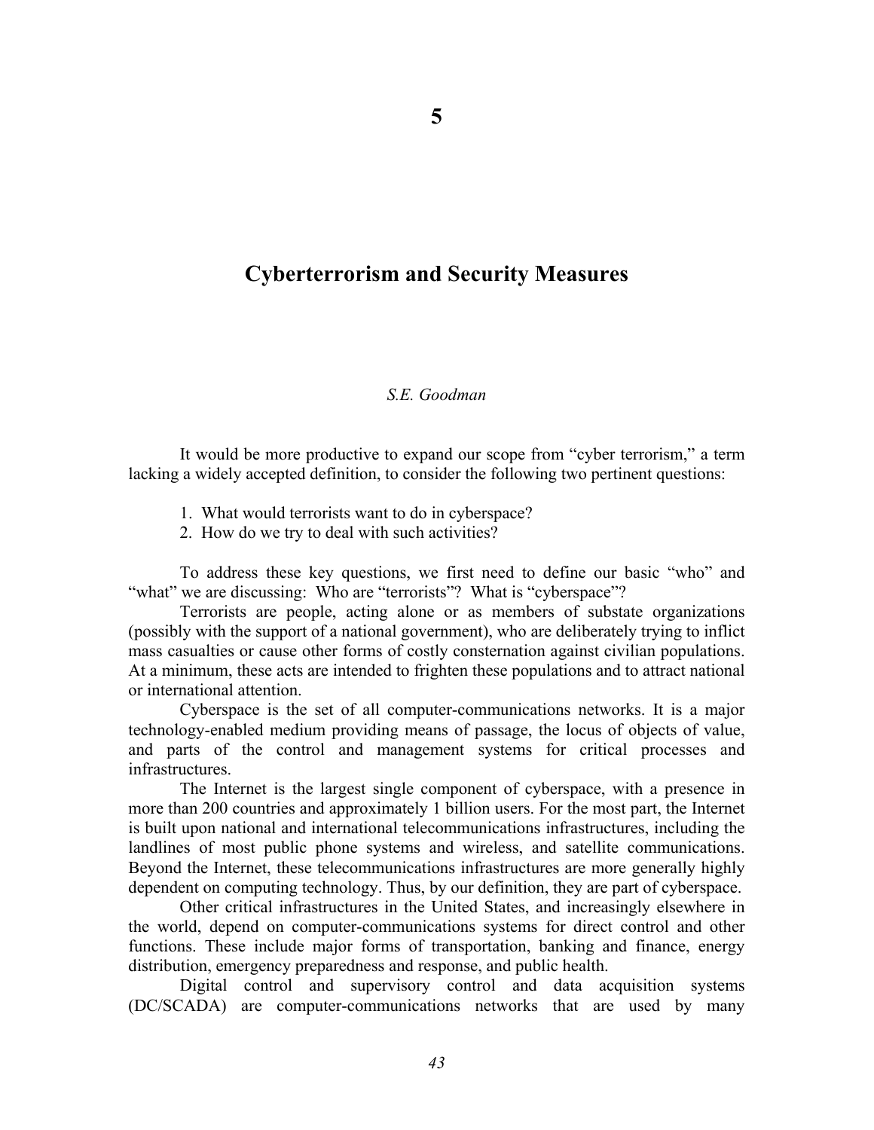## **5**

## **Cyberterrorism and Security Measures**

## *S.E. Goodman*

It would be more productive to expand our scope from "cyber terrorism," a term lacking a widely accepted definition, to consider the following two pertinent questions:

- 1. What would terrorists want to do in cyberspace?
- 2. How do we try to deal with such activities?

To address these key questions, we first need to define our basic "who" and "what" we are discussing: Who are "terrorists"? What is "cyberspace"?

Terrorists are people, acting alone or as members of substate organizations (possibly with the support of a national government), who are deliberately trying to inflict mass casualties or cause other forms of costly consternation against civilian populations. At a minimum, these acts are intended to frighten these populations and to attract national or international attention.

Cyberspace is the set of all computer-communications networks. It is a major technology-enabled medium providing means of passage, the locus of objects of value, and parts of the control and management systems for critical processes and infrastructures.

The Internet is the largest single component of cyberspace, with a presence in more than 200 countries and approximately 1 billion users. For the most part, the Internet is built upon national and international telecommunications infrastructures, including the landlines of most public phone systems and wireless, and satellite communications. Beyond the Internet, these telecommunications infrastructures are more generally highly dependent on computing technology. Thus, by our definition, they are part of cyberspace.

Other critical infrastructures in the United States, and increasingly elsewhere in the world, depend on computer-communications systems for direct control and other functions. These include major forms of transportation, banking and finance, energy distribution, emergency preparedness and response, and public health.

Digital control and supervisory control and data acquisition systems (DC/SCADA) are computer-communications networks that are used by many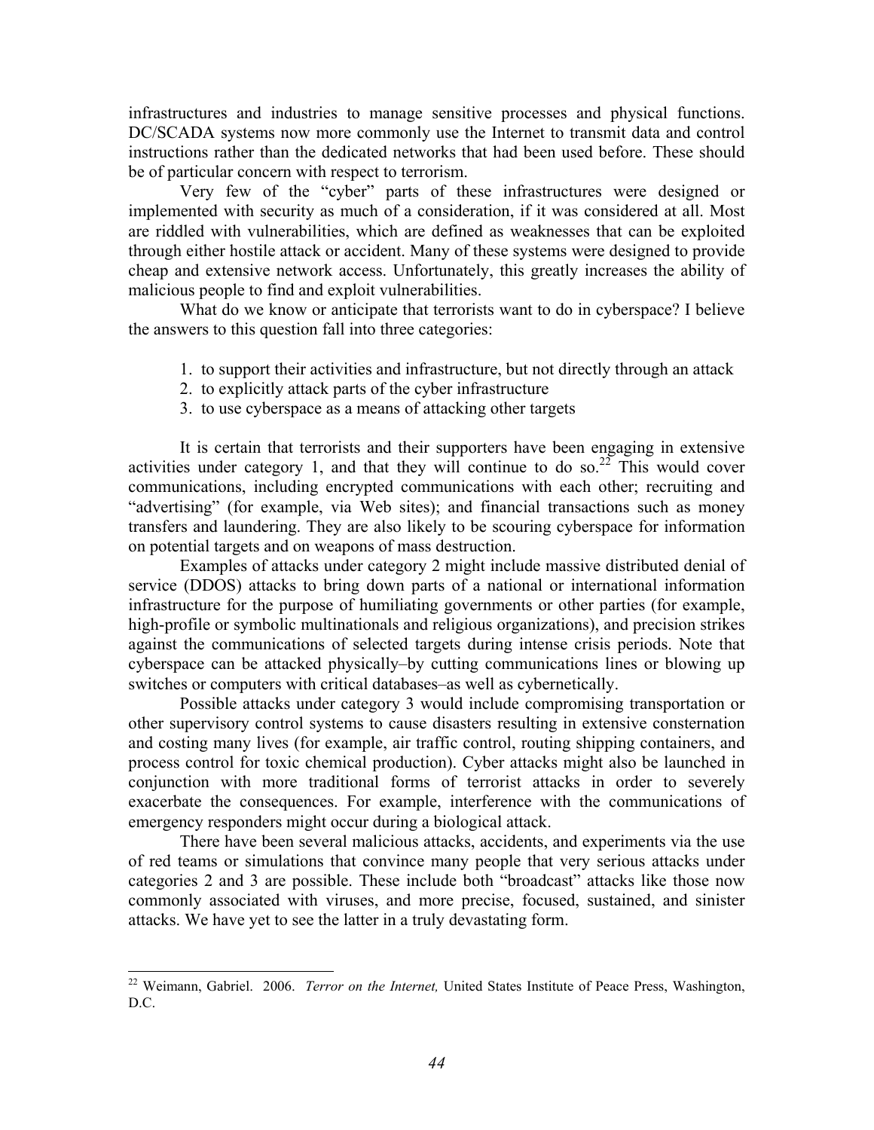infrastructures and industries to manage sensitive processes and physical functions. DC/SCADA systems now more commonly use the Internet to transmit data and control instructions rather than the dedicated networks that had been used before. These should be of particular concern with respect to terrorism.

Very few of the "cyber" parts of these infrastructures were designed or implemented with security as much of a consideration, if it was considered at all. Most are riddled with vulnerabilities, which are defined as weaknesses that can be exploited through either hostile attack or accident. Many of these systems were designed to provide cheap and extensive network access. Unfortunately, this greatly increases the ability of malicious people to find and exploit vulnerabilities.

What do we know or anticipate that terrorists want to do in cyberspace? I believe the answers to this question fall into three categories:

- 1. to support their activities and infrastructure, but not directly through an attack
- 2. to explicitly attack parts of the cyber infrastructure
- 3. to use cyberspace as a means of attacking other targets

It is certain that terrorists and their supporters have been engaging in extensive activities under category 1, and that they will continue to do so.<sup>22</sup> This would cover communications, including encrypted communications with each other; recruiting and "advertising" (for example, via Web sites); and financial transactions such as money transfers and laundering. They are also likely to be scouring cyberspace for information on potential targets and on weapons of mass destruction.

Examples of attacks under category 2 might include massive distributed denial of service (DDOS) attacks to bring down parts of a national or international information infrastructure for the purpose of humiliating governments or other parties (for example, high-profile or symbolic multinationals and religious organizations), and precision strikes against the communications of selected targets during intense crisis periods. Note that cyberspace can be attacked physically–by cutting communications lines or blowing up switches or computers with critical databases–as well as cybernetically.

Possible attacks under category 3 would include compromising transportation or other supervisory control systems to cause disasters resulting in extensive consternation and costing many lives (for example, air traffic control, routing shipping containers, and process control for toxic chemical production). Cyber attacks might also be launched in conjunction with more traditional forms of terrorist attacks in order to severely exacerbate the consequences. For example, interference with the communications of emergency responders might occur during a biological attack.

There have been several malicious attacks, accidents, and experiments via the use of red teams or simulations that convince many people that very serious attacks under categories 2 and 3 are possible. These include both "broadcast" attacks like those now commonly associated with viruses, and more precise, focused, sustained, and sinister attacks. We have yet to see the latter in a truly devastating form.

l

<sup>22</sup> Weimann, Gabriel. 2006. *Terror on the Internet,* United States Institute of Peace Press, Washington, D.C.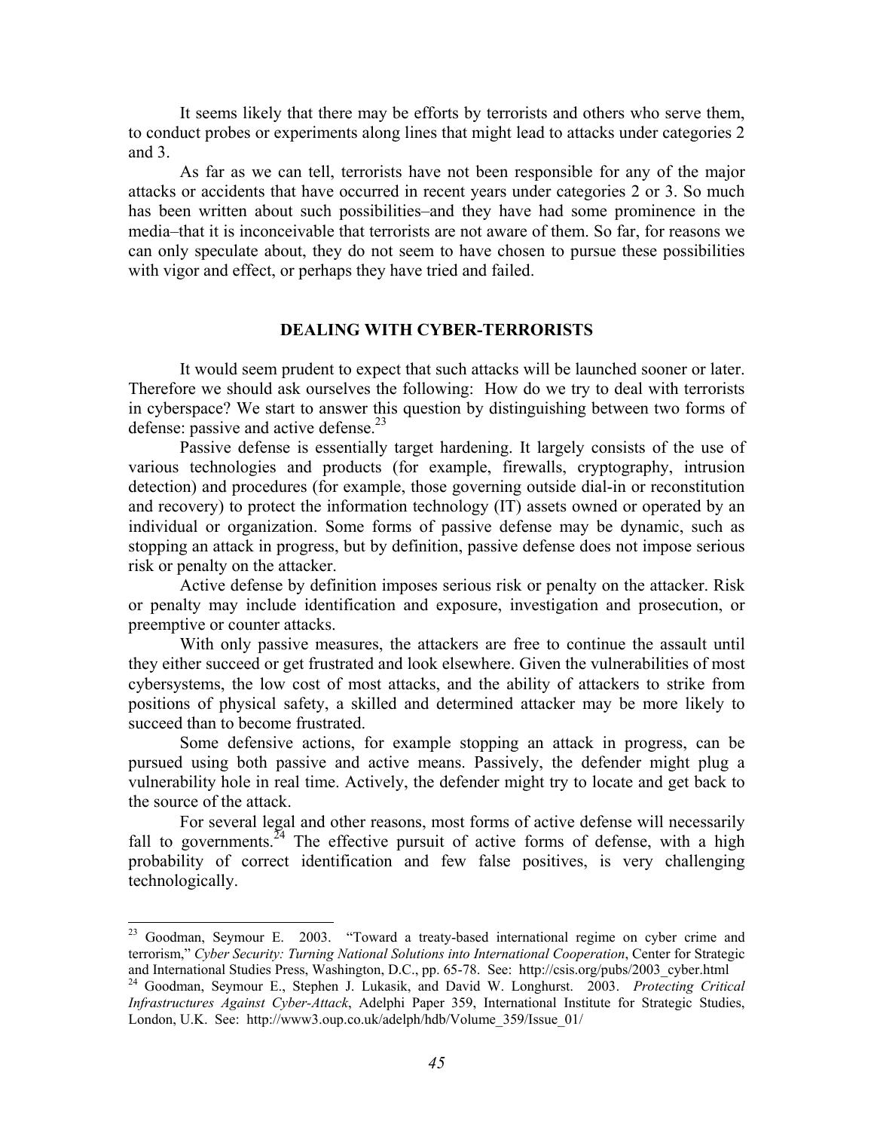It seems likely that there may be efforts by terrorists and others who serve them, to conduct probes or experiments along lines that might lead to attacks under categories 2 and 3.

As far as we can tell, terrorists have not been responsible for any of the major attacks or accidents that have occurred in recent years under categories 2 or 3. So much has been written about such possibilities–and they have had some prominence in the media–that it is inconceivable that terrorists are not aware of them. So far, for reasons we can only speculate about, they do not seem to have chosen to pursue these possibilities with vigor and effect, or perhaps they have tried and failed.

## **DEALING WITH CYBER-TERRORISTS**

It would seem prudent to expect that such attacks will be launched sooner or later. Therefore we should ask ourselves the following: How do we try to deal with terrorists in cyberspace? We start to answer this question by distinguishing between two forms of defense: passive and active defense. $2^3$ 

Passive defense is essentially target hardening. It largely consists of the use of various technologies and products (for example, firewalls, cryptography, intrusion detection) and procedures (for example, those governing outside dial-in or reconstitution and recovery) to protect the information technology (IT) assets owned or operated by an individual or organization. Some forms of passive defense may be dynamic, such as stopping an attack in progress, but by definition, passive defense does not impose serious risk or penalty on the attacker.

Active defense by definition imposes serious risk or penalty on the attacker. Risk or penalty may include identification and exposure, investigation and prosecution, or preemptive or counter attacks.

With only passive measures, the attackers are free to continue the assault until they either succeed or get frustrated and look elsewhere. Given the vulnerabilities of most cybersystems, the low cost of most attacks, and the ability of attackers to strike from positions of physical safety, a skilled and determined attacker may be more likely to succeed than to become frustrated.

Some defensive actions, for example stopping an attack in progress, can be pursued using both passive and active means. Passively, the defender might plug a vulnerability hole in real time. Actively, the defender might try to locate and get back to the source of the attack.

For several legal and other reasons, most forms of active defense will necessarily fall to governments.  $\frac{3}{4}$  The effective pursuit of active forms of defense, with a high probability of correct identification and few false positives, is very challenging technologically.

l

<sup>&</sup>lt;sup>23</sup> Goodman, Seymour E. 2003. "Toward a treaty-based international regime on cyber crime and terrorism," *Cyber Security: Turning National Solutions into International Cooperation*, Center for Strategic and International Studies Press, Washington, D.C., pp. 65-78. See: http://csis.org/pubs/2003 cyber.html

<sup>&</sup>lt;sup>24</sup> Goodman, Seymour E., Stephen J. Lukasik, and David W. Longhurst. 2003. Protecting Critical *Infrastructures Against Cyber-Attack*, Adelphi Paper 359, International Institute for Strategic Studies, London, U.K. See: http://www3.oup.co.uk/adelph/hdb/Volume 359/Issue 01/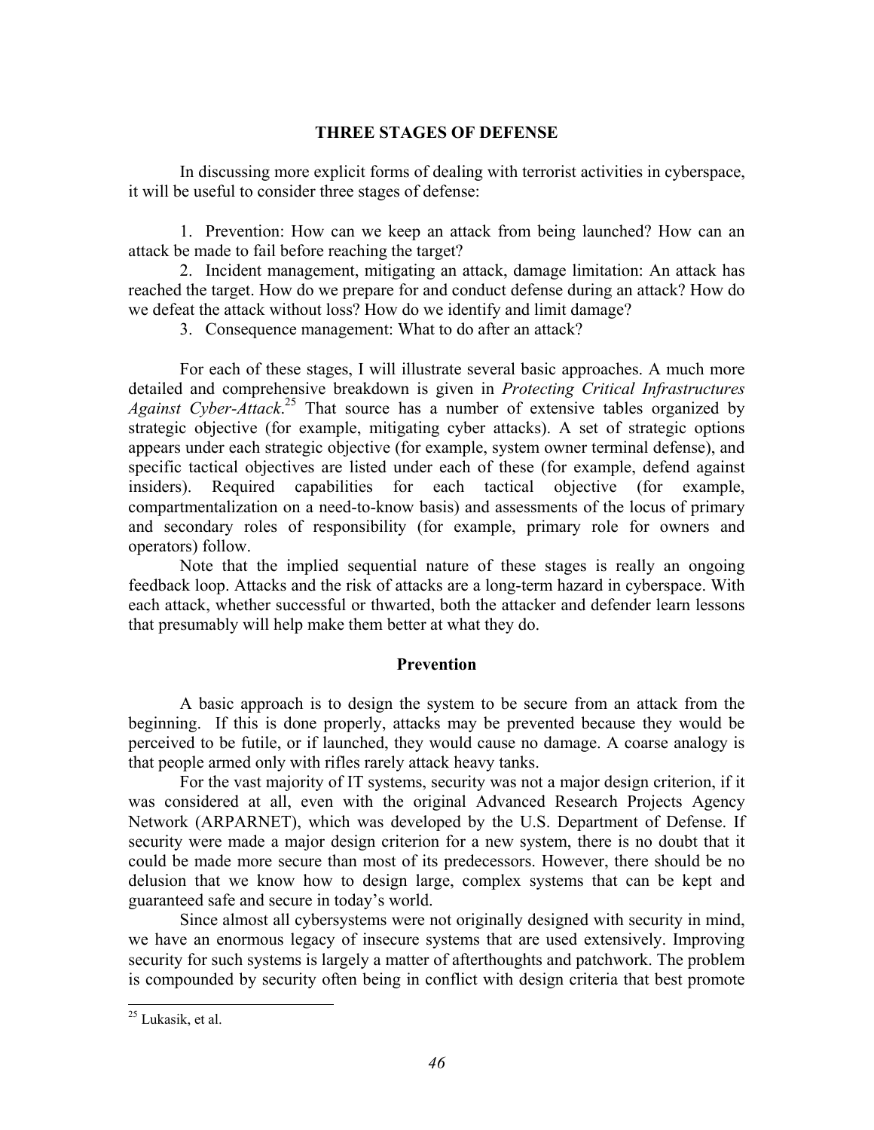## **THREE STAGES OF DEFENSE**

In discussing more explicit forms of dealing with terrorist activities in cyberspace, it will be useful to consider three stages of defense:

1. Prevention: How can we keep an attack from being launched? How can an attack be made to fail before reaching the target?

2. Incident management, mitigating an attack, damage limitation: An attack has reached the target. How do we prepare for and conduct defense during an attack? How do we defeat the attack without loss? How do we identify and limit damage?

3. Consequence management: What to do after an attack?

For each of these stages, I will illustrate several basic approaches. A much more detailed and comprehensive breakdown is given in *Protecting Critical Infrastructures*  Against Cyber-Attack.<sup>25</sup> That source has a number of extensive tables organized by strategic objective (for example, mitigating cyber attacks). A set of strategic options appears under each strategic objective (for example, system owner terminal defense), and specific tactical objectives are listed under each of these (for example, defend against insiders). Required capabilities for each tactical objective (for example, compartmentalization on a need-to-know basis) and assessments of the locus of primary and secondary roles of responsibility (for example, primary role for owners and operators) follow.

Note that the implied sequential nature of these stages is really an ongoing feedback loop. Attacks and the risk of attacks are a long-term hazard in cyberspace. With each attack, whether successful or thwarted, both the attacker and defender learn lessons that presumably will help make them better at what they do.

## **Prevention**

A basic approach is to design the system to be secure from an attack from the beginning. If this is done properly, attacks may be prevented because they would be perceived to be futile, or if launched, they would cause no damage. A coarse analogy is that people armed only with rifles rarely attack heavy tanks.

For the vast majority of IT systems, security was not a major design criterion, if it was considered at all, even with the original Advanced Research Projects Agency Network (ARPARNET), which was developed by the U.S. Department of Defense. If security were made a major design criterion for a new system, there is no doubt that it could be made more secure than most of its predecessors. However, there should be no delusion that we know how to design large, complex systems that can be kept and guaranteed safe and secure in today's world.

Since almost all cybersystems were not originally designed with security in mind, we have an enormous legacy of insecure systems that are used extensively. Improving security for such systems is largely a matter of afterthoughts and patchwork. The problem is compounded by security often being in conflict with design criteria that best promote

 $\overline{\phantom{a}}$ 

 $25$  Lukasik, et al.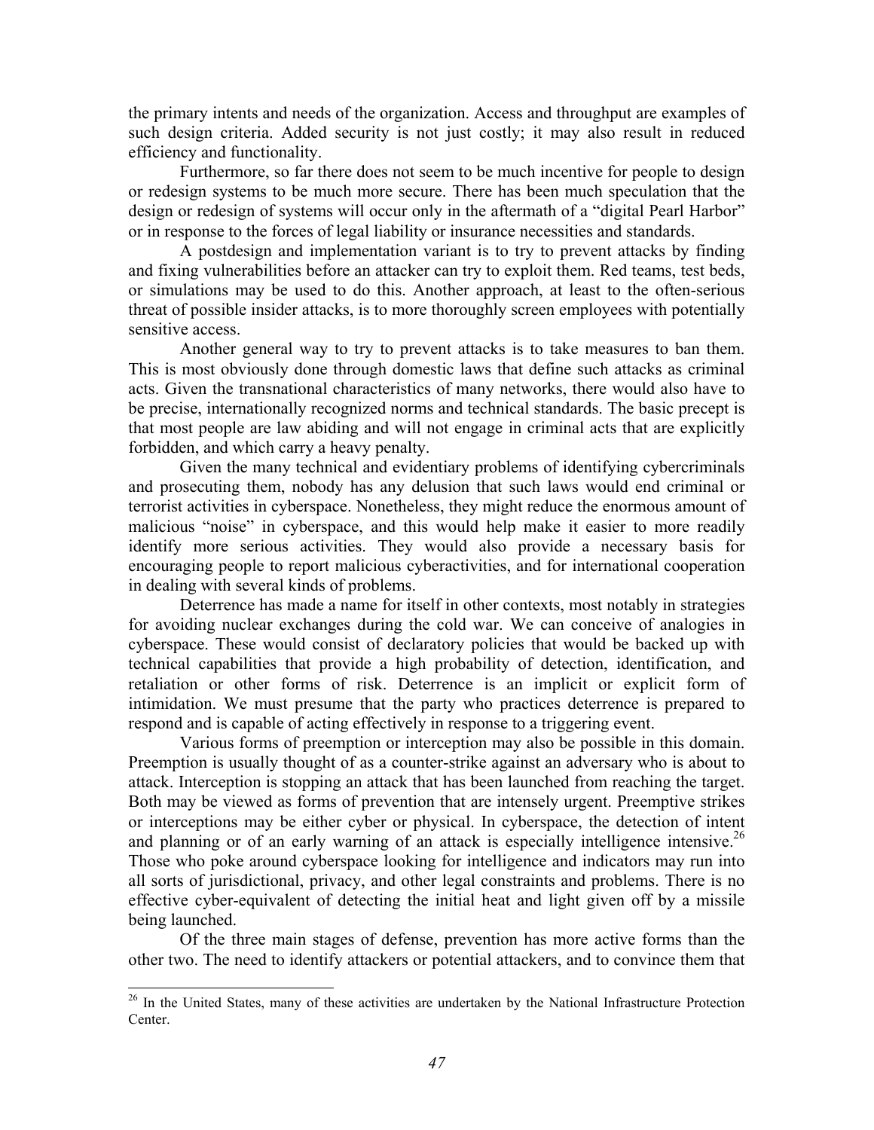the primary intents and needs of the organization. Access and throughput are examples of such design criteria. Added security is not just costly; it may also result in reduced efficiency and functionality.

Furthermore, so far there does not seem to be much incentive for people to design or redesign systems to be much more secure. There has been much speculation that the design or redesign of systems will occur only in the aftermath of a "digital Pearl Harbor" or in response to the forces of legal liability or insurance necessities and standards.

A postdesign and implementation variant is to try to prevent attacks by finding and fixing vulnerabilities before an attacker can try to exploit them. Red teams, test beds, or simulations may be used to do this. Another approach, at least to the often-serious threat of possible insider attacks, is to more thoroughly screen employees with potentially sensitive access.

Another general way to try to prevent attacks is to take measures to ban them. This is most obviously done through domestic laws that define such attacks as criminal acts. Given the transnational characteristics of many networks, there would also have to be precise, internationally recognized norms and technical standards. The basic precept is that most people are law abiding and will not engage in criminal acts that are explicitly forbidden, and which carry a heavy penalty.

Given the many technical and evidentiary problems of identifying cybercriminals and prosecuting them, nobody has any delusion that such laws would end criminal or terrorist activities in cyberspace. Nonetheless, they might reduce the enormous amount of malicious "noise" in cyberspace, and this would help make it easier to more readily identify more serious activities. They would also provide a necessary basis for encouraging people to report malicious cyberactivities, and for international cooperation in dealing with several kinds of problems.

Deterrence has made a name for itself in other contexts, most notably in strategies for avoiding nuclear exchanges during the cold war. We can conceive of analogies in cyberspace. These would consist of declaratory policies that would be backed up with technical capabilities that provide a high probability of detection, identification, and retaliation or other forms of risk. Deterrence is an implicit or explicit form of intimidation. We must presume that the party who practices deterrence is prepared to respond and is capable of acting effectively in response to a triggering event.

Various forms of preemption or interception may also be possible in this domain. Preemption is usually thought of as a counter-strike against an adversary who is about to attack. Interception is stopping an attack that has been launched from reaching the target. Both may be viewed as forms of prevention that are intensely urgent. Preemptive strikes or interceptions may be either cyber or physical. In cyberspace, the detection of intent and planning or of an early warning of an attack is especially intelligence intensive.<sup>26</sup> Those who poke around cyberspace looking for intelligence and indicators may run into all sorts of jurisdictional, privacy, and other legal constraints and problems. There is no effective cyber-equivalent of detecting the initial heat and light given off by a missile being launched.

Of the three main stages of defense, prevention has more active forms than the other two. The need to identify attackers or potential attackers, and to convince them that

 $\overline{\phantom{a}}$ 

<sup>&</sup>lt;sup>26</sup> In the United States, many of these activities are undertaken by the National Infrastructure Protection Center.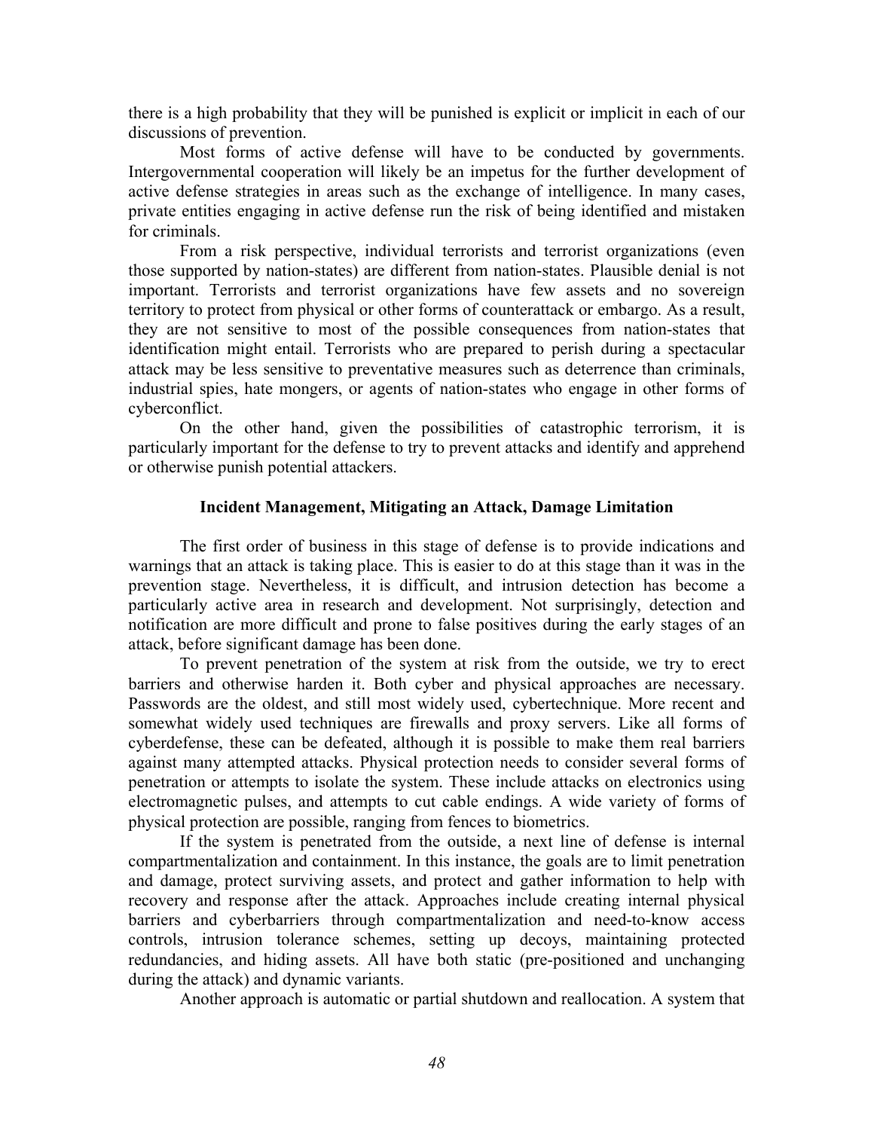there is a high probability that they will be punished is explicit or implicit in each of our discussions of prevention.

Most forms of active defense will have to be conducted by governments. Intergovernmental cooperation will likely be an impetus for the further development of active defense strategies in areas such as the exchange of intelligence. In many cases, private entities engaging in active defense run the risk of being identified and mistaken for criminals.

From a risk perspective, individual terrorists and terrorist organizations (even those supported by nation-states) are different from nation-states. Plausible denial is not important. Terrorists and terrorist organizations have few assets and no sovereign territory to protect from physical or other forms of counterattack or embargo. As a result, they are not sensitive to most of the possible consequences from nation-states that identification might entail. Terrorists who are prepared to perish during a spectacular attack may be less sensitive to preventative measures such as deterrence than criminals, industrial spies, hate mongers, or agents of nation-states who engage in other forms of cyberconflict.

On the other hand, given the possibilities of catastrophic terrorism, it is particularly important for the defense to try to prevent attacks and identify and apprehend or otherwise punish potential attackers.

### **Incident Management, Mitigating an Attack, Damage Limitation**

The first order of business in this stage of defense is to provide indications and warnings that an attack is taking place. This is easier to do at this stage than it was in the prevention stage. Nevertheless, it is difficult, and intrusion detection has become a particularly active area in research and development. Not surprisingly, detection and notification are more difficult and prone to false positives during the early stages of an attack, before significant damage has been done.

To prevent penetration of the system at risk from the outside, we try to erect barriers and otherwise harden it. Both cyber and physical approaches are necessary. Passwords are the oldest, and still most widely used, cybertechnique. More recent and somewhat widely used techniques are firewalls and proxy servers. Like all forms of cyberdefense, these can be defeated, although it is possible to make them real barriers against many attempted attacks. Physical protection needs to consider several forms of penetration or attempts to isolate the system. These include attacks on electronics using electromagnetic pulses, and attempts to cut cable endings. A wide variety of forms of physical protection are possible, ranging from fences to biometrics.

If the system is penetrated from the outside, a next line of defense is internal compartmentalization and containment. In this instance, the goals are to limit penetration and damage, protect surviving assets, and protect and gather information to help with recovery and response after the attack. Approaches include creating internal physical barriers and cyberbarriers through compartmentalization and need-to-know access controls, intrusion tolerance schemes, setting up decoys, maintaining protected redundancies, and hiding assets. All have both static (pre-positioned and unchanging during the attack) and dynamic variants.

Another approach is automatic or partial shutdown and reallocation. A system that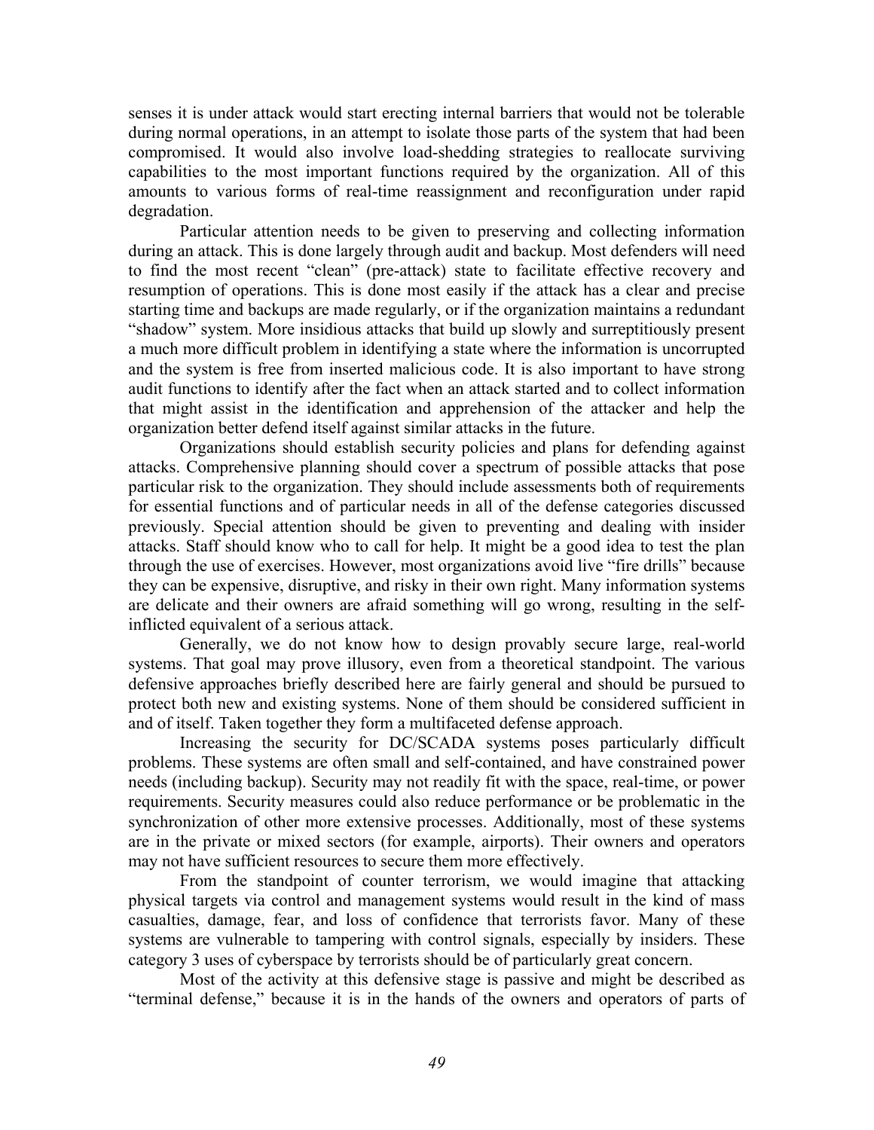senses it is under attack would start erecting internal barriers that would not be tolerable during normal operations, in an attempt to isolate those parts of the system that had been compromised. It would also involve load-shedding strategies to reallocate surviving capabilities to the most important functions required by the organization. All of this amounts to various forms of real-time reassignment and reconfiguration under rapid degradation.

Particular attention needs to be given to preserving and collecting information during an attack. This is done largely through audit and backup. Most defenders will need to find the most recent "clean" (pre-attack) state to facilitate effective recovery and resumption of operations. This is done most easily if the attack has a clear and precise starting time and backups are made regularly, or if the organization maintains a redundant "shadow" system. More insidious attacks that build up slowly and surreptitiously present a much more difficult problem in identifying a state where the information is uncorrupted and the system is free from inserted malicious code. It is also important to have strong audit functions to identify after the fact when an attack started and to collect information that might assist in the identification and apprehension of the attacker and help the organization better defend itself against similar attacks in the future.

Organizations should establish security policies and plans for defending against attacks. Comprehensive planning should cover a spectrum of possible attacks that pose particular risk to the organization. They should include assessments both of requirements for essential functions and of particular needs in all of the defense categories discussed previously. Special attention should be given to preventing and dealing with insider attacks. Staff should know who to call for help. It might be a good idea to test the plan through the use of exercises. However, most organizations avoid live "fire drills" because they can be expensive, disruptive, and risky in their own right. Many information systems are delicate and their owners are afraid something will go wrong, resulting in the selfinflicted equivalent of a serious attack.

Generally, we do not know how to design provably secure large, real-world systems. That goal may prove illusory, even from a theoretical standpoint. The various defensive approaches briefly described here are fairly general and should be pursued to protect both new and existing systems. None of them should be considered sufficient in and of itself. Taken together they form a multifaceted defense approach.

Increasing the security for DC/SCADA systems poses particularly difficult problems. These systems are often small and self-contained, and have constrained power needs (including backup). Security may not readily fit with the space, real-time, or power requirements. Security measures could also reduce performance or be problematic in the synchronization of other more extensive processes. Additionally, most of these systems are in the private or mixed sectors (for example, airports). Their owners and operators may not have sufficient resources to secure them more effectively.

From the standpoint of counter terrorism, we would imagine that attacking physical targets via control and management systems would result in the kind of mass casualties, damage, fear, and loss of confidence that terrorists favor. Many of these systems are vulnerable to tampering with control signals, especially by insiders. These category 3 uses of cyberspace by terrorists should be of particularly great concern.

Most of the activity at this defensive stage is passive and might be described as "terminal defense," because it is in the hands of the owners and operators of parts of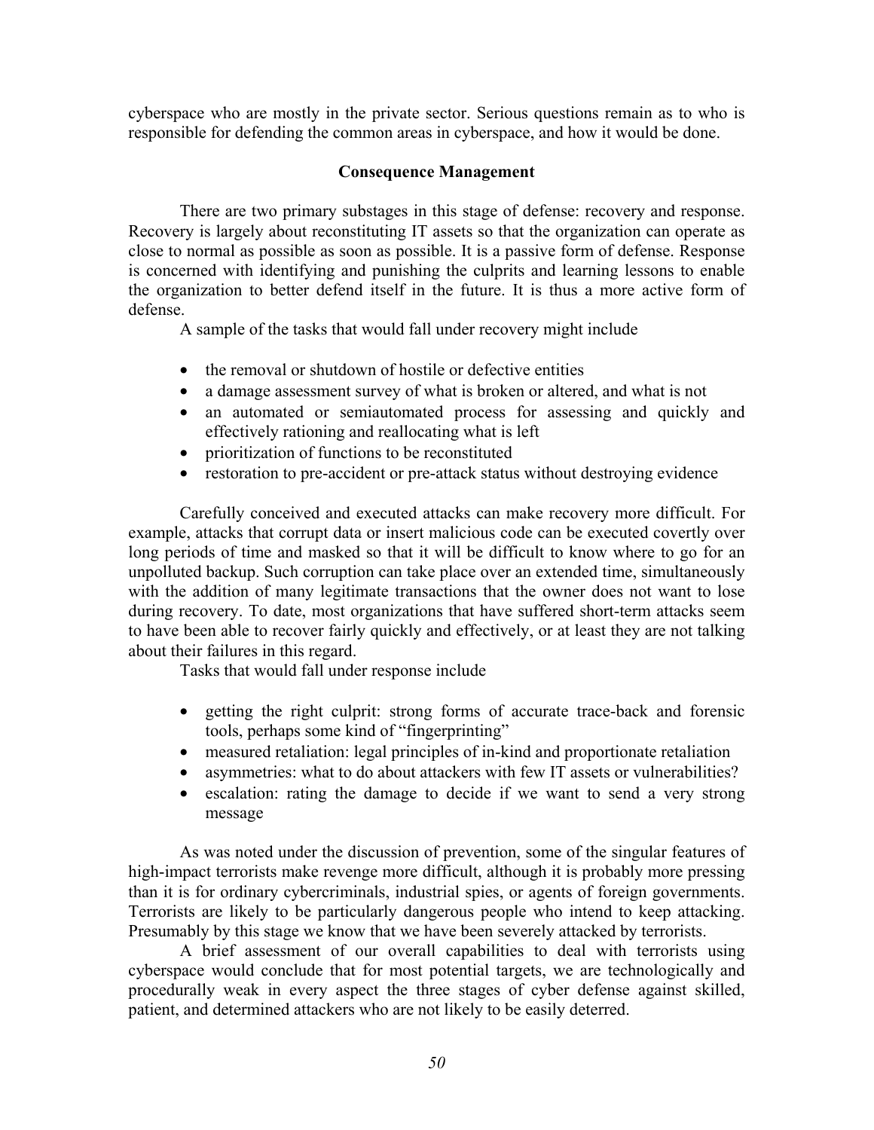cyberspace who are mostly in the private sector. Serious questions remain as to who is responsible for defending the common areas in cyberspace, and how it would be done.

## **Consequence Management**

There are two primary substages in this stage of defense: recovery and response. Recovery is largely about reconstituting IT assets so that the organization can operate as close to normal as possible as soon as possible. It is a passive form of defense. Response is concerned with identifying and punishing the culprits and learning lessons to enable the organization to better defend itself in the future. It is thus a more active form of defense.

A sample of the tasks that would fall under recovery might include

- the removal or shutdown of hostile or defective entities
- a damage assessment survey of what is broken or altered, and what is not
- an automated or semiautomated process for assessing and quickly and effectively rationing and reallocating what is left
- prioritization of functions to be reconstituted
- restoration to pre-accident or pre-attack status without destroying evidence

Carefully conceived and executed attacks can make recovery more difficult. For example, attacks that corrupt data or insert malicious code can be executed covertly over long periods of time and masked so that it will be difficult to know where to go for an unpolluted backup. Such corruption can take place over an extended time, simultaneously with the addition of many legitimate transactions that the owner does not want to lose during recovery. To date, most organizations that have suffered short-term attacks seem to have been able to recover fairly quickly and effectively, or at least they are not talking about their failures in this regard.

Tasks that would fall under response include

- getting the right culprit: strong forms of accurate trace-back and forensic tools, perhaps some kind of "fingerprinting"
- measured retaliation: legal principles of in-kind and proportionate retaliation
- asymmetries: what to do about attackers with few IT assets or vulnerabilities?
- escalation: rating the damage to decide if we want to send a very strong message

As was noted under the discussion of prevention, some of the singular features of high-impact terrorists make revenge more difficult, although it is probably more pressing than it is for ordinary cybercriminals, industrial spies, or agents of foreign governments. Terrorists are likely to be particularly dangerous people who intend to keep attacking. Presumably by this stage we know that we have been severely attacked by terrorists.

A brief assessment of our overall capabilities to deal with terrorists using cyberspace would conclude that for most potential targets, we are technologically and procedurally weak in every aspect the three stages of cyber defense against skilled, patient, and determined attackers who are not likely to be easily deterred.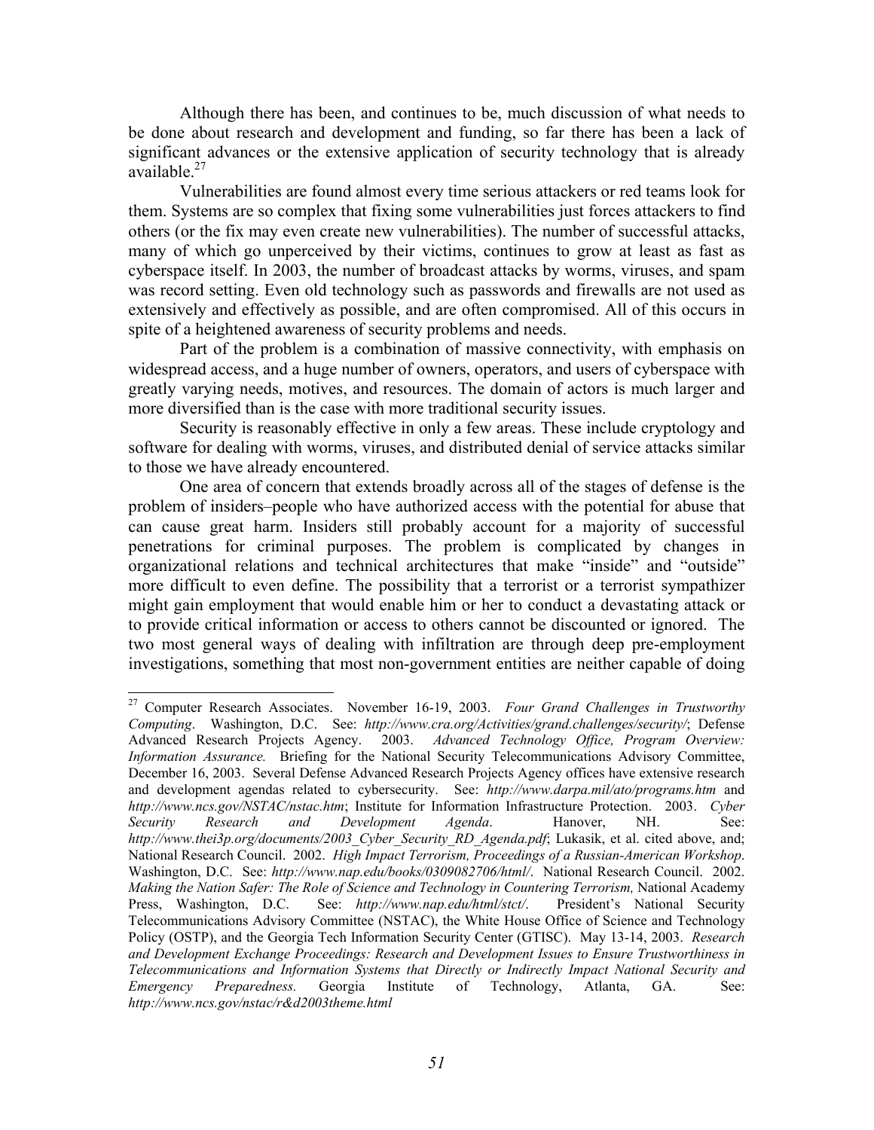Although there has been, and continues to be, much discussion of what needs to be done about research and development and funding, so far there has been a lack of significant advances or the extensive application of security technology that is already available. $27$ 

Vulnerabilities are found almost every time serious attackers or red teams look for them. Systems are so complex that fixing some vulnerabilities just forces attackers to find others (or the fix may even create new vulnerabilities). The number of successful attacks, many of which go unperceived by their victims, continues to grow at least as fast as cyberspace itself. In 2003, the number of broadcast attacks by worms, viruses, and spam was record setting. Even old technology such as passwords and firewalls are not used as extensively and effectively as possible, and are often compromised. All of this occurs in spite of a heightened awareness of security problems and needs.

Part of the problem is a combination of massive connectivity, with emphasis on widespread access, and a huge number of owners, operators, and users of cyberspace with greatly varying needs, motives, and resources. The domain of actors is much larger and more diversified than is the case with more traditional security issues.

Security is reasonably effective in only a few areas. These include cryptology and software for dealing with worms, viruses, and distributed denial of service attacks similar to those we have already encountered.

One area of concern that extends broadly across all of the stages of defense is the problem of insiders–people who have authorized access with the potential for abuse that can cause great harm. Insiders still probably account for a majority of successful penetrations for criminal purposes. The problem is complicated by changes in organizational relations and technical architectures that make "inside" and "outside" more difficult to even define. The possibility that a terrorist or a terrorist sympathizer might gain employment that would enable him or her to conduct a devastating attack or to provide critical information or access to others cannot be discounted or ignored. The two most general ways of dealing with infiltration are through deep pre-employment investigations, something that most non-government entities are neither capable of doing

 $\overline{\phantom{a}}$ 

<sup>27</sup> Computer Research Associates. November 16-19, 2003. *Four Grand Challenges in Trustworthy Computing*. Washington, D.C. See: *http://www.cra.org/Activities/grand.challenges/security/*; Defense Advanced Research Projects Agency. 2003. *Advanced Technology Office, Program Overview: Information Assurance.* Briefing for the National Security Telecommunications Advisory Committee, December 16, 2003. Several Defense Advanced Research Projects Agency offices have extensive research and development agendas related to cybersecurity. See: *http://www.darpa.mil/ato/programs.htm* and *http://www.ncs.gov/NSTAC/nstac.htm*; Institute for Information Infrastructure Protection. 2003. *Cyber Security Research and Development Agenda*. Hanover, NH. See: *http://www.thei3p.org/documents/2003\_Cyber\_Security\_RD\_Agenda.pdf*; Lukasik, et al. cited above, and; National Research Council. 2002. *High Impact Terrorism, Proceedings of a Russian-American Workshop*. Washington, D.C. See: *http://www.nap.edu/books/0309082706/html/*. National Research Council. 2002. *Making the Nation Safer: The Role of Science and Technology in Countering Terrorism,* National Academy Press, Washington, D.C. See: *http://www.nap.edu/html/stct/*. President's National Security Telecommunications Advisory Committee (NSTAC), the White House Office of Science and Technology Policy (OSTP), and the Georgia Tech Information Security Center (GTISC). May 13-14, 2003. *Research and Development Exchange Proceedings: Research and Development Issues to Ensure Trustworthiness in Telecommunications and Information Systems that Directly or Indirectly Impact National Security and Emergency Preparedness.* Georgia Institute of Technology, Atlanta, GA. See: *http://www.ncs.gov/nstac/r&d2003theme.html*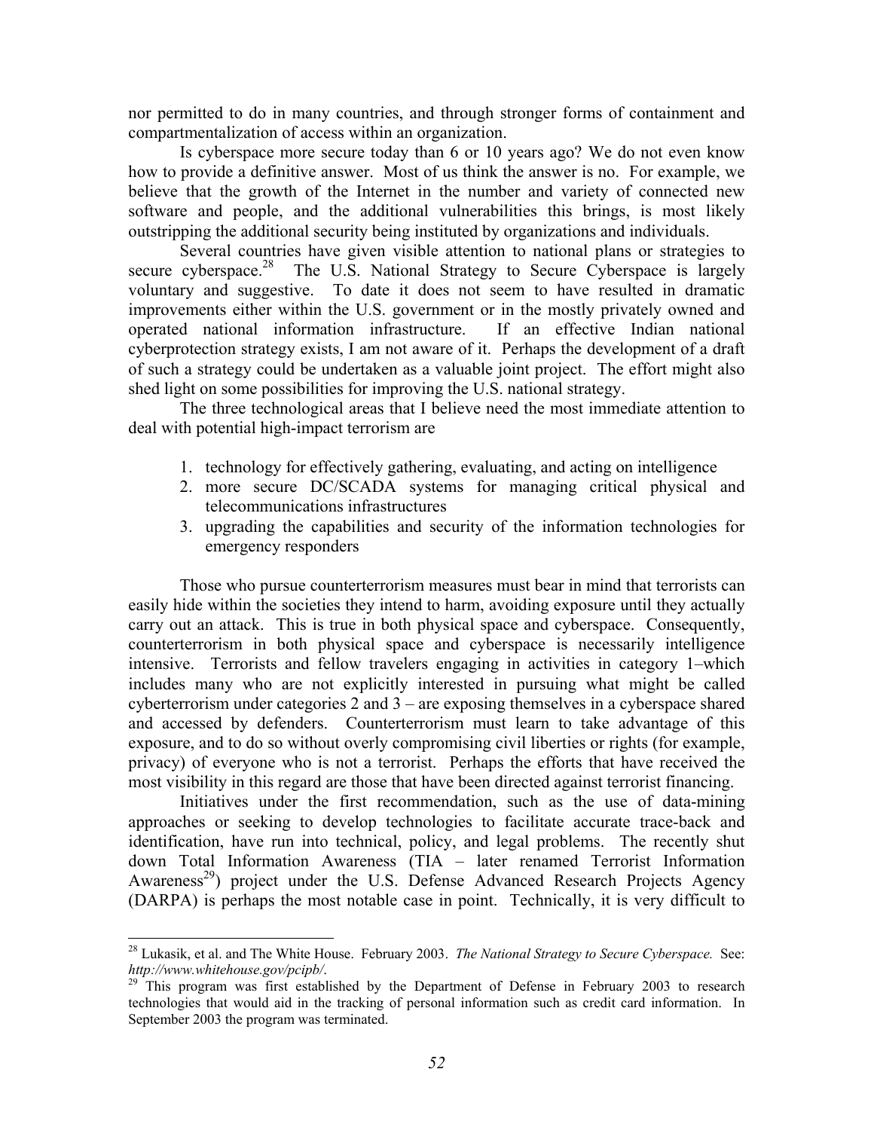nor permitted to do in many countries, and through stronger forms of containment and compartmentalization of access within an organization.

Is cyberspace more secure today than 6 or 10 years ago? We do not even know how to provide a definitive answer. Most of us think the answer is no. For example, we believe that the growth of the Internet in the number and variety of connected new software and people, and the additional vulnerabilities this brings, is most likely outstripping the additional security being instituted by organizations and individuals.

Several countries have given visible attention to national plans or strategies to secure cyberspace.<sup>28</sup> The U.S. National Strategy to Secure Cyberspace is largely voluntary and suggestive. To date it does not seem to have resulted in dramatic improvements either within the U.S. government or in the mostly privately owned and operated national information infrastructure. If an effective Indian national cyberprotection strategy exists, I am not aware of it. Perhaps the development of a draft of such a strategy could be undertaken as a valuable joint project. The effort might also shed light on some possibilities for improving the U.S. national strategy.

The three technological areas that I believe need the most immediate attention to deal with potential high-impact terrorism are

- 1. technology for effectively gathering, evaluating, and acting on intelligence
- 2. more secure DC/SCADA systems for managing critical physical and telecommunications infrastructures
- 3. upgrading the capabilities and security of the information technologies for emergency responders

Those who pursue counterterrorism measures must bear in mind that terrorists can easily hide within the societies they intend to harm, avoiding exposure until they actually carry out an attack. This is true in both physical space and cyberspace. Consequently, counterterrorism in both physical space and cyberspace is necessarily intelligence intensive. Terrorists and fellow travelers engaging in activities in category 1–which includes many who are not explicitly interested in pursuing what might be called cyberterrorism under categories 2 and 3 – are exposing themselves in a cyberspace shared and accessed by defenders. Counterterrorism must learn to take advantage of this exposure, and to do so without overly compromising civil liberties or rights (for example, privacy) of everyone who is not a terrorist. Perhaps the efforts that have received the most visibility in this regard are those that have been directed against terrorist financing.

Initiatives under the first recommendation, such as the use of data-mining approaches or seeking to develop technologies to facilitate accurate trace-back and identification, have run into technical, policy, and legal problems. The recently shut down Total Information Awareness (TIA – later renamed Terrorist Information Awareness<sup>29</sup>) project under the U.S. Defense Advanced Research Projects Agency (DARPA) is perhaps the most notable case in point. Technically, it is very difficult to

 $\overline{\phantom{a}}$ 

<sup>28</sup> Lukasik, et al. and The White House. February 2003. *The National Strategy to Secure Cyberspace.* See: *http://www.whitehouse.gov/pcipb/*. 29 This program was first established by the Department of Defense in February 2003 to research

technologies that would aid in the tracking of personal information such as credit card information. In September 2003 the program was terminated.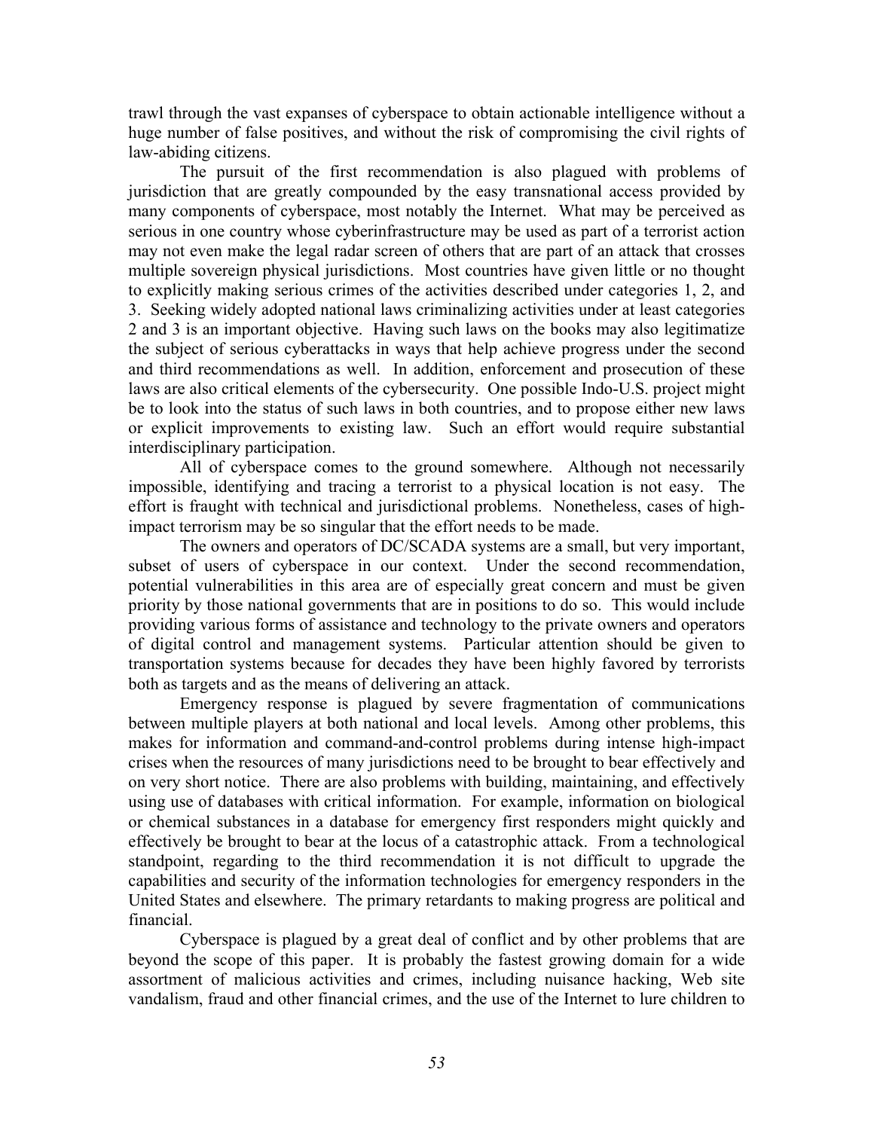trawl through the vast expanses of cyberspace to obtain actionable intelligence without a huge number of false positives, and without the risk of compromising the civil rights of law-abiding citizens.

The pursuit of the first recommendation is also plagued with problems of jurisdiction that are greatly compounded by the easy transnational access provided by many components of cyberspace, most notably the Internet. What may be perceived as serious in one country whose cyberinfrastructure may be used as part of a terrorist action may not even make the legal radar screen of others that are part of an attack that crosses multiple sovereign physical jurisdictions. Most countries have given little or no thought to explicitly making serious crimes of the activities described under categories 1, 2, and 3. Seeking widely adopted national laws criminalizing activities under at least categories 2 and 3 is an important objective. Having such laws on the books may also legitimatize the subject of serious cyberattacks in ways that help achieve progress under the second and third recommendations as well. In addition, enforcement and prosecution of these laws are also critical elements of the cybersecurity. One possible Indo-U.S. project might be to look into the status of such laws in both countries, and to propose either new laws or explicit improvements to existing law. Such an effort would require substantial interdisciplinary participation.

All of cyberspace comes to the ground somewhere. Although not necessarily impossible, identifying and tracing a terrorist to a physical location is not easy. The effort is fraught with technical and jurisdictional problems. Nonetheless, cases of highimpact terrorism may be so singular that the effort needs to be made.

The owners and operators of DC/SCADA systems are a small, but very important, subset of users of cyberspace in our context. Under the second recommendation, potential vulnerabilities in this area are of especially great concern and must be given priority by those national governments that are in positions to do so. This would include providing various forms of assistance and technology to the private owners and operators of digital control and management systems. Particular attention should be given to transportation systems because for decades they have been highly favored by terrorists both as targets and as the means of delivering an attack.

Emergency response is plagued by severe fragmentation of communications between multiple players at both national and local levels. Among other problems, this makes for information and command-and-control problems during intense high-impact crises when the resources of many jurisdictions need to be brought to bear effectively and on very short notice. There are also problems with building, maintaining, and effectively using use of databases with critical information. For example, information on biological or chemical substances in a database for emergency first responders might quickly and effectively be brought to bear at the locus of a catastrophic attack. From a technological standpoint, regarding to the third recommendation it is not difficult to upgrade the capabilities and security of the information technologies for emergency responders in the United States and elsewhere. The primary retardants to making progress are political and financial.

Cyberspace is plagued by a great deal of conflict and by other problems that are beyond the scope of this paper. It is probably the fastest growing domain for a wide assortment of malicious activities and crimes, including nuisance hacking, Web site vandalism, fraud and other financial crimes, and the use of the Internet to lure children to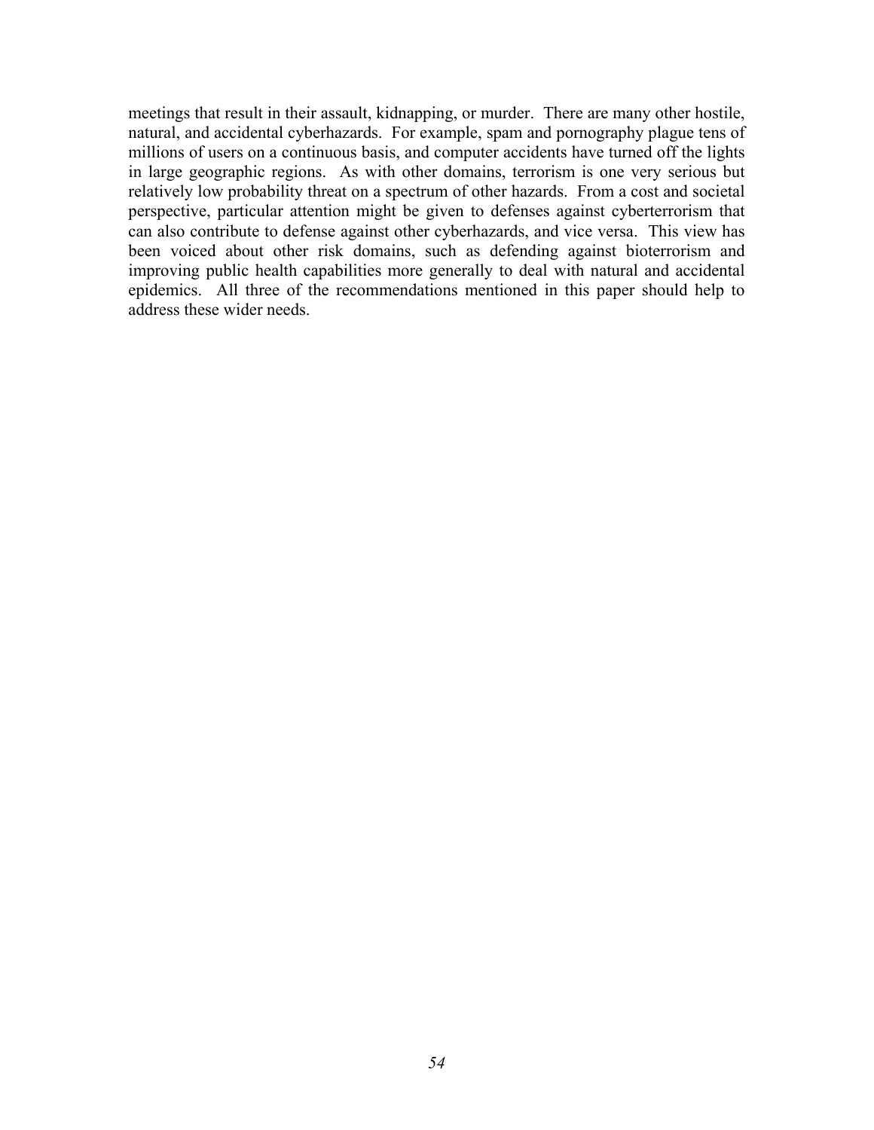meetings that result in their assault, kidnapping, or murder. There are many other hostile, natural, and accidental cyberhazards. For example, spam and pornography plague tens of millions of users on a continuous basis, and computer accidents have turned off the lights in large geographic regions. As with other domains, terrorism is one very serious but relatively low probability threat on a spectrum of other hazards. From a cost and societal perspective, particular attention might be given to defenses against cyberterrorism that can also contribute to defense against other cyberhazards, and vice versa. This view has been voiced about other risk domains, such as defending against bioterrorism and improving public health capabilities more generally to deal with natural and accidental epidemics. All three of the recommendations mentioned in this paper should help to address these wider needs.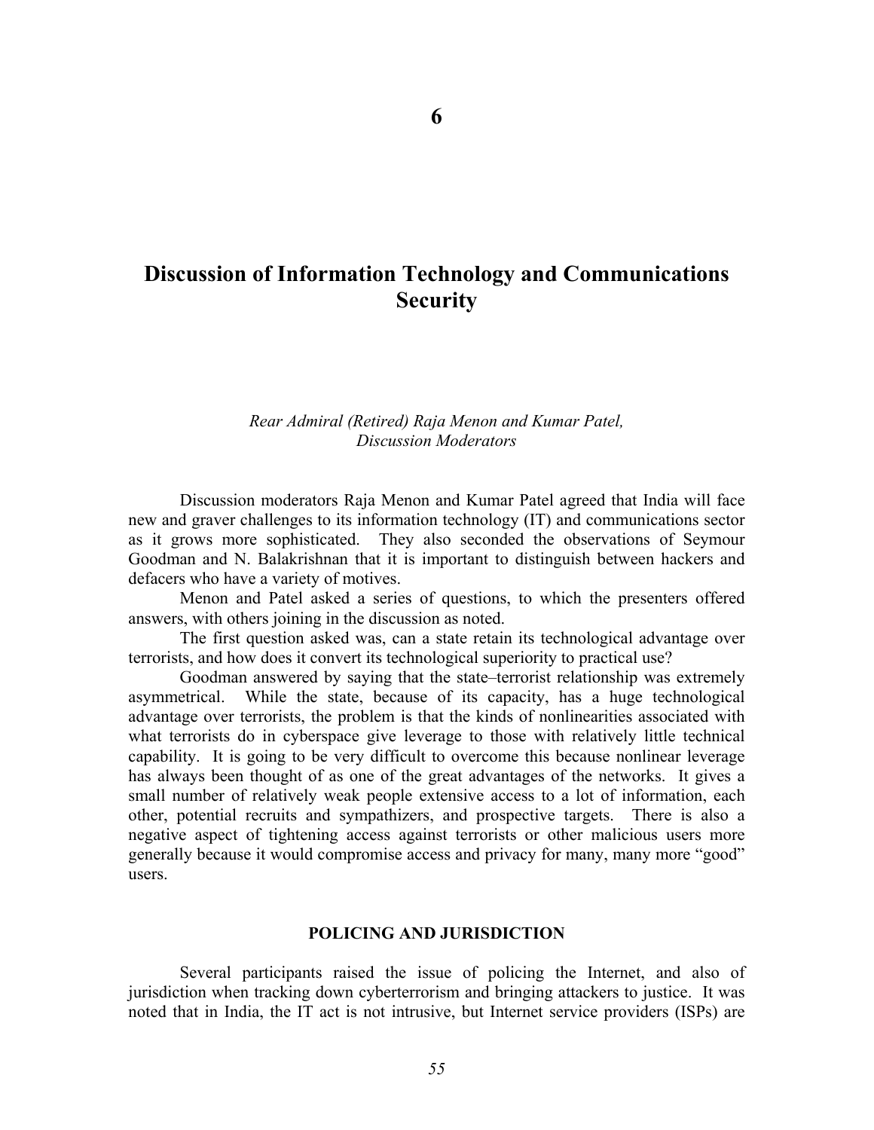# **Discussion of Information Technology and Communications Security**

#### *Rear Admiral (Retired) Raja Menon and Kumar Patel, Discussion Moderators*

Discussion moderators Raja Menon and Kumar Patel agreed that India will face new and graver challenges to its information technology (IT) and communications sector as it grows more sophisticated. They also seconded the observations of Seymour Goodman and N. Balakrishnan that it is important to distinguish between hackers and defacers who have a variety of motives.

Menon and Patel asked a series of questions, to which the presenters offered answers, with others joining in the discussion as noted.

The first question asked was, can a state retain its technological advantage over terrorists, and how does it convert its technological superiority to practical use?

Goodman answered by saying that the state–terrorist relationship was extremely asymmetrical. While the state, because of its capacity, has a huge technological advantage over terrorists, the problem is that the kinds of nonlinearities associated with what terrorists do in cyberspace give leverage to those with relatively little technical capability. It is going to be very difficult to overcome this because nonlinear leverage has always been thought of as one of the great advantages of the networks. It gives a small number of relatively weak people extensive access to a lot of information, each other, potential recruits and sympathizers, and prospective targets. There is also a negative aspect of tightening access against terrorists or other malicious users more generally because it would compromise access and privacy for many, many more "good" users.

## **POLICING AND JURISDICTION**

Several participants raised the issue of policing the Internet, and also of jurisdiction when tracking down cyberterrorism and bringing attackers to justice. It was noted that in India, the IT act is not intrusive, but Internet service providers (ISPs) are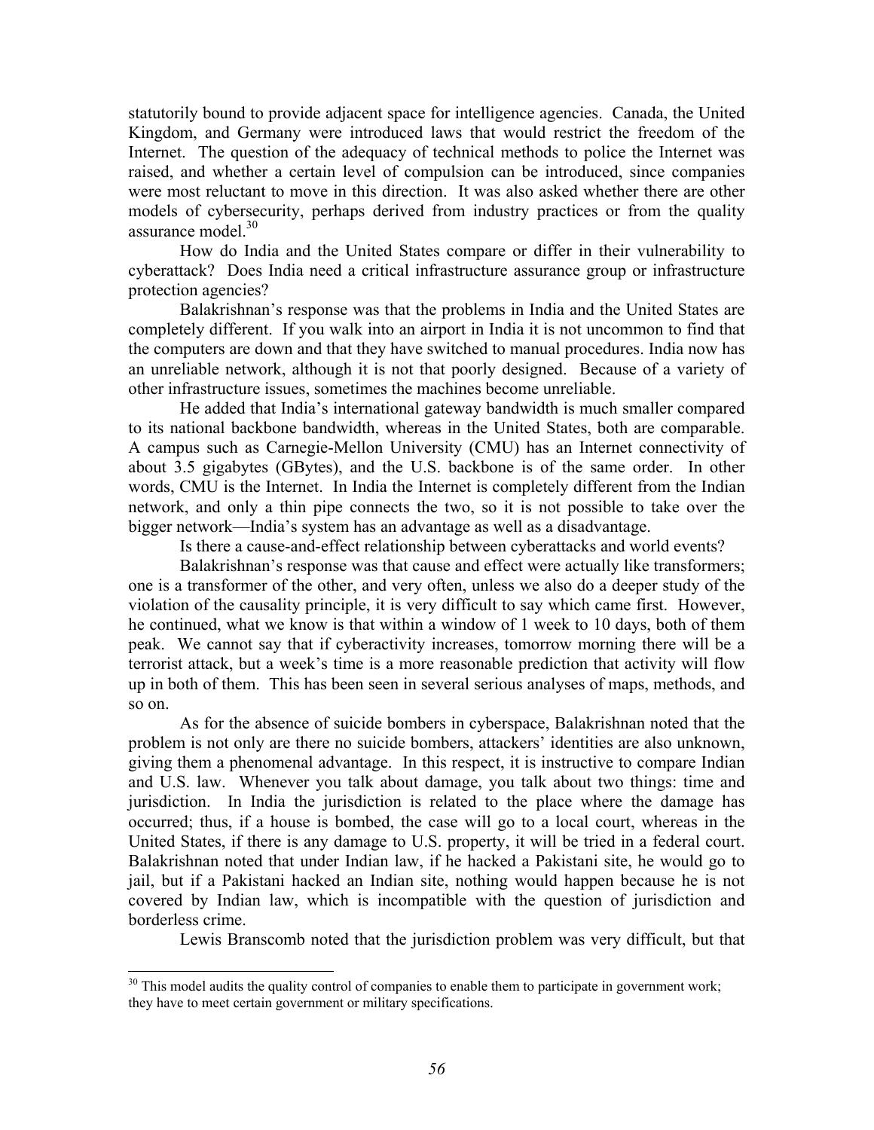statutorily bound to provide adjacent space for intelligence agencies. Canada, the United Kingdom, and Germany were introduced laws that would restrict the freedom of the Internet. The question of the adequacy of technical methods to police the Internet was raised, and whether a certain level of compulsion can be introduced, since companies were most reluctant to move in this direction. It was also asked whether there are other models of cybersecurity, perhaps derived from industry practices or from the quality assurance model  $30<sup>30</sup>$ 

How do India and the United States compare or differ in their vulnerability to cyberattack? Does India need a critical infrastructure assurance group or infrastructure protection agencies?

Balakrishnan's response was that the problems in India and the United States are completely different. If you walk into an airport in India it is not uncommon to find that the computers are down and that they have switched to manual procedures. India now has an unreliable network, although it is not that poorly designed. Because of a variety of other infrastructure issues, sometimes the machines become unreliable.

He added that India's international gateway bandwidth is much smaller compared to its national backbone bandwidth, whereas in the United States, both are comparable. A campus such as Carnegie-Mellon University (CMU) has an Internet connectivity of about 3.5 gigabytes (GBytes), and the U.S. backbone is of the same order. In other words, CMU is the Internet. In India the Internet is completely different from the Indian network, and only a thin pipe connects the two, so it is not possible to take over the bigger network—India's system has an advantage as well as a disadvantage.

Is there a cause-and-effect relationship between cyberattacks and world events?

Balakrishnan's response was that cause and effect were actually like transformers; one is a transformer of the other, and very often, unless we also do a deeper study of the violation of the causality principle, it is very difficult to say which came first. However, he continued, what we know is that within a window of 1 week to 10 days, both of them peak. We cannot say that if cyberactivity increases, tomorrow morning there will be a terrorist attack, but a week's time is a more reasonable prediction that activity will flow up in both of them. This has been seen in several serious analyses of maps, methods, and so on.

As for the absence of suicide bombers in cyberspace, Balakrishnan noted that the problem is not only are there no suicide bombers, attackers' identities are also unknown, giving them a phenomenal advantage. In this respect, it is instructive to compare Indian and U.S. law. Whenever you talk about damage, you talk about two things: time and jurisdiction. In India the jurisdiction is related to the place where the damage has occurred; thus, if a house is bombed, the case will go to a local court, whereas in the United States, if there is any damage to U.S. property, it will be tried in a federal court. Balakrishnan noted that under Indian law, if he hacked a Pakistani site, he would go to jail, but if a Pakistani hacked an Indian site, nothing would happen because he is not covered by Indian law, which is incompatible with the question of jurisdiction and borderless crime.

Lewis Branscomb noted that the jurisdiction problem was very difficult, but that

l

 $30$  This model audits the quality control of companies to enable them to participate in government work; they have to meet certain government or military specifications.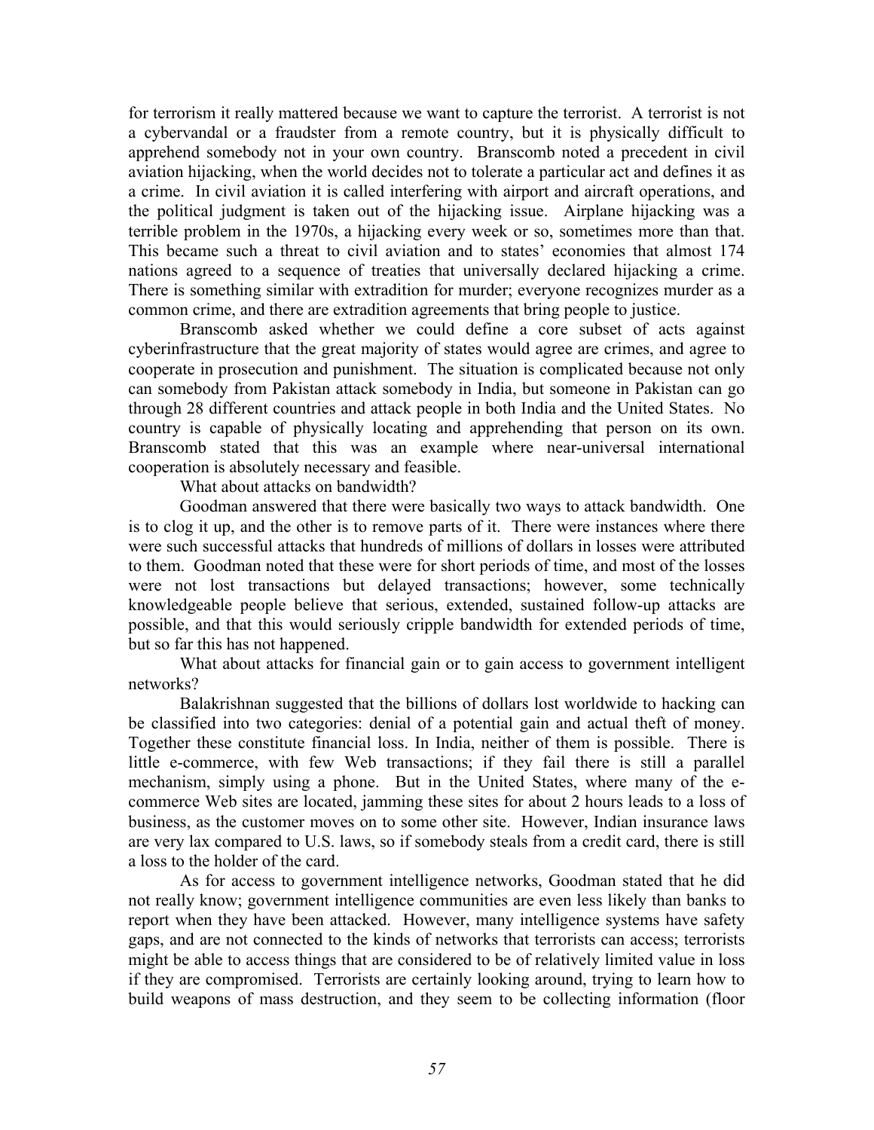for terrorism it really mattered because we want to capture the terrorist. A terrorist is not a cybervandal or a fraudster from a remote country, but it is physically difficult to apprehend somebody not in your own country. Branscomb noted a precedent in civil aviation hijacking, when the world decides not to tolerate a particular act and defines it as a crime. In civil aviation it is called interfering with airport and aircraft operations, and the political judgment is taken out of the hijacking issue. Airplane hijacking was a terrible problem in the 1970s, a hijacking every week or so, sometimes more than that. This became such a threat to civil aviation and to states' economies that almost 174 nations agreed to a sequence of treaties that universally declared hijacking a crime. There is something similar with extradition for murder; everyone recognizes murder as a common crime, and there are extradition agreements that bring people to justice.

Branscomb asked whether we could define a core subset of acts against cyberinfrastructure that the great majority of states would agree are crimes, and agree to cooperate in prosecution and punishment. The situation is complicated because not only can somebody from Pakistan attack somebody in India, but someone in Pakistan can go through 28 different countries and attack people in both India and the United States. No country is capable of physically locating and apprehending that person on its own. Branscomb stated that this was an example where near-universal international cooperation is absolutely necessary and feasible.

What about attacks on bandwidth?

Goodman answered that there were basically two ways to attack bandwidth. One is to clog it up, and the other is to remove parts of it. There were instances where there were such successful attacks that hundreds of millions of dollars in losses were attributed to them. Goodman noted that these were for short periods of time, and most of the losses were not lost transactions but delayed transactions; however, some technically knowledgeable people believe that serious, extended, sustained follow-up attacks are possible, and that this would seriously cripple bandwidth for extended periods of time, but so far this has not happened.

What about attacks for financial gain or to gain access to government intelligent networks?

Balakrishnan suggested that the billions of dollars lost worldwide to hacking can be classified into two categories: denial of a potential gain and actual theft of money. Together these constitute financial loss. In India, neither of them is possible. There is little e-commerce, with few Web transactions; if they fail there is still a parallel mechanism, simply using a phone. But in the United States, where many of the ecommerce Web sites are located, jamming these sites for about 2 hours leads to a loss of business, as the customer moves on to some other site. However, Indian insurance laws are very lax compared to U.S. laws, so if somebody steals from a credit card, there is still a loss to the holder of the card.

As for access to government intelligence networks, Goodman stated that he did not really know; government intelligence communities are even less likely than banks to report when they have been attacked. However, many intelligence systems have safety gaps, and are not connected to the kinds of networks that terrorists can access; terrorists might be able to access things that are considered to be of relatively limited value in loss if they are compromised. Terrorists are certainly looking around, trying to learn how to build weapons of mass destruction, and they seem to be collecting information (floor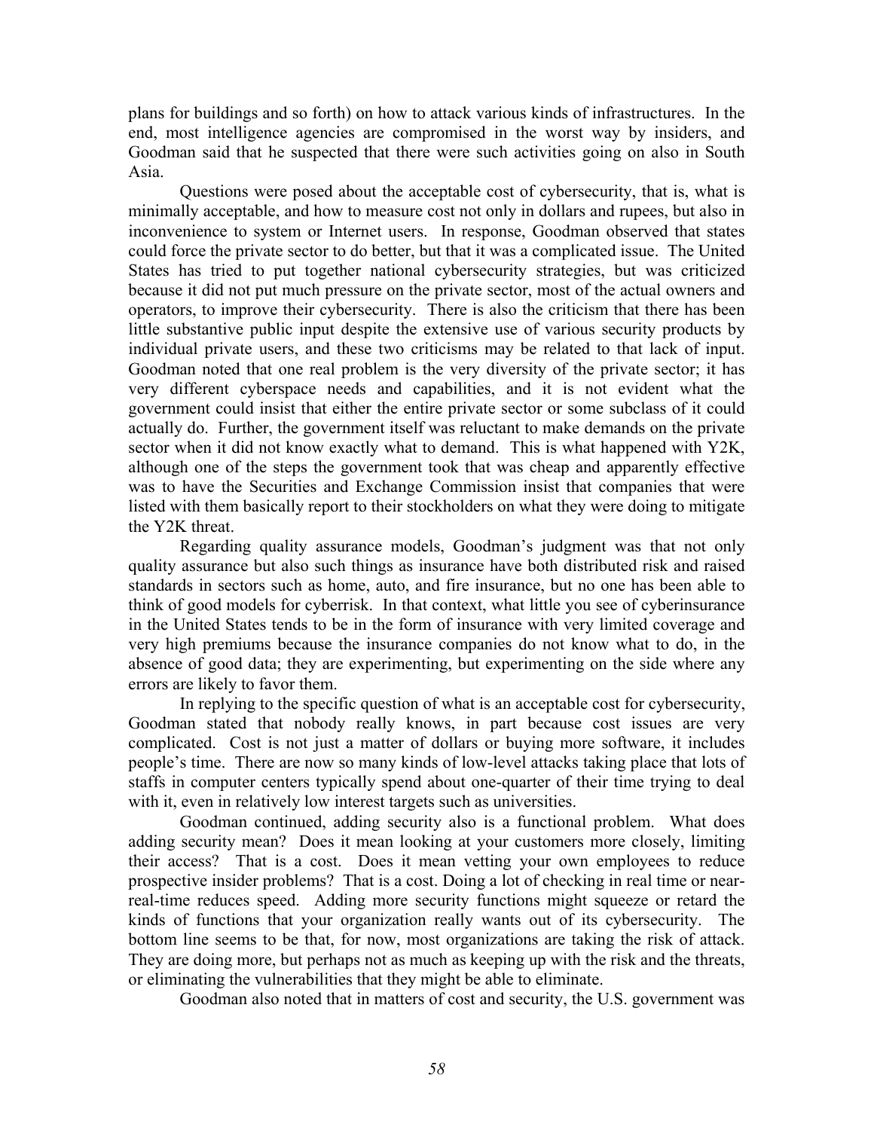plans for buildings and so forth) on how to attack various kinds of infrastructures. In the end, most intelligence agencies are compromised in the worst way by insiders, and Goodman said that he suspected that there were such activities going on also in South Asia.

Questions were posed about the acceptable cost of cybersecurity, that is, what is minimally acceptable, and how to measure cost not only in dollars and rupees, but also in inconvenience to system or Internet users. In response, Goodman observed that states could force the private sector to do better, but that it was a complicated issue. The United States has tried to put together national cybersecurity strategies, but was criticized because it did not put much pressure on the private sector, most of the actual owners and operators, to improve their cybersecurity. There is also the criticism that there has been little substantive public input despite the extensive use of various security products by individual private users, and these two criticisms may be related to that lack of input. Goodman noted that one real problem is the very diversity of the private sector; it has very different cyberspace needs and capabilities, and it is not evident what the government could insist that either the entire private sector or some subclass of it could actually do. Further, the government itself was reluctant to make demands on the private sector when it did not know exactly what to demand. This is what happened with Y2K, although one of the steps the government took that was cheap and apparently effective was to have the Securities and Exchange Commission insist that companies that were listed with them basically report to their stockholders on what they were doing to mitigate the Y2K threat.

Regarding quality assurance models, Goodman's judgment was that not only quality assurance but also such things as insurance have both distributed risk and raised standards in sectors such as home, auto, and fire insurance, but no one has been able to think of good models for cyberrisk. In that context, what little you see of cyberinsurance in the United States tends to be in the form of insurance with very limited coverage and very high premiums because the insurance companies do not know what to do, in the absence of good data; they are experimenting, but experimenting on the side where any errors are likely to favor them.

In replying to the specific question of what is an acceptable cost for cybersecurity, Goodman stated that nobody really knows, in part because cost issues are very complicated. Cost is not just a matter of dollars or buying more software, it includes people's time. There are now so many kinds of low-level attacks taking place that lots of staffs in computer centers typically spend about one-quarter of their time trying to deal with it, even in relatively low interest targets such as universities.

Goodman continued, adding security also is a functional problem. What does adding security mean? Does it mean looking at your customers more closely, limiting their access? That is a cost. Does it mean vetting your own employees to reduce prospective insider problems? That is a cost. Doing a lot of checking in real time or nearreal-time reduces speed. Adding more security functions might squeeze or retard the kinds of functions that your organization really wants out of its cybersecurity. The bottom line seems to be that, for now, most organizations are taking the risk of attack. They are doing more, but perhaps not as much as keeping up with the risk and the threats, or eliminating the vulnerabilities that they might be able to eliminate.

Goodman also noted that in matters of cost and security, the U.S. government was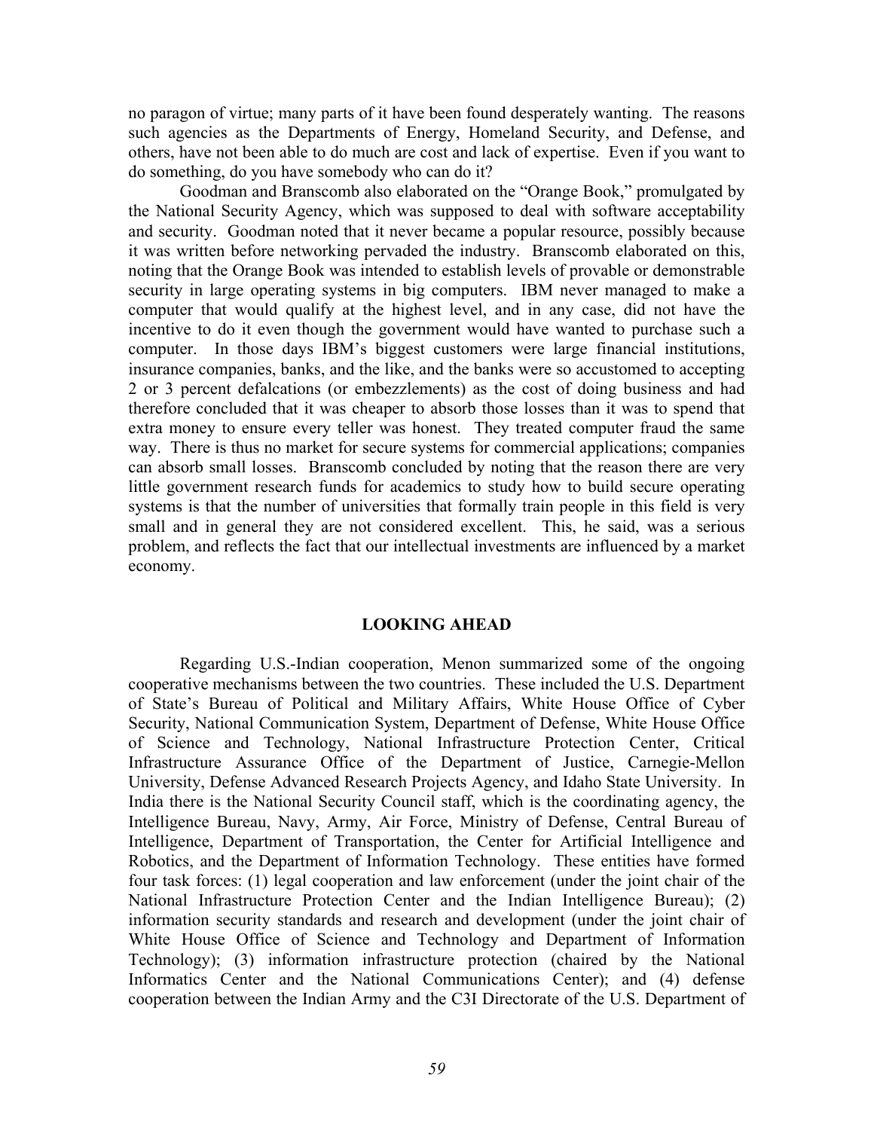no paragon of virtue; many parts of it have been found desperately wanting. The reasons such agencies as the Departments of Energy, Homeland Security, and Defense, and others, have not been able to do much are cost and lack of expertise. Even if you want to do something, do you have somebody who can do it?

Goodman and Branscomb also elaborated on the "Orange Book," promulgated by the National Security Agency, which was supposed to deal with software acceptability and security. Goodman noted that it never became a popular resource, possibly because it was written before networking pervaded the industry. Branscomb elaborated on this, noting that the Orange Book was intended to establish levels of provable or demonstrable security in large operating systems in big computers. IBM never managed to make a computer that would qualify at the highest level, and in any case, did not have the incentive to do it even though the government would have wanted to purchase such a computer. In those days IBM's biggest customers were large financial institutions, insurance companies, banks, and the like, and the banks were so accustomed to accepting 2 or 3 percent defalcations (or embezzlements) as the cost of doing business and had therefore concluded that it was cheaper to absorb those losses than it was to spend that extra money to ensure every teller was honest. They treated computer fraud the same way. There is thus no market for secure systems for commercial applications; companies can absorb small losses. Branscomb concluded by noting that the reason there are very little government research funds for academics to study how to build secure operating systems is that the number of universities that formally train people in this field is very small and in general they are not considered excellent. This, he said, was a serious problem, and reflects the fact that our intellectual investments are influenced by a market economy.

### **LOOKING AHEAD**

Regarding U.S.-Indian cooperation, Menon summarized some of the ongoing cooperative mechanisms between the two countries. These included the U.S. Department of State's Bureau of Political and Military Affairs, White House Office of Cyber Security, National Communication System, Department of Defense, White House Office of Science and Technology, National Infrastructure Protection Center, Critical Infrastructure Assurance Office of the Department of Justice, Carnegie-Mellon University, Defense Advanced Research Projects Agency, and Idaho State University. In India there is the National Security Council staff, which is the coordinating agency, the Intelligence Bureau, Navy, Army, Air Force, Ministry of Defense, Central Bureau of Intelligence, Department of Transportation, the Center for Artificial Intelligence and Robotics, and the Department of Information Technology. These entities have formed four task forces: (1) legal cooperation and law enforcement (under the joint chair of the National Infrastructure Protection Center and the Indian Intelligence Bureau); (2) information security standards and research and development (under the joint chair of White House Office of Science and Technology and Department of Information Technology); (3) information infrastructure protection (chaired by the National Informatics Center and the National Communications Center); and (4) defense cooperation between the Indian Army and the C3I Directorate of the U.S. Department of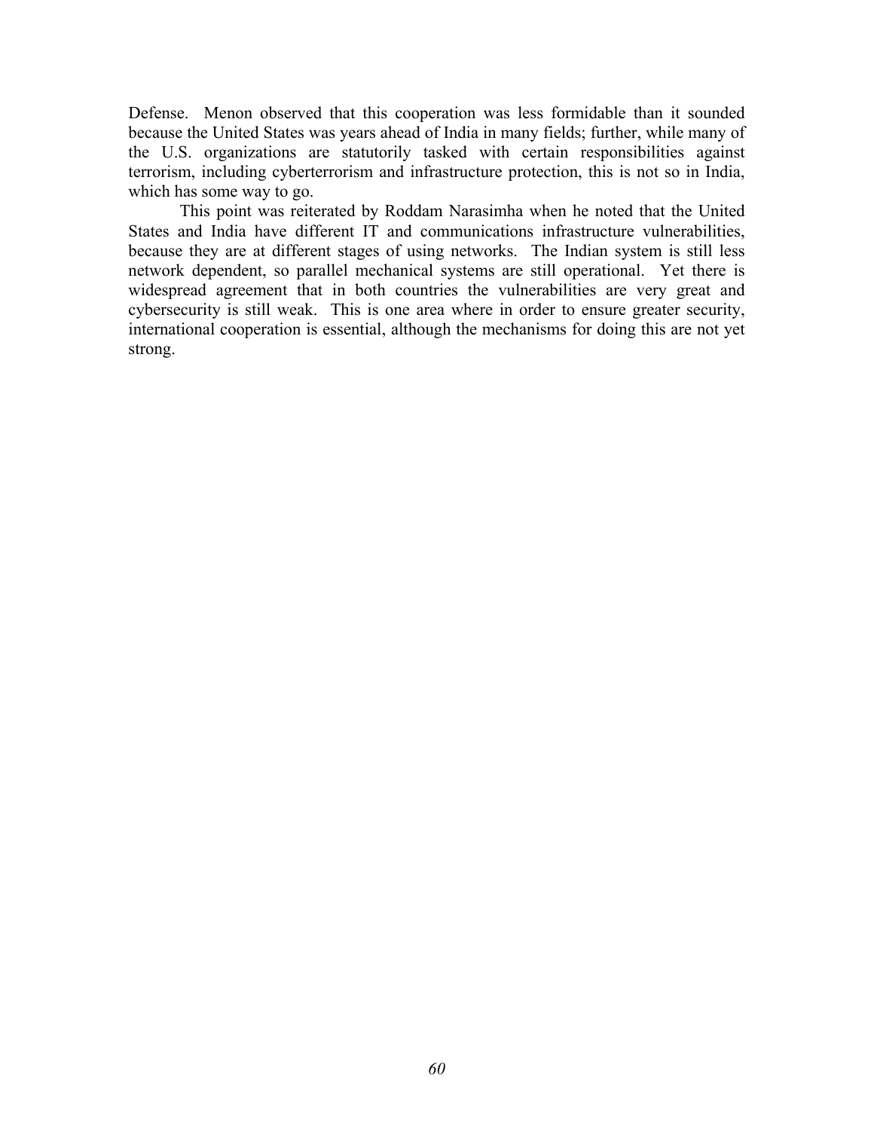Defense. Menon observed that this cooperation was less formidable than it sounded because the United States was years ahead of India in many fields; further, while many of the U.S. organizations are statutorily tasked with certain responsibilities against terrorism, including cyberterrorism and infrastructure protection, this is not so in India, which has some way to go.

This point was reiterated by Roddam Narasimha when he noted that the United States and India have different IT and communications infrastructure vulnerabilities, because they are at different stages of using networks. The Indian system is still less network dependent, so parallel mechanical systems are still operational. Yet there is widespread agreement that in both countries the vulnerabilities are very great and cybersecurity is still weak. This is one area where in order to ensure greater security, international cooperation is essential, although the mechanisms for doing this are not yet strong.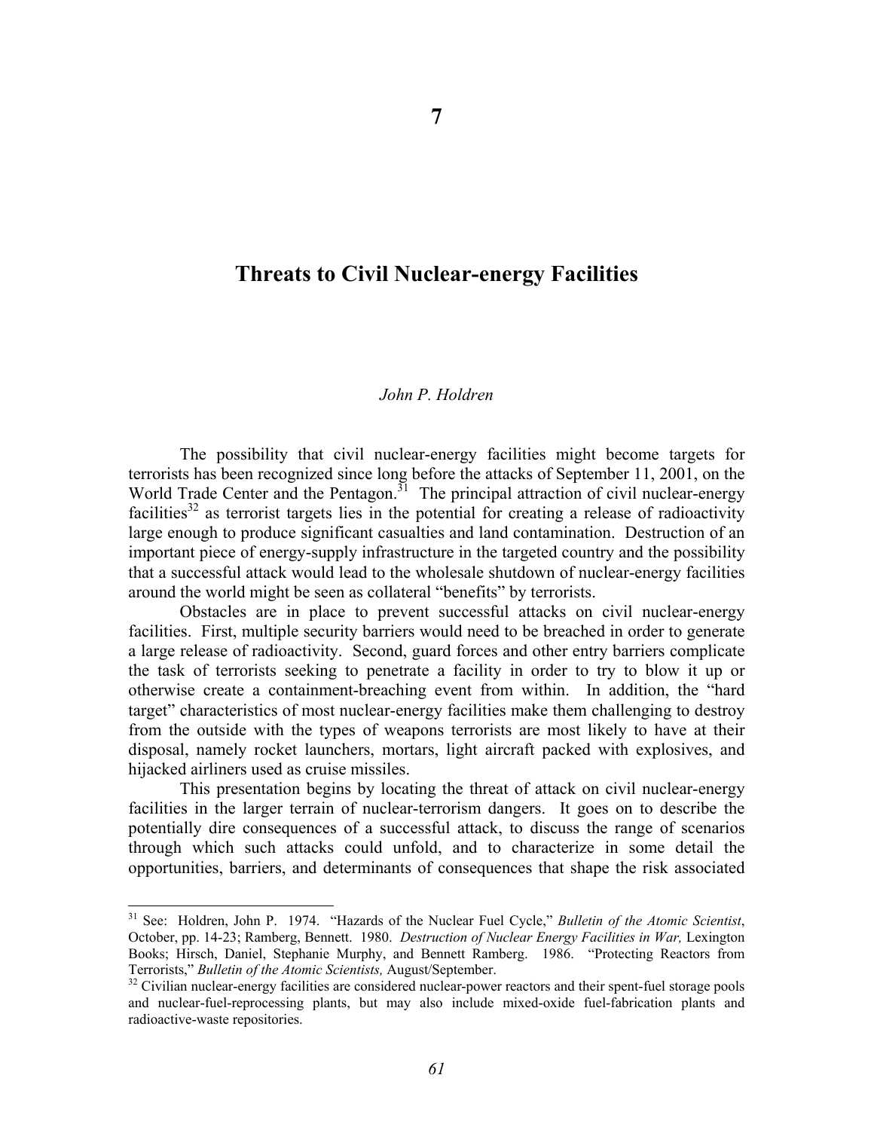# **Threats to Civil Nuclear-energy Facilities**

## *John P. Holdren*

The possibility that civil nuclear-energy facilities might become targets for terrorists has been recognized since long before the attacks of September 11, 2001, on the World Trade Center and the Pentagon. $31$  The principal attraction of civil nuclear-energy facilities<sup>32</sup> as terrorist targets lies in the potential for creating a release of radioactivity large enough to produce significant casualties and land contamination. Destruction of an important piece of energy-supply infrastructure in the targeted country and the possibility that a successful attack would lead to the wholesale shutdown of nuclear-energy facilities around the world might be seen as collateral "benefits" by terrorists.

Obstacles are in place to prevent successful attacks on civil nuclear-energy facilities. First, multiple security barriers would need to be breached in order to generate a large release of radioactivity. Second, guard forces and other entry barriers complicate the task of terrorists seeking to penetrate a facility in order to try to blow it up or otherwise create a containment-breaching event from within. In addition, the "hard target" characteristics of most nuclear-energy facilities make them challenging to destroy from the outside with the types of weapons terrorists are most likely to have at their disposal, namely rocket launchers, mortars, light aircraft packed with explosives, and hijacked airliners used as cruise missiles.

This presentation begins by locating the threat of attack on civil nuclear-energy facilities in the larger terrain of nuclear-terrorism dangers. It goes on to describe the potentially dire consequences of a successful attack, to discuss the range of scenarios through which such attacks could unfold, and to characterize in some detail the opportunities, barriers, and determinants of consequences that shape the risk associated

<sup>31</sup> See: Holdren, John P. 1974. "Hazards of the Nuclear Fuel Cycle," *Bulletin of the Atomic Scientist*, October, pp. 14-23; Ramberg, Bennett. 1980. *Destruction of Nuclear Energy Facilities in War,* Lexington Books; Hirsch, Daniel, Stephanie Murphy, and Bennett Ramberg. 1986. "Protecting Reactors from Terrorists," *Bulletin of the Atomic Scientists,* August/September. 32 Civilian nuclear-energy facilities are considered nuclear-power reactors and their spent-fuel storage pools

and nuclear-fuel-reprocessing plants, but may also include mixed-oxide fuel-fabrication plants and radioactive-waste repositories.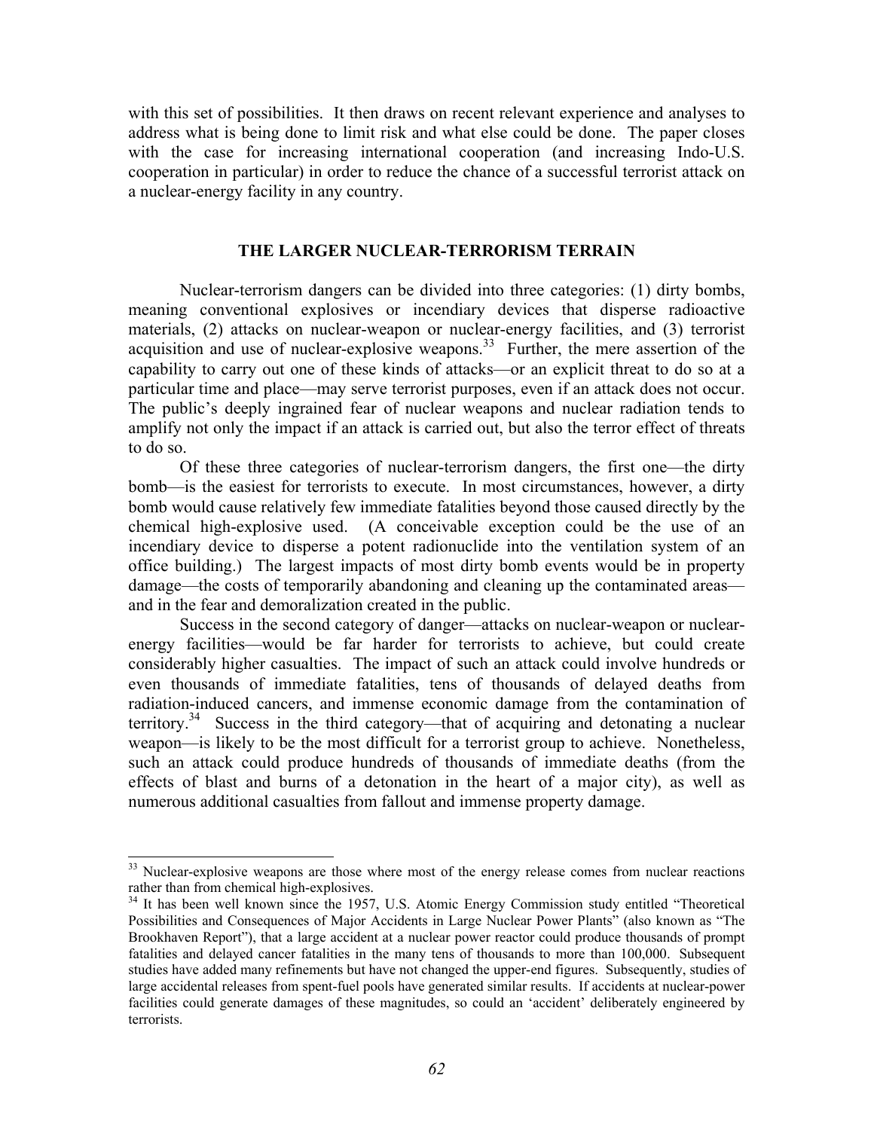with this set of possibilities. It then draws on recent relevant experience and analyses to address what is being done to limit risk and what else could be done. The paper closes with the case for increasing international cooperation (and increasing Indo-U.S. cooperation in particular) in order to reduce the chance of a successful terrorist attack on a nuclear-energy facility in any country.

## **THE LARGER NUCLEAR-TERRORISM TERRAIN**

Nuclear-terrorism dangers can be divided into three categories: (1) dirty bombs, meaning conventional explosives or incendiary devices that disperse radioactive materials, (2) attacks on nuclear-weapon or nuclear-energy facilities, and (3) terrorist acquisition and use of nuclear-explosive weapons.<sup>33</sup> Further, the mere assertion of the capability to carry out one of these kinds of attacks—or an explicit threat to do so at a particular time and place—may serve terrorist purposes, even if an attack does not occur. The public's deeply ingrained fear of nuclear weapons and nuclear radiation tends to amplify not only the impact if an attack is carried out, but also the terror effect of threats to do so.

Of these three categories of nuclear-terrorism dangers, the first one—the dirty bomb—is the easiest for terrorists to execute. In most circumstances, however, a dirty bomb would cause relatively few immediate fatalities beyond those caused directly by the chemical high-explosive used. (A conceivable exception could be the use of an incendiary device to disperse a potent radionuclide into the ventilation system of an office building.) The largest impacts of most dirty bomb events would be in property damage—the costs of temporarily abandoning and cleaning up the contaminated areas and in the fear and demoralization created in the public.

Success in the second category of danger—attacks on nuclear-weapon or nuclearenergy facilities—would be far harder for terrorists to achieve, but could create considerably higher casualties. The impact of such an attack could involve hundreds or even thousands of immediate fatalities, tens of thousands of delayed deaths from radiation-induced cancers, and immense economic damage from the contamination of territory.<sup>34</sup> Success in the third category—that of acquiring and detonating a nuclear weapon—is likely to be the most difficult for a terrorist group to achieve. Nonetheless, such an attack could produce hundreds of thousands of immediate deaths (from the effects of blast and burns of a detonation in the heart of a major city), as well as numerous additional casualties from fallout and immense property damage.

<sup>&</sup>lt;sup>33</sup> Nuclear-explosive weapons are those where most of the energy release comes from nuclear reactions rather than from chemical high-explosives.

<sup>&</sup>lt;sup>34</sup> It has been well known since the 1957, U.S. Atomic Energy Commission study entitled "Theoretical Possibilities and Consequences of Major Accidents in Large Nuclear Power Plants" (also known as "The Brookhaven Report"), that a large accident at a nuclear power reactor could produce thousands of prompt fatalities and delayed cancer fatalities in the many tens of thousands to more than 100,000. Subsequent studies have added many refinements but have not changed the upper-end figures. Subsequently, studies of large accidental releases from spent-fuel pools have generated similar results. If accidents at nuclear-power facilities could generate damages of these magnitudes, so could an 'accident' deliberately engineered by terrorists.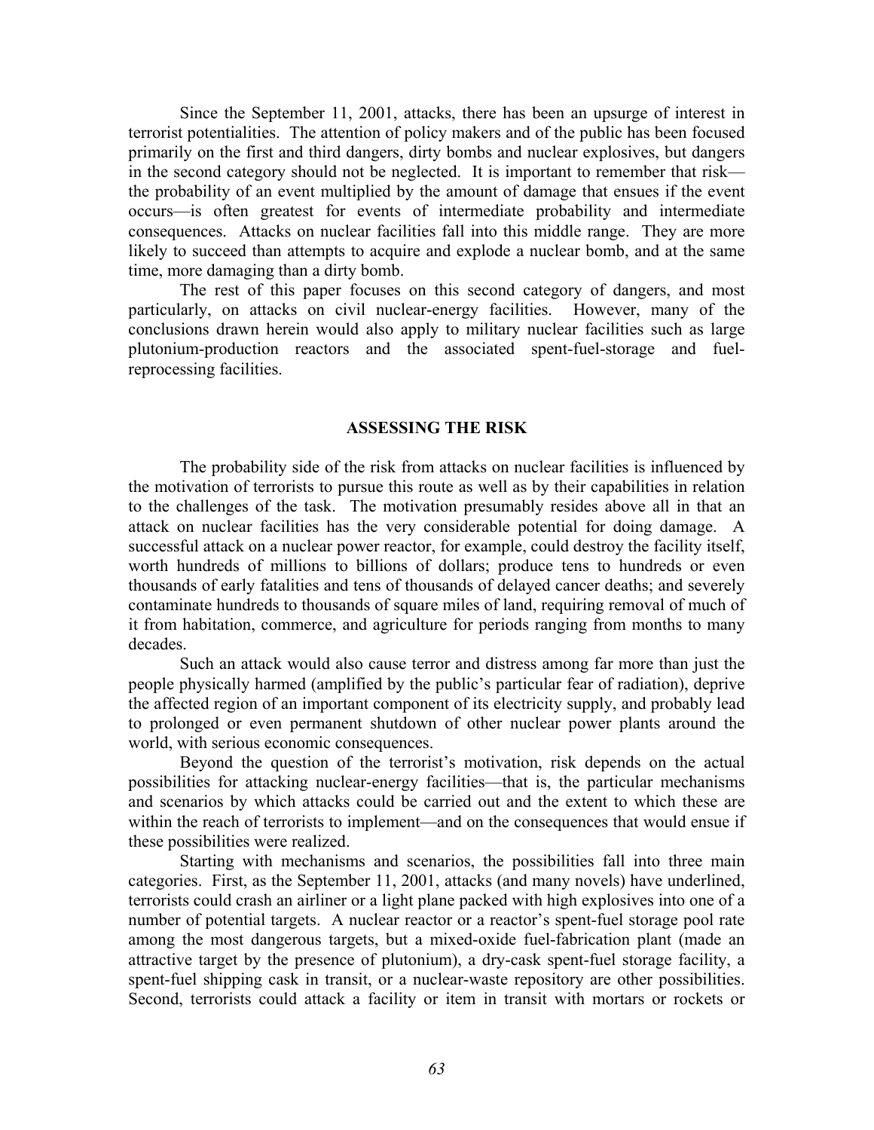Since the September 11, 2001, attacks, there has been an upsurge of interest in terrorist potentialities. The attention of policy makers and of the public has been focused primarily on the first and third dangers, dirty bombs and nuclear explosives, but dangers in the second category should not be neglected. It is important to remember that risk the probability of an event multiplied by the amount of damage that ensues if the event occurs—is often greatest for events of intermediate probability and intermediate consequences. Attacks on nuclear facilities fall into this middle range. They are more likely to succeed than attempts to acquire and explode a nuclear bomb, and at the same time, more damaging than a dirty bomb.

The rest of this paper focuses on this second category of dangers, and most particularly, on attacks on civil nuclear-energy facilities. However, many of the conclusions drawn herein would also apply to military nuclear facilities such as large plutonium-production reactors and the associated spent-fuel-storage and fuelreprocessing facilities.

### **ASSESSING THE RISK**

The probability side of the risk from attacks on nuclear facilities is influenced by the motivation of terrorists to pursue this route as well as by their capabilities in relation to the challenges of the task. The motivation presumably resides above all in that an attack on nuclear facilities has the very considerable potential for doing damage. A successful attack on a nuclear power reactor, for example, could destroy the facility itself, worth hundreds of millions to billions of dollars; produce tens to hundreds or even thousands of early fatalities and tens of thousands of delayed cancer deaths; and severely contaminate hundreds to thousands of square miles of land, requiring removal of much of it from habitation, commerce, and agriculture for periods ranging from months to many decades.

Such an attack would also cause terror and distress among far more than just the people physically harmed (amplified by the public's particular fear of radiation), deprive the affected region of an important component of its electricity supply, and probably lead to prolonged or even permanent shutdown of other nuclear power plants around the world, with serious economic consequences.

Beyond the question of the terrorist's motivation, risk depends on the actual possibilities for attacking nuclear-energy facilities—that is, the particular mechanisms and scenarios by which attacks could be carried out and the extent to which these are within the reach of terrorists to implement—and on the consequences that would ensue if these possibilities were realized.

Starting with mechanisms and scenarios, the possibilities fall into three main categories. First, as the September 11, 2001, attacks (and many novels) have underlined, terrorists could crash an airliner or a light plane packed with high explosives into one of a number of potential targets. A nuclear reactor or a reactor's spent-fuel storage pool rate among the most dangerous targets, but a mixed-oxide fuel-fabrication plant (made an attractive target by the presence of plutonium), a dry-cask spent-fuel storage facility, a spent-fuel shipping cask in transit, or a nuclear-waste repository are other possibilities. Second, terrorists could attack a facility or item in transit with mortars or rockets or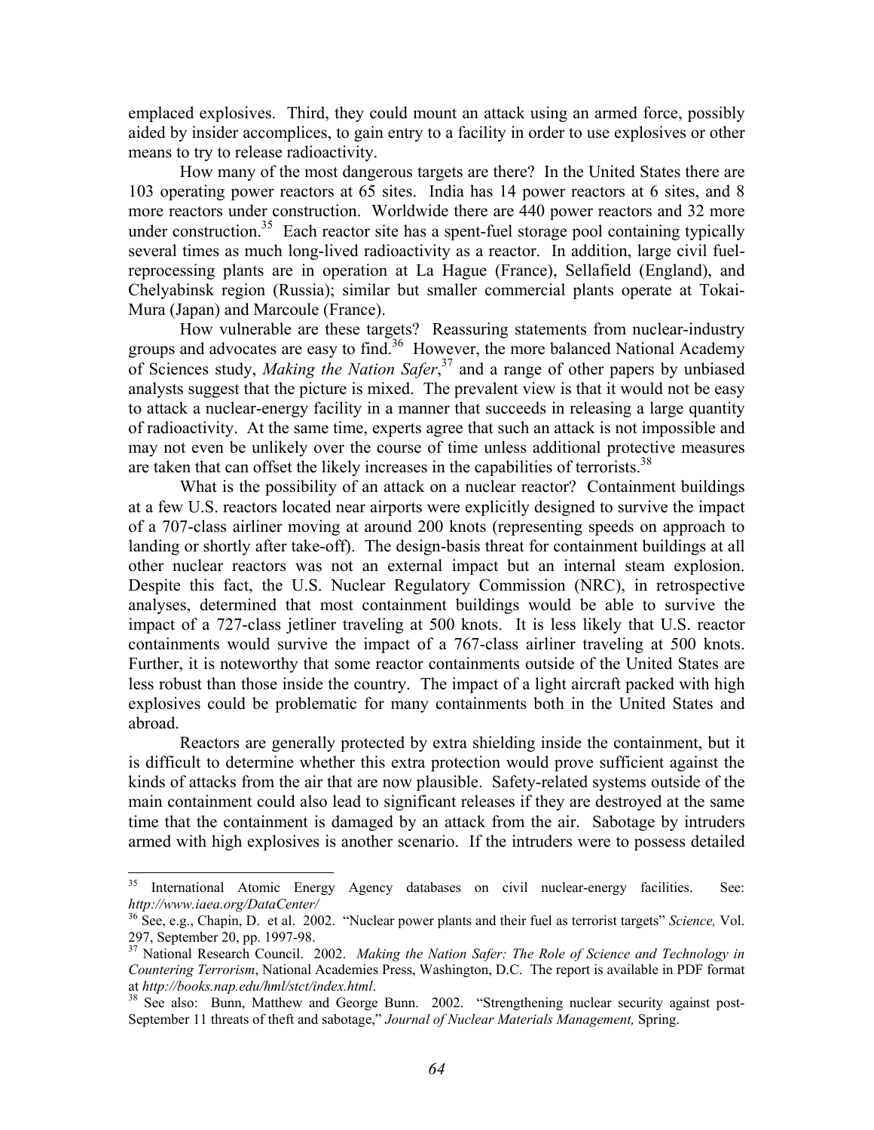emplaced explosives. Third, they could mount an attack using an armed force, possibly aided by insider accomplices, to gain entry to a facility in order to use explosives or other means to try to release radioactivity.

How many of the most dangerous targets are there? In the United States there are 103 operating power reactors at 65 sites. India has 14 power reactors at 6 sites, and 8 more reactors under construction. Worldwide there are 440 power reactors and 32 more under construction.<sup>35</sup> Each reactor site has a spent-fuel storage pool containing typically several times as much long-lived radioactivity as a reactor. In addition, large civil fuelreprocessing plants are in operation at La Hague (France), Sellafield (England), and Chelyabinsk region (Russia); similar but smaller commercial plants operate at Tokai-Mura (Japan) and Marcoule (France).

How vulnerable are these targets? Reassuring statements from nuclear-industry groups and advocates are easy to find.<sup>36</sup> However, the more balanced National Academy of Sciences study, *Making the Nation Safer*, 37 and a range of other papers by unbiased analysts suggest that the picture is mixed. The prevalent view is that it would not be easy to attack a nuclear-energy facility in a manner that succeeds in releasing a large quantity of radioactivity. At the same time, experts agree that such an attack is not impossible and may not even be unlikely over the course of time unless additional protective measures are taken that can offset the likely increases in the capabilities of terrorists.<sup>38</sup>

What is the possibility of an attack on a nuclear reactor? Containment buildings at a few U.S. reactors located near airports were explicitly designed to survive the impact of a 707-class airliner moving at around 200 knots (representing speeds on approach to landing or shortly after take-off). The design-basis threat for containment buildings at all other nuclear reactors was not an external impact but an internal steam explosion. Despite this fact, the U.S. Nuclear Regulatory Commission (NRC), in retrospective analyses, determined that most containment buildings would be able to survive the impact of a 727-class jetliner traveling at 500 knots. It is less likely that U.S. reactor containments would survive the impact of a 767-class airliner traveling at 500 knots. Further, it is noteworthy that some reactor containments outside of the United States are less robust than those inside the country. The impact of a light aircraft packed with high explosives could be problematic for many containments both in the United States and abroad.

Reactors are generally protected by extra shielding inside the containment, but it is difficult to determine whether this extra protection would prove sufficient against the kinds of attacks from the air that are now plausible. Safety-related systems outside of the main containment could also lead to significant releases if they are destroyed at the same time that the containment is damaged by an attack from the air. Sabotage by intruders armed with high explosives is another scenario. If the intruders were to possess detailed

<sup>35</sup> International Atomic Energy Agency databases on civil nuclear-energy facilities. See: *http://www.iaea.org/DataCenter/*

<sup>36</sup> See, e.g., Chapin, D. et al. 2002. "Nuclear power plants and their fuel as terrorist targets" *Science,* Vol. 297, September 20, pp. 1997-98.

<sup>&</sup>lt;sup>37</sup> National Research Council. 2002. *Making the Nation Safer: The Role of Science and Technology in Countering Terrorism*, National Academies Press, Washington, D.C. The report is available in PDF format at *http://books.nap.edu/hml/stct/index.html*.<br><sup>38</sup> See also: Bunn, Matthew and George Bunn. 2002. "Strengthening nuclear security against post-

September 11 threats of theft and sabotage," *Journal of Nuclear Materials Management,* Spring.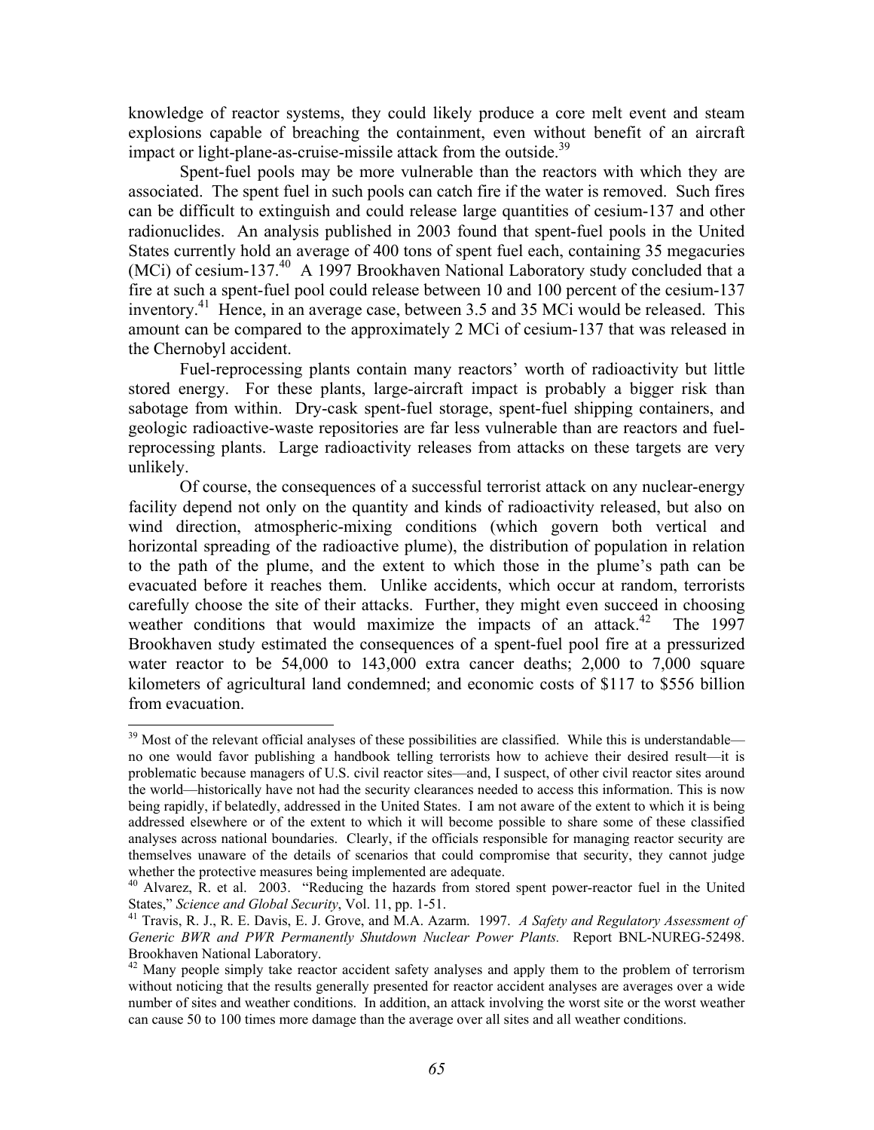knowledge of reactor systems, they could likely produce a core melt event and steam explosions capable of breaching the containment, even without benefit of an aircraft impact or light-plane-as-cruise-missile attack from the outside.<sup>39</sup>

Spent-fuel pools may be more vulnerable than the reactors with which they are associated. The spent fuel in such pools can catch fire if the water is removed. Such fires can be difficult to extinguish and could release large quantities of cesium-137 and other radionuclides. An analysis published in 2003 found that spent-fuel pools in the United States currently hold an average of 400 tons of spent fuel each, containing 35 megacuries (MCi) of cesium-137.<sup>40</sup> A 1997 Brookhaven National Laboratory study concluded that a fire at such a spent-fuel pool could release between 10 and 100 percent of the cesium-137 inventory.41 Hence, in an average case, between 3.5 and 35 MCi would be released. This amount can be compared to the approximately 2 MCi of cesium-137 that was released in the Chernobyl accident.

Fuel-reprocessing plants contain many reactors' worth of radioactivity but little stored energy. For these plants, large-aircraft impact is probably a bigger risk than sabotage from within. Dry-cask spent-fuel storage, spent-fuel shipping containers, and geologic radioactive-waste repositories are far less vulnerable than are reactors and fuelreprocessing plants. Large radioactivity releases from attacks on these targets are very unlikely.

Of course, the consequences of a successful terrorist attack on any nuclear-energy facility depend not only on the quantity and kinds of radioactivity released, but also on wind direction, atmospheric-mixing conditions (which govern both vertical and horizontal spreading of the radioactive plume), the distribution of population in relation to the path of the plume, and the extent to which those in the plume's path can be evacuated before it reaches them. Unlike accidents, which occur at random, terrorists carefully choose the site of their attacks. Further, they might even succeed in choosing weather conditions that would maximize the impacts of an attack.<sup>42</sup> The 1997 Brookhaven study estimated the consequences of a spent-fuel pool fire at a pressurized water reactor to be  $54,000$  to  $143,000$  extra cancer deaths;  $2,000$  to  $7,000$  square kilometers of agricultural land condemned; and economic costs of \$117 to \$556 billion from evacuation.

<sup>&</sup>lt;sup>39</sup> Most of the relevant official analyses of these possibilities are classified. While this is understandable no one would favor publishing a handbook telling terrorists how to achieve their desired result—it is problematic because managers of U.S. civil reactor sites—and, I suspect, of other civil reactor sites around the world—historically have not had the security clearances needed to access this information. This is now being rapidly, if belatedly, addressed in the United States. I am not aware of the extent to which it is being addressed elsewhere or of the extent to which it will become possible to share some of these classified analyses across national boundaries. Clearly, if the officials responsible for managing reactor security are themselves unaware of the details of scenarios that could compromise that security, they cannot judge whether the protective measures being implemented are adequate.

<sup>&</sup>lt;sup>40</sup> Alvarez, R. et al. 2003. "Reducing the hazards from stored spent power-reactor fuel in the United States," Science and Global Security, Vol. 11, pp. 1-51.

<sup>&</sup>lt;sup>41</sup> Travis, R. J., R. E. Davis, E. J. Grove, and M.A. Azarm. 1997. *A Safety and Regulatory Assessment of Generic BWR and PWR Permanently Shutdown Nuclear Power Plants.* Report BNL-NUREG-52498. Brookhaven National Laboratory.

 $42$  Many people simply take reactor accident safety analyses and apply them to the problem of terrorism without noticing that the results generally presented for reactor accident analyses are averages over a wide number of sites and weather conditions. In addition, an attack involving the worst site or the worst weather can cause 50 to 100 times more damage than the average over all sites and all weather conditions.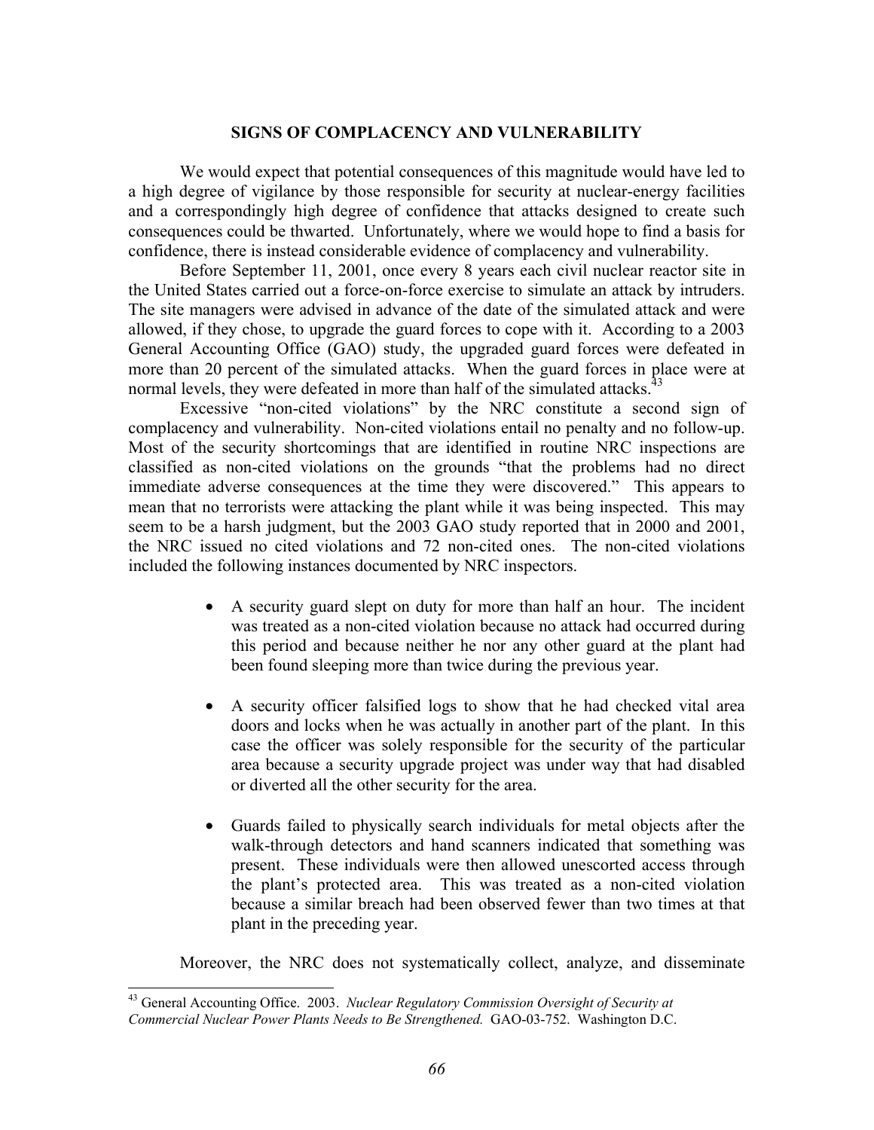### **SIGNS OF COMPLACENCY AND VULNERABILITY**

We would expect that potential consequences of this magnitude would have led to a high degree of vigilance by those responsible for security at nuclear-energy facilities and a correspondingly high degree of confidence that attacks designed to create such consequences could be thwarted. Unfortunately, where we would hope to find a basis for confidence, there is instead considerable evidence of complacency and vulnerability.

Before September 11, 2001, once every 8 years each civil nuclear reactor site in the United States carried out a force-on-force exercise to simulate an attack by intruders. The site managers were advised in advance of the date of the simulated attack and were allowed, if they chose, to upgrade the guard forces to cope with it. According to a 2003 General Accounting Office (GAO) study, the upgraded guard forces were defeated in more than 20 percent of the simulated attacks. When the guard forces in place were at normal levels, they were defeated in more than half of the simulated attacks.<sup>43</sup>

Excessive "non-cited violations" by the NRC constitute a second sign of complacency and vulnerability. Non-cited violations entail no penalty and no follow-up. Most of the security shortcomings that are identified in routine NRC inspections are classified as non-cited violations on the grounds "that the problems had no direct immediate adverse consequences at the time they were discovered." This appears to mean that no terrorists were attacking the plant while it was being inspected. This may seem to be a harsh judgment, but the 2003 GAO study reported that in 2000 and 2001, the NRC issued no cited violations and 72 non-cited ones. The non-cited violations included the following instances documented by NRC inspectors.

- A security guard slept on duty for more than half an hour. The incident was treated as a non-cited violation because no attack had occurred during this period and because neither he nor any other guard at the plant had been found sleeping more than twice during the previous year.
- A security officer falsified logs to show that he had checked vital area doors and locks when he was actually in another part of the plant. In this case the officer was solely responsible for the security of the particular area because a security upgrade project was under way that had disabled or diverted all the other security for the area.
- Guards failed to physically search individuals for metal objects after the walk-through detectors and hand scanners indicated that something was present. These individuals were then allowed unescorted access through the plant's protected area. This was treated as a non-cited violation because a similar breach had been observed fewer than two times at that plant in the preceding year.

Moreover, the NRC does not systematically collect, analyze, and disseminate

<sup>43</sup> General Accounting Office. 2003. *Nuclear Regulatory Commission Oversight of Security at Commercial Nuclear Power Plants Needs to Be Strengthened.* GAO-03-752. Washington D.C.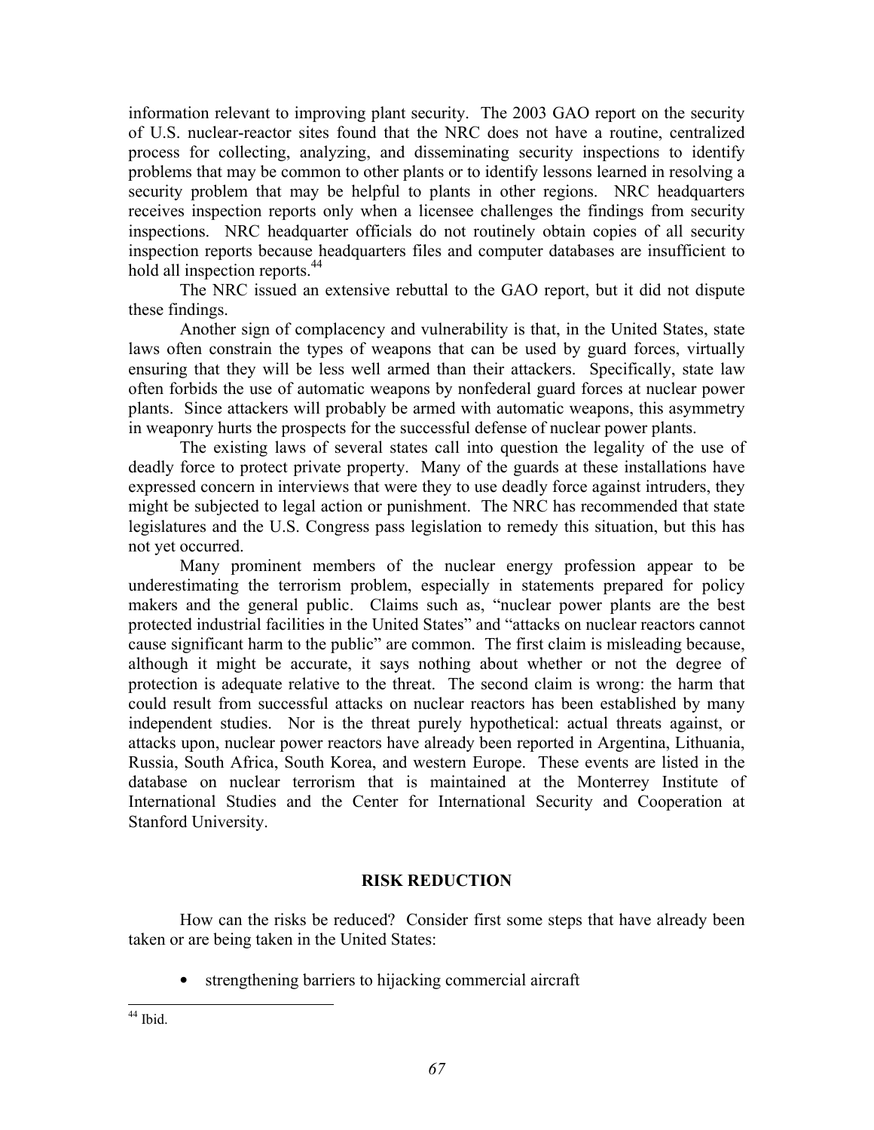information relevant to improving plant security. The 2003 GAO report on the security of U.S. nuclear-reactor sites found that the NRC does not have a routine, centralized process for collecting, analyzing, and disseminating security inspections to identify problems that may be common to other plants or to identify lessons learned in resolving a security problem that may be helpful to plants in other regions. NRC headquarters receives inspection reports only when a licensee challenges the findings from security inspections. NRC headquarter officials do not routinely obtain copies of all security inspection reports because headquarters files and computer databases are insufficient to hold all inspection reports.<sup>44</sup>

The NRC issued an extensive rebuttal to the GAO report, but it did not dispute these findings.

Another sign of complacency and vulnerability is that, in the United States, state laws often constrain the types of weapons that can be used by guard forces, virtually ensuring that they will be less well armed than their attackers. Specifically, state law often forbids the use of automatic weapons by nonfederal guard forces at nuclear power plants. Since attackers will probably be armed with automatic weapons, this asymmetry in weaponry hurts the prospects for the successful defense of nuclear power plants.

The existing laws of several states call into question the legality of the use of deadly force to protect private property. Many of the guards at these installations have expressed concern in interviews that were they to use deadly force against intruders, they might be subjected to legal action or punishment. The NRC has recommended that state legislatures and the U.S. Congress pass legislation to remedy this situation, but this has not yet occurred.

Many prominent members of the nuclear energy profession appear to be underestimating the terrorism problem, especially in statements prepared for policy makers and the general public. Claims such as, "nuclear power plants are the best protected industrial facilities in the United States" and "attacks on nuclear reactors cannot cause significant harm to the public" are common. The first claim is misleading because, although it might be accurate, it says nothing about whether or not the degree of protection is adequate relative to the threat. The second claim is wrong: the harm that could result from successful attacks on nuclear reactors has been established by many independent studies. Nor is the threat purely hypothetical: actual threats against, or attacks upon, nuclear power reactors have already been reported in Argentina, Lithuania, Russia, South Africa, South Korea, and western Europe. These events are listed in the database on nuclear terrorism that is maintained at the Monterrey Institute of International Studies and the Center for International Security and Cooperation at Stanford University.

## **RISK REDUCTION**

How can the risks be reduced? Consider first some steps that have already been taken or are being taken in the United States:

• strengthening barriers to hijacking commercial aircraft

 $\overline{a}$  $44$  Ibid.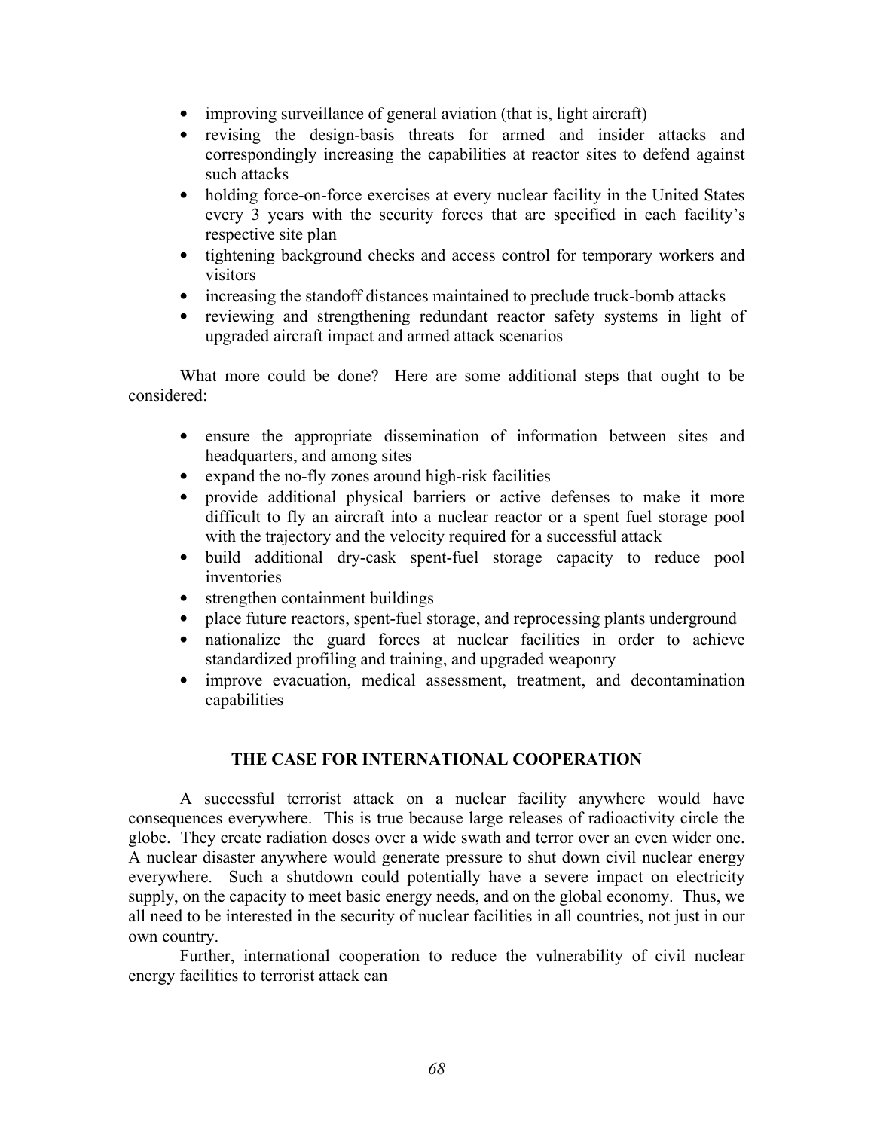- improving surveillance of general aviation (that is, light aircraft)
- revising the design-basis threats for armed and insider attacks and correspondingly increasing the capabilities at reactor sites to defend against such attacks
- holding force-on-force exercises at every nuclear facility in the United States every 3 years with the security forces that are specified in each facility's respective site plan
- tightening background checks and access control for temporary workers and visitors
- increasing the standoff distances maintained to preclude truck-bomb attacks
- reviewing and strengthening redundant reactor safety systems in light of upgraded aircraft impact and armed attack scenarios

What more could be done? Here are some additional steps that ought to be considered:

- ensure the appropriate dissemination of information between sites and headquarters, and among sites
- expand the no-fly zones around high-risk facilities
- provide additional physical barriers or active defenses to make it more difficult to fly an aircraft into a nuclear reactor or a spent fuel storage pool with the trajectory and the velocity required for a successful attack
- build additional dry-cask spent-fuel storage capacity to reduce pool inventories
- strengthen containment buildings
- place future reactors, spent-fuel storage, and reprocessing plants underground
- nationalize the guard forces at nuclear facilities in order to achieve standardized profiling and training, and upgraded weaponry
- improve evacuation, medical assessment, treatment, and decontamination capabilities

# **THE CASE FOR INTERNATIONAL COOPERATION**

A successful terrorist attack on a nuclear facility anywhere would have consequences everywhere. This is true because large releases of radioactivity circle the globe. They create radiation doses over a wide swath and terror over an even wider one. A nuclear disaster anywhere would generate pressure to shut down civil nuclear energy everywhere. Such a shutdown could potentially have a severe impact on electricity supply, on the capacity to meet basic energy needs, and on the global economy. Thus, we all need to be interested in the security of nuclear facilities in all countries, not just in our own country.

Further, international cooperation to reduce the vulnerability of civil nuclear energy facilities to terrorist attack can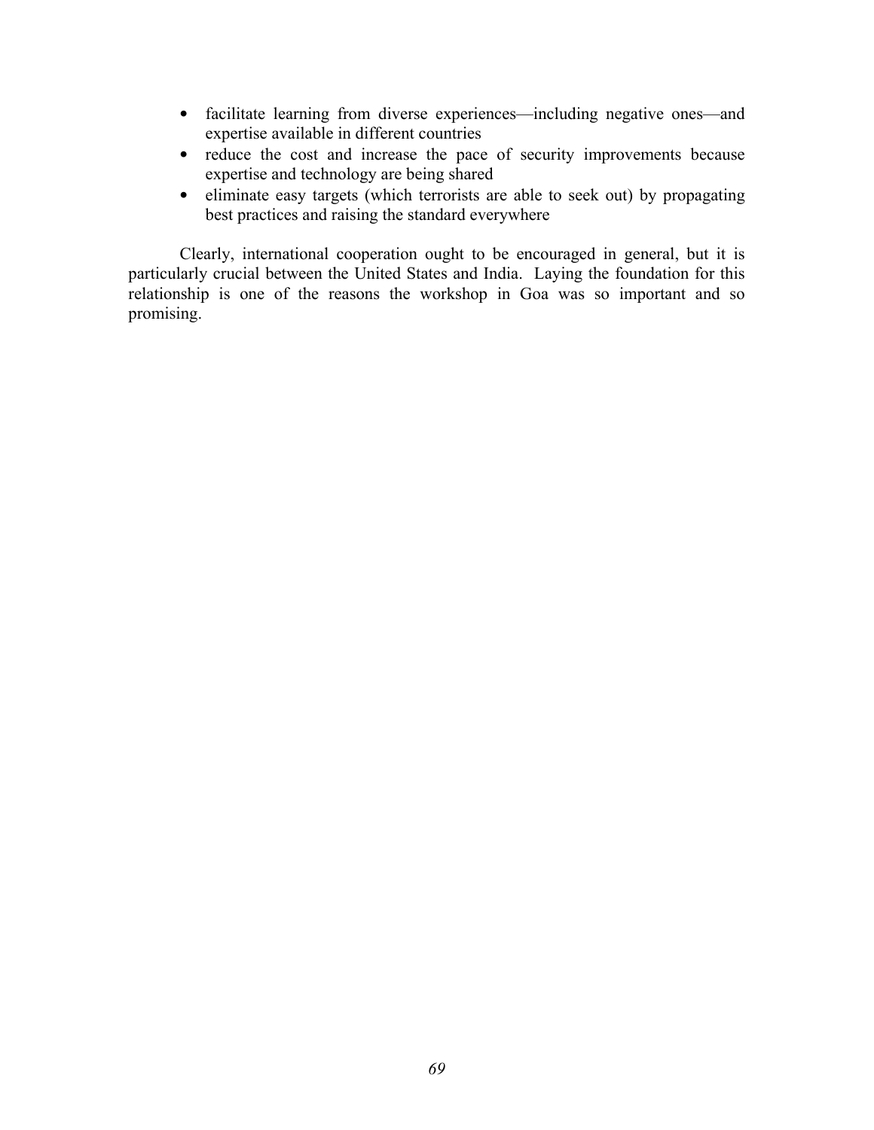- facilitate learning from diverse experiences—including negative ones—and expertise available in different countries
- reduce the cost and increase the pace of security improvements because expertise and technology are being shared
- eliminate easy targets (which terrorists are able to seek out) by propagating best practices and raising the standard everywhere

Clearly, international cooperation ought to be encouraged in general, but it is particularly crucial between the United States and India. Laying the foundation for this relationship is one of the reasons the workshop in Goa was so important and so promising.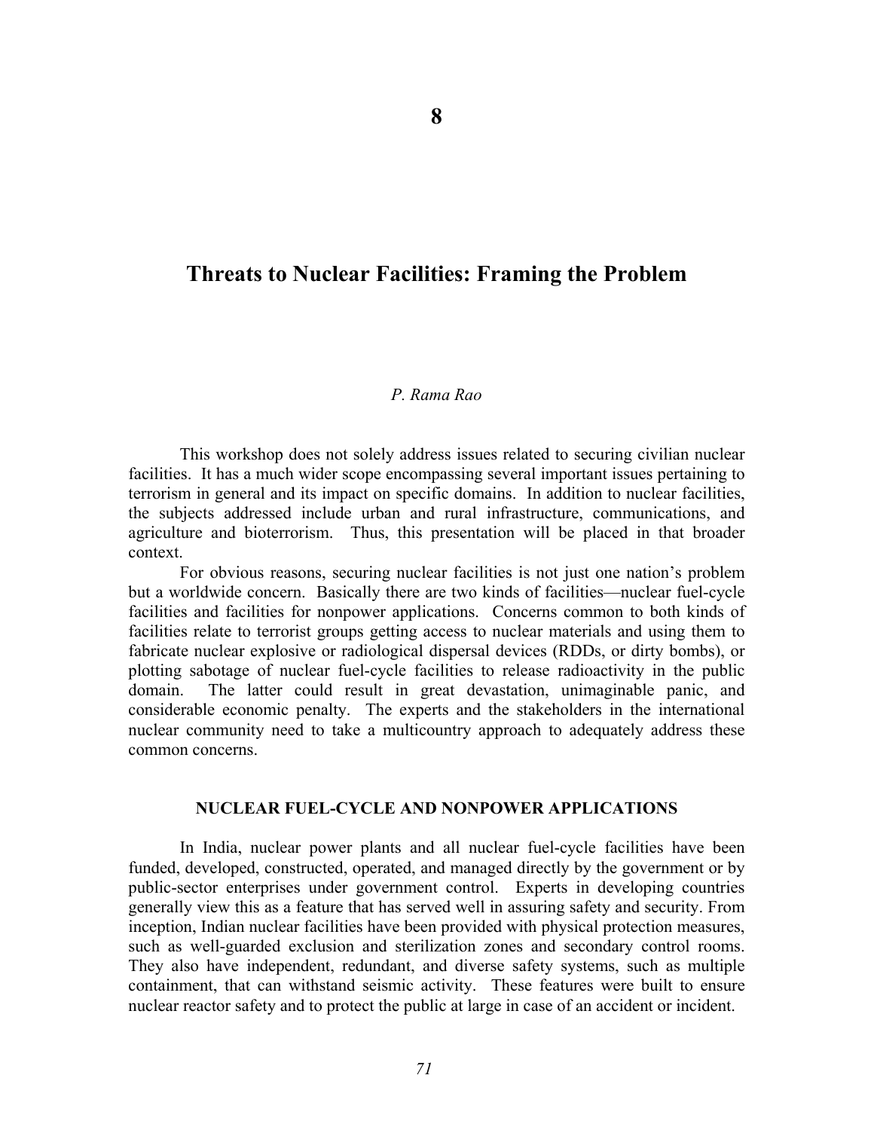# **Threats to Nuclear Facilities: Framing the Problem**

### *P. Rama Rao*

This workshop does not solely address issues related to securing civilian nuclear facilities. It has a much wider scope encompassing several important issues pertaining to terrorism in general and its impact on specific domains. In addition to nuclear facilities, the subjects addressed include urban and rural infrastructure, communications, and agriculture and bioterrorism. Thus, this presentation will be placed in that broader context.

For obvious reasons, securing nuclear facilities is not just one nation's problem but a worldwide concern. Basically there are two kinds of facilities—nuclear fuel-cycle facilities and facilities for nonpower applications. Concerns common to both kinds of facilities relate to terrorist groups getting access to nuclear materials and using them to fabricate nuclear explosive or radiological dispersal devices (RDDs, or dirty bombs), or plotting sabotage of nuclear fuel-cycle facilities to release radioactivity in the public domain. The latter could result in great devastation, unimaginable panic, and considerable economic penalty. The experts and the stakeholders in the international nuclear community need to take a multicountry approach to adequately address these common concerns.

## **NUCLEAR FUEL-CYCLE AND NONPOWER APPLICATIONS**

In India, nuclear power plants and all nuclear fuel-cycle facilities have been funded, developed, constructed, operated, and managed directly by the government or by public-sector enterprises under government control. Experts in developing countries generally view this as a feature that has served well in assuring safety and security. From inception, Indian nuclear facilities have been provided with physical protection measures, such as well-guarded exclusion and sterilization zones and secondary control rooms. They also have independent, redundant, and diverse safety systems, such as multiple containment, that can withstand seismic activity. These features were built to ensure nuclear reactor safety and to protect the public at large in case of an accident or incident.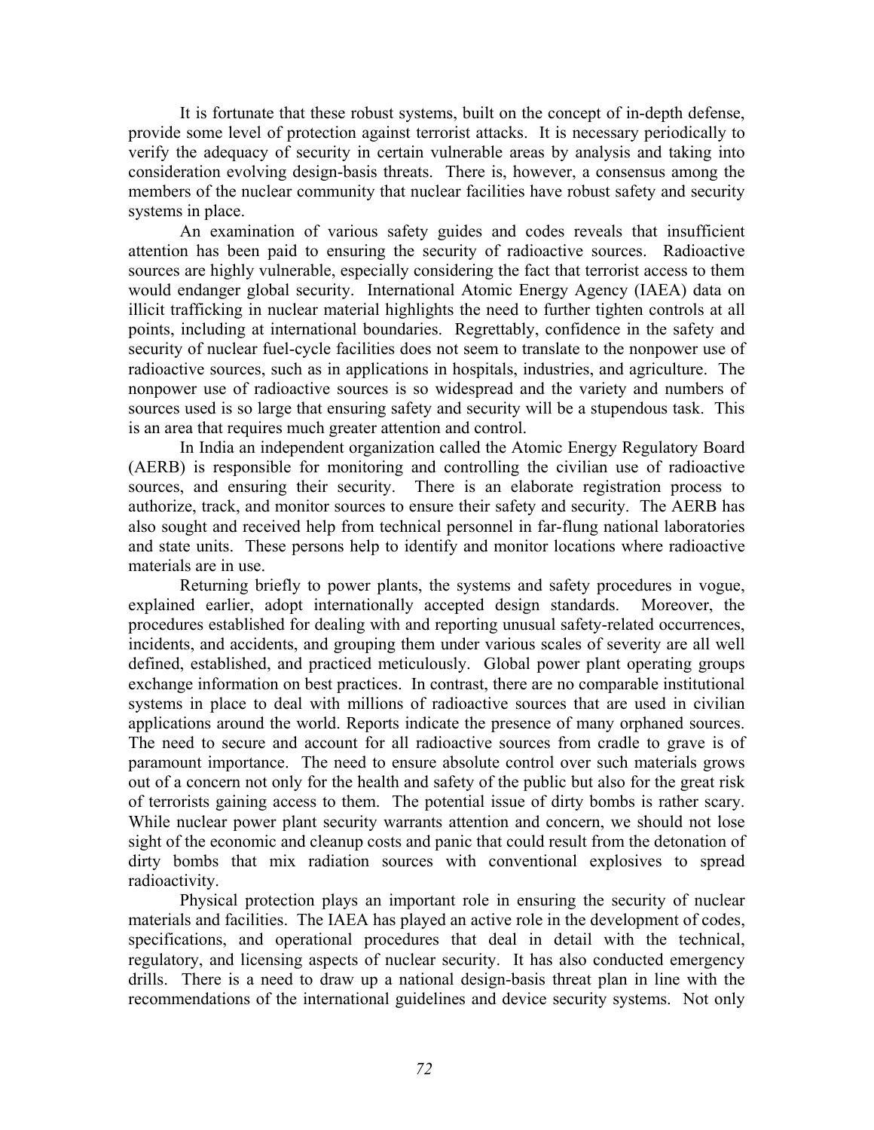It is fortunate that these robust systems, built on the concept of in-depth defense, provide some level of protection against terrorist attacks. It is necessary periodically to verify the adequacy of security in certain vulnerable areas by analysis and taking into consideration evolving design-basis threats. There is, however, a consensus among the members of the nuclear community that nuclear facilities have robust safety and security systems in place.

An examination of various safety guides and codes reveals that insufficient attention has been paid to ensuring the security of radioactive sources. Radioactive sources are highly vulnerable, especially considering the fact that terrorist access to them would endanger global security. International Atomic Energy Agency (IAEA) data on illicit trafficking in nuclear material highlights the need to further tighten controls at all points, including at international boundaries. Regrettably, confidence in the safety and security of nuclear fuel-cycle facilities does not seem to translate to the nonpower use of radioactive sources, such as in applications in hospitals, industries, and agriculture. The nonpower use of radioactive sources is so widespread and the variety and numbers of sources used is so large that ensuring safety and security will be a stupendous task. This is an area that requires much greater attention and control.

In India an independent organization called the Atomic Energy Regulatory Board (AERB) is responsible for monitoring and controlling the civilian use of radioactive sources, and ensuring their security. There is an elaborate registration process to authorize, track, and monitor sources to ensure their safety and security. The AERB has also sought and received help from technical personnel in far-flung national laboratories and state units. These persons help to identify and monitor locations where radioactive materials are in use.

Returning briefly to power plants, the systems and safety procedures in vogue, explained earlier, adopt internationally accepted design standards. Moreover, the procedures established for dealing with and reporting unusual safety-related occurrences, incidents, and accidents, and grouping them under various scales of severity are all well defined, established, and practiced meticulously. Global power plant operating groups exchange information on best practices. In contrast, there are no comparable institutional systems in place to deal with millions of radioactive sources that are used in civilian applications around the world. Reports indicate the presence of many orphaned sources. The need to secure and account for all radioactive sources from cradle to grave is of paramount importance. The need to ensure absolute control over such materials grows out of a concern not only for the health and safety of the public but also for the great risk of terrorists gaining access to them. The potential issue of dirty bombs is rather scary. While nuclear power plant security warrants attention and concern, we should not lose sight of the economic and cleanup costs and panic that could result from the detonation of dirty bombs that mix radiation sources with conventional explosives to spread radioactivity.

Physical protection plays an important role in ensuring the security of nuclear materials and facilities. The IAEA has played an active role in the development of codes, specifications, and operational procedures that deal in detail with the technical, regulatory, and licensing aspects of nuclear security. It has also conducted emergency drills. There is a need to draw up a national design-basis threat plan in line with the recommendations of the international guidelines and device security systems. Not only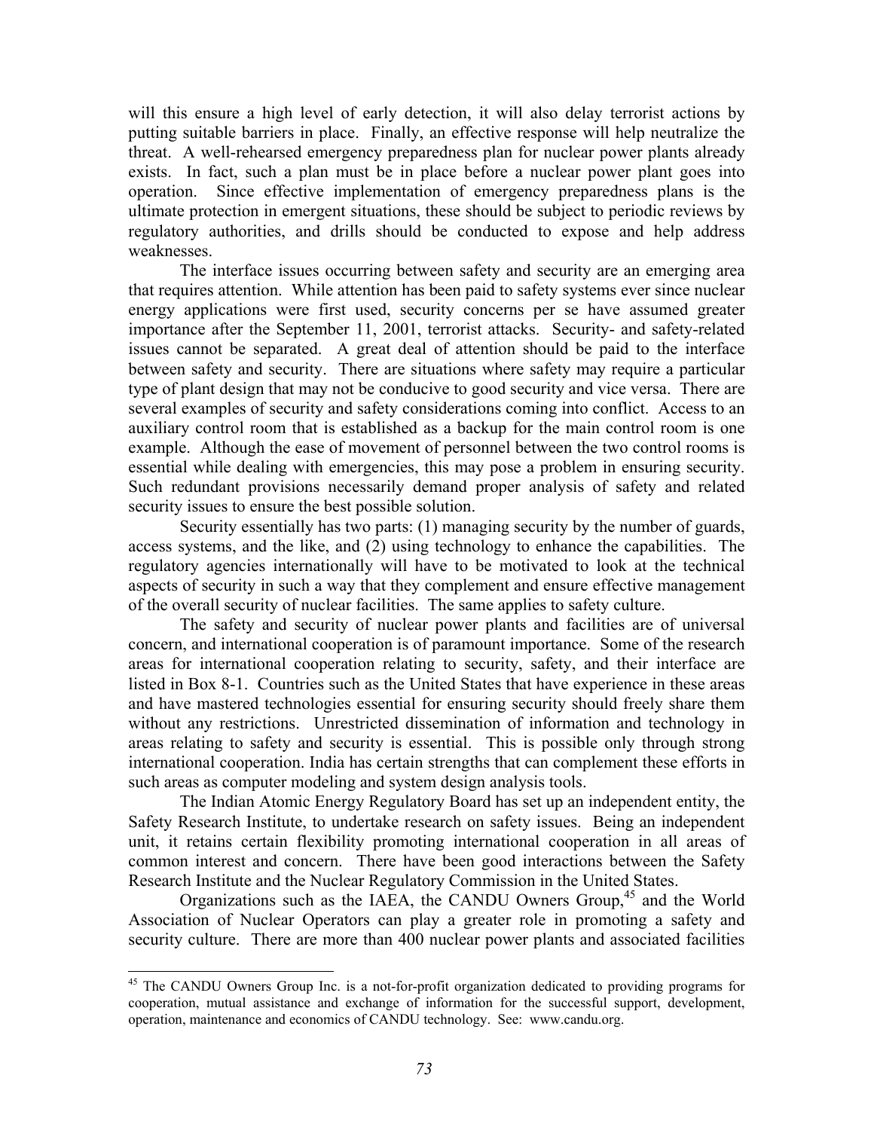will this ensure a high level of early detection, it will also delay terrorist actions by putting suitable barriers in place. Finally, an effective response will help neutralize the threat. A well-rehearsed emergency preparedness plan for nuclear power plants already exists. In fact, such a plan must be in place before a nuclear power plant goes into operation. Since effective implementation of emergency preparedness plans is the ultimate protection in emergent situations, these should be subject to periodic reviews by regulatory authorities, and drills should be conducted to expose and help address weaknesses.

The interface issues occurring between safety and security are an emerging area that requires attention. While attention has been paid to safety systems ever since nuclear energy applications were first used, security concerns per se have assumed greater importance after the September 11, 2001, terrorist attacks. Security- and safety-related issues cannot be separated. A great deal of attention should be paid to the interface between safety and security. There are situations where safety may require a particular type of plant design that may not be conducive to good security and vice versa. There are several examples of security and safety considerations coming into conflict. Access to an auxiliary control room that is established as a backup for the main control room is one example. Although the ease of movement of personnel between the two control rooms is essential while dealing with emergencies, this may pose a problem in ensuring security. Such redundant provisions necessarily demand proper analysis of safety and related security issues to ensure the best possible solution.

Security essentially has two parts: (1) managing security by the number of guards, access systems, and the like, and (2) using technology to enhance the capabilities. The regulatory agencies internationally will have to be motivated to look at the technical aspects of security in such a way that they complement and ensure effective management of the overall security of nuclear facilities. The same applies to safety culture.

The safety and security of nuclear power plants and facilities are of universal concern, and international cooperation is of paramount importance. Some of the research areas for international cooperation relating to security, safety, and their interface are listed in Box 8-1. Countries such as the United States that have experience in these areas and have mastered technologies essential for ensuring security should freely share them without any restrictions. Unrestricted dissemination of information and technology in areas relating to safety and security is essential. This is possible only through strong international cooperation. India has certain strengths that can complement these efforts in such areas as computer modeling and system design analysis tools.

The Indian Atomic Energy Regulatory Board has set up an independent entity, the Safety Research Institute, to undertake research on safety issues. Being an independent unit, it retains certain flexibility promoting international cooperation in all areas of common interest and concern. There have been good interactions between the Safety Research Institute and the Nuclear Regulatory Commission in the United States.

Organizations such as the IAEA, the CANDU Owners Group,<sup>45</sup> and the World Association of Nuclear Operators can play a greater role in promoting a safety and security culture. There are more than 400 nuclear power plants and associated facilities

l

<sup>&</sup>lt;sup>45</sup> The CANDU Owners Group Inc. is a not-for-profit organization dedicated to providing programs for cooperation, mutual assistance and exchange of information for the successful support, development, operation, maintenance and economics of CANDU technology. See: www.candu.org.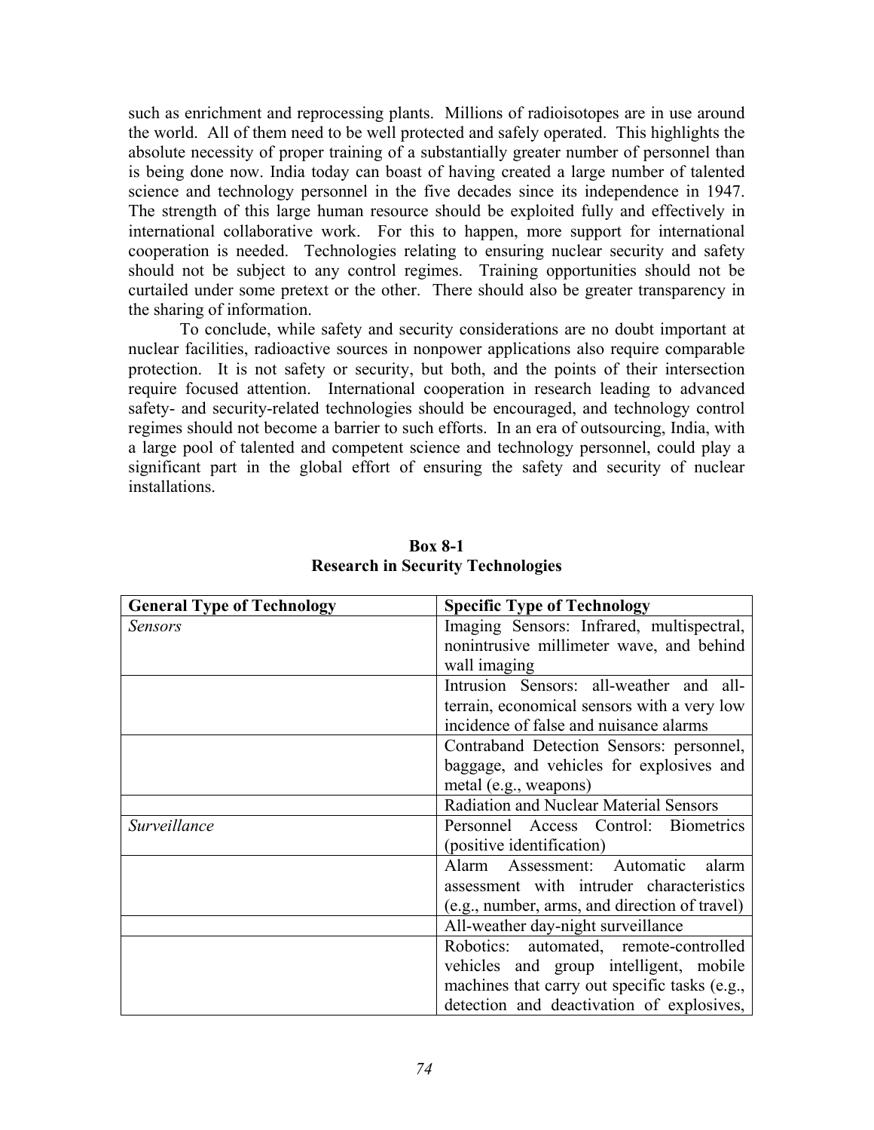such as enrichment and reprocessing plants. Millions of radioisotopes are in use around the world. All of them need to be well protected and safely operated. This highlights the absolute necessity of proper training of a substantially greater number of personnel than is being done now. India today can boast of having created a large number of talented science and technology personnel in the five decades since its independence in 1947. The strength of this large human resource should be exploited fully and effectively in international collaborative work. For this to happen, more support for international cooperation is needed. Technologies relating to ensuring nuclear security and safety should not be subject to any control regimes. Training opportunities should not be curtailed under some pretext or the other. There should also be greater transparency in the sharing of information.

To conclude, while safety and security considerations are no doubt important at nuclear facilities, radioactive sources in nonpower applications also require comparable protection. It is not safety or security, but both, and the points of their intersection require focused attention. International cooperation in research leading to advanced safety- and security-related technologies should be encouraged, and technology control regimes should not become a barrier to such efforts. In an era of outsourcing, India, with a large pool of talented and competent science and technology personnel, could play a significant part in the global effort of ensuring the safety and security of nuclear installations.

| <b>General Type of Technology</b> | <b>Specific Type of Technology</b>            |
|-----------------------------------|-----------------------------------------------|
| <i>Sensors</i>                    | Imaging Sensors: Infrared, multispectral,     |
|                                   | nonintrusive millimeter wave, and behind      |
|                                   | wall imaging                                  |
|                                   | Intrusion Sensors: all-weather and all-       |
|                                   | terrain, economical sensors with a very low   |
|                                   | incidence of false and nuisance alarms        |
|                                   | Contraband Detection Sensors: personnel,      |
|                                   | baggage, and vehicles for explosives and      |
|                                   | metal (e.g., weapons)                         |
|                                   | <b>Radiation and Nuclear Material Sensors</b> |
| Surveillance                      | Personnel Access Control: Biometrics          |
|                                   | (positive identification)                     |
|                                   | Alarm Assessment: Automatic<br>alarm          |
|                                   | assessment with intruder characteristics      |
|                                   | (e.g., number, arms, and direction of travel) |
|                                   | All-weather day-night surveillance            |
|                                   | Robotics: automated, remote-controlled        |
|                                   | vehicles and group intelligent, mobile        |
|                                   | machines that carry out specific tasks (e.g., |
|                                   | detection and deactivation of explosives,     |

**Box 8-1 Research in Security Technologies**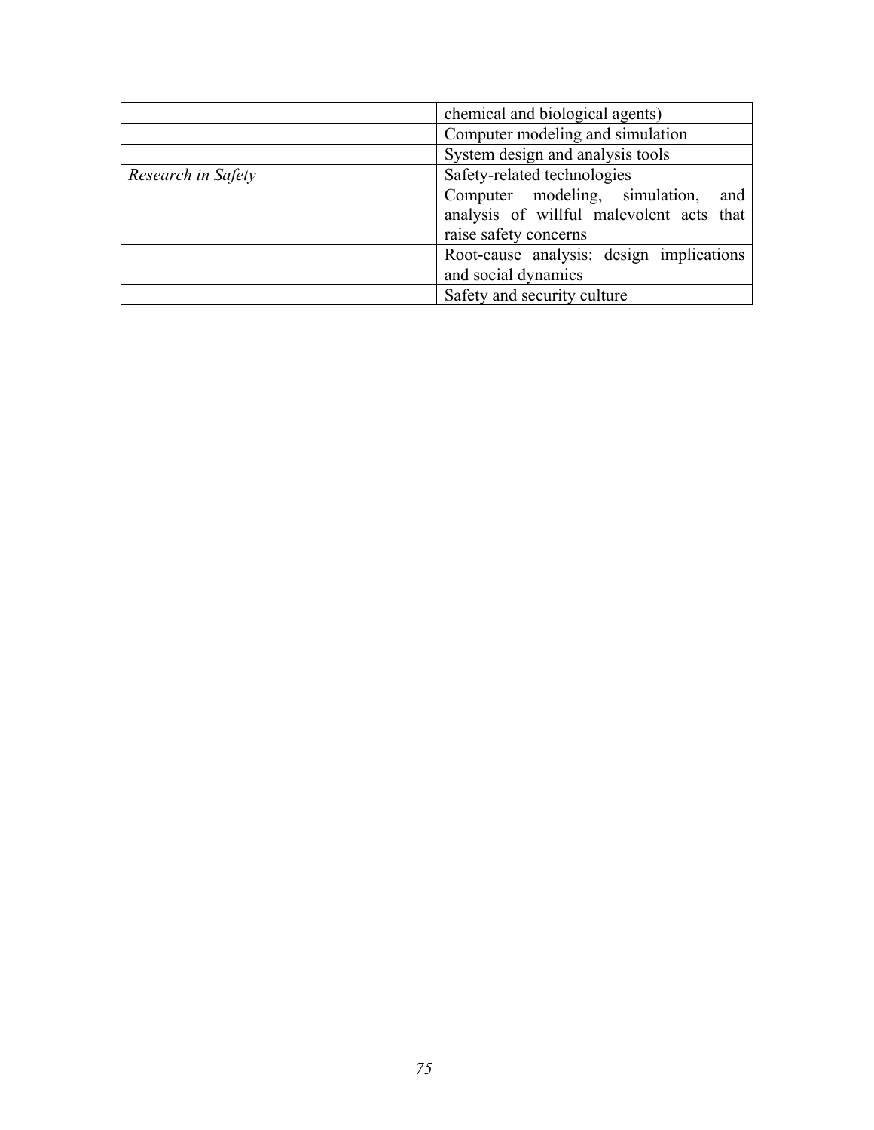|                    | chemical and biological agents)          |
|--------------------|------------------------------------------|
|                    | Computer modeling and simulation         |
|                    | System design and analysis tools         |
| Research in Safety | Safety-related technologies              |
|                    | Computer modeling, simulation,<br>and    |
|                    | analysis of willful malevolent acts that |
|                    | raise safety concerns                    |
|                    | Root-cause analysis: design implications |
|                    | and social dynamics                      |
|                    | Safety and security culture              |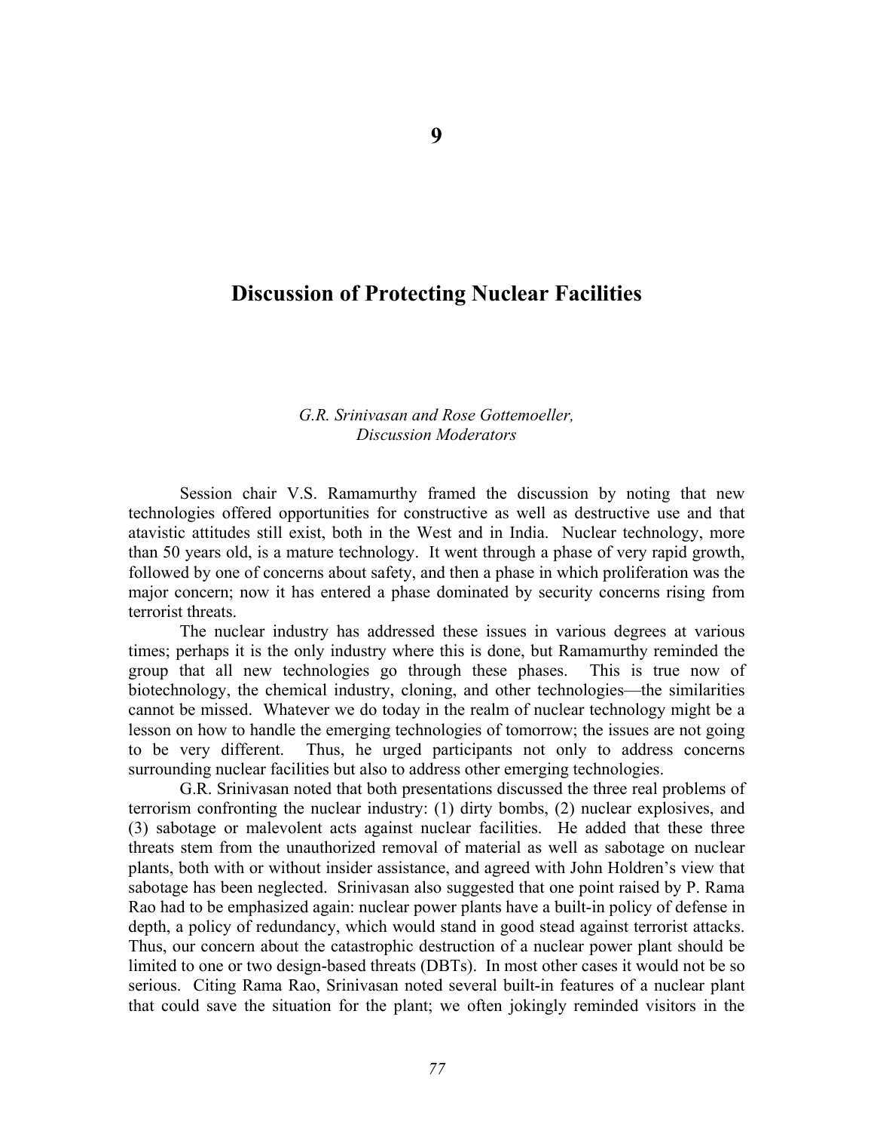# **Discussion of Protecting Nuclear Facilities**

### *G.R. Srinivasan and Rose Gottemoeller, Discussion Moderators*

Session chair V.S. Ramamurthy framed the discussion by noting that new technologies offered opportunities for constructive as well as destructive use and that atavistic attitudes still exist, both in the West and in India. Nuclear technology, more than 50 years old, is a mature technology. It went through a phase of very rapid growth, followed by one of concerns about safety, and then a phase in which proliferation was the major concern; now it has entered a phase dominated by security concerns rising from terrorist threats.

The nuclear industry has addressed these issues in various degrees at various times; perhaps it is the only industry where this is done, but Ramamurthy reminded the group that all new technologies go through these phases. This is true now of biotechnology, the chemical industry, cloning, and other technologies—the similarities cannot be missed. Whatever we do today in the realm of nuclear technology might be a lesson on how to handle the emerging technologies of tomorrow; the issues are not going to be very different. Thus, he urged participants not only to address concerns surrounding nuclear facilities but also to address other emerging technologies.

G.R. Srinivasan noted that both presentations discussed the three real problems of terrorism confronting the nuclear industry: (1) dirty bombs, (2) nuclear explosives, and (3) sabotage or malevolent acts against nuclear facilities. He added that these three threats stem from the unauthorized removal of material as well as sabotage on nuclear plants, both with or without insider assistance, and agreed with John Holdren's view that sabotage has been neglected. Srinivasan also suggested that one point raised by P. Rama Rao had to be emphasized again: nuclear power plants have a built-in policy of defense in depth, a policy of redundancy, which would stand in good stead against terrorist attacks. Thus, our concern about the catastrophic destruction of a nuclear power plant should be limited to one or two design-based threats (DBTs). In most other cases it would not be so serious. Citing Rama Rao, Srinivasan noted several built-in features of a nuclear plant that could save the situation for the plant; we often jokingly reminded visitors in the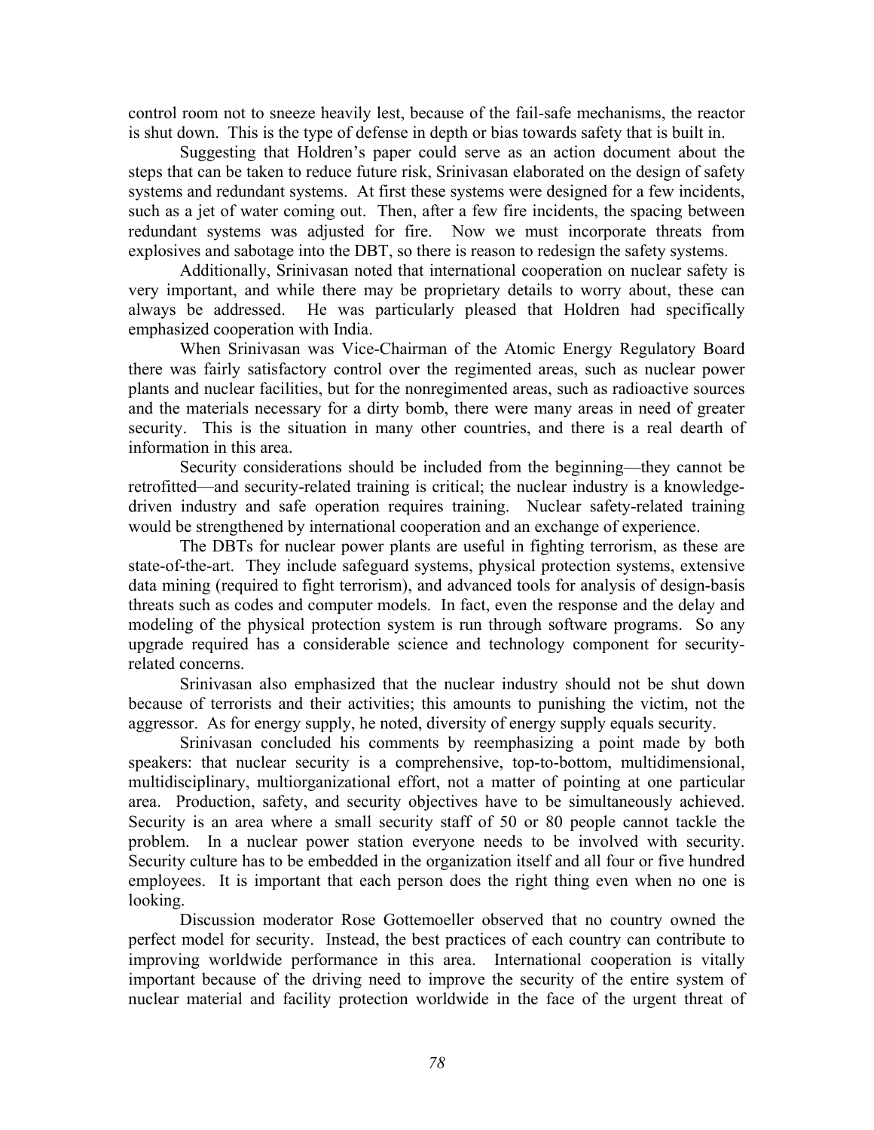control room not to sneeze heavily lest, because of the fail-safe mechanisms, the reactor is shut down. This is the type of defense in depth or bias towards safety that is built in.

Suggesting that Holdren's paper could serve as an action document about the steps that can be taken to reduce future risk, Srinivasan elaborated on the design of safety systems and redundant systems. At first these systems were designed for a few incidents, such as a jet of water coming out. Then, after a few fire incidents, the spacing between redundant systems was adjusted for fire. Now we must incorporate threats from explosives and sabotage into the DBT, so there is reason to redesign the safety systems.

Additionally, Srinivasan noted that international cooperation on nuclear safety is very important, and while there may be proprietary details to worry about, these can always be addressed. He was particularly pleased that Holdren had specifically emphasized cooperation with India.

When Srinivasan was Vice-Chairman of the Atomic Energy Regulatory Board there was fairly satisfactory control over the regimented areas, such as nuclear power plants and nuclear facilities, but for the nonregimented areas, such as radioactive sources and the materials necessary for a dirty bomb, there were many areas in need of greater security. This is the situation in many other countries, and there is a real dearth of information in this area.

Security considerations should be included from the beginning—they cannot be retrofitted—and security-related training is critical; the nuclear industry is a knowledgedriven industry and safe operation requires training. Nuclear safety-related training would be strengthened by international cooperation and an exchange of experience.

The DBTs for nuclear power plants are useful in fighting terrorism, as these are state-of-the-art. They include safeguard systems, physical protection systems, extensive data mining (required to fight terrorism), and advanced tools for analysis of design-basis threats such as codes and computer models. In fact, even the response and the delay and modeling of the physical protection system is run through software programs. So any upgrade required has a considerable science and technology component for securityrelated concerns.

Srinivasan also emphasized that the nuclear industry should not be shut down because of terrorists and their activities; this amounts to punishing the victim, not the aggressor. As for energy supply, he noted, diversity of energy supply equals security.

Srinivasan concluded his comments by reemphasizing a point made by both speakers: that nuclear security is a comprehensive, top-to-bottom, multidimensional, multidisciplinary, multiorganizational effort, not a matter of pointing at one particular area. Production, safety, and security objectives have to be simultaneously achieved. Security is an area where a small security staff of 50 or 80 people cannot tackle the problem. In a nuclear power station everyone needs to be involved with security. Security culture has to be embedded in the organization itself and all four or five hundred employees. It is important that each person does the right thing even when no one is looking.

Discussion moderator Rose Gottemoeller observed that no country owned the perfect model for security. Instead, the best practices of each country can contribute to improving worldwide performance in this area. International cooperation is vitally important because of the driving need to improve the security of the entire system of nuclear material and facility protection worldwide in the face of the urgent threat of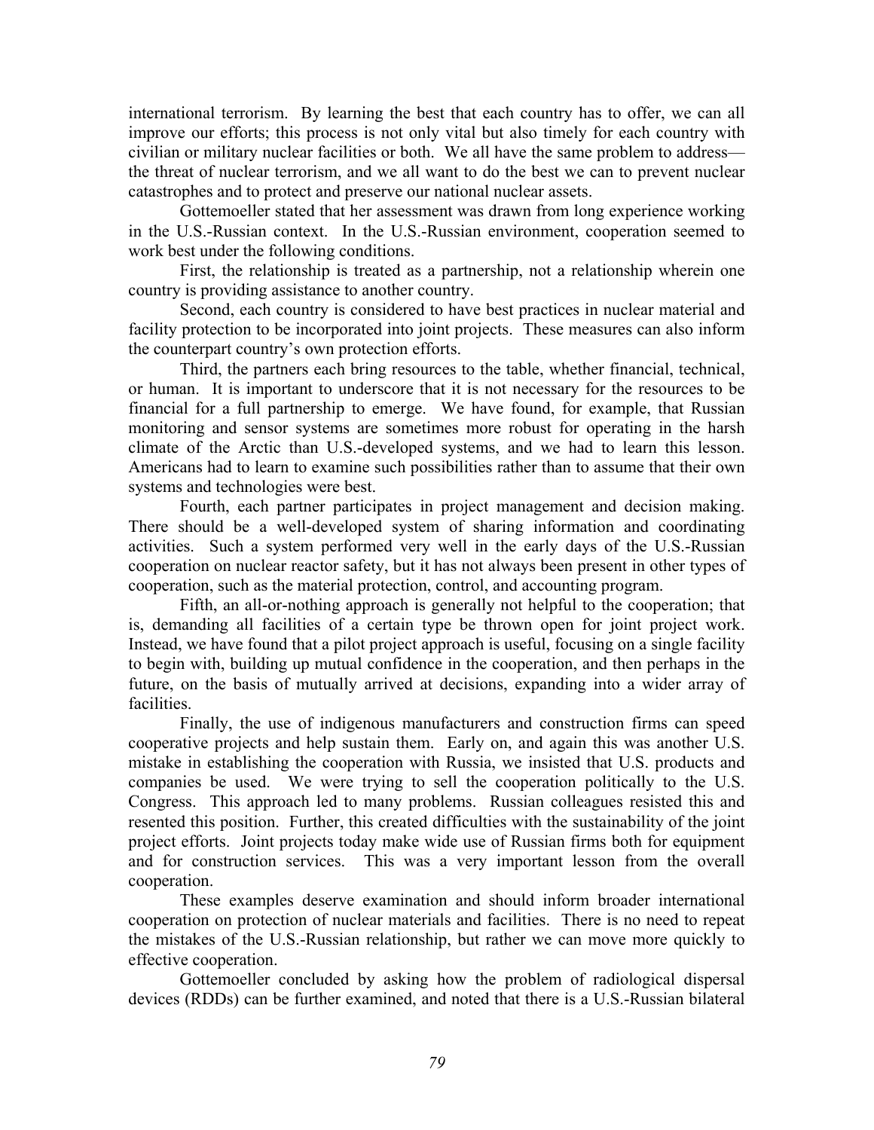international terrorism. By learning the best that each country has to offer, we can all improve our efforts; this process is not only vital but also timely for each country with civilian or military nuclear facilities or both. We all have the same problem to address the threat of nuclear terrorism, and we all want to do the best we can to prevent nuclear catastrophes and to protect and preserve our national nuclear assets.

Gottemoeller stated that her assessment was drawn from long experience working in the U.S.-Russian context. In the U.S.-Russian environment, cooperation seemed to work best under the following conditions.

First, the relationship is treated as a partnership, not a relationship wherein one country is providing assistance to another country.

Second, each country is considered to have best practices in nuclear material and facility protection to be incorporated into joint projects. These measures can also inform the counterpart country's own protection efforts.

Third, the partners each bring resources to the table, whether financial, technical, or human. It is important to underscore that it is not necessary for the resources to be financial for a full partnership to emerge. We have found, for example, that Russian monitoring and sensor systems are sometimes more robust for operating in the harsh climate of the Arctic than U.S.-developed systems, and we had to learn this lesson. Americans had to learn to examine such possibilities rather than to assume that their own systems and technologies were best.

Fourth, each partner participates in project management and decision making. There should be a well-developed system of sharing information and coordinating activities. Such a system performed very well in the early days of the U.S.-Russian cooperation on nuclear reactor safety, but it has not always been present in other types of cooperation, such as the material protection, control, and accounting program.

Fifth, an all-or-nothing approach is generally not helpful to the cooperation; that is, demanding all facilities of a certain type be thrown open for joint project work. Instead, we have found that a pilot project approach is useful, focusing on a single facility to begin with, building up mutual confidence in the cooperation, and then perhaps in the future, on the basis of mutually arrived at decisions, expanding into a wider array of facilities.

Finally, the use of indigenous manufacturers and construction firms can speed cooperative projects and help sustain them. Early on, and again this was another U.S. mistake in establishing the cooperation with Russia, we insisted that U.S. products and companies be used. We were trying to sell the cooperation politically to the U.S. Congress. This approach led to many problems. Russian colleagues resisted this and resented this position. Further, this created difficulties with the sustainability of the joint project efforts. Joint projects today make wide use of Russian firms both for equipment and for construction services. This was a very important lesson from the overall cooperation.

These examples deserve examination and should inform broader international cooperation on protection of nuclear materials and facilities. There is no need to repeat the mistakes of the U.S.-Russian relationship, but rather we can move more quickly to effective cooperation.

Gottemoeller concluded by asking how the problem of radiological dispersal devices (RDDs) can be further examined, and noted that there is a U.S.-Russian bilateral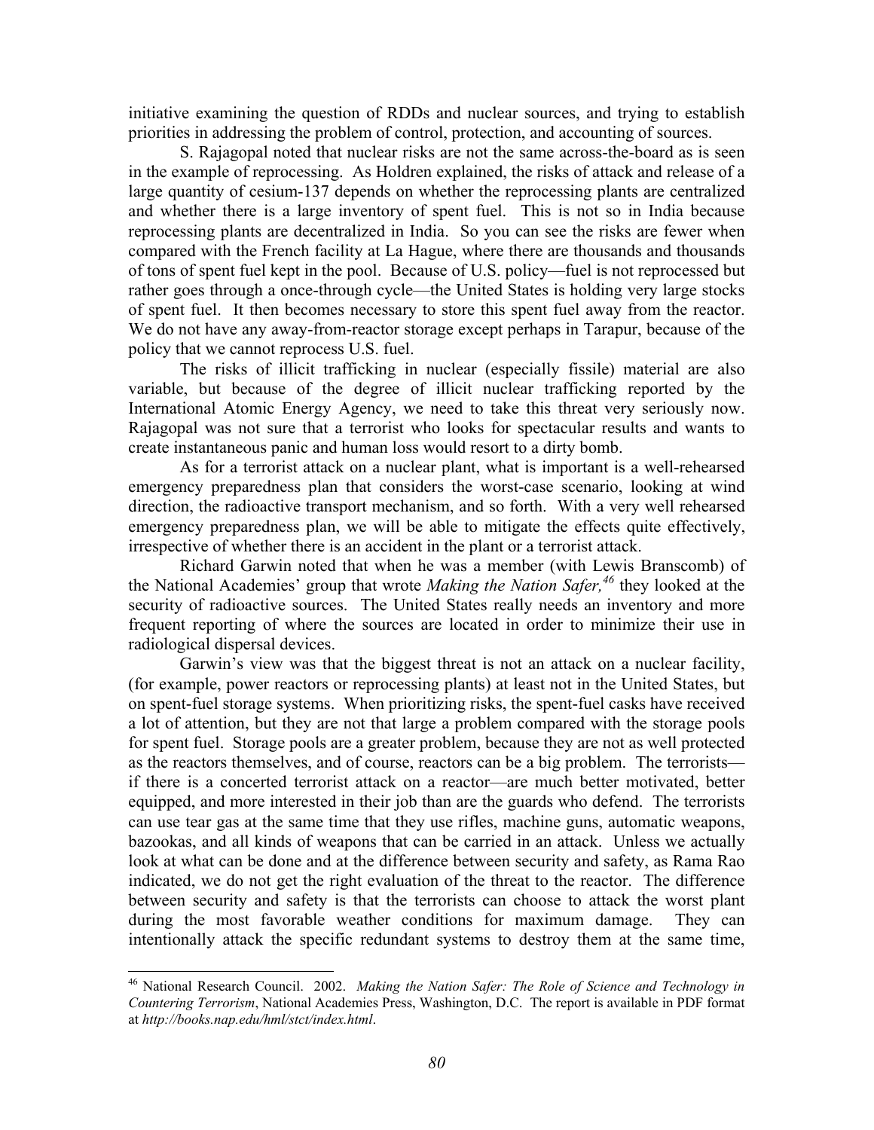initiative examining the question of RDDs and nuclear sources, and trying to establish priorities in addressing the problem of control, protection, and accounting of sources.

S. Rajagopal noted that nuclear risks are not the same across-the-board as is seen in the example of reprocessing. As Holdren explained, the risks of attack and release of a large quantity of cesium-137 depends on whether the reprocessing plants are centralized and whether there is a large inventory of spent fuel. This is not so in India because reprocessing plants are decentralized in India. So you can see the risks are fewer when compared with the French facility at La Hague, where there are thousands and thousands of tons of spent fuel kept in the pool. Because of U.S. policy—fuel is not reprocessed but rather goes through a once-through cycle—the United States is holding very large stocks of spent fuel. It then becomes necessary to store this spent fuel away from the reactor. We do not have any away-from-reactor storage except perhaps in Tarapur, because of the policy that we cannot reprocess U.S. fuel.

The risks of illicit trafficking in nuclear (especially fissile) material are also variable, but because of the degree of illicit nuclear trafficking reported by the International Atomic Energy Agency, we need to take this threat very seriously now. Rajagopal was not sure that a terrorist who looks for spectacular results and wants to create instantaneous panic and human loss would resort to a dirty bomb.

As for a terrorist attack on a nuclear plant, what is important is a well-rehearsed emergency preparedness plan that considers the worst-case scenario, looking at wind direction, the radioactive transport mechanism, and so forth. With a very well rehearsed emergency preparedness plan, we will be able to mitigate the effects quite effectively, irrespective of whether there is an accident in the plant or a terrorist attack.

Richard Garwin noted that when he was a member (with Lewis Branscomb) of the National Academies' group that wrote *Making the Nation Safer*,<sup>46</sup> they looked at the security of radioactive sources. The United States really needs an inventory and more frequent reporting of where the sources are located in order to minimize their use in radiological dispersal devices.

Garwin's view was that the biggest threat is not an attack on a nuclear facility, (for example, power reactors or reprocessing plants) at least not in the United States, but on spent-fuel storage systems. When prioritizing risks, the spent-fuel casks have received a lot of attention, but they are not that large a problem compared with the storage pools for spent fuel. Storage pools are a greater problem, because they are not as well protected as the reactors themselves, and of course, reactors can be a big problem. The terrorists if there is a concerted terrorist attack on a reactor—are much better motivated, better equipped, and more interested in their job than are the guards who defend. The terrorists can use tear gas at the same time that they use rifles, machine guns, automatic weapons, bazookas, and all kinds of weapons that can be carried in an attack. Unless we actually look at what can be done and at the difference between security and safety, as Rama Rao indicated, we do not get the right evaluation of the threat to the reactor. The difference between security and safety is that the terrorists can choose to attack the worst plant during the most favorable weather conditions for maximum damage. They can intentionally attack the specific redundant systems to destroy them at the same time,

l

<sup>46</sup> National Research Council. 2002. *Making the Nation Safer: The Role of Science and Technology in Countering Terrorism*, National Academies Press, Washington, D.C. The report is available in PDF format at *http://books.nap.edu/hml/stct/index.html*.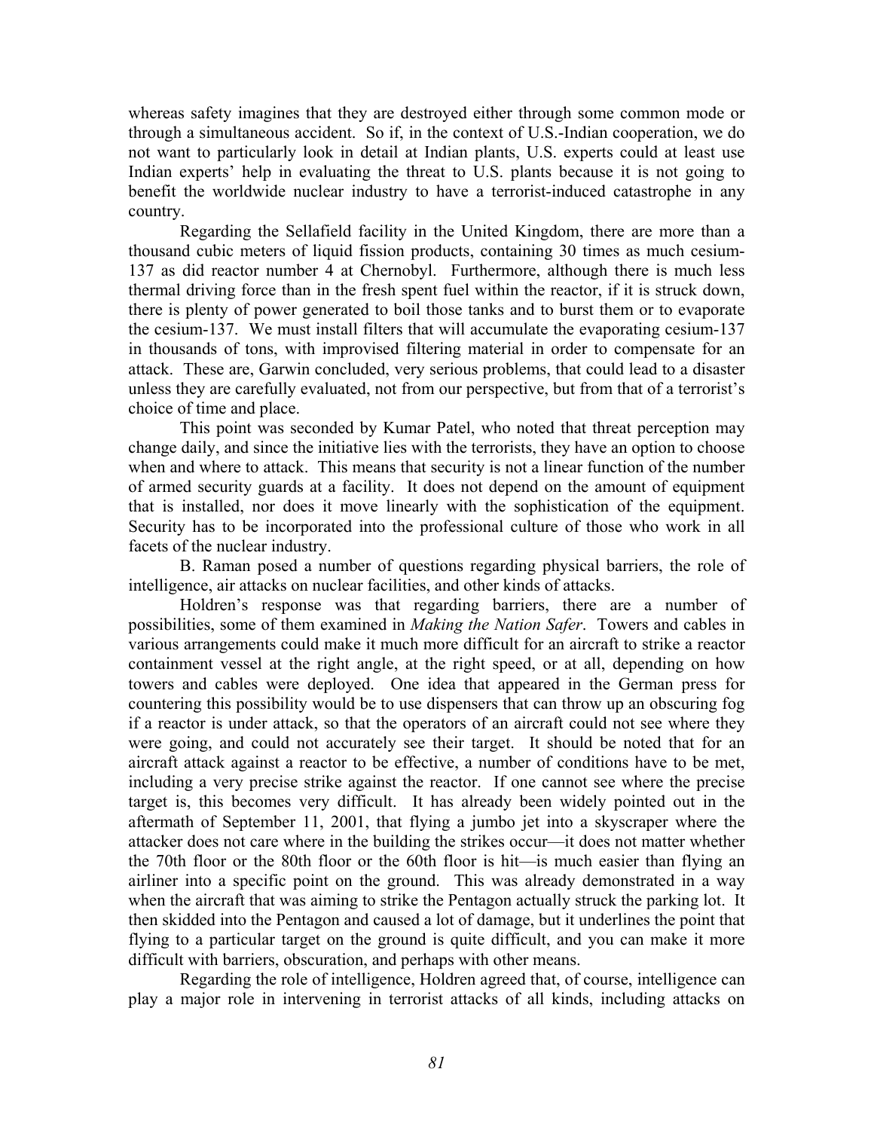whereas safety imagines that they are destroyed either through some common mode or through a simultaneous accident. So if, in the context of U.S.-Indian cooperation, we do not want to particularly look in detail at Indian plants, U.S. experts could at least use Indian experts' help in evaluating the threat to U.S. plants because it is not going to benefit the worldwide nuclear industry to have a terrorist-induced catastrophe in any country.

Regarding the Sellafield facility in the United Kingdom, there are more than a thousand cubic meters of liquid fission products, containing 30 times as much cesium-137 as did reactor number 4 at Chernobyl. Furthermore, although there is much less thermal driving force than in the fresh spent fuel within the reactor, if it is struck down, there is plenty of power generated to boil those tanks and to burst them or to evaporate the cesium-137. We must install filters that will accumulate the evaporating cesium-137 in thousands of tons, with improvised filtering material in order to compensate for an attack. These are, Garwin concluded, very serious problems, that could lead to a disaster unless they are carefully evaluated, not from our perspective, but from that of a terrorist's choice of time and place.

This point was seconded by Kumar Patel, who noted that threat perception may change daily, and since the initiative lies with the terrorists, they have an option to choose when and where to attack. This means that security is not a linear function of the number of armed security guards at a facility. It does not depend on the amount of equipment that is installed, nor does it move linearly with the sophistication of the equipment. Security has to be incorporated into the professional culture of those who work in all facets of the nuclear industry.

B. Raman posed a number of questions regarding physical barriers, the role of intelligence, air attacks on nuclear facilities, and other kinds of attacks.

Holdren's response was that regarding barriers, there are a number of possibilities, some of them examined in *Making the Nation Safer*. Towers and cables in various arrangements could make it much more difficult for an aircraft to strike a reactor containment vessel at the right angle, at the right speed, or at all, depending on how towers and cables were deployed. One idea that appeared in the German press for countering this possibility would be to use dispensers that can throw up an obscuring fog if a reactor is under attack, so that the operators of an aircraft could not see where they were going, and could not accurately see their target. It should be noted that for an aircraft attack against a reactor to be effective, a number of conditions have to be met, including a very precise strike against the reactor. If one cannot see where the precise target is, this becomes very difficult. It has already been widely pointed out in the aftermath of September 11, 2001, that flying a jumbo jet into a skyscraper where the attacker does not care where in the building the strikes occur—it does not matter whether the 70th floor or the 80th floor or the 60th floor is hit—is much easier than flying an airliner into a specific point on the ground. This was already demonstrated in a way when the aircraft that was aiming to strike the Pentagon actually struck the parking lot. It then skidded into the Pentagon and caused a lot of damage, but it underlines the point that flying to a particular target on the ground is quite difficult, and you can make it more difficult with barriers, obscuration, and perhaps with other means.

Regarding the role of intelligence, Holdren agreed that, of course, intelligence can play a major role in intervening in terrorist attacks of all kinds, including attacks on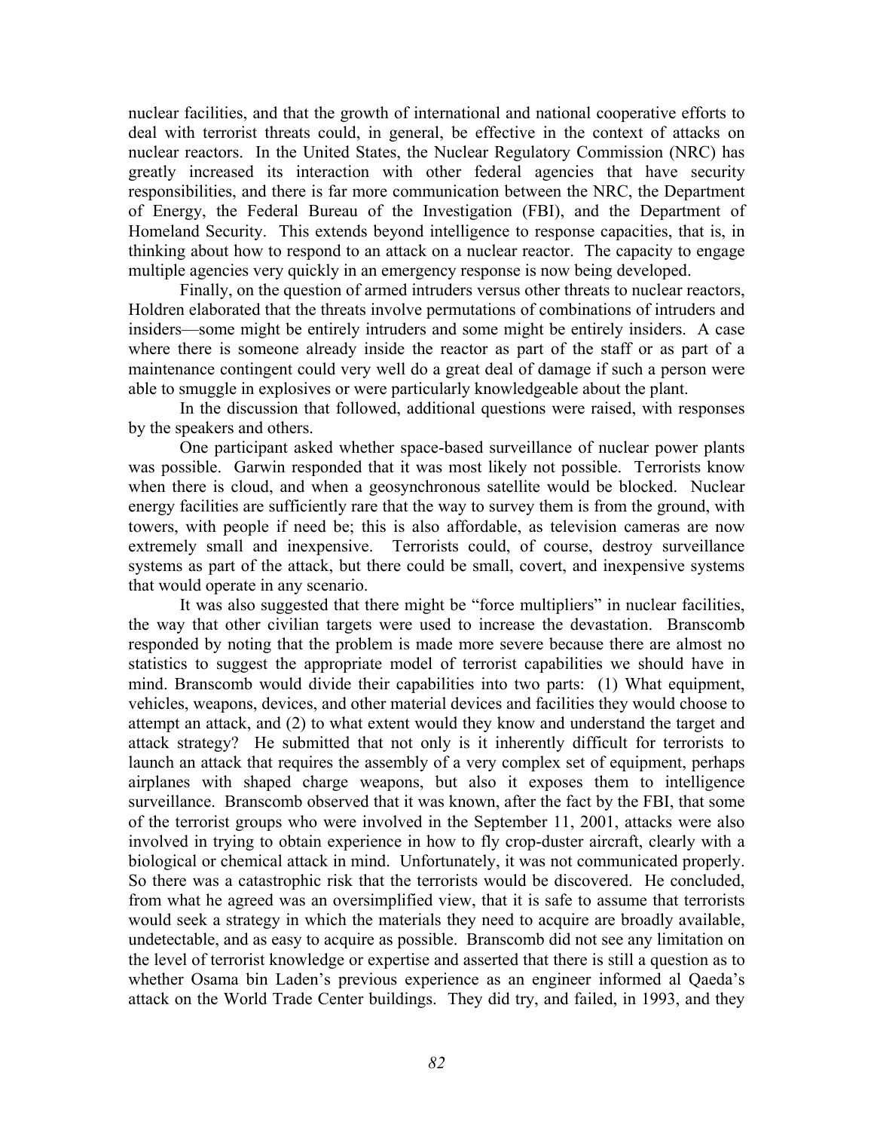nuclear facilities, and that the growth of international and national cooperative efforts to deal with terrorist threats could, in general, be effective in the context of attacks on nuclear reactors. In the United States, the Nuclear Regulatory Commission (NRC) has greatly increased its interaction with other federal agencies that have security responsibilities, and there is far more communication between the NRC, the Department of Energy, the Federal Bureau of the Investigation (FBI), and the Department of Homeland Security. This extends beyond intelligence to response capacities, that is, in thinking about how to respond to an attack on a nuclear reactor. The capacity to engage multiple agencies very quickly in an emergency response is now being developed.

Finally, on the question of armed intruders versus other threats to nuclear reactors, Holdren elaborated that the threats involve permutations of combinations of intruders and insiders—some might be entirely intruders and some might be entirely insiders. A case where there is someone already inside the reactor as part of the staff or as part of a maintenance contingent could very well do a great deal of damage if such a person were able to smuggle in explosives or were particularly knowledgeable about the plant.

In the discussion that followed, additional questions were raised, with responses by the speakers and others.

One participant asked whether space-based surveillance of nuclear power plants was possible. Garwin responded that it was most likely not possible. Terrorists know when there is cloud, and when a geosynchronous satellite would be blocked. Nuclear energy facilities are sufficiently rare that the way to survey them is from the ground, with towers, with people if need be; this is also affordable, as television cameras are now extremely small and inexpensive. Terrorists could, of course, destroy surveillance systems as part of the attack, but there could be small, covert, and inexpensive systems that would operate in any scenario.

It was also suggested that there might be "force multipliers" in nuclear facilities, the way that other civilian targets were used to increase the devastation. Branscomb responded by noting that the problem is made more severe because there are almost no statistics to suggest the appropriate model of terrorist capabilities we should have in mind. Branscomb would divide their capabilities into two parts: (1) What equipment, vehicles, weapons, devices, and other material devices and facilities they would choose to attempt an attack, and (2) to what extent would they know and understand the target and attack strategy? He submitted that not only is it inherently difficult for terrorists to launch an attack that requires the assembly of a very complex set of equipment, perhaps airplanes with shaped charge weapons, but also it exposes them to intelligence surveillance. Branscomb observed that it was known, after the fact by the FBI, that some of the terrorist groups who were involved in the September 11, 2001, attacks were also involved in trying to obtain experience in how to fly crop-duster aircraft, clearly with a biological or chemical attack in mind. Unfortunately, it was not communicated properly. So there was a catastrophic risk that the terrorists would be discovered. He concluded, from what he agreed was an oversimplified view, that it is safe to assume that terrorists would seek a strategy in which the materials they need to acquire are broadly available, undetectable, and as easy to acquire as possible. Branscomb did not see any limitation on the level of terrorist knowledge or expertise and asserted that there is still a question as to whether Osama bin Laden's previous experience as an engineer informed al Qaeda's attack on the World Trade Center buildings. They did try, and failed, in 1993, and they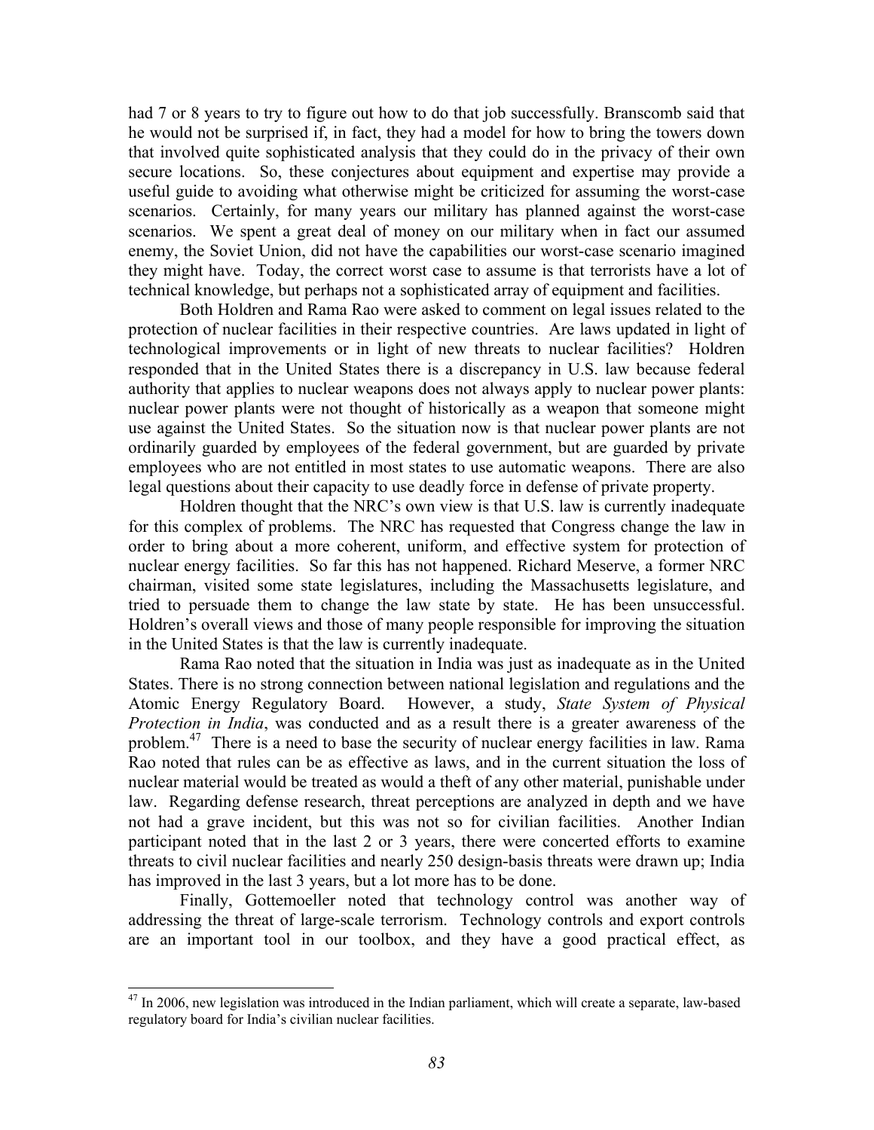had 7 or 8 years to try to figure out how to do that job successfully. Branscomb said that he would not be surprised if, in fact, they had a model for how to bring the towers down that involved quite sophisticated analysis that they could do in the privacy of their own secure locations. So, these conjectures about equipment and expertise may provide a useful guide to avoiding what otherwise might be criticized for assuming the worst-case scenarios. Certainly, for many years our military has planned against the worst-case scenarios. We spent a great deal of money on our military when in fact our assumed enemy, the Soviet Union, did not have the capabilities our worst-case scenario imagined they might have. Today, the correct worst case to assume is that terrorists have a lot of technical knowledge, but perhaps not a sophisticated array of equipment and facilities.

Both Holdren and Rama Rao were asked to comment on legal issues related to the protection of nuclear facilities in their respective countries. Are laws updated in light of technological improvements or in light of new threats to nuclear facilities? Holdren responded that in the United States there is a discrepancy in U.S. law because federal authority that applies to nuclear weapons does not always apply to nuclear power plants: nuclear power plants were not thought of historically as a weapon that someone might use against the United States. So the situation now is that nuclear power plants are not ordinarily guarded by employees of the federal government, but are guarded by private employees who are not entitled in most states to use automatic weapons. There are also legal questions about their capacity to use deadly force in defense of private property.

Holdren thought that the NRC's own view is that U.S. law is currently inadequate for this complex of problems. The NRC has requested that Congress change the law in order to bring about a more coherent, uniform, and effective system for protection of nuclear energy facilities. So far this has not happened. Richard Meserve, a former NRC chairman, visited some state legislatures, including the Massachusetts legislature, and tried to persuade them to change the law state by state. He has been unsuccessful. Holdren's overall views and those of many people responsible for improving the situation in the United States is that the law is currently inadequate.

Rama Rao noted that the situation in India was just as inadequate as in the United States. There is no strong connection between national legislation and regulations and the Atomic Energy Regulatory Board. However, a study, *State System of Physical Protection in India*, was conducted and as a result there is a greater awareness of the problem.<sup>47</sup> There is a need to base the security of nuclear energy facilities in law. Rama Rao noted that rules can be as effective as laws, and in the current situation the loss of nuclear material would be treated as would a theft of any other material, punishable under law. Regarding defense research, threat perceptions are analyzed in depth and we have not had a grave incident, but this was not so for civilian facilities. Another Indian participant noted that in the last 2 or 3 years, there were concerted efforts to examine threats to civil nuclear facilities and nearly 250 design-basis threats were drawn up; India has improved in the last 3 years, but a lot more has to be done.

Finally, Gottemoeller noted that technology control was another way of addressing the threat of large-scale terrorism. Technology controls and export controls are an important tool in our toolbox, and they have a good practical effect, as

<sup>&</sup>lt;sup>47</sup> In 2006, new legislation was introduced in the Indian parliament, which will create a separate, law-based regulatory board for India's civilian nuclear facilities.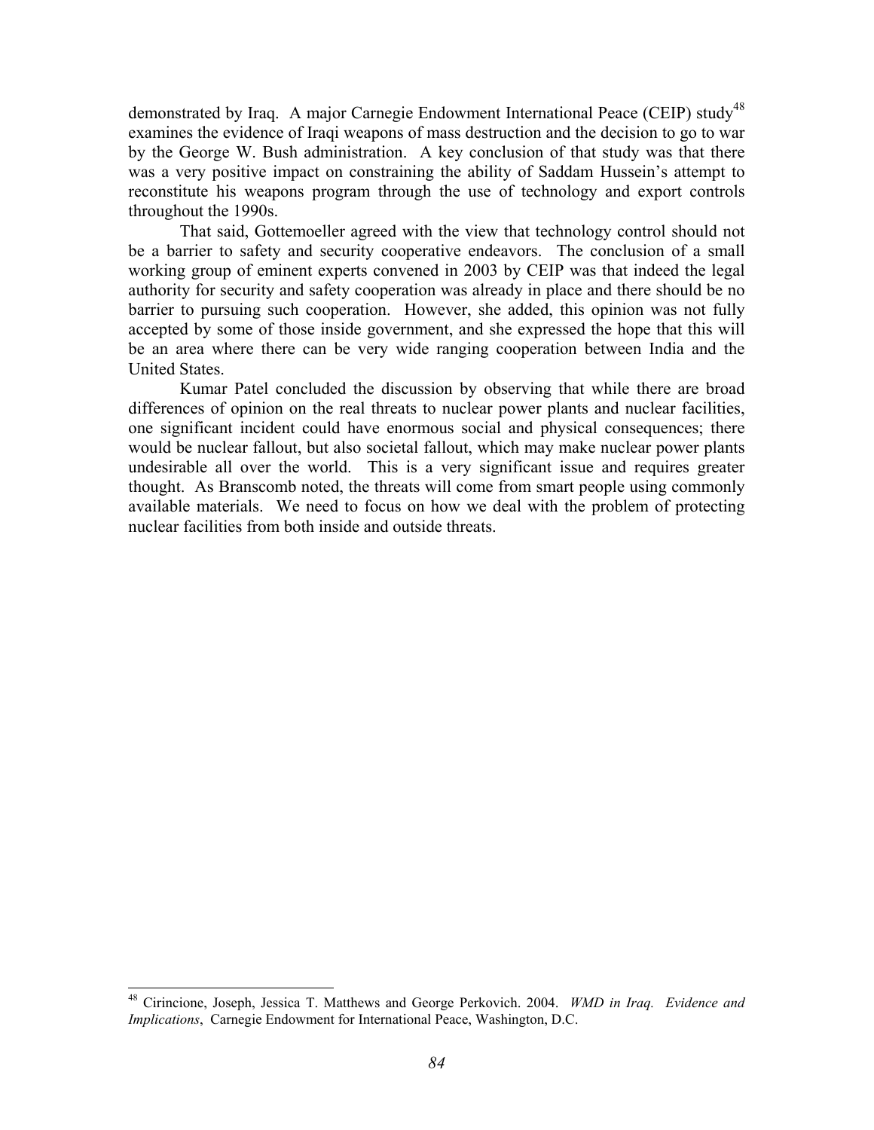demonstrated by Iraq. A major Carnegie Endowment International Peace (CEIP) study<sup>48</sup> examines the evidence of Iraqi weapons of mass destruction and the decision to go to war by the George W. Bush administration. A key conclusion of that study was that there was a very positive impact on constraining the ability of Saddam Hussein's attempt to reconstitute his weapons program through the use of technology and export controls throughout the 1990s.

That said, Gottemoeller agreed with the view that technology control should not be a barrier to safety and security cooperative endeavors. The conclusion of a small working group of eminent experts convened in 2003 by CEIP was that indeed the legal authority for security and safety cooperation was already in place and there should be no barrier to pursuing such cooperation. However, she added, this opinion was not fully accepted by some of those inside government, and she expressed the hope that this will be an area where there can be very wide ranging cooperation between India and the United States.

Kumar Patel concluded the discussion by observing that while there are broad differences of opinion on the real threats to nuclear power plants and nuclear facilities, one significant incident could have enormous social and physical consequences; there would be nuclear fallout, but also societal fallout, which may make nuclear power plants undesirable all over the world. This is a very significant issue and requires greater thought. As Branscomb noted, the threats will come from smart people using commonly available materials. We need to focus on how we deal with the problem of protecting nuclear facilities from both inside and outside threats.

<sup>48</sup> Cirincione, Joseph, Jessica T. Matthews and George Perkovich. 2004. *WMD in Iraq. Evidence and Implications*, Carnegie Endowment for International Peace, Washington, D.C.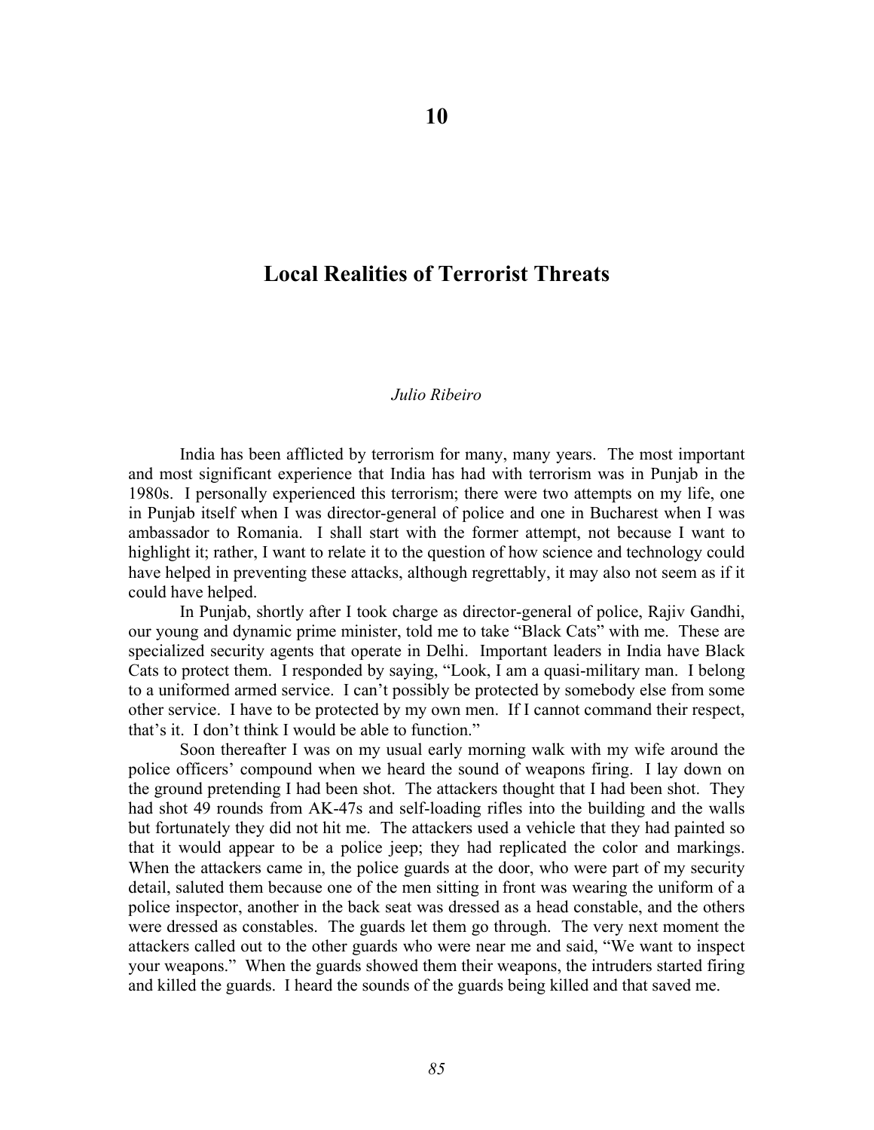# **Local Realities of Terrorist Threats**

### *Julio Ribeiro*

India has been afflicted by terrorism for many, many years. The most important and most significant experience that India has had with terrorism was in Punjab in the 1980s. I personally experienced this terrorism; there were two attempts on my life, one in Punjab itself when I was director-general of police and one in Bucharest when I was ambassador to Romania. I shall start with the former attempt, not because I want to highlight it; rather, I want to relate it to the question of how science and technology could have helped in preventing these attacks, although regrettably, it may also not seem as if it could have helped.

In Punjab, shortly after I took charge as director-general of police, Rajiv Gandhi, our young and dynamic prime minister, told me to take "Black Cats" with me. These are specialized security agents that operate in Delhi. Important leaders in India have Black Cats to protect them. I responded by saying, "Look, I am a quasi-military man. I belong to a uniformed armed service. I can't possibly be protected by somebody else from some other service. I have to be protected by my own men. If I cannot command their respect, that's it. I don't think I would be able to function."

Soon thereafter I was on my usual early morning walk with my wife around the police officers' compound when we heard the sound of weapons firing. I lay down on the ground pretending I had been shot. The attackers thought that I had been shot. They had shot 49 rounds from AK-47s and self-loading rifles into the building and the walls but fortunately they did not hit me. The attackers used a vehicle that they had painted so that it would appear to be a police jeep; they had replicated the color and markings. When the attackers came in, the police guards at the door, who were part of my security detail, saluted them because one of the men sitting in front was wearing the uniform of a police inspector, another in the back seat was dressed as a head constable, and the others were dressed as constables. The guards let them go through. The very next moment the attackers called out to the other guards who were near me and said, "We want to inspect your weapons." When the guards showed them their weapons, the intruders started firing and killed the guards. I heard the sounds of the guards being killed and that saved me.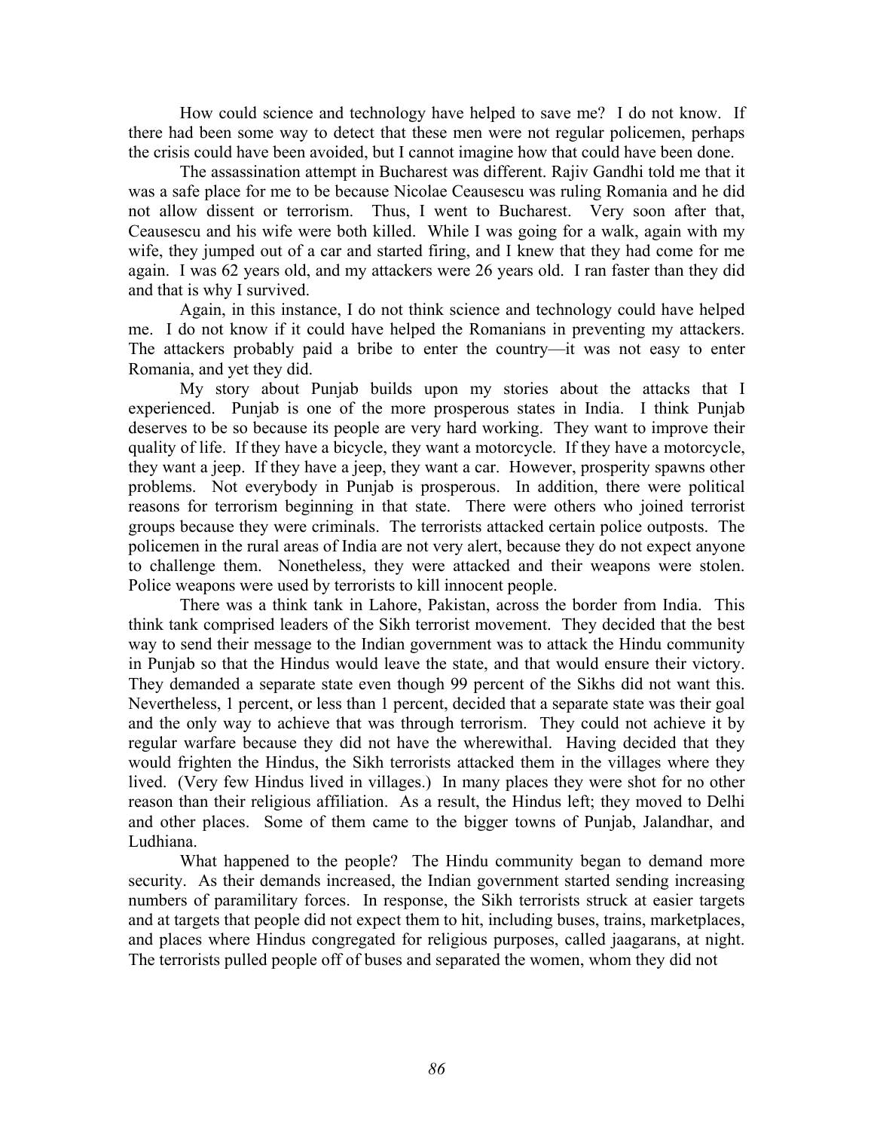How could science and technology have helped to save me? I do not know. If there had been some way to detect that these men were not regular policemen, perhaps the crisis could have been avoided, but I cannot imagine how that could have been done.

The assassination attempt in Bucharest was different. Rajiv Gandhi told me that it was a safe place for me to be because Nicolae Ceausescu was ruling Romania and he did not allow dissent or terrorism. Thus, I went to Bucharest. Very soon after that, Ceausescu and his wife were both killed. While I was going for a walk, again with my wife, they jumped out of a car and started firing, and I knew that they had come for me again. I was 62 years old, and my attackers were 26 years old. I ran faster than they did and that is why I survived.

Again, in this instance, I do not think science and technology could have helped me. I do not know if it could have helped the Romanians in preventing my attackers. The attackers probably paid a bribe to enter the country—it was not easy to enter Romania, and yet they did.

My story about Punjab builds upon my stories about the attacks that I experienced. Punjab is one of the more prosperous states in India. I think Punjab deserves to be so because its people are very hard working. They want to improve their quality of life. If they have a bicycle, they want a motorcycle. If they have a motorcycle, they want a jeep. If they have a jeep, they want a car. However, prosperity spawns other problems. Not everybody in Punjab is prosperous. In addition, there were political reasons for terrorism beginning in that state. There were others who joined terrorist groups because they were criminals. The terrorists attacked certain police outposts. The policemen in the rural areas of India are not very alert, because they do not expect anyone to challenge them. Nonetheless, they were attacked and their weapons were stolen. Police weapons were used by terrorists to kill innocent people.

There was a think tank in Lahore, Pakistan, across the border from India. This think tank comprised leaders of the Sikh terrorist movement. They decided that the best way to send their message to the Indian government was to attack the Hindu community in Punjab so that the Hindus would leave the state, and that would ensure their victory. They demanded a separate state even though 99 percent of the Sikhs did not want this. Nevertheless, 1 percent, or less than 1 percent, decided that a separate state was their goal and the only way to achieve that was through terrorism. They could not achieve it by regular warfare because they did not have the wherewithal. Having decided that they would frighten the Hindus, the Sikh terrorists attacked them in the villages where they lived. (Very few Hindus lived in villages.) In many places they were shot for no other reason than their religious affiliation. As a result, the Hindus left; they moved to Delhi and other places. Some of them came to the bigger towns of Punjab, Jalandhar, and Ludhiana.

What happened to the people? The Hindu community began to demand more security. As their demands increased, the Indian government started sending increasing numbers of paramilitary forces. In response, the Sikh terrorists struck at easier targets and at targets that people did not expect them to hit, including buses, trains, marketplaces, and places where Hindus congregated for religious purposes, called jaagarans, at night. The terrorists pulled people off of buses and separated the women, whom they did not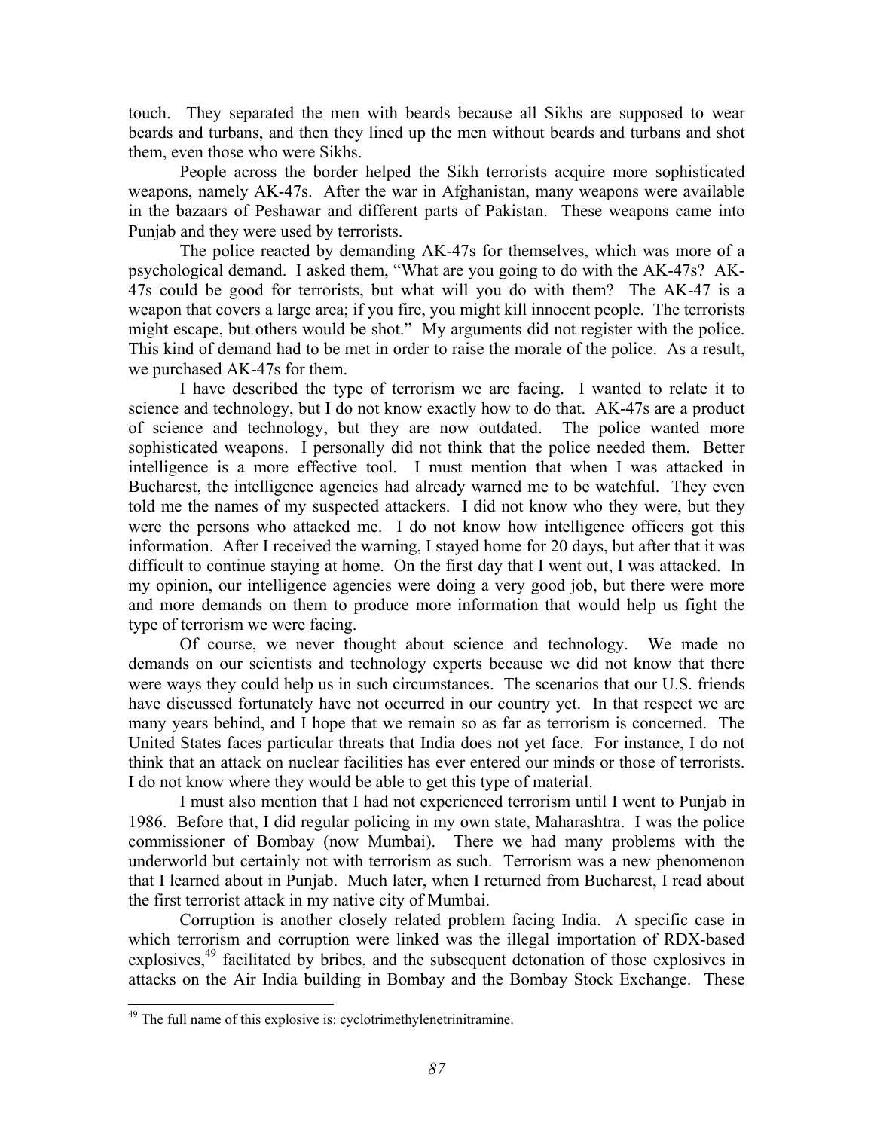touch. They separated the men with beards because all Sikhs are supposed to wear beards and turbans, and then they lined up the men without beards and turbans and shot them, even those who were Sikhs.

People across the border helped the Sikh terrorists acquire more sophisticated weapons, namely AK-47s. After the war in Afghanistan, many weapons were available in the bazaars of Peshawar and different parts of Pakistan. These weapons came into Punjab and they were used by terrorists.

The police reacted by demanding AK-47s for themselves, which was more of a psychological demand. I asked them, "What are you going to do with the AK-47s? AK-47s could be good for terrorists, but what will you do with them? The AK-47 is a weapon that covers a large area; if you fire, you might kill innocent people. The terrorists might escape, but others would be shot." My arguments did not register with the police. This kind of demand had to be met in order to raise the morale of the police. As a result, we purchased AK-47s for them.

I have described the type of terrorism we are facing. I wanted to relate it to science and technology, but I do not know exactly how to do that. AK-47s are a product of science and technology, but they are now outdated. The police wanted more sophisticated weapons. I personally did not think that the police needed them. Better intelligence is a more effective tool. I must mention that when I was attacked in Bucharest, the intelligence agencies had already warned me to be watchful. They even told me the names of my suspected attackers. I did not know who they were, but they were the persons who attacked me. I do not know how intelligence officers got this information. After I received the warning, I stayed home for 20 days, but after that it was difficult to continue staying at home. On the first day that I went out, I was attacked. In my opinion, our intelligence agencies were doing a very good job, but there were more and more demands on them to produce more information that would help us fight the type of terrorism we were facing.

Of course, we never thought about science and technology. We made no demands on our scientists and technology experts because we did not know that there were ways they could help us in such circumstances. The scenarios that our U.S. friends have discussed fortunately have not occurred in our country yet. In that respect we are many years behind, and I hope that we remain so as far as terrorism is concerned. The United States faces particular threats that India does not yet face. For instance, I do not think that an attack on nuclear facilities has ever entered our minds or those of terrorists. I do not know where they would be able to get this type of material.

I must also mention that I had not experienced terrorism until I went to Punjab in 1986. Before that, I did regular policing in my own state, Maharashtra. I was the police commissioner of Bombay (now Mumbai). There we had many problems with the underworld but certainly not with terrorism as such. Terrorism was a new phenomenon that I learned about in Punjab. Much later, when I returned from Bucharest, I read about the first terrorist attack in my native city of Mumbai.

Corruption is another closely related problem facing India. A specific case in which terrorism and corruption were linked was the illegal importation of RDX-based explosives,<sup>49</sup> facilitated by bribes, and the subsequent detonation of those explosives in attacks on the Air India building in Bombay and the Bombay Stock Exchange. These

<sup>&</sup>lt;sup>49</sup> The full name of this explosive is: cyclotrimethylenetrinitramine.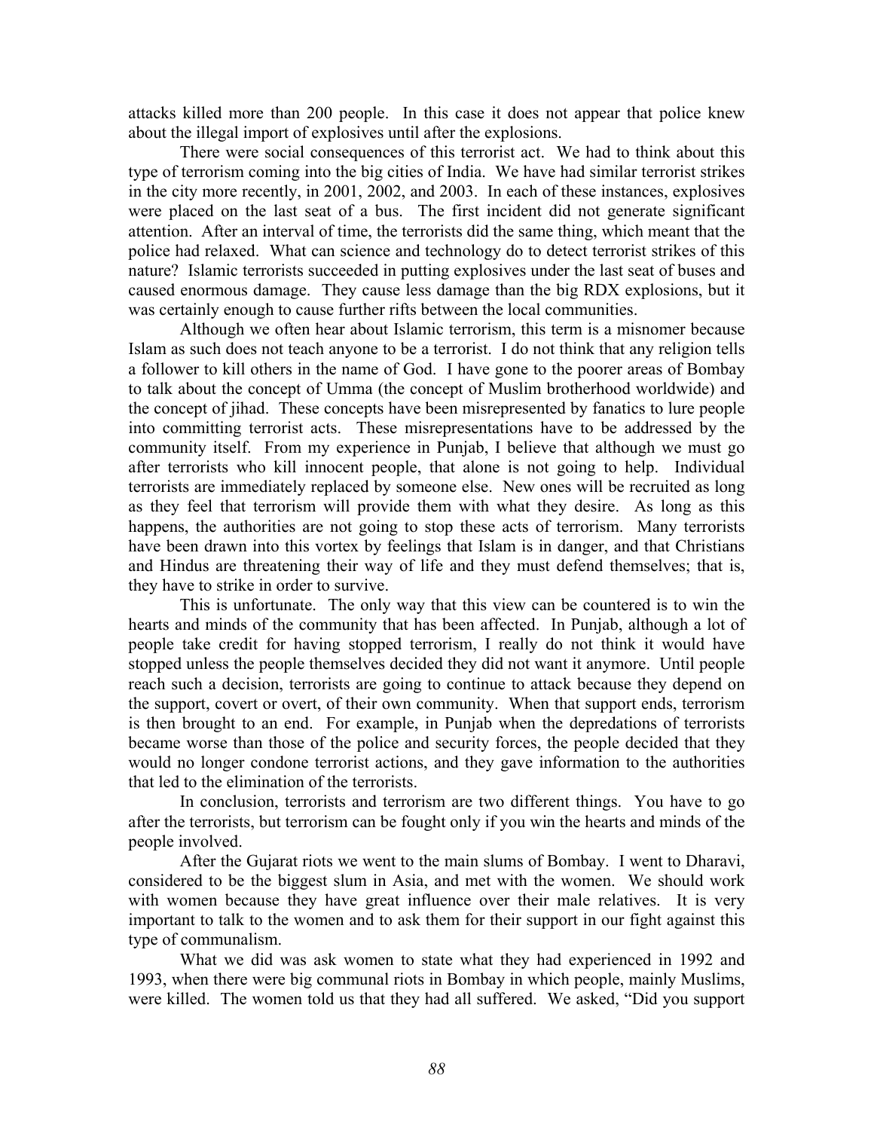attacks killed more than 200 people. In this case it does not appear that police knew about the illegal import of explosives until after the explosions.

There were social consequences of this terrorist act. We had to think about this type of terrorism coming into the big cities of India. We have had similar terrorist strikes in the city more recently, in 2001, 2002, and 2003. In each of these instances, explosives were placed on the last seat of a bus. The first incident did not generate significant attention. After an interval of time, the terrorists did the same thing, which meant that the police had relaxed. What can science and technology do to detect terrorist strikes of this nature? Islamic terrorists succeeded in putting explosives under the last seat of buses and caused enormous damage. They cause less damage than the big RDX explosions, but it was certainly enough to cause further rifts between the local communities.

Although we often hear about Islamic terrorism, this term is a misnomer because Islam as such does not teach anyone to be a terrorist. I do not think that any religion tells a follower to kill others in the name of God. I have gone to the poorer areas of Bombay to talk about the concept of Umma (the concept of Muslim brotherhood worldwide) and the concept of jihad. These concepts have been misrepresented by fanatics to lure people into committing terrorist acts. These misrepresentations have to be addressed by the community itself. From my experience in Punjab, I believe that although we must go after terrorists who kill innocent people, that alone is not going to help. Individual terrorists are immediately replaced by someone else. New ones will be recruited as long as they feel that terrorism will provide them with what they desire. As long as this happens, the authorities are not going to stop these acts of terrorism. Many terrorists have been drawn into this vortex by feelings that Islam is in danger, and that Christians and Hindus are threatening their way of life and they must defend themselves; that is, they have to strike in order to survive.

This is unfortunate. The only way that this view can be countered is to win the hearts and minds of the community that has been affected. In Punjab, although a lot of people take credit for having stopped terrorism, I really do not think it would have stopped unless the people themselves decided they did not want it anymore. Until people reach such a decision, terrorists are going to continue to attack because they depend on the support, covert or overt, of their own community. When that support ends, terrorism is then brought to an end. For example, in Punjab when the depredations of terrorists became worse than those of the police and security forces, the people decided that they would no longer condone terrorist actions, and they gave information to the authorities that led to the elimination of the terrorists.

In conclusion, terrorists and terrorism are two different things. You have to go after the terrorists, but terrorism can be fought only if you win the hearts and minds of the people involved.

After the Gujarat riots we went to the main slums of Bombay. I went to Dharavi, considered to be the biggest slum in Asia, and met with the women. We should work with women because they have great influence over their male relatives. It is very important to talk to the women and to ask them for their support in our fight against this type of communalism.

What we did was ask women to state what they had experienced in 1992 and 1993, when there were big communal riots in Bombay in which people, mainly Muslims, were killed. The women told us that they had all suffered. We asked, "Did you support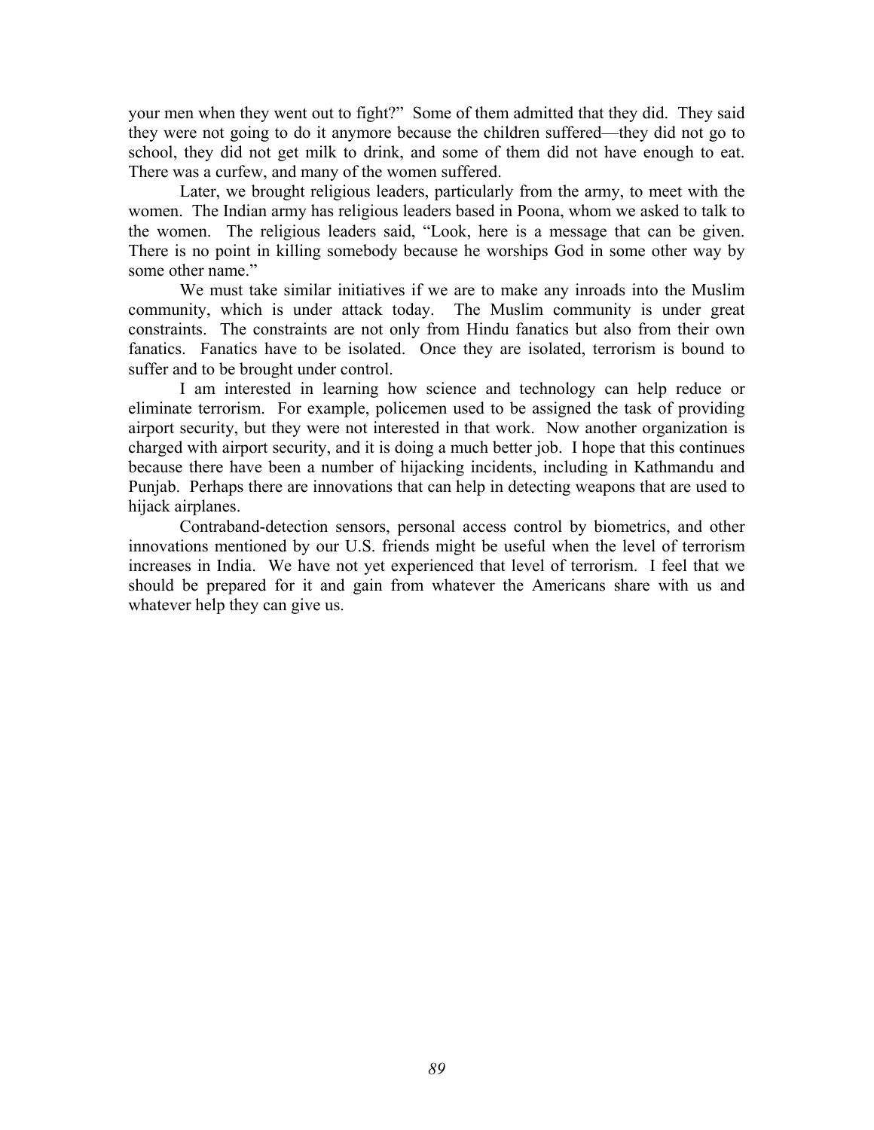your men when they went out to fight?" Some of them admitted that they did. They said they were not going to do it anymore because the children suffered—they did not go to school, they did not get milk to drink, and some of them did not have enough to eat. There was a curfew, and many of the women suffered.

Later, we brought religious leaders, particularly from the army, to meet with the women. The Indian army has religious leaders based in Poona, whom we asked to talk to the women. The religious leaders said, "Look, here is a message that can be given. There is no point in killing somebody because he worships God in some other way by some other name."

We must take similar initiatives if we are to make any inroads into the Muslim community, which is under attack today. The Muslim community is under great constraints. The constraints are not only from Hindu fanatics but also from their own fanatics. Fanatics have to be isolated. Once they are isolated, terrorism is bound to suffer and to be brought under control.

I am interested in learning how science and technology can help reduce or eliminate terrorism. For example, policemen used to be assigned the task of providing airport security, but they were not interested in that work. Now another organization is charged with airport security, and it is doing a much better job. I hope that this continues because there have been a number of hijacking incidents, including in Kathmandu and Punjab. Perhaps there are innovations that can help in detecting weapons that are used to hijack airplanes.

Contraband-detection sensors, personal access control by biometrics, and other innovations mentioned by our U.S. friends might be useful when the level of terrorism increases in India. We have not yet experienced that level of terrorism. I feel that we should be prepared for it and gain from whatever the Americans share with us and whatever help they can give us.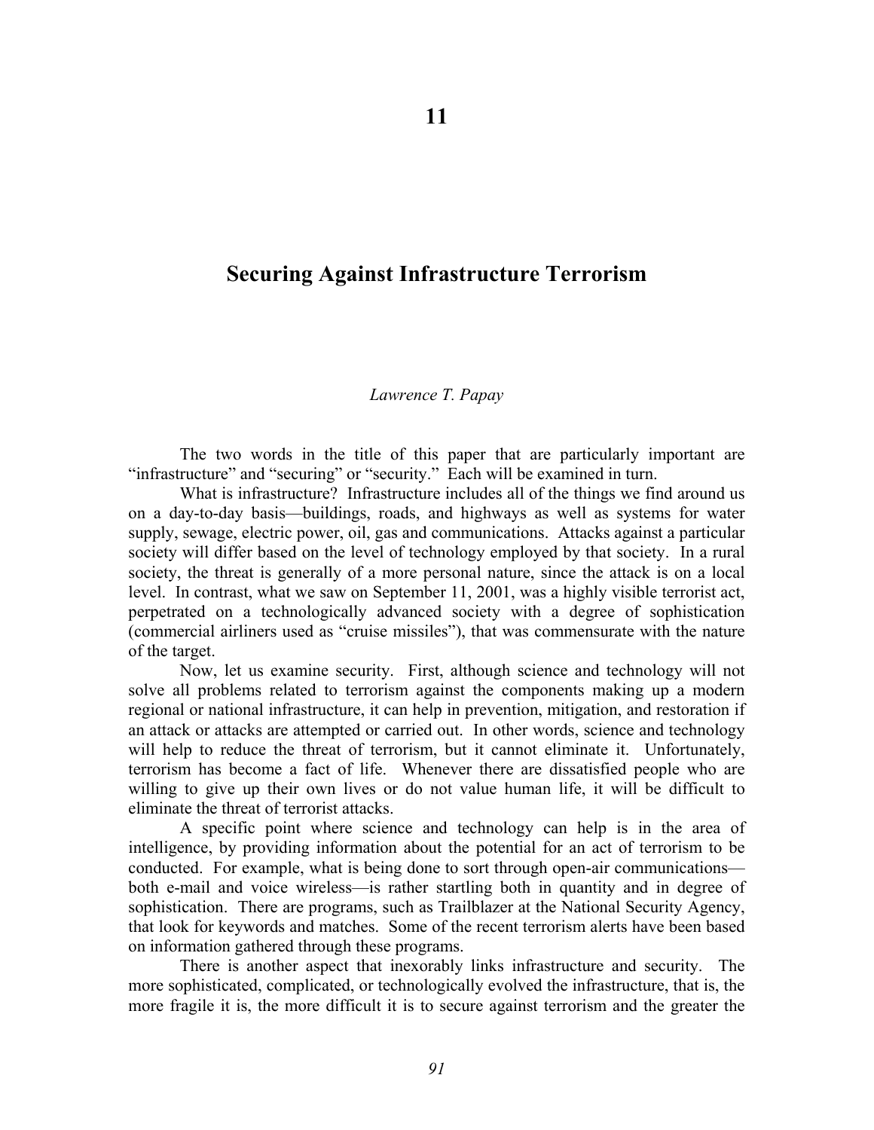**11** 

# **Securing Against Infrastructure Terrorism**

### *Lawrence T. Papay*

The two words in the title of this paper that are particularly important are "infrastructure" and "securing" or "security." Each will be examined in turn.

What is infrastructure? Infrastructure includes all of the things we find around us on a day-to-day basis—buildings, roads, and highways as well as systems for water supply, sewage, electric power, oil, gas and communications. Attacks against a particular society will differ based on the level of technology employed by that society. In a rural society, the threat is generally of a more personal nature, since the attack is on a local level. In contrast, what we saw on September 11, 2001, was a highly visible terrorist act, perpetrated on a technologically advanced society with a degree of sophistication (commercial airliners used as "cruise missiles"), that was commensurate with the nature of the target.

Now, let us examine security. First, although science and technology will not solve all problems related to terrorism against the components making up a modern regional or national infrastructure, it can help in prevention, mitigation, and restoration if an attack or attacks are attempted or carried out. In other words, science and technology will help to reduce the threat of terrorism, but it cannot eliminate it. Unfortunately, terrorism has become a fact of life. Whenever there are dissatisfied people who are willing to give up their own lives or do not value human life, it will be difficult to eliminate the threat of terrorist attacks.

A specific point where science and technology can help is in the area of intelligence, by providing information about the potential for an act of terrorism to be conducted. For example, what is being done to sort through open-air communications both e-mail and voice wireless—is rather startling both in quantity and in degree of sophistication. There are programs, such as Trailblazer at the National Security Agency, that look for keywords and matches. Some of the recent terrorism alerts have been based on information gathered through these programs.

There is another aspect that inexorably links infrastructure and security. The more sophisticated, complicated, or technologically evolved the infrastructure, that is, the more fragile it is, the more difficult it is to secure against terrorism and the greater the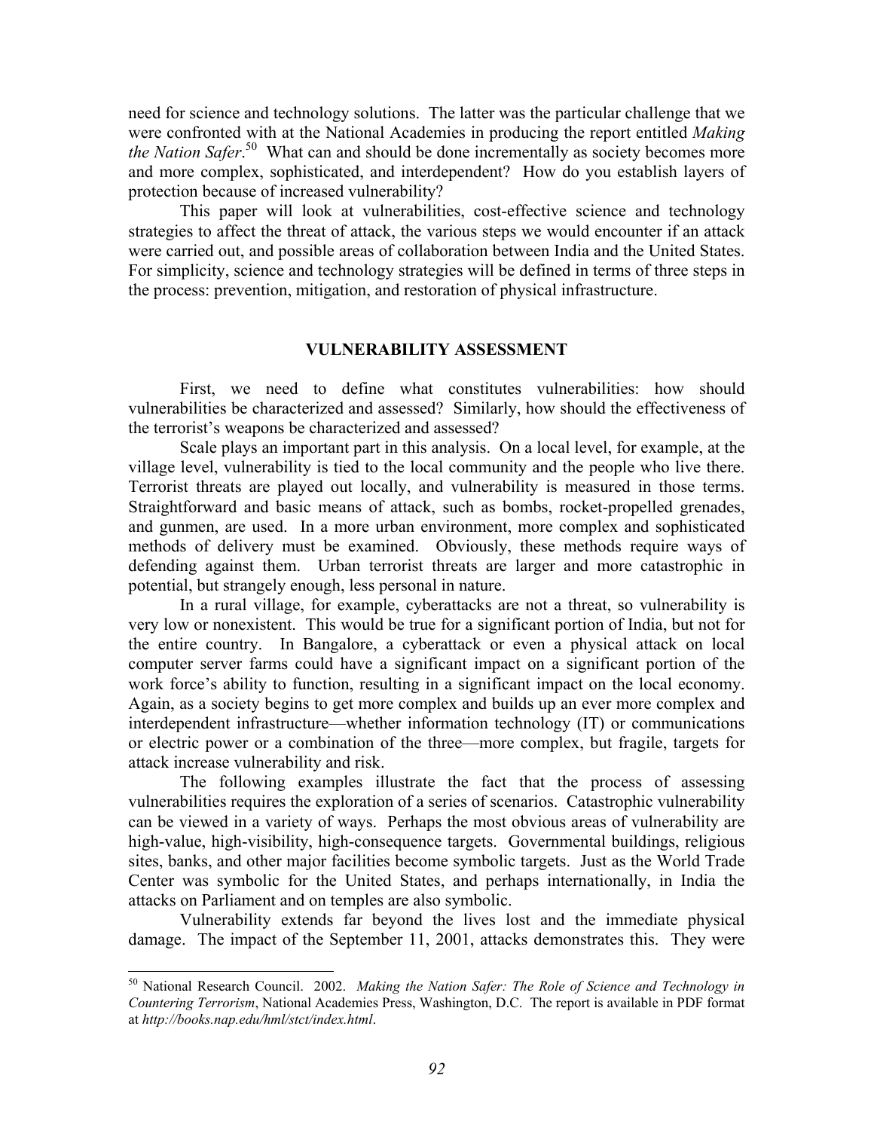need for science and technology solutions. The latter was the particular challenge that we were confronted with at the National Academies in producing the report entitled *Making the Nation Safer*. 50 What can and should be done incrementally as society becomes more and more complex, sophisticated, and interdependent? How do you establish layers of protection because of increased vulnerability?

This paper will look at vulnerabilities, cost-effective science and technology strategies to affect the threat of attack, the various steps we would encounter if an attack were carried out, and possible areas of collaboration between India and the United States. For simplicity, science and technology strategies will be defined in terms of three steps in the process: prevention, mitigation, and restoration of physical infrastructure.

### **VULNERABILITY ASSESSMENT**

First, we need to define what constitutes vulnerabilities: how should vulnerabilities be characterized and assessed? Similarly, how should the effectiveness of the terrorist's weapons be characterized and assessed?

Scale plays an important part in this analysis. On a local level, for example, at the village level, vulnerability is tied to the local community and the people who live there. Terrorist threats are played out locally, and vulnerability is measured in those terms. Straightforward and basic means of attack, such as bombs, rocket-propelled grenades, and gunmen, are used. In a more urban environment, more complex and sophisticated methods of delivery must be examined. Obviously, these methods require ways of defending against them. Urban terrorist threats are larger and more catastrophic in potential, but strangely enough, less personal in nature.

In a rural village, for example, cyberattacks are not a threat, so vulnerability is very low or nonexistent. This would be true for a significant portion of India, but not for the entire country. In Bangalore, a cyberattack or even a physical attack on local computer server farms could have a significant impact on a significant portion of the work force's ability to function, resulting in a significant impact on the local economy. Again, as a society begins to get more complex and builds up an ever more complex and interdependent infrastructure—whether information technology (IT) or communications or electric power or a combination of the three—more complex, but fragile, targets for attack increase vulnerability and risk.

The following examples illustrate the fact that the process of assessing vulnerabilities requires the exploration of a series of scenarios. Catastrophic vulnerability can be viewed in a variety of ways. Perhaps the most obvious areas of vulnerability are high-value, high-visibility, high-consequence targets. Governmental buildings, religious sites, banks, and other major facilities become symbolic targets. Just as the World Trade Center was symbolic for the United States, and perhaps internationally, in India the attacks on Parliament and on temples are also symbolic.

Vulnerability extends far beyond the lives lost and the immediate physical damage. The impact of the September 11, 2001, attacks demonstrates this. They were

l

<sup>50</sup> National Research Council. 2002. *Making the Nation Safer: The Role of Science and Technology in Countering Terrorism*, National Academies Press, Washington, D.C. The report is available in PDF format at *http://books.nap.edu/hml/stct/index.html*.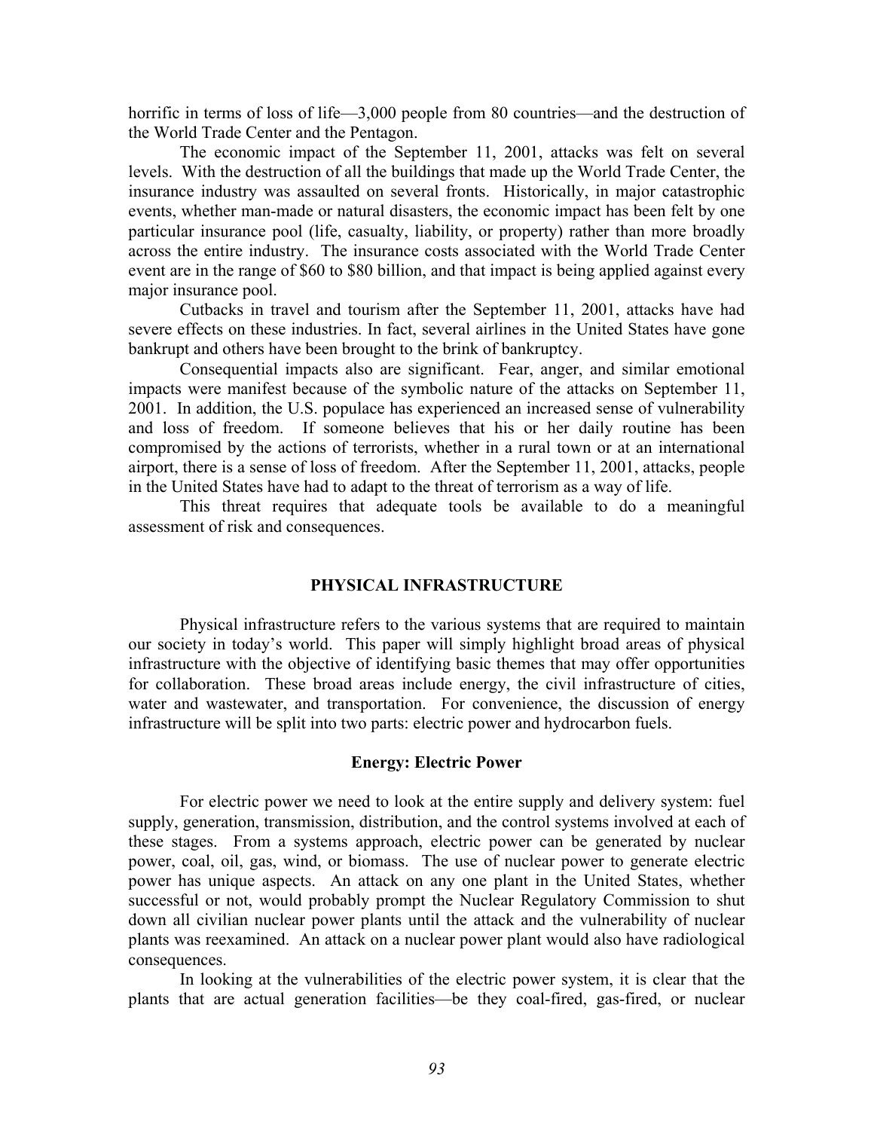horrific in terms of loss of life—3,000 people from 80 countries—and the destruction of the World Trade Center and the Pentagon.

The economic impact of the September 11, 2001, attacks was felt on several levels. With the destruction of all the buildings that made up the World Trade Center, the insurance industry was assaulted on several fronts. Historically, in major catastrophic events, whether man-made or natural disasters, the economic impact has been felt by one particular insurance pool (life, casualty, liability, or property) rather than more broadly across the entire industry. The insurance costs associated with the World Trade Center event are in the range of \$60 to \$80 billion, and that impact is being applied against every major insurance pool.

Cutbacks in travel and tourism after the September 11, 2001, attacks have had severe effects on these industries. In fact, several airlines in the United States have gone bankrupt and others have been brought to the brink of bankruptcy.

Consequential impacts also are significant. Fear, anger, and similar emotional impacts were manifest because of the symbolic nature of the attacks on September 11, 2001. In addition, the U.S. populace has experienced an increased sense of vulnerability and loss of freedom. If someone believes that his or her daily routine has been compromised by the actions of terrorists, whether in a rural town or at an international airport, there is a sense of loss of freedom. After the September 11, 2001, attacks, people in the United States have had to adapt to the threat of terrorism as a way of life.

This threat requires that adequate tools be available to do a meaningful assessment of risk and consequences.

### **PHYSICAL INFRASTRUCTURE**

Physical infrastructure refers to the various systems that are required to maintain our society in today's world. This paper will simply highlight broad areas of physical infrastructure with the objective of identifying basic themes that may offer opportunities for collaboration. These broad areas include energy, the civil infrastructure of cities, water and wastewater, and transportation. For convenience, the discussion of energy infrastructure will be split into two parts: electric power and hydrocarbon fuels.

#### **Energy: Electric Power**

For electric power we need to look at the entire supply and delivery system: fuel supply, generation, transmission, distribution, and the control systems involved at each of these stages. From a systems approach, electric power can be generated by nuclear power, coal, oil, gas, wind, or biomass. The use of nuclear power to generate electric power has unique aspects. An attack on any one plant in the United States, whether successful or not, would probably prompt the Nuclear Regulatory Commission to shut down all civilian nuclear power plants until the attack and the vulnerability of nuclear plants was reexamined. An attack on a nuclear power plant would also have radiological consequences.

In looking at the vulnerabilities of the electric power system, it is clear that the plants that are actual generation facilities—be they coal-fired, gas-fired, or nuclear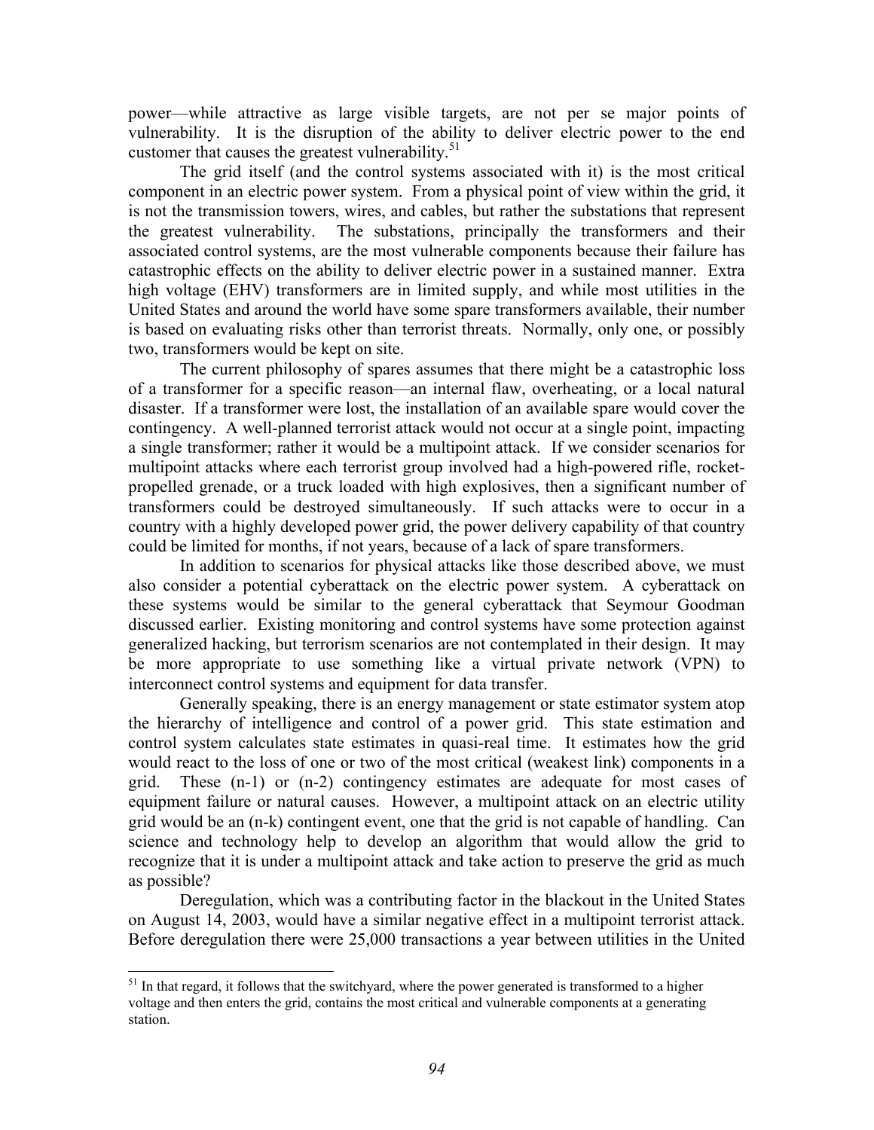power—while attractive as large visible targets, are not per se major points of vulnerability. It is the disruption of the ability to deliver electric power to the end customer that causes the greatest vulnerability.<sup>51</sup>

The grid itself (and the control systems associated with it) is the most critical component in an electric power system. From a physical point of view within the grid, it is not the transmission towers, wires, and cables, but rather the substations that represent the greatest vulnerability. The substations, principally the transformers and their associated control systems, are the most vulnerable components because their failure has catastrophic effects on the ability to deliver electric power in a sustained manner. Extra high voltage (EHV) transformers are in limited supply, and while most utilities in the United States and around the world have some spare transformers available, their number is based on evaluating risks other than terrorist threats. Normally, only one, or possibly two, transformers would be kept on site.

The current philosophy of spares assumes that there might be a catastrophic loss of a transformer for a specific reason—an internal flaw, overheating, or a local natural disaster. If a transformer were lost, the installation of an available spare would cover the contingency. A well-planned terrorist attack would not occur at a single point, impacting a single transformer; rather it would be a multipoint attack. If we consider scenarios for multipoint attacks where each terrorist group involved had a high-powered rifle, rocketpropelled grenade, or a truck loaded with high explosives, then a significant number of transformers could be destroyed simultaneously. If such attacks were to occur in a country with a highly developed power grid, the power delivery capability of that country could be limited for months, if not years, because of a lack of spare transformers.

In addition to scenarios for physical attacks like those described above, we must also consider a potential cyberattack on the electric power system. A cyberattack on these systems would be similar to the general cyberattack that Seymour Goodman discussed earlier. Existing monitoring and control systems have some protection against generalized hacking, but terrorism scenarios are not contemplated in their design. It may be more appropriate to use something like a virtual private network (VPN) to interconnect control systems and equipment for data transfer.

Generally speaking, there is an energy management or state estimator system atop the hierarchy of intelligence and control of a power grid. This state estimation and control system calculates state estimates in quasi-real time. It estimates how the grid would react to the loss of one or two of the most critical (weakest link) components in a grid. These (n-1) or (n-2) contingency estimates are adequate for most cases of equipment failure or natural causes. However, a multipoint attack on an electric utility grid would be an (n-k) contingent event, one that the grid is not capable of handling. Can science and technology help to develop an algorithm that would allow the grid to recognize that it is under a multipoint attack and take action to preserve the grid as much as possible?

Deregulation, which was a contributing factor in the blackout in the United States on August 14, 2003, would have a similar negative effect in a multipoint terrorist attack. Before deregulation there were 25,000 transactions a year between utilities in the United

l

 $<sup>51</sup>$  In that regard, it follows that the switchyard, where the power generated is transformed to a higher</sup> voltage and then enters the grid, contains the most critical and vulnerable components at a generating station.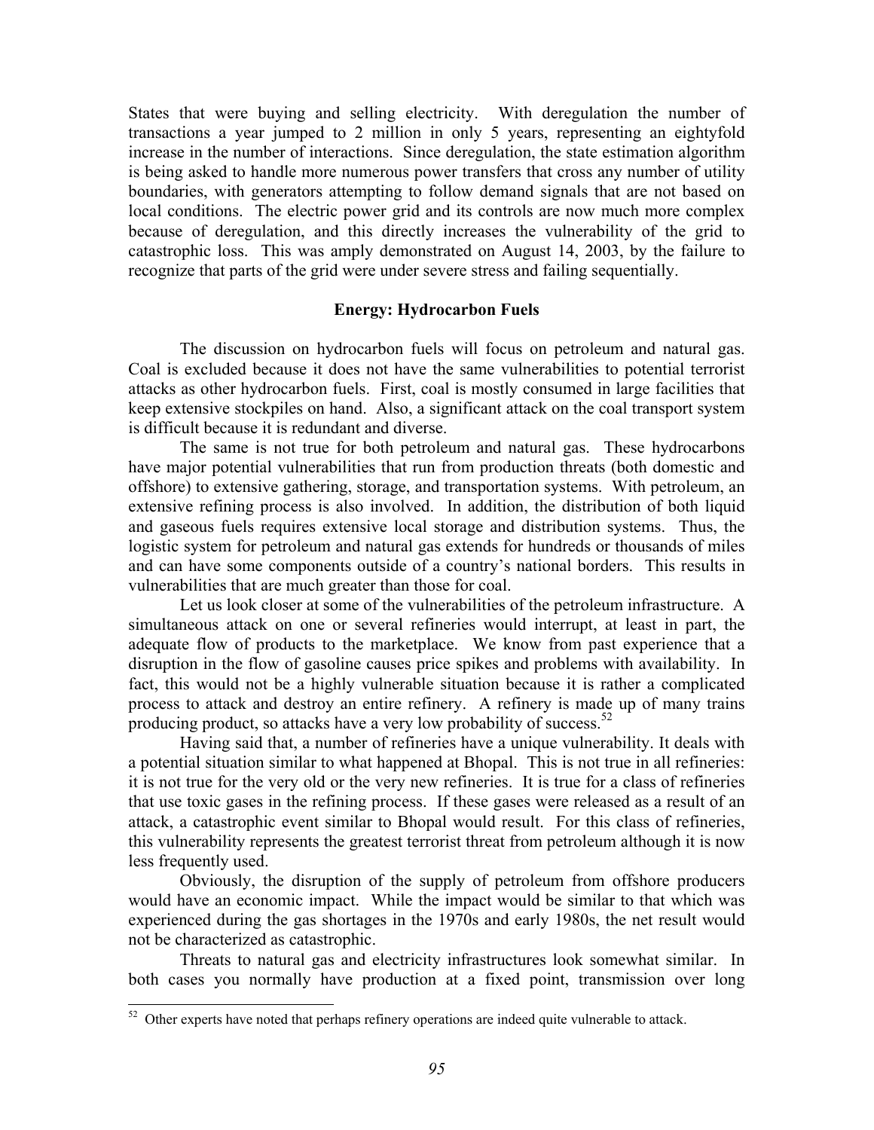States that were buying and selling electricity. With deregulation the number of transactions a year jumped to 2 million in only 5 years, representing an eightyfold increase in the number of interactions. Since deregulation, the state estimation algorithm is being asked to handle more numerous power transfers that cross any number of utility boundaries, with generators attempting to follow demand signals that are not based on local conditions. The electric power grid and its controls are now much more complex because of deregulation, and this directly increases the vulnerability of the grid to catastrophic loss. This was amply demonstrated on August 14, 2003, by the failure to recognize that parts of the grid were under severe stress and failing sequentially.

### **Energy: Hydrocarbon Fuels**

The discussion on hydrocarbon fuels will focus on petroleum and natural gas. Coal is excluded because it does not have the same vulnerabilities to potential terrorist attacks as other hydrocarbon fuels. First, coal is mostly consumed in large facilities that keep extensive stockpiles on hand. Also, a significant attack on the coal transport system is difficult because it is redundant and diverse.

The same is not true for both petroleum and natural gas. These hydrocarbons have major potential vulnerabilities that run from production threats (both domestic and offshore) to extensive gathering, storage, and transportation systems. With petroleum, an extensive refining process is also involved. In addition, the distribution of both liquid and gaseous fuels requires extensive local storage and distribution systems. Thus, the logistic system for petroleum and natural gas extends for hundreds or thousands of miles and can have some components outside of a country's national borders. This results in vulnerabilities that are much greater than those for coal.

Let us look closer at some of the vulnerabilities of the petroleum infrastructure. A simultaneous attack on one or several refineries would interrupt, at least in part, the adequate flow of products to the marketplace. We know from past experience that a disruption in the flow of gasoline causes price spikes and problems with availability. In fact, this would not be a highly vulnerable situation because it is rather a complicated process to attack and destroy an entire refinery. A refinery is made up of many trains producing product, so attacks have a very low probability of success.<sup>52</sup>

Having said that, a number of refineries have a unique vulnerability. It deals with a potential situation similar to what happened at Bhopal. This is not true in all refineries: it is not true for the very old or the very new refineries. It is true for a class of refineries that use toxic gases in the refining process. If these gases were released as a result of an attack, a catastrophic event similar to Bhopal would result. For this class of refineries, this vulnerability represents the greatest terrorist threat from petroleum although it is now less frequently used.

Obviously, the disruption of the supply of petroleum from offshore producers would have an economic impact. While the impact would be similar to that which was experienced during the gas shortages in the 1970s and early 1980s, the net result would not be characterized as catastrophic.

Threats to natural gas and electricity infrastructures look somewhat similar. In both cases you normally have production at a fixed point, transmission over long

 $52$  Other experts have noted that perhaps refinery operations are indeed quite vulnerable to attack.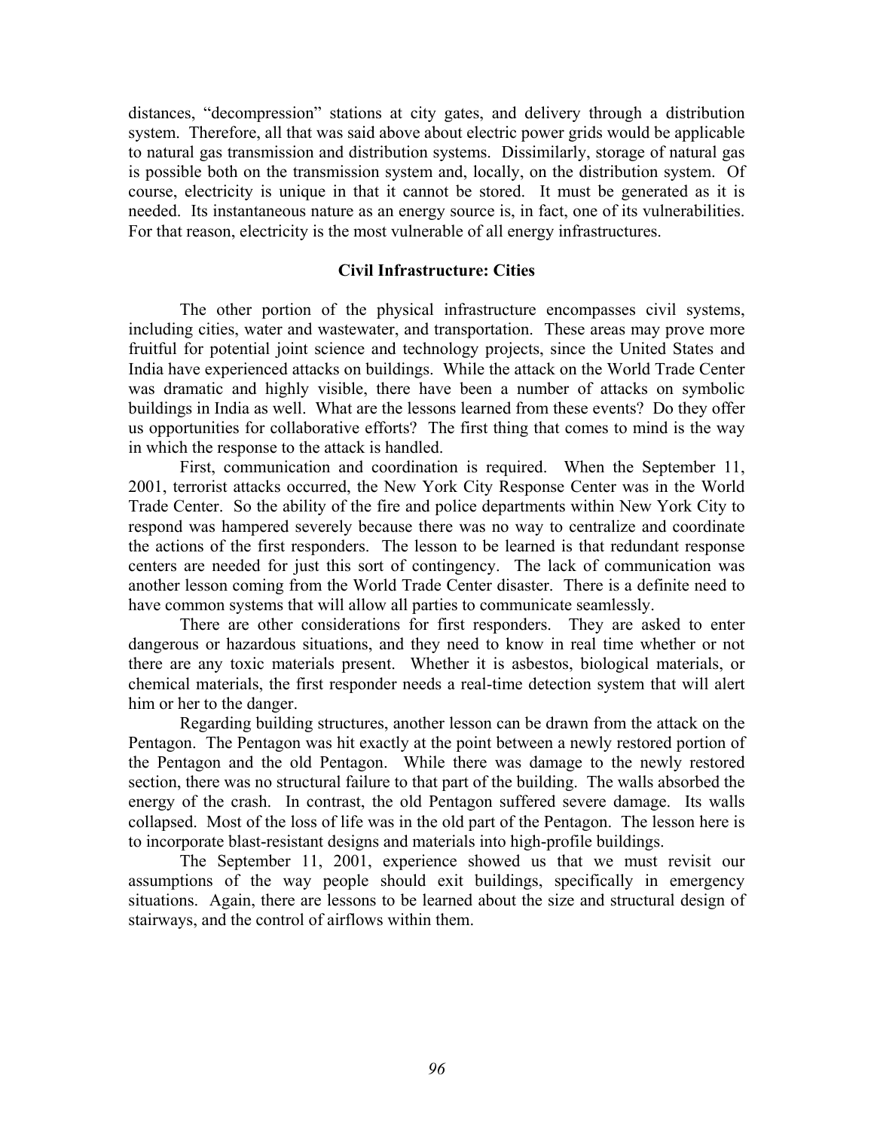distances, "decompression" stations at city gates, and delivery through a distribution system. Therefore, all that was said above about electric power grids would be applicable to natural gas transmission and distribution systems. Dissimilarly, storage of natural gas is possible both on the transmission system and, locally, on the distribution system. Of course, electricity is unique in that it cannot be stored. It must be generated as it is needed. Its instantaneous nature as an energy source is, in fact, one of its vulnerabilities. For that reason, electricity is the most vulnerable of all energy infrastructures.

#### **Civil Infrastructure: Cities**

The other portion of the physical infrastructure encompasses civil systems, including cities, water and wastewater, and transportation. These areas may prove more fruitful for potential joint science and technology projects, since the United States and India have experienced attacks on buildings. While the attack on the World Trade Center was dramatic and highly visible, there have been a number of attacks on symbolic buildings in India as well. What are the lessons learned from these events? Do they offer us opportunities for collaborative efforts? The first thing that comes to mind is the way in which the response to the attack is handled.

First, communication and coordination is required. When the September 11, 2001, terrorist attacks occurred, the New York City Response Center was in the World Trade Center. So the ability of the fire and police departments within New York City to respond was hampered severely because there was no way to centralize and coordinate the actions of the first responders. The lesson to be learned is that redundant response centers are needed for just this sort of contingency. The lack of communication was another lesson coming from the World Trade Center disaster. There is a definite need to have common systems that will allow all parties to communicate seamlessly.

There are other considerations for first responders. They are asked to enter dangerous or hazardous situations, and they need to know in real time whether or not there are any toxic materials present. Whether it is asbestos, biological materials, or chemical materials, the first responder needs a real-time detection system that will alert him or her to the danger.

Regarding building structures, another lesson can be drawn from the attack on the Pentagon. The Pentagon was hit exactly at the point between a newly restored portion of the Pentagon and the old Pentagon. While there was damage to the newly restored section, there was no structural failure to that part of the building. The walls absorbed the energy of the crash. In contrast, the old Pentagon suffered severe damage. Its walls collapsed. Most of the loss of life was in the old part of the Pentagon. The lesson here is to incorporate blast-resistant designs and materials into high-profile buildings.

The September 11, 2001, experience showed us that we must revisit our assumptions of the way people should exit buildings, specifically in emergency situations. Again, there are lessons to be learned about the size and structural design of stairways, and the control of airflows within them.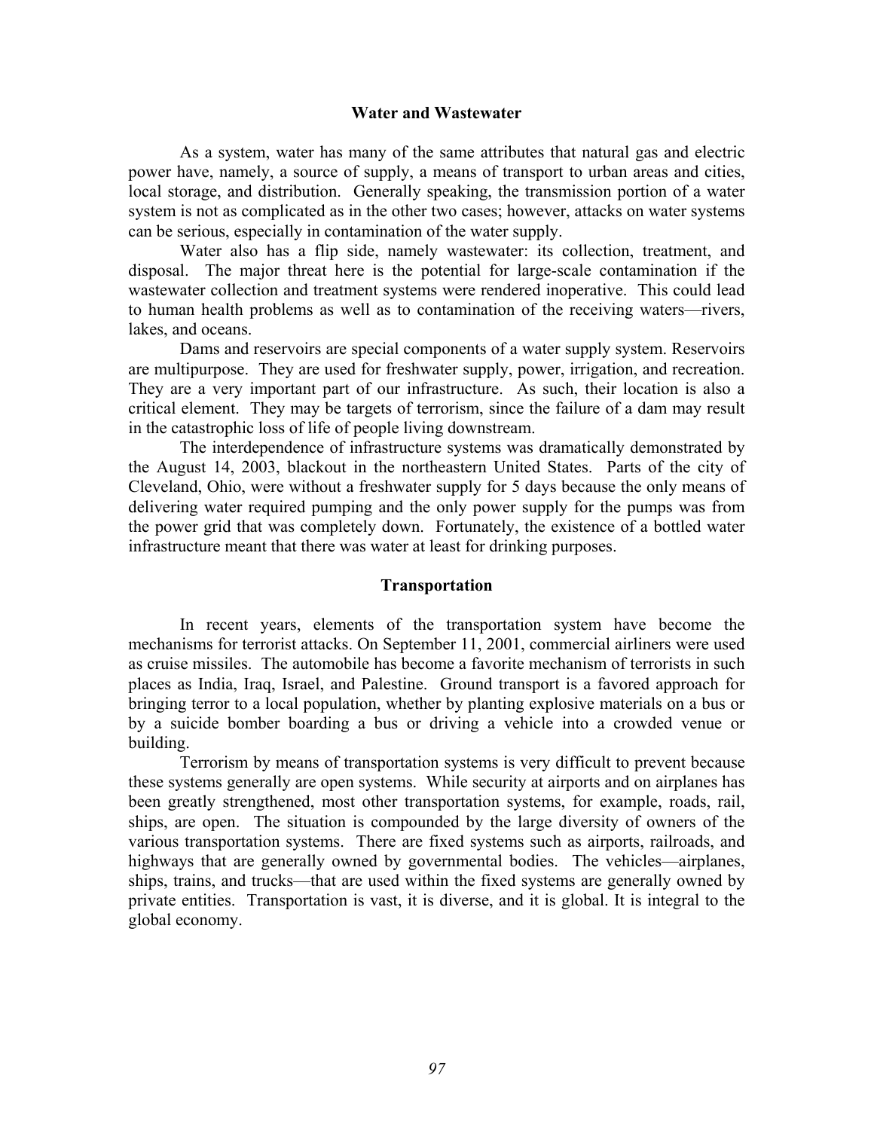#### **Water and Wastewater**

As a system, water has many of the same attributes that natural gas and electric power have, namely, a source of supply, a means of transport to urban areas and cities, local storage, and distribution. Generally speaking, the transmission portion of a water system is not as complicated as in the other two cases; however, attacks on water systems can be serious, especially in contamination of the water supply.

Water also has a flip side, namely wastewater: its collection, treatment, and disposal. The major threat here is the potential for large-scale contamination if the wastewater collection and treatment systems were rendered inoperative. This could lead to human health problems as well as to contamination of the receiving waters—rivers, lakes, and oceans.

Dams and reservoirs are special components of a water supply system. Reservoirs are multipurpose. They are used for freshwater supply, power, irrigation, and recreation. They are a very important part of our infrastructure. As such, their location is also a critical element. They may be targets of terrorism, since the failure of a dam may result in the catastrophic loss of life of people living downstream.

The interdependence of infrastructure systems was dramatically demonstrated by the August 14, 2003, blackout in the northeastern United States. Parts of the city of Cleveland, Ohio, were without a freshwater supply for 5 days because the only means of delivering water required pumping and the only power supply for the pumps was from the power grid that was completely down. Fortunately, the existence of a bottled water infrastructure meant that there was water at least for drinking purposes.

#### **Transportation**

In recent years, elements of the transportation system have become the mechanisms for terrorist attacks. On September 11, 2001, commercial airliners were used as cruise missiles. The automobile has become a favorite mechanism of terrorists in such places as India, Iraq, Israel, and Palestine. Ground transport is a favored approach for bringing terror to a local population, whether by planting explosive materials on a bus or by a suicide bomber boarding a bus or driving a vehicle into a crowded venue or building.

Terrorism by means of transportation systems is very difficult to prevent because these systems generally are open systems. While security at airports and on airplanes has been greatly strengthened, most other transportation systems, for example, roads, rail, ships, are open. The situation is compounded by the large diversity of owners of the various transportation systems. There are fixed systems such as airports, railroads, and highways that are generally owned by governmental bodies. The vehicles—airplanes, ships, trains, and trucks—that are used within the fixed systems are generally owned by private entities. Transportation is vast, it is diverse, and it is global. It is integral to the global economy.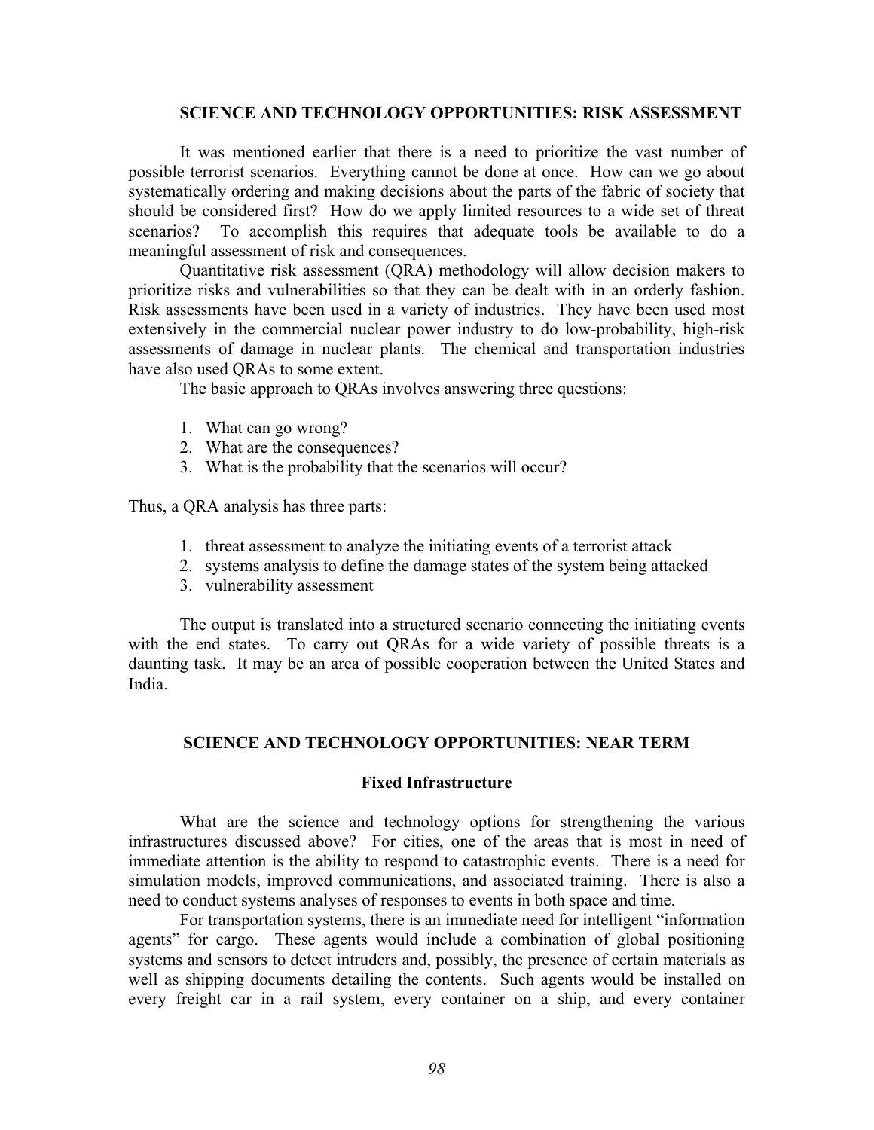#### **SCIENCE AND TECHNOLOGY OPPORTUNITIES: RISK ASSESSMENT**

It was mentioned earlier that there is a need to prioritize the vast number of possible terrorist scenarios. Everything cannot be done at once. How can we go about systematically ordering and making decisions about the parts of the fabric of society that should be considered first? How do we apply limited resources to a wide set of threat scenarios? To accomplish this requires that adequate tools be available to do a meaningful assessment of risk and consequences.

Quantitative risk assessment (QRA) methodology will allow decision makers to prioritize risks and vulnerabilities so that they can be dealt with in an orderly fashion. Risk assessments have been used in a variety of industries. They have been used most extensively in the commercial nuclear power industry to do low-probability, high-risk assessments of damage in nuclear plants. The chemical and transportation industries have also used QRAs to some extent.

The basic approach to QRAs involves answering three questions:

- 1. What can go wrong?
- 2. What are the consequences?
- 3. What is the probability that the scenarios will occur?

Thus, a QRA analysis has three parts:

- 1. threat assessment to analyze the initiating events of a terrorist attack
- 2. systems analysis to define the damage states of the system being attacked
- 3. vulnerability assessment

The output is translated into a structured scenario connecting the initiating events with the end states. To carry out QRAs for a wide variety of possible threats is a daunting task. It may be an area of possible cooperation between the United States and India.

#### **SCIENCE AND TECHNOLOGY OPPORTUNITIES: NEAR TERM**

#### **Fixed Infrastructure**

What are the science and technology options for strengthening the various infrastructures discussed above? For cities, one of the areas that is most in need of immediate attention is the ability to respond to catastrophic events. There is a need for simulation models, improved communications, and associated training. There is also a need to conduct systems analyses of responses to events in both space and time.

For transportation systems, there is an immediate need for intelligent "information agents" for cargo. These agents would include a combination of global positioning systems and sensors to detect intruders and, possibly, the presence of certain materials as well as shipping documents detailing the contents. Such agents would be installed on every freight car in a rail system, every container on a ship, and every container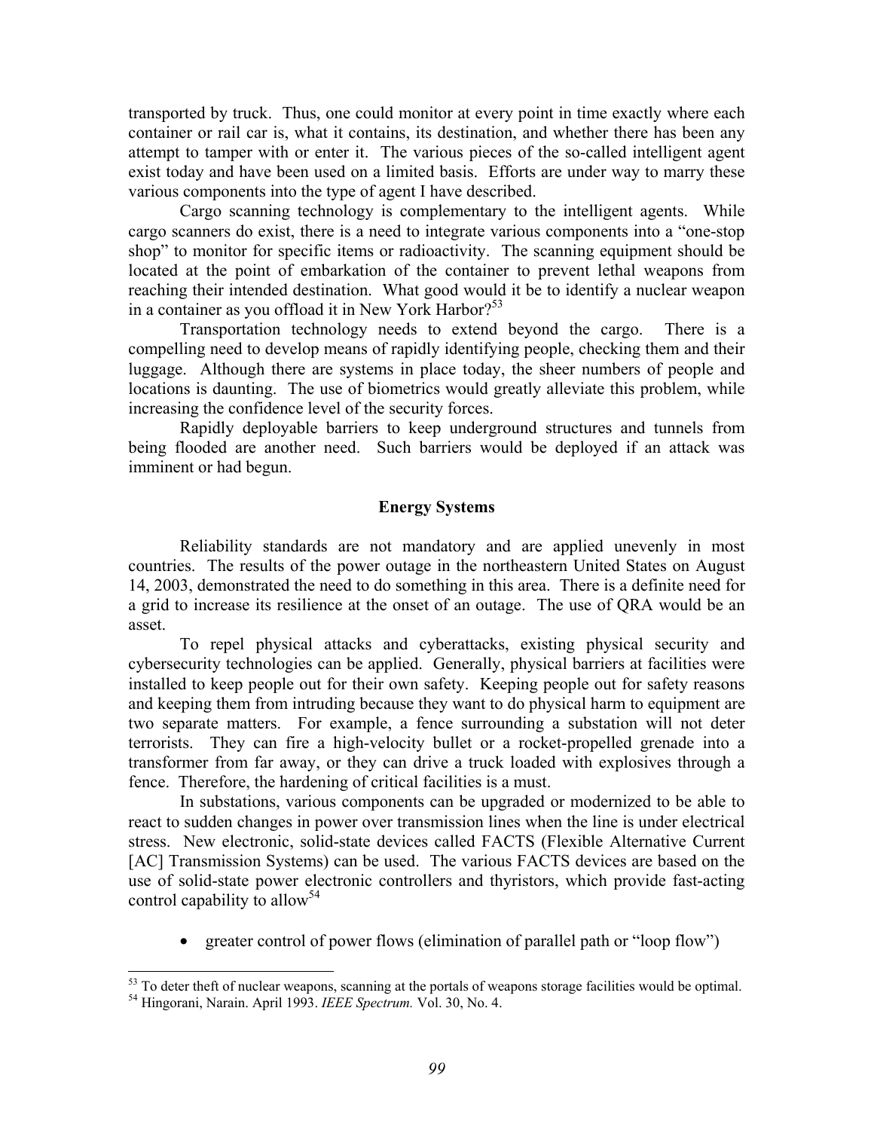transported by truck. Thus, one could monitor at every point in time exactly where each container or rail car is, what it contains, its destination, and whether there has been any attempt to tamper with or enter it. The various pieces of the so-called intelligent agent exist today and have been used on a limited basis. Efforts are under way to marry these various components into the type of agent I have described.

Cargo scanning technology is complementary to the intelligent agents. While cargo scanners do exist, there is a need to integrate various components into a "one-stop shop" to monitor for specific items or radioactivity. The scanning equipment should be located at the point of embarkation of the container to prevent lethal weapons from reaching their intended destination. What good would it be to identify a nuclear weapon in a container as you offload it in New York Harbor?<sup>53</sup>

Transportation technology needs to extend beyond the cargo. There is a compelling need to develop means of rapidly identifying people, checking them and their luggage. Although there are systems in place today, the sheer numbers of people and locations is daunting. The use of biometrics would greatly alleviate this problem, while increasing the confidence level of the security forces.

Rapidly deployable barriers to keep underground structures and tunnels from being flooded are another need. Such barriers would be deployed if an attack was imminent or had begun.

#### **Energy Systems**

Reliability standards are not mandatory and are applied unevenly in most countries. The results of the power outage in the northeastern United States on August 14, 2003, demonstrated the need to do something in this area. There is a definite need for a grid to increase its resilience at the onset of an outage. The use of QRA would be an asset.

To repel physical attacks and cyberattacks, existing physical security and cybersecurity technologies can be applied. Generally, physical barriers at facilities were installed to keep people out for their own safety. Keeping people out for safety reasons and keeping them from intruding because they want to do physical harm to equipment are two separate matters. For example, a fence surrounding a substation will not deter terrorists. They can fire a high-velocity bullet or a rocket-propelled grenade into a transformer from far away, or they can drive a truck loaded with explosives through a fence. Therefore, the hardening of critical facilities is a must.

In substations, various components can be upgraded or modernized to be able to react to sudden changes in power over transmission lines when the line is under electrical stress. New electronic, solid-state devices called FACTS (Flexible Alternative Current [AC] Transmission Systems) can be used. The various FACTS devices are based on the use of solid-state power electronic controllers and thyristors, which provide fast-acting control capability to allow<sup>54</sup>

• greater control of power flows (elimination of parallel path or "loop flow")

l

<sup>53</sup> To deter theft of nuclear weapons, scanning at the portals of weapons storage facilities would be optimal. 54 Hingorani, Narain. April 1993. *IEEE Spectrum.* Vol. 30, No. 4.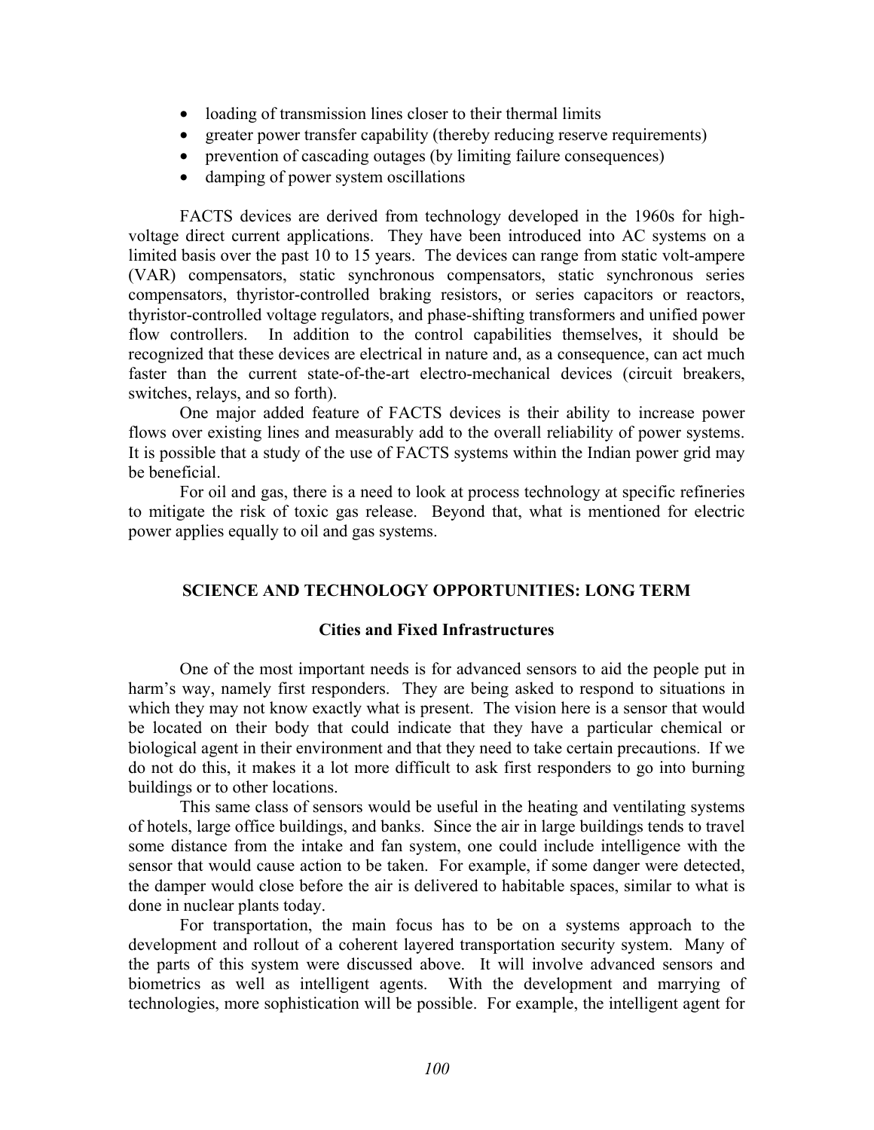- loading of transmission lines closer to their thermal limits
- greater power transfer capability (thereby reducing reserve requirements)
- prevention of cascading outages (by limiting failure consequences)
- damping of power system oscillations

FACTS devices are derived from technology developed in the 1960s for highvoltage direct current applications. They have been introduced into AC systems on a limited basis over the past 10 to 15 years. The devices can range from static volt-ampere (VAR) compensators, static synchronous compensators, static synchronous series compensators, thyristor-controlled braking resistors, or series capacitors or reactors, thyristor-controlled voltage regulators, and phase-shifting transformers and unified power flow controllers. In addition to the control capabilities themselves, it should be recognized that these devices are electrical in nature and, as a consequence, can act much faster than the current state-of-the-art electro-mechanical devices (circuit breakers, switches, relays, and so forth).

One major added feature of FACTS devices is their ability to increase power flows over existing lines and measurably add to the overall reliability of power systems. It is possible that a study of the use of FACTS systems within the Indian power grid may be beneficial.

For oil and gas, there is a need to look at process technology at specific refineries to mitigate the risk of toxic gas release. Beyond that, what is mentioned for electric power applies equally to oil and gas systems.

## **SCIENCE AND TECHNOLOGY OPPORTUNITIES: LONG TERM**

## **Cities and Fixed Infrastructures**

One of the most important needs is for advanced sensors to aid the people put in harm's way, namely first responders. They are being asked to respond to situations in which they may not know exactly what is present. The vision here is a sensor that would be located on their body that could indicate that they have a particular chemical or biological agent in their environment and that they need to take certain precautions. If we do not do this, it makes it a lot more difficult to ask first responders to go into burning buildings or to other locations.

This same class of sensors would be useful in the heating and ventilating systems of hotels, large office buildings, and banks. Since the air in large buildings tends to travel some distance from the intake and fan system, one could include intelligence with the sensor that would cause action to be taken. For example, if some danger were detected, the damper would close before the air is delivered to habitable spaces, similar to what is done in nuclear plants today.

For transportation, the main focus has to be on a systems approach to the development and rollout of a coherent layered transportation security system. Many of the parts of this system were discussed above. It will involve advanced sensors and biometrics as well as intelligent agents. With the development and marrying of technologies, more sophistication will be possible. For example, the intelligent agent for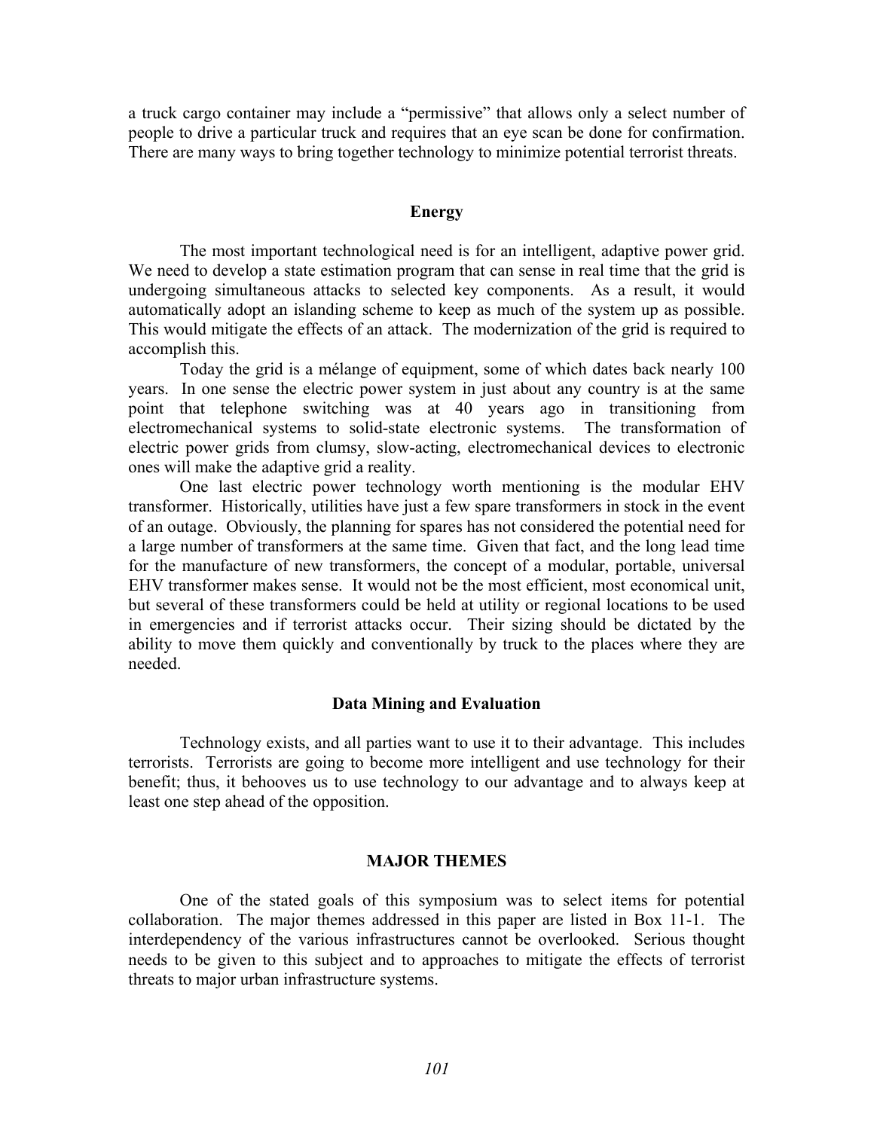a truck cargo container may include a "permissive" that allows only a select number of people to drive a particular truck and requires that an eye scan be done for confirmation. There are many ways to bring together technology to minimize potential terrorist threats.

#### **Energy**

The most important technological need is for an intelligent, adaptive power grid. We need to develop a state estimation program that can sense in real time that the grid is undergoing simultaneous attacks to selected key components. As a result, it would automatically adopt an islanding scheme to keep as much of the system up as possible. This would mitigate the effects of an attack. The modernization of the grid is required to accomplish this.

Today the grid is a mélange of equipment, some of which dates back nearly 100 years. In one sense the electric power system in just about any country is at the same point that telephone switching was at 40 years ago in transitioning from electromechanical systems to solid-state electronic systems. The transformation of electric power grids from clumsy, slow-acting, electromechanical devices to electronic ones will make the adaptive grid a reality.

One last electric power technology worth mentioning is the modular EHV transformer. Historically, utilities have just a few spare transformers in stock in the event of an outage. Obviously, the planning for spares has not considered the potential need for a large number of transformers at the same time. Given that fact, and the long lead time for the manufacture of new transformers, the concept of a modular, portable, universal EHV transformer makes sense. It would not be the most efficient, most economical unit, but several of these transformers could be held at utility or regional locations to be used in emergencies and if terrorist attacks occur. Their sizing should be dictated by the ability to move them quickly and conventionally by truck to the places where they are needed.

#### **Data Mining and Evaluation**

Technology exists, and all parties want to use it to their advantage. This includes terrorists. Terrorists are going to become more intelligent and use technology for their benefit; thus, it behooves us to use technology to our advantage and to always keep at least one step ahead of the opposition.

#### **MAJOR THEMES**

One of the stated goals of this symposium was to select items for potential collaboration. The major themes addressed in this paper are listed in Box 11-1. The interdependency of the various infrastructures cannot be overlooked. Serious thought needs to be given to this subject and to approaches to mitigate the effects of terrorist threats to major urban infrastructure systems.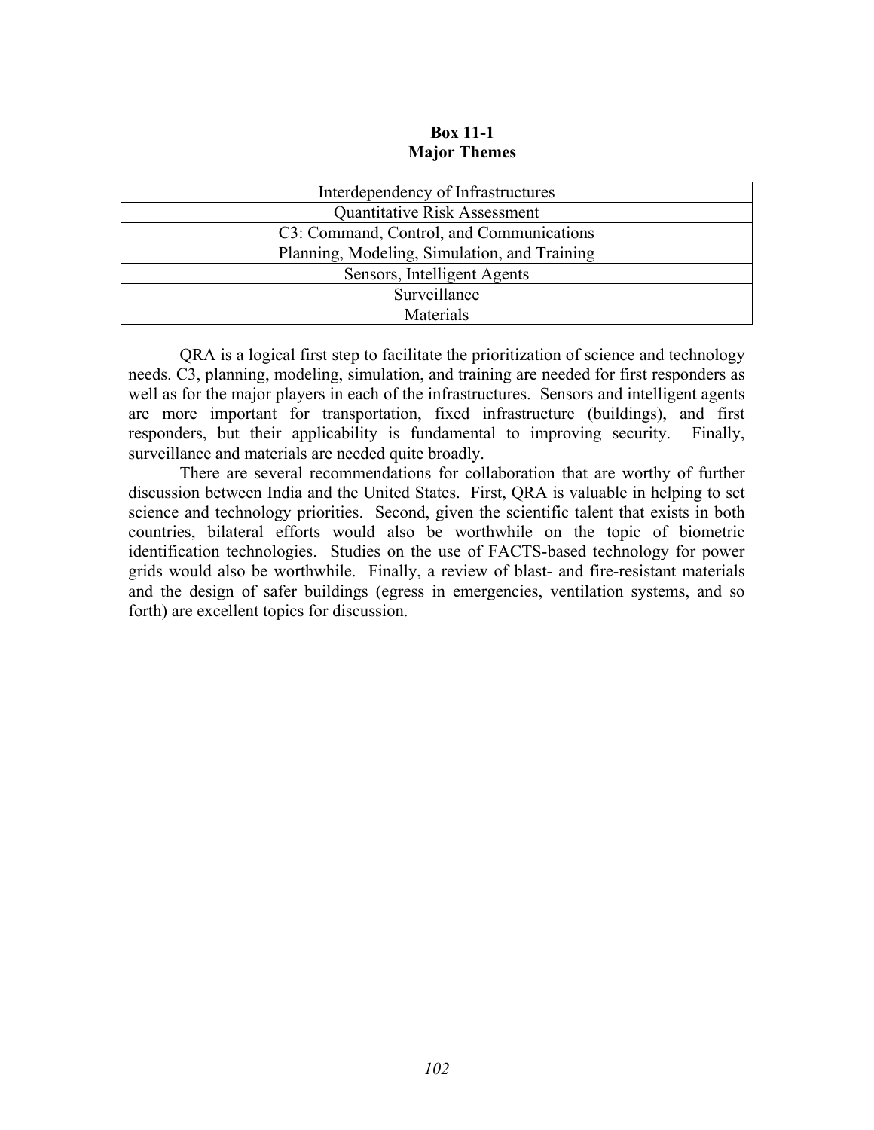## **Box 11-1 Major Themes**

| Interdependency of Infrastructures           |
|----------------------------------------------|
| <b>Quantitative Risk Assessment</b>          |
| C3: Command, Control, and Communications     |
| Planning, Modeling, Simulation, and Training |
| Sensors, Intelligent Agents                  |
| Surveillance                                 |
| Materials                                    |

QRA is a logical first step to facilitate the prioritization of science and technology needs. C3, planning, modeling, simulation, and training are needed for first responders as well as for the major players in each of the infrastructures. Sensors and intelligent agents are more important for transportation, fixed infrastructure (buildings), and first responders, but their applicability is fundamental to improving security. Finally, surveillance and materials are needed quite broadly.

There are several recommendations for collaboration that are worthy of further discussion between India and the United States. First, QRA is valuable in helping to set science and technology priorities. Second, given the scientific talent that exists in both countries, bilateral efforts would also be worthwhile on the topic of biometric identification technologies. Studies on the use of FACTS-based technology for power grids would also be worthwhile. Finally, a review of blast- and fire-resistant materials and the design of safer buildings (egress in emergencies, ventilation systems, and so forth) are excellent topics for discussion.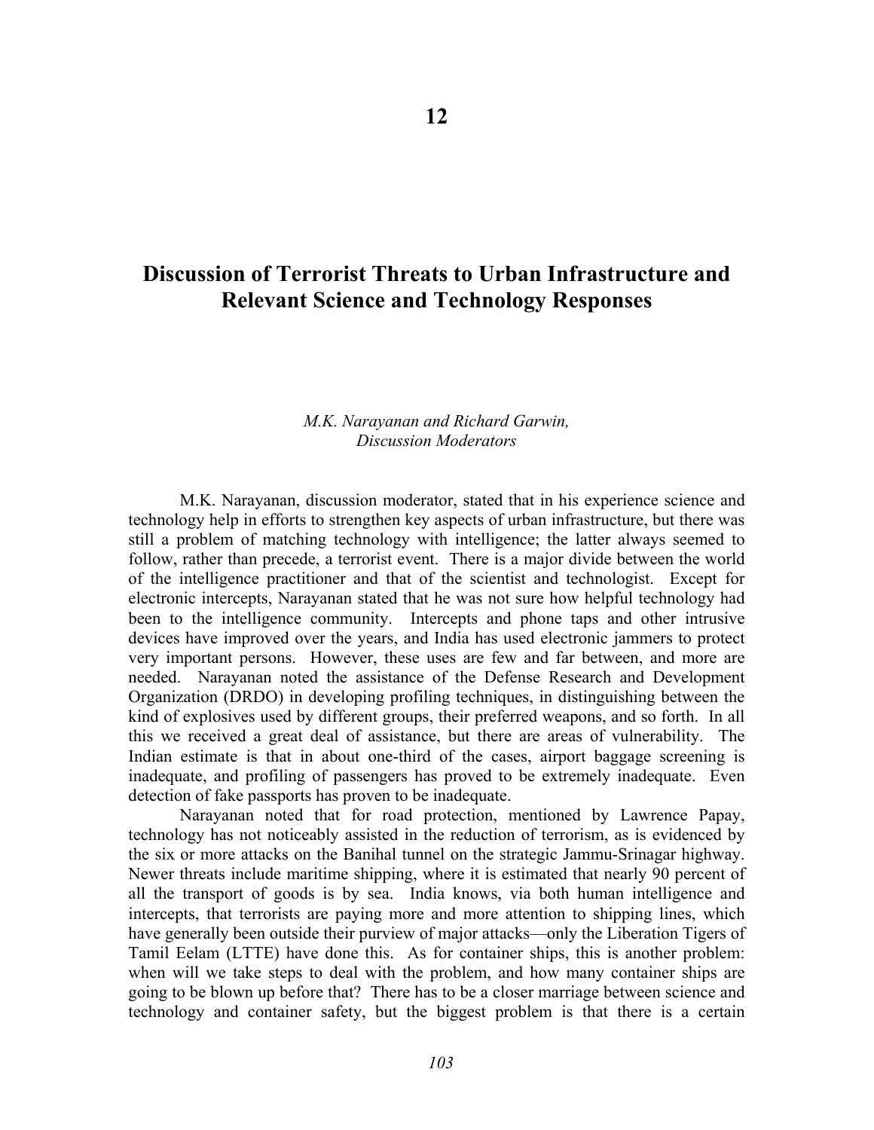## **Discussion of Terrorist Threats to Urban Infrastructure and Relevant Science and Technology Responses**

#### *M.K. Narayanan and Richard Garwin, Discussion Moderators*

M.K. Narayanan, discussion moderator, stated that in his experience science and technology help in efforts to strengthen key aspects of urban infrastructure, but there was still a problem of matching technology with intelligence; the latter always seemed to follow, rather than precede, a terrorist event. There is a major divide between the world of the intelligence practitioner and that of the scientist and technologist. Except for electronic intercepts, Narayanan stated that he was not sure how helpful technology had been to the intelligence community. Intercepts and phone taps and other intrusive devices have improved over the years, and India has used electronic jammers to protect very important persons. However, these uses are few and far between, and more are needed. Narayanan noted the assistance of the Defense Research and Development Organization (DRDO) in developing profiling techniques, in distinguishing between the kind of explosives used by different groups, their preferred weapons, and so forth. In all this we received a great deal of assistance, but there are areas of vulnerability. The Indian estimate is that in about one-third of the cases, airport baggage screening is inadequate, and profiling of passengers has proved to be extremely inadequate. Even detection of fake passports has proven to be inadequate.

Narayanan noted that for road protection, mentioned by Lawrence Papay, technology has not noticeably assisted in the reduction of terrorism, as is evidenced by the six or more attacks on the Banihal tunnel on the strategic Jammu-Srinagar highway. Newer threats include maritime shipping, where it is estimated that nearly 90 percent of all the transport of goods is by sea. India knows, via both human intelligence and intercepts, that terrorists are paying more and more attention to shipping lines, which have generally been outside their purview of major attacks—only the Liberation Tigers of Tamil Eelam (LTTE) have done this. As for container ships, this is another problem: when will we take steps to deal with the problem, and how many container ships are going to be blown up before that? There has to be a closer marriage between science and technology and container safety, but the biggest problem is that there is a certain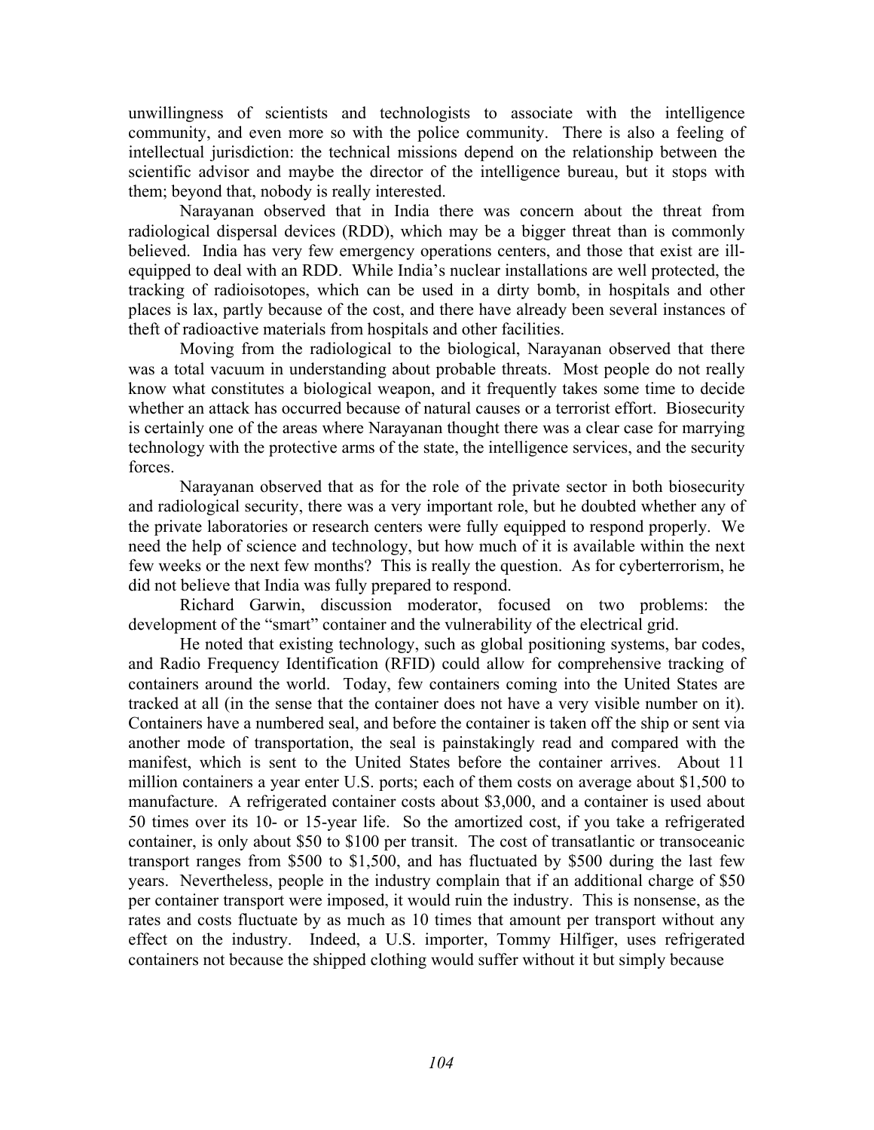unwillingness of scientists and technologists to associate with the intelligence community, and even more so with the police community. There is also a feeling of intellectual jurisdiction: the technical missions depend on the relationship between the scientific advisor and maybe the director of the intelligence bureau, but it stops with them; beyond that, nobody is really interested.

Narayanan observed that in India there was concern about the threat from radiological dispersal devices (RDD), which may be a bigger threat than is commonly believed. India has very few emergency operations centers, and those that exist are illequipped to deal with an RDD. While India's nuclear installations are well protected, the tracking of radioisotopes, which can be used in a dirty bomb, in hospitals and other places is lax, partly because of the cost, and there have already been several instances of theft of radioactive materials from hospitals and other facilities.

Moving from the radiological to the biological, Narayanan observed that there was a total vacuum in understanding about probable threats. Most people do not really know what constitutes a biological weapon, and it frequently takes some time to decide whether an attack has occurred because of natural causes or a terrorist effort. Biosecurity is certainly one of the areas where Narayanan thought there was a clear case for marrying technology with the protective arms of the state, the intelligence services, and the security forces.

Narayanan observed that as for the role of the private sector in both biosecurity and radiological security, there was a very important role, but he doubted whether any of the private laboratories or research centers were fully equipped to respond properly. We need the help of science and technology, but how much of it is available within the next few weeks or the next few months? This is really the question. As for cyberterrorism, he did not believe that India was fully prepared to respond.

Richard Garwin, discussion moderator, focused on two problems: the development of the "smart" container and the vulnerability of the electrical grid.

He noted that existing technology, such as global positioning systems, bar codes, and Radio Frequency Identification (RFID) could allow for comprehensive tracking of containers around the world. Today, few containers coming into the United States are tracked at all (in the sense that the container does not have a very visible number on it). Containers have a numbered seal, and before the container is taken off the ship or sent via another mode of transportation, the seal is painstakingly read and compared with the manifest, which is sent to the United States before the container arrives. About 11 million containers a year enter U.S. ports; each of them costs on average about \$1,500 to manufacture. A refrigerated container costs about \$3,000, and a container is used about 50 times over its 10- or 15-year life. So the amortized cost, if you take a refrigerated container, is only about \$50 to \$100 per transit. The cost of transatlantic or transoceanic transport ranges from \$500 to \$1,500, and has fluctuated by \$500 during the last few years. Nevertheless, people in the industry complain that if an additional charge of \$50 per container transport were imposed, it would ruin the industry. This is nonsense, as the rates and costs fluctuate by as much as 10 times that amount per transport without any effect on the industry. Indeed, a U.S. importer, Tommy Hilfiger, uses refrigerated containers not because the shipped clothing would suffer without it but simply because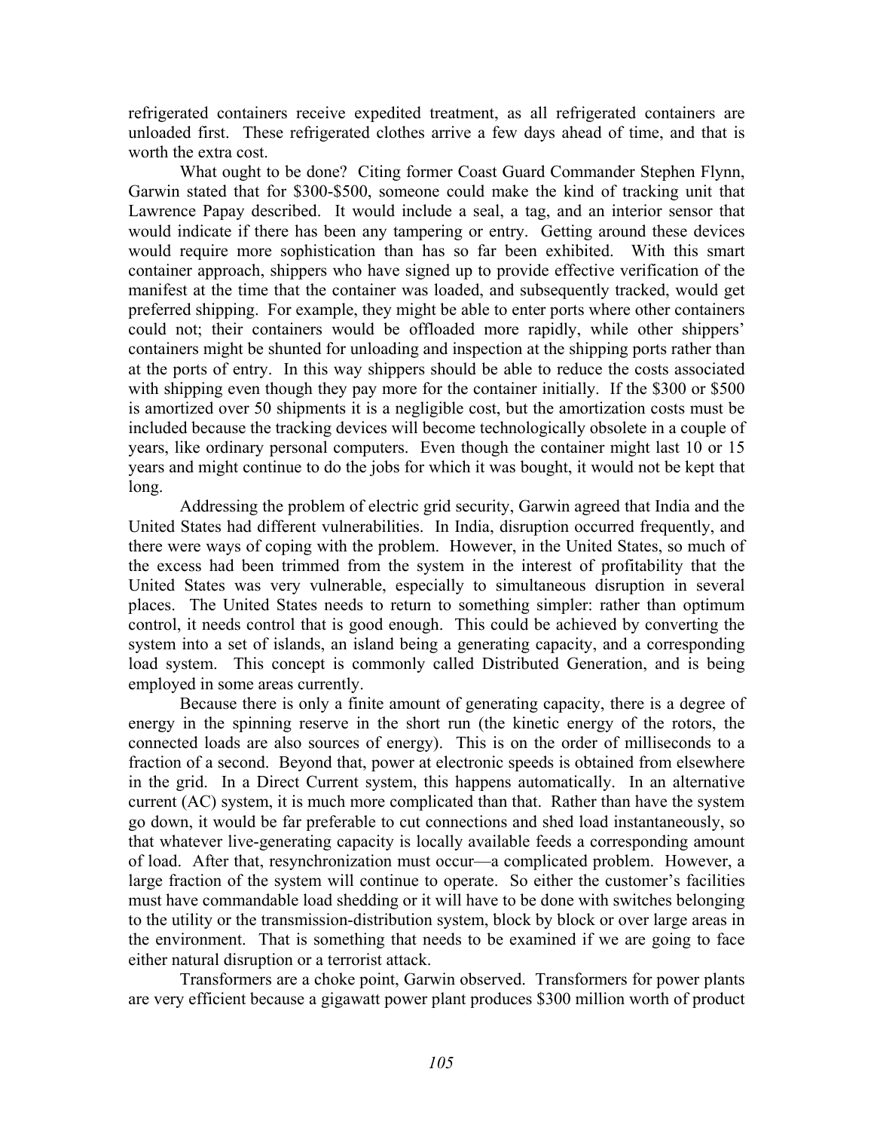refrigerated containers receive expedited treatment, as all refrigerated containers are unloaded first. These refrigerated clothes arrive a few days ahead of time, and that is worth the extra cost.

What ought to be done? Citing former Coast Guard Commander Stephen Flynn, Garwin stated that for \$300-\$500, someone could make the kind of tracking unit that Lawrence Papay described. It would include a seal, a tag, and an interior sensor that would indicate if there has been any tampering or entry. Getting around these devices would require more sophistication than has so far been exhibited. With this smart container approach, shippers who have signed up to provide effective verification of the manifest at the time that the container was loaded, and subsequently tracked, would get preferred shipping. For example, they might be able to enter ports where other containers could not; their containers would be offloaded more rapidly, while other shippers' containers might be shunted for unloading and inspection at the shipping ports rather than at the ports of entry. In this way shippers should be able to reduce the costs associated with shipping even though they pay more for the container initially. If the \$300 or \$500 is amortized over 50 shipments it is a negligible cost, but the amortization costs must be included because the tracking devices will become technologically obsolete in a couple of years, like ordinary personal computers. Even though the container might last 10 or 15 years and might continue to do the jobs for which it was bought, it would not be kept that long.

Addressing the problem of electric grid security, Garwin agreed that India and the United States had different vulnerabilities. In India, disruption occurred frequently, and there were ways of coping with the problem. However, in the United States, so much of the excess had been trimmed from the system in the interest of profitability that the United States was very vulnerable, especially to simultaneous disruption in several places. The United States needs to return to something simpler: rather than optimum control, it needs control that is good enough. This could be achieved by converting the system into a set of islands, an island being a generating capacity, and a corresponding load system. This concept is commonly called Distributed Generation, and is being employed in some areas currently.

Because there is only a finite amount of generating capacity, there is a degree of energy in the spinning reserve in the short run (the kinetic energy of the rotors, the connected loads are also sources of energy). This is on the order of milliseconds to a fraction of a second. Beyond that, power at electronic speeds is obtained from elsewhere in the grid. In a Direct Current system, this happens automatically. In an alternative current (AC) system, it is much more complicated than that. Rather than have the system go down, it would be far preferable to cut connections and shed load instantaneously, so that whatever live-generating capacity is locally available feeds a corresponding amount of load. After that, resynchronization must occur—a complicated problem. However, a large fraction of the system will continue to operate. So either the customer's facilities must have commandable load shedding or it will have to be done with switches belonging to the utility or the transmission-distribution system, block by block or over large areas in the environment. That is something that needs to be examined if we are going to face either natural disruption or a terrorist attack.

Transformers are a choke point, Garwin observed. Transformers for power plants are very efficient because a gigawatt power plant produces \$300 million worth of product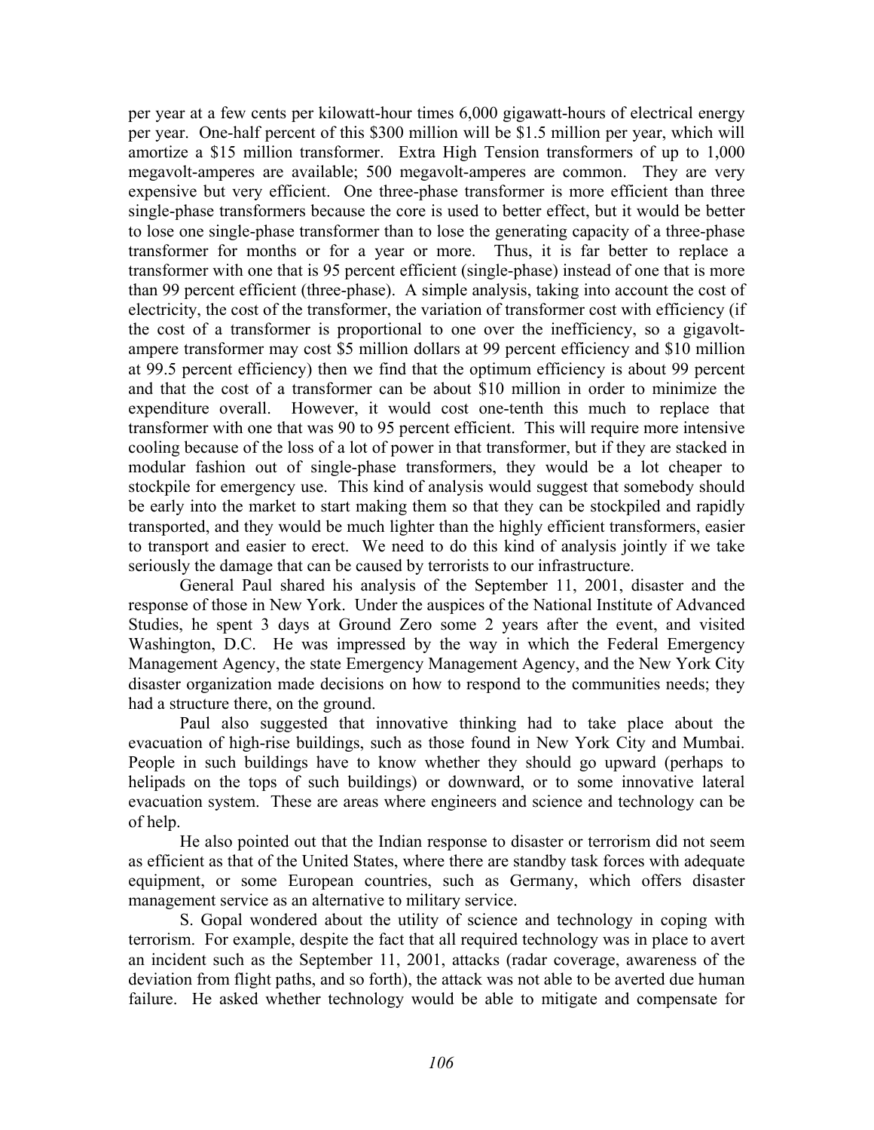per year at a few cents per kilowatt-hour times 6,000 gigawatt-hours of electrical energy per year. One-half percent of this \$300 million will be \$1.5 million per year, which will amortize a \$15 million transformer. Extra High Tension transformers of up to 1,000 megavolt-amperes are available; 500 megavolt-amperes are common. They are very expensive but very efficient. One three-phase transformer is more efficient than three single-phase transformers because the core is used to better effect, but it would be better to lose one single-phase transformer than to lose the generating capacity of a three-phase transformer for months or for a year or more. Thus, it is far better to replace a transformer with one that is 95 percent efficient (single-phase) instead of one that is more than 99 percent efficient (three-phase). A simple analysis, taking into account the cost of electricity, the cost of the transformer, the variation of transformer cost with efficiency (if the cost of a transformer is proportional to one over the inefficiency, so a gigavoltampere transformer may cost \$5 million dollars at 99 percent efficiency and \$10 million at 99.5 percent efficiency) then we find that the optimum efficiency is about 99 percent and that the cost of a transformer can be about \$10 million in order to minimize the expenditure overall. However, it would cost one-tenth this much to replace that transformer with one that was 90 to 95 percent efficient. This will require more intensive cooling because of the loss of a lot of power in that transformer, but if they are stacked in modular fashion out of single-phase transformers, they would be a lot cheaper to stockpile for emergency use. This kind of analysis would suggest that somebody should be early into the market to start making them so that they can be stockpiled and rapidly transported, and they would be much lighter than the highly efficient transformers, easier to transport and easier to erect. We need to do this kind of analysis jointly if we take seriously the damage that can be caused by terrorists to our infrastructure.

General Paul shared his analysis of the September 11, 2001, disaster and the response of those in New York. Under the auspices of the National Institute of Advanced Studies, he spent 3 days at Ground Zero some 2 years after the event, and visited Washington, D.C. He was impressed by the way in which the Federal Emergency Management Agency, the state Emergency Management Agency, and the New York City disaster organization made decisions on how to respond to the communities needs; they had a structure there, on the ground.

Paul also suggested that innovative thinking had to take place about the evacuation of high-rise buildings, such as those found in New York City and Mumbai. People in such buildings have to know whether they should go upward (perhaps to helipads on the tops of such buildings) or downward, or to some innovative lateral evacuation system. These are areas where engineers and science and technology can be of help.

He also pointed out that the Indian response to disaster or terrorism did not seem as efficient as that of the United States, where there are standby task forces with adequate equipment, or some European countries, such as Germany, which offers disaster management service as an alternative to military service.

S. Gopal wondered about the utility of science and technology in coping with terrorism. For example, despite the fact that all required technology was in place to avert an incident such as the September 11, 2001, attacks (radar coverage, awareness of the deviation from flight paths, and so forth), the attack was not able to be averted due human failure. He asked whether technology would be able to mitigate and compensate for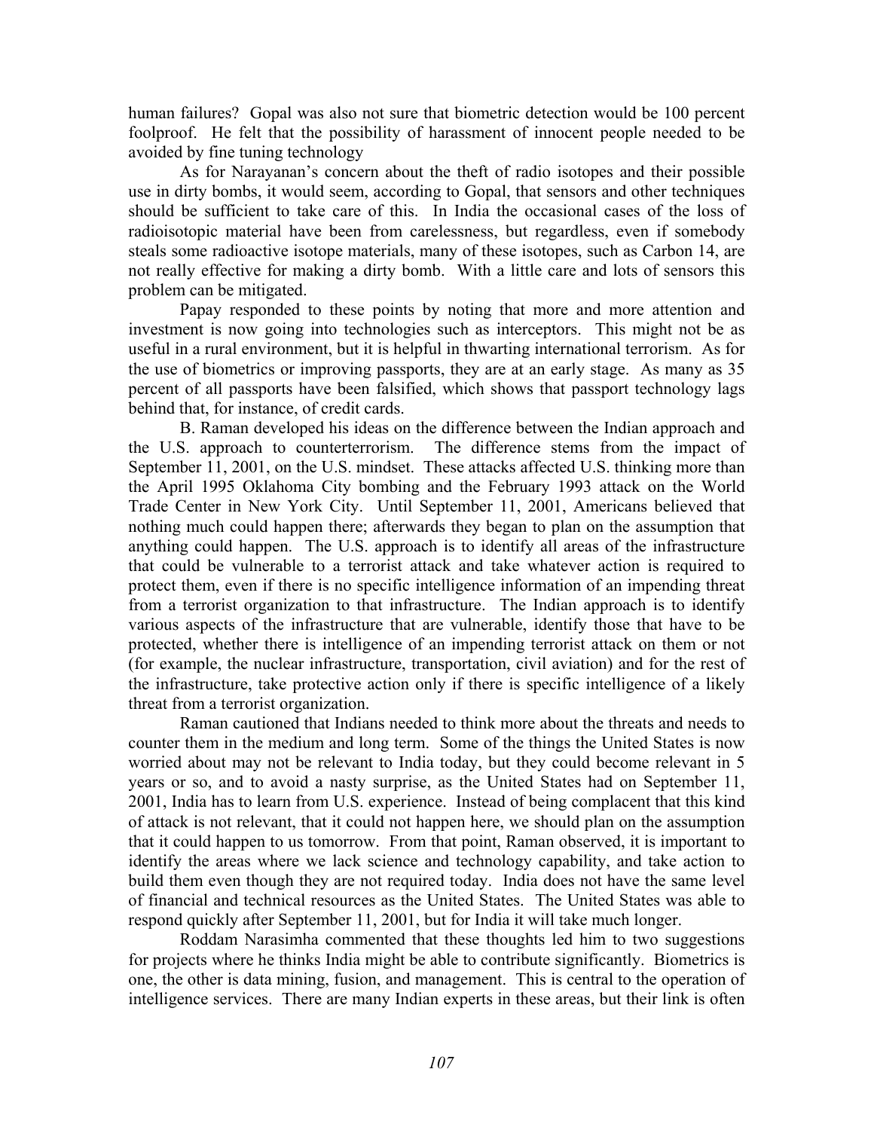human failures? Gopal was also not sure that biometric detection would be 100 percent foolproof. He felt that the possibility of harassment of innocent people needed to be avoided by fine tuning technology

As for Narayanan's concern about the theft of radio isotopes and their possible use in dirty bombs, it would seem, according to Gopal, that sensors and other techniques should be sufficient to take care of this. In India the occasional cases of the loss of radioisotopic material have been from carelessness, but regardless, even if somebody steals some radioactive isotope materials, many of these isotopes, such as Carbon 14, are not really effective for making a dirty bomb. With a little care and lots of sensors this problem can be mitigated.

Papay responded to these points by noting that more and more attention and investment is now going into technologies such as interceptors. This might not be as useful in a rural environment, but it is helpful in thwarting international terrorism. As for the use of biometrics or improving passports, they are at an early stage. As many as 35 percent of all passports have been falsified, which shows that passport technology lags behind that, for instance, of credit cards.

B. Raman developed his ideas on the difference between the Indian approach and the U.S. approach to counterterrorism. The difference stems from the impact of September 11, 2001, on the U.S. mindset. These attacks affected U.S. thinking more than the April 1995 Oklahoma City bombing and the February 1993 attack on the World Trade Center in New York City. Until September 11, 2001, Americans believed that nothing much could happen there; afterwards they began to plan on the assumption that anything could happen. The U.S. approach is to identify all areas of the infrastructure that could be vulnerable to a terrorist attack and take whatever action is required to protect them, even if there is no specific intelligence information of an impending threat from a terrorist organization to that infrastructure. The Indian approach is to identify various aspects of the infrastructure that are vulnerable, identify those that have to be protected, whether there is intelligence of an impending terrorist attack on them or not (for example, the nuclear infrastructure, transportation, civil aviation) and for the rest of the infrastructure, take protective action only if there is specific intelligence of a likely threat from a terrorist organization.

Raman cautioned that Indians needed to think more about the threats and needs to counter them in the medium and long term. Some of the things the United States is now worried about may not be relevant to India today, but they could become relevant in 5 years or so, and to avoid a nasty surprise, as the United States had on September 11, 2001, India has to learn from U.S. experience. Instead of being complacent that this kind of attack is not relevant, that it could not happen here, we should plan on the assumption that it could happen to us tomorrow. From that point, Raman observed, it is important to identify the areas where we lack science and technology capability, and take action to build them even though they are not required today. India does not have the same level of financial and technical resources as the United States. The United States was able to respond quickly after September 11, 2001, but for India it will take much longer.

Roddam Narasimha commented that these thoughts led him to two suggestions for projects where he thinks India might be able to contribute significantly. Biometrics is one, the other is data mining, fusion, and management. This is central to the operation of intelligence services. There are many Indian experts in these areas, but their link is often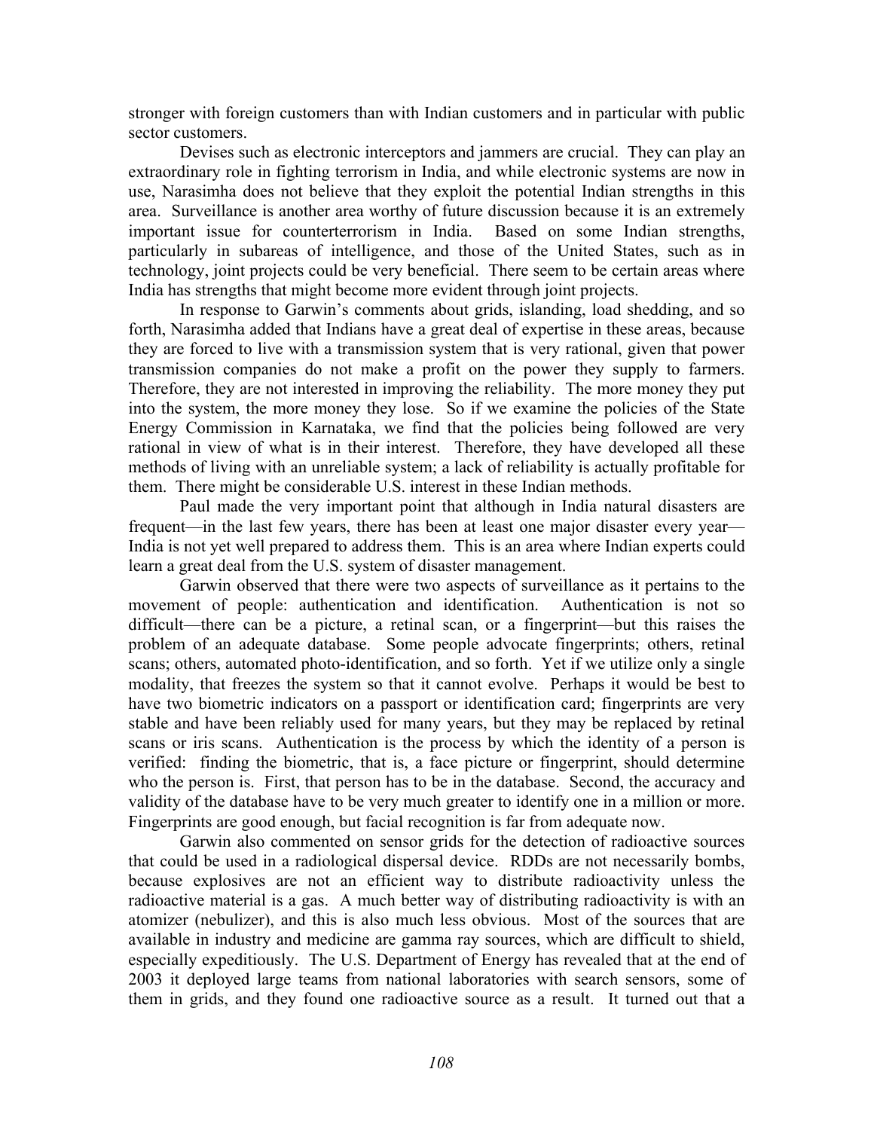stronger with foreign customers than with Indian customers and in particular with public sector customers.

Devises such as electronic interceptors and jammers are crucial. They can play an extraordinary role in fighting terrorism in India, and while electronic systems are now in use, Narasimha does not believe that they exploit the potential Indian strengths in this area. Surveillance is another area worthy of future discussion because it is an extremely important issue for counterterrorism in India. Based on some Indian strengths, particularly in subareas of intelligence, and those of the United States, such as in technology, joint projects could be very beneficial. There seem to be certain areas where India has strengths that might become more evident through joint projects.

In response to Garwin's comments about grids, islanding, load shedding, and so forth, Narasimha added that Indians have a great deal of expertise in these areas, because they are forced to live with a transmission system that is very rational, given that power transmission companies do not make a profit on the power they supply to farmers. Therefore, they are not interested in improving the reliability. The more money they put into the system, the more money they lose. So if we examine the policies of the State Energy Commission in Karnataka, we find that the policies being followed are very rational in view of what is in their interest. Therefore, they have developed all these methods of living with an unreliable system; a lack of reliability is actually profitable for them. There might be considerable U.S. interest in these Indian methods.

Paul made the very important point that although in India natural disasters are frequent—in the last few years, there has been at least one major disaster every year— India is not yet well prepared to address them. This is an area where Indian experts could learn a great deal from the U.S. system of disaster management.

Garwin observed that there were two aspects of surveillance as it pertains to the movement of people: authentication and identification. Authentication is not so difficult—there can be a picture, a retinal scan, or a fingerprint—but this raises the problem of an adequate database. Some people advocate fingerprints; others, retinal scans; others, automated photo-identification, and so forth. Yet if we utilize only a single modality, that freezes the system so that it cannot evolve. Perhaps it would be best to have two biometric indicators on a passport or identification card; fingerprints are very stable and have been reliably used for many years, but they may be replaced by retinal scans or iris scans. Authentication is the process by which the identity of a person is verified: finding the biometric, that is, a face picture or fingerprint, should determine who the person is. First, that person has to be in the database. Second, the accuracy and validity of the database have to be very much greater to identify one in a million or more. Fingerprints are good enough, but facial recognition is far from adequate now.

Garwin also commented on sensor grids for the detection of radioactive sources that could be used in a radiological dispersal device. RDDs are not necessarily bombs, because explosives are not an efficient way to distribute radioactivity unless the radioactive material is a gas. A much better way of distributing radioactivity is with an atomizer (nebulizer), and this is also much less obvious. Most of the sources that are available in industry and medicine are gamma ray sources, which are difficult to shield, especially expeditiously. The U.S. Department of Energy has revealed that at the end of 2003 it deployed large teams from national laboratories with search sensors, some of them in grids, and they found one radioactive source as a result. It turned out that a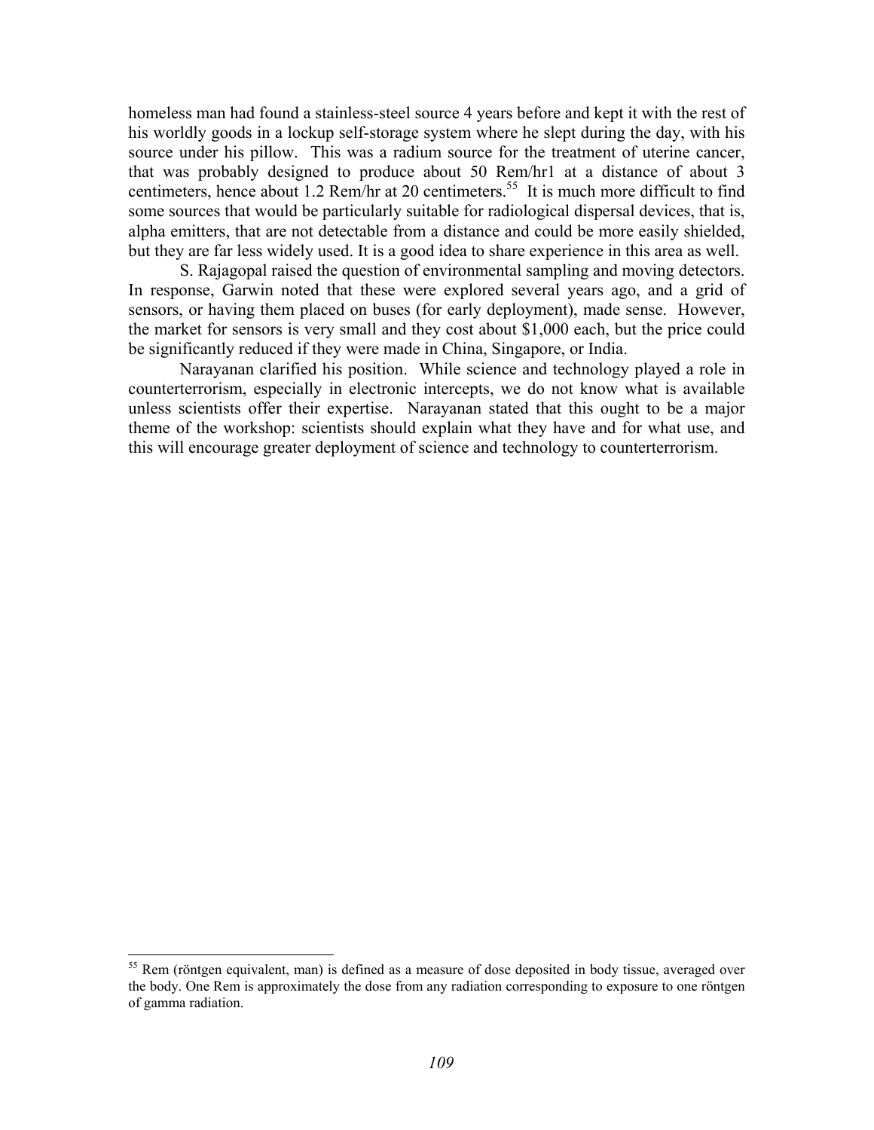homeless man had found a stainless-steel source 4 years before and kept it with the rest of his worldly goods in a lockup self-storage system where he slept during the day, with his source under his pillow. This was a radium source for the treatment of uterine cancer, that was probably designed to produce about 50 Rem/hr1 at a distance of about 3 centimeters, hence about 1.2 Rem/hr at 20 centimeters.<sup>55</sup> It is much more difficult to find some sources that would be particularly suitable for radiological dispersal devices, that is, alpha emitters, that are not detectable from a distance and could be more easily shielded, but they are far less widely used. It is a good idea to share experience in this area as well.

S. Rajagopal raised the question of environmental sampling and moving detectors. In response, Garwin noted that these were explored several years ago, and a grid of sensors, or having them placed on buses (for early deployment), made sense. However, the market for sensors is very small and they cost about \$1,000 each, but the price could be significantly reduced if they were made in China, Singapore, or India.

Narayanan clarified his position. While science and technology played a role in counterterrorism, especially in electronic intercepts, we do not know what is available unless scientists offer their expertise. Narayanan stated that this ought to be a major theme of the workshop: scientists should explain what they have and for what use, and this will encourage greater deployment of science and technology to counterterrorism.

 $55$  Rem (röntgen equivalent, man) is defined as a measure of dose deposited in body tissue, averaged over the body. One Rem is approximately the dose from any radiation corresponding to exposure to one röntgen of gamma radiation.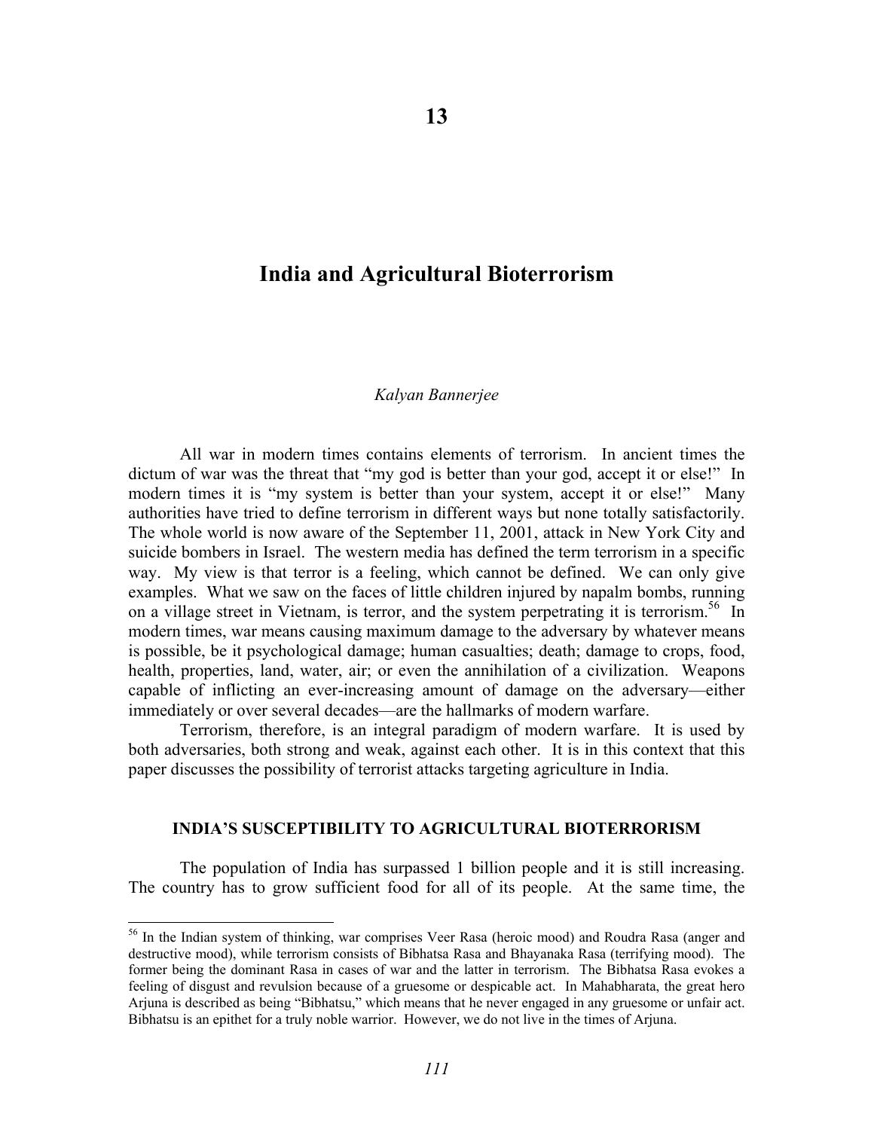## **India and Agricultural Bioterrorism**

#### *Kalyan Bannerjee*

All war in modern times contains elements of terrorism. In ancient times the dictum of war was the threat that "my god is better than your god, accept it or else!" In modern times it is "my system is better than your system, accept it or else!" Many authorities have tried to define terrorism in different ways but none totally satisfactorily. The whole world is now aware of the September 11, 2001, attack in New York City and suicide bombers in Israel. The western media has defined the term terrorism in a specific way. My view is that terror is a feeling, which cannot be defined. We can only give examples. What we saw on the faces of little children injured by napalm bombs, running on a village street in Vietnam, is terror, and the system perpetrating it is terrorism.<sup>56</sup> In modern times, war means causing maximum damage to the adversary by whatever means is possible, be it psychological damage; human casualties; death; damage to crops, food, health, properties, land, water, air; or even the annihilation of a civilization. Weapons capable of inflicting an ever-increasing amount of damage on the adversary—either immediately or over several decades—are the hallmarks of modern warfare.

Terrorism, therefore, is an integral paradigm of modern warfare. It is used by both adversaries, both strong and weak, against each other. It is in this context that this paper discusses the possibility of terrorist attacks targeting agriculture in India.

## **INDIA'S SUSCEPTIBILITY TO AGRICULTURAL BIOTERRORISM**

The population of India has surpassed 1 billion people and it is still increasing. The country has to grow sufficient food for all of its people. At the same time, the

l

<sup>&</sup>lt;sup>56</sup> In the Indian system of thinking, war comprises Veer Rasa (heroic mood) and Roudra Rasa (anger and destructive mood), while terrorism consists of Bibhatsa Rasa and Bhayanaka Rasa (terrifying mood). The former being the dominant Rasa in cases of war and the latter in terrorism. The Bibhatsa Rasa evokes a feeling of disgust and revulsion because of a gruesome or despicable act. In Mahabharata, the great hero Arjuna is described as being "Bibhatsu," which means that he never engaged in any gruesome or unfair act. Bibhatsu is an epithet for a truly noble warrior. However, we do not live in the times of Arjuna.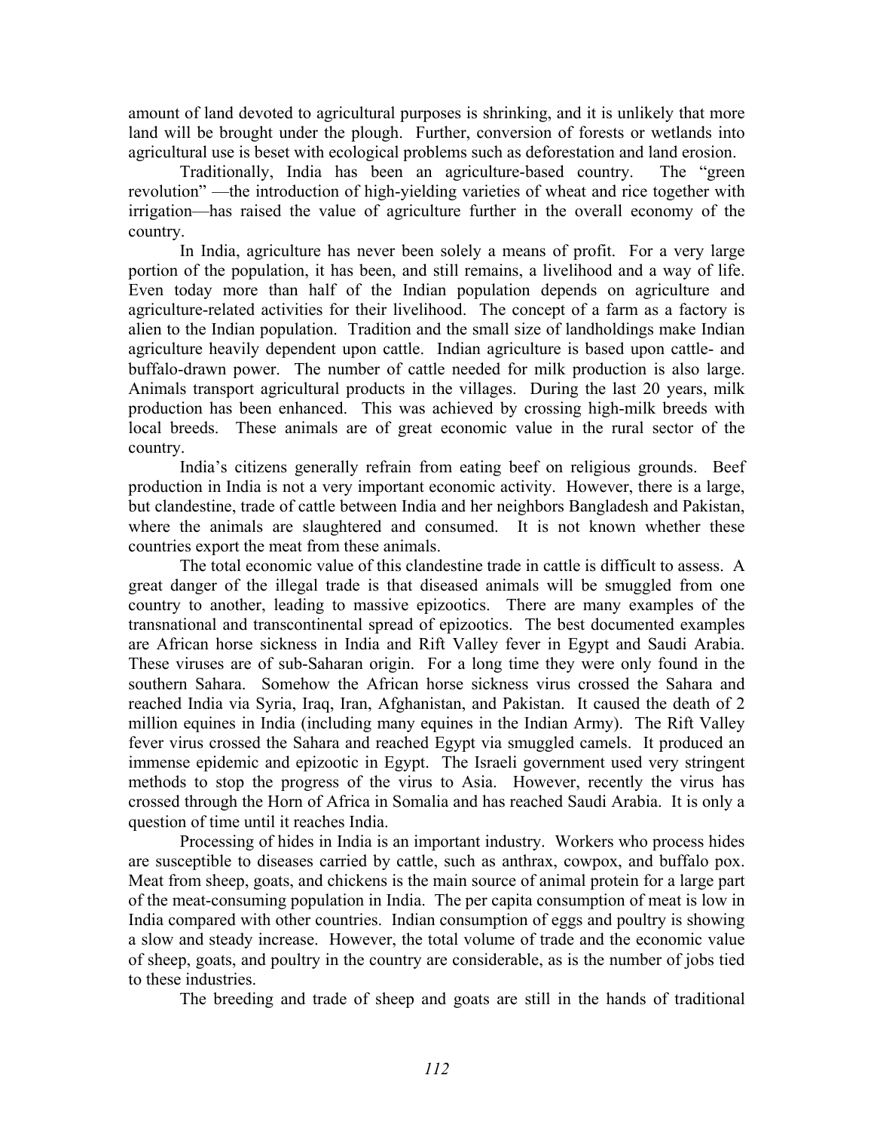amount of land devoted to agricultural purposes is shrinking, and it is unlikely that more land will be brought under the plough. Further, conversion of forests or wetlands into agricultural use is beset with ecological problems such as deforestation and land erosion.

Traditionally, India has been an agriculture-based country. The "green revolution" —the introduction of high-yielding varieties of wheat and rice together with irrigation—has raised the value of agriculture further in the overall economy of the country.

In India, agriculture has never been solely a means of profit. For a very large portion of the population, it has been, and still remains, a livelihood and a way of life. Even today more than half of the Indian population depends on agriculture and agriculture-related activities for their livelihood. The concept of a farm as a factory is alien to the Indian population. Tradition and the small size of landholdings make Indian agriculture heavily dependent upon cattle. Indian agriculture is based upon cattle- and buffalo-drawn power. The number of cattle needed for milk production is also large. Animals transport agricultural products in the villages. During the last 20 years, milk production has been enhanced. This was achieved by crossing high-milk breeds with local breeds. These animals are of great economic value in the rural sector of the country.

India's citizens generally refrain from eating beef on religious grounds. Beef production in India is not a very important economic activity. However, there is a large, but clandestine, trade of cattle between India and her neighbors Bangladesh and Pakistan, where the animals are slaughtered and consumed. It is not known whether these countries export the meat from these animals.

The total economic value of this clandestine trade in cattle is difficult to assess. A great danger of the illegal trade is that diseased animals will be smuggled from one country to another, leading to massive epizootics. There are many examples of the transnational and transcontinental spread of epizootics. The best documented examples are African horse sickness in India and Rift Valley fever in Egypt and Saudi Arabia. These viruses are of sub-Saharan origin. For a long time they were only found in the southern Sahara. Somehow the African horse sickness virus crossed the Sahara and reached India via Syria, Iraq, Iran, Afghanistan, and Pakistan. It caused the death of 2 million equines in India (including many equines in the Indian Army). The Rift Valley fever virus crossed the Sahara and reached Egypt via smuggled camels. It produced an immense epidemic and epizootic in Egypt. The Israeli government used very stringent methods to stop the progress of the virus to Asia. However, recently the virus has crossed through the Horn of Africa in Somalia and has reached Saudi Arabia. It is only a question of time until it reaches India.

Processing of hides in India is an important industry. Workers who process hides are susceptible to diseases carried by cattle, such as anthrax, cowpox, and buffalo pox. Meat from sheep, goats, and chickens is the main source of animal protein for a large part of the meat-consuming population in India. The per capita consumption of meat is low in India compared with other countries. Indian consumption of eggs and poultry is showing a slow and steady increase. However, the total volume of trade and the economic value of sheep, goats, and poultry in the country are considerable, as is the number of jobs tied to these industries.

The breeding and trade of sheep and goats are still in the hands of traditional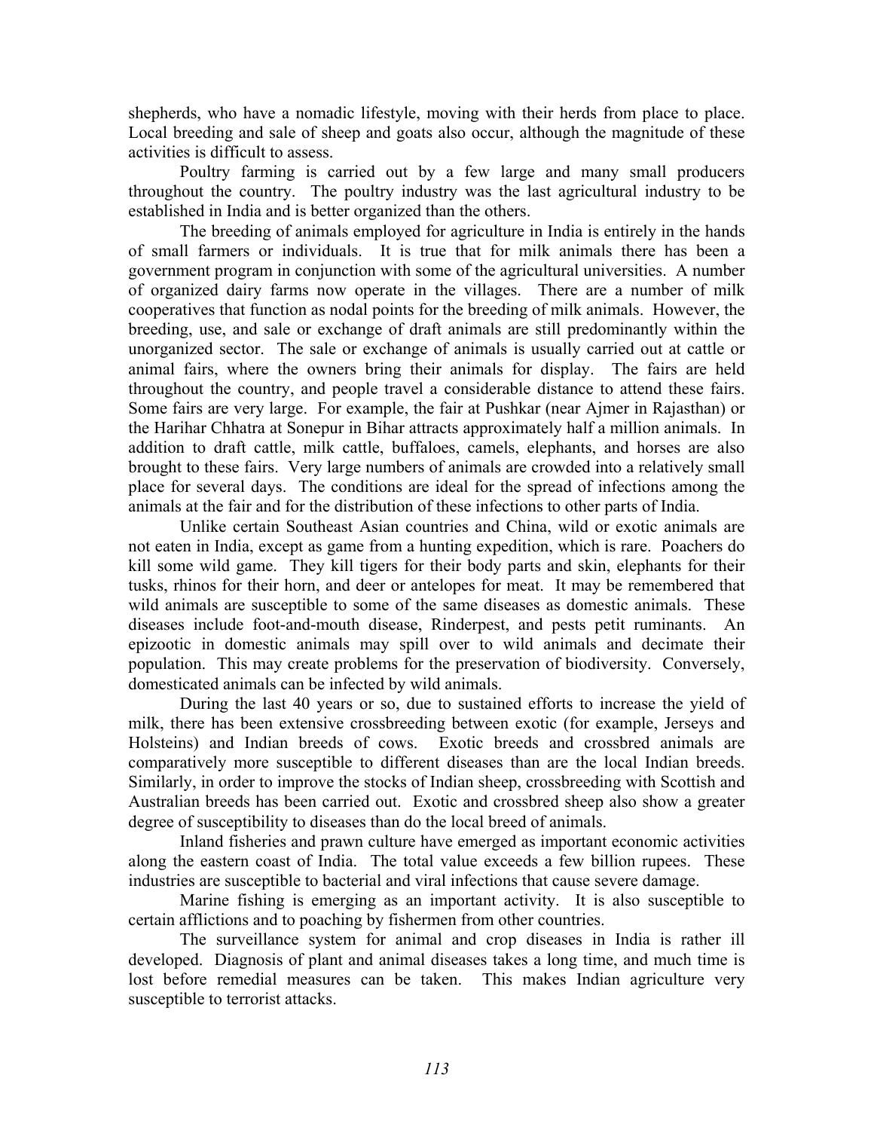shepherds, who have a nomadic lifestyle, moving with their herds from place to place. Local breeding and sale of sheep and goats also occur, although the magnitude of these activities is difficult to assess.

Poultry farming is carried out by a few large and many small producers throughout the country. The poultry industry was the last agricultural industry to be established in India and is better organized than the others.

The breeding of animals employed for agriculture in India is entirely in the hands of small farmers or individuals. It is true that for milk animals there has been a government program in conjunction with some of the agricultural universities. A number of organized dairy farms now operate in the villages. There are a number of milk cooperatives that function as nodal points for the breeding of milk animals. However, the breeding, use, and sale or exchange of draft animals are still predominantly within the unorganized sector. The sale or exchange of animals is usually carried out at cattle or animal fairs, where the owners bring their animals for display. The fairs are held throughout the country, and people travel a considerable distance to attend these fairs. Some fairs are very large. For example, the fair at Pushkar (near Ajmer in Rajasthan) or the Harihar Chhatra at Sonepur in Bihar attracts approximately half a million animals. In addition to draft cattle, milk cattle, buffaloes, camels, elephants, and horses are also brought to these fairs. Very large numbers of animals are crowded into a relatively small place for several days. The conditions are ideal for the spread of infections among the animals at the fair and for the distribution of these infections to other parts of India.

Unlike certain Southeast Asian countries and China, wild or exotic animals are not eaten in India, except as game from a hunting expedition, which is rare. Poachers do kill some wild game. They kill tigers for their body parts and skin, elephants for their tusks, rhinos for their horn, and deer or antelopes for meat. It may be remembered that wild animals are susceptible to some of the same diseases as domestic animals. These diseases include foot-and-mouth disease, Rinderpest, and pests petit ruminants. An epizootic in domestic animals may spill over to wild animals and decimate their population. This may create problems for the preservation of biodiversity. Conversely, domesticated animals can be infected by wild animals.

During the last 40 years or so, due to sustained efforts to increase the yield of milk, there has been extensive crossbreeding between exotic (for example, Jerseys and Holsteins) and Indian breeds of cows. Exotic breeds and crossbred animals are comparatively more susceptible to different diseases than are the local Indian breeds. Similarly, in order to improve the stocks of Indian sheep, crossbreeding with Scottish and Australian breeds has been carried out. Exotic and crossbred sheep also show a greater degree of susceptibility to diseases than do the local breed of animals.

Inland fisheries and prawn culture have emerged as important economic activities along the eastern coast of India. The total value exceeds a few billion rupees. These industries are susceptible to bacterial and viral infections that cause severe damage.

Marine fishing is emerging as an important activity. It is also susceptible to certain afflictions and to poaching by fishermen from other countries.

The surveillance system for animal and crop diseases in India is rather ill developed. Diagnosis of plant and animal diseases takes a long time, and much time is lost before remedial measures can be taken. This makes Indian agriculture very susceptible to terrorist attacks.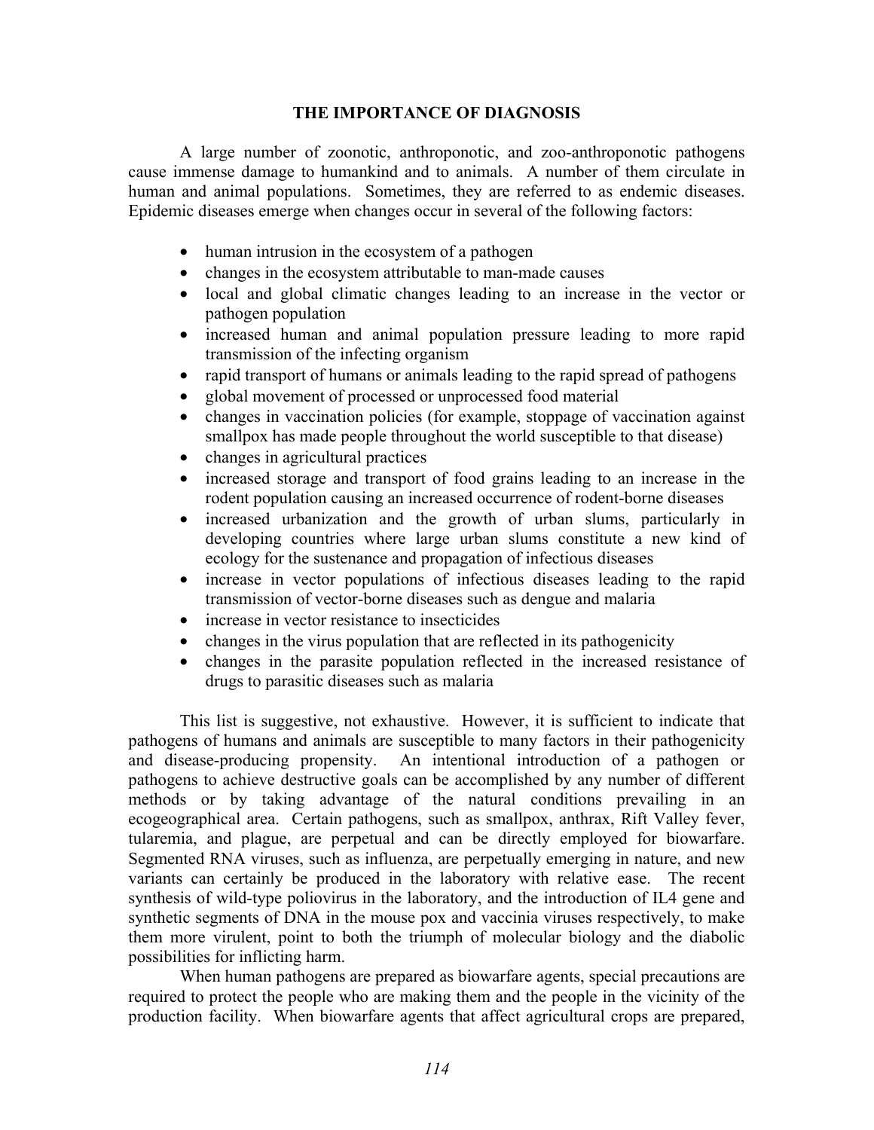## **THE IMPORTANCE OF DIAGNOSIS**

A large number of zoonotic, anthroponotic, and zoo-anthroponotic pathogens cause immense damage to humankind and to animals. A number of them circulate in human and animal populations. Sometimes, they are referred to as endemic diseases. Epidemic diseases emerge when changes occur in several of the following factors:

- human intrusion in the ecosystem of a pathogen
- changes in the ecosystem attributable to man-made causes
- local and global climatic changes leading to an increase in the vector or pathogen population
- increased human and animal population pressure leading to more rapid transmission of the infecting organism
- rapid transport of humans or animals leading to the rapid spread of pathogens
- global movement of processed or unprocessed food material
- changes in vaccination policies (for example, stoppage of vaccination against smallpox has made people throughout the world susceptible to that disease)
- changes in agricultural practices
- increased storage and transport of food grains leading to an increase in the rodent population causing an increased occurrence of rodent-borne diseases
- increased urbanization and the growth of urban slums, particularly in developing countries where large urban slums constitute a new kind of ecology for the sustenance and propagation of infectious diseases
- increase in vector populations of infectious diseases leading to the rapid transmission of vector-borne diseases such as dengue and malaria
- increase in vector resistance to insecticides
- changes in the virus population that are reflected in its pathogenicity
- changes in the parasite population reflected in the increased resistance of drugs to parasitic diseases such as malaria

This list is suggestive, not exhaustive. However, it is sufficient to indicate that pathogens of humans and animals are susceptible to many factors in their pathogenicity and disease-producing propensity. An intentional introduction of a pathogen or pathogens to achieve destructive goals can be accomplished by any number of different methods or by taking advantage of the natural conditions prevailing in an ecogeographical area. Certain pathogens, such as smallpox, anthrax, Rift Valley fever, tularemia, and plague, are perpetual and can be directly employed for biowarfare. Segmented RNA viruses, such as influenza, are perpetually emerging in nature, and new variants can certainly be produced in the laboratory with relative ease. The recent synthesis of wild-type poliovirus in the laboratory, and the introduction of IL4 gene and synthetic segments of DNA in the mouse pox and vaccinia viruses respectively, to make them more virulent, point to both the triumph of molecular biology and the diabolic possibilities for inflicting harm.

When human pathogens are prepared as biowarfare agents, special precautions are required to protect the people who are making them and the people in the vicinity of the production facility. When biowarfare agents that affect agricultural crops are prepared,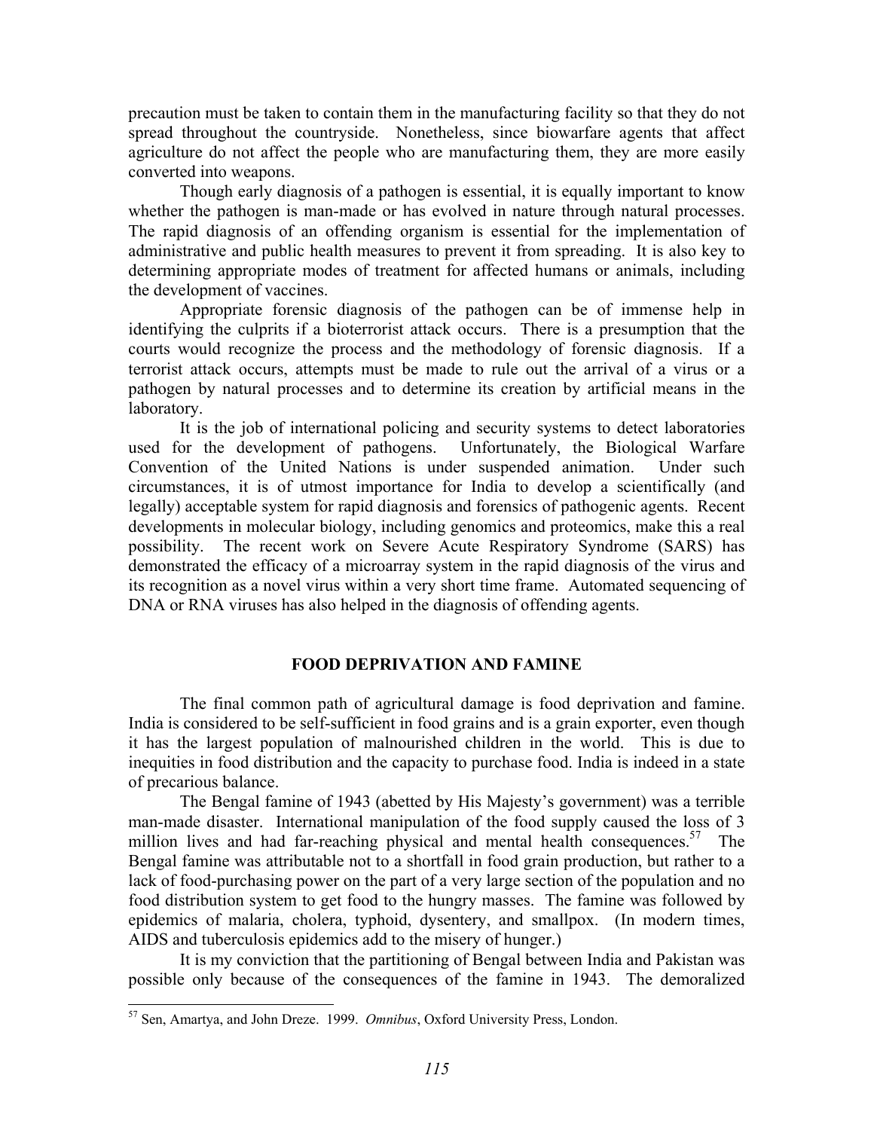precaution must be taken to contain them in the manufacturing facility so that they do not spread throughout the countryside. Nonetheless, since biowarfare agents that affect agriculture do not affect the people who are manufacturing them, they are more easily converted into weapons.

Though early diagnosis of a pathogen is essential, it is equally important to know whether the pathogen is man-made or has evolved in nature through natural processes. The rapid diagnosis of an offending organism is essential for the implementation of administrative and public health measures to prevent it from spreading. It is also key to determining appropriate modes of treatment for affected humans or animals, including the development of vaccines.

Appropriate forensic diagnosis of the pathogen can be of immense help in identifying the culprits if a bioterrorist attack occurs. There is a presumption that the courts would recognize the process and the methodology of forensic diagnosis. If a terrorist attack occurs, attempts must be made to rule out the arrival of a virus or a pathogen by natural processes and to determine its creation by artificial means in the laboratory.

It is the job of international policing and security systems to detect laboratories used for the development of pathogens. Unfortunately, the Biological Warfare Convention of the United Nations is under suspended animation. Under such circumstances, it is of utmost importance for India to develop a scientifically (and legally) acceptable system for rapid diagnosis and forensics of pathogenic agents. Recent developments in molecular biology, including genomics and proteomics, make this a real possibility. The recent work on Severe Acute Respiratory Syndrome (SARS) has demonstrated the efficacy of a microarray system in the rapid diagnosis of the virus and its recognition as a novel virus within a very short time frame. Automated sequencing of DNA or RNA viruses has also helped in the diagnosis of offending agents.

#### **FOOD DEPRIVATION AND FAMINE**

The final common path of agricultural damage is food deprivation and famine. India is considered to be self-sufficient in food grains and is a grain exporter, even though it has the largest population of malnourished children in the world. This is due to inequities in food distribution and the capacity to purchase food. India is indeed in a state of precarious balance.

The Bengal famine of 1943 (abetted by His Majesty's government) was a terrible man-made disaster. International manipulation of the food supply caused the loss of 3 million lives and had far-reaching physical and mental health consequences. $57$  The Bengal famine was attributable not to a shortfall in food grain production, but rather to a lack of food-purchasing power on the part of a very large section of the population and no food distribution system to get food to the hungry masses. The famine was followed by epidemics of malaria, cholera, typhoid, dysentery, and smallpox. (In modern times, AIDS and tuberculosis epidemics add to the misery of hunger.)

It is my conviction that the partitioning of Bengal between India and Pakistan was possible only because of the consequences of the famine in 1943. The demoralized

<sup>57</sup> Sen, Amartya, and John Dreze. 1999. *Omnibus*, Oxford University Press, London.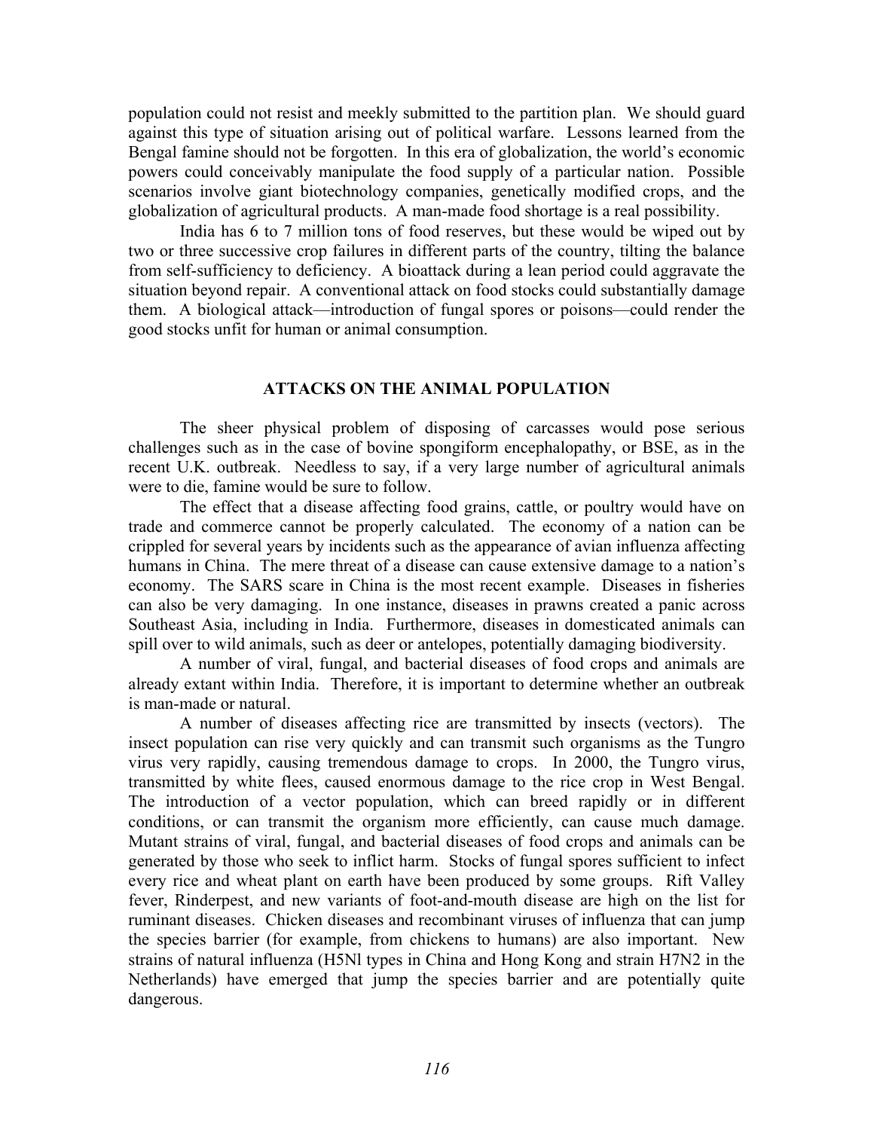population could not resist and meekly submitted to the partition plan. We should guard against this type of situation arising out of political warfare. Lessons learned from the Bengal famine should not be forgotten. In this era of globalization, the world's economic powers could conceivably manipulate the food supply of a particular nation. Possible scenarios involve giant biotechnology companies, genetically modified crops, and the globalization of agricultural products. A man-made food shortage is a real possibility.

India has 6 to 7 million tons of food reserves, but these would be wiped out by two or three successive crop failures in different parts of the country, tilting the balance from self-sufficiency to deficiency. A bioattack during a lean period could aggravate the situation beyond repair. A conventional attack on food stocks could substantially damage them. A biological attack—introduction of fungal spores or poisons—could render the good stocks unfit for human or animal consumption.

#### **ATTACKS ON THE ANIMAL POPULATION**

The sheer physical problem of disposing of carcasses would pose serious challenges such as in the case of bovine spongiform encephalopathy, or BSE, as in the recent U.K. outbreak. Needless to say, if a very large number of agricultural animals were to die, famine would be sure to follow.

The effect that a disease affecting food grains, cattle, or poultry would have on trade and commerce cannot be properly calculated. The economy of a nation can be crippled for several years by incidents such as the appearance of avian influenza affecting humans in China. The mere threat of a disease can cause extensive damage to a nation's economy. The SARS scare in China is the most recent example. Diseases in fisheries can also be very damaging. In one instance, diseases in prawns created a panic across Southeast Asia, including in India. Furthermore, diseases in domesticated animals can spill over to wild animals, such as deer or antelopes, potentially damaging biodiversity.

A number of viral, fungal, and bacterial diseases of food crops and animals are already extant within India. Therefore, it is important to determine whether an outbreak is man-made or natural.

A number of diseases affecting rice are transmitted by insects (vectors). The insect population can rise very quickly and can transmit such organisms as the Tungro virus very rapidly, causing tremendous damage to crops. In 2000, the Tungro virus, transmitted by white flees, caused enormous damage to the rice crop in West Bengal. The introduction of a vector population, which can breed rapidly or in different conditions, or can transmit the organism more efficiently, can cause much damage. Mutant strains of viral, fungal, and bacterial diseases of food crops and animals can be generated by those who seek to inflict harm. Stocks of fungal spores sufficient to infect every rice and wheat plant on earth have been produced by some groups. Rift Valley fever, Rinderpest, and new variants of foot-and-mouth disease are high on the list for ruminant diseases. Chicken diseases and recombinant viruses of influenza that can jump the species barrier (for example, from chickens to humans) are also important. New strains of natural influenza (H5Nl types in China and Hong Kong and strain H7N2 in the Netherlands) have emerged that jump the species barrier and are potentially quite dangerous.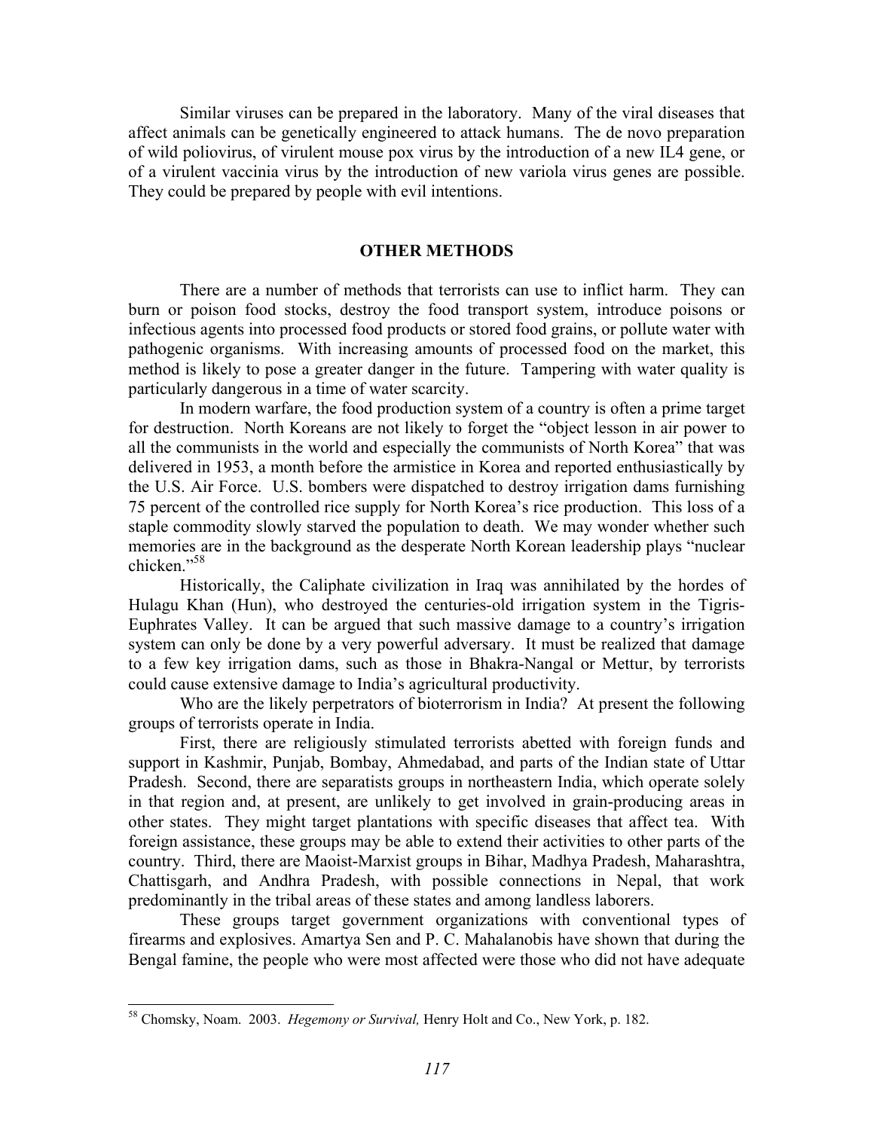Similar viruses can be prepared in the laboratory. Many of the viral diseases that affect animals can be genetically engineered to attack humans. The de novo preparation of wild poliovirus, of virulent mouse pox virus by the introduction of a new IL4 gene, or of a virulent vaccinia virus by the introduction of new variola virus genes are possible. They could be prepared by people with evil intentions.

#### **OTHER METHODS**

There are a number of methods that terrorists can use to inflict harm. They can burn or poison food stocks, destroy the food transport system, introduce poisons or infectious agents into processed food products or stored food grains, or pollute water with pathogenic organisms. With increasing amounts of processed food on the market, this method is likely to pose a greater danger in the future. Tampering with water quality is particularly dangerous in a time of water scarcity.

In modern warfare, the food production system of a country is often a prime target for destruction. North Koreans are not likely to forget the "object lesson in air power to all the communists in the world and especially the communists of North Korea" that was delivered in 1953, a month before the armistice in Korea and reported enthusiastically by the U.S. Air Force. U.S. bombers were dispatched to destroy irrigation dams furnishing 75 percent of the controlled rice supply for North Korea's rice production. This loss of a staple commodity slowly starved the population to death. We may wonder whether such memories are in the background as the desperate North Korean leadership plays "nuclear chicken."58

Historically, the Caliphate civilization in Iraq was annihilated by the hordes of Hulagu Khan (Hun), who destroyed the centuries-old irrigation system in the Tigris-Euphrates Valley. It can be argued that such massive damage to a country's irrigation system can only be done by a very powerful adversary. It must be realized that damage to a few key irrigation dams, such as those in Bhakra-Nangal or Mettur, by terrorists could cause extensive damage to India's agricultural productivity.

Who are the likely perpetrators of bioterrorism in India? At present the following groups of terrorists operate in India.

First, there are religiously stimulated terrorists abetted with foreign funds and support in Kashmir, Punjab, Bombay, Ahmedabad, and parts of the Indian state of Uttar Pradesh. Second, there are separatists groups in northeastern India, which operate solely in that region and, at present, are unlikely to get involved in grain-producing areas in other states. They might target plantations with specific diseases that affect tea. With foreign assistance, these groups may be able to extend their activities to other parts of the country. Third, there are Maoist-Marxist groups in Bihar, Madhya Pradesh, Maharashtra, Chattisgarh, and Andhra Pradesh, with possible connections in Nepal, that work predominantly in the tribal areas of these states and among landless laborers.

These groups target government organizations with conventional types of firearms and explosives. Amartya Sen and P. C. Mahalanobis have shown that during the Bengal famine, the people who were most affected were those who did not have adequate

<sup>58</sup> Chomsky, Noam. 2003. *Hegemony or Survival,* Henry Holt and Co., New York, p. 182.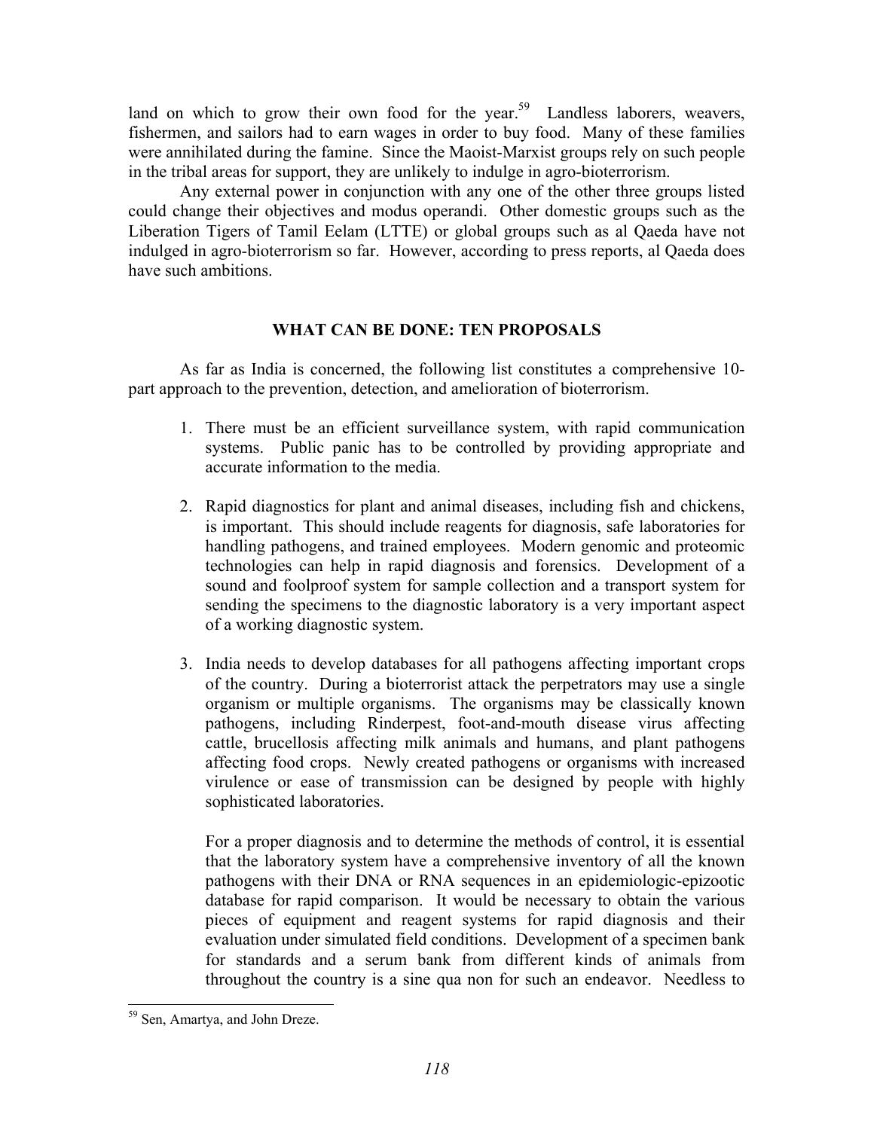land on which to grow their own food for the year.<sup>59</sup> Landless laborers, weavers, fishermen, and sailors had to earn wages in order to buy food. Many of these families were annihilated during the famine. Since the Maoist-Marxist groups rely on such people in the tribal areas for support, they are unlikely to indulge in agro-bioterrorism.

Any external power in conjunction with any one of the other three groups listed could change their objectives and modus operandi. Other domestic groups such as the Liberation Tigers of Tamil Eelam (LTTE) or global groups such as al Qaeda have not indulged in agro-bioterrorism so far. However, according to press reports, al Qaeda does have such ambitions.

## **WHAT CAN BE DONE: TEN PROPOSALS**

As far as India is concerned, the following list constitutes a comprehensive 10 part approach to the prevention, detection, and amelioration of bioterrorism.

- 1. There must be an efficient surveillance system, with rapid communication systems. Public panic has to be controlled by providing appropriate and accurate information to the media.
- 2. Rapid diagnostics for plant and animal diseases, including fish and chickens, is important. This should include reagents for diagnosis, safe laboratories for handling pathogens, and trained employees. Modern genomic and proteomic technologies can help in rapid diagnosis and forensics. Development of a sound and foolproof system for sample collection and a transport system for sending the specimens to the diagnostic laboratory is a very important aspect of a working diagnostic system.
- 3. India needs to develop databases for all pathogens affecting important crops of the country. During a bioterrorist attack the perpetrators may use a single organism or multiple organisms. The organisms may be classically known pathogens, including Rinderpest, foot-and-mouth disease virus affecting cattle, brucellosis affecting milk animals and humans, and plant pathogens affecting food crops. Newly created pathogens or organisms with increased virulence or ease of transmission can be designed by people with highly sophisticated laboratories.

For a proper diagnosis and to determine the methods of control, it is essential that the laboratory system have a comprehensive inventory of all the known pathogens with their DNA or RNA sequences in an epidemiologic-epizootic database for rapid comparison. It would be necessary to obtain the various pieces of equipment and reagent systems for rapid diagnosis and their evaluation under simulated field conditions. Development of a specimen bank for standards and a serum bank from different kinds of animals from throughout the country is a sine qua non for such an endeavor. Needless to

<sup>59</sup> Sen, Amartya, and John Dreze.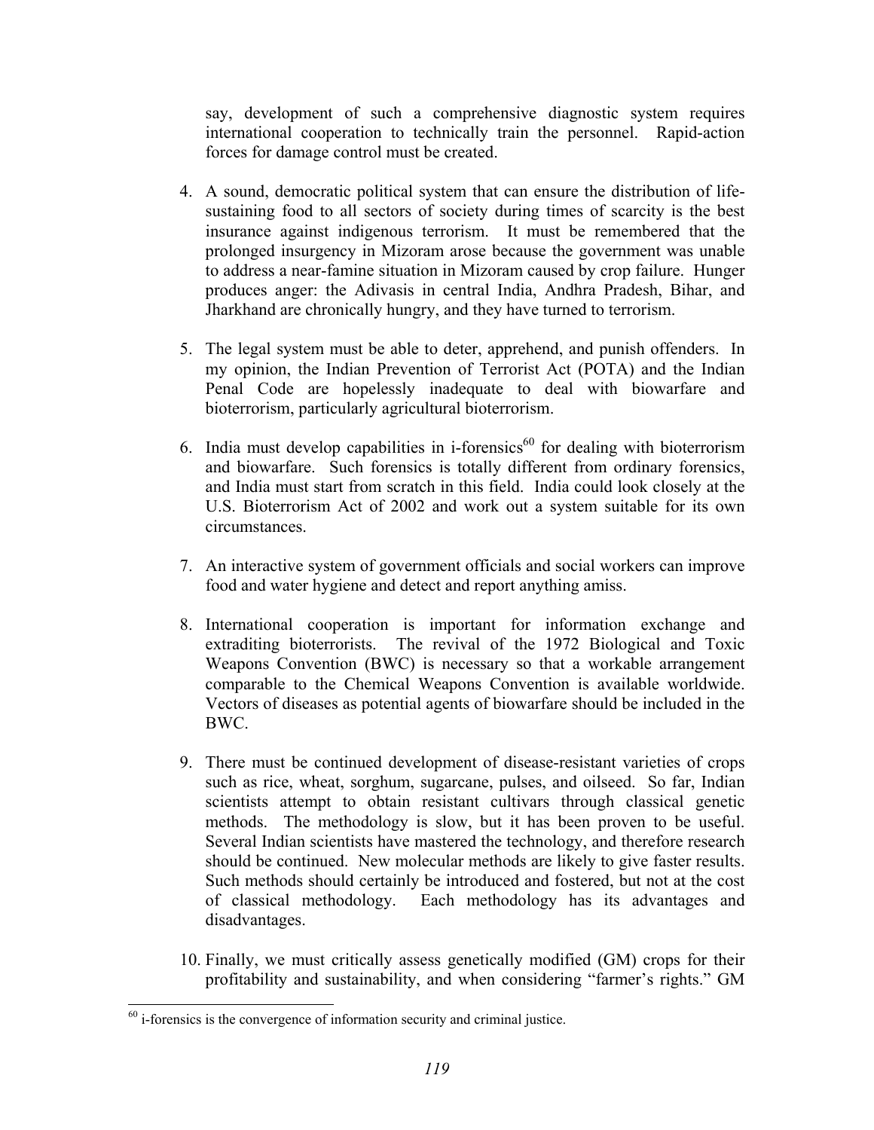say, development of such a comprehensive diagnostic system requires international cooperation to technically train the personnel. Rapid-action forces for damage control must be created.

- 4. A sound, democratic political system that can ensure the distribution of lifesustaining food to all sectors of society during times of scarcity is the best insurance against indigenous terrorism. It must be remembered that the prolonged insurgency in Mizoram arose because the government was unable to address a near-famine situation in Mizoram caused by crop failure. Hunger produces anger: the Adivasis in central India, Andhra Pradesh, Bihar, and Jharkhand are chronically hungry, and they have turned to terrorism.
- 5. The legal system must be able to deter, apprehend, and punish offenders. In my opinion, the Indian Prevention of Terrorist Act (POTA) and the Indian Penal Code are hopelessly inadequate to deal with biowarfare and bioterrorism, particularly agricultural bioterrorism.
- 6. India must develop capabilities in i-forensics<sup>60</sup> for dealing with bioterrorism and biowarfare. Such forensics is totally different from ordinary forensics, and India must start from scratch in this field. India could look closely at the U.S. Bioterrorism Act of 2002 and work out a system suitable for its own circumstances.
- 7. An interactive system of government officials and social workers can improve food and water hygiene and detect and report anything amiss.
- 8. International cooperation is important for information exchange and extraditing bioterrorists. The revival of the 1972 Biological and Toxic Weapons Convention (BWC) is necessary so that a workable arrangement comparable to the Chemical Weapons Convention is available worldwide. Vectors of diseases as potential agents of biowarfare should be included in the BWC.
- 9. There must be continued development of disease-resistant varieties of crops such as rice, wheat, sorghum, sugarcane, pulses, and oilseed. So far, Indian scientists attempt to obtain resistant cultivars through classical genetic methods. The methodology is slow, but it has been proven to be useful. Several Indian scientists have mastered the technology, and therefore research should be continued. New molecular methods are likely to give faster results. Such methods should certainly be introduced and fostered, but not at the cost of classical methodology. Each methodology has its advantages and disadvantages.
- 10. Finally, we must critically assess genetically modified (GM) crops for their profitability and sustainability, and when considering "farmer's rights." GM

 $60$  i-forensics is the convergence of information security and criminal justice.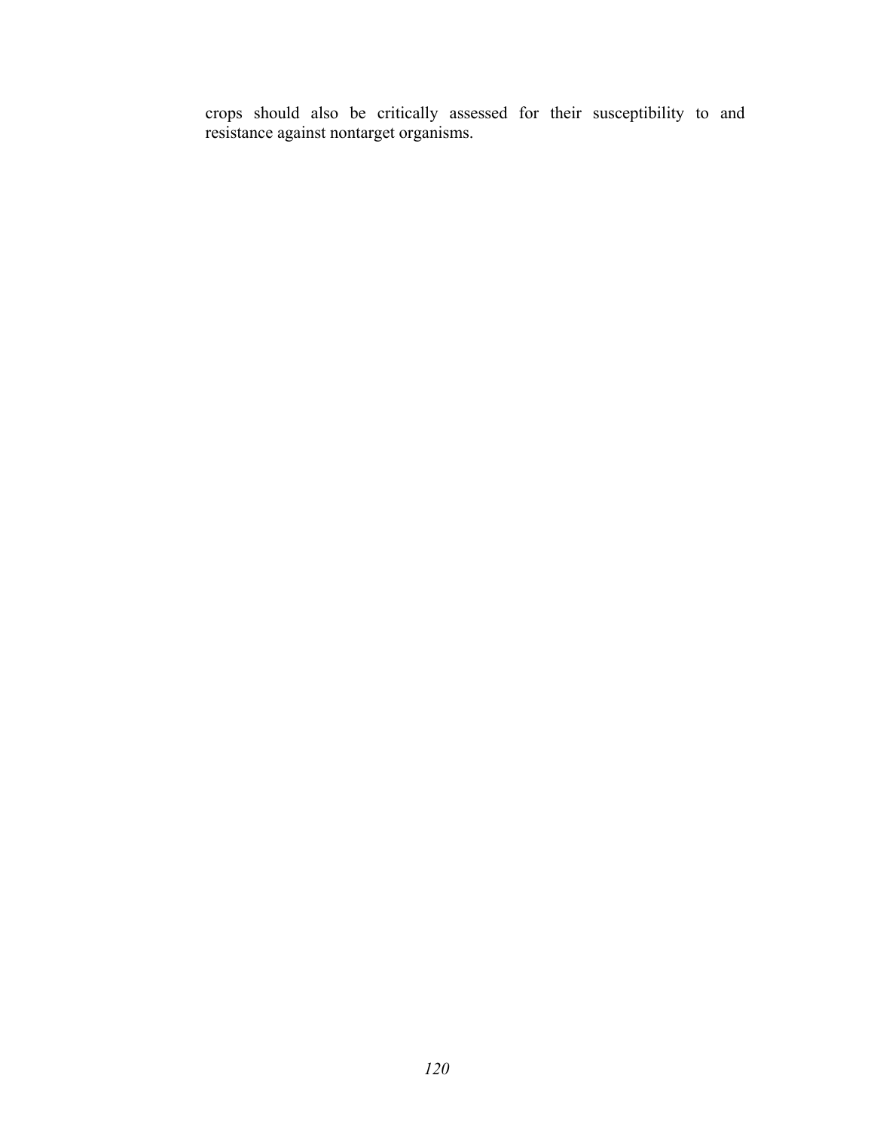crops should also be critically assessed for their susceptibility to and resistance against nontarget organisms.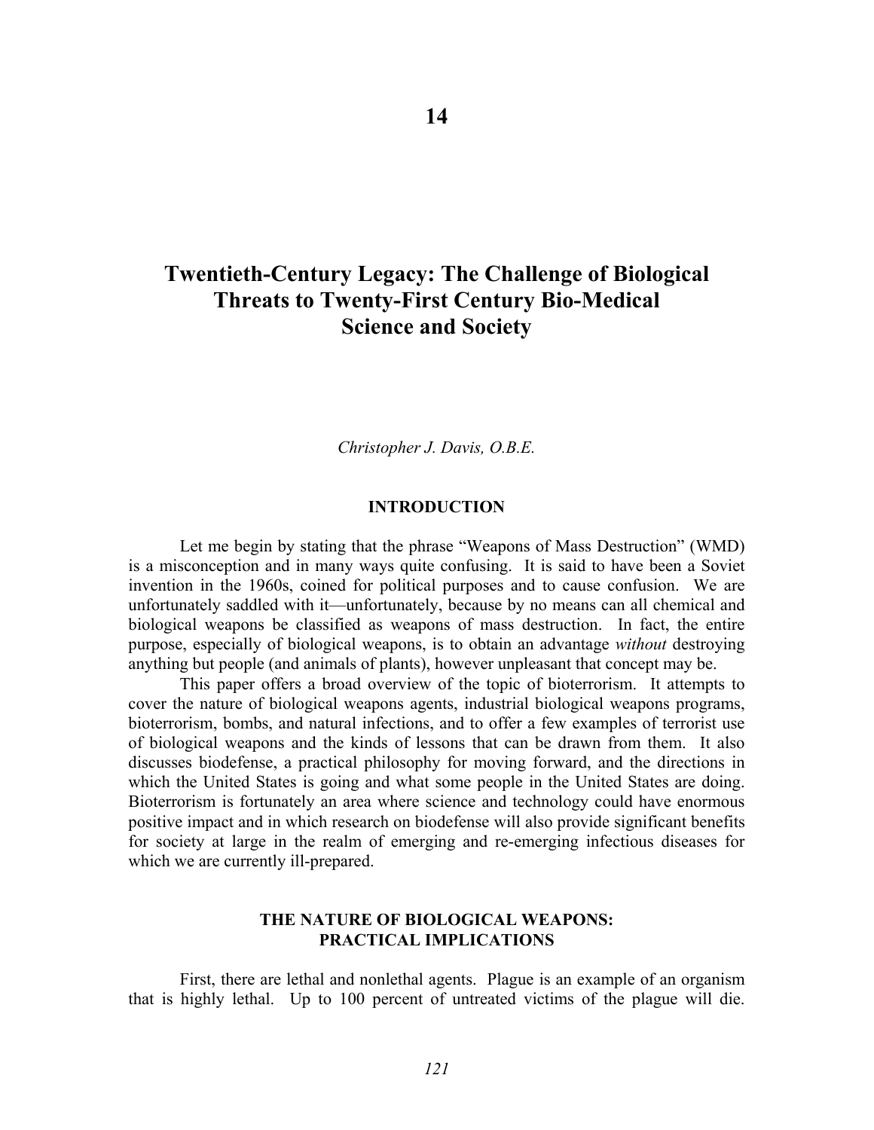# **Twentieth-Century Legacy: The Challenge of Biological Threats to Twenty-First Century Bio-Medical Science and Society**

*Christopher J. Davis, O.B.E.* 

#### **INTRODUCTION**

Let me begin by stating that the phrase "Weapons of Mass Destruction" (WMD) is a misconception and in many ways quite confusing. It is said to have been a Soviet invention in the 1960s, coined for political purposes and to cause confusion. We are unfortunately saddled with it—unfortunately, because by no means can all chemical and biological weapons be classified as weapons of mass destruction. In fact, the entire purpose, especially of biological weapons, is to obtain an advantage *without* destroying anything but people (and animals of plants), however unpleasant that concept may be.

This paper offers a broad overview of the topic of bioterrorism. It attempts to cover the nature of biological weapons agents, industrial biological weapons programs, bioterrorism, bombs, and natural infections, and to offer a few examples of terrorist use of biological weapons and the kinds of lessons that can be drawn from them. It also discusses biodefense, a practical philosophy for moving forward, and the directions in which the United States is going and what some people in the United States are doing. Bioterrorism is fortunately an area where science and technology could have enormous positive impact and in which research on biodefense will also provide significant benefits for society at large in the realm of emerging and re-emerging infectious diseases for which we are currently ill-prepared.

## **THE NATURE OF BIOLOGICAL WEAPONS: PRACTICAL IMPLICATIONS**

First, there are lethal and nonlethal agents. Plague is an example of an organism that is highly lethal. Up to 100 percent of untreated victims of the plague will die.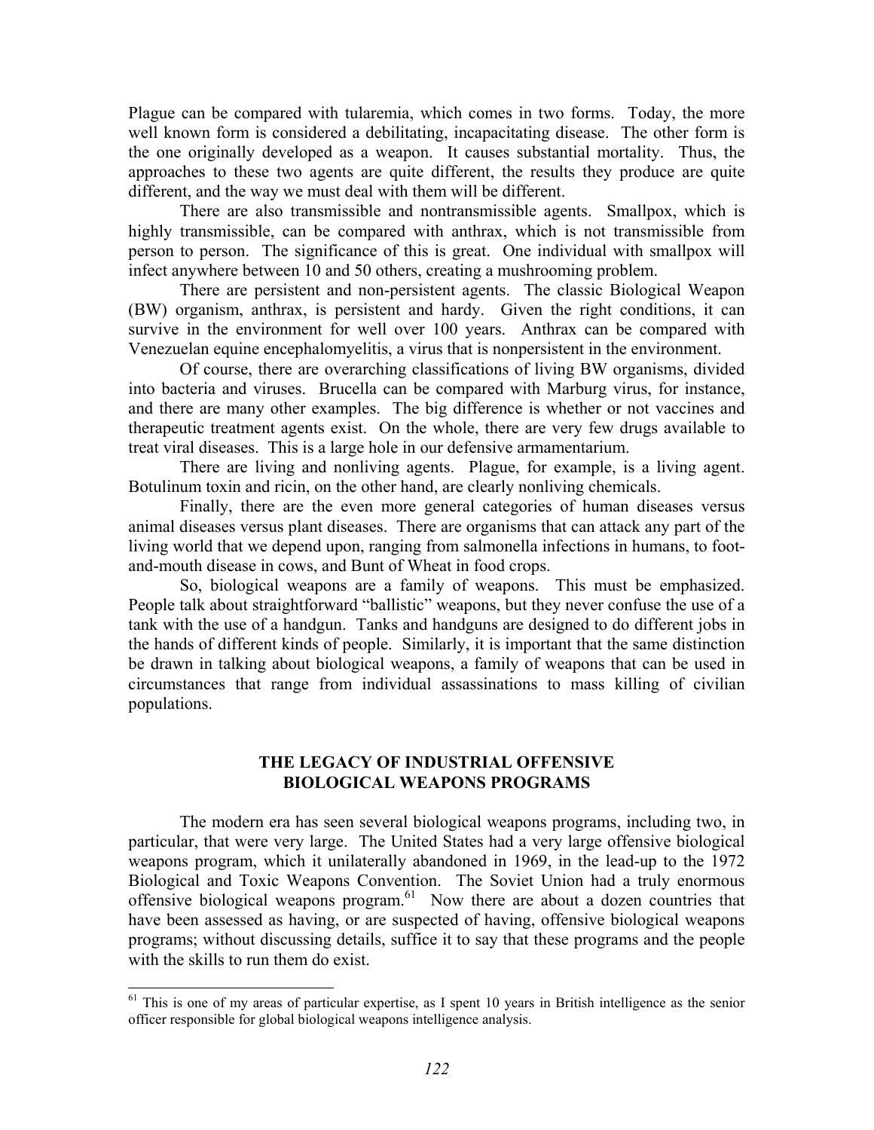Plague can be compared with tularemia, which comes in two forms. Today, the more well known form is considered a debilitating, incapacitating disease. The other form is the one originally developed as a weapon. It causes substantial mortality. Thus, the approaches to these two agents are quite different, the results they produce are quite different, and the way we must deal with them will be different.

There are also transmissible and nontransmissible agents. Smallpox, which is highly transmissible, can be compared with anthrax, which is not transmissible from person to person. The significance of this is great. One individual with smallpox will infect anywhere between 10 and 50 others, creating a mushrooming problem.

There are persistent and non-persistent agents. The classic Biological Weapon (BW) organism, anthrax, is persistent and hardy. Given the right conditions, it can survive in the environment for well over 100 years. Anthrax can be compared with Venezuelan equine encephalomyelitis, a virus that is nonpersistent in the environment.

Of course, there are overarching classifications of living BW organisms, divided into bacteria and viruses. Brucella can be compared with Marburg virus, for instance, and there are many other examples. The big difference is whether or not vaccines and therapeutic treatment agents exist. On the whole, there are very few drugs available to treat viral diseases. This is a large hole in our defensive armamentarium.

There are living and nonliving agents. Plague, for example, is a living agent. Botulinum toxin and ricin, on the other hand, are clearly nonliving chemicals.

Finally, there are the even more general categories of human diseases versus animal diseases versus plant diseases. There are organisms that can attack any part of the living world that we depend upon, ranging from salmonella infections in humans, to footand-mouth disease in cows, and Bunt of Wheat in food crops.

So, biological weapons are a family of weapons. This must be emphasized. People talk about straightforward "ballistic" weapons, but they never confuse the use of a tank with the use of a handgun. Tanks and handguns are designed to do different jobs in the hands of different kinds of people. Similarly, it is important that the same distinction be drawn in talking about biological weapons, a family of weapons that can be used in circumstances that range from individual assassinations to mass killing of civilian populations.

## **THE LEGACY OF INDUSTRIAL OFFENSIVE BIOLOGICAL WEAPONS PROGRAMS**

The modern era has seen several biological weapons programs, including two, in particular, that were very large. The United States had a very large offensive biological weapons program, which it unilaterally abandoned in 1969, in the lead-up to the 1972 Biological and Toxic Weapons Convention. The Soviet Union had a truly enormous offensive biological weapons program.61 Now there are about a dozen countries that have been assessed as having, or are suspected of having, offensive biological weapons programs; without discussing details, suffice it to say that these programs and the people with the skills to run them do exist.

<sup>&</sup>lt;sup>61</sup> This is one of my areas of particular expertise, as I spent 10 years in British intelligence as the senior officer responsible for global biological weapons intelligence analysis.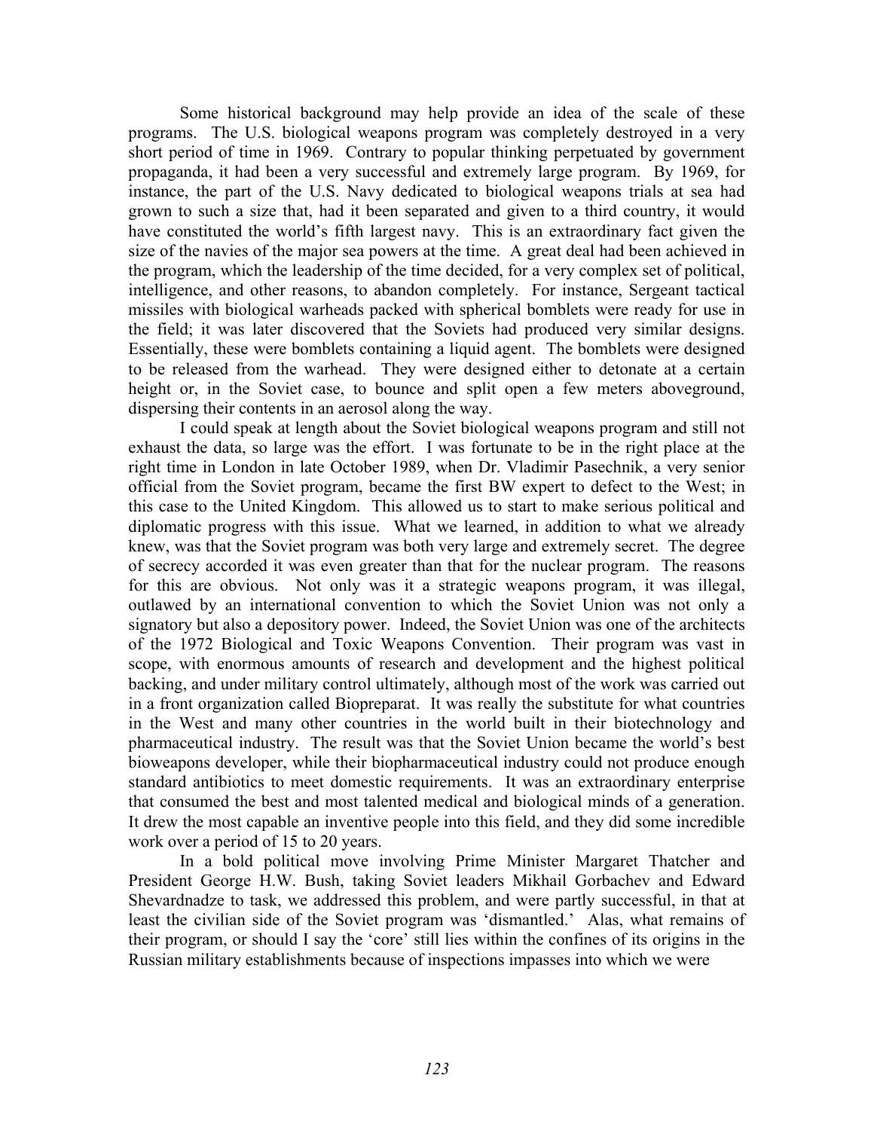Some historical background may help provide an idea of the scale of these programs. The U.S. biological weapons program was completely destroyed in a very short period of time in 1969. Contrary to popular thinking perpetuated by government propaganda, it had been a very successful and extremely large program. By 1969, for instance, the part of the U.S. Navy dedicated to biological weapons trials at sea had grown to such a size that, had it been separated and given to a third country, it would have constituted the world's fifth largest navy. This is an extraordinary fact given the size of the navies of the major sea powers at the time. A great deal had been achieved in the program, which the leadership of the time decided, for a very complex set of political, intelligence, and other reasons, to abandon completely. For instance, Sergeant tactical missiles with biological warheads packed with spherical bomblets were ready for use in the field; it was later discovered that the Soviets had produced very similar designs. Essentially, these were bomblets containing a liquid agent. The bomblets were designed to be released from the warhead. They were designed either to detonate at a certain height or, in the Soviet case, to bounce and split open a few meters aboveground, dispersing their contents in an aerosol along the way.

I could speak at length about the Soviet biological weapons program and still not exhaust the data, so large was the effort. I was fortunate to be in the right place at the right time in London in late October 1989, when Dr. Vladimir Pasechnik, a very senior official from the Soviet program, became the first BW expert to defect to the West; in this case to the United Kingdom. This allowed us to start to make serious political and diplomatic progress with this issue. What we learned, in addition to what we already knew, was that the Soviet program was both very large and extremely secret. The degree of secrecy accorded it was even greater than that for the nuclear program. The reasons for this are obvious. Not only was it a strategic weapons program, it was illegal, outlawed by an international convention to which the Soviet Union was not only a signatory but also a depository power. Indeed, the Soviet Union was one of the architects of the 1972 Biological and Toxic Weapons Convention. Their program was vast in scope, with enormous amounts of research and development and the highest political backing, and under military control ultimately, although most of the work was carried out in a front organization called Biopreparat. It was really the substitute for what countries in the West and many other countries in the world built in their biotechnology and pharmaceutical industry. The result was that the Soviet Union became the world's best bioweapons developer, while their biopharmaceutical industry could not produce enough standard antibiotics to meet domestic requirements. It was an extraordinary enterprise that consumed the best and most talented medical and biological minds of a generation. It drew the most capable an inventive people into this field, and they did some incredible work over a period of 15 to 20 years.

In a bold political move involving Prime Minister Margaret Thatcher and President George H.W. Bush, taking Soviet leaders Mikhail Gorbachev and Edward Shevardnadze to task, we addressed this problem, and were partly successful, in that at least the civilian side of the Soviet program was 'dismantled.' Alas, what remains of their program, or should I say the 'core' still lies within the confines of its origins in the Russian military establishments because of inspections impasses into which we were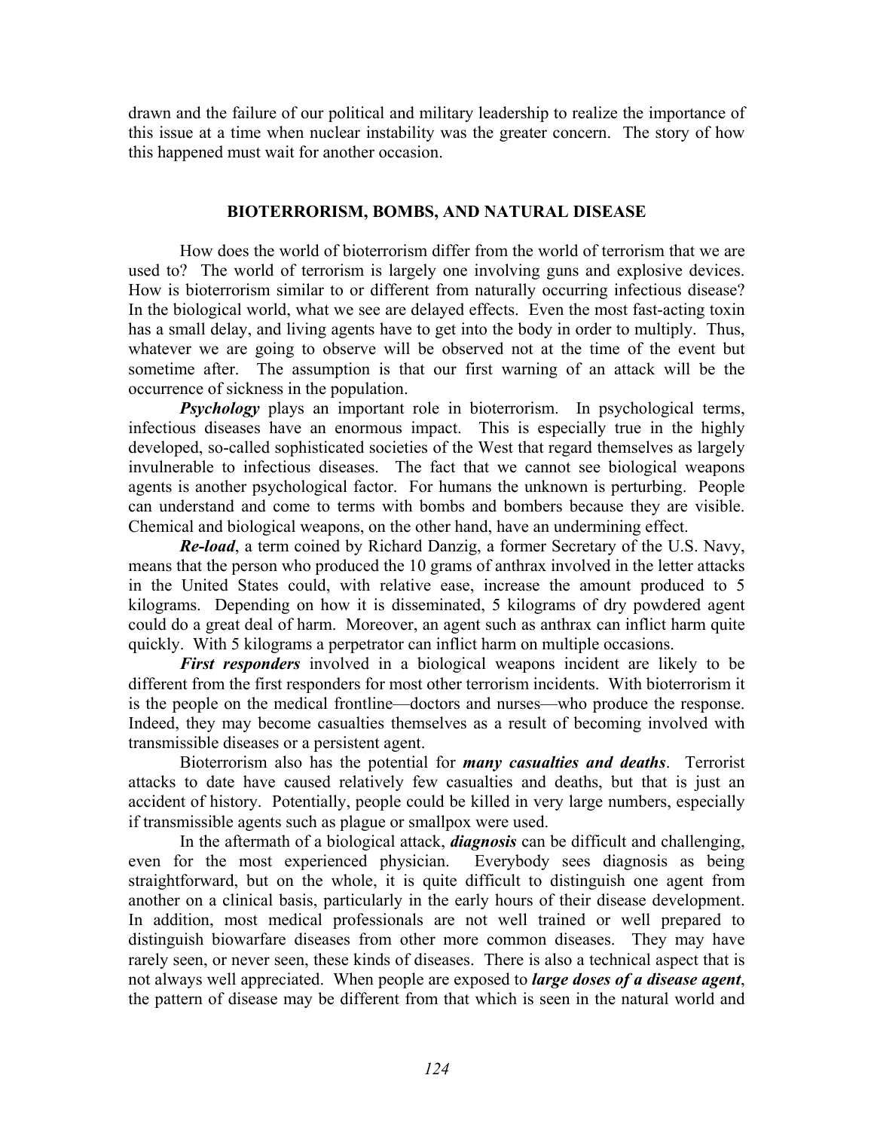drawn and the failure of our political and military leadership to realize the importance of this issue at a time when nuclear instability was the greater concern. The story of how this happened must wait for another occasion.

## **BIOTERRORISM, BOMBS, AND NATURAL DISEASE**

How does the world of bioterrorism differ from the world of terrorism that we are used to? The world of terrorism is largely one involving guns and explosive devices. How is bioterrorism similar to or different from naturally occurring infectious disease? In the biological world, what we see are delayed effects. Even the most fast-acting toxin has a small delay, and living agents have to get into the body in order to multiply. Thus, whatever we are going to observe will be observed not at the time of the event but sometime after. The assumption is that our first warning of an attack will be the occurrence of sickness in the population.

**Psychology** plays an important role in bioterrorism. In psychological terms, infectious diseases have an enormous impact. This is especially true in the highly developed, so-called sophisticated societies of the West that regard themselves as largely invulnerable to infectious diseases. The fact that we cannot see biological weapons agents is another psychological factor. For humans the unknown is perturbing. People can understand and come to terms with bombs and bombers because they are visible. Chemical and biological weapons, on the other hand, have an undermining effect.

*Re-load*, a term coined by Richard Danzig, a former Secretary of the U.S. Navy, means that the person who produced the 10 grams of anthrax involved in the letter attacks in the United States could, with relative ease, increase the amount produced to 5 kilograms. Depending on how it is disseminated, 5 kilograms of dry powdered agent could do a great deal of harm. Moreover, an agent such as anthrax can inflict harm quite quickly. With 5 kilograms a perpetrator can inflict harm on multiple occasions.

*First responders* involved in a biological weapons incident are likely to be different from the first responders for most other terrorism incidents. With bioterrorism it is the people on the medical frontline—doctors and nurses—who produce the response. Indeed, they may become casualties themselves as a result of becoming involved with transmissible diseases or a persistent agent.

Bioterrorism also has the potential for *many casualties and deaths*. Terrorist attacks to date have caused relatively few casualties and deaths, but that is just an accident of history. Potentially, people could be killed in very large numbers, especially if transmissible agents such as plague or smallpox were used.

In the aftermath of a biological attack, *diagnosis* can be difficult and challenging, even for the most experienced physician. Everybody sees diagnosis as being straightforward, but on the whole, it is quite difficult to distinguish one agent from another on a clinical basis, particularly in the early hours of their disease development. In addition, most medical professionals are not well trained or well prepared to distinguish biowarfare diseases from other more common diseases. They may have rarely seen, or never seen, these kinds of diseases. There is also a technical aspect that is not always well appreciated. When people are exposed to *large doses of a disease agent*, the pattern of disease may be different from that which is seen in the natural world and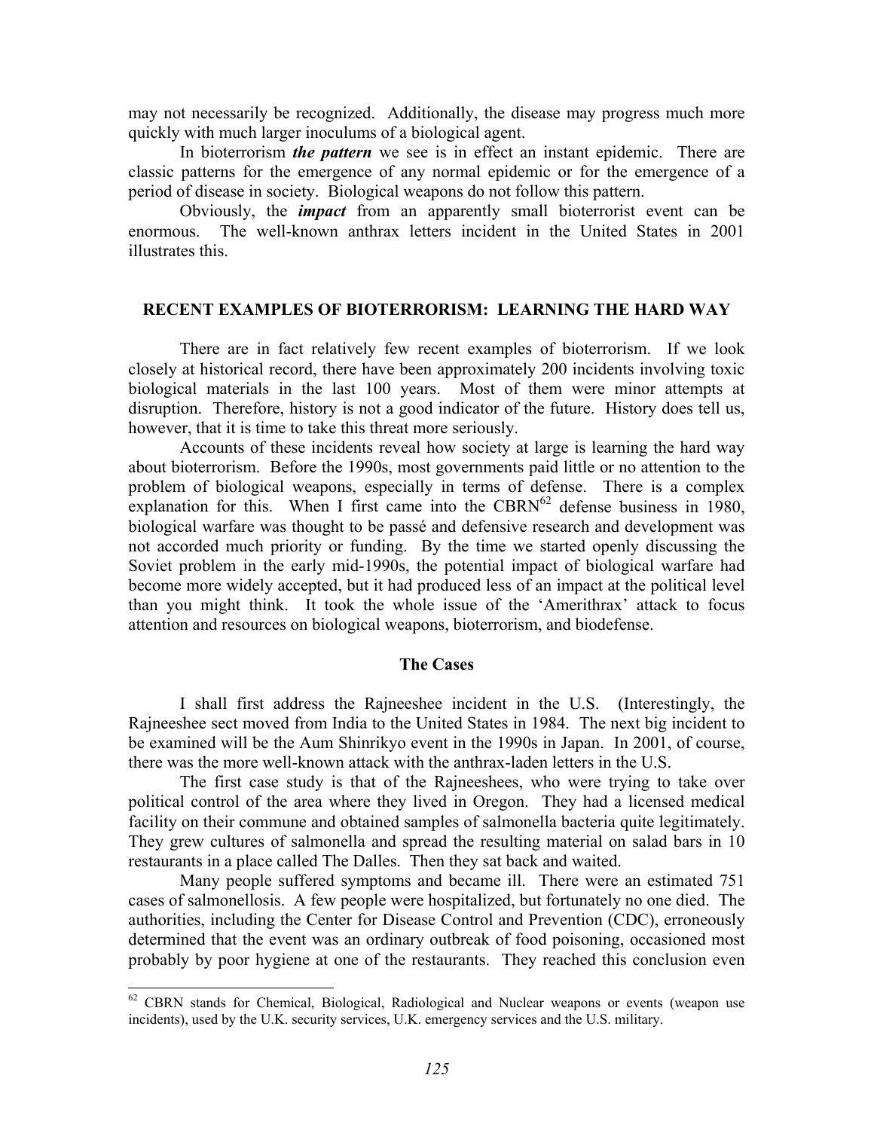may not necessarily be recognized. Additionally, the disease may progress much more quickly with much larger inoculums of a biological agent.

In bioterrorism *the pattern* we see is in effect an instant epidemic. There are classic patterns for the emergence of any normal epidemic or for the emergence of a period of disease in society. Biological weapons do not follow this pattern.

Obviously, the *impact* from an apparently small bioterrorist event can be enormous. The well-known anthrax letters incident in the United States in 2001 illustrates this.

#### **RECENT EXAMPLES OF BIOTERRORISM: LEARNING THE HARD WAY**

There are in fact relatively few recent examples of bioterrorism. If we look closely at historical record, there have been approximately 200 incidents involving toxic biological materials in the last 100 years. Most of them were minor attempts at disruption. Therefore, history is not a good indicator of the future. History does tell us, however, that it is time to take this threat more seriously.

Accounts of these incidents reveal how society at large is learning the hard way about bioterrorism. Before the 1990s, most governments paid little or no attention to the problem of biological weapons, especially in terms of defense. There is a complex explanation for this. When I first came into the CBRN $^{62}$  defense business in 1980, biological warfare was thought to be passé and defensive research and development was not accorded much priority or funding. By the time we started openly discussing the Soviet problem in the early mid-1990s, the potential impact of biological warfare had become more widely accepted, but it had produced less of an impact at the political level than you might think. It took the whole issue of the 'Amerithrax' attack to focus attention and resources on biological weapons, bioterrorism, and biodefense.

#### **The Cases**

I shall first address the Rajneeshee incident in the U.S. (Interestingly, the Rajneeshee sect moved from India to the United States in 1984. The next big incident to be examined will be the Aum Shinrikyo event in the 1990s in Japan. In 2001, of course, there was the more well-known attack with the anthrax-laden letters in the U.S.

The first case study is that of the Rajneeshees, who were trying to take over political control of the area where they lived in Oregon. They had a licensed medical facility on their commune and obtained samples of salmonella bacteria quite legitimately. They grew cultures of salmonella and spread the resulting material on salad bars in 10 restaurants in a place called The Dalles. Then they sat back and waited.

Many people suffered symptoms and became ill. There were an estimated 751 cases of salmonellosis. A few people were hospitalized, but fortunately no one died. The authorities, including the Center for Disease Control and Prevention (CDC), erroneously determined that the event was an ordinary outbreak of food poisoning, occasioned most probably by poor hygiene at one of the restaurants. They reached this conclusion even

 $62$  CBRN stands for Chemical, Biological, Radiological and Nuclear weapons or events (weapon use incidents), used by the U.K. security services, U.K. emergency services and the U.S. military.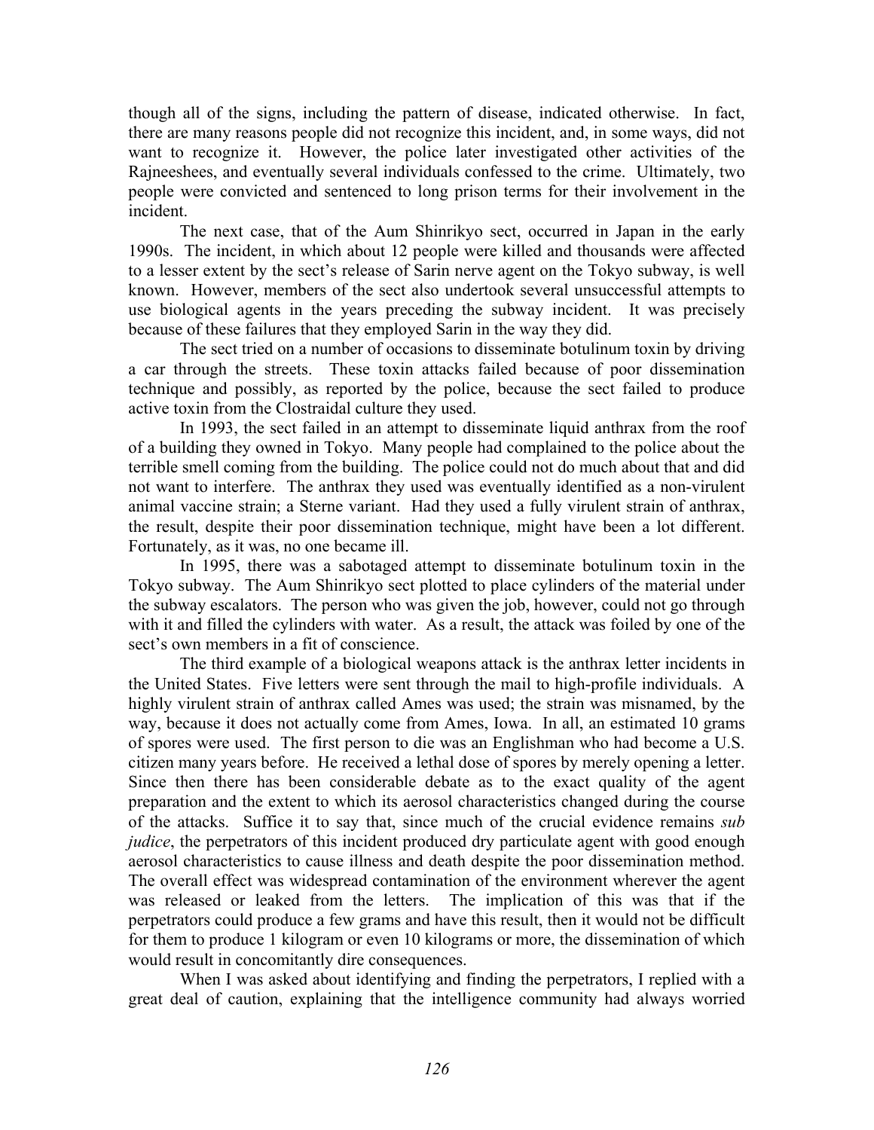though all of the signs, including the pattern of disease, indicated otherwise. In fact, there are many reasons people did not recognize this incident, and, in some ways, did not want to recognize it. However, the police later investigated other activities of the Rajneeshees, and eventually several individuals confessed to the crime. Ultimately, two people were convicted and sentenced to long prison terms for their involvement in the incident.

The next case, that of the Aum Shinrikyo sect, occurred in Japan in the early 1990s. The incident, in which about 12 people were killed and thousands were affected to a lesser extent by the sect's release of Sarin nerve agent on the Tokyo subway, is well known. However, members of the sect also undertook several unsuccessful attempts to use biological agents in the years preceding the subway incident. It was precisely because of these failures that they employed Sarin in the way they did.

The sect tried on a number of occasions to disseminate botulinum toxin by driving a car through the streets. These toxin attacks failed because of poor dissemination technique and possibly, as reported by the police, because the sect failed to produce active toxin from the Clostraidal culture they used.

In 1993, the sect failed in an attempt to disseminate liquid anthrax from the roof of a building they owned in Tokyo. Many people had complained to the police about the terrible smell coming from the building. The police could not do much about that and did not want to interfere. The anthrax they used was eventually identified as a non-virulent animal vaccine strain; a Sterne variant. Had they used a fully virulent strain of anthrax, the result, despite their poor dissemination technique, might have been a lot different. Fortunately, as it was, no one became ill.

In 1995, there was a sabotaged attempt to disseminate botulinum toxin in the Tokyo subway. The Aum Shinrikyo sect plotted to place cylinders of the material under the subway escalators. The person who was given the job, however, could not go through with it and filled the cylinders with water. As a result, the attack was foiled by one of the sect's own members in a fit of conscience.

The third example of a biological weapons attack is the anthrax letter incidents in the United States. Five letters were sent through the mail to high-profile individuals. A highly virulent strain of anthrax called Ames was used; the strain was misnamed, by the way, because it does not actually come from Ames, Iowa. In all, an estimated 10 grams of spores were used. The first person to die was an Englishman who had become a U.S. citizen many years before. He received a lethal dose of spores by merely opening a letter. Since then there has been considerable debate as to the exact quality of the agent preparation and the extent to which its aerosol characteristics changed during the course of the attacks. Suffice it to say that, since much of the crucial evidence remains *sub judice*, the perpetrators of this incident produced dry particulate agent with good enough aerosol characteristics to cause illness and death despite the poor dissemination method. The overall effect was widespread contamination of the environment wherever the agent was released or leaked from the letters. The implication of this was that if the perpetrators could produce a few grams and have this result, then it would not be difficult for them to produce 1 kilogram or even 10 kilograms or more, the dissemination of which would result in concomitantly dire consequences.

When I was asked about identifying and finding the perpetrators, I replied with a great deal of caution, explaining that the intelligence community had always worried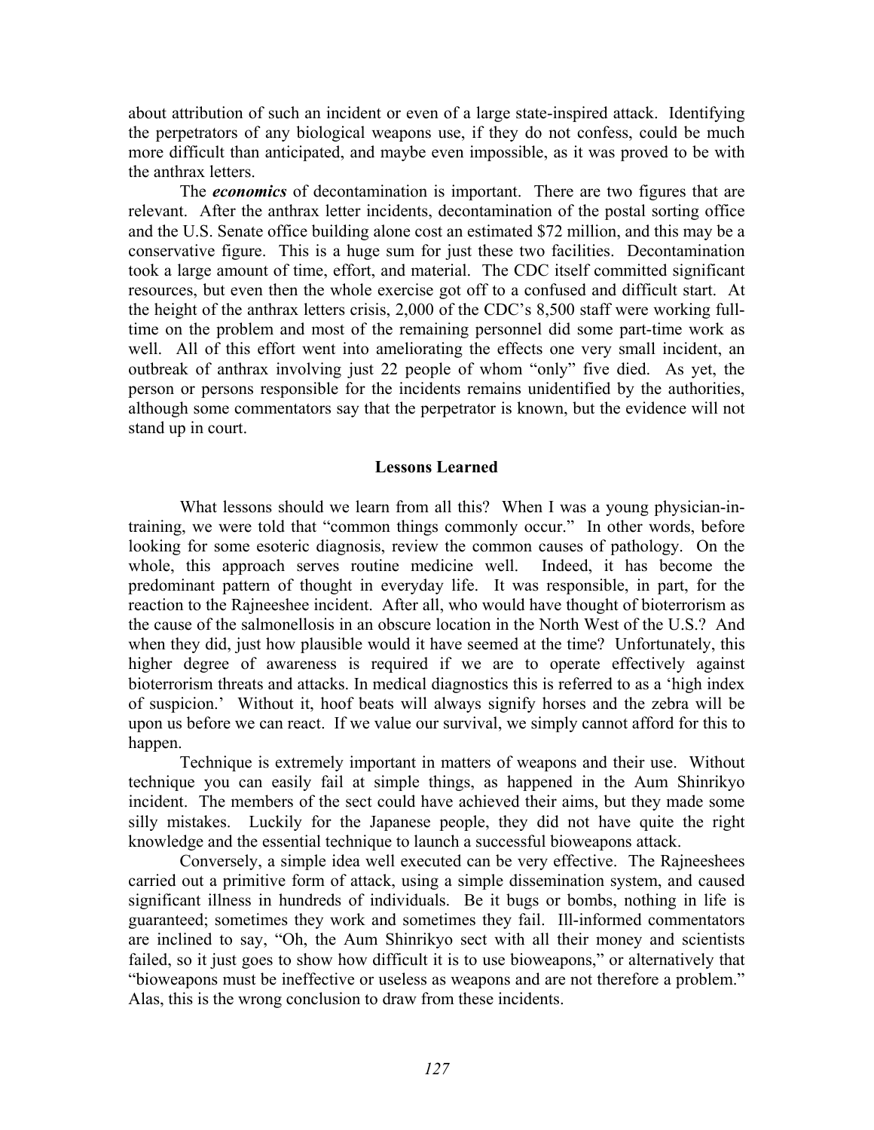about attribution of such an incident or even of a large state-inspired attack. Identifying the perpetrators of any biological weapons use, if they do not confess, could be much more difficult than anticipated, and maybe even impossible, as it was proved to be with the anthrax letters.

The *economics* of decontamination is important. There are two figures that are relevant. After the anthrax letter incidents, decontamination of the postal sorting office and the U.S. Senate office building alone cost an estimated \$72 million, and this may be a conservative figure. This is a huge sum for just these two facilities. Decontamination took a large amount of time, effort, and material. The CDC itself committed significant resources, but even then the whole exercise got off to a confused and difficult start. At the height of the anthrax letters crisis, 2,000 of the CDC's 8,500 staff were working fulltime on the problem and most of the remaining personnel did some part-time work as well. All of this effort went into ameliorating the effects one very small incident, an outbreak of anthrax involving just 22 people of whom "only" five died. As yet, the person or persons responsible for the incidents remains unidentified by the authorities, although some commentators say that the perpetrator is known, but the evidence will not stand up in court.

#### **Lessons Learned**

What lessons should we learn from all this? When I was a young physician-intraining, we were told that "common things commonly occur." In other words, before looking for some esoteric diagnosis, review the common causes of pathology. On the whole, this approach serves routine medicine well. Indeed, it has become the predominant pattern of thought in everyday life. It was responsible, in part, for the reaction to the Rajneeshee incident. After all, who would have thought of bioterrorism as the cause of the salmonellosis in an obscure location in the North West of the U.S.? And when they did, just how plausible would it have seemed at the time? Unfortunately, this higher degree of awareness is required if we are to operate effectively against bioterrorism threats and attacks. In medical diagnostics this is referred to as a 'high index of suspicion.' Without it, hoof beats will always signify horses and the zebra will be upon us before we can react. If we value our survival, we simply cannot afford for this to happen.

Technique is extremely important in matters of weapons and their use. Without technique you can easily fail at simple things, as happened in the Aum Shinrikyo incident. The members of the sect could have achieved their aims, but they made some silly mistakes. Luckily for the Japanese people, they did not have quite the right knowledge and the essential technique to launch a successful bioweapons attack.

Conversely, a simple idea well executed can be very effective. The Rajneeshees carried out a primitive form of attack, using a simple dissemination system, and caused significant illness in hundreds of individuals. Be it bugs or bombs, nothing in life is guaranteed; sometimes they work and sometimes they fail. Ill-informed commentators are inclined to say, "Oh, the Aum Shinrikyo sect with all their money and scientists failed, so it just goes to show how difficult it is to use bioweapons," or alternatively that "bioweapons must be ineffective or useless as weapons and are not therefore a problem." Alas, this is the wrong conclusion to draw from these incidents.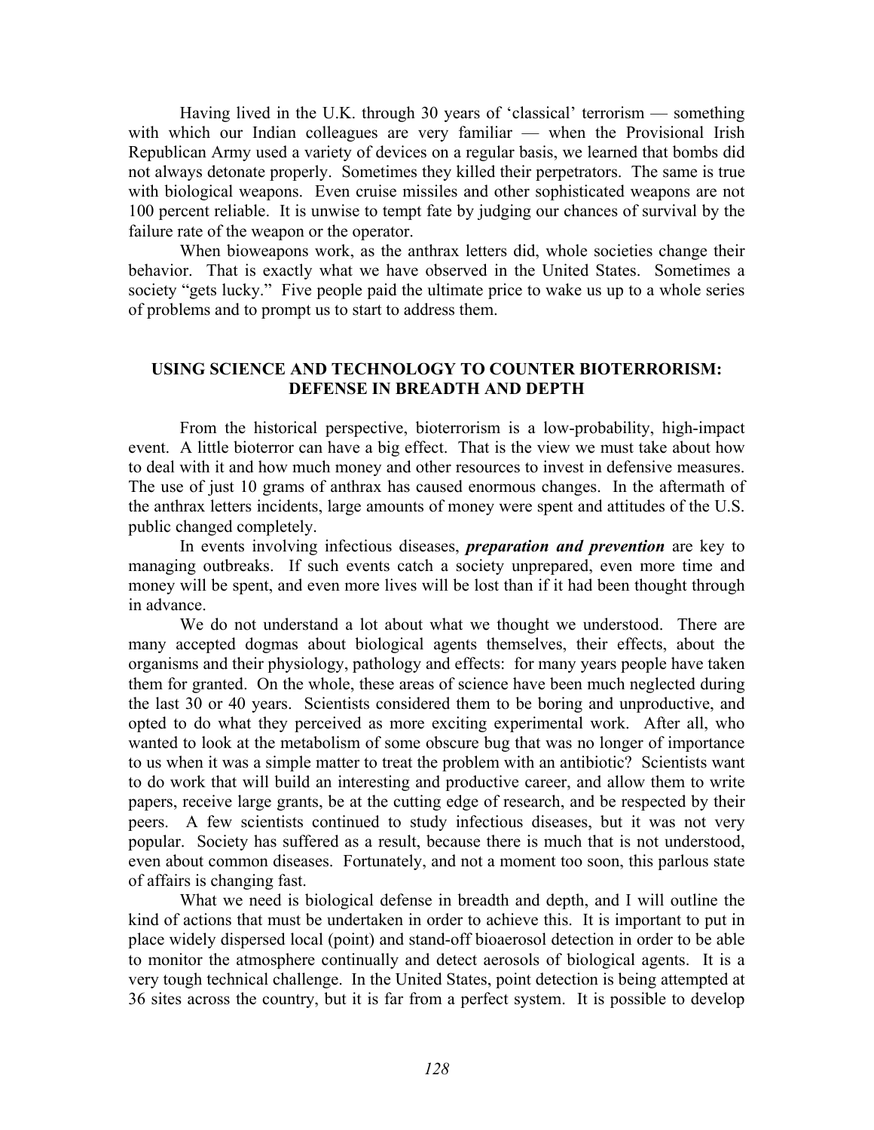Having lived in the U.K. through 30 years of 'classical' terrorism — something with which our Indian colleagues are very familiar — when the Provisional Irish Republican Army used a variety of devices on a regular basis, we learned that bombs did not always detonate properly. Sometimes they killed their perpetrators. The same is true with biological weapons. Even cruise missiles and other sophisticated weapons are not 100 percent reliable. It is unwise to tempt fate by judging our chances of survival by the failure rate of the weapon or the operator.

When bioweapons work, as the anthrax letters did, whole societies change their behavior. That is exactly what we have observed in the United States. Sometimes a society "gets lucky." Five people paid the ultimate price to wake us up to a whole series of problems and to prompt us to start to address them.

## **USING SCIENCE AND TECHNOLOGY TO COUNTER BIOTERRORISM: DEFENSE IN BREADTH AND DEPTH**

From the historical perspective, bioterrorism is a low-probability, high-impact event. A little bioterror can have a big effect. That is the view we must take about how to deal with it and how much money and other resources to invest in defensive measures. The use of just 10 grams of anthrax has caused enormous changes. In the aftermath of the anthrax letters incidents, large amounts of money were spent and attitudes of the U.S. public changed completely.

In events involving infectious diseases, *preparation and prevention* are key to managing outbreaks. If such events catch a society unprepared, even more time and money will be spent, and even more lives will be lost than if it had been thought through in advance.

We do not understand a lot about what we thought we understood. There are many accepted dogmas about biological agents themselves, their effects, about the organisms and their physiology, pathology and effects: for many years people have taken them for granted. On the whole, these areas of science have been much neglected during the last 30 or 40 years. Scientists considered them to be boring and unproductive, and opted to do what they perceived as more exciting experimental work. After all, who wanted to look at the metabolism of some obscure bug that was no longer of importance to us when it was a simple matter to treat the problem with an antibiotic? Scientists want to do work that will build an interesting and productive career, and allow them to write papers, receive large grants, be at the cutting edge of research, and be respected by their peers. A few scientists continued to study infectious diseases, but it was not very popular. Society has suffered as a result, because there is much that is not understood, even about common diseases. Fortunately, and not a moment too soon, this parlous state of affairs is changing fast.

What we need is biological defense in breadth and depth, and I will outline the kind of actions that must be undertaken in order to achieve this. It is important to put in place widely dispersed local (point) and stand-off bioaerosol detection in order to be able to monitor the atmosphere continually and detect aerosols of biological agents. It is a very tough technical challenge. In the United States, point detection is being attempted at 36 sites across the country, but it is far from a perfect system. It is possible to develop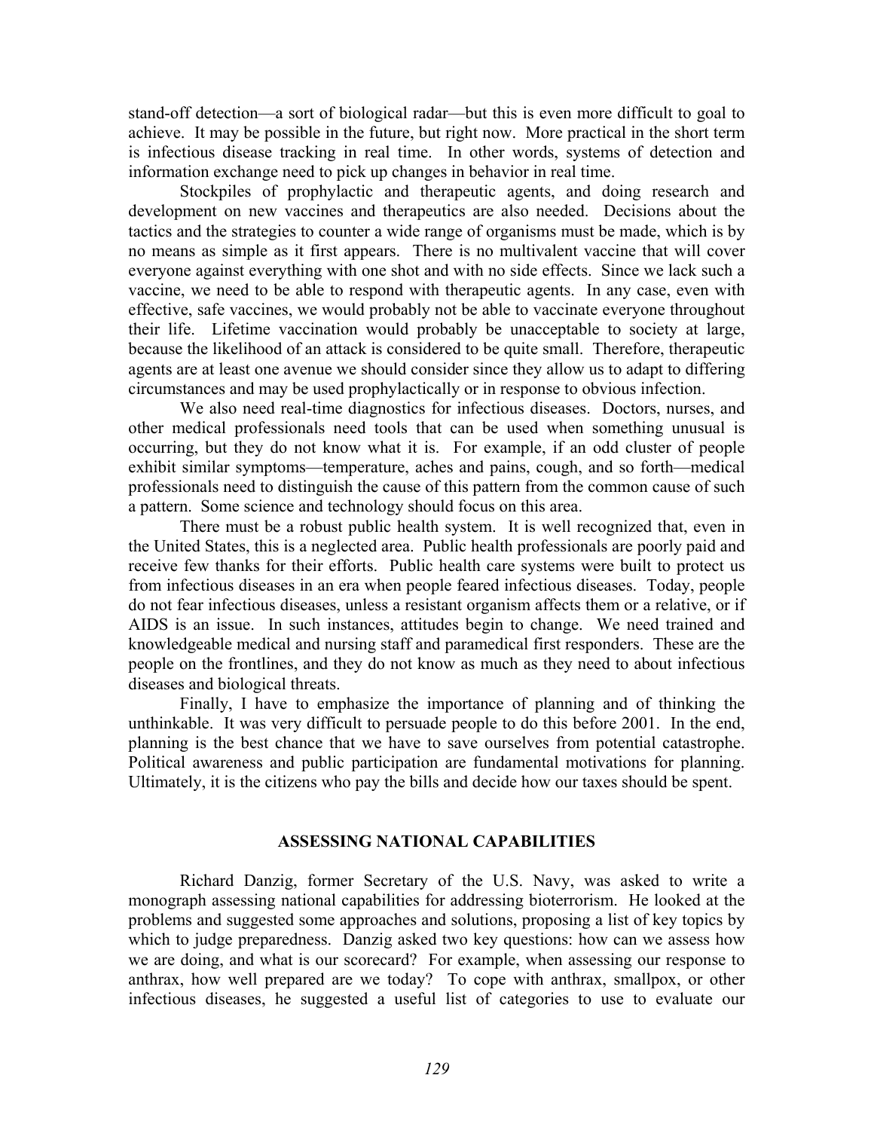stand-off detection—a sort of biological radar—but this is even more difficult to goal to achieve. It may be possible in the future, but right now. More practical in the short term is infectious disease tracking in real time. In other words, systems of detection and information exchange need to pick up changes in behavior in real time.

Stockpiles of prophylactic and therapeutic agents, and doing research and development on new vaccines and therapeutics are also needed. Decisions about the tactics and the strategies to counter a wide range of organisms must be made, which is by no means as simple as it first appears. There is no multivalent vaccine that will cover everyone against everything with one shot and with no side effects. Since we lack such a vaccine, we need to be able to respond with therapeutic agents. In any case, even with effective, safe vaccines, we would probably not be able to vaccinate everyone throughout their life. Lifetime vaccination would probably be unacceptable to society at large, because the likelihood of an attack is considered to be quite small. Therefore, therapeutic agents are at least one avenue we should consider since they allow us to adapt to differing circumstances and may be used prophylactically or in response to obvious infection.

We also need real-time diagnostics for infectious diseases. Doctors, nurses, and other medical professionals need tools that can be used when something unusual is occurring, but they do not know what it is. For example, if an odd cluster of people exhibit similar symptoms—temperature, aches and pains, cough, and so forth—medical professionals need to distinguish the cause of this pattern from the common cause of such a pattern. Some science and technology should focus on this area.

There must be a robust public health system. It is well recognized that, even in the United States, this is a neglected area. Public health professionals are poorly paid and receive few thanks for their efforts. Public health care systems were built to protect us from infectious diseases in an era when people feared infectious diseases. Today, people do not fear infectious diseases, unless a resistant organism affects them or a relative, or if AIDS is an issue. In such instances, attitudes begin to change. We need trained and knowledgeable medical and nursing staff and paramedical first responders. These are the people on the frontlines, and they do not know as much as they need to about infectious diseases and biological threats.

Finally, I have to emphasize the importance of planning and of thinking the unthinkable. It was very difficult to persuade people to do this before 2001. In the end, planning is the best chance that we have to save ourselves from potential catastrophe. Political awareness and public participation are fundamental motivations for planning. Ultimately, it is the citizens who pay the bills and decide how our taxes should be spent.

## **ASSESSING NATIONAL CAPABILITIES**

Richard Danzig, former Secretary of the U.S. Navy, was asked to write a monograph assessing national capabilities for addressing bioterrorism. He looked at the problems and suggested some approaches and solutions, proposing a list of key topics by which to judge preparedness. Danzig asked two key questions: how can we assess how we are doing, and what is our scorecard? For example, when assessing our response to anthrax, how well prepared are we today? To cope with anthrax, smallpox, or other infectious diseases, he suggested a useful list of categories to use to evaluate our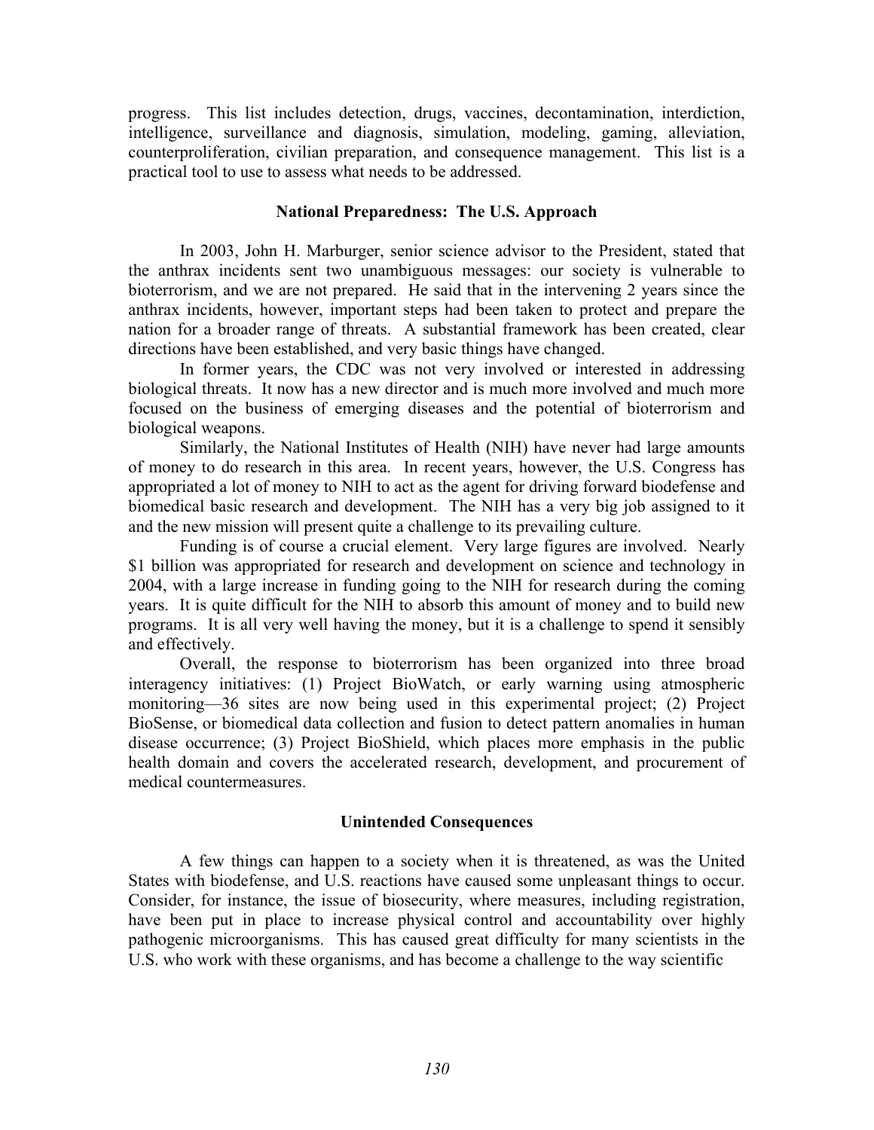progress. This list includes detection, drugs, vaccines, decontamination, interdiction, intelligence, surveillance and diagnosis, simulation, modeling, gaming, alleviation, counterproliferation, civilian preparation, and consequence management. This list is a practical tool to use to assess what needs to be addressed.

#### **National Preparedness: The U.S. Approach**

In 2003, John H. Marburger, senior science advisor to the President, stated that the anthrax incidents sent two unambiguous messages: our society is vulnerable to bioterrorism, and we are not prepared. He said that in the intervening 2 years since the anthrax incidents, however, important steps had been taken to protect and prepare the nation for a broader range of threats. A substantial framework has been created, clear directions have been established, and very basic things have changed.

In former years, the CDC was not very involved or interested in addressing biological threats. It now has a new director and is much more involved and much more focused on the business of emerging diseases and the potential of bioterrorism and biological weapons.

Similarly, the National Institutes of Health (NIH) have never had large amounts of money to do research in this area. In recent years, however, the U.S. Congress has appropriated a lot of money to NIH to act as the agent for driving forward biodefense and biomedical basic research and development. The NIH has a very big job assigned to it and the new mission will present quite a challenge to its prevailing culture.

Funding is of course a crucial element. Very large figures are involved. Nearly \$1 billion was appropriated for research and development on science and technology in 2004, with a large increase in funding going to the NIH for research during the coming years. It is quite difficult for the NIH to absorb this amount of money and to build new programs. It is all very well having the money, but it is a challenge to spend it sensibly and effectively.

Overall, the response to bioterrorism has been organized into three broad interagency initiatives: (1) Project BioWatch, or early warning using atmospheric monitoring—36 sites are now being used in this experimental project; (2) Project BioSense, or biomedical data collection and fusion to detect pattern anomalies in human disease occurrence; (3) Project BioShield, which places more emphasis in the public health domain and covers the accelerated research, development, and procurement of medical countermeasures.

#### **Unintended Consequences**

A few things can happen to a society when it is threatened, as was the United States with biodefense, and U.S. reactions have caused some unpleasant things to occur. Consider, for instance, the issue of biosecurity, where measures, including registration, have been put in place to increase physical control and accountability over highly pathogenic microorganisms. This has caused great difficulty for many scientists in the U.S. who work with these organisms, and has become a challenge to the way scientific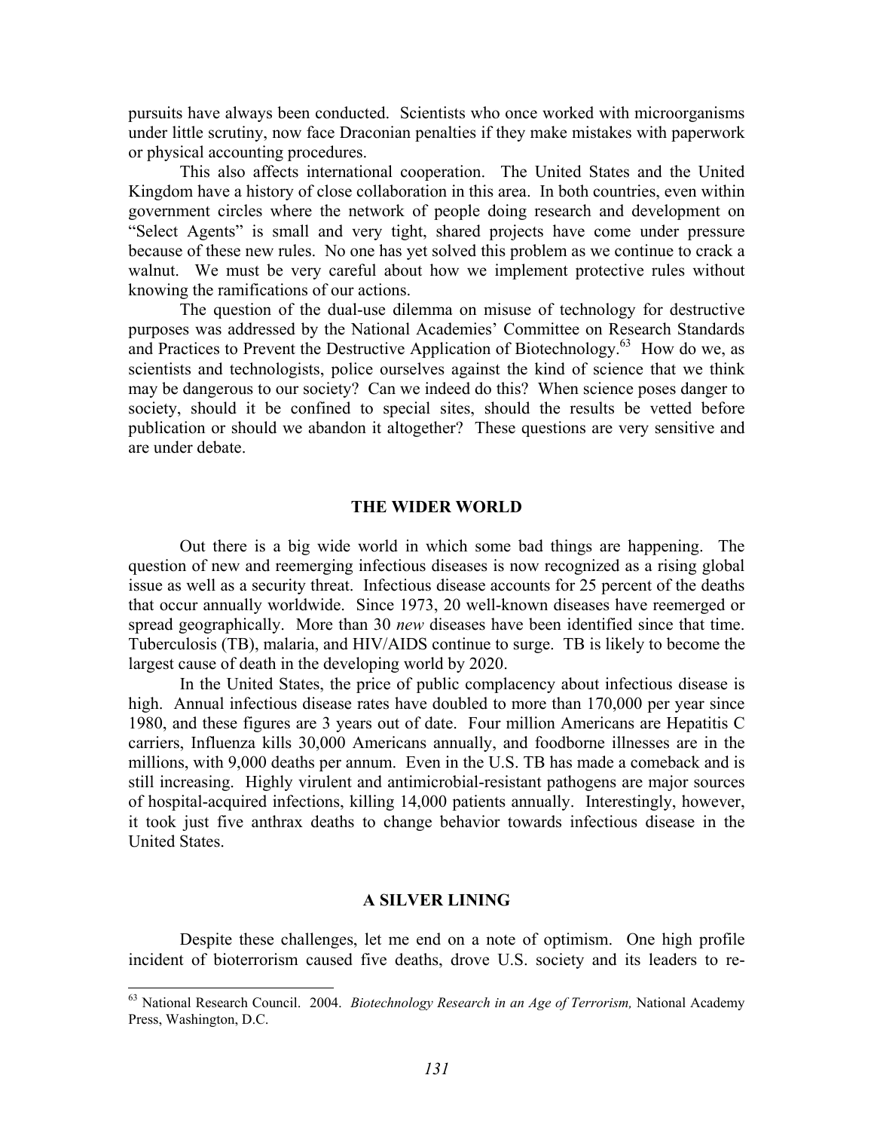pursuits have always been conducted. Scientists who once worked with microorganisms under little scrutiny, now face Draconian penalties if they make mistakes with paperwork or physical accounting procedures.

This also affects international cooperation. The United States and the United Kingdom have a history of close collaboration in this area. In both countries, even within government circles where the network of people doing research and development on "Select Agents" is small and very tight, shared projects have come under pressure because of these new rules. No one has yet solved this problem as we continue to crack a walnut. We must be very careful about how we implement protective rules without knowing the ramifications of our actions.

The question of the dual-use dilemma on misuse of technology for destructive purposes was addressed by the National Academies' Committee on Research Standards and Practices to Prevent the Destructive Application of Biotechnology.<sup>63</sup> How do we, as scientists and technologists, police ourselves against the kind of science that we think may be dangerous to our society? Can we indeed do this? When science poses danger to society, should it be confined to special sites, should the results be vetted before publication or should we abandon it altogether? These questions are very sensitive and are under debate.

#### **THE WIDER WORLD**

Out there is a big wide world in which some bad things are happening. The question of new and reemerging infectious diseases is now recognized as a rising global issue as well as a security threat. Infectious disease accounts for 25 percent of the deaths that occur annually worldwide. Since 1973, 20 well-known diseases have reemerged or spread geographically. More than 30 *new* diseases have been identified since that time. Tuberculosis (TB), malaria, and HIV/AIDS continue to surge. TB is likely to become the largest cause of death in the developing world by 2020.

In the United States, the price of public complacency about infectious disease is high. Annual infectious disease rates have doubled to more than 170,000 per year since 1980, and these figures are 3 years out of date. Four million Americans are Hepatitis C carriers, Influenza kills 30,000 Americans annually, and foodborne illnesses are in the millions, with 9,000 deaths per annum. Even in the U.S. TB has made a comeback and is still increasing. Highly virulent and antimicrobial-resistant pathogens are major sources of hospital-acquired infections, killing 14,000 patients annually. Interestingly, however, it took just five anthrax deaths to change behavior towards infectious disease in the United States.

#### **A SILVER LINING**

Despite these challenges, let me end on a note of optimism. One high profile incident of bioterrorism caused five deaths, drove U.S. society and its leaders to re-

<sup>63</sup> National Research Council. 2004. *Biotechnology Research in an Age of Terrorism,* National Academy Press, Washington, D.C.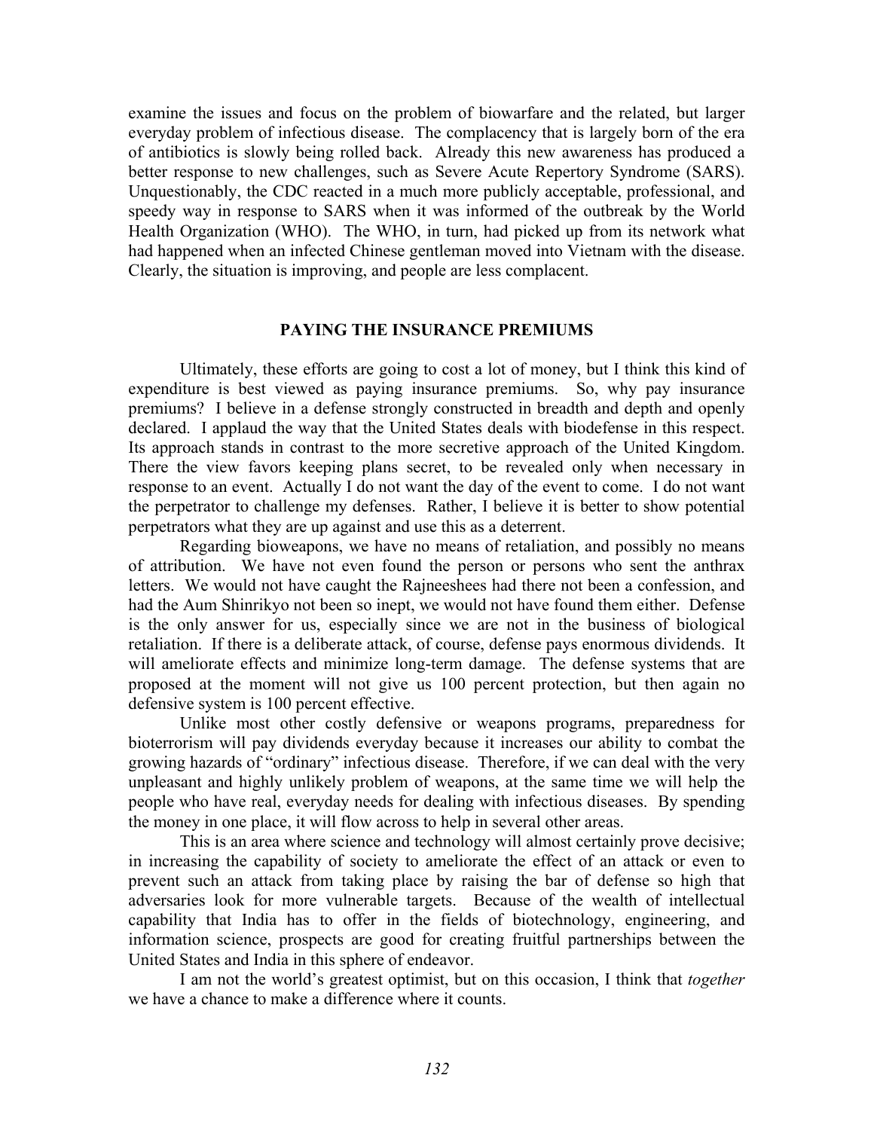examine the issues and focus on the problem of biowarfare and the related, but larger everyday problem of infectious disease. The complacency that is largely born of the era of antibiotics is slowly being rolled back. Already this new awareness has produced a better response to new challenges, such as Severe Acute Repertory Syndrome (SARS). Unquestionably, the CDC reacted in a much more publicly acceptable, professional, and speedy way in response to SARS when it was informed of the outbreak by the World Health Organization (WHO). The WHO, in turn, had picked up from its network what had happened when an infected Chinese gentleman moved into Vietnam with the disease. Clearly, the situation is improving, and people are less complacent.

#### **PAYING THE INSURANCE PREMIUMS**

Ultimately, these efforts are going to cost a lot of money, but I think this kind of expenditure is best viewed as paying insurance premiums. So, why pay insurance premiums? I believe in a defense strongly constructed in breadth and depth and openly declared. I applaud the way that the United States deals with biodefense in this respect. Its approach stands in contrast to the more secretive approach of the United Kingdom. There the view favors keeping plans secret, to be revealed only when necessary in response to an event. Actually I do not want the day of the event to come. I do not want the perpetrator to challenge my defenses. Rather, I believe it is better to show potential perpetrators what they are up against and use this as a deterrent.

Regarding bioweapons, we have no means of retaliation, and possibly no means of attribution. We have not even found the person or persons who sent the anthrax letters. We would not have caught the Rajneeshees had there not been a confession, and had the Aum Shinrikyo not been so inept, we would not have found them either. Defense is the only answer for us, especially since we are not in the business of biological retaliation. If there is a deliberate attack, of course, defense pays enormous dividends. It will ameliorate effects and minimize long-term damage. The defense systems that are proposed at the moment will not give us 100 percent protection, but then again no defensive system is 100 percent effective.

Unlike most other costly defensive or weapons programs, preparedness for bioterrorism will pay dividends everyday because it increases our ability to combat the growing hazards of "ordinary" infectious disease. Therefore, if we can deal with the very unpleasant and highly unlikely problem of weapons, at the same time we will help the people who have real, everyday needs for dealing with infectious diseases. By spending the money in one place, it will flow across to help in several other areas.

This is an area where science and technology will almost certainly prove decisive; in increasing the capability of society to ameliorate the effect of an attack or even to prevent such an attack from taking place by raising the bar of defense so high that adversaries look for more vulnerable targets. Because of the wealth of intellectual capability that India has to offer in the fields of biotechnology, engineering, and information science, prospects are good for creating fruitful partnerships between the United States and India in this sphere of endeavor.

I am not the world's greatest optimist, but on this occasion, I think that *together* we have a chance to make a difference where it counts.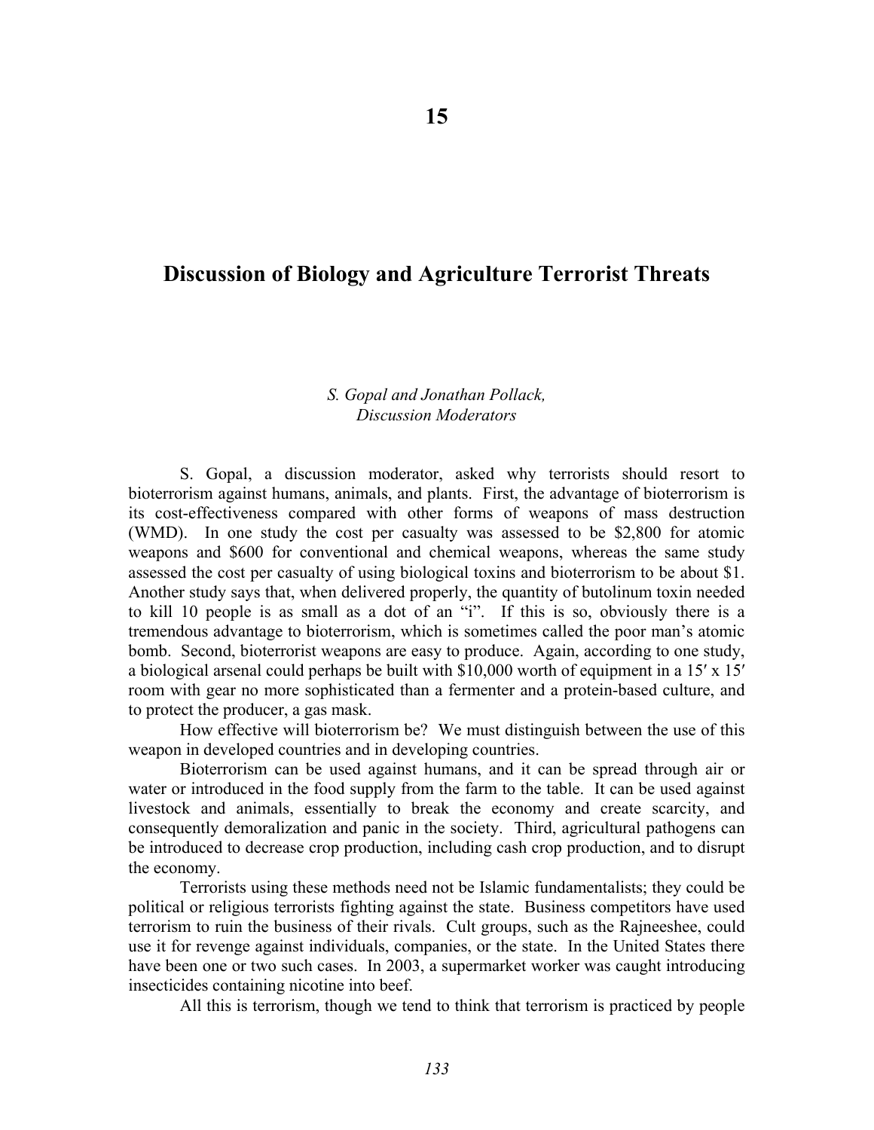# **Discussion of Biology and Agriculture Terrorist Threats**

### *S. Gopal and Jonathan Pollack, Discussion Moderators*

S. Gopal, a discussion moderator, asked why terrorists should resort to bioterrorism against humans, animals, and plants. First, the advantage of bioterrorism is its cost-effectiveness compared with other forms of weapons of mass destruction (WMD). In one study the cost per casualty was assessed to be \$2,800 for atomic weapons and \$600 for conventional and chemical weapons, whereas the same study assessed the cost per casualty of using biological toxins and bioterrorism to be about \$1. Another study says that, when delivered properly, the quantity of butolinum toxin needed to kill 10 people is as small as a dot of an "i". If this is so, obviously there is a tremendous advantage to bioterrorism, which is sometimes called the poor man's atomic bomb. Second, bioterrorist weapons are easy to produce. Again, according to one study, a biological arsenal could perhaps be built with \$10,000 worth of equipment in a 15′ x 15′ room with gear no more sophisticated than a fermenter and a protein-based culture, and to protect the producer, a gas mask.

How effective will bioterrorism be? We must distinguish between the use of this weapon in developed countries and in developing countries.

Bioterrorism can be used against humans, and it can be spread through air or water or introduced in the food supply from the farm to the table. It can be used against livestock and animals, essentially to break the economy and create scarcity, and consequently demoralization and panic in the society. Third, agricultural pathogens can be introduced to decrease crop production, including cash crop production, and to disrupt the economy.

Terrorists using these methods need not be Islamic fundamentalists; they could be political or religious terrorists fighting against the state. Business competitors have used terrorism to ruin the business of their rivals. Cult groups, such as the Rajneeshee, could use it for revenge against individuals, companies, or the state. In the United States there have been one or two such cases. In 2003, a supermarket worker was caught introducing insecticides containing nicotine into beef.

All this is terrorism, though we tend to think that terrorism is practiced by people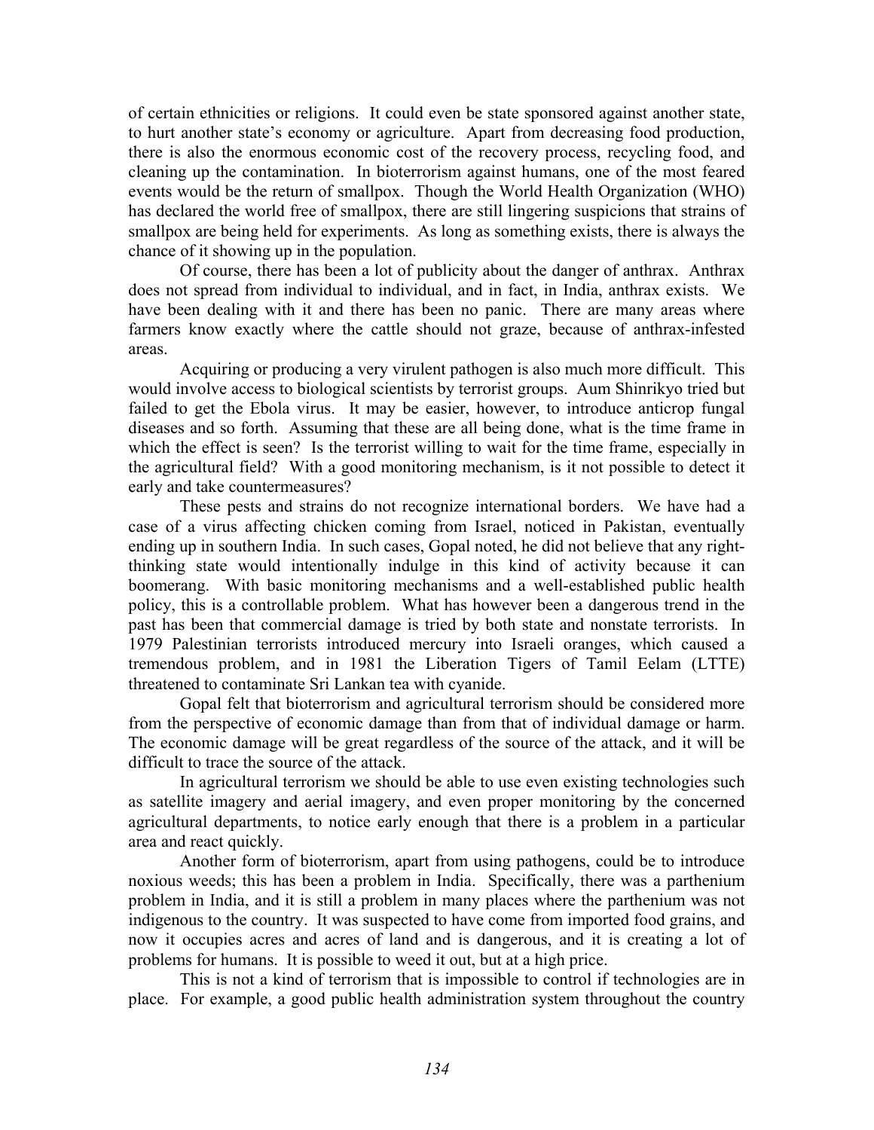of certain ethnicities or religions. It could even be state sponsored against another state, to hurt another state's economy or agriculture. Apart from decreasing food production, there is also the enormous economic cost of the recovery process, recycling food, and cleaning up the contamination. In bioterrorism against humans, one of the most feared events would be the return of smallpox. Though the World Health Organization (WHO) has declared the world free of smallpox, there are still lingering suspicions that strains of smallpox are being held for experiments. As long as something exists, there is always the chance of it showing up in the population.

Of course, there has been a lot of publicity about the danger of anthrax. Anthrax does not spread from individual to individual, and in fact, in India, anthrax exists. We have been dealing with it and there has been no panic. There are many areas where farmers know exactly where the cattle should not graze, because of anthrax-infested areas.

Acquiring or producing a very virulent pathogen is also much more difficult. This would involve access to biological scientists by terrorist groups. Aum Shinrikyo tried but failed to get the Ebola virus. It may be easier, however, to introduce anticrop fungal diseases and so forth. Assuming that these are all being done, what is the time frame in which the effect is seen? Is the terrorist willing to wait for the time frame, especially in the agricultural field? With a good monitoring mechanism, is it not possible to detect it early and take countermeasures?

These pests and strains do not recognize international borders. We have had a case of a virus affecting chicken coming from Israel, noticed in Pakistan, eventually ending up in southern India. In such cases, Gopal noted, he did not believe that any rightthinking state would intentionally indulge in this kind of activity because it can boomerang. With basic monitoring mechanisms and a well-established public health policy, this is a controllable problem. What has however been a dangerous trend in the past has been that commercial damage is tried by both state and nonstate terrorists. In 1979 Palestinian terrorists introduced mercury into Israeli oranges, which caused a tremendous problem, and in 1981 the Liberation Tigers of Tamil Eelam (LTTE) threatened to contaminate Sri Lankan tea with cyanide.

Gopal felt that bioterrorism and agricultural terrorism should be considered more from the perspective of economic damage than from that of individual damage or harm. The economic damage will be great regardless of the source of the attack, and it will be difficult to trace the source of the attack.

In agricultural terrorism we should be able to use even existing technologies such as satellite imagery and aerial imagery, and even proper monitoring by the concerned agricultural departments, to notice early enough that there is a problem in a particular area and react quickly.

Another form of bioterrorism, apart from using pathogens, could be to introduce noxious weeds; this has been a problem in India. Specifically, there was a parthenium problem in India, and it is still a problem in many places where the parthenium was not indigenous to the country. It was suspected to have come from imported food grains, and now it occupies acres and acres of land and is dangerous, and it is creating a lot of problems for humans. It is possible to weed it out, but at a high price.

This is not a kind of terrorism that is impossible to control if technologies are in place. For example, a good public health administration system throughout the country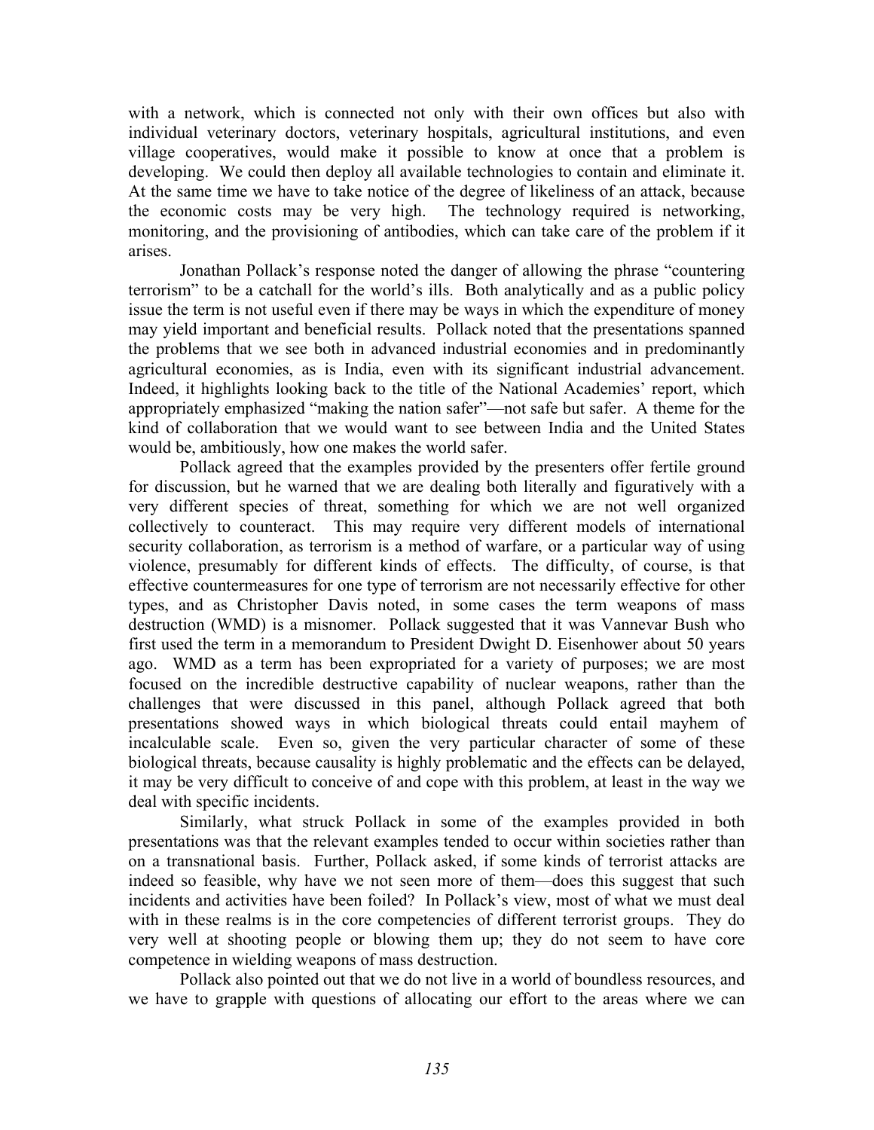with a network, which is connected not only with their own offices but also with individual veterinary doctors, veterinary hospitals, agricultural institutions, and even village cooperatives, would make it possible to know at once that a problem is developing. We could then deploy all available technologies to contain and eliminate it. At the same time we have to take notice of the degree of likeliness of an attack, because the economic costs may be very high. The technology required is networking, monitoring, and the provisioning of antibodies, which can take care of the problem if it arises.

Jonathan Pollack's response noted the danger of allowing the phrase "countering terrorism" to be a catchall for the world's ills. Both analytically and as a public policy issue the term is not useful even if there may be ways in which the expenditure of money may yield important and beneficial results. Pollack noted that the presentations spanned the problems that we see both in advanced industrial economies and in predominantly agricultural economies, as is India, even with its significant industrial advancement. Indeed, it highlights looking back to the title of the National Academies' report, which appropriately emphasized "making the nation safer"—not safe but safer. A theme for the kind of collaboration that we would want to see between India and the United States would be, ambitiously, how one makes the world safer.

Pollack agreed that the examples provided by the presenters offer fertile ground for discussion, but he warned that we are dealing both literally and figuratively with a very different species of threat, something for which we are not well organized collectively to counteract. This may require very different models of international security collaboration, as terrorism is a method of warfare, or a particular way of using violence, presumably for different kinds of effects. The difficulty, of course, is that effective countermeasures for one type of terrorism are not necessarily effective for other types, and as Christopher Davis noted, in some cases the term weapons of mass destruction (WMD) is a misnomer. Pollack suggested that it was Vannevar Bush who first used the term in a memorandum to President Dwight D. Eisenhower about 50 years ago. WMD as a term has been expropriated for a variety of purposes; we are most focused on the incredible destructive capability of nuclear weapons, rather than the challenges that were discussed in this panel, although Pollack agreed that both presentations showed ways in which biological threats could entail mayhem of incalculable scale. Even so, given the very particular character of some of these biological threats, because causality is highly problematic and the effects can be delayed, it may be very difficult to conceive of and cope with this problem, at least in the way we deal with specific incidents.

Similarly, what struck Pollack in some of the examples provided in both presentations was that the relevant examples tended to occur within societies rather than on a transnational basis. Further, Pollack asked, if some kinds of terrorist attacks are indeed so feasible, why have we not seen more of them—does this suggest that such incidents and activities have been foiled? In Pollack's view, most of what we must deal with in these realms is in the core competencies of different terrorist groups. They do very well at shooting people or blowing them up; they do not seem to have core competence in wielding weapons of mass destruction.

Pollack also pointed out that we do not live in a world of boundless resources, and we have to grapple with questions of allocating our effort to the areas where we can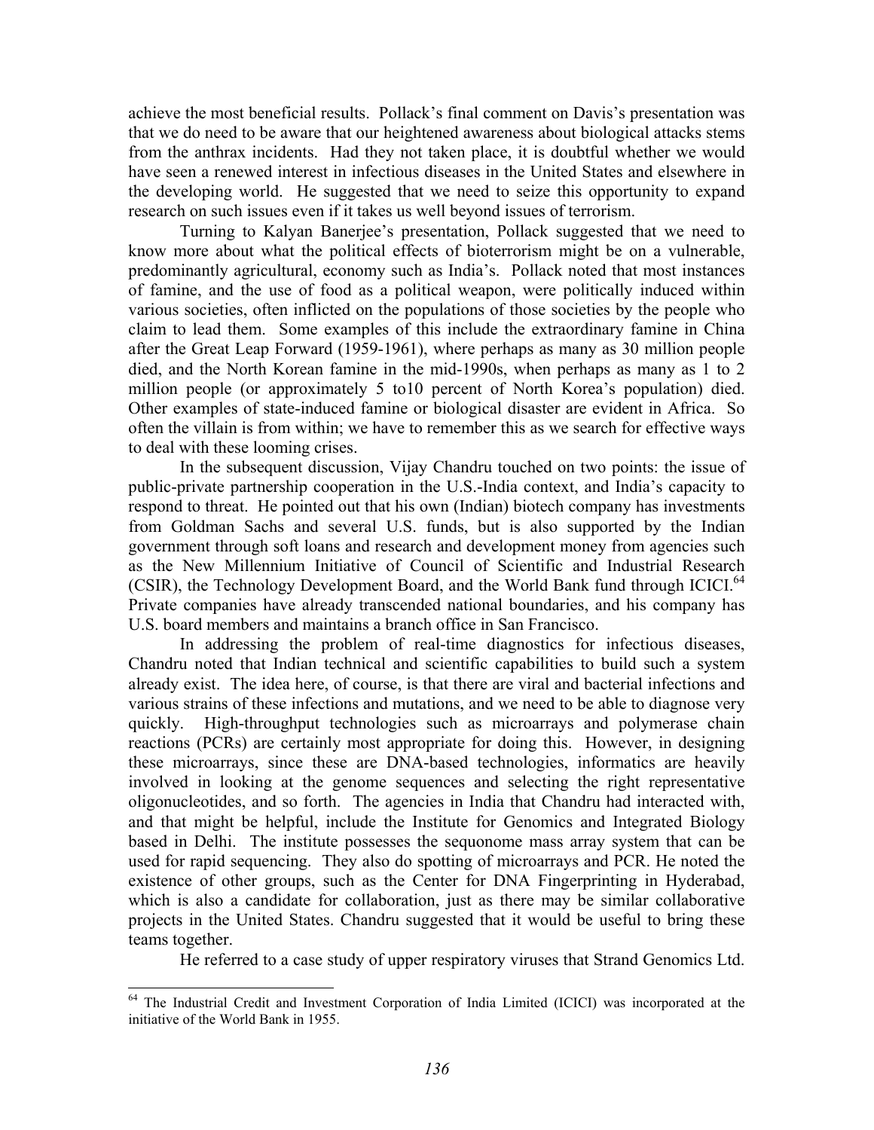achieve the most beneficial results. Pollack's final comment on Davis's presentation was that we do need to be aware that our heightened awareness about biological attacks stems from the anthrax incidents. Had they not taken place, it is doubtful whether we would have seen a renewed interest in infectious diseases in the United States and elsewhere in the developing world. He suggested that we need to seize this opportunity to expand research on such issues even if it takes us well beyond issues of terrorism.

Turning to Kalyan Banerjee's presentation, Pollack suggested that we need to know more about what the political effects of bioterrorism might be on a vulnerable, predominantly agricultural, economy such as India's. Pollack noted that most instances of famine, and the use of food as a political weapon, were politically induced within various societies, often inflicted on the populations of those societies by the people who claim to lead them. Some examples of this include the extraordinary famine in China after the Great Leap Forward (1959-1961), where perhaps as many as 30 million people died, and the North Korean famine in the mid-1990s, when perhaps as many as 1 to 2 million people (or approximately 5 to10 percent of North Korea's population) died. Other examples of state-induced famine or biological disaster are evident in Africa. So often the villain is from within; we have to remember this as we search for effective ways to deal with these looming crises.

In the subsequent discussion, Vijay Chandru touched on two points: the issue of public-private partnership cooperation in the U.S.-India context, and India's capacity to respond to threat. He pointed out that his own (Indian) biotech company has investments from Goldman Sachs and several U.S. funds, but is also supported by the Indian government through soft loans and research and development money from agencies such as the New Millennium Initiative of Council of Scientific and Industrial Research (CSIR), the Technology Development Board, and the World Bank fund through ICICI.<sup>64</sup> Private companies have already transcended national boundaries, and his company has U.S. board members and maintains a branch office in San Francisco.

In addressing the problem of real-time diagnostics for infectious diseases, Chandru noted that Indian technical and scientific capabilities to build such a system already exist. The idea here, of course, is that there are viral and bacterial infections and various strains of these infections and mutations, and we need to be able to diagnose very quickly. High-throughput technologies such as microarrays and polymerase chain reactions (PCRs) are certainly most appropriate for doing this. However, in designing these microarrays, since these are DNA-based technologies, informatics are heavily involved in looking at the genome sequences and selecting the right representative oligonucleotides, and so forth. The agencies in India that Chandru had interacted with, and that might be helpful, include the Institute for Genomics and Integrated Biology based in Delhi. The institute possesses the sequonome mass array system that can be used for rapid sequencing. They also do spotting of microarrays and PCR. He noted the existence of other groups, such as the Center for DNA Fingerprinting in Hyderabad, which is also a candidate for collaboration, just as there may be similar collaborative projects in the United States. Chandru suggested that it would be useful to bring these teams together.

He referred to a case study of upper respiratory viruses that Strand Genomics Ltd.

 $\overline{a}$ 

<sup>&</sup>lt;sup>64</sup> The Industrial Credit and Investment Corporation of India Limited (ICICI) was incorporated at the initiative of the World Bank in 1955.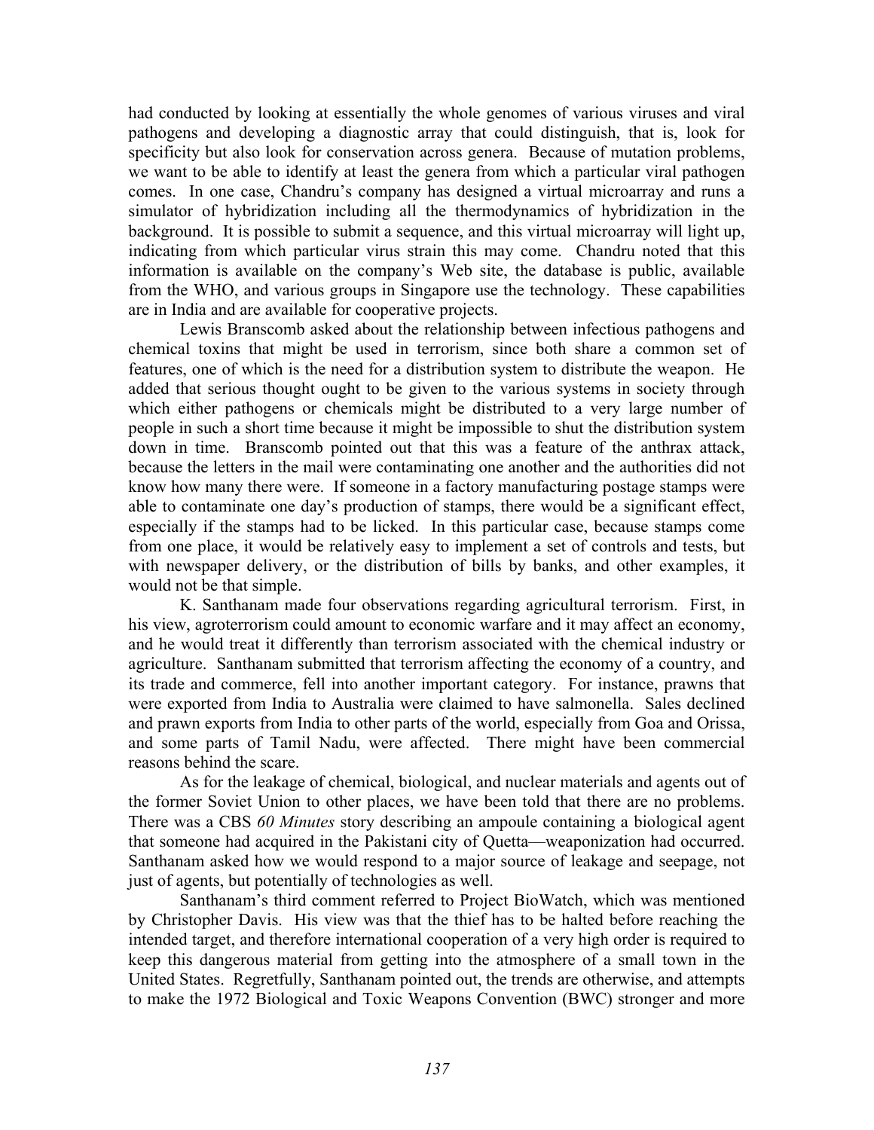had conducted by looking at essentially the whole genomes of various viruses and viral pathogens and developing a diagnostic array that could distinguish, that is, look for specificity but also look for conservation across genera. Because of mutation problems, we want to be able to identify at least the genera from which a particular viral pathogen comes. In one case, Chandru's company has designed a virtual microarray and runs a simulator of hybridization including all the thermodynamics of hybridization in the background. It is possible to submit a sequence, and this virtual microarray will light up, indicating from which particular virus strain this may come. Chandru noted that this information is available on the company's Web site, the database is public, available from the WHO, and various groups in Singapore use the technology. These capabilities are in India and are available for cooperative projects.

Lewis Branscomb asked about the relationship between infectious pathogens and chemical toxins that might be used in terrorism, since both share a common set of features, one of which is the need for a distribution system to distribute the weapon. He added that serious thought ought to be given to the various systems in society through which either pathogens or chemicals might be distributed to a very large number of people in such a short time because it might be impossible to shut the distribution system down in time. Branscomb pointed out that this was a feature of the anthrax attack, because the letters in the mail were contaminating one another and the authorities did not know how many there were. If someone in a factory manufacturing postage stamps were able to contaminate one day's production of stamps, there would be a significant effect, especially if the stamps had to be licked. In this particular case, because stamps come from one place, it would be relatively easy to implement a set of controls and tests, but with newspaper delivery, or the distribution of bills by banks, and other examples, it would not be that simple.

K. Santhanam made four observations regarding agricultural terrorism. First, in his view, agroterrorism could amount to economic warfare and it may affect an economy, and he would treat it differently than terrorism associated with the chemical industry or agriculture. Santhanam submitted that terrorism affecting the economy of a country, and its trade and commerce, fell into another important category. For instance, prawns that were exported from India to Australia were claimed to have salmonella. Sales declined and prawn exports from India to other parts of the world, especially from Goa and Orissa, and some parts of Tamil Nadu, were affected. There might have been commercial reasons behind the scare.

As for the leakage of chemical, biological, and nuclear materials and agents out of the former Soviet Union to other places, we have been told that there are no problems. There was a CBS *60 Minutes* story describing an ampoule containing a biological agent that someone had acquired in the Pakistani city of Quetta—weaponization had occurred. Santhanam asked how we would respond to a major source of leakage and seepage, not just of agents, but potentially of technologies as well.

Santhanam's third comment referred to Project BioWatch, which was mentioned by Christopher Davis. His view was that the thief has to be halted before reaching the intended target, and therefore international cooperation of a very high order is required to keep this dangerous material from getting into the atmosphere of a small town in the United States. Regretfully, Santhanam pointed out, the trends are otherwise, and attempts to make the 1972 Biological and Toxic Weapons Convention (BWC) stronger and more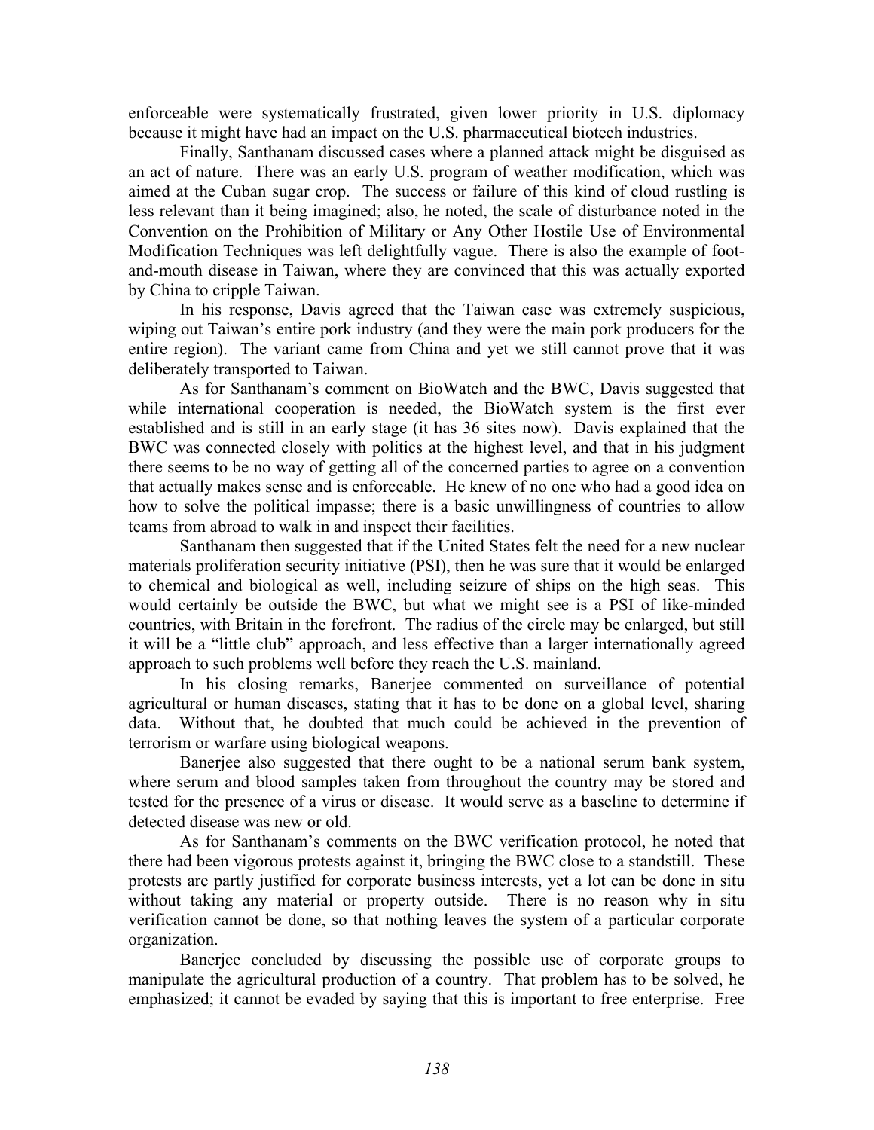enforceable were systematically frustrated, given lower priority in U.S. diplomacy because it might have had an impact on the U.S. pharmaceutical biotech industries.

Finally, Santhanam discussed cases where a planned attack might be disguised as an act of nature. There was an early U.S. program of weather modification, which was aimed at the Cuban sugar crop. The success or failure of this kind of cloud rustling is less relevant than it being imagined; also, he noted, the scale of disturbance noted in the Convention on the Prohibition of Military or Any Other Hostile Use of Environmental Modification Techniques was left delightfully vague. There is also the example of footand-mouth disease in Taiwan, where they are convinced that this was actually exported by China to cripple Taiwan.

In his response, Davis agreed that the Taiwan case was extremely suspicious, wiping out Taiwan's entire pork industry (and they were the main pork producers for the entire region). The variant came from China and yet we still cannot prove that it was deliberately transported to Taiwan.

As for Santhanam's comment on BioWatch and the BWC, Davis suggested that while international cooperation is needed, the BioWatch system is the first ever established and is still in an early stage (it has 36 sites now). Davis explained that the BWC was connected closely with politics at the highest level, and that in his judgment there seems to be no way of getting all of the concerned parties to agree on a convention that actually makes sense and is enforceable. He knew of no one who had a good idea on how to solve the political impasse; there is a basic unwillingness of countries to allow teams from abroad to walk in and inspect their facilities.

Santhanam then suggested that if the United States felt the need for a new nuclear materials proliferation security initiative (PSI), then he was sure that it would be enlarged to chemical and biological as well, including seizure of ships on the high seas. This would certainly be outside the BWC, but what we might see is a PSI of like-minded countries, with Britain in the forefront. The radius of the circle may be enlarged, but still it will be a "little club" approach, and less effective than a larger internationally agreed approach to such problems well before they reach the U.S. mainland.

In his closing remarks, Banerjee commented on surveillance of potential agricultural or human diseases, stating that it has to be done on a global level, sharing data. Without that, he doubted that much could be achieved in the prevention of terrorism or warfare using biological weapons.

Banerjee also suggested that there ought to be a national serum bank system, where serum and blood samples taken from throughout the country may be stored and tested for the presence of a virus or disease. It would serve as a baseline to determine if detected disease was new or old.

As for Santhanam's comments on the BWC verification protocol, he noted that there had been vigorous protests against it, bringing the BWC close to a standstill. These protests are partly justified for corporate business interests, yet a lot can be done in situ without taking any material or property outside. There is no reason why in situ verification cannot be done, so that nothing leaves the system of a particular corporate organization.

Banerjee concluded by discussing the possible use of corporate groups to manipulate the agricultural production of a country. That problem has to be solved, he emphasized; it cannot be evaded by saying that this is important to free enterprise. Free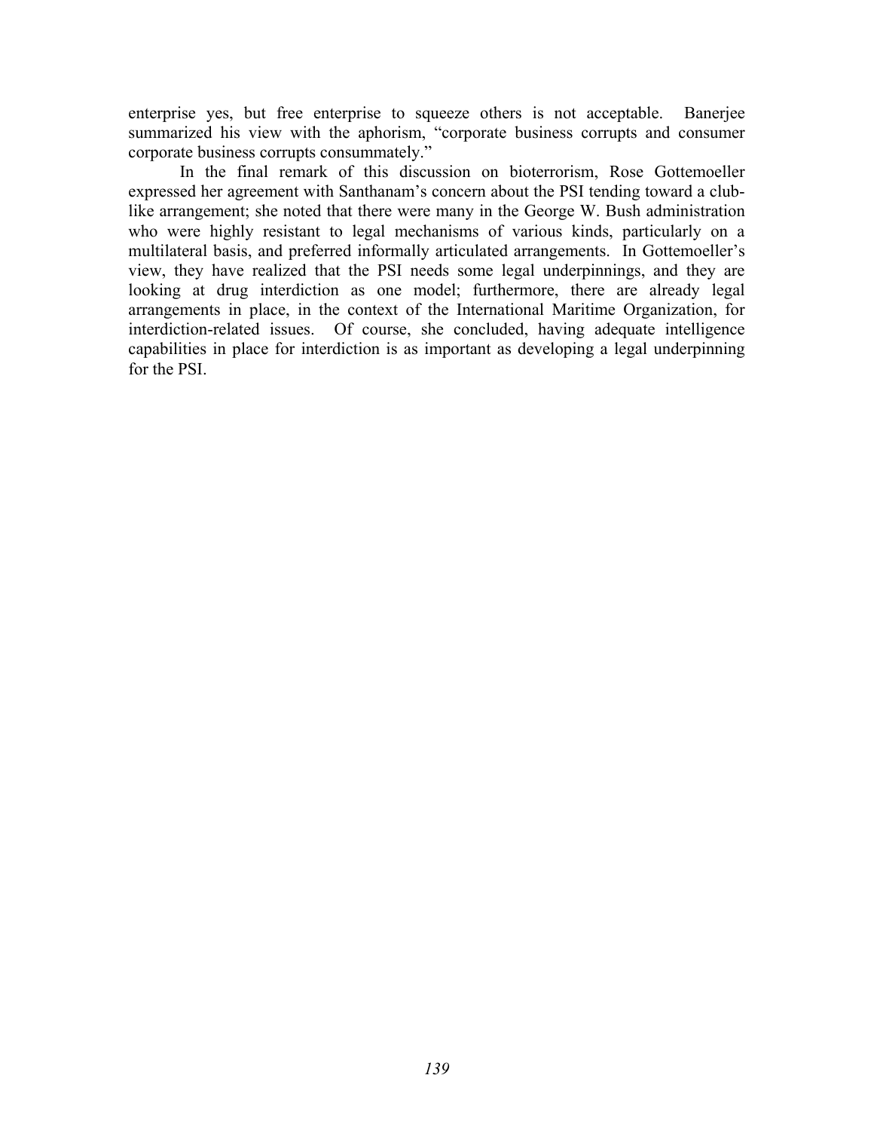enterprise yes, but free enterprise to squeeze others is not acceptable. Banerjee summarized his view with the aphorism, "corporate business corrupts and consumer corporate business corrupts consummately."

In the final remark of this discussion on bioterrorism, Rose Gottemoeller expressed her agreement with Santhanam's concern about the PSI tending toward a clublike arrangement; she noted that there were many in the George W. Bush administration who were highly resistant to legal mechanisms of various kinds, particularly on a multilateral basis, and preferred informally articulated arrangements. In Gottemoeller's view, they have realized that the PSI needs some legal underpinnings, and they are looking at drug interdiction as one model; furthermore, there are already legal arrangements in place, in the context of the International Maritime Organization, for interdiction-related issues. Of course, she concluded, having adequate intelligence capabilities in place for interdiction is as important as developing a legal underpinning for the PSI.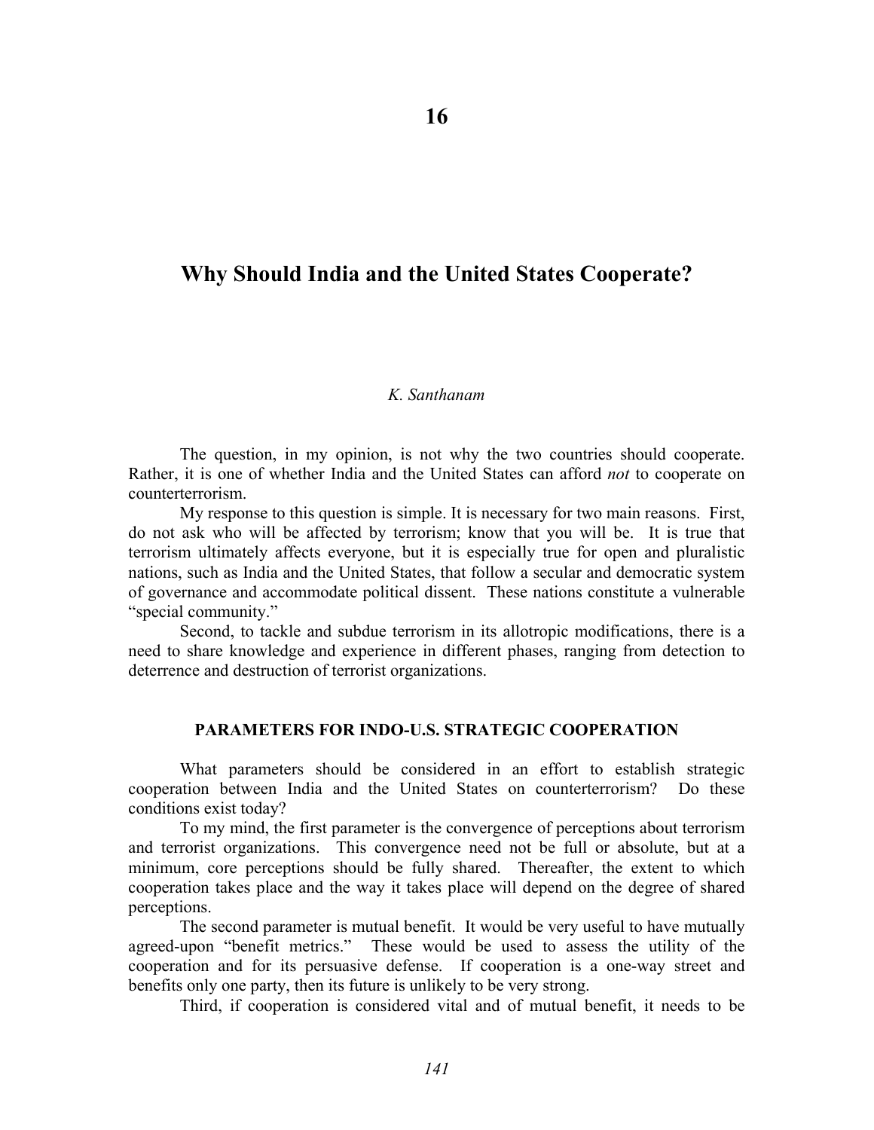**16** 

# **Why Should India and the United States Cooperate?**

#### *K. Santhanam*

The question, in my opinion, is not why the two countries should cooperate. Rather, it is one of whether India and the United States can afford *not* to cooperate on counterterrorism.

My response to this question is simple. It is necessary for two main reasons. First, do not ask who will be affected by terrorism; know that you will be. It is true that terrorism ultimately affects everyone, but it is especially true for open and pluralistic nations, such as India and the United States, that follow a secular and democratic system of governance and accommodate political dissent. These nations constitute a vulnerable "special community."

Second, to tackle and subdue terrorism in its allotropic modifications, there is a need to share knowledge and experience in different phases, ranging from detection to deterrence and destruction of terrorist organizations.

#### **PARAMETERS FOR INDO-U.S. STRATEGIC COOPERATION**

What parameters should be considered in an effort to establish strategic cooperation between India and the United States on counterterrorism? Do these conditions exist today?

To my mind, the first parameter is the convergence of perceptions about terrorism and terrorist organizations. This convergence need not be full or absolute, but at a minimum, core perceptions should be fully shared. Thereafter, the extent to which cooperation takes place and the way it takes place will depend on the degree of shared perceptions.

The second parameter is mutual benefit. It would be very useful to have mutually agreed-upon "benefit metrics." These would be used to assess the utility of the cooperation and for its persuasive defense. If cooperation is a one-way street and benefits only one party, then its future is unlikely to be very strong.

Third, if cooperation is considered vital and of mutual benefit, it needs to be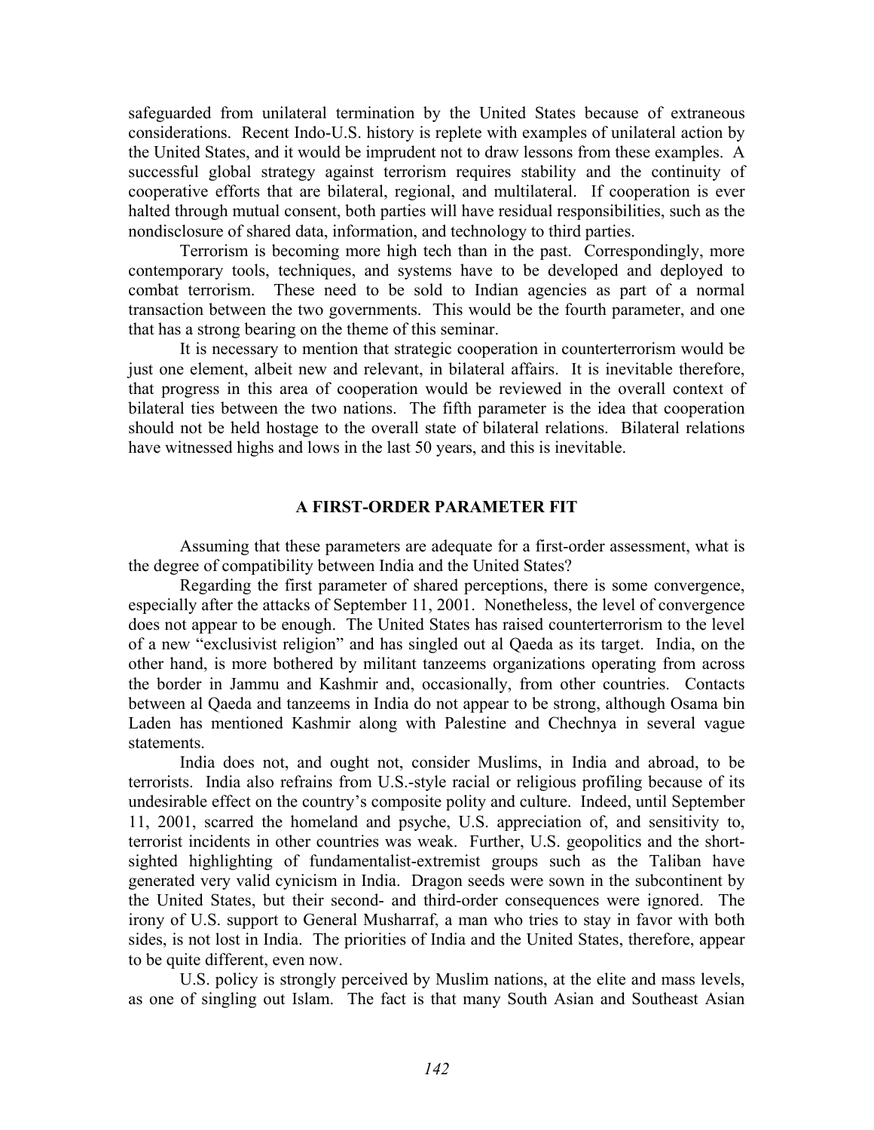safeguarded from unilateral termination by the United States because of extraneous considerations. Recent Indo-U.S. history is replete with examples of unilateral action by the United States, and it would be imprudent not to draw lessons from these examples. A successful global strategy against terrorism requires stability and the continuity of cooperative efforts that are bilateral, regional, and multilateral. If cooperation is ever halted through mutual consent, both parties will have residual responsibilities, such as the nondisclosure of shared data, information, and technology to third parties.

Terrorism is becoming more high tech than in the past. Correspondingly, more contemporary tools, techniques, and systems have to be developed and deployed to combat terrorism. These need to be sold to Indian agencies as part of a normal transaction between the two governments. This would be the fourth parameter, and one that has a strong bearing on the theme of this seminar.

It is necessary to mention that strategic cooperation in counterterrorism would be just one element, albeit new and relevant, in bilateral affairs. It is inevitable therefore, that progress in this area of cooperation would be reviewed in the overall context of bilateral ties between the two nations. The fifth parameter is the idea that cooperation should not be held hostage to the overall state of bilateral relations. Bilateral relations have witnessed highs and lows in the last 50 years, and this is inevitable.

#### **A FIRST-ORDER PARAMETER FIT**

Assuming that these parameters are adequate for a first-order assessment, what is the degree of compatibility between India and the United States?

Regarding the first parameter of shared perceptions, there is some convergence, especially after the attacks of September 11, 2001. Nonetheless, the level of convergence does not appear to be enough. The United States has raised counterterrorism to the level of a new "exclusivist religion" and has singled out al Qaeda as its target. India, on the other hand, is more bothered by militant tanzeems organizations operating from across the border in Jammu and Kashmir and, occasionally, from other countries. Contacts between al Qaeda and tanzeems in India do not appear to be strong, although Osama bin Laden has mentioned Kashmir along with Palestine and Chechnya in several vague statements.

India does not, and ought not, consider Muslims, in India and abroad, to be terrorists. India also refrains from U.S.-style racial or religious profiling because of its undesirable effect on the country's composite polity and culture. Indeed, until September 11, 2001, scarred the homeland and psyche, U.S. appreciation of, and sensitivity to, terrorist incidents in other countries was weak. Further, U.S. geopolitics and the shortsighted highlighting of fundamentalist-extremist groups such as the Taliban have generated very valid cynicism in India. Dragon seeds were sown in the subcontinent by the United States, but their second- and third-order consequences were ignored. The irony of U.S. support to General Musharraf, a man who tries to stay in favor with both sides, is not lost in India. The priorities of India and the United States, therefore, appear to be quite different, even now.

U.S. policy is strongly perceived by Muslim nations, at the elite and mass levels, as one of singling out Islam. The fact is that many South Asian and Southeast Asian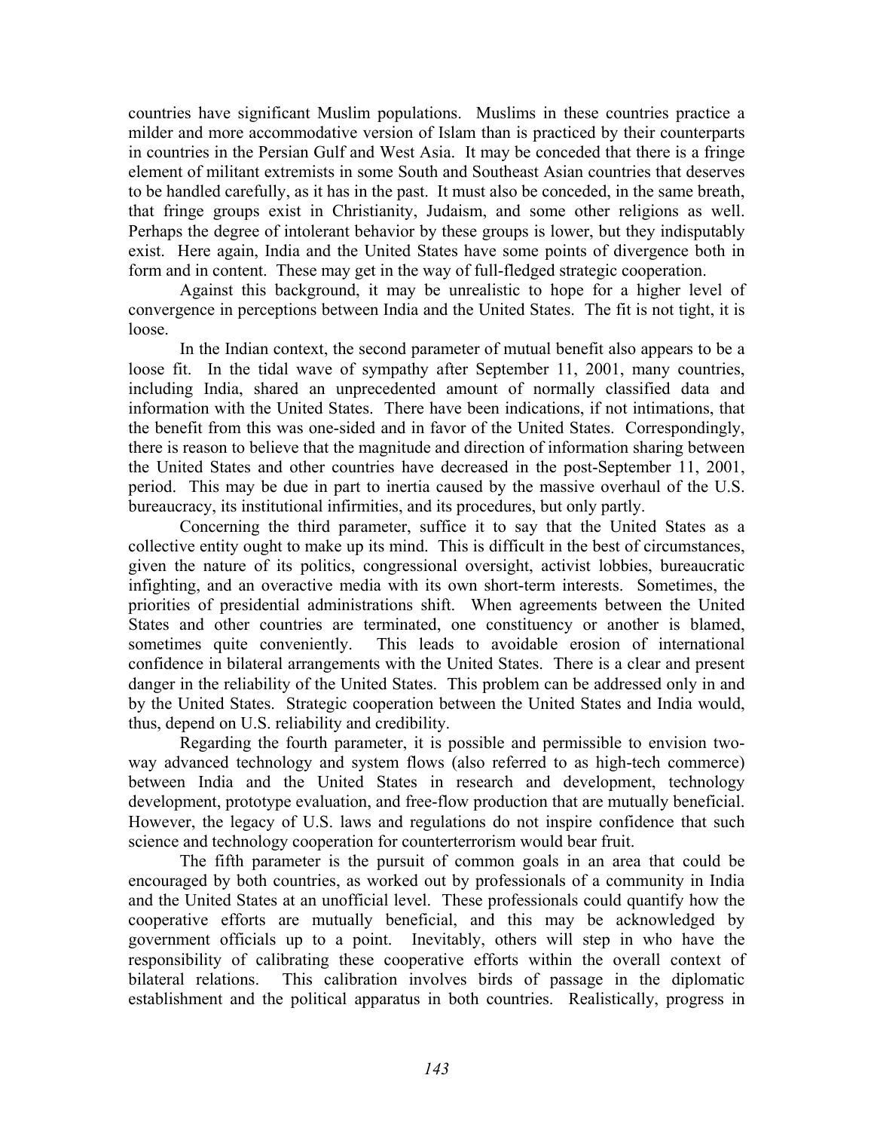countries have significant Muslim populations. Muslims in these countries practice a milder and more accommodative version of Islam than is practiced by their counterparts in countries in the Persian Gulf and West Asia. It may be conceded that there is a fringe element of militant extremists in some South and Southeast Asian countries that deserves to be handled carefully, as it has in the past. It must also be conceded, in the same breath, that fringe groups exist in Christianity, Judaism, and some other religions as well. Perhaps the degree of intolerant behavior by these groups is lower, but they indisputably exist. Here again, India and the United States have some points of divergence both in form and in content. These may get in the way of full-fledged strategic cooperation.

Against this background, it may be unrealistic to hope for a higher level of convergence in perceptions between India and the United States. The fit is not tight, it is loose.

In the Indian context, the second parameter of mutual benefit also appears to be a loose fit. In the tidal wave of sympathy after September 11, 2001, many countries, including India, shared an unprecedented amount of normally classified data and information with the United States. There have been indications, if not intimations, that the benefit from this was one-sided and in favor of the United States. Correspondingly, there is reason to believe that the magnitude and direction of information sharing between the United States and other countries have decreased in the post-September 11, 2001, period. This may be due in part to inertia caused by the massive overhaul of the U.S. bureaucracy, its institutional infirmities, and its procedures, but only partly.

Concerning the third parameter, suffice it to say that the United States as a collective entity ought to make up its mind. This is difficult in the best of circumstances, given the nature of its politics, congressional oversight, activist lobbies, bureaucratic infighting, and an overactive media with its own short-term interests. Sometimes, the priorities of presidential administrations shift. When agreements between the United States and other countries are terminated, one constituency or another is blamed, sometimes quite conveniently. This leads to avoidable erosion of international confidence in bilateral arrangements with the United States. There is a clear and present danger in the reliability of the United States. This problem can be addressed only in and by the United States. Strategic cooperation between the United States and India would, thus, depend on U.S. reliability and credibility.

Regarding the fourth parameter, it is possible and permissible to envision twoway advanced technology and system flows (also referred to as high-tech commerce) between India and the United States in research and development, technology development, prototype evaluation, and free-flow production that are mutually beneficial. However, the legacy of U.S. laws and regulations do not inspire confidence that such science and technology cooperation for counterterrorism would bear fruit.

The fifth parameter is the pursuit of common goals in an area that could be encouraged by both countries, as worked out by professionals of a community in India and the United States at an unofficial level. These professionals could quantify how the cooperative efforts are mutually beneficial, and this may be acknowledged by government officials up to a point. Inevitably, others will step in who have the responsibility of calibrating these cooperative efforts within the overall context of bilateral relations. This calibration involves birds of passage in the diplomatic establishment and the political apparatus in both countries. Realistically, progress in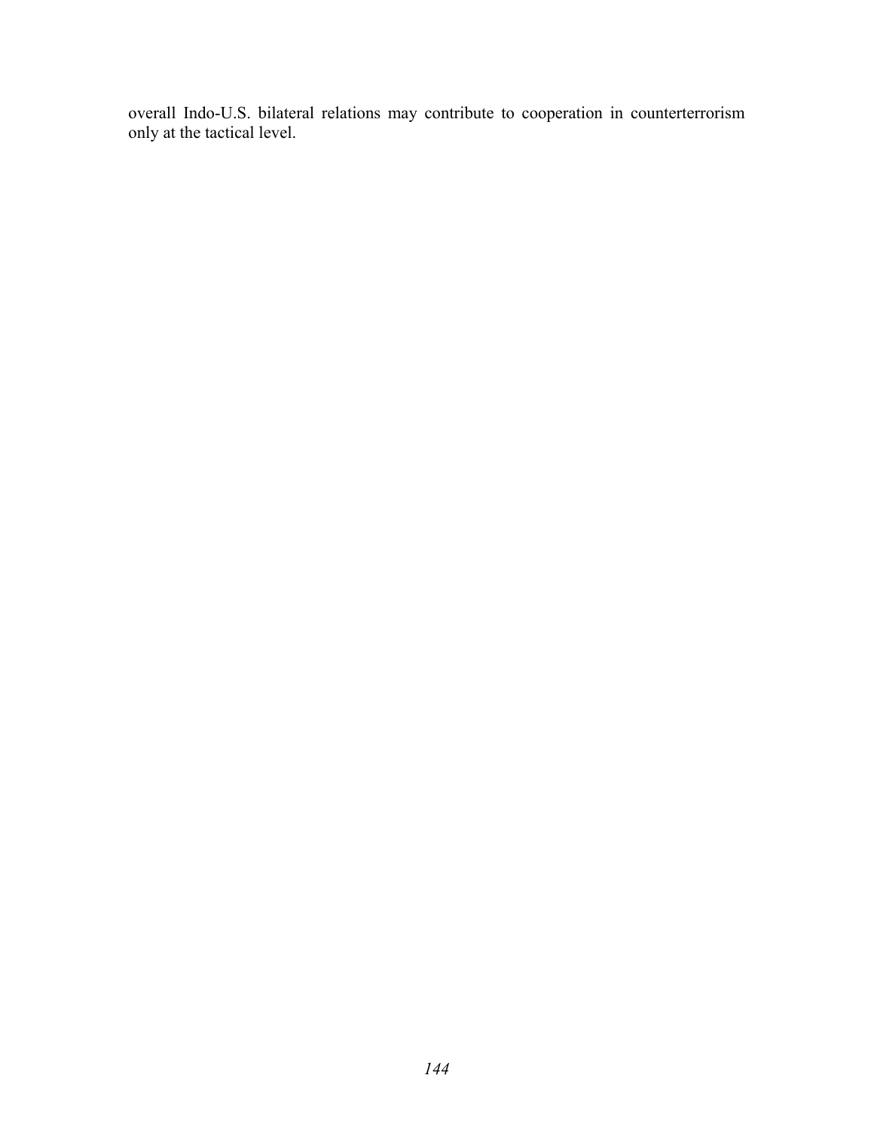overall Indo-U.S. bilateral relations may contribute to cooperation in counterterrorism only at the tactical level.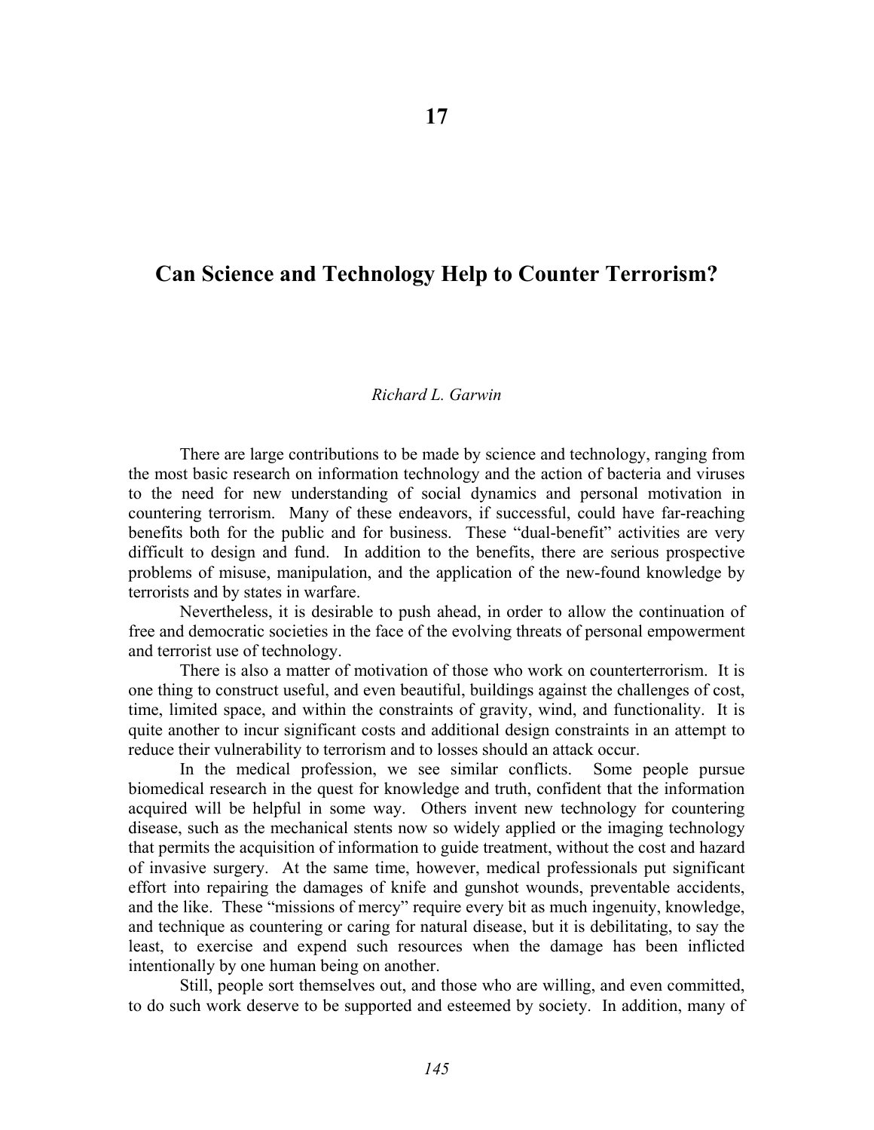# **Can Science and Technology Help to Counter Terrorism?**

#### *Richard L. Garwin*

There are large contributions to be made by science and technology, ranging from the most basic research on information technology and the action of bacteria and viruses to the need for new understanding of social dynamics and personal motivation in countering terrorism. Many of these endeavors, if successful, could have far-reaching benefits both for the public and for business. These "dual-benefit" activities are very difficult to design and fund. In addition to the benefits, there are serious prospective problems of misuse, manipulation, and the application of the new-found knowledge by terrorists and by states in warfare.

Nevertheless, it is desirable to push ahead, in order to allow the continuation of free and democratic societies in the face of the evolving threats of personal empowerment and terrorist use of technology.

There is also a matter of motivation of those who work on counterterrorism. It is one thing to construct useful, and even beautiful, buildings against the challenges of cost, time, limited space, and within the constraints of gravity, wind, and functionality. It is quite another to incur significant costs and additional design constraints in an attempt to reduce their vulnerability to terrorism and to losses should an attack occur.

In the medical profession, we see similar conflicts. Some people pursue biomedical research in the quest for knowledge and truth, confident that the information acquired will be helpful in some way. Others invent new technology for countering disease, such as the mechanical stents now so widely applied or the imaging technology that permits the acquisition of information to guide treatment, without the cost and hazard of invasive surgery. At the same time, however, medical professionals put significant effort into repairing the damages of knife and gunshot wounds, preventable accidents, and the like. These "missions of mercy" require every bit as much ingenuity, knowledge, and technique as countering or caring for natural disease, but it is debilitating, to say the least, to exercise and expend such resources when the damage has been inflicted intentionally by one human being on another.

Still, people sort themselves out, and those who are willing, and even committed, to do such work deserve to be supported and esteemed by society. In addition, many of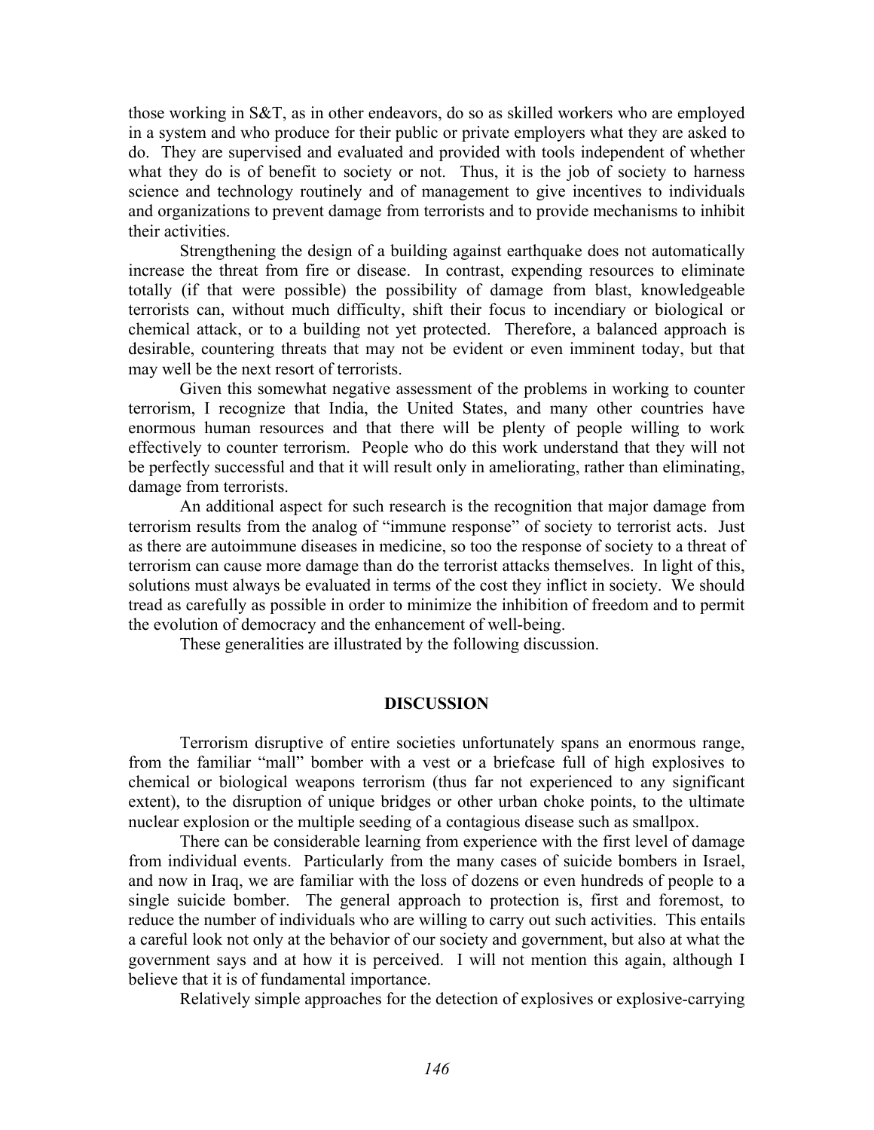those working in S&T, as in other endeavors, do so as skilled workers who are employed in a system and who produce for their public or private employers what they are asked to do. They are supervised and evaluated and provided with tools independent of whether what they do is of benefit to society or not. Thus, it is the job of society to harness science and technology routinely and of management to give incentives to individuals and organizations to prevent damage from terrorists and to provide mechanisms to inhibit their activities.

Strengthening the design of a building against earthquake does not automatically increase the threat from fire or disease. In contrast, expending resources to eliminate totally (if that were possible) the possibility of damage from blast, knowledgeable terrorists can, without much difficulty, shift their focus to incendiary or biological or chemical attack, or to a building not yet protected. Therefore, a balanced approach is desirable, countering threats that may not be evident or even imminent today, but that may well be the next resort of terrorists.

Given this somewhat negative assessment of the problems in working to counter terrorism, I recognize that India, the United States, and many other countries have enormous human resources and that there will be plenty of people willing to work effectively to counter terrorism. People who do this work understand that they will not be perfectly successful and that it will result only in ameliorating, rather than eliminating, damage from terrorists.

An additional aspect for such research is the recognition that major damage from terrorism results from the analog of "immune response" of society to terrorist acts. Just as there are autoimmune diseases in medicine, so too the response of society to a threat of terrorism can cause more damage than do the terrorist attacks themselves. In light of this, solutions must always be evaluated in terms of the cost they inflict in society. We should tread as carefully as possible in order to minimize the inhibition of freedom and to permit the evolution of democracy and the enhancement of well-being.

These generalities are illustrated by the following discussion.

#### **DISCUSSION**

Terrorism disruptive of entire societies unfortunately spans an enormous range, from the familiar "mall" bomber with a vest or a briefcase full of high explosives to chemical or biological weapons terrorism (thus far not experienced to any significant extent), to the disruption of unique bridges or other urban choke points, to the ultimate nuclear explosion or the multiple seeding of a contagious disease such as smallpox.

There can be considerable learning from experience with the first level of damage from individual events. Particularly from the many cases of suicide bombers in Israel, and now in Iraq, we are familiar with the loss of dozens or even hundreds of people to a single suicide bomber. The general approach to protection is, first and foremost, to reduce the number of individuals who are willing to carry out such activities. This entails a careful look not only at the behavior of our society and government, but also at what the government says and at how it is perceived. I will not mention this again, although I believe that it is of fundamental importance.

Relatively simple approaches for the detection of explosives or explosive-carrying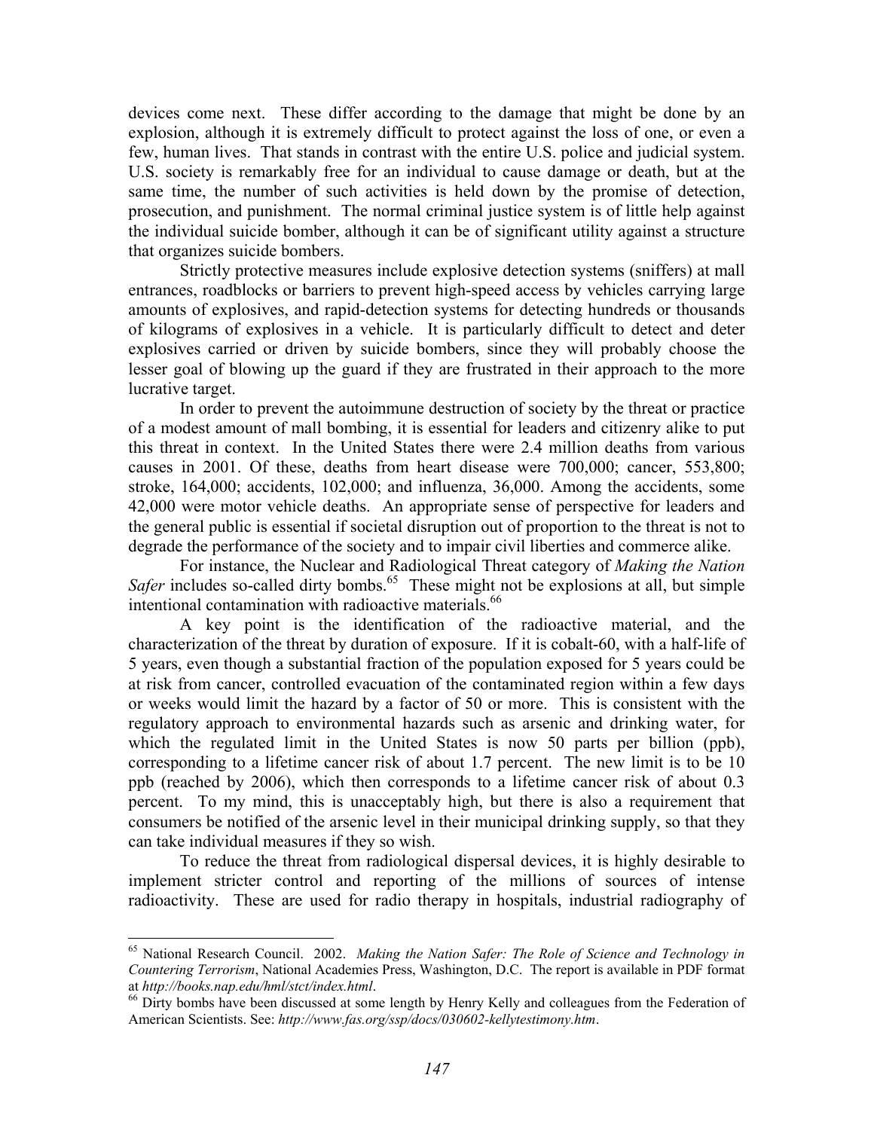devices come next. These differ according to the damage that might be done by an explosion, although it is extremely difficult to protect against the loss of one, or even a few, human lives. That stands in contrast with the entire U.S. police and judicial system. U.S. society is remarkably free for an individual to cause damage or death, but at the same time, the number of such activities is held down by the promise of detection, prosecution, and punishment. The normal criminal justice system is of little help against the individual suicide bomber, although it can be of significant utility against a structure that organizes suicide bombers.

Strictly protective measures include explosive detection systems (sniffers) at mall entrances, roadblocks or barriers to prevent high-speed access by vehicles carrying large amounts of explosives, and rapid-detection systems for detecting hundreds or thousands of kilograms of explosives in a vehicle. It is particularly difficult to detect and deter explosives carried or driven by suicide bombers, since they will probably choose the lesser goal of blowing up the guard if they are frustrated in their approach to the more lucrative target.

In order to prevent the autoimmune destruction of society by the threat or practice of a modest amount of mall bombing, it is essential for leaders and citizenry alike to put this threat in context. In the United States there were 2.4 million deaths from various causes in 2001. Of these, deaths from heart disease were 700,000; cancer, 553,800; stroke, 164,000; accidents, 102,000; and influenza, 36,000. Among the accidents, some 42,000 were motor vehicle deaths. An appropriate sense of perspective for leaders and the general public is essential if societal disruption out of proportion to the threat is not to degrade the performance of the society and to impair civil liberties and commerce alike.

For instance, the Nuclear and Radiological Threat category of *Making the Nation Safer* includes so-called dirty bombs.<sup>65</sup> These might not be explosions at all, but simple intentional contamination with radioactive materials.<sup>66</sup>

A key point is the identification of the radioactive material, and the characterization of the threat by duration of exposure. If it is cobalt-60, with a half-life of 5 years, even though a substantial fraction of the population exposed for 5 years could be at risk from cancer, controlled evacuation of the contaminated region within a few days or weeks would limit the hazard by a factor of 50 or more. This is consistent with the regulatory approach to environmental hazards such as arsenic and drinking water, for which the regulated limit in the United States is now 50 parts per billion (ppb), corresponding to a lifetime cancer risk of about 1.7 percent. The new limit is to be 10 ppb (reached by 2006), which then corresponds to a lifetime cancer risk of about 0.3 percent. To my mind, this is unacceptably high, but there is also a requirement that consumers be notified of the arsenic level in their municipal drinking supply, so that they can take individual measures if they so wish.

To reduce the threat from radiological dispersal devices, it is highly desirable to implement stricter control and reporting of the millions of sources of intense radioactivity. These are used for radio therapy in hospitals, industrial radiography of

 $\overline{a}$ 

<sup>65</sup> National Research Council. 2002. *Making the Nation Safer: The Role of Science and Technology in Countering Terrorism*, National Academies Press, Washington, D.C. The report is available in PDF format at *http://books.nap.edu/hml/stct/index.html*. 66 Dirty bombs have been discussed at some length by Henry Kelly and colleagues from the Federation of

American Scientists. See: *http://www.fas.org/ssp/docs/030602-kellytestimony.htm*.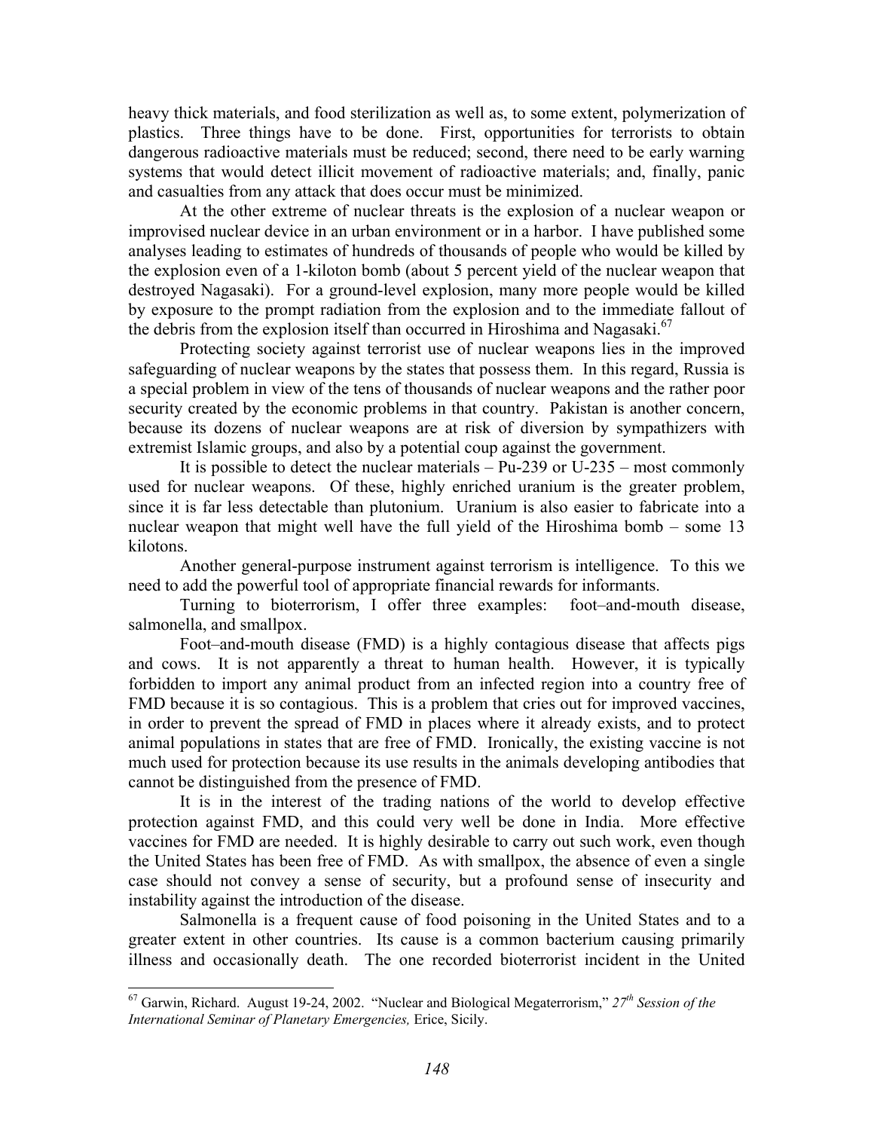heavy thick materials, and food sterilization as well as, to some extent, polymerization of plastics. Three things have to be done. First, opportunities for terrorists to obtain dangerous radioactive materials must be reduced; second, there need to be early warning systems that would detect illicit movement of radioactive materials; and, finally, panic and casualties from any attack that does occur must be minimized.

 At the other extreme of nuclear threats is the explosion of a nuclear weapon or improvised nuclear device in an urban environment or in a harbor. I have published some analyses leading to estimates of hundreds of thousands of people who would be killed by the explosion even of a 1-kiloton bomb (about 5 percent yield of the nuclear weapon that destroyed Nagasaki). For a ground-level explosion, many more people would be killed by exposure to the prompt radiation from the explosion and to the immediate fallout of the debris from the explosion itself than occurred in Hiroshima and Nagasaki.<sup>67</sup>

Protecting society against terrorist use of nuclear weapons lies in the improved safeguarding of nuclear weapons by the states that possess them. In this regard, Russia is a special problem in view of the tens of thousands of nuclear weapons and the rather poor security created by the economic problems in that country. Pakistan is another concern, because its dozens of nuclear weapons are at risk of diversion by sympathizers with extremist Islamic groups, and also by a potential coup against the government.

It is possible to detect the nuclear materials – Pu-239 or U-235 – most commonly used for nuclear weapons. Of these, highly enriched uranium is the greater problem, since it is far less detectable than plutonium. Uranium is also easier to fabricate into a nuclear weapon that might well have the full yield of the Hiroshima bomb – some 13 kilotons.

Another general-purpose instrument against terrorism is intelligence. To this we need to add the powerful tool of appropriate financial rewards for informants.

Turning to bioterrorism, I offer three examples: foot–and-mouth disease, salmonella, and smallpox.

Foot–and-mouth disease (FMD) is a highly contagious disease that affects pigs and cows. It is not apparently a threat to human health. However, it is typically forbidden to import any animal product from an infected region into a country free of FMD because it is so contagious. This is a problem that cries out for improved vaccines, in order to prevent the spread of FMD in places where it already exists, and to protect animal populations in states that are free of FMD. Ironically, the existing vaccine is not much used for protection because its use results in the animals developing antibodies that cannot be distinguished from the presence of FMD.

It is in the interest of the trading nations of the world to develop effective protection against FMD, and this could very well be done in India. More effective vaccines for FMD are needed. It is highly desirable to carry out such work, even though the United States has been free of FMD. As with smallpox, the absence of even a single case should not convey a sense of security, but a profound sense of insecurity and instability against the introduction of the disease.

Salmonella is a frequent cause of food poisoning in the United States and to a greater extent in other countries. Its cause is a common bacterium causing primarily illness and occasionally death. The one recorded bioterrorist incident in the United

 $\overline{a}$ 

<sup>67</sup> Garwin, Richard. August 19-24, 2002. "Nuclear and Biological Megaterrorism," *27th Session of the International Seminar of Planetary Emergencies,* Erice, Sicily.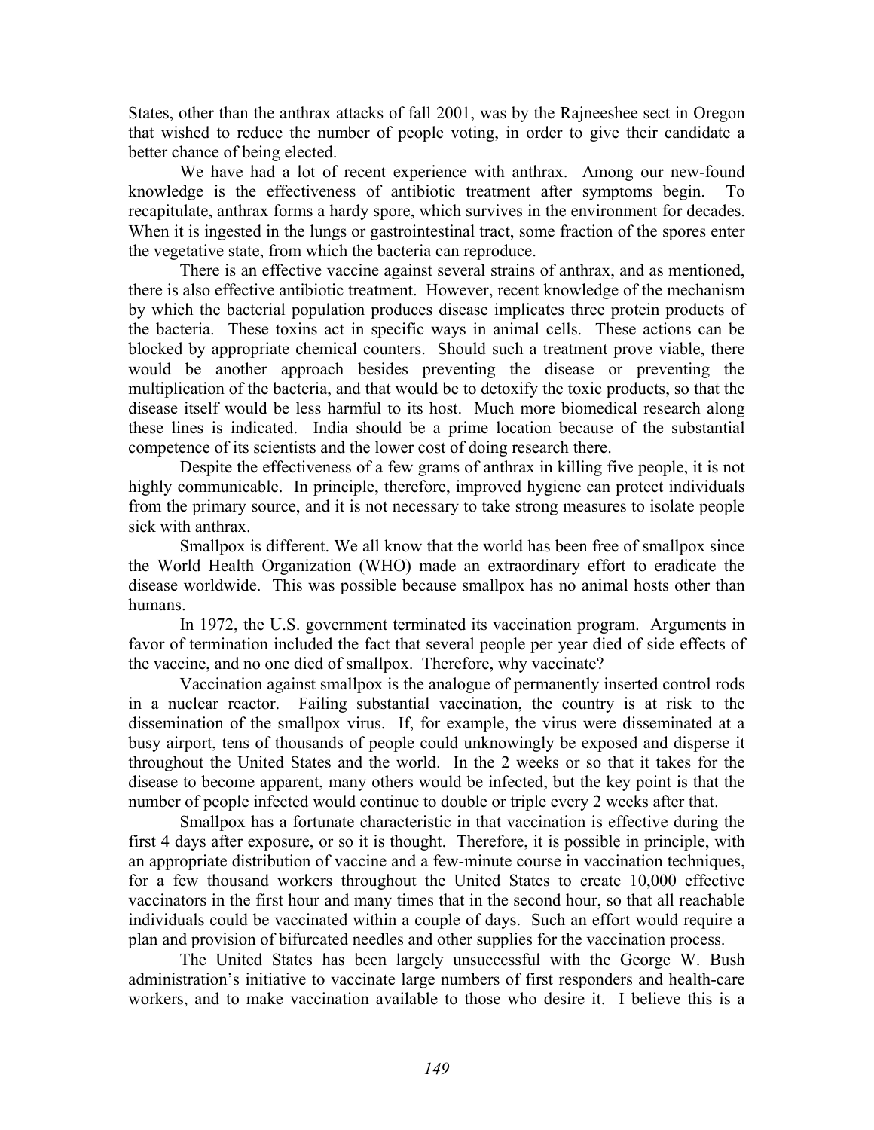States, other than the anthrax attacks of fall 2001, was by the Rajneeshee sect in Oregon that wished to reduce the number of people voting, in order to give their candidate a better chance of being elected.

We have had a lot of recent experience with anthrax. Among our new-found knowledge is the effectiveness of antibiotic treatment after symptoms begin. To recapitulate, anthrax forms a hardy spore, which survives in the environment for decades. When it is ingested in the lungs or gastrointestinal tract, some fraction of the spores enter the vegetative state, from which the bacteria can reproduce.

There is an effective vaccine against several strains of anthrax, and as mentioned, there is also effective antibiotic treatment. However, recent knowledge of the mechanism by which the bacterial population produces disease implicates three protein products of the bacteria. These toxins act in specific ways in animal cells. These actions can be blocked by appropriate chemical counters. Should such a treatment prove viable, there would be another approach besides preventing the disease or preventing the multiplication of the bacteria, and that would be to detoxify the toxic products, so that the disease itself would be less harmful to its host. Much more biomedical research along these lines is indicated. India should be a prime location because of the substantial competence of its scientists and the lower cost of doing research there.

Despite the effectiveness of a few grams of anthrax in killing five people, it is not highly communicable. In principle, therefore, improved hygiene can protect individuals from the primary source, and it is not necessary to take strong measures to isolate people sick with anthrax.

Smallpox is different. We all know that the world has been free of smallpox since the World Health Organization (WHO) made an extraordinary effort to eradicate the disease worldwide. This was possible because smallpox has no animal hosts other than humans.

In 1972, the U.S. government terminated its vaccination program. Arguments in favor of termination included the fact that several people per year died of side effects of the vaccine, and no one died of smallpox. Therefore, why vaccinate?

Vaccination against smallpox is the analogue of permanently inserted control rods in a nuclear reactor. Failing substantial vaccination, the country is at risk to the dissemination of the smallpox virus. If, for example, the virus were disseminated at a busy airport, tens of thousands of people could unknowingly be exposed and disperse it throughout the United States and the world. In the 2 weeks or so that it takes for the disease to become apparent, many others would be infected, but the key point is that the number of people infected would continue to double or triple every 2 weeks after that.

Smallpox has a fortunate characteristic in that vaccination is effective during the first 4 days after exposure, or so it is thought. Therefore, it is possible in principle, with an appropriate distribution of vaccine and a few-minute course in vaccination techniques, for a few thousand workers throughout the United States to create 10,000 effective vaccinators in the first hour and many times that in the second hour, so that all reachable individuals could be vaccinated within a couple of days. Such an effort would require a plan and provision of bifurcated needles and other supplies for the vaccination process.

The United States has been largely unsuccessful with the George W. Bush administration's initiative to vaccinate large numbers of first responders and health-care workers, and to make vaccination available to those who desire it. I believe this is a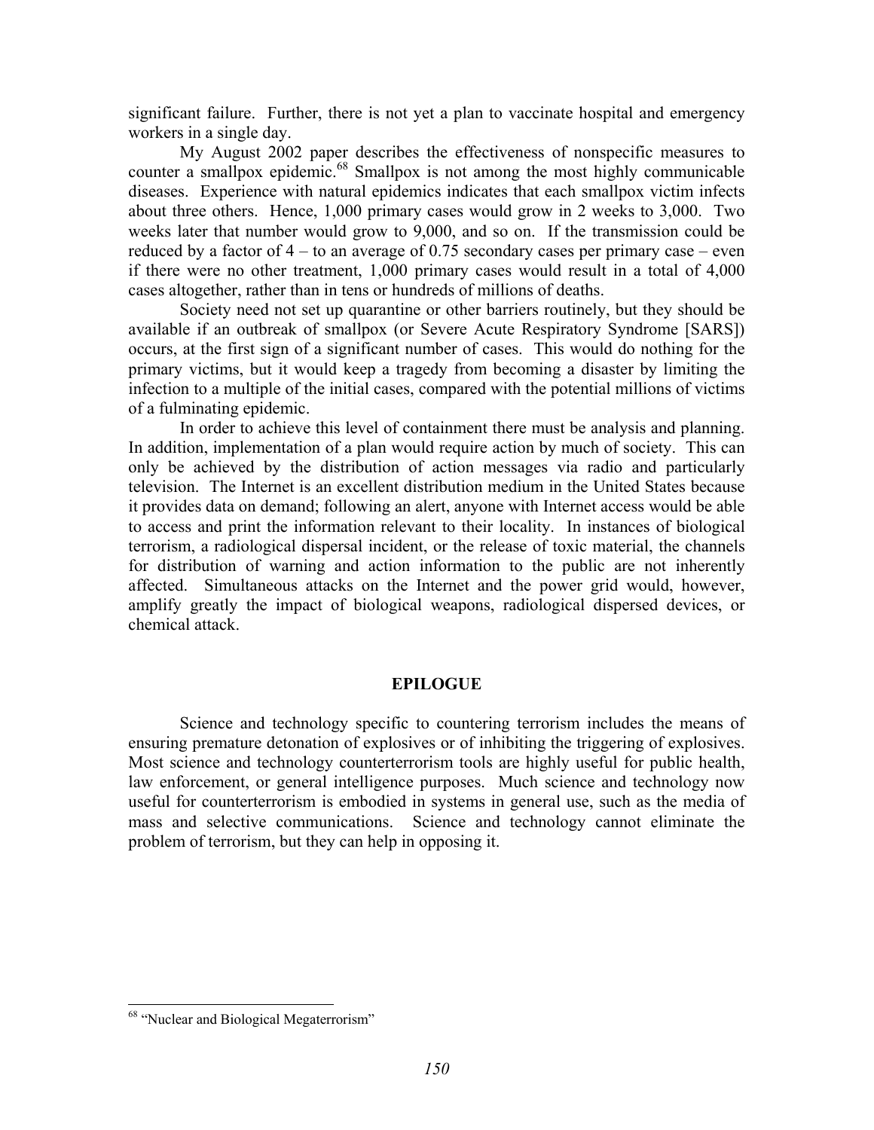significant failure. Further, there is not yet a plan to vaccinate hospital and emergency workers in a single day.

My August 2002 paper describes the effectiveness of nonspecific measures to counter a smallpox epidemic.<sup>68</sup> Smallpox is not among the most highly communicable diseases. Experience with natural epidemics indicates that each smallpox victim infects about three others. Hence, 1,000 primary cases would grow in 2 weeks to 3,000. Two weeks later that number would grow to 9,000, and so on. If the transmission could be reduced by a factor of  $4 -$ to an average of 0.75 secondary cases per primary case – even if there were no other treatment, 1,000 primary cases would result in a total of 4,000 cases altogether, rather than in tens or hundreds of millions of deaths.

Society need not set up quarantine or other barriers routinely, but they should be available if an outbreak of smallpox (or Severe Acute Respiratory Syndrome [SARS]) occurs, at the first sign of a significant number of cases. This would do nothing for the primary victims, but it would keep a tragedy from becoming a disaster by limiting the infection to a multiple of the initial cases, compared with the potential millions of victims of a fulminating epidemic.

In order to achieve this level of containment there must be analysis and planning. In addition, implementation of a plan would require action by much of society. This can only be achieved by the distribution of action messages via radio and particularly television. The Internet is an excellent distribution medium in the United States because it provides data on demand; following an alert, anyone with Internet access would be able to access and print the information relevant to their locality. In instances of biological terrorism, a radiological dispersal incident, or the release of toxic material, the channels for distribution of warning and action information to the public are not inherently affected. Simultaneous attacks on the Internet and the power grid would, however, amplify greatly the impact of biological weapons, radiological dispersed devices, or chemical attack.

#### **EPILOGUE**

Science and technology specific to countering terrorism includes the means of ensuring premature detonation of explosives or of inhibiting the triggering of explosives. Most science and technology counterterrorism tools are highly useful for public health, law enforcement, or general intelligence purposes. Much science and technology now useful for counterterrorism is embodied in systems in general use, such as the media of mass and selective communications. Science and technology cannot eliminate the problem of terrorism, but they can help in opposing it.

 $\overline{a}$ 

<sup>&</sup>lt;sup>68</sup> "Nuclear and Biological Megaterrorism"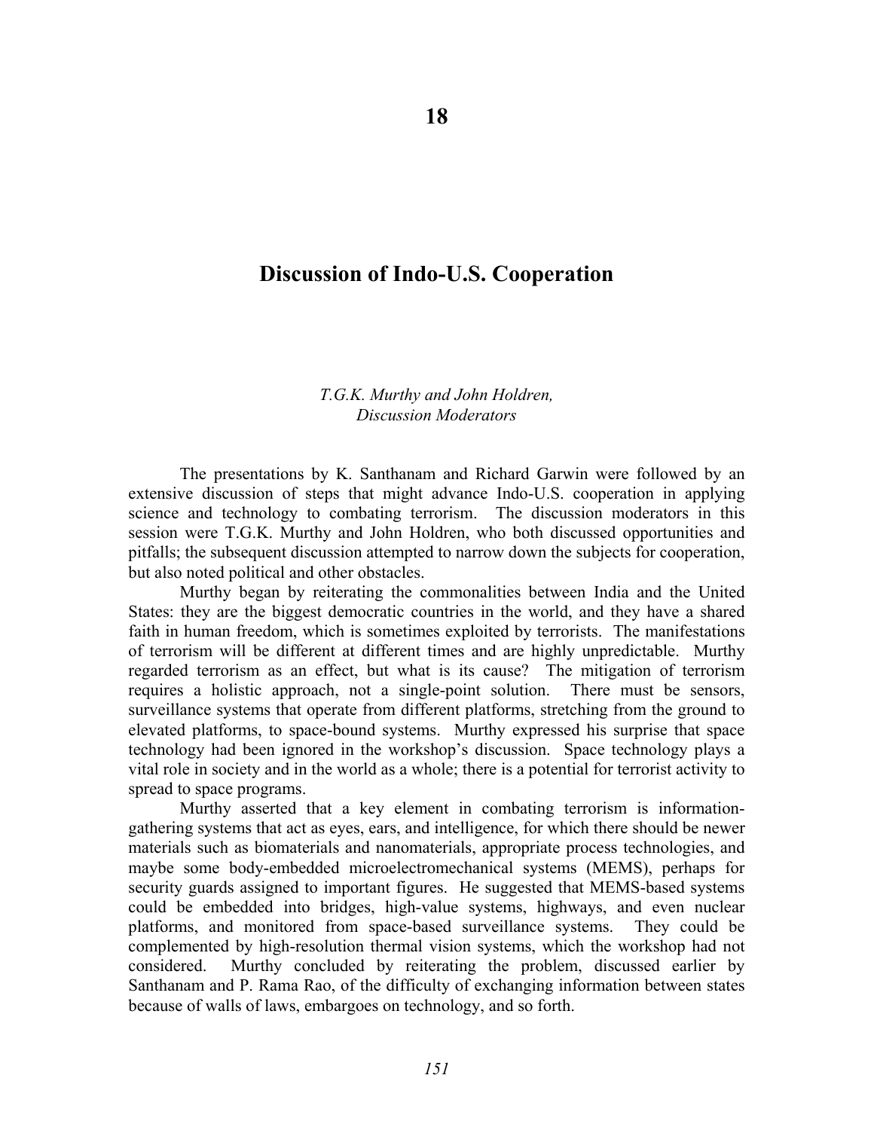## **Discussion of Indo-U.S. Cooperation**

#### *T.G.K. Murthy and John Holdren, Discussion Moderators*

The presentations by K. Santhanam and Richard Garwin were followed by an extensive discussion of steps that might advance Indo-U.S. cooperation in applying science and technology to combating terrorism. The discussion moderators in this session were T.G.K. Murthy and John Holdren, who both discussed opportunities and pitfalls; the subsequent discussion attempted to narrow down the subjects for cooperation, but also noted political and other obstacles.

Murthy began by reiterating the commonalities between India and the United States: they are the biggest democratic countries in the world, and they have a shared faith in human freedom, which is sometimes exploited by terrorists. The manifestations of terrorism will be different at different times and are highly unpredictable. Murthy regarded terrorism as an effect, but what is its cause? The mitigation of terrorism requires a holistic approach, not a single-point solution. There must be sensors, surveillance systems that operate from different platforms, stretching from the ground to elevated platforms, to space-bound systems. Murthy expressed his surprise that space technology had been ignored in the workshop's discussion. Space technology plays a vital role in society and in the world as a whole; there is a potential for terrorist activity to spread to space programs.

Murthy asserted that a key element in combating terrorism is informationgathering systems that act as eyes, ears, and intelligence, for which there should be newer materials such as biomaterials and nanomaterials, appropriate process technologies, and maybe some body-embedded microelectromechanical systems (MEMS), perhaps for security guards assigned to important figures. He suggested that MEMS-based systems could be embedded into bridges, high-value systems, highways, and even nuclear platforms, and monitored from space-based surveillance systems. They could be complemented by high-resolution thermal vision systems, which the workshop had not considered. Murthy concluded by reiterating the problem, discussed earlier by Santhanam and P. Rama Rao, of the difficulty of exchanging information between states because of walls of laws, embargoes on technology, and so forth.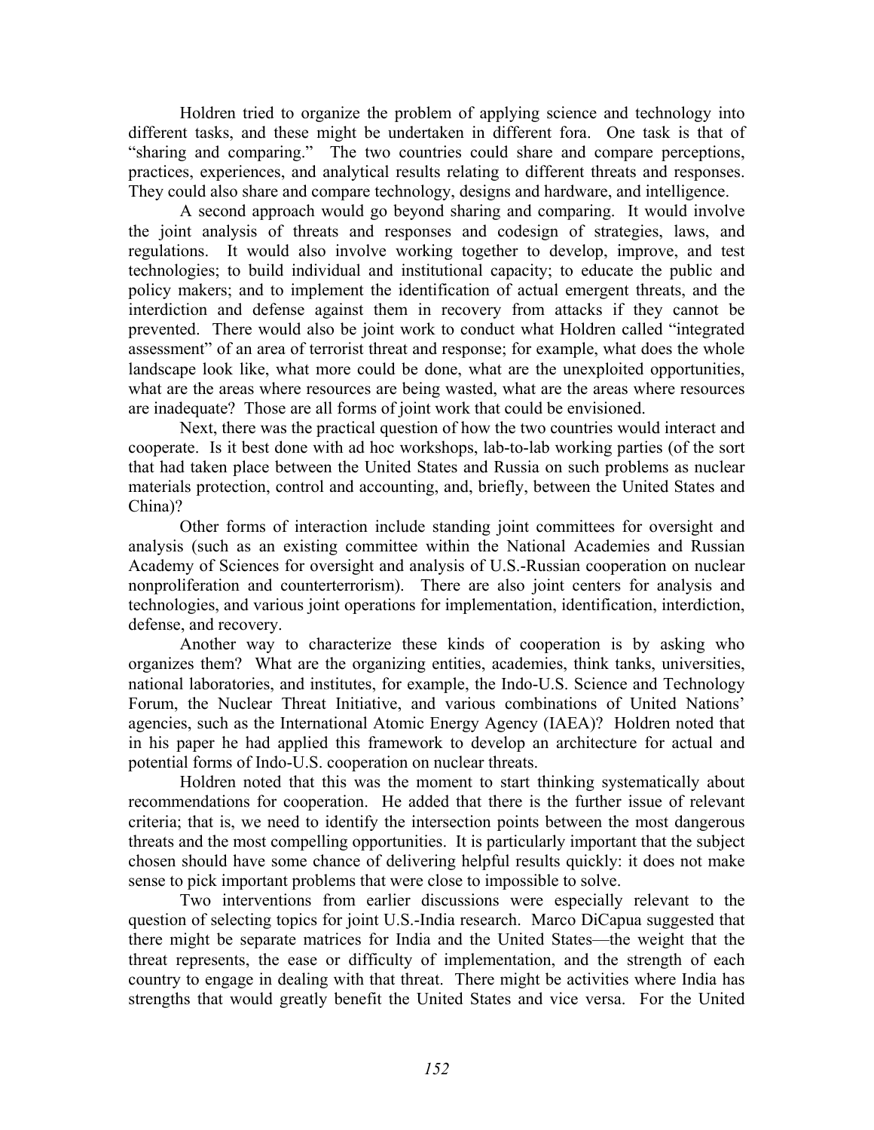Holdren tried to organize the problem of applying science and technology into different tasks, and these might be undertaken in different fora. One task is that of "sharing and comparing." The two countries could share and compare perceptions, practices, experiences, and analytical results relating to different threats and responses. They could also share and compare technology, designs and hardware, and intelligence.

A second approach would go beyond sharing and comparing. It would involve the joint analysis of threats and responses and codesign of strategies, laws, and regulations. It would also involve working together to develop, improve, and test technologies; to build individual and institutional capacity; to educate the public and policy makers; and to implement the identification of actual emergent threats, and the interdiction and defense against them in recovery from attacks if they cannot be prevented. There would also be joint work to conduct what Holdren called "integrated assessment" of an area of terrorist threat and response; for example, what does the whole landscape look like, what more could be done, what are the unexploited opportunities, what are the areas where resources are being wasted, what are the areas where resources are inadequate? Those are all forms of joint work that could be envisioned.

Next, there was the practical question of how the two countries would interact and cooperate. Is it best done with ad hoc workshops, lab-to-lab working parties (of the sort that had taken place between the United States and Russia on such problems as nuclear materials protection, control and accounting, and, briefly, between the United States and China)?

Other forms of interaction include standing joint committees for oversight and analysis (such as an existing committee within the National Academies and Russian Academy of Sciences for oversight and analysis of U.S.-Russian cooperation on nuclear nonproliferation and counterterrorism). There are also joint centers for analysis and technologies, and various joint operations for implementation, identification, interdiction, defense, and recovery.

Another way to characterize these kinds of cooperation is by asking who organizes them? What are the organizing entities, academies, think tanks, universities, national laboratories, and institutes, for example, the Indo-U.S. Science and Technology Forum, the Nuclear Threat Initiative, and various combinations of United Nations' agencies, such as the International Atomic Energy Agency (IAEA)? Holdren noted that in his paper he had applied this framework to develop an architecture for actual and potential forms of Indo-U.S. cooperation on nuclear threats.

Holdren noted that this was the moment to start thinking systematically about recommendations for cooperation. He added that there is the further issue of relevant criteria; that is, we need to identify the intersection points between the most dangerous threats and the most compelling opportunities. It is particularly important that the subject chosen should have some chance of delivering helpful results quickly: it does not make sense to pick important problems that were close to impossible to solve.

Two interventions from earlier discussions were especially relevant to the question of selecting topics for joint U.S.-India research. Marco DiCapua suggested that there might be separate matrices for India and the United States—the weight that the threat represents, the ease or difficulty of implementation, and the strength of each country to engage in dealing with that threat. There might be activities where India has strengths that would greatly benefit the United States and vice versa. For the United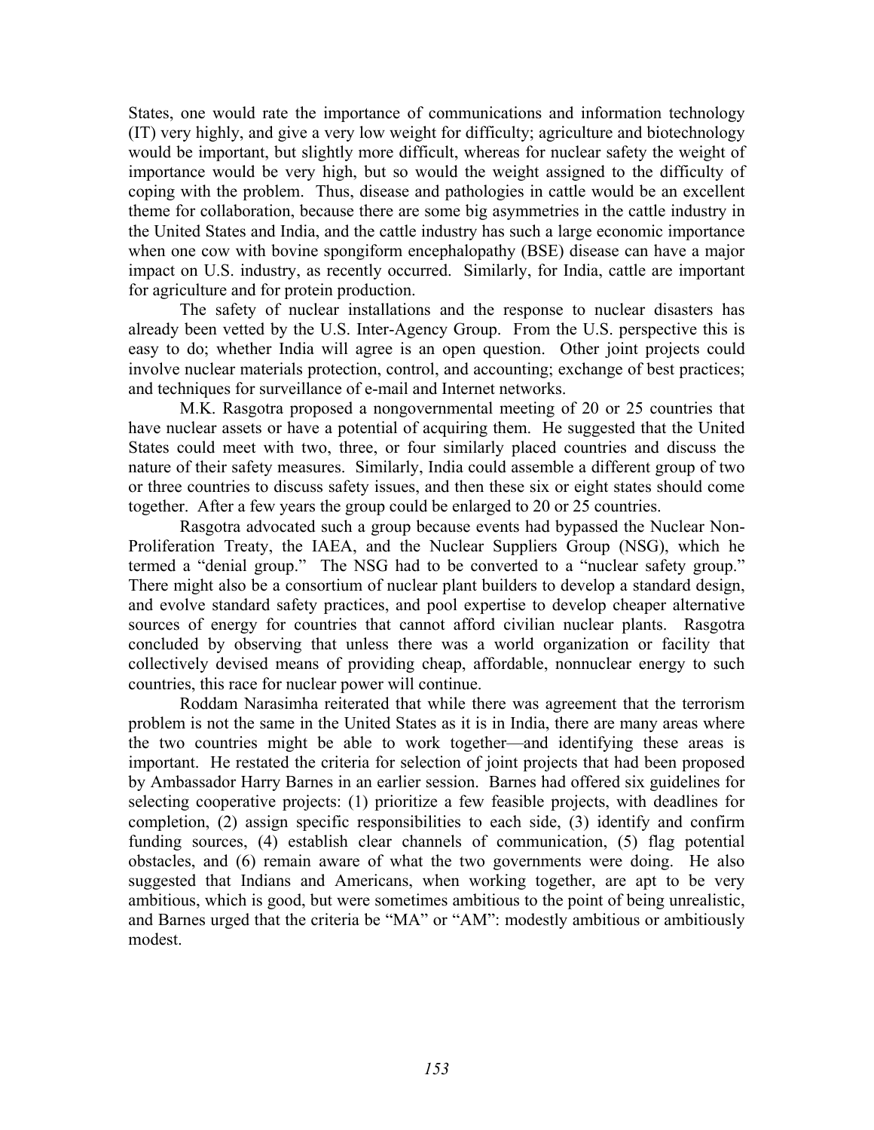States, one would rate the importance of communications and information technology (IT) very highly, and give a very low weight for difficulty; agriculture and biotechnology would be important, but slightly more difficult, whereas for nuclear safety the weight of importance would be very high, but so would the weight assigned to the difficulty of coping with the problem. Thus, disease and pathologies in cattle would be an excellent theme for collaboration, because there are some big asymmetries in the cattle industry in the United States and India, and the cattle industry has such a large economic importance when one cow with bovine spongiform encephalopathy (BSE) disease can have a major impact on U.S. industry, as recently occurred. Similarly, for India, cattle are important for agriculture and for protein production.

The safety of nuclear installations and the response to nuclear disasters has already been vetted by the U.S. Inter-Agency Group. From the U.S. perspective this is easy to do; whether India will agree is an open question. Other joint projects could involve nuclear materials protection, control, and accounting; exchange of best practices; and techniques for surveillance of e-mail and Internet networks.

M.K. Rasgotra proposed a nongovernmental meeting of 20 or 25 countries that have nuclear assets or have a potential of acquiring them. He suggested that the United States could meet with two, three, or four similarly placed countries and discuss the nature of their safety measures. Similarly, India could assemble a different group of two or three countries to discuss safety issues, and then these six or eight states should come together. After a few years the group could be enlarged to 20 or 25 countries.

Rasgotra advocated such a group because events had bypassed the Nuclear Non-Proliferation Treaty, the IAEA, and the Nuclear Suppliers Group (NSG), which he termed a "denial group." The NSG had to be converted to a "nuclear safety group." There might also be a consortium of nuclear plant builders to develop a standard design, and evolve standard safety practices, and pool expertise to develop cheaper alternative sources of energy for countries that cannot afford civilian nuclear plants. Rasgotra concluded by observing that unless there was a world organization or facility that collectively devised means of providing cheap, affordable, nonnuclear energy to such countries, this race for nuclear power will continue.

Roddam Narasimha reiterated that while there was agreement that the terrorism problem is not the same in the United States as it is in India, there are many areas where the two countries might be able to work together—and identifying these areas is important. He restated the criteria for selection of joint projects that had been proposed by Ambassador Harry Barnes in an earlier session. Barnes had offered six guidelines for selecting cooperative projects: (1) prioritize a few feasible projects, with deadlines for completion, (2) assign specific responsibilities to each side, (3) identify and confirm funding sources, (4) establish clear channels of communication, (5) flag potential obstacles, and (6) remain aware of what the two governments were doing. He also suggested that Indians and Americans, when working together, are apt to be very ambitious, which is good, but were sometimes ambitious to the point of being unrealistic, and Barnes urged that the criteria be "MA" or "AM": modestly ambitious or ambitiously modest.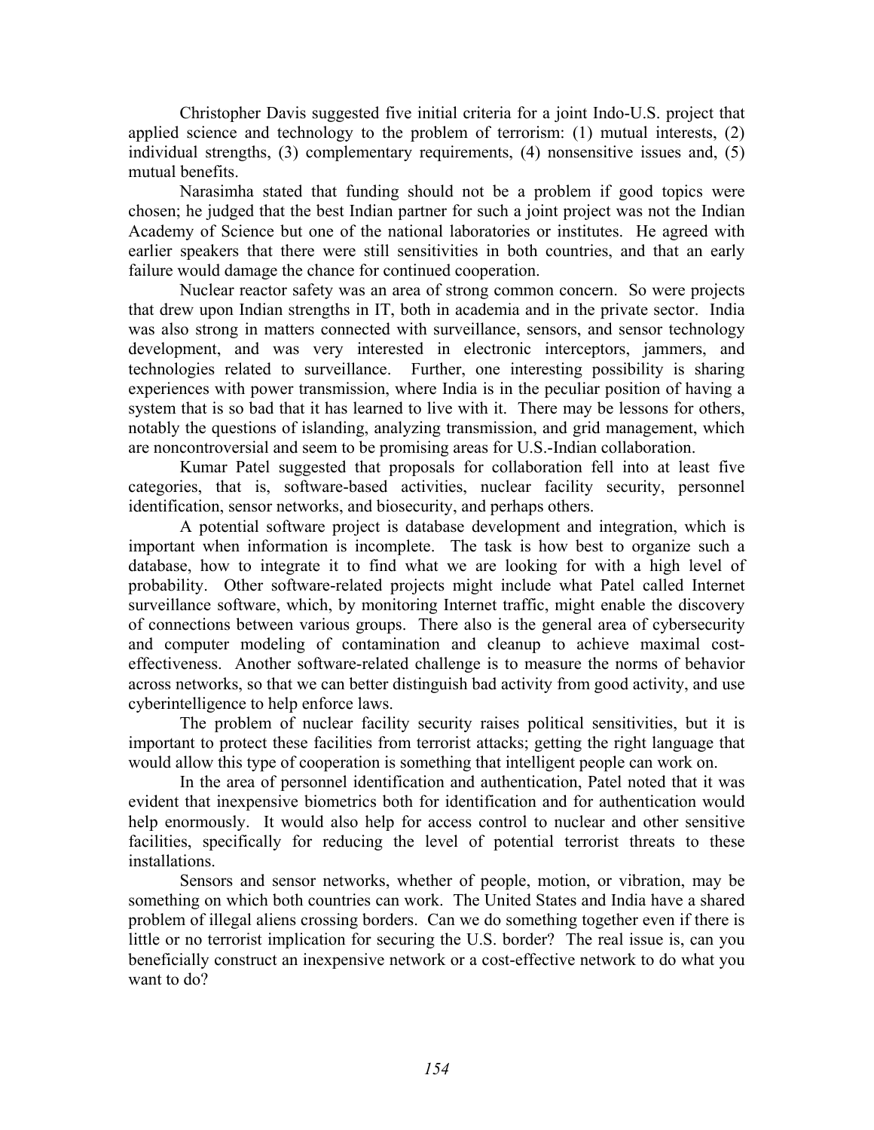Christopher Davis suggested five initial criteria for a joint Indo-U.S. project that applied science and technology to the problem of terrorism: (1) mutual interests, (2) individual strengths, (3) complementary requirements, (4) nonsensitive issues and, (5) mutual benefits.

Narasimha stated that funding should not be a problem if good topics were chosen; he judged that the best Indian partner for such a joint project was not the Indian Academy of Science but one of the national laboratories or institutes. He agreed with earlier speakers that there were still sensitivities in both countries, and that an early failure would damage the chance for continued cooperation.

Nuclear reactor safety was an area of strong common concern. So were projects that drew upon Indian strengths in IT, both in academia and in the private sector. India was also strong in matters connected with surveillance, sensors, and sensor technology development, and was very interested in electronic interceptors, jammers, and technologies related to surveillance. Further, one interesting possibility is sharing experiences with power transmission, where India is in the peculiar position of having a system that is so bad that it has learned to live with it. There may be lessons for others, notably the questions of islanding, analyzing transmission, and grid management, which are noncontroversial and seem to be promising areas for U.S.-Indian collaboration.

Kumar Patel suggested that proposals for collaboration fell into at least five categories, that is, software-based activities, nuclear facility security, personnel identification, sensor networks, and biosecurity, and perhaps others.

A potential software project is database development and integration, which is important when information is incomplete. The task is how best to organize such a database, how to integrate it to find what we are looking for with a high level of probability. Other software-related projects might include what Patel called Internet surveillance software, which, by monitoring Internet traffic, might enable the discovery of connections between various groups. There also is the general area of cybersecurity and computer modeling of contamination and cleanup to achieve maximal costeffectiveness. Another software-related challenge is to measure the norms of behavior across networks, so that we can better distinguish bad activity from good activity, and use cyberintelligence to help enforce laws.

The problem of nuclear facility security raises political sensitivities, but it is important to protect these facilities from terrorist attacks; getting the right language that would allow this type of cooperation is something that intelligent people can work on.

In the area of personnel identification and authentication, Patel noted that it was evident that inexpensive biometrics both for identification and for authentication would help enormously. It would also help for access control to nuclear and other sensitive facilities, specifically for reducing the level of potential terrorist threats to these installations.

Sensors and sensor networks, whether of people, motion, or vibration, may be something on which both countries can work. The United States and India have a shared problem of illegal aliens crossing borders. Can we do something together even if there is little or no terrorist implication for securing the U.S. border? The real issue is, can you beneficially construct an inexpensive network or a cost-effective network to do what you want to do?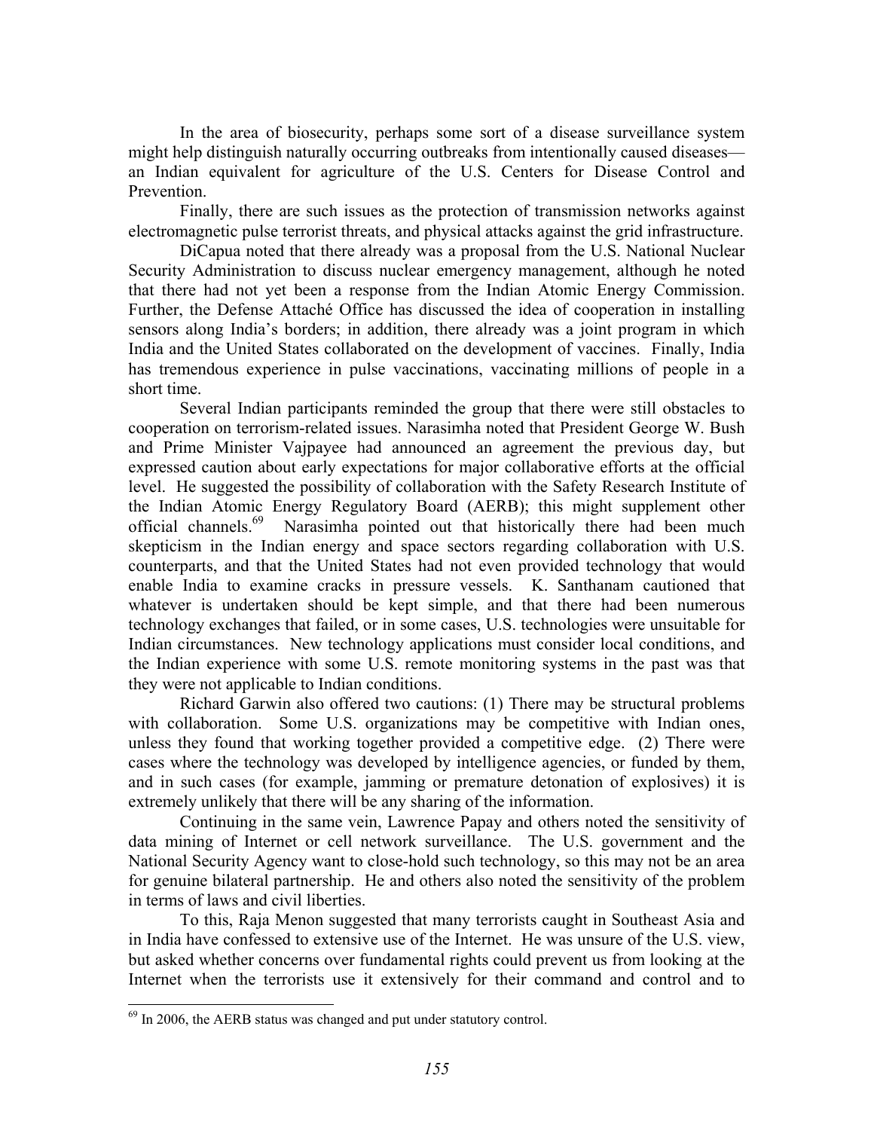In the area of biosecurity, perhaps some sort of a disease surveillance system might help distinguish naturally occurring outbreaks from intentionally caused diseases an Indian equivalent for agriculture of the U.S. Centers for Disease Control and Prevention.

Finally, there are such issues as the protection of transmission networks against electromagnetic pulse terrorist threats, and physical attacks against the grid infrastructure.

DiCapua noted that there already was a proposal from the U.S. National Nuclear Security Administration to discuss nuclear emergency management, although he noted that there had not yet been a response from the Indian Atomic Energy Commission. Further, the Defense Attaché Office has discussed the idea of cooperation in installing sensors along India's borders; in addition, there already was a joint program in which India and the United States collaborated on the development of vaccines. Finally, India has tremendous experience in pulse vaccinations, vaccinating millions of people in a short time.

Several Indian participants reminded the group that there were still obstacles to cooperation on terrorism-related issues. Narasimha noted that President George W. Bush and Prime Minister Vajpayee had announced an agreement the previous day, but expressed caution about early expectations for major collaborative efforts at the official level. He suggested the possibility of collaboration with the Safety Research Institute of the Indian Atomic Energy Regulatory Board (AERB); this might supplement other official channels.<sup>69</sup> Narasimha pointed out that historically there had been much skepticism in the Indian energy and space sectors regarding collaboration with U.S. counterparts, and that the United States had not even provided technology that would enable India to examine cracks in pressure vessels. K. Santhanam cautioned that whatever is undertaken should be kept simple, and that there had been numerous technology exchanges that failed, or in some cases, U.S. technologies were unsuitable for Indian circumstances. New technology applications must consider local conditions, and the Indian experience with some U.S. remote monitoring systems in the past was that they were not applicable to Indian conditions.

Richard Garwin also offered two cautions: (1) There may be structural problems with collaboration. Some U.S. organizations may be competitive with Indian ones, unless they found that working together provided a competitive edge. (2) There were cases where the technology was developed by intelligence agencies, or funded by them, and in such cases (for example, jamming or premature detonation of explosives) it is extremely unlikely that there will be any sharing of the information.

Continuing in the same vein, Lawrence Papay and others noted the sensitivity of data mining of Internet or cell network surveillance. The U.S. government and the National Security Agency want to close-hold such technology, so this may not be an area for genuine bilateral partnership. He and others also noted the sensitivity of the problem in terms of laws and civil liberties.

To this, Raja Menon suggested that many terrorists caught in Southeast Asia and in India have confessed to extensive use of the Internet. He was unsure of the U.S. view, but asked whether concerns over fundamental rights could prevent us from looking at the Internet when the terrorists use it extensively for their command and control and to

 $\overline{a}$ 

 $69$  In 2006, the AERB status was changed and put under statutory control.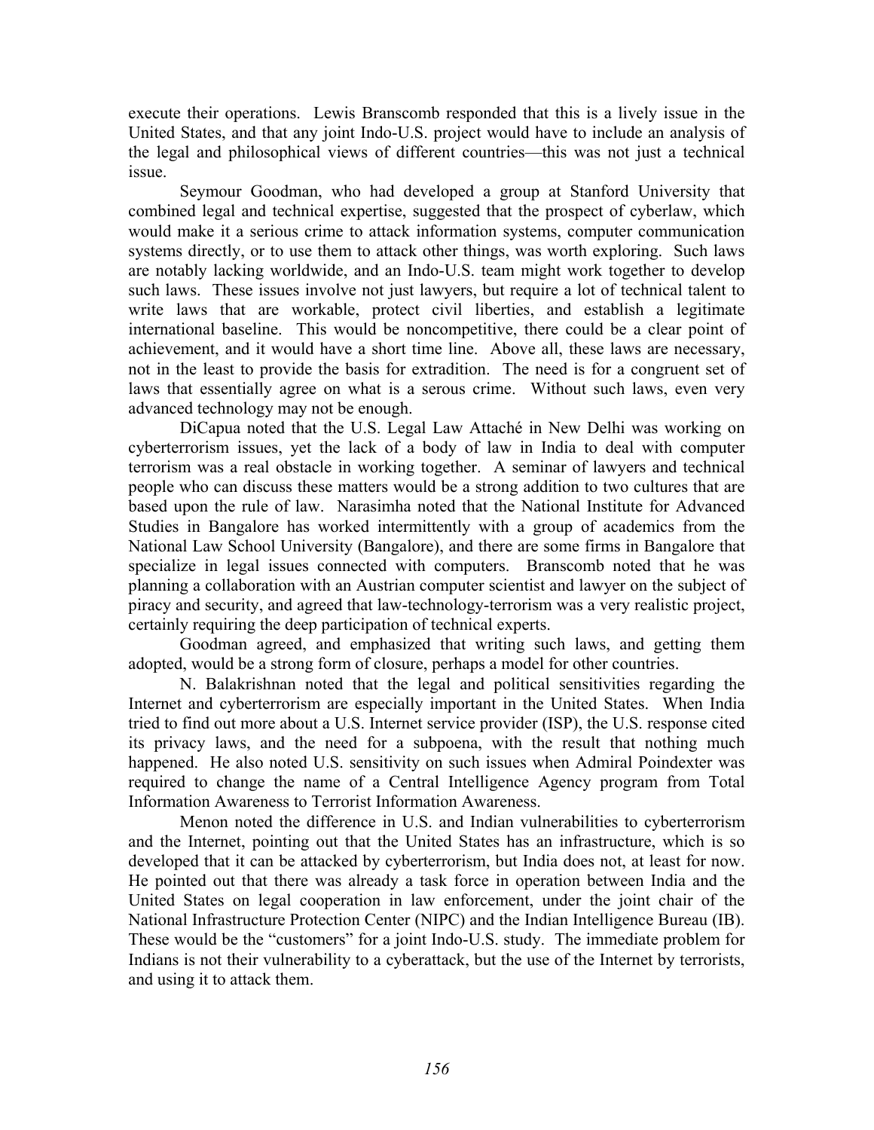execute their operations. Lewis Branscomb responded that this is a lively issue in the United States, and that any joint Indo-U.S. project would have to include an analysis of the legal and philosophical views of different countries—this was not just a technical issue.

Seymour Goodman, who had developed a group at Stanford University that combined legal and technical expertise, suggested that the prospect of cyberlaw, which would make it a serious crime to attack information systems, computer communication systems directly, or to use them to attack other things, was worth exploring. Such laws are notably lacking worldwide, and an Indo-U.S. team might work together to develop such laws. These issues involve not just lawyers, but require a lot of technical talent to write laws that are workable, protect civil liberties, and establish a legitimate international baseline. This would be noncompetitive, there could be a clear point of achievement, and it would have a short time line. Above all, these laws are necessary, not in the least to provide the basis for extradition. The need is for a congruent set of laws that essentially agree on what is a serous crime. Without such laws, even very advanced technology may not be enough.

DiCapua noted that the U.S. Legal Law Attaché in New Delhi was working on cyberterrorism issues, yet the lack of a body of law in India to deal with computer terrorism was a real obstacle in working together. A seminar of lawyers and technical people who can discuss these matters would be a strong addition to two cultures that are based upon the rule of law. Narasimha noted that the National Institute for Advanced Studies in Bangalore has worked intermittently with a group of academics from the National Law School University (Bangalore), and there are some firms in Bangalore that specialize in legal issues connected with computers. Branscomb noted that he was planning a collaboration with an Austrian computer scientist and lawyer on the subject of piracy and security, and agreed that law-technology-terrorism was a very realistic project, certainly requiring the deep participation of technical experts.

Goodman agreed, and emphasized that writing such laws, and getting them adopted, would be a strong form of closure, perhaps a model for other countries.

N. Balakrishnan noted that the legal and political sensitivities regarding the Internet and cyberterrorism are especially important in the United States. When India tried to find out more about a U.S. Internet service provider (ISP), the U.S. response cited its privacy laws, and the need for a subpoena, with the result that nothing much happened. He also noted U.S. sensitivity on such issues when Admiral Poindexter was required to change the name of a Central Intelligence Agency program from Total Information Awareness to Terrorist Information Awareness.

Menon noted the difference in U.S. and Indian vulnerabilities to cyberterrorism and the Internet, pointing out that the United States has an infrastructure, which is so developed that it can be attacked by cyberterrorism, but India does not, at least for now. He pointed out that there was already a task force in operation between India and the United States on legal cooperation in law enforcement, under the joint chair of the National Infrastructure Protection Center (NIPC) and the Indian Intelligence Bureau (IB). These would be the "customers" for a joint Indo-U.S. study. The immediate problem for Indians is not their vulnerability to a cyberattack, but the use of the Internet by terrorists, and using it to attack them.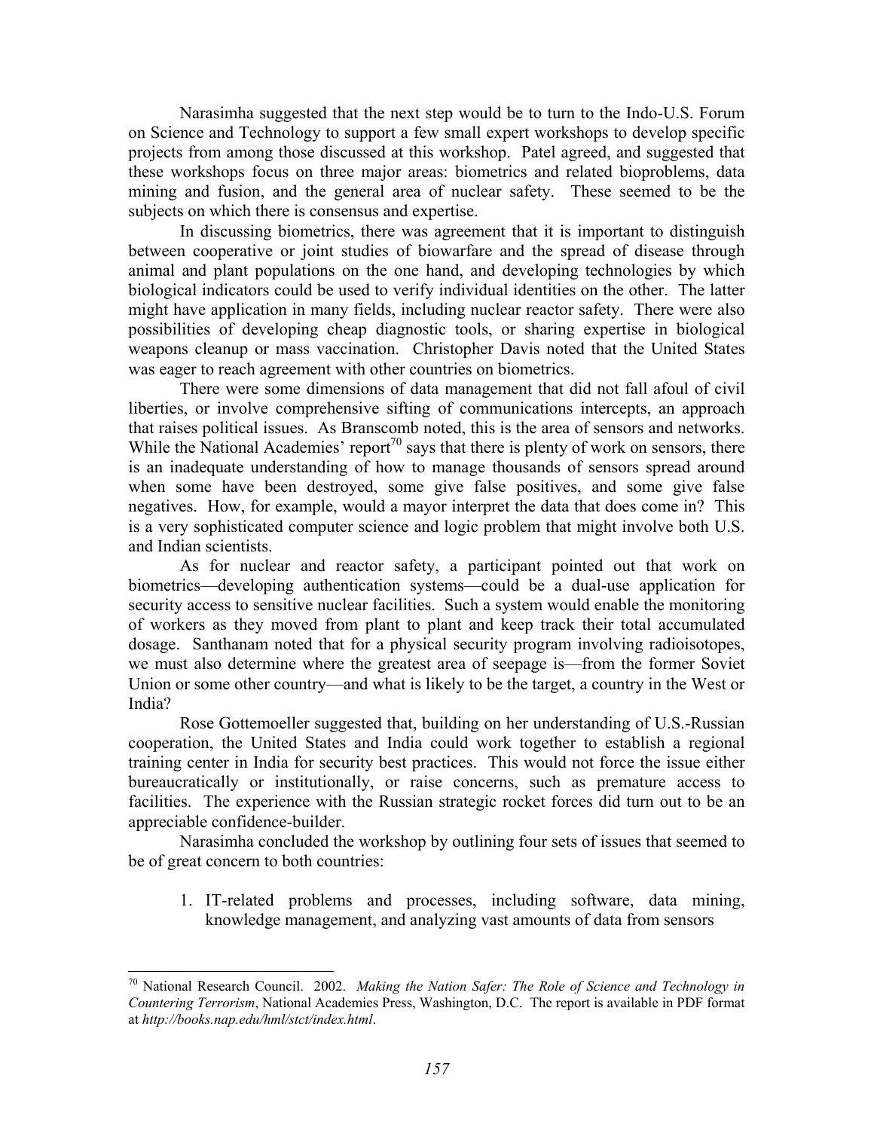Narasimha suggested that the next step would be to turn to the Indo-U.S. Forum on Science and Technology to support a few small expert workshops to develop specific projects from among those discussed at this workshop. Patel agreed, and suggested that these workshops focus on three major areas: biometrics and related bioproblems, data mining and fusion, and the general area of nuclear safety. These seemed to be the subjects on which there is consensus and expertise.

In discussing biometrics, there was agreement that it is important to distinguish between cooperative or joint studies of biowarfare and the spread of disease through animal and plant populations on the one hand, and developing technologies by which biological indicators could be used to verify individual identities on the other. The latter might have application in many fields, including nuclear reactor safety. There were also possibilities of developing cheap diagnostic tools, or sharing expertise in biological weapons cleanup or mass vaccination. Christopher Davis noted that the United States was eager to reach agreement with other countries on biometrics.

There were some dimensions of data management that did not fall afoul of civil liberties, or involve comprehensive sifting of communications intercepts, an approach that raises political issues. As Branscomb noted, this is the area of sensors and networks. While the National Academies' report<sup>70</sup> says that there is plenty of work on sensors, there is an inadequate understanding of how to manage thousands of sensors spread around when some have been destroyed, some give false positives, and some give false negatives. How, for example, would a mayor interpret the data that does come in? This is a very sophisticated computer science and logic problem that might involve both U.S. and Indian scientists.

As for nuclear and reactor safety, a participant pointed out that work on biometrics—developing authentication systems—could be a dual-use application for security access to sensitive nuclear facilities. Such a system would enable the monitoring of workers as they moved from plant to plant and keep track their total accumulated dosage. Santhanam noted that for a physical security program involving radioisotopes, we must also determine where the greatest area of seepage is—from the former Soviet Union or some other country—and what is likely to be the target, a country in the West or India?

Rose Gottemoeller suggested that, building on her understanding of U.S.-Russian cooperation, the United States and India could work together to establish a regional training center in India for security best practices. This would not force the issue either bureaucratically or institutionally, or raise concerns, such as premature access to facilities. The experience with the Russian strategic rocket forces did turn out to be an appreciable confidence-builder.

Narasimha concluded the workshop by outlining four sets of issues that seemed to be of great concern to both countries:

1. IT-related problems and processes, including software, data mining, knowledge management, and analyzing vast amounts of data from sensors

l

<sup>70</sup> National Research Council. 2002. *Making the Nation Safer: The Role of Science and Technology in Countering Terrorism*, National Academies Press, Washington, D.C. The report is available in PDF format at *http://books.nap.edu/hml/stct/index.html*.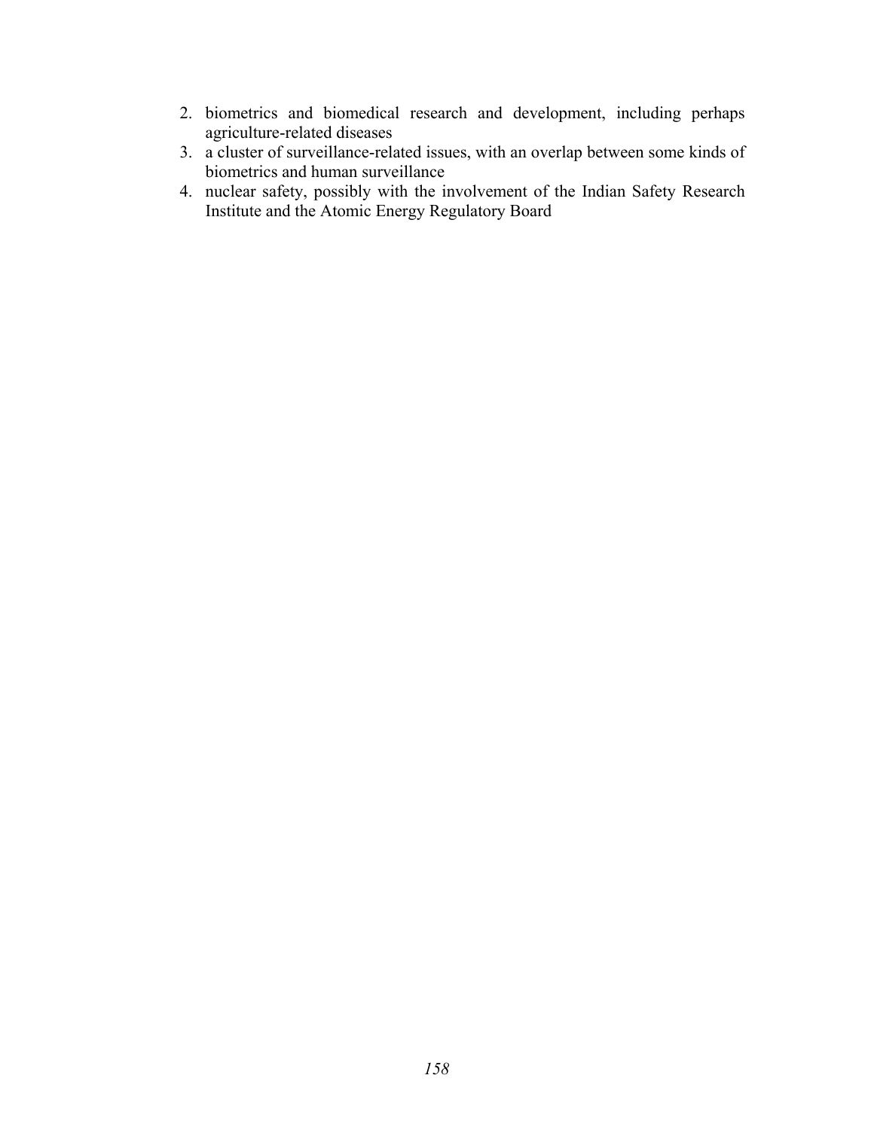- 2. biometrics and biomedical research and development, including perhaps agriculture-related diseases
- 3. a cluster of surveillance-related issues, with an overlap between some kinds of biometrics and human surveillance
- 4. nuclear safety, possibly with the involvement of the Indian Safety Research Institute and the Atomic Energy Regulatory Board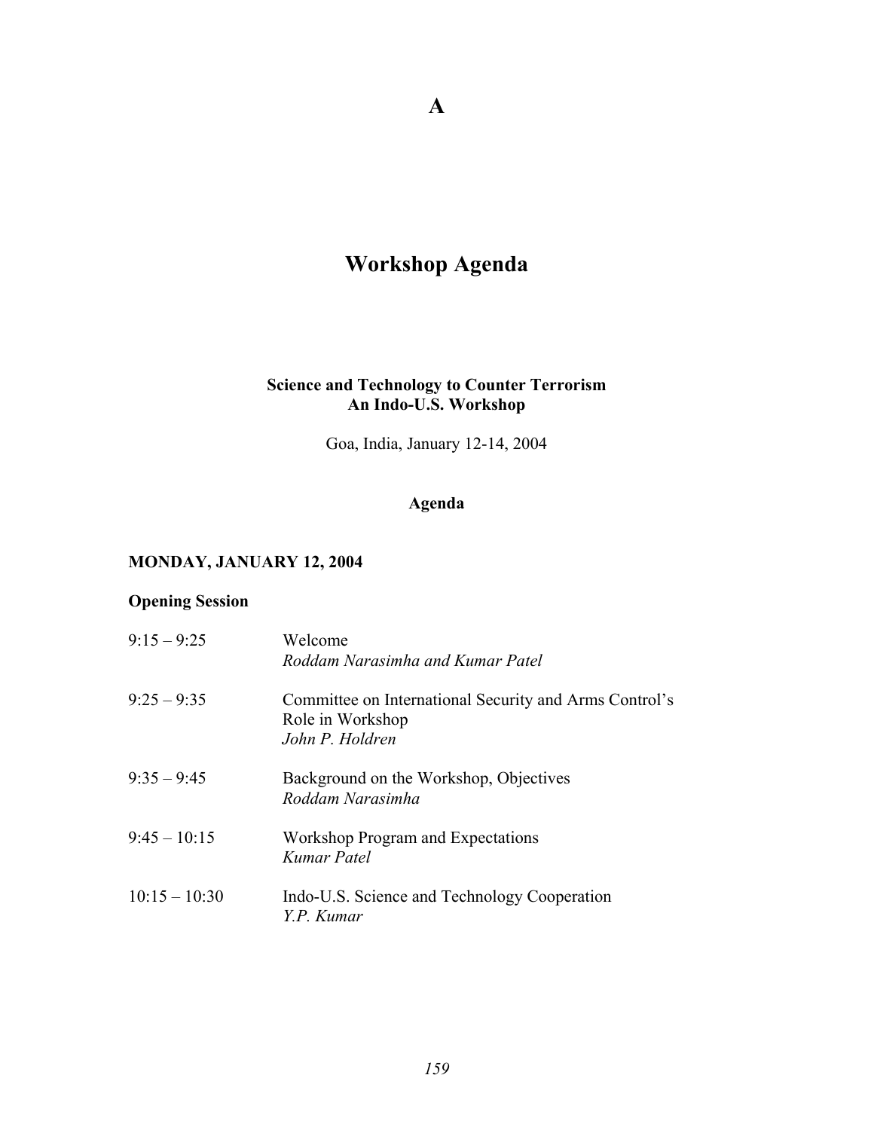# **Workshop Agenda**

#### **Science and Technology to Counter Terrorism An Indo-U.S. Workshop**

Goa, India, January 12-14, 2004

# **Agenda**

# **MONDAY, JANUARY 12, 2004**

# **Opening Session**

| $9:15 - 9:25$   | Welcome<br>Roddam Narasimha and Kumar Patel                                                   |
|-----------------|-----------------------------------------------------------------------------------------------|
| $9:25 - 9:35$   | Committee on International Security and Arms Control's<br>Role in Workshop<br>John P. Holdren |
| $9:35 - 9:45$   | Background on the Workshop, Objectives<br>Roddam Narasimha                                    |
| $9:45 - 10:15$  | Workshop Program and Expectations<br>Kumar Patel                                              |
| $10:15 - 10:30$ | Indo-U.S. Science and Technology Cooperation<br>Y.P. Kumar                                    |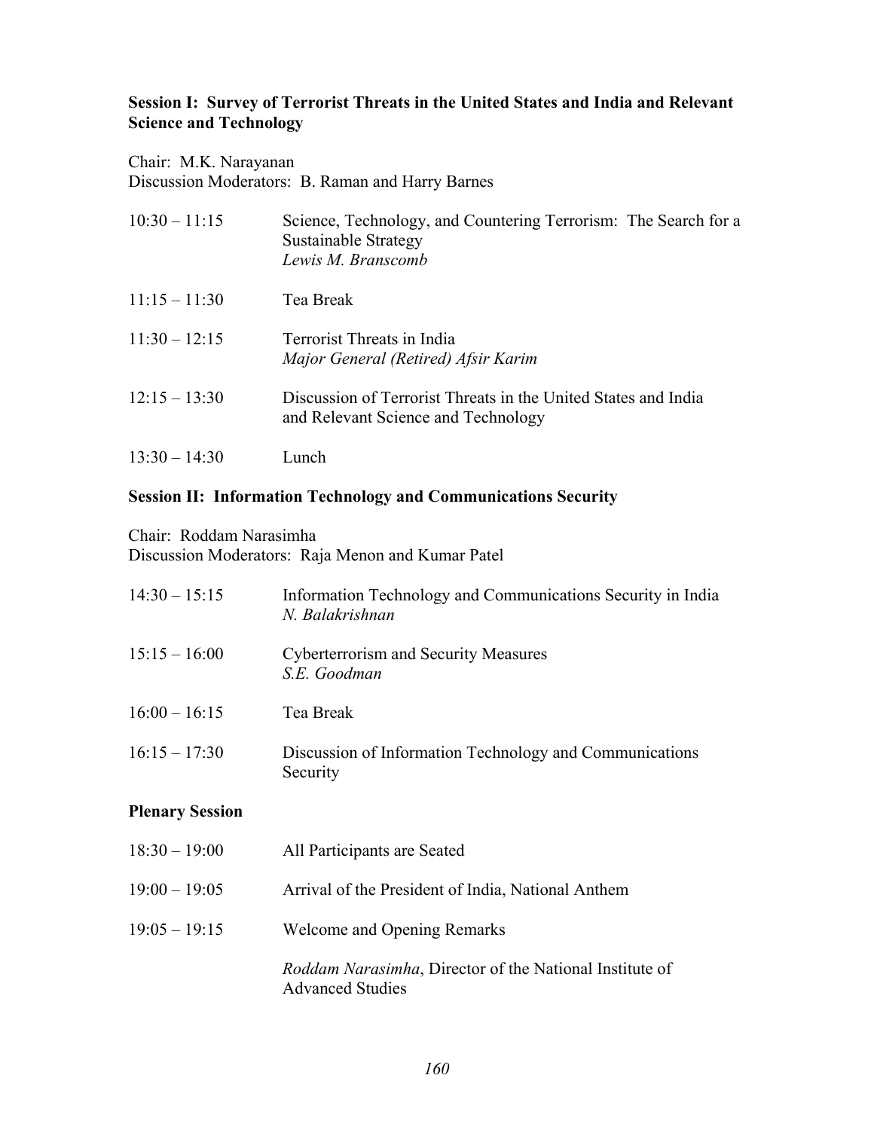### **Session I: Survey of Terrorist Threats in the United States and India and Relevant Science and Technology**

Chair: M.K. Narayanan Discussion Moderators: B. Raman and Harry Barnes

| $10:30 - 11:15$ | Science, Technology, and Countering Terrorism: The Search for a<br><b>Sustainable Strategy</b><br>Lewis M. Branscomb |
|-----------------|----------------------------------------------------------------------------------------------------------------------|
| $11:15 - 11:30$ | Tea Break                                                                                                            |
| $11:30 - 12:15$ | Terrorist Threats in India<br>Major General (Retired) Afsir Karim                                                    |
| $12:15 - 13:30$ | Discussion of Terrorist Threats in the United States and India<br>and Relevant Science and Technology                |
| $13:30 - 14:30$ | Lunch                                                                                                                |

# **Session II: Information Technology and Communications Security**

Chair: Roddam Narasimha Discussion Moderators: Raja Menon and Kumar Patel

| $14:30 - 15:15$               | Information Technology and Communications Security in India<br>N. Balakrishnan |
|-------------------------------|--------------------------------------------------------------------------------|
| $15:15 - 16:00$               | <b>Cyberterrorism and Security Measures</b><br>S.E. Goodman                    |
| $16:00 - 16:15$               | Tea Break                                                                      |
| $16:15 - 17:30$               | Discussion of Information Technology and Communications<br>Security            |
| $\mathbf{m}$ $\alpha$ $\beta$ |                                                                                |

### **Plenary Session**

| $18:30 - 19:00$ | All Participants are Seated                                                        |
|-----------------|------------------------------------------------------------------------------------|
| $19:00 - 19:05$ | Arrival of the President of India, National Anthem                                 |
| $19:05 - 19:15$ | <b>Welcome and Opening Remarks</b>                                                 |
|                 | Roddam Narasimha, Director of the National Institute of<br><b>Advanced Studies</b> |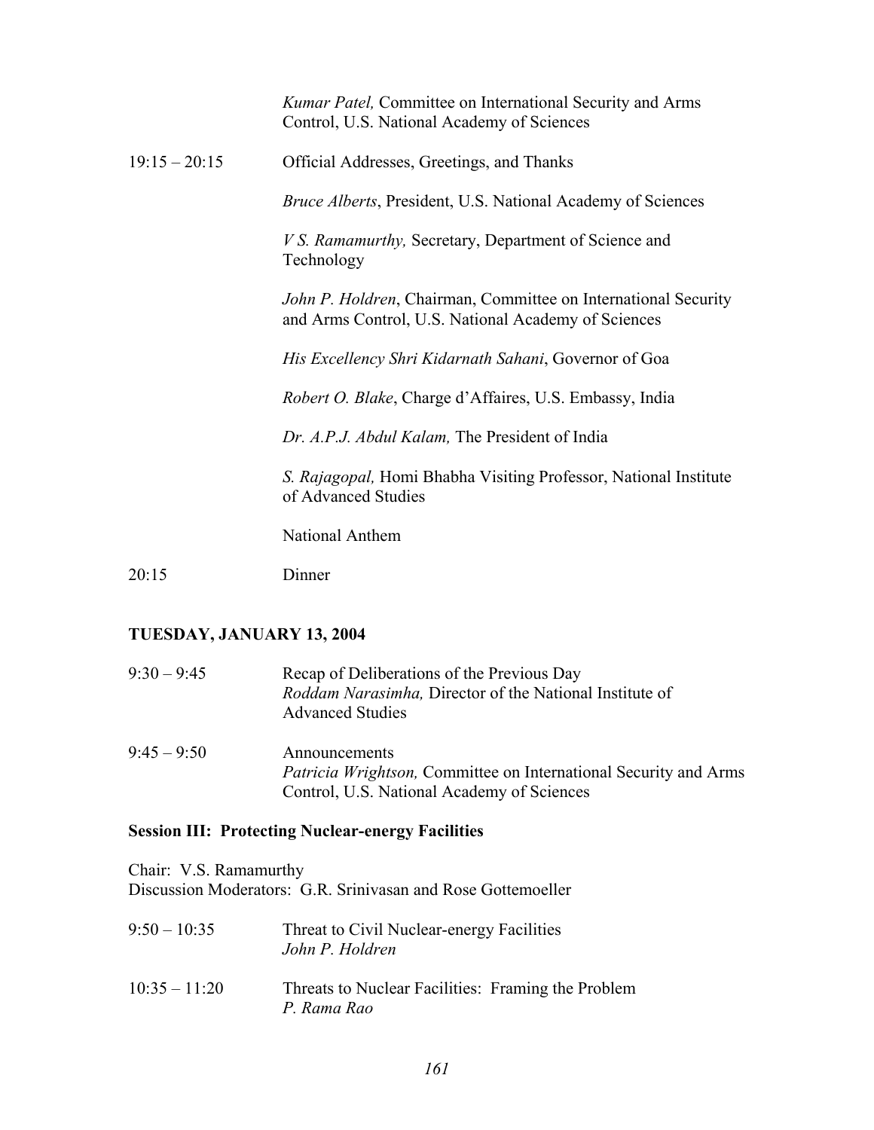|                 | Kumar Patel, Committee on International Security and Arms<br>Control, U.S. National Academy of Sciences               |
|-----------------|-----------------------------------------------------------------------------------------------------------------------|
| $19:15 - 20:15$ | Official Addresses, Greetings, and Thanks                                                                             |
|                 | Bruce Alberts, President, U.S. National Academy of Sciences                                                           |
|                 | <i>V S. Ramamurthy, Secretary, Department of Science and</i><br>Technology                                            |
|                 | John P. Holdren, Chairman, Committee on International Security<br>and Arms Control, U.S. National Academy of Sciences |
|                 | His Excellency Shri Kidarnath Sahani, Governor of Goa                                                                 |
|                 | Robert O. Blake, Charge d'Affaires, U.S. Embassy, India                                                               |
|                 | Dr. A.P.J. Abdul Kalam, The President of India                                                                        |
|                 | S. Rajagopal, Homi Bhabha Visiting Professor, National Institute<br>of Advanced Studies                               |
|                 | National Anthem                                                                                                       |
| 20:15           | Dinner                                                                                                                |
|                 |                                                                                                                       |

# **TUESDAY, JANUARY 13, 2004**

| $9:30 - 9:45$ | Recap of Deliberations of the Previous Day<br>Roddam Narasimha, Director of the National Institute of<br><b>Advanced Studies</b>       |
|---------------|----------------------------------------------------------------------------------------------------------------------------------------|
| $9:45-9:50$   | Announcements<br><i>Patricia Wrightson, Committee on International Security and Arms</i><br>Control, U.S. National Academy of Sciences |

# **Session III: Protecting Nuclear-energy Facilities**

Chair: V.S. Ramamurthy Discussion Moderators: G.R. Srinivasan and Rose Gottemoeller

| $9:50 - 10:35$  | Threat to Civil Nuclear-energy Facilities<br>John P. Holdren      |
|-----------------|-------------------------------------------------------------------|
| $10:35 - 11:20$ | Threats to Nuclear Facilities: Framing the Problem<br>P. Rama Rao |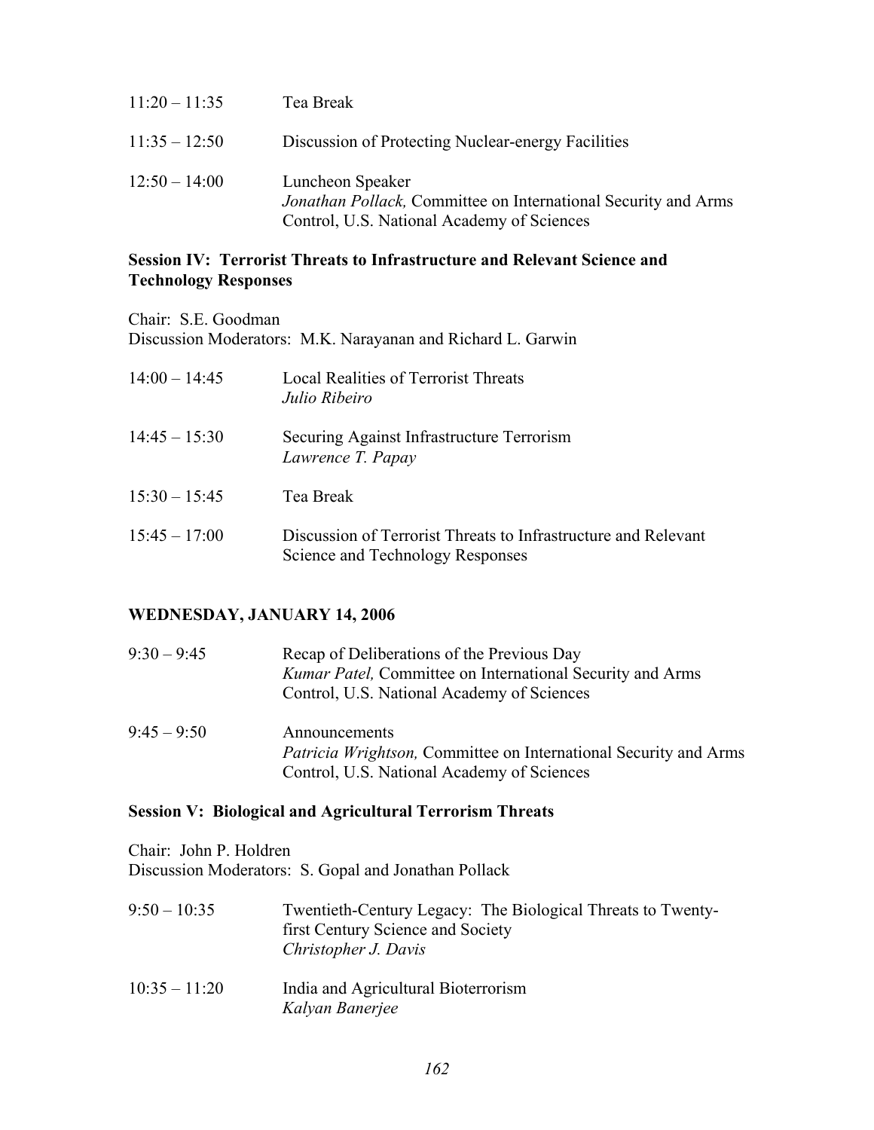| $11:20 - 11:35$ | Tea Break                                                                                                                        |
|-----------------|----------------------------------------------------------------------------------------------------------------------------------|
| $11:35 - 12:50$ | Discussion of Protecting Nuclear-energy Facilities                                                                               |
| $12:50 - 14:00$ | Luncheon Speaker<br>Jonathan Pollack, Committee on International Security and Arms<br>Control, U.S. National Academy of Sciences |

### **Session IV: Terrorist Threats to Infrastructure and Relevant Science and Technology Responses**

Chair: S.E. Goodman

Discussion Moderators: M.K. Narayanan and Richard L. Garwin

| $14:00 - 14:45$ | <b>Local Realities of Terrorist Threats</b><br>Julio Ribeiro                                       |
|-----------------|----------------------------------------------------------------------------------------------------|
| $14:45 - 15:30$ | Securing Against Infrastructure Terrorism<br>Lawrence T. Papay                                     |
| $15:30 - 15:45$ | Tea Break                                                                                          |
| $15:45 - 17:00$ | Discussion of Terrorist Threats to Infrastructure and Relevant<br>Science and Technology Responses |

### **WEDNESDAY, JANUARY 14, 2006**

| $9:30 - 9:45$ | Recap of Deliberations of the Previous Day                       |
|---------------|------------------------------------------------------------------|
|               | Kumar Patel, Committee on International Security and Arms        |
|               | Control, U.S. National Academy of Sciences                       |
| $9:45-9:50$   | Announcements                                                    |
|               | Patricia Wrightson, Committee on International Security and Arms |
|               | Control, U.S. National Academy of Sciences                       |

### **Session V: Biological and Agricultural Terrorism Threats**

Chair: John P. Holdren Discussion Moderators: S. Gopal and Jonathan Pollack

- 9:50 10:35 Twentieth-Century Legacy: The Biological Threats to Twentyfirst Century Science and Society *Christopher J. Davis*
- 10:35 11:20 India and Agricultural Bioterrorism *Kalyan Banerjee*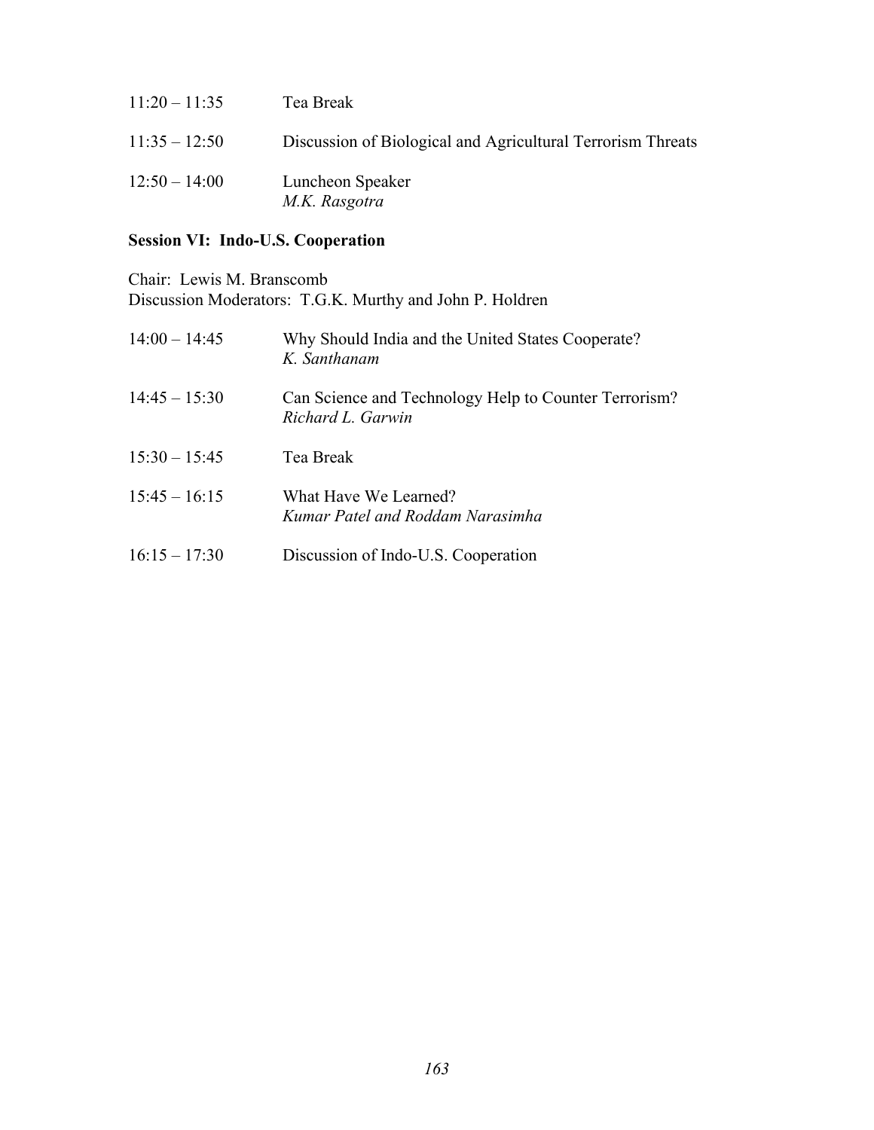| $11:20 - 11:35$ | Tea Break                                                   |
|-----------------|-------------------------------------------------------------|
| $11:35 - 12:50$ | Discussion of Biological and Agricultural Terrorism Threats |
| $12:50 - 14:00$ | Luncheon Speaker<br>M.K. Rasgotra                           |

# **Session VI: Indo-U.S. Cooperation**

Chair: Lewis M. Branscomb Discussion Moderators: T.G.K. Murthy and John P. Holdren

| $14:00 - 14:45$ | Why Should India and the United States Cooperate?<br>K. Santhanam          |
|-----------------|----------------------------------------------------------------------------|
| $14:45 - 15:30$ | Can Science and Technology Help to Counter Terrorism?<br>Richard L. Garwin |
| $15:30 - 15:45$ | Tea Break                                                                  |
| $15:45 - 16:15$ | What Have We Learned?<br>Kumar Patel and Roddam Narasimha                  |
| $16:15 - 17:30$ | Discussion of Indo-U.S. Cooperation                                        |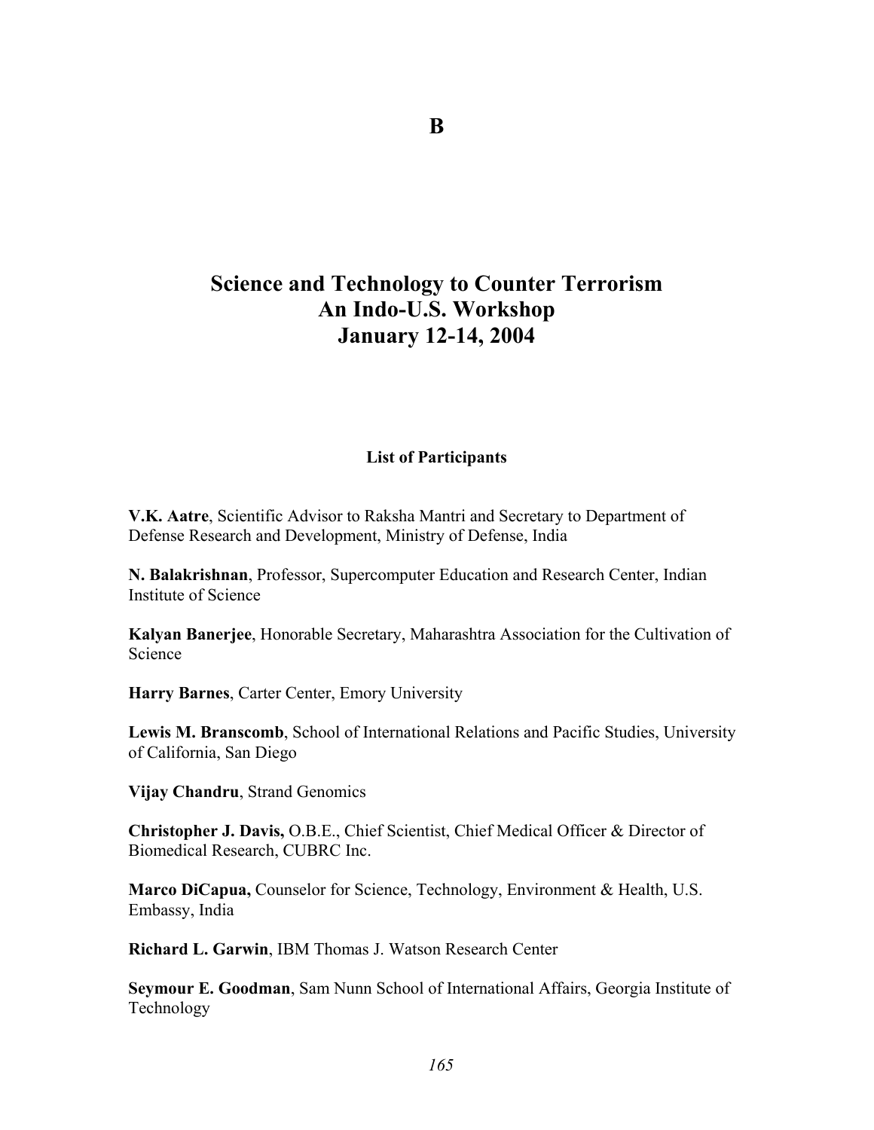# **Science and Technology to Counter Terrorism An Indo-U.S. Workshop January 12-14, 2004**

#### **List of Participants**

**V.K. Aatre**, Scientific Advisor to Raksha Mantri and Secretary to Department of Defense Research and Development, Ministry of Defense, India

**N. Balakrishnan**, Professor, Supercomputer Education and Research Center, Indian Institute of Science

**Kalyan Banerjee**, Honorable Secretary, Maharashtra Association for the Cultivation of Science

**Harry Barnes**, Carter Center, Emory University

**Lewis M. Branscomb**, School of International Relations and Pacific Studies, University of California, San Diego

**Vijay Chandru**, Strand Genomics

**Christopher J. Davis,** O.B.E., Chief Scientist, Chief Medical Officer & Director of Biomedical Research, CUBRC Inc.

**Marco DiCapua,** Counselor for Science, Technology, Environment & Health, U.S. Embassy, India

**Richard L. Garwin**, IBM Thomas J. Watson Research Center

**Seymour E. Goodman**, Sam Nunn School of International Affairs, Georgia Institute of Technology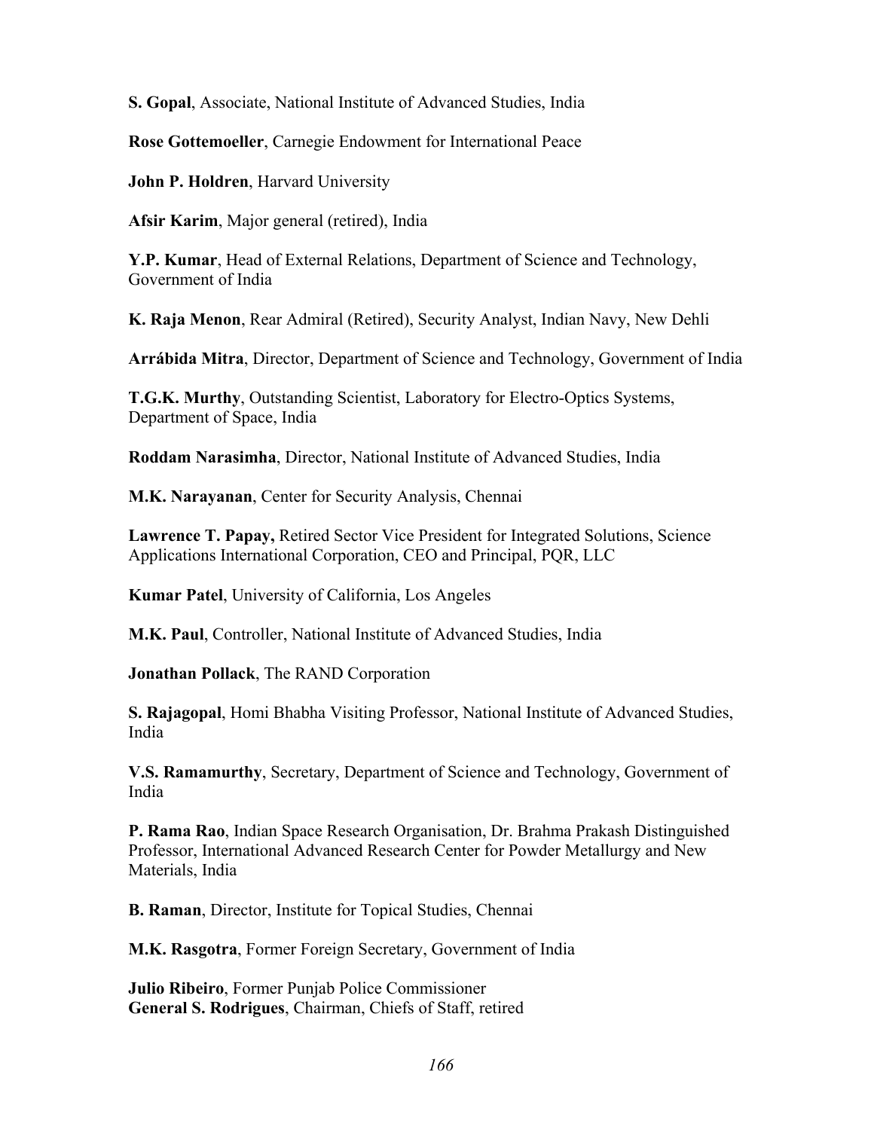**S. Gopal**, Associate, National Institute of Advanced Studies, India

**Rose Gottemoeller**, Carnegie Endowment for International Peace

**John P. Holdren**, Harvard University

**Afsir Karim**, Major general (retired), India

**Y.P. Kumar**, Head of External Relations, Department of Science and Technology, Government of India

**K. Raja Menon**, Rear Admiral (Retired), Security Analyst, Indian Navy, New Dehli

**Arrábida Mitra**, Director, Department of Science and Technology, Government of India

**T.G.K. Murthy**, Outstanding Scientist, Laboratory for Electro-Optics Systems, Department of Space, India

**Roddam Narasimha**, Director, National Institute of Advanced Studies, India

**M.K. Narayanan**, Center for Security Analysis, Chennai

**Lawrence T. Papay,** Retired Sector Vice President for Integrated Solutions, Science Applications International Corporation, CEO and Principal, PQR, LLC

**Kumar Patel**, University of California, Los Angeles

**M.K. Paul**, Controller, National Institute of Advanced Studies, India

**Jonathan Pollack**, The RAND Corporation

**S. Rajagopal**, Homi Bhabha Visiting Professor, National Institute of Advanced Studies, India

**V.S. Ramamurthy**, Secretary, Department of Science and Technology, Government of India

**P. Rama Rao**, Indian Space Research Organisation, Dr. Brahma Prakash Distinguished Professor, International Advanced Research Center for Powder Metallurgy and New Materials, India

**B. Raman**, Director, Institute for Topical Studies, Chennai

**M.K. Rasgotra**, Former Foreign Secretary, Government of India

**Julio Ribeiro**, Former Punjab Police Commissioner **General S. Rodrigues**, Chairman, Chiefs of Staff, retired